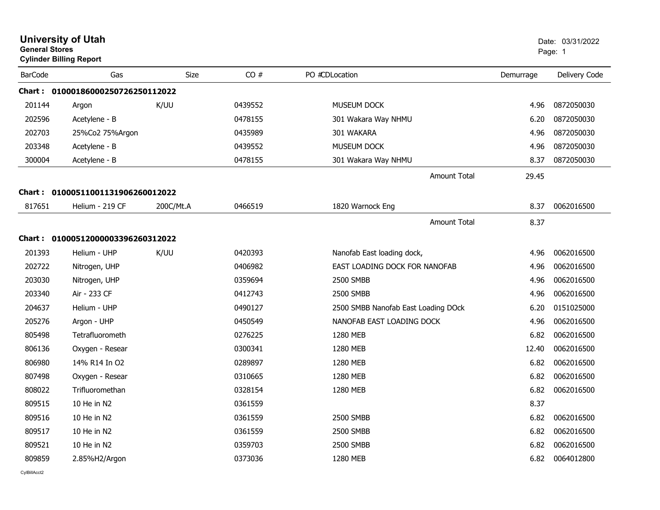|                | <b>University of Utah</b><br><b>General Stores</b><br><b>Cylinder Billing Report</b> |           |         |                                     |           | Date: 03/31/2022<br>Page: 1 |  |
|----------------|--------------------------------------------------------------------------------------|-----------|---------|-------------------------------------|-----------|-----------------------------|--|
| <b>BarCode</b> | Gas                                                                                  | Size      | CO#     | PO #CDLocation                      | Demurrage | Delivery Code               |  |
|                | Chart :    01000186000250726250112022                                                |           |         |                                     |           |                             |  |
| 201144         | Argon                                                                                | K/UU      | 0439552 | MUSEUM DOCK                         | 4.96      | 0872050030                  |  |
| 202596         | Acetylene - B                                                                        |           | 0478155 | 301 Wakara Way NHMU                 | 6.20      | 0872050030                  |  |
| 202703         | 25%Co2 75%Argon                                                                      |           | 0435989 | 301 WAKARA                          | 4.96      | 0872050030                  |  |
| 203348         | Acetylene - B                                                                        |           | 0439552 | <b>MUSEUM DOCK</b>                  | 4.96      | 0872050030                  |  |
| 300004         | Acetylene - B                                                                        |           | 0478155 | 301 Wakara Way NHMU                 | 8.37      | 0872050030                  |  |
|                |                                                                                      |           |         | <b>Amount Total</b>                 | 29.45     |                             |  |
|                | Chart: 01000511001131906260012022                                                    |           |         |                                     |           |                             |  |
| 817651         | Helium - 219 CF                                                                      | 200C/Mt.A | 0466519 | 1820 Warnock Eng                    | 8.37      | 0062016500                  |  |
|                |                                                                                      |           |         | <b>Amount Total</b>                 | 8.37      |                             |  |
|                | Chart: 01000512000003396260312022                                                    |           |         |                                     |           |                             |  |
| 201393         | Helium - UHP                                                                         | K/UU      | 0420393 | Nanofab East loading dock,          | 4.96      | 0062016500                  |  |
| 202722         | Nitrogen, UHP                                                                        |           | 0406982 | EAST LOADING DOCK FOR NANOFAB       | 4.96      | 0062016500                  |  |
| 203030         | Nitrogen, UHP                                                                        |           | 0359694 | <b>2500 SMBB</b>                    | 4.96      | 0062016500                  |  |
| 203340         | Air - 233 CF                                                                         |           | 0412743 | 2500 SMBB                           | 4.96      | 0062016500                  |  |
| 204637         | Helium - UHP                                                                         |           | 0490127 | 2500 SMBB Nanofab East Loading DOck | 6.20      | 0151025000                  |  |
| 205276         | Argon - UHP                                                                          |           | 0450549 | NANOFAB EAST LOADING DOCK           | 4.96      | 0062016500                  |  |
| 805498         | Tetrafluorometh                                                                      |           | 0276225 | 1280 MEB                            | 6.82      | 0062016500                  |  |
| 806136         | Oxygen - Resear                                                                      |           | 0300341 | 1280 MEB                            | 12.40     | 0062016500                  |  |
| 806980         | 14% R14 In O2                                                                        |           | 0289897 | 1280 MEB                            | 6.82      | 0062016500                  |  |
| 807498         | Oxygen - Resear                                                                      |           | 0310665 | 1280 MEB                            | 6.82      | 0062016500                  |  |
| 808022         | Trifluoromethan                                                                      |           | 0328154 | 1280 MEB                            | 6.82      | 0062016500                  |  |
| 809515         | 10 He in N2                                                                          |           | 0361559 |                                     | 8.37      |                             |  |
| 809516         | 10 He in N2                                                                          |           | 0361559 | 2500 SMBB                           | 6.82      | 0062016500                  |  |
| 809517         | 10 He in N2                                                                          |           | 0361559 | 2500 SMBB                           | 6.82      | 0062016500                  |  |
| 809521         | 10 He in N2                                                                          |           | 0359703 | 2500 SMBB                           | 6.82      | 0062016500                  |  |
| 809859         | 2.85%H2/Argon                                                                        |           | 0373036 | 1280 MEB                            | 6.82      | 0064012800                  |  |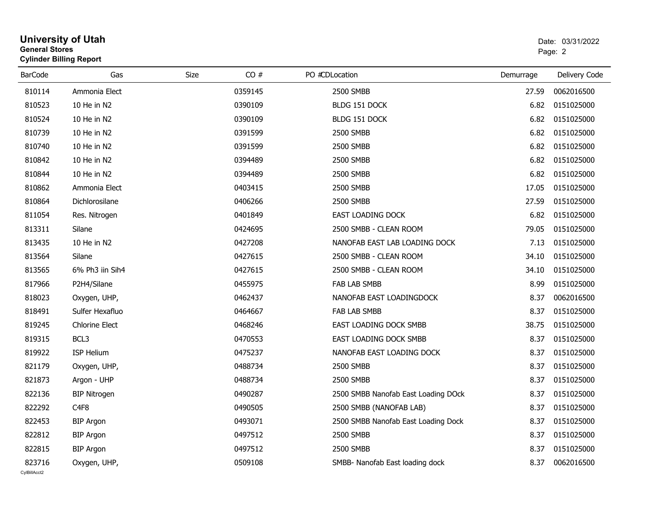| General Stores<br><b>Cylinder Billing Report</b> |                       |             |         |                                     |           | Page: 2       |  |  |
|--------------------------------------------------|-----------------------|-------------|---------|-------------------------------------|-----------|---------------|--|--|
| <b>BarCode</b>                                   | Gas                   | <b>Size</b> | CO#     | PO #CDLocation                      | Demurrage | Delivery Code |  |  |
| 810114                                           | Ammonia Elect         |             | 0359145 | 2500 SMBB                           | 27.59     | 0062016500    |  |  |
| 810523                                           | 10 He in N2           |             | 0390109 | BLDG 151 DOCK                       | 6.82      | 0151025000    |  |  |
| 810524                                           | 10 He in N2           |             | 0390109 | BLDG 151 DOCK                       | 6.82      | 0151025000    |  |  |
| 810739                                           | 10 He in N2           |             | 0391599 | 2500 SMBB                           | 6.82      | 0151025000    |  |  |
| 810740                                           | 10 He in N2           |             | 0391599 | 2500 SMBB                           | 6.82      | 0151025000    |  |  |
| 810842                                           | 10 He in N2           |             | 0394489 | 2500 SMBB                           | 6.82      | 0151025000    |  |  |
| 810844                                           | 10 He in N2           |             | 0394489 | 2500 SMBB                           | 6.82      | 0151025000    |  |  |
| 810862                                           | Ammonia Elect         |             | 0403415 | 2500 SMBB                           | 17.05     | 0151025000    |  |  |
| 810864                                           | Dichlorosilane        |             | 0406266 | 2500 SMBB                           | 27.59     | 0151025000    |  |  |
| 811054                                           | Res. Nitrogen         |             | 0401849 | <b>EAST LOADING DOCK</b>            | 6.82      | 0151025000    |  |  |
| 813311                                           | Silane                |             | 0424695 | 2500 SMBB - CLEAN ROOM              | 79.05     | 0151025000    |  |  |
| 813435                                           | 10 He in N2           |             | 0427208 | NANOFAB EAST LAB LOADING DOCK       | 7.13      | 0151025000    |  |  |
| 813564                                           | Silane                |             | 0427615 | 2500 SMBB - CLEAN ROOM              | 34.10     | 0151025000    |  |  |
| 813565                                           | 6% Ph3 iin Sih4       |             | 0427615 | 2500 SMBB - CLEAN ROOM              | 34.10     | 0151025000    |  |  |
| 817966                                           | P2H4/Silane           |             | 0455975 | <b>FAB LAB SMBB</b>                 | 8.99      | 0151025000    |  |  |
| 818023                                           | Oxygen, UHP,          |             | 0462437 | NANOFAB EAST LOADINGDOCK            | 8.37      | 0062016500    |  |  |
| 818491                                           | Sulfer Hexafluo       |             | 0464667 | <b>FAB LAB SMBB</b>                 | 8.37      | 0151025000    |  |  |
| 819245                                           | <b>Chlorine Elect</b> |             | 0468246 | <b>EAST LOADING DOCK SMBB</b>       | 38.75     | 0151025000    |  |  |
| 819315                                           | BCL3                  |             | 0470553 | EAST LOADING DOCK SMBB              | 8.37      | 0151025000    |  |  |
| 819922                                           | <b>ISP Helium</b>     |             | 0475237 | NANOFAB EAST LOADING DOCK           | 8.37      | 0151025000    |  |  |
| 821179                                           | Oxygen, UHP,          |             | 0488734 | 2500 SMBB                           | 8.37      | 0151025000    |  |  |
| 821873                                           | Argon - UHP           |             | 0488734 | 2500 SMBB                           | 8.37      | 0151025000    |  |  |
| 822136                                           | <b>BIP Nitrogen</b>   |             | 0490287 | 2500 SMBB Nanofab East Loading DOck | 8.37      | 0151025000    |  |  |
| 822292                                           | C <sub>4F8</sub>      |             | 0490505 | 2500 SMBB (NANOFAB LAB)             | 8.37      | 0151025000    |  |  |
| 822453                                           | <b>BIP Argon</b>      |             | 0493071 | 2500 SMBB Nanofab East Loading Dock | 8.37      | 0151025000    |  |  |
| 822812                                           | <b>BIP Argon</b>      |             | 0497512 | 2500 SMBB                           | 8.37      | 0151025000    |  |  |
| 822815                                           | <b>BIP Argon</b>      |             | 0497512 | 2500 SMBB                           | 8.37      | 0151025000    |  |  |
| 823716                                           | Oxygen, UHP,          |             | 0509108 | SMBB- Nanofab East loading dock     | 8.37      | 0062016500    |  |  |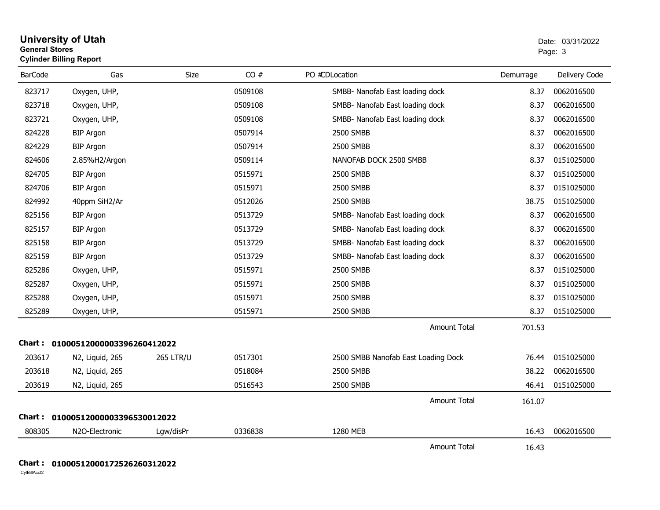| <b>University of Utah</b>      | Date: 0 |
|--------------------------------|---------|
| <b>General Stores</b>          | Page: 3 |
| <b>Cylinder Billing Report</b> |         |

| <b>BarCode</b> | Gas                        | Size             | CO#     | PO #CDLocation                      | Demurrage | Delivery Code |
|----------------|----------------------------|------------------|---------|-------------------------------------|-----------|---------------|
| 823717         | Oxygen, UHP,               |                  | 0509108 | SMBB- Nanofab East loading dock     | 8.37      | 0062016500    |
| 823718         | Oxygen, UHP,               |                  | 0509108 | SMBB- Nanofab East loading dock     | 8.37      | 0062016500    |
| 823721         | Oxygen, UHP,               |                  | 0509108 | SMBB- Nanofab East loading dock     | 8.37      | 0062016500    |
| 824228         | <b>BIP Argon</b>           |                  | 0507914 | 2500 SMBB                           | 8.37      | 0062016500    |
| 824229         | <b>BIP Argon</b>           |                  | 0507914 | 2500 SMBB                           | 8.37      | 0062016500    |
| 824606         | 2.85%H2/Argon              |                  | 0509114 | NANOFAB DOCK 2500 SMBB              | 8.37      | 0151025000    |
| 824705         | <b>BIP Argon</b>           |                  | 0515971 | 2500 SMBB                           | 8.37      | 0151025000    |
| 824706         | <b>BIP Argon</b>           |                  | 0515971 | 2500 SMBB                           | 8.37      | 0151025000    |
| 824992         | 40ppm SiH2/Ar              |                  | 0512026 | 2500 SMBB                           | 38.75     | 0151025000    |
| 825156         | <b>BIP Argon</b>           |                  | 0513729 | SMBB- Nanofab East loading dock     | 8.37      | 0062016500    |
| 825157         | <b>BIP Argon</b>           |                  | 0513729 | SMBB- Nanofab East loading dock     | 8.37      | 0062016500    |
| 825158         | <b>BIP Argon</b>           |                  | 0513729 | SMBB- Nanofab East loading dock     | 8.37      | 0062016500    |
| 825159         | <b>BIP Argon</b>           |                  | 0513729 | SMBB- Nanofab East loading dock     | 8.37      | 0062016500    |
| 825286         | Oxygen, UHP,               |                  | 0515971 | 2500 SMBB                           | 8.37      | 0151025000    |
| 825287         | Oxygen, UHP,               |                  | 0515971 | 2500 SMBB                           | 8.37      | 0151025000    |
| 825288         | Oxygen, UHP,               |                  | 0515971 | 2500 SMBB                           | 8.37      | 0151025000    |
| 825289         | Oxygen, UHP,               |                  | 0515971 | 2500 SMBB                           | 8.37      | 0151025000    |
|                |                            |                  |         | <b>Amount Total</b>                 | 701.53    |               |
| Chart :        | 01000512000003396260412022 |                  |         |                                     |           |               |
| 203617         | N2, Liquid, 265            | <b>265 LTR/U</b> | 0517301 | 2500 SMBB Nanofab East Loading Dock | 76.44     | 0151025000    |
| 203618         | N2, Liquid, 265            |                  | 0518084 | 2500 SMBB                           | 38.22     | 0062016500    |
| 203619         | N2, Liquid, 265            |                  | 0516543 | 2500 SMBB                           | 46.41     | 0151025000    |
|                |                            |                  |         | <b>Amount Total</b>                 | 161.07    |               |
| Chart :        | 01000512000003396530012022 |                  |         |                                     |           |               |
| 808305         | N2O-Electronic             | Lgw/disPr        | 0336838 | 1280 MEB                            | 16.43     | 0062016500    |
|                |                            |                  |         | <b>Amount Total</b>                 | 16.43     |               |

### **Chart : 01000512000172526260312022**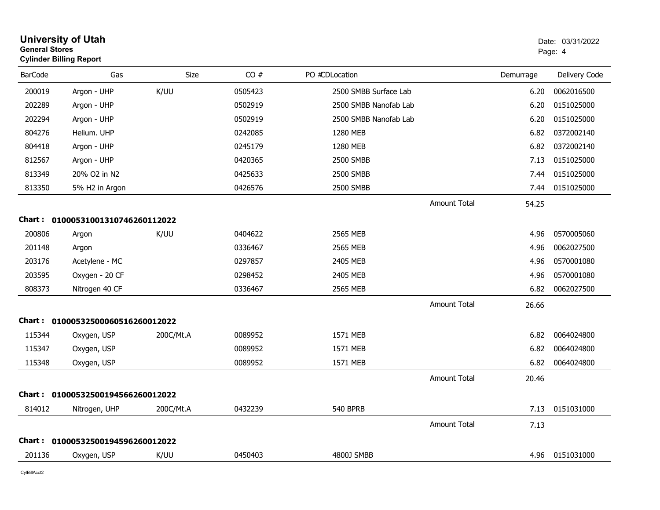|                | <b>University of Utah</b><br><b>General Stores</b><br><b>Cylinder Billing Report</b> |           |         |                       |                     |           | Date: 03/31/2022<br>Page: 4 |  |
|----------------|--------------------------------------------------------------------------------------|-----------|---------|-----------------------|---------------------|-----------|-----------------------------|--|
| <b>BarCode</b> | Gas                                                                                  | Size      | CO#     | PO #CDLocation        |                     | Demurrage | Delivery Code               |  |
| 200019         | Argon - UHP                                                                          | K/UU      | 0505423 | 2500 SMBB Surface Lab |                     | 6.20      | 0062016500                  |  |
| 202289         | Argon - UHP                                                                          |           | 0502919 | 2500 SMBB Nanofab Lab |                     | 6.20      | 0151025000                  |  |
| 202294         | Argon - UHP                                                                          |           | 0502919 | 2500 SMBB Nanofab Lab |                     | 6.20      | 0151025000                  |  |
| 804276         | Helium. UHP                                                                          |           | 0242085 | 1280 MEB              |                     | 6.82      | 0372002140                  |  |
| 804418         | Argon - UHP                                                                          |           | 0245179 | 1280 MEB              |                     | 6.82      | 0372002140                  |  |
| 812567         | Argon - UHP                                                                          |           | 0420365 | 2500 SMBB             |                     | 7.13      | 0151025000                  |  |
| 813349         | 20% O2 in N2                                                                         |           | 0425633 | 2500 SMBB             |                     | 7.44      | 0151025000                  |  |
| 813350         | 5% H2 in Argon                                                                       |           | 0426576 | <b>2500 SMBB</b>      |                     | 7.44      | 0151025000                  |  |
|                |                                                                                      |           |         |                       | <b>Amount Total</b> | 54.25     |                             |  |
|                | Chart: 01000531001310746260112022                                                    |           |         |                       |                     |           |                             |  |
| 200806         | Argon                                                                                | K/UU      | 0404622 | 2565 MEB              |                     | 4.96      | 0570005060                  |  |
| 201148         | Argon                                                                                |           | 0336467 | 2565 MEB              |                     | 4.96      | 0062027500                  |  |
| 203176         | Acetylene - MC                                                                       |           | 0297857 | 2405 MEB              |                     | 4.96      | 0570001080                  |  |
| 203595         | Oxygen - 20 CF                                                                       |           | 0298452 | 2405 MEB              |                     | 4.96      | 0570001080                  |  |
| 808373         | Nitrogen 40 CF                                                                       |           | 0336467 | 2565 MEB              |                     | 6.82      | 0062027500                  |  |
|                |                                                                                      |           |         |                       | <b>Amount Total</b> | 26.66     |                             |  |
|                | Chart: 01000532500060516260012022                                                    |           |         |                       |                     |           |                             |  |
| 115344         | Oxygen, USP                                                                          | 200C/Mt.A | 0089952 | 1571 MEB              |                     | 6.82      | 0064024800                  |  |
| 115347         | Oxygen, USP                                                                          |           | 0089952 | 1571 MEB              |                     | 6.82      | 0064024800                  |  |
| 115348         | Oxygen, USP                                                                          |           | 0089952 | 1571 MEB              |                     | 6.82      | 0064024800                  |  |
|                |                                                                                      |           |         |                       | <b>Amount Total</b> | 20.46     |                             |  |
|                | Chart: 01000532500194566260012022                                                    |           |         |                       |                     |           |                             |  |
| 814012         | Nitrogen, UHP                                                                        | 200C/Mt.A | 0432239 | <b>540 BPRB</b>       |                     | 7.13      | 0151031000                  |  |
|                |                                                                                      |           |         |                       | <b>Amount Total</b> | 7.13      |                             |  |
|                | Chart: 01000532500194596260012022                                                    |           |         |                       |                     |           |                             |  |
| 201136         | Oxygen, USP                                                                          | K/UU      | 0450403 | 4800J SMBB            |                     |           | 4.96 0151031000             |  |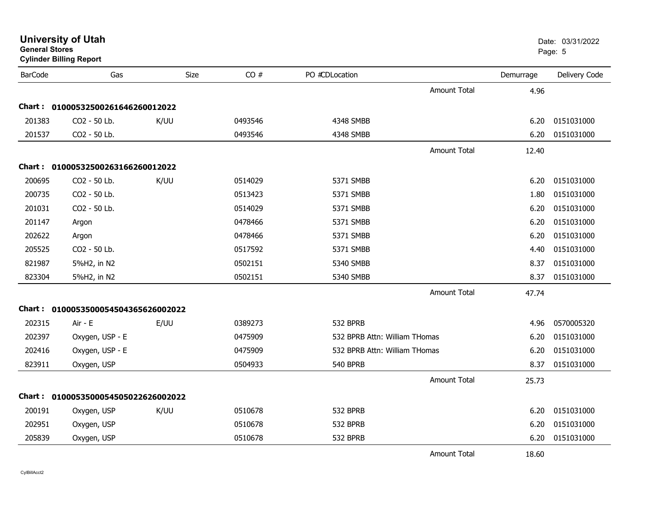|                | <b>Cylinder Billing Report</b>      |             |         |                               |                     |           |               |
|----------------|-------------------------------------|-------------|---------|-------------------------------|---------------------|-----------|---------------|
| <b>BarCode</b> | Gas                                 | <b>Size</b> | CO#     | PO #CDLocation                |                     | Demurrage | Delivery Code |
|                |                                     |             |         |                               | <b>Amount Total</b> | 4.96      |               |
|                | Chart: 01000532500261646260012022   |             |         |                               |                     |           |               |
| 201383         | CO2 - 50 Lb.                        | K/UU        | 0493546 | 4348 SMBB                     |                     | 6.20      | 0151031000    |
| 201537         | CO2 - 50 Lb.                        |             | 0493546 | 4348 SMBB                     |                     | 6.20      | 0151031000    |
|                |                                     |             |         |                               | <b>Amount Total</b> | 12.40     |               |
|                | Chart: 01000532500263166260012022   |             |         |                               |                     |           |               |
| 200695         | CO2 - 50 Lb.                        | K/UU        | 0514029 | 5371 SMBB                     |                     | 6.20      | 0151031000    |
| 200735         | CO2 - 50 Lb.                        |             | 0513423 | 5371 SMBB                     |                     | 1.80      | 0151031000    |
| 201031         | CO2 - 50 Lb.                        |             | 0514029 | 5371 SMBB                     |                     | 6.20      | 0151031000    |
| 201147         | Argon                               |             | 0478466 | 5371 SMBB                     |                     | 6.20      | 0151031000    |
| 202622         | Argon                               |             | 0478466 | 5371 SMBB                     |                     | 6.20      | 0151031000    |
| 205525         | CO2 - 50 Lb.                        |             | 0517592 | 5371 SMBB                     |                     | 4.40      | 0151031000    |
| 821987         | 5%H2, in N2                         |             | 0502151 | 5340 SMBB                     |                     | 8.37      | 0151031000    |
| 823304         | 5%H2, in N2                         |             | 0502151 | 5340 SMBB                     |                     | 8.37      | 0151031000    |
|                |                                     |             |         |                               | <b>Amount Total</b> | 47.74     |               |
|                | Chart: 0100053500054504365626002022 |             |         |                               |                     |           |               |
| 202315         | Air - E                             | E/UU        | 0389273 | 532 BPRB                      |                     | 4.96      | 0570005320    |
| 202397         | Oxygen, USP - E                     |             | 0475909 | 532 BPRB Attn: William THomas |                     | 6.20      | 0151031000    |
| 202416         | Oxygen, USP - E                     |             | 0475909 | 532 BPRB Attn: William THomas |                     | 6.20      | 0151031000    |
| 823911         | Oxygen, USP                         |             | 0504933 | <b>540 BPRB</b>               |                     | 8.37      | 0151031000    |
|                |                                     |             |         |                               | <b>Amount Total</b> | 25.73     |               |
|                | Chart: 0100053500054505022626002022 |             |         |                               |                     |           |               |
| 200191         | Oxygen, USP                         | K/UU        | 0510678 | 532 BPRB                      |                     | 6.20      | 0151031000    |
| 202951         | Oxygen, USP                         |             | 0510678 | 532 BPRB                      |                     | 6.20      | 0151031000    |
| 205839         | Oxygen, USP                         |             | 0510678 | 532 BPRB                      |                     | 6.20      | 0151031000    |
|                |                                     |             |         |                               | <b>Amount Total</b> | 18.60     |               |

**General Stores**

**University of Utah** Date: 03/31/2022 entities and the contract of the contract of the contract of the contract of the contract of the contract of the contract of the contract of the contract of the contract of the contract of the contract of the contract of t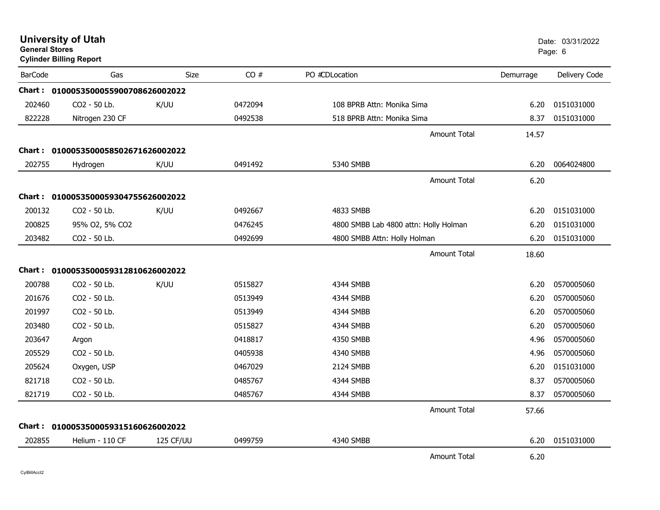| <b>University of Utah</b><br><b>General Stores</b><br><b>Cylinder Billing Report</b> |                                     |             |         |                                       |           | Date: 03/31/2022<br>Page: 6 |  |
|--------------------------------------------------------------------------------------|-------------------------------------|-------------|---------|---------------------------------------|-----------|-----------------------------|--|
| <b>BarCode</b>                                                                       | Gas                                 | <b>Size</b> | CO#     | PO #CDLocation                        | Demurrage | Delivery Code               |  |
|                                                                                      | Chart: 0100053500055900708626002022 |             |         |                                       |           |                             |  |
| 202460                                                                               | CO2 - 50 Lb.                        | K/UU        | 0472094 | 108 BPRB Attn: Monika Sima            | 6.20      | 0151031000                  |  |
| 822228                                                                               | Nitrogen 230 CF                     |             | 0492538 | 518 BPRB Attn: Monika Sima            | 8.37      | 0151031000                  |  |
|                                                                                      |                                     |             |         | <b>Amount Total</b>                   | 14.57     |                             |  |
| <b>Chart :</b>                                                                       | 0100053500058502671626002022        |             |         |                                       |           |                             |  |
| 202755                                                                               | Hydrogen                            | K/UU        | 0491492 | 5340 SMBB                             | 6.20      | 0064024800                  |  |
|                                                                                      |                                     |             |         | <b>Amount Total</b>                   | 6.20      |                             |  |
|                                                                                      | Chart: 0100053500059304755626002022 |             |         |                                       |           |                             |  |
| 200132                                                                               | CO <sub>2</sub> - 50 Lb.            | K/UU        | 0492667 | 4833 SMBB                             | 6.20      | 0151031000                  |  |
| 200825                                                                               | 95% O2, 5% CO2                      |             | 0476245 | 4800 SMBB Lab 4800 attn: Holly Holman | 6.20      | 0151031000                  |  |
| 203482                                                                               | CO2 - 50 Lb.                        |             | 0492699 | 4800 SMBB Attn: Holly Holman          | 6.20      | 0151031000                  |  |
|                                                                                      |                                     |             |         | <b>Amount Total</b>                   | 18.60     |                             |  |
|                                                                                      | Chart: 0100053500059312810626002022 |             |         |                                       |           |                             |  |
| 200788                                                                               | CO2 - 50 Lb.                        | K/UU        | 0515827 | 4344 SMBB                             | 6.20      | 0570005060                  |  |
| 201676                                                                               | CO2 - 50 Lb.                        |             | 0513949 | 4344 SMBB                             | 6.20      | 0570005060                  |  |
| 201997                                                                               | CO2 - 50 Lb.                        |             | 0513949 | 4344 SMBB                             | 6.20      | 0570005060                  |  |
| 203480                                                                               | CO <sub>2</sub> - 50 Lb.            |             | 0515827 | 4344 SMBB                             | 6.20      | 0570005060                  |  |
| 203647                                                                               | Argon                               |             | 0418817 | 4350 SMBB                             | 4.96      | 0570005060                  |  |
| 205529                                                                               | CO2 - 50 Lb.                        |             | 0405938 | 4340 SMBB                             | 4.96      | 0570005060                  |  |
| 205624                                                                               | Oxygen, USP                         |             | 0467029 | 2124 SMBB                             | 6.20      | 0151031000                  |  |
| 821718                                                                               | CO2 - 50 Lb.                        |             | 0485767 | 4344 SMBB                             | 8.37      | 0570005060                  |  |
| 821719                                                                               | CO2 - 50 Lb.                        |             | 0485767 | 4344 SMBB                             | 8.37      | 0570005060                  |  |
|                                                                                      |                                     |             |         | <b>Amount Total</b>                   | 57.66     |                             |  |
|                                                                                      | Chart: 0100053500059315160626002022 |             |         |                                       |           |                             |  |
| 202855                                                                               | Helium - 110 CF                     | 125 CF/UU   | 0499759 | 4340 SMBB                             | 6.20      | 0151031000                  |  |
|                                                                                      |                                     |             |         | <b>Amount Total</b>                   | 6.20      |                             |  |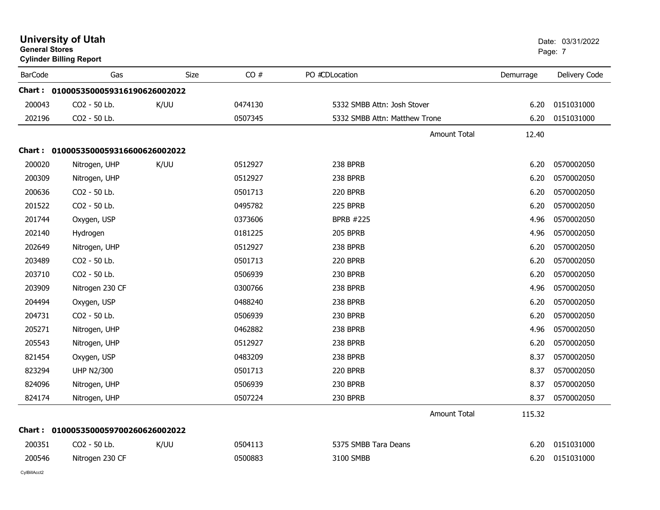| <b>University of Utah</b><br><b>General Stores</b><br><b>Cylinder Billing Report</b> |                                     |             |         |                               |           | Date: 03/31/2022<br>Page: 7 |  |
|--------------------------------------------------------------------------------------|-------------------------------------|-------------|---------|-------------------------------|-----------|-----------------------------|--|
| <b>BarCode</b>                                                                       | Gas                                 | <b>Size</b> | CO#     | PO #CDLocation                | Demurrage | Delivery Code               |  |
|                                                                                      | Chart: 0100053500059316190626002022 |             |         |                               |           |                             |  |
| 200043                                                                               | CO2 - 50 Lb.                        | K/UU        | 0474130 | 5332 SMBB Attn: Josh Stover   | 6.20      | 0151031000                  |  |
| 202196                                                                               | CO2 - 50 Lb.                        |             | 0507345 | 5332 SMBB Attn: Matthew Trone | 6.20      | 0151031000                  |  |
|                                                                                      |                                     |             |         | <b>Amount Total</b>           | 12.40     |                             |  |
|                                                                                      | Chart: 0100053500059316600626002022 |             |         |                               |           |                             |  |
| 200020                                                                               | Nitrogen, UHP                       | K/UU        | 0512927 | 238 BPRB                      | 6.20      | 0570002050                  |  |
| 200309                                                                               | Nitrogen, UHP                       |             | 0512927 | 238 BPRB                      | 6.20      | 0570002050                  |  |
| 200636                                                                               | CO2 - 50 Lb.                        |             | 0501713 | 220 BPRB                      | 6.20      | 0570002050                  |  |
| 201522                                                                               | CO2 - 50 Lb.                        |             | 0495782 | 225 BPRB                      | 6.20      | 0570002050                  |  |
| 201744                                                                               | Oxygen, USP                         |             | 0373606 | <b>BPRB #225</b>              | 4.96      | 0570002050                  |  |
| 202140                                                                               | Hydrogen                            |             | 0181225 | <b>205 BPRB</b>               | 4.96      | 0570002050                  |  |
| 202649                                                                               | Nitrogen, UHP                       |             | 0512927 | 238 BPRB                      | 6.20      | 0570002050                  |  |
| 203489                                                                               | CO2 - 50 Lb.                        |             | 0501713 | 220 BPRB                      | 6.20      | 0570002050                  |  |
| 203710                                                                               | CO2 - 50 Lb.                        |             | 0506939 | 230 BPRB                      | 6.20      | 0570002050                  |  |
| 203909                                                                               | Nitrogen 230 CF                     |             | 0300766 | 238 BPRB                      | 4.96      | 0570002050                  |  |
| 204494                                                                               | Oxygen, USP                         |             | 0488240 | 238 BPRB                      | 6.20      | 0570002050                  |  |
| 204731                                                                               | CO2 - 50 Lb.                        |             | 0506939 | 230 BPRB                      | 6.20      | 0570002050                  |  |
| 205271                                                                               | Nitrogen, UHP                       |             | 0462882 | 238 BPRB                      | 4.96      | 0570002050                  |  |
| 205543                                                                               | Nitrogen, UHP                       |             | 0512927 | 238 BPRB                      | 6.20      | 0570002050                  |  |
| 821454                                                                               | Oxygen, USP                         |             | 0483209 | 238 BPRB                      | 8.37      | 0570002050                  |  |
| 823294                                                                               | <b>UHP N2/300</b>                   |             | 0501713 | 220 BPRB                      | 8.37      | 0570002050                  |  |
| 824096                                                                               | Nitrogen, UHP                       |             | 0506939 | 230 BPRB                      | 8.37      | 0570002050                  |  |
| 824174                                                                               | Nitrogen, UHP                       |             | 0507224 | 230 BPRB                      | 8.37      | 0570002050                  |  |
|                                                                                      |                                     |             |         | <b>Amount Total</b>           | 115.32    |                             |  |
| Chart :                                                                              | 0100053500059700260626002022        |             |         |                               |           |                             |  |
| 200351                                                                               | CO2 - 50 Lb.                        | K/UU        | 0504113 | 5375 SMBB Tara Deans          | 6.20      | 0151031000                  |  |
| 200546                                                                               | Nitrogen 230 CF                     |             | 0500883 | 3100 SMBB                     | 6.20      | 0151031000                  |  |
|                                                                                      |                                     |             |         |                               |           |                             |  |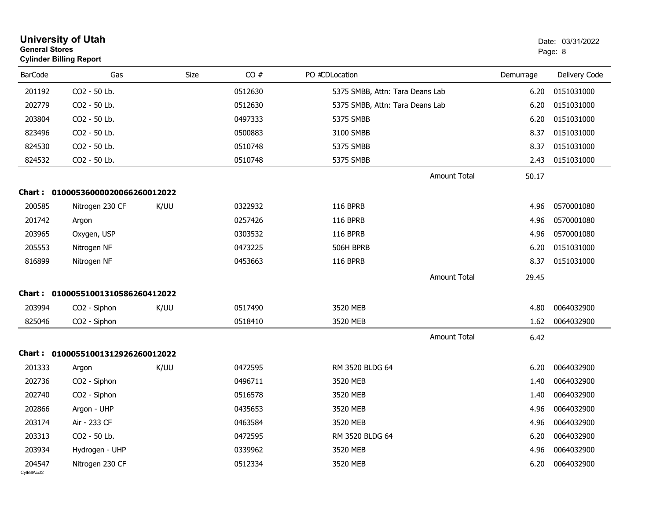|                        | <b>University of Utah</b><br><b>General Stores</b><br><b>Cylinder Billing Report</b> |             |         |                                 |           | Date: 03/31/2022<br>Page: 8 |  |
|------------------------|--------------------------------------------------------------------------------------|-------------|---------|---------------------------------|-----------|-----------------------------|--|
| <b>BarCode</b>         | Gas                                                                                  | <b>Size</b> | CO#     | PO #CDLocation                  | Demurrage | Delivery Code               |  |
| 201192                 | CO2 - 50 Lb.                                                                         |             | 0512630 | 5375 SMBB, Attn: Tara Deans Lab | 6.20      | 0151031000                  |  |
| 202779                 | CO2 - 50 Lb.                                                                         |             | 0512630 | 5375 SMBB, Attn: Tara Deans Lab | 6.20      | 0151031000                  |  |
| 203804                 | CO2 - 50 Lb.                                                                         |             | 0497333 | 5375 SMBB                       | 6.20      | 0151031000                  |  |
| 823496                 | CO2 - 50 Lb.                                                                         |             | 0500883 | 3100 SMBB                       | 8.37      | 0151031000                  |  |
| 824530                 | CO2 - 50 Lb.                                                                         |             | 0510748 | 5375 SMBB                       | 8.37      | 0151031000                  |  |
| 824532                 | CO2 - 50 Lb.                                                                         |             | 0510748 | 5375 SMBB                       | 2.43      | 0151031000                  |  |
|                        |                                                                                      |             |         | <b>Amount Total</b>             | 50.17     |                             |  |
|                        | Chart: 01000536000020066260012022                                                    |             |         |                                 |           |                             |  |
| 200585                 | Nitrogen 230 CF                                                                      | K/UU        | 0322932 | <b>116 BPRB</b>                 | 4.96      | 0570001080                  |  |
| 201742                 | Argon                                                                                |             | 0257426 | <b>116 BPRB</b>                 | 4.96      | 0570001080                  |  |
| 203965                 | Oxygen, USP                                                                          |             | 0303532 | 116 BPRB                        | 4.96      | 0570001080                  |  |
| 205553                 | Nitrogen NF                                                                          |             | 0473225 | 506H BPRB                       | 6.20      | 0151031000                  |  |
| 816899                 | Nitrogen NF                                                                          |             | 0453663 | <b>116 BPRB</b>                 | 8.37      | 0151031000                  |  |
|                        |                                                                                      |             |         | <b>Amount Total</b>             | 29.45     |                             |  |
| Chart :                | 01000551001310586260412022                                                           |             |         |                                 |           |                             |  |
| 203994                 | CO2 - Siphon                                                                         | K/UU        | 0517490 | 3520 MEB                        | 4.80      | 0064032900                  |  |
| 825046                 | CO <sub>2</sub> - Siphon                                                             |             | 0518410 | 3520 MEB                        | 1.62      | 0064032900                  |  |
|                        |                                                                                      |             |         | <b>Amount Total</b>             | 6.42      |                             |  |
|                        | Chart: 01000551001312926260012022                                                    |             |         |                                 |           |                             |  |
| 201333                 | Argon                                                                                | K/UU        | 0472595 | RM 3520 BLDG 64                 | 6.20      | 0064032900                  |  |
| 202736                 | CO <sub>2</sub> - Siphon                                                             |             | 0496711 | 3520 MEB                        | 1.40      | 0064032900                  |  |
| 202740                 | CO2 - Siphon                                                                         |             | 0516578 | 3520 MEB                        | 1.40      | 0064032900                  |  |
| 202866                 | Argon - UHP                                                                          |             | 0435653 | 3520 MEB                        | 4.96      | 0064032900                  |  |
| 203174                 | Air - 233 CF                                                                         |             | 0463584 | 3520 MEB                        | 4.96      | 0064032900                  |  |
| 203313                 | CO2 - 50 Lb.                                                                         |             | 0472595 | RM 3520 BLDG 64                 | 6.20      | 0064032900                  |  |
| 203934                 | Hydrogen - UHP                                                                       |             | 0339962 | 3520 MEB                        | 4.96      | 0064032900                  |  |
| 204547<br>CvIBillAcct2 | Nitrogen 230 CF                                                                      |             | 0512334 | 3520 MEB                        | 6.20      | 0064032900                  |  |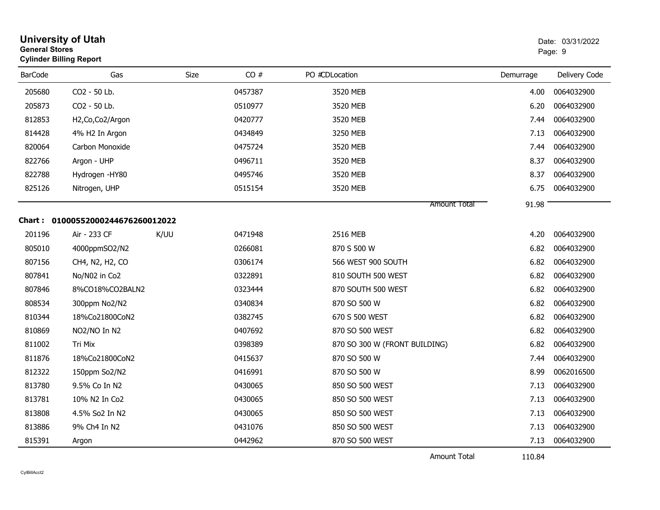| <b>University of Utah</b><br>Date: 03/31/2022<br><b>General Stores</b><br>Page: 9<br><b>Cylinder Billing Report</b> |                                   |      |         |                               |           |               |
|---------------------------------------------------------------------------------------------------------------------|-----------------------------------|------|---------|-------------------------------|-----------|---------------|
| <b>BarCode</b>                                                                                                      | Gas                               | Size | CO#     | PO #CDLocation                | Demurrage | Delivery Code |
| 205680                                                                                                              | CO2 - 50 Lb.                      |      | 0457387 | 3520 MEB                      | 4.00      | 0064032900    |
| 205873                                                                                                              | CO2 - 50 Lb.                      |      | 0510977 | 3520 MEB                      | 6.20      | 0064032900    |
| 812853                                                                                                              | H2, Co, Co2/Argon                 |      | 0420777 | 3520 MEB                      | 7.44      | 0064032900    |
| 814428                                                                                                              | 4% H2 In Argon                    |      | 0434849 | 3250 MEB                      | 7.13      | 0064032900    |
| 820064                                                                                                              | Carbon Monoxide                   |      | 0475724 | 3520 MEB                      | 7.44      | 0064032900    |
| 822766                                                                                                              | Argon - UHP                       |      | 0496711 | 3520 MEB                      | 8.37      | 0064032900    |
| 822788                                                                                                              | Hydrogen -HY80                    |      | 0495746 | 3520 MEB                      | 8.37      | 0064032900    |
| 825126                                                                                                              | Nitrogen, UHP                     |      | 0515154 | 3520 MEB                      | 6.75      | 0064032900    |
|                                                                                                                     |                                   |      |         | Amount Total                  | 91.98     |               |
|                                                                                                                     | Chart: 01000552000244676260012022 |      |         |                               |           |               |
| 201196                                                                                                              | Air - 233 CF                      | K/UU | 0471948 | 2516 MEB                      | 4.20      | 0064032900    |
| 805010                                                                                                              | 4000ppmSO2/N2                     |      | 0266081 | 870 S 500 W                   | 6.82      | 0064032900    |
| 807156                                                                                                              | CH4, N2, H2, CO                   |      | 0306174 | 566 WEST 900 SOUTH            | 6.82      | 0064032900    |
| 807841                                                                                                              | No/N02 in Co2                     |      | 0322891 | 810 SOUTH 500 WEST            | 6.82      | 0064032900    |
| 807846                                                                                                              | 8%CO18%CO2BALN2                   |      | 0323444 | 870 SOUTH 500 WEST            | 6.82      | 0064032900    |
| 808534                                                                                                              | 300ppm No2/N2                     |      | 0340834 | 870 SO 500 W                  | 6.82      | 0064032900    |
| 810344                                                                                                              | 18%Co21800CoN2                    |      | 0382745 | 670 S 500 WEST                | 6.82      | 0064032900    |
| 810869                                                                                                              | NO2/NO In N2                      |      | 0407692 | 870 SO 500 WEST               | 6.82      | 0064032900    |
| 811002                                                                                                              | Tri Mix                           |      | 0398389 | 870 SO 300 W (FRONT BUILDING) | 6.82      | 0064032900    |
| 811876                                                                                                              | 18%Co21800CoN2                    |      | 0415637 | 870 SO 500 W                  | 7.44      | 0064032900    |
| 812322                                                                                                              | 150ppm So2/N2                     |      | 0416991 | 870 SO 500 W                  | 8.99      | 0062016500    |
| 813780                                                                                                              | 9.5% Co In N2                     |      | 0430065 | 850 SO 500 WEST               | 7.13      | 0064032900    |
| 813781                                                                                                              | 10% N2 In Co2                     |      | 0430065 | 850 SO 500 WEST               | 7.13      | 0064032900    |
| 813808                                                                                                              | 4.5% So2 In N2                    |      | 0430065 | 850 SO 500 WEST               | 7.13      | 0064032900    |
| 813886                                                                                                              | 9% Ch4 In N2                      |      | 0431076 | 850 SO 500 WEST               | 7.13      | 0064032900    |
| 815391                                                                                                              | Argon                             |      | 0442962 | 870 SO 500 WEST               | 7.13      | 0064032900    |
|                                                                                                                     |                                   |      |         | <b>Amount Total</b>           | 110.84    |               |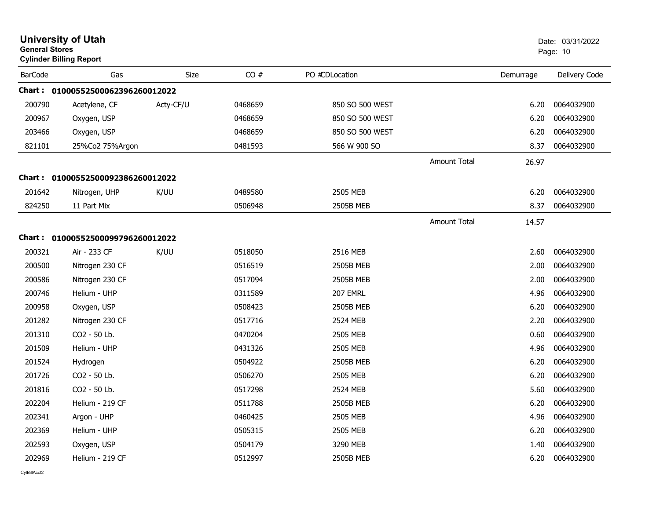| <b>University of Utah</b><br><b>General Stores</b><br><b>Cylinder Billing Report</b> |                                   |           |         |                  |                     | Date: 03/31/2022<br>Page: 10 |               |
|--------------------------------------------------------------------------------------|-----------------------------------|-----------|---------|------------------|---------------------|------------------------------|---------------|
| <b>BarCode</b>                                                                       | Gas                               | Size      | CO#     | PO #CDLocation   |                     | Demurrage                    | Delivery Code |
|                                                                                      | Chart: 01000552500062396260012022 |           |         |                  |                     |                              |               |
| 200790                                                                               | Acetylene, CF                     | Acty-CF/U | 0468659 | 850 SO 500 WEST  |                     | 6.20                         | 0064032900    |
| 200967                                                                               | Oxygen, USP                       |           | 0468659 | 850 SO 500 WEST  |                     | 6.20                         | 0064032900    |
| 203466                                                                               | Oxygen, USP                       |           | 0468659 | 850 SO 500 WEST  |                     | 6.20                         | 0064032900    |
| 821101                                                                               | 25%Co2 75%Argon                   |           | 0481593 | 566 W 900 SO     |                     | 8.37                         | 0064032900    |
|                                                                                      |                                   |           |         |                  | <b>Amount Total</b> | 26.97                        |               |
|                                                                                      | Chart: 01000552500092386260012022 |           |         |                  |                     |                              |               |
| 201642                                                                               | Nitrogen, UHP                     | K/UU      | 0489580 | 2505 MEB         |                     | 6.20                         | 0064032900    |
| 824250                                                                               | 11 Part Mix                       |           | 0506948 | <b>2505B MEB</b> |                     | 8.37                         | 0064032900    |
|                                                                                      |                                   |           |         |                  | <b>Amount Total</b> | 14.57                        |               |
|                                                                                      | Chart: 01000552500099796260012022 |           |         |                  |                     |                              |               |
| 200321                                                                               | Air - 233 CF                      | K/UU      | 0518050 | 2516 MEB         |                     | 2.60                         | 0064032900    |
| 200500                                                                               | Nitrogen 230 CF                   |           | 0516519 | 2505B MEB        |                     | 2.00                         | 0064032900    |
| 200586                                                                               | Nitrogen 230 CF                   |           | 0517094 | 2505B MEB        |                     | 2.00                         | 0064032900    |
| 200746                                                                               | Helium - UHP                      |           | 0311589 | 207 EMRL         |                     | 4.96                         | 0064032900    |
| 200958                                                                               | Oxygen, USP                       |           | 0508423 | 2505B MEB        |                     | 6.20                         | 0064032900    |
| 201282                                                                               | Nitrogen 230 CF                   |           | 0517716 | 2524 MEB         |                     | 2.20                         | 0064032900    |
| 201310                                                                               | CO2 - 50 Lb.                      |           | 0470204 | 2505 MEB         |                     | 0.60                         | 0064032900    |
| 201509                                                                               | Helium - UHP                      |           | 0431326 | 2505 MEB         |                     | 4.96                         | 0064032900    |
| 201524                                                                               | Hydrogen                          |           | 0504922 | 2505B MEB        |                     | 6.20                         | 0064032900    |
| 201726                                                                               | CO2 - 50 Lb.                      |           | 0506270 | 2505 MEB         |                     | 6.20                         | 0064032900    |
| 201816                                                                               | CO2 - 50 Lb.                      |           | 0517298 | 2524 MEB         |                     | 5.60                         | 0064032900    |
| 202204                                                                               | Helium - 219 CF                   |           | 0511788 | 2505B MEB        |                     | 6.20                         | 0064032900    |
| 202341                                                                               | Argon - UHP                       |           | 0460425 | 2505 MEB         |                     | 4.96                         | 0064032900    |
| 202369                                                                               | Helium - UHP                      |           | 0505315 | 2505 MEB         |                     | 6.20                         | 0064032900    |
| 202593                                                                               | Oxygen, USP                       |           | 0504179 | 3290 MEB         |                     | 1.40                         | 0064032900    |
| 202969                                                                               | Helium - 219 CF                   |           | 0512997 | <b>2505B MEB</b> |                     | 6.20                         | 0064032900    |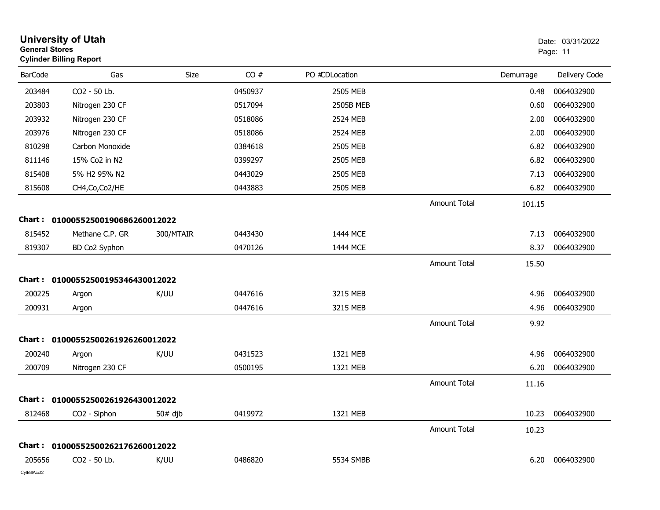|                | <b>University of Utah</b><br><b>General Stores</b><br><b>Cylinder Billing Report</b> |             |         |                |                     | Date: 03/31/2022<br>Page: 11 |               |
|----------------|--------------------------------------------------------------------------------------|-------------|---------|----------------|---------------------|------------------------------|---------------|
| <b>BarCode</b> | Gas                                                                                  | <b>Size</b> | CO#     | PO #CDLocation |                     | Demurrage                    | Delivery Code |
| 203484         | CO2 - 50 Lb.                                                                         |             | 0450937 | 2505 MEB       |                     | 0.48                         | 0064032900    |
| 203803         | Nitrogen 230 CF                                                                      |             | 0517094 | 2505B MEB      |                     | 0.60                         | 0064032900    |
| 203932         | Nitrogen 230 CF                                                                      |             | 0518086 | 2524 MEB       |                     | 2.00                         | 0064032900    |
| 203976         | Nitrogen 230 CF                                                                      |             | 0518086 | 2524 MEB       |                     | 2.00                         | 0064032900    |
| 810298         | Carbon Monoxide                                                                      |             | 0384618 | 2505 MEB       |                     | 6.82                         | 0064032900    |
| 811146         | 15% Co2 in N2                                                                        |             | 0399297 | 2505 MEB       |                     | 6.82                         | 0064032900    |
| 815408         | 5% H2 95% N2                                                                         |             | 0443029 | 2505 MEB       |                     | 7.13                         | 0064032900    |
| 815608         | CH4, Co, Co2/HE                                                                      |             | 0443883 | 2505 MEB       |                     | 6.82                         | 0064032900    |
|                |                                                                                      |             |         |                | <b>Amount Total</b> | 101.15                       |               |
|                | Chart: 01000552500190686260012022                                                    |             |         |                |                     |                              |               |
| 815452         | Methane C.P. GR                                                                      | 300/MTAIR   | 0443430 | 1444 MCE       |                     | 7.13                         | 0064032900    |
| 819307         | BD Co2 Syphon                                                                        |             | 0470126 | 1444 MCE       |                     | 8.37                         | 0064032900    |
|                |                                                                                      |             |         |                | <b>Amount Total</b> | 15.50                        |               |
|                | Chart: 01000552500195346430012022                                                    |             |         |                |                     |                              |               |
| 200225         | Argon                                                                                | K/UU        | 0447616 | 3215 MEB       |                     | 4.96                         | 0064032900    |
| 200931         | Argon                                                                                |             | 0447616 | 3215 MEB       |                     | 4.96                         | 0064032900    |
|                |                                                                                      |             |         |                | <b>Amount Total</b> | 9.92                         |               |
|                | Chart: 01000552500261926260012022                                                    |             |         |                |                     |                              |               |
| 200240         | Argon                                                                                | K/UU        | 0431523 | 1321 MEB       |                     | 4.96                         | 0064032900    |
| 200709         | Nitrogen 230 CF                                                                      |             | 0500195 | 1321 MEB       |                     | 6.20                         | 0064032900    |
|                |                                                                                      |             |         |                | <b>Amount Total</b> | 11.16                        |               |
|                | Chart: 01000552500261926430012022                                                    |             |         |                |                     |                              |               |
| 812468         | CO2 - Siphon                                                                         | $50#$ djb   | 0419972 | 1321 MEB       |                     | 10.23                        | 0064032900    |
|                |                                                                                      |             |         |                | Amount Total        | 10.23                        |               |
|                | Chart: 01000552500262176260012022                                                    |             |         |                |                     |                              |               |
| 205656         | CO2 - 50 Lb.                                                                         | K/UU        | 0486820 | 5534 SMBB      |                     | 6.20                         | 0064032900    |
| CylBillAcct2   |                                                                                      |             |         |                |                     |                              |               |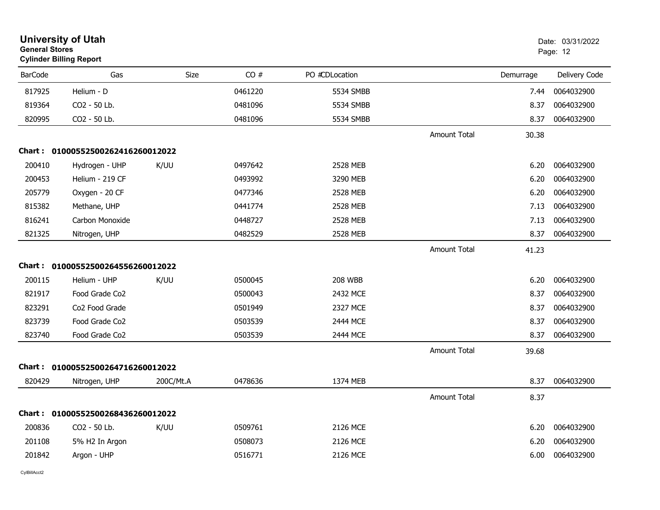|                | <b>University of Utah</b><br><b>General Stores</b><br><b>Cylinder Billing Report</b> |           |         |                |                     | Date: 03/31/2022<br>Page: 12 |               |
|----------------|--------------------------------------------------------------------------------------|-----------|---------|----------------|---------------------|------------------------------|---------------|
| <b>BarCode</b> | Gas                                                                                  | Size      | CO#     | PO #CDLocation |                     | Demurrage                    | Delivery Code |
| 817925         | Helium - D                                                                           |           | 0461220 | 5534 SMBB      |                     | 7.44                         | 0064032900    |
| 819364         | CO2 - 50 Lb.                                                                         |           | 0481096 | 5534 SMBB      |                     | 8.37                         | 0064032900    |
| 820995         | CO2 - 50 Lb.                                                                         |           | 0481096 | 5534 SMBB      |                     | 8.37                         | 0064032900    |
|                |                                                                                      |           |         |                | <b>Amount Total</b> | 30.38                        |               |
|                | Chart: 01000552500262416260012022                                                    |           |         |                |                     |                              |               |
| 200410         | Hydrogen - UHP                                                                       | K/UU      | 0497642 | 2528 MEB       |                     | 6.20                         | 0064032900    |
| 200453         | Helium - 219 CF                                                                      |           | 0493992 | 3290 MEB       |                     | 6.20                         | 0064032900    |
| 205779         | Oxygen - 20 CF                                                                       |           | 0477346 | 2528 MEB       |                     | 6.20                         | 0064032900    |
| 815382         | Methane, UHP                                                                         |           | 0441774 | 2528 MEB       |                     | 7.13                         | 0064032900    |
| 816241         | Carbon Monoxide                                                                      |           | 0448727 | 2528 MEB       |                     | 7.13                         | 0064032900    |
| 821325         | Nitrogen, UHP                                                                        |           | 0482529 | 2528 MEB       |                     | 8.37                         | 0064032900    |
|                |                                                                                      |           |         |                | <b>Amount Total</b> | 41.23                        |               |
| Chart :        | 01000552500264556260012022                                                           |           |         |                |                     |                              |               |
| 200115         | Helium - UHP                                                                         | K/UU      | 0500045 | <b>208 WBB</b> |                     | 6.20                         | 0064032900    |
| 821917         | Food Grade Co <sub>2</sub>                                                           |           | 0500043 | 2432 MCE       |                     | 8.37                         | 0064032900    |
| 823291         | Co <sub>2</sub> Food Grade                                                           |           | 0501949 | 2327 MCE       |                     | 8.37                         | 0064032900    |
| 823739         | Food Grade Co2                                                                       |           | 0503539 | 2444 MCE       |                     | 8.37                         | 0064032900    |
| 823740         | Food Grade Co2                                                                       |           | 0503539 | 2444 MCE       |                     | 8.37                         | 0064032900    |
|                |                                                                                      |           |         |                | <b>Amount Total</b> | 39.68                        |               |
| Chart :        | 01000552500264716260012022                                                           |           |         |                |                     |                              |               |
| 820429         | Nitrogen, UHP                                                                        | 200C/Mt.A | 0478636 | 1374 MEB       |                     | 8.37                         | 0064032900    |
|                |                                                                                      |           |         |                | <b>Amount Total</b> | 8.37                         |               |
| Chart :        | 01000552500268436260012022                                                           |           |         |                |                     |                              |               |
| 200836         | CO2 - 50 Lb.                                                                         | K/UU      | 0509761 | 2126 MCE       |                     | 6.20                         | 0064032900    |
| 201108         | 5% H2 In Argon                                                                       |           | 0508073 | 2126 MCE       |                     | 6.20                         | 0064032900    |
| 201842         | Argon - UHP                                                                          |           | 0516771 | 2126 MCE       |                     | 6.00                         | 0064032900    |
|                |                                                                                      |           |         |                |                     |                              |               |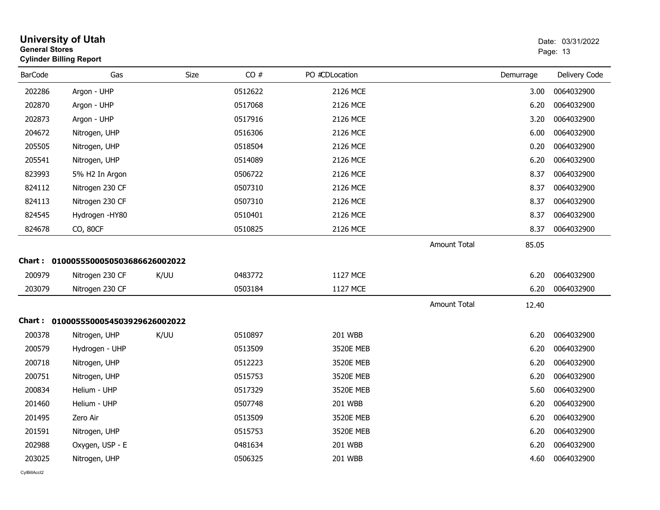| <b>University of Utah</b><br><b>General Stores</b><br><b>Cylinder Billing Report</b> |      |                                                                            |                 |                     |           | Date: 03/31/2022<br>Page: 13 |
|--------------------------------------------------------------------------------------|------|----------------------------------------------------------------------------|-----------------|---------------------|-----------|------------------------------|
| Gas                                                                                  | Size | CO#                                                                        | PO #CDLocation  |                     | Demurrage | Delivery Code                |
| 202286<br>Argon - UHP                                                                |      | 0512622                                                                    | 2126 MCE        |                     | 3.00      | 0064032900                   |
| 202870<br>Argon - UHP                                                                |      | 0517068                                                                    | 2126 MCE        |                     | 6.20      | 0064032900                   |
| 202873<br>Argon - UHP                                                                |      | 0517916                                                                    | 2126 MCE        |                     | 3.20      | 0064032900                   |
| 204672<br>Nitrogen, UHP                                                              |      | 0516306                                                                    | 2126 MCE        |                     | 6.00      | 0064032900                   |
| 205505<br>Nitrogen, UHP                                                              |      | 0518504                                                                    | 2126 MCE        |                     | 0.20      | 0064032900                   |
| 205541<br>Nitrogen, UHP                                                              |      | 0514089                                                                    | 2126 MCE        |                     | 6.20      | 0064032900                   |
| 823993<br>5% H2 In Argon                                                             |      | 0506722                                                                    | 2126 MCE        |                     | 8.37      | 0064032900                   |
| 824112<br>Nitrogen 230 CF                                                            |      | 0507310                                                                    | 2126 MCE        |                     | 8.37      | 0064032900                   |
| 824113<br>Nitrogen 230 CF                                                            |      | 0507310                                                                    | 2126 MCE        |                     | 8.37      | 0064032900                   |
| 824545<br>Hydrogen -HY80                                                             |      | 0510401                                                                    | 2126 MCE        |                     | 8.37      | 0064032900                   |
| 824678<br>CO, 80CF                                                                   |      | 0510825                                                                    | 2126 MCE        |                     | 8.37      | 0064032900                   |
|                                                                                      |      |                                                                            |                 | <b>Amount Total</b> | 85.05     |                              |
|                                                                                      |      |                                                                            |                 |                     |           |                              |
| 200979<br>Nitrogen 230 CF                                                            | K/UU | 0483772                                                                    | <b>1127 MCE</b> |                     | 6.20      | 0064032900                   |
| Nitrogen 230 CF                                                                      |      | 0503184                                                                    | 1127 MCE        |                     | 6.20      | 0064032900                   |
|                                                                                      |      |                                                                            |                 | <b>Amount Total</b> | 12.40     |                              |
|                                                                                      |      |                                                                            |                 |                     |           |                              |
| 200378<br>Nitrogen, UHP                                                              | K/UU | 0510897                                                                    | <b>201 WBB</b>  |                     | 6.20      | 0064032900                   |
| 200579<br>Hydrogen - UHP                                                             |      | 0513509                                                                    | 3520E MEB       |                     | 6.20      | 0064032900                   |
| 200718<br>Nitrogen, UHP                                                              |      | 0512223                                                                    | 3520E MEB       |                     | 6.20      | 0064032900                   |
| 200751<br>Nitrogen, UHP                                                              |      | 0515753                                                                    | 3520E MEB       |                     | 6.20      | 0064032900                   |
| 200834<br>Helium - UHP                                                               |      | 0517329                                                                    | 3520E MEB       |                     | 5.60      | 0064032900                   |
| 201460<br>Helium - UHP                                                               |      | 0507748                                                                    | <b>201 WBB</b>  |                     | 6.20      | 0064032900                   |
| 201495<br>Zero Air                                                                   |      | 0513509                                                                    | 3520E MEB       |                     | 6.20      | 0064032900                   |
| 201591<br>Nitrogen, UHP                                                              |      | 0515753                                                                    | 3520E MEB       |                     | 6.20      | 0064032900                   |
| 202988<br>Oxygen, USP - E                                                            |      | 0481634                                                                    | 201 WBB         |                     | 6.20      | 0064032900                   |
| 203025<br>Nitrogen, UHP                                                              |      | 0506325                                                                    | <b>201 WBB</b>  |                     | 4.60      | 0064032900                   |
|                                                                                      |      | Chart: 0100055500050503686626002022<br>Chart: 0100055500054503929626002022 |                 |                     |           |                              |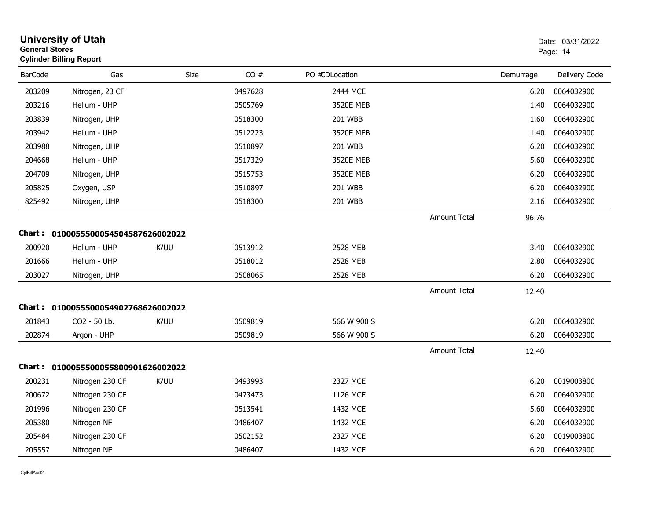| <b>General Stores</b> | <b>University of Utah</b><br><b>Cylinder Billing Report</b> |      |         |                |                     |           | Date: 03/31/2022<br>Page: 14 |
|-----------------------|-------------------------------------------------------------|------|---------|----------------|---------------------|-----------|------------------------------|
| <b>BarCode</b>        | Gas                                                         | Size | CO#     | PO #CDLocation |                     | Demurrage | Delivery Code                |
| 203209                | Nitrogen, 23 CF                                             |      | 0497628 | 2444 MCE       |                     | 6.20      | 0064032900                   |
| 203216                | Helium - UHP                                                |      | 0505769 | 3520E MEB      |                     | 1.40      | 0064032900                   |
| 203839                | Nitrogen, UHP                                               |      | 0518300 | 201 WBB        |                     | 1.60      | 0064032900                   |
| 203942                | Helium - UHP                                                |      | 0512223 | 3520E MEB      |                     | 1.40      | 0064032900                   |
| 203988                | Nitrogen, UHP                                               |      | 0510897 | 201 WBB        |                     | 6.20      | 0064032900                   |
| 204668                | Helium - UHP                                                |      | 0517329 | 3520E MEB      |                     | 5.60      | 0064032900                   |
| 204709                | Nitrogen, UHP                                               |      | 0515753 | 3520E MEB      |                     | 6.20      | 0064032900                   |
| 205825                | Oxygen, USP                                                 |      | 0510897 | 201 WBB        |                     | 6.20      | 0064032900                   |
| 825492                | Nitrogen, UHP                                               |      | 0518300 | 201 WBB        |                     | 2.16      | 0064032900                   |
|                       |                                                             |      |         |                | <b>Amount Total</b> | 96.76     |                              |
|                       | Chart: 0100055500054504587626002022                         |      |         |                |                     |           |                              |
| 200920                | Helium - UHP                                                | K/UU | 0513912 | 2528 MEB       |                     | 3.40      | 0064032900                   |
| 201666                | Helium - UHP                                                |      | 0518012 | 2528 MEB       |                     | 2.80      | 0064032900                   |
| 203027                | Nitrogen, UHP                                               |      | 0508065 | 2528 MEB       |                     | 6.20      | 0064032900                   |
|                       |                                                             |      |         |                | Amount Total        | 12.40     |                              |
|                       | Chart: 0100055500054902768626002022                         |      |         |                |                     |           |                              |
| 201843                | CO2 - 50 Lb.                                                | K/UU | 0509819 | 566 W 900 S    |                     | 6.20      | 0064032900                   |
| 202874                | Argon - UHP                                                 |      | 0509819 | 566 W 900 S    |                     | 6.20      | 0064032900                   |
|                       |                                                             |      |         |                | <b>Amount Total</b> | 12.40     |                              |
|                       | Chart: 0100055500055800901626002022                         |      |         |                |                     |           |                              |
| 200231                | Nitrogen 230 CF                                             | K/UU | 0493993 | 2327 MCE       |                     | 6.20      | 0019003800                   |
| 200672                | Nitrogen 230 CF                                             |      | 0473473 | 1126 MCE       |                     | 6.20      | 0064032900                   |
| 201996                | Nitrogen 230 CF                                             |      | 0513541 | 1432 MCE       |                     | 5.60      | 0064032900                   |
| 205380                | Nitrogen NF                                                 |      | 0486407 | 1432 MCE       |                     | 6.20      | 0064032900                   |
| 205484                | Nitrogen 230 CF                                             |      | 0502152 | 2327 MCE       |                     | 6.20      | 0019003800                   |
| 205557                | Nitrogen NF                                                 |      | 0486407 | 1432 MCE       |                     | 6.20      | 0064032900                   |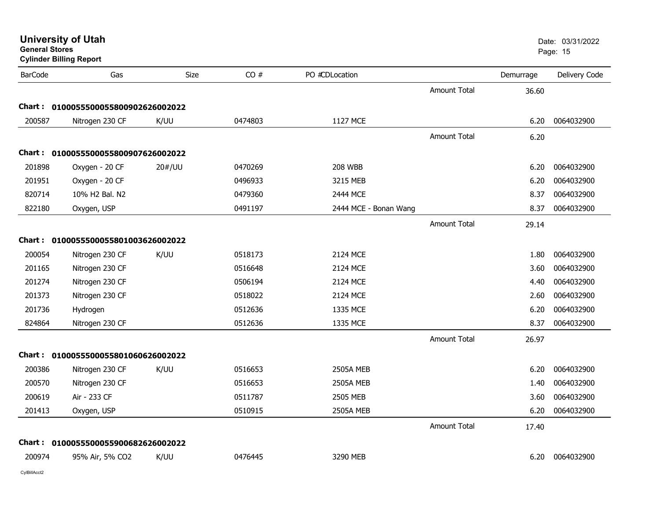| General Stores | <b>Cylinder Billing Report</b>      |             |         |                       |                     |           | Page: 15      |  |
|----------------|-------------------------------------|-------------|---------|-----------------------|---------------------|-----------|---------------|--|
| <b>BarCode</b> | Gas                                 | <b>Size</b> | CO#     | PO #CDLocation        |                     | Demurrage | Delivery Code |  |
|                |                                     |             |         |                       | Amount Total        | 36.60     |               |  |
|                | Chart: 0100055500055800902626002022 |             |         |                       |                     |           |               |  |
| 200587         | Nitrogen 230 CF                     | K/UU        | 0474803 | 1127 MCE              |                     | 6.20      | 0064032900    |  |
|                |                                     |             |         |                       | <b>Amount Total</b> | 6.20      |               |  |
|                | Chart: 0100055500055800907626002022 |             |         |                       |                     |           |               |  |
| 201898         | Oxygen - 20 CF                      | 20#/UU      | 0470269 | <b>208 WBB</b>        |                     | 6.20      | 0064032900    |  |
| 201951         | Oxygen - 20 CF                      |             | 0496933 | 3215 MEB              |                     | 6.20      | 0064032900    |  |
| 820714         | 10% H2 Bal. N2                      |             | 0479360 | 2444 MCE              |                     | 8.37      | 0064032900    |  |
| 822180         | Oxygen, USP                         |             | 0491197 | 2444 MCE - Bonan Wang |                     | 8.37      | 0064032900    |  |
|                |                                     |             |         |                       | <b>Amount Total</b> | 29.14     |               |  |
| Chart :        | 0100055500055801003626002022        |             |         |                       |                     |           |               |  |
| 200054         | Nitrogen 230 CF                     | K/UU        | 0518173 | 2124 MCE              |                     | 1.80      | 0064032900    |  |
| 201165         | Nitrogen 230 CF                     |             | 0516648 | 2124 MCE              |                     | 3.60      | 0064032900    |  |
| 201274         | Nitrogen 230 CF                     |             | 0506194 | 2124 MCE              |                     | 4.40      | 0064032900    |  |
| 201373         | Nitrogen 230 CF                     |             | 0518022 | 2124 MCE              |                     | 2.60      | 0064032900    |  |
| 201736         | Hydrogen                            |             | 0512636 | 1335 MCE              |                     | 6.20      | 0064032900    |  |
| 824864         | Nitrogen 230 CF                     |             | 0512636 | 1335 MCE              |                     | 8.37      | 0064032900    |  |
|                |                                     |             |         |                       | <b>Amount Total</b> | 26.97     |               |  |
|                | Chart: 0100055500055801060626002022 |             |         |                       |                     |           |               |  |
| 200386         | Nitrogen 230 CF                     | K/UU        | 0516653 | <b>2505A MEB</b>      |                     | 6.20      | 0064032900    |  |
| 200570         | Nitrogen 230 CF                     |             | 0516653 | <b>2505A MEB</b>      |                     | 1.40      | 0064032900    |  |
| 200619         | Air - 233 CF                        |             | 0511787 | 2505 MEB              |                     | 3.60      | 0064032900    |  |
| 201413         | Oxygen, USP                         |             | 0510915 | <b>2505A MEB</b>      |                     | 6.20      | 0064032900    |  |
|                |                                     |             |         |                       | <b>Amount Total</b> | 17.40     |               |  |
|                | Chart: 0100055500055900682626002022 |             |         |                       |                     |           |               |  |
| 200974         | 95% Air, 5% CO2                     | K/UU        | 0476445 | 3290 MEB              |                     | 6.20      | 0064032900    |  |

**University of Utah** Date: 03/31/2022

CylBillAcct2

**General Stores**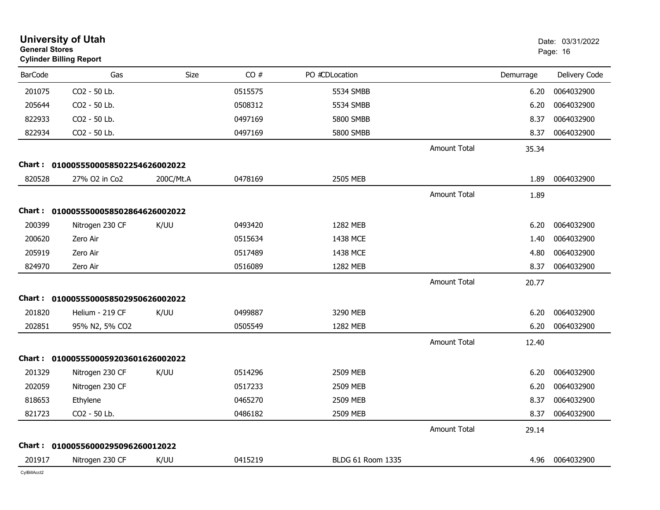|                | <b>University of Utah</b><br><b>General Stores</b><br><b>Cylinder Billing Report</b> |           |         |                   |                     |           | Date: 03/31/2022<br>Page: 16 |  |
|----------------|--------------------------------------------------------------------------------------|-----------|---------|-------------------|---------------------|-----------|------------------------------|--|
| <b>BarCode</b> | Gas                                                                                  | Size      | CO#     | PO #CDLocation    |                     | Demurrage | Delivery Code                |  |
| 201075         | CO2 - 50 Lb.                                                                         |           | 0515575 | 5534 SMBB         |                     | 6.20      | 0064032900                   |  |
| 205644         | CO2 - 50 Lb.                                                                         |           | 0508312 | 5534 SMBB         |                     | 6.20      | 0064032900                   |  |
| 822933         | CO2 - 50 Lb.                                                                         |           | 0497169 | 5800 SMBB         |                     | 8.37      | 0064032900                   |  |
| 822934         | CO2 - 50 Lb.                                                                         |           | 0497169 | <b>5800 SMBB</b>  |                     | 8.37      | 0064032900                   |  |
|                |                                                                                      |           |         |                   | <b>Amount Total</b> | 35.34     |                              |  |
| Chart :        | 0100055500058502254626002022                                                         |           |         |                   |                     |           |                              |  |
| 820528         | 27% O2 in Co2                                                                        | 200C/Mt.A | 0478169 | 2505 MEB          |                     | 1.89      | 0064032900                   |  |
|                |                                                                                      |           |         |                   | <b>Amount Total</b> | 1.89      |                              |  |
|                | Chart: 0100055500058502864626002022                                                  |           |         |                   |                     |           |                              |  |
| 200399         | Nitrogen 230 CF                                                                      | K/UU      | 0493420 | 1282 MEB          |                     | 6.20      | 0064032900                   |  |
| 200620         | Zero Air                                                                             |           | 0515634 | 1438 MCE          |                     | 1.40      | 0064032900                   |  |
| 205919         | Zero Air                                                                             |           | 0517489 | 1438 MCE          |                     | 4.80      | 0064032900                   |  |
| 824970         | Zero Air                                                                             |           | 0516089 | 1282 MEB          |                     | 8.37      | 0064032900                   |  |
|                |                                                                                      |           |         |                   | <b>Amount Total</b> | 20.77     |                              |  |
|                | Chart: 0100055500058502950626002022                                                  |           |         |                   |                     |           |                              |  |
| 201820         | Helium - 219 CF                                                                      | K/UU      | 0499887 | 3290 MEB          |                     | 6.20      | 0064032900                   |  |
| 202851         | 95% N2, 5% CO2                                                                       |           | 0505549 | 1282 MEB          |                     | 6.20      | 0064032900                   |  |
|                |                                                                                      |           |         |                   | <b>Amount Total</b> | 12.40     |                              |  |
|                | Chart: 0100055500059203601626002022                                                  |           |         |                   |                     |           |                              |  |
| 201329         | Nitrogen 230 CF                                                                      | K/UU      | 0514296 | 2509 MEB          |                     | 6.20      | 0064032900                   |  |
| 202059         | Nitrogen 230 CF                                                                      |           | 0517233 | 2509 MEB          |                     | 6.20      | 0064032900                   |  |
| 818653         | Ethylene                                                                             |           | 0465270 | 2509 MEB          |                     | 8.37      | 0064032900                   |  |
| 821723         | CO2 - 50 Lb.                                                                         |           | 0486182 | 2509 MEB          |                     | 8.37      | 0064032900                   |  |
|                |                                                                                      |           |         |                   | Amount Total        | 29.14     |                              |  |
|                | Chart: 01000556000295096260012022                                                    |           |         |                   |                     |           |                              |  |
| 201917         | Nitrogen 230 CF                                                                      | K/UU      | 0415219 | BLDG 61 Room 1335 |                     | 4.96      | 0064032900                   |  |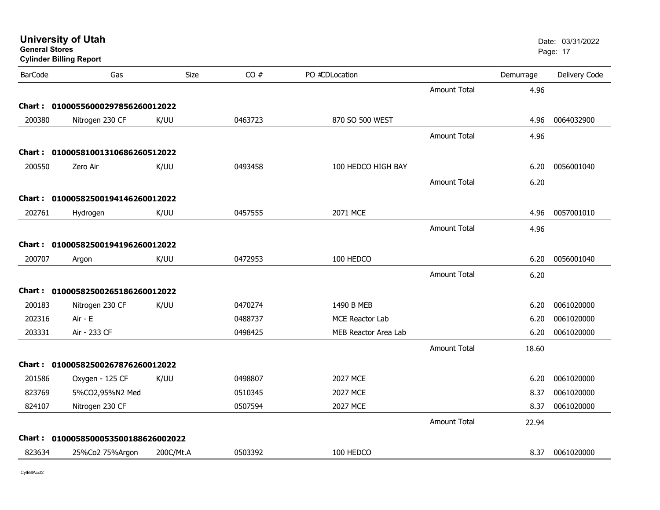| <b>General Stores</b> | <b>University of Utah</b><br><b>Cylinder Billing Report</b> |           |         |                             |                     |           | Date: 03/31/2022<br>Page: 17 |
|-----------------------|-------------------------------------------------------------|-----------|---------|-----------------------------|---------------------|-----------|------------------------------|
| <b>BarCode</b>        | Gas                                                         | Size      | CO#     | PO #CDLocation              |                     | Demurrage | Delivery Code                |
|                       |                                                             |           |         |                             | <b>Amount Total</b> | 4.96      |                              |
|                       | Chart: 01000556000297856260012022                           |           |         |                             |                     |           |                              |
| 200380                | Nitrogen 230 CF                                             | K/UU      | 0463723 | 870 SO 500 WEST             |                     | 4.96      | 0064032900                   |
|                       |                                                             |           |         |                             | <b>Amount Total</b> | 4.96      |                              |
|                       | Chart: 01000581001310686260512022                           |           |         |                             |                     |           |                              |
| 200550                | Zero Air                                                    | K/UU      | 0493458 | 100 HEDCO HIGH BAY          |                     | 6.20      | 0056001040                   |
|                       |                                                             |           |         |                             | <b>Amount Total</b> | 6.20      |                              |
|                       | Chart: 01000582500194146260012022                           |           |         |                             |                     |           |                              |
| 202761                | Hydrogen                                                    | K/UU      | 0457555 | 2071 MCE                    |                     | 4.96      | 0057001010                   |
|                       |                                                             |           |         |                             | <b>Amount Total</b> | 4.96      |                              |
|                       | Chart: 01000582500194196260012022                           |           |         |                             |                     |           |                              |
| 200707                | Argon                                                       | K/UU      | 0472953 | 100 HEDCO                   |                     | 6.20      | 0056001040                   |
|                       |                                                             |           |         |                             | <b>Amount Total</b> | 6.20      |                              |
|                       | Chart: 01000582500265186260012022                           |           |         |                             |                     |           |                              |
| 200183                | Nitrogen 230 CF                                             | K/UU      | 0470274 | 1490 B MEB                  |                     | 6.20      | 0061020000                   |
| 202316                | Air - E                                                     |           | 0488737 | <b>MCE Reactor Lab</b>      |                     | 6.20      | 0061020000                   |
| 203331                | Air - 233 CF                                                |           | 0498425 | <b>MEB Reactor Area Lab</b> |                     | 6.20      | 0061020000                   |
|                       |                                                             |           |         |                             | <b>Amount Total</b> | 18.60     |                              |
|                       | Chart: 01000582500267876260012022                           |           |         |                             |                     |           |                              |
| 201586                | Oxygen - 125 CF                                             | K/UU      | 0498807 | 2027 MCE                    |                     | 6.20      | 0061020000                   |
| 823769                | 5%CO2,95%N2 Med                                             |           | 0510345 | <b>2027 MCE</b>             |                     | 8.37      | 0061020000                   |
| 824107                | Nitrogen 230 CF                                             |           | 0507594 | <b>2027 MCE</b>             |                     | 8.37      | 0061020000                   |
|                       |                                                             |           |         |                             | <b>Amount Total</b> | 22.94     |                              |
|                       | Chart: 0100058500053500188626002022                         |           |         |                             |                     |           |                              |
| 823634                | 25%Co2 75%Argon                                             | 200C/Mt.A | 0503392 | 100 HEDCO                   |                     | 8.37      | 0061020000                   |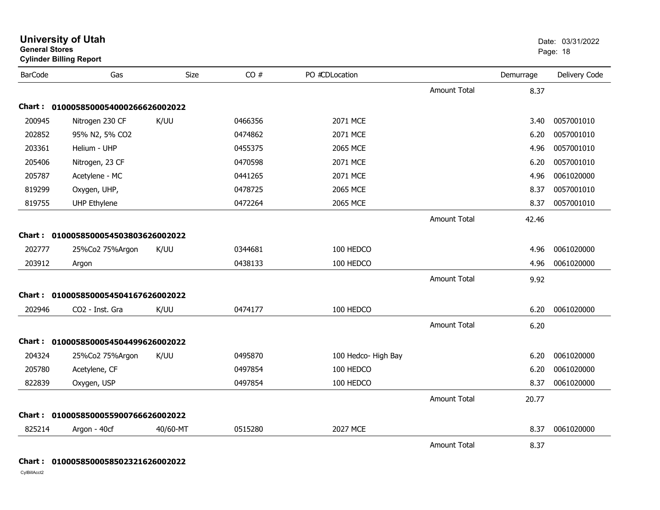| <b>General Stores</b> | <b>University of Utah</b><br><b>Cylinder Billing Report</b> |          |         |                     |                     |           | Date: 03/31/2022<br>Page: 18 |
|-----------------------|-------------------------------------------------------------|----------|---------|---------------------|---------------------|-----------|------------------------------|
| <b>BarCode</b>        | Gas                                                         | Size     | CO#     | PO #CDLocation      |                     | Demurrage | Delivery Code                |
|                       |                                                             |          |         |                     | <b>Amount Total</b> | 8.37      |                              |
|                       | Chart: 0100058500054000266626002022                         |          |         |                     |                     |           |                              |
| 200945                | Nitrogen 230 CF                                             | K/UU     | 0466356 | 2071 MCE            |                     | 3.40      | 0057001010                   |
| 202852                | 95% N2, 5% CO2                                              |          | 0474862 | 2071 MCE            |                     | 6.20      | 0057001010                   |
| 203361                | Helium - UHP                                                |          | 0455375 | 2065 MCE            |                     | 4.96      | 0057001010                   |
| 205406                | Nitrogen, 23 CF                                             |          | 0470598 | 2071 MCE            |                     | 6.20      | 0057001010                   |
| 205787                | Acetylene - MC                                              |          | 0441265 | 2071 MCE            |                     | 4.96      | 0061020000                   |
| 819299                | Oxygen, UHP,                                                |          | 0478725 | 2065 MCE            |                     | 8.37      | 0057001010                   |
| 819755                | <b>UHP Ethylene</b>                                         |          | 0472264 | 2065 MCE            |                     | 8.37      | 0057001010                   |
|                       |                                                             |          |         |                     | <b>Amount Total</b> | 42.46     |                              |
|                       | Chart: 0100058500054503803626002022                         |          |         |                     |                     |           |                              |
| 202777                | 25%Co2 75%Argon                                             | K/UU     | 0344681 | 100 HEDCO           |                     | 4.96      | 0061020000                   |
| 203912                | Argon                                                       |          | 0438133 | 100 HEDCO           |                     | 4.96      | 0061020000                   |
|                       |                                                             |          |         |                     | <b>Amount Total</b> | 9.92      |                              |
|                       | Chart: 0100058500054504167626002022                         |          |         |                     |                     |           |                              |
| 202946                | CO2 - Inst. Gra                                             | K/UU     | 0474177 | 100 HEDCO           |                     | 6.20      | 0061020000                   |
|                       |                                                             |          |         |                     | <b>Amount Total</b> | 6.20      |                              |
|                       | Chart: 0100058500054504499626002022                         |          |         |                     |                     |           |                              |
| 204324                | 25%Co2 75%Argon                                             | K/UU     | 0495870 | 100 Hedco- High Bay |                     | 6.20      | 0061020000                   |
| 205780                | Acetylene, CF                                               |          | 0497854 | 100 HEDCO           |                     | 6.20      | 0061020000                   |
| 822839                | Oxygen, USP                                                 |          | 0497854 | 100 HEDCO           |                     | 8.37      | 0061020000                   |
|                       |                                                             |          |         |                     | <b>Amount Total</b> | 20.77     |                              |
|                       | Chart: 0100058500055900766626002022                         |          |         |                     |                     |           |                              |
| 825214                | Argon - 40cf                                                | 40/60-MT | 0515280 | <b>2027 MCE</b>     |                     | 8.37      | 0061020000                   |
|                       |                                                             |          |         |                     | <b>Amount Total</b> | 8.37      |                              |

## **Chart : 0100058500058502321626002022**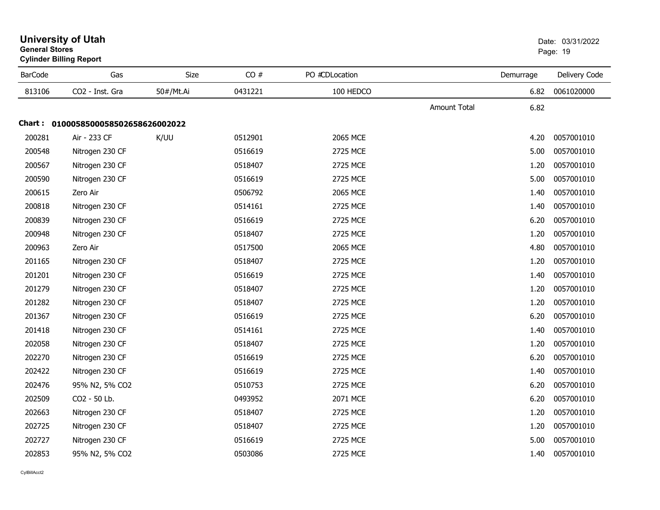| General Stores | <b>Cylinder Billing Report</b>      |           |         |                |              | Page: 19  |               |
|----------------|-------------------------------------|-----------|---------|----------------|--------------|-----------|---------------|
| <b>BarCode</b> | Gas                                 | Size      | CO#     | PO #CDLocation |              | Demurrage | Delivery Code |
| 813106         | CO2 - Inst. Gra                     | 50#/Mt.Ai | 0431221 | 100 HEDCO      |              | 6.82      | 0061020000    |
|                |                                     |           |         |                | Amount Total | 6.82      |               |
|                | Chart: 0100058500058502658626002022 |           |         |                |              |           |               |
| 200281         | Air - 233 CF                        | K/UU      | 0512901 | 2065 MCE       |              | 4.20      | 0057001010    |
| 200548         | Nitrogen 230 CF                     |           | 0516619 | 2725 MCE       |              | 5.00      | 0057001010    |
| 200567         | Nitrogen 230 CF                     |           | 0518407 | 2725 MCE       |              | 1.20      | 0057001010    |
| 200590         | Nitrogen 230 CF                     |           | 0516619 | 2725 MCE       |              | 5.00      | 0057001010    |
| 200615         | Zero Air                            |           | 0506792 | 2065 MCE       |              | 1.40      | 0057001010    |
| 200818         | Nitrogen 230 CF                     |           | 0514161 | 2725 MCE       |              | 1.40      | 0057001010    |
| 200839         | Nitrogen 230 CF                     |           | 0516619 | 2725 MCE       |              | 6.20      | 0057001010    |
| 200948         | Nitrogen 230 CF                     |           | 0518407 | 2725 MCE       |              | 1.20      | 0057001010    |
| 200963         | Zero Air                            |           | 0517500 | 2065 MCE       |              | 4.80      | 0057001010    |
| 201165         | Nitrogen 230 CF                     |           | 0518407 | 2725 MCE       |              | 1.20      | 0057001010    |
| 201201         | Nitrogen 230 CF                     |           | 0516619 | 2725 MCE       |              | 1.40      | 0057001010    |
| 201279         | Nitrogen 230 CF                     |           | 0518407 | 2725 MCE       |              | 1.20      | 0057001010    |
| 201282         | Nitrogen 230 CF                     |           | 0518407 | 2725 MCE       |              | 1.20      | 0057001010    |
| 201367         | Nitrogen 230 CF                     |           | 0516619 | 2725 MCE       |              | 6.20      | 0057001010    |
| 201418         | Nitrogen 230 CF                     |           | 0514161 | 2725 MCE       |              | 1.40      | 0057001010    |
| 202058         | Nitrogen 230 CF                     |           | 0518407 | 2725 MCE       |              | 1.20      | 0057001010    |
| 202270         | Nitrogen 230 CF                     |           | 0516619 | 2725 MCE       |              | 6.20      | 0057001010    |
| 202422         | Nitrogen 230 CF                     |           | 0516619 | 2725 MCE       |              | 1.40      | 0057001010    |
| 202476         | 95% N2, 5% CO2                      |           | 0510753 | 2725 MCE       |              | 6.20      | 0057001010    |
| 202509         | CO2 - 50 Lb.                        |           | 0493952 | 2071 MCE       |              | 6.20      | 0057001010    |
| 202663         | Nitrogen 230 CF                     |           | 0518407 | 2725 MCE       |              | 1.20      | 0057001010    |
| 202725         | Nitrogen 230 CF                     |           | 0518407 | 2725 MCE       |              | 1.20      | 0057001010    |
| 202727         | Nitrogen 230 CF                     |           | 0516619 | 2725 MCE       |              | 5.00      | 0057001010    |
| 202853         | 95% N2, 5% CO2                      |           | 0503086 | 2725 MCE       |              | 1.40      | 0057001010    |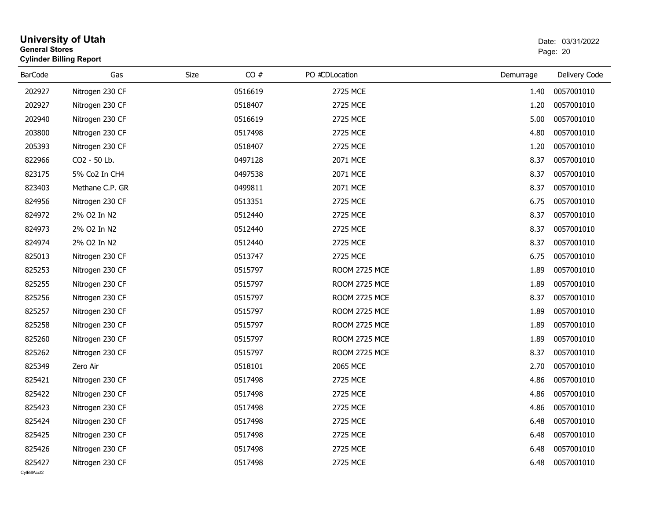| <b>General Stores</b>  | <b>University of Utah</b><br><b>Cylinder Billing Report</b> |      | Date: 03/31/2022<br>Page: 20 |                      |           |               |
|------------------------|-------------------------------------------------------------|------|------------------------------|----------------------|-----------|---------------|
| <b>BarCode</b>         | Gas                                                         | Size | CO#                          | PO #CDLocation       | Demurrage | Delivery Code |
| 202927                 | Nitrogen 230 CF                                             |      | 0516619                      | 2725 MCE             | 1.40      | 0057001010    |
| 202927                 | Nitrogen 230 CF                                             |      | 0518407                      | 2725 MCE             | 1.20      | 0057001010    |
| 202940                 | Nitrogen 230 CF                                             |      | 0516619                      | 2725 MCE             | 5.00      | 0057001010    |
| 203800                 | Nitrogen 230 CF                                             |      | 0517498                      | 2725 MCE             | 4.80      | 0057001010    |
| 205393                 | Nitrogen 230 CF                                             |      | 0518407                      | 2725 MCE             | 1.20      | 0057001010    |
| 822966                 | CO2 - 50 Lb.                                                |      | 0497128                      | 2071 MCE             | 8.37      | 0057001010    |
| 823175                 | 5% Co2 In CH4                                               |      | 0497538                      | 2071 MCE             | 8.37      | 0057001010    |
| 823403                 | Methane C.P. GR                                             |      | 0499811                      | 2071 MCE             | 8.37      | 0057001010    |
| 824956                 | Nitrogen 230 CF                                             |      | 0513351                      | 2725 MCE             | 6.75      | 0057001010    |
| 824972                 | 2% O2 In N2                                                 |      | 0512440                      | 2725 MCE             | 8.37      | 0057001010    |
| 824973                 | 2% O2 In N2                                                 |      | 0512440                      | 2725 MCE             | 8.37      | 0057001010    |
| 824974                 | 2% O2 In N2                                                 |      | 0512440                      | 2725 MCE             | 8.37      | 0057001010    |
| 825013                 | Nitrogen 230 CF                                             |      | 0513747                      | 2725 MCE             | 6.75      | 0057001010    |
| 825253                 | Nitrogen 230 CF                                             |      | 0515797                      | ROOM 2725 MCE        | 1.89      | 0057001010    |
| 825255                 | Nitrogen 230 CF                                             |      | 0515797                      | ROOM 2725 MCE        | 1.89      | 0057001010    |
| 825256                 | Nitrogen 230 CF                                             |      | 0515797                      | ROOM 2725 MCE        | 8.37      | 0057001010    |
| 825257                 | Nitrogen 230 CF                                             |      | 0515797                      | <b>ROOM 2725 MCE</b> | 1.89      | 0057001010    |
| 825258                 | Nitrogen 230 CF                                             |      | 0515797                      | ROOM 2725 MCE        | 1.89      | 0057001010    |
| 825260                 | Nitrogen 230 CF                                             |      | 0515797                      | ROOM 2725 MCE        | 1.89      | 0057001010    |
| 825262                 | Nitrogen 230 CF                                             |      | 0515797                      | ROOM 2725 MCE        | 8.37      | 0057001010    |
| 825349                 | Zero Air                                                    |      | 0518101                      | 2065 MCE             | 2.70      | 0057001010    |
| 825421                 | Nitrogen 230 CF                                             |      | 0517498                      | 2725 MCE             | 4.86      | 0057001010    |
| 825422                 | Nitrogen 230 CF                                             |      | 0517498                      | 2725 MCE             | 4.86      | 0057001010    |
| 825423                 | Nitrogen 230 CF                                             |      | 0517498                      | 2725 MCE             | 4.86      | 0057001010    |
| 825424                 | Nitrogen 230 CF                                             |      | 0517498                      | 2725 MCE             | 6.48      | 0057001010    |
| 825425                 | Nitrogen 230 CF                                             |      | 0517498                      | 2725 MCE             | 6.48      | 0057001010    |
| 825426                 | Nitrogen 230 CF                                             |      | 0517498                      | 2725 MCE             | 6.48      | 0057001010    |
| 825427<br>CvIBillAcct2 | Nitrogen 230 CF                                             |      | 0517498                      | 2725 MCE             | 6.48      | 0057001010    |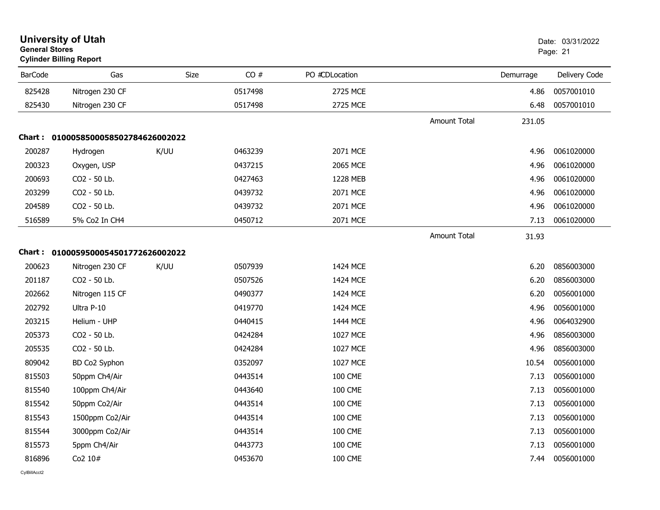| <b>General Stores</b> | <b>University of Utah</b><br><b>Cylinder Billing Report</b> |      |         |                |                     |           | Date: 03/31/2022<br>Page: 21 |
|-----------------------|-------------------------------------------------------------|------|---------|----------------|---------------------|-----------|------------------------------|
| <b>BarCode</b>        | Gas                                                         | Size | CO#     | PO #CDLocation |                     | Demurrage | Delivery Code                |
| 825428                | Nitrogen 230 CF                                             |      | 0517498 | 2725 MCE       |                     | 4.86      | 0057001010                   |
| 825430                | Nitrogen 230 CF                                             |      | 0517498 | 2725 MCE       |                     | 6.48      | 0057001010                   |
|                       |                                                             |      |         |                | <b>Amount Total</b> | 231.05    |                              |
|                       | Chart: 0100058500058502784626002022                         |      |         |                |                     |           |                              |
| 200287                | Hydrogen                                                    | K/UU | 0463239 | 2071 MCE       |                     | 4.96      | 0061020000                   |
| 200323                | Oxygen, USP                                                 |      | 0437215 | 2065 MCE       |                     | 4.96      | 0061020000                   |
| 200693                | CO2 - 50 Lb.                                                |      | 0427463 | 1228 MEB       |                     | 4.96      | 0061020000                   |
| 203299                | CO2 - 50 Lb.                                                |      | 0439732 | 2071 MCE       |                     | 4.96      | 0061020000                   |
| 204589                | CO2 - 50 Lb.                                                |      | 0439732 | 2071 MCE       |                     | 4.96      | 0061020000                   |
| 516589                | 5% Co2 In CH4                                               |      | 0450712 | 2071 MCE       |                     | 7.13      | 0061020000                   |
|                       |                                                             |      |         |                | <b>Amount Total</b> | 31.93     |                              |
|                       | Chart: 0100059500054501772626002022                         |      |         |                |                     |           |                              |
| 200623                | Nitrogen 230 CF                                             | K/UU | 0507939 | 1424 MCE       |                     | 6.20      | 0856003000                   |
| 201187                | CO2 - 50 Lb.                                                |      | 0507526 | 1424 MCE       |                     | 6.20      | 0856003000                   |
| 202662                | Nitrogen 115 CF                                             |      | 0490377 | 1424 MCE       |                     | 6.20      | 0056001000                   |
| 202792                | Ultra P-10                                                  |      | 0419770 | 1424 MCE       |                     | 4.96      | 0056001000                   |
| 203215                | Helium - UHP                                                |      | 0440415 | 1444 MCE       |                     | 4.96      | 0064032900                   |
| 205373                | CO2 - 50 Lb.                                                |      | 0424284 | 1027 MCE       |                     | 4.96      | 0856003000                   |
| 205535                | CO2 - 50 Lb.                                                |      | 0424284 | 1027 MCE       |                     | 4.96      | 0856003000                   |
| 809042                | BD Co2 Syphon                                               |      | 0352097 | 1027 MCE       |                     | 10.54     | 0056001000                   |
| 815503                | 50ppm Ch4/Air                                               |      | 0443514 | <b>100 CME</b> |                     | 7.13      | 0056001000                   |
| 815540                | 100ppm Ch4/Air                                              |      | 0443640 | <b>100 CME</b> |                     | 7.13      | 0056001000                   |
| 815542                | 50ppm Co2/Air                                               |      | 0443514 | <b>100 CME</b> |                     | 7.13      | 0056001000                   |
| 815543                | 1500ppm Co2/Air                                             |      | 0443514 | <b>100 CME</b> |                     | 7.13      | 0056001000                   |
| 815544                | 3000ppm Co2/Air                                             |      | 0443514 | <b>100 CME</b> |                     | 7.13      | 0056001000                   |
| 815573                | 5ppm Ch4/Air                                                |      | 0443773 | <b>100 CME</b> |                     | 7.13      | 0056001000                   |
| 816896                | Co2 10#                                                     |      | 0453670 | <b>100 CME</b> |                     | 7.44      | 0056001000                   |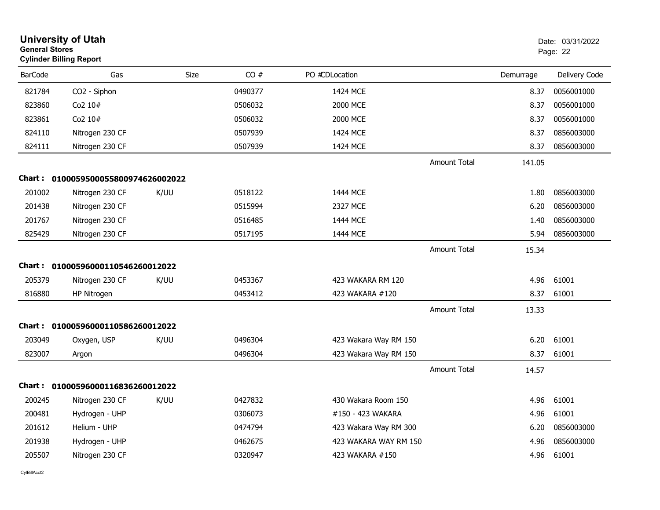|                | <b>University of Utah</b><br><b>General Stores</b><br><b>Cylinder Billing Report</b> |      |         |                       |                     |           | Date: 03/31/2022<br>Page: 22 |  |
|----------------|--------------------------------------------------------------------------------------|------|---------|-----------------------|---------------------|-----------|------------------------------|--|
| <b>BarCode</b> | Gas                                                                                  | Size | CO#     | PO #CDLocation        |                     | Demurrage | Delivery Code                |  |
| 821784         | CO2 - Siphon                                                                         |      | 0490377 | 1424 MCE              |                     | 8.37      | 0056001000                   |  |
| 823860         | Co2 10#                                                                              |      | 0506032 | 2000 MCE              |                     | 8.37      | 0056001000                   |  |
| 823861         | Co2 10#                                                                              |      | 0506032 | 2000 MCE              |                     | 8.37      | 0056001000                   |  |
| 824110         | Nitrogen 230 CF                                                                      |      | 0507939 | 1424 MCE              |                     | 8.37      | 0856003000                   |  |
| 824111         | Nitrogen 230 CF                                                                      |      | 0507939 | 1424 MCE              |                     | 8.37      | 0856003000                   |  |
|                |                                                                                      |      |         |                       | <b>Amount Total</b> | 141.05    |                              |  |
|                | Chart: 0100059500055800974626002022                                                  |      |         |                       |                     |           |                              |  |
| 201002         | Nitrogen 230 CF                                                                      | K/UU | 0518122 | 1444 MCE              |                     | 1.80      | 0856003000                   |  |
| 201438         | Nitrogen 230 CF                                                                      |      | 0515994 | 2327 MCE              |                     | 6.20      | 0856003000                   |  |
| 201767         | Nitrogen 230 CF                                                                      |      | 0516485 | 1444 MCE              |                     | 1.40      | 0856003000                   |  |
| 825429         | Nitrogen 230 CF                                                                      |      | 0517195 | 1444 MCE              |                     | 5.94      | 0856003000                   |  |
|                |                                                                                      |      |         |                       | <b>Amount Total</b> | 15.34     |                              |  |
| Chart :        | 01000596000110546260012022                                                           |      |         |                       |                     |           |                              |  |
| 205379         | Nitrogen 230 CF                                                                      | K/UU | 0453367 | 423 WAKARA RM 120     |                     | 4.96      | 61001                        |  |
| 816880         | HP Nitrogen                                                                          |      | 0453412 | 423 WAKARA #120       |                     | 8.37      | 61001                        |  |
|                |                                                                                      |      |         |                       | <b>Amount Total</b> | 13.33     |                              |  |
|                | Chart: 01000596000110586260012022                                                    |      |         |                       |                     |           |                              |  |
| 203049         | Oxygen, USP                                                                          | K/UU | 0496304 | 423 Wakara Way RM 150 |                     | 6.20      | 61001                        |  |
| 823007         | Argon                                                                                |      | 0496304 | 423 Wakara Way RM 150 |                     | 8.37      | 61001                        |  |
|                |                                                                                      |      |         |                       | <b>Amount Total</b> | 14.57     |                              |  |
|                | Chart: 01000596000116836260012022                                                    |      |         |                       |                     |           |                              |  |
| 200245         | Nitrogen 230 CF                                                                      | K/UU | 0427832 | 430 Wakara Room 150   |                     | 4.96      | 61001                        |  |
| 200481         | Hydrogen - UHP                                                                       |      | 0306073 | #150 - 423 WAKARA     |                     | 4.96      | 61001                        |  |
| 201612         | Helium - UHP                                                                         |      | 0474794 | 423 Wakara Way RM 300 |                     | 6.20      | 0856003000                   |  |
| 201938         | Hydrogen - UHP                                                                       |      | 0462675 | 423 WAKARA WAY RM 150 |                     | 4.96      | 0856003000                   |  |
| 205507         | Nitrogen 230 CF                                                                      |      | 0320947 | 423 WAKARA #150       |                     | 4.96      | 61001                        |  |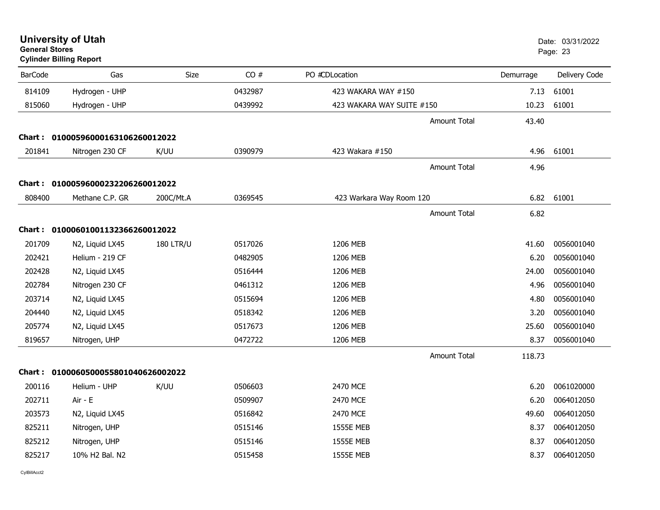| <b>General Stores</b>                  |                                                                                                                                                                                                                                      |                                                                                                                                                    |                           |           | Date: 03/31/2022<br>Page: 23                                                      |
|----------------------------------------|--------------------------------------------------------------------------------------------------------------------------------------------------------------------------------------------------------------------------------------|----------------------------------------------------------------------------------------------------------------------------------------------------|---------------------------|-----------|-----------------------------------------------------------------------------------|
| Gas                                    | Size                                                                                                                                                                                                                                 | CO#                                                                                                                                                | PO #CDLocation            | Demurrage | Delivery Code                                                                     |
| Hydrogen - UHP                         |                                                                                                                                                                                                                                      | 0432987                                                                                                                                            | 423 WAKARA WAY #150       | 7.13      | 61001                                                                             |
| Hydrogen - UHP                         |                                                                                                                                                                                                                                      | 0439992                                                                                                                                            | 423 WAKARA WAY SUITE #150 | 10.23     | 61001                                                                             |
|                                        |                                                                                                                                                                                                                                      |                                                                                                                                                    |                           | 43.40     |                                                                                   |
|                                        |                                                                                                                                                                                                                                      |                                                                                                                                                    |                           |           |                                                                                   |
| Nitrogen 230 CF                        | K/UU                                                                                                                                                                                                                                 | 0390979                                                                                                                                            | 423 Wakara #150           | 4.96      | 61001                                                                             |
|                                        |                                                                                                                                                                                                                                      |                                                                                                                                                    |                           | 4.96      |                                                                                   |
|                                        |                                                                                                                                                                                                                                      |                                                                                                                                                    |                           |           |                                                                                   |
| Methane C.P. GR                        | 200C/Mt.A                                                                                                                                                                                                                            | 0369545                                                                                                                                            | 423 Warkara Way Room 120  | 6.82      | 61001                                                                             |
|                                        |                                                                                                                                                                                                                                      |                                                                                                                                                    |                           | 6.82      |                                                                                   |
|                                        |                                                                                                                                                                                                                                      |                                                                                                                                                    |                           |           |                                                                                   |
| N2, Liquid LX45                        | <b>180 LTR/U</b>                                                                                                                                                                                                                     | 0517026                                                                                                                                            | 1206 MEB                  | 41.60     | 0056001040                                                                        |
| Helium - 219 CF                        |                                                                                                                                                                                                                                      | 0482905                                                                                                                                            | 1206 MEB                  | 6.20      | 0056001040                                                                        |
| N2, Liquid LX45                        |                                                                                                                                                                                                                                      | 0516444                                                                                                                                            | 1206 MEB                  | 24.00     | 0056001040                                                                        |
| Nitrogen 230 CF                        |                                                                                                                                                                                                                                      | 0461312                                                                                                                                            | 1206 MEB                  | 4.96      | 0056001040                                                                        |
| N2, Liquid LX45                        |                                                                                                                                                                                                                                      | 0515694                                                                                                                                            | 1206 MEB                  | 4.80      | 0056001040                                                                        |
| N2, Liquid LX45                        |                                                                                                                                                                                                                                      | 0518342                                                                                                                                            | 1206 MEB                  | 3.20      | 0056001040                                                                        |
| N2, Liquid LX45                        |                                                                                                                                                                                                                                      | 0517673                                                                                                                                            | 1206 MEB                  | 25.60     | 0056001040                                                                        |
| Nitrogen, UHP                          |                                                                                                                                                                                                                                      | 0472722                                                                                                                                            | 1206 MEB                  | 8.37      | 0056001040                                                                        |
|                                        |                                                                                                                                                                                                                                      |                                                                                                                                                    |                           | 118.73    |                                                                                   |
|                                        |                                                                                                                                                                                                                                      |                                                                                                                                                    |                           |           |                                                                                   |
| Helium - UHP                           | K/UU                                                                                                                                                                                                                                 | 0506603                                                                                                                                            | 2470 MCE                  | 6.20      | 0061020000                                                                        |
| Air - E                                |                                                                                                                                                                                                                                      | 0509907                                                                                                                                            | 2470 MCE                  | 6.20      | 0064012050                                                                        |
| N2, Liquid LX45                        |                                                                                                                                                                                                                                      | 0516842                                                                                                                                            | 2470 MCE                  | 49.60     | 0064012050                                                                        |
| Nitrogen, UHP                          |                                                                                                                                                                                                                                      | 0515146                                                                                                                                            | <b>1555E MEB</b>          | 8.37      | 0064012050                                                                        |
| Nitrogen, UHP                          |                                                                                                                                                                                                                                      | 0515146                                                                                                                                            | <b>1555E MEB</b>          | 8.37      | 0064012050                                                                        |
| 10% H <sub>2</sub> Bal, N <sub>2</sub> |                                                                                                                                                                                                                                      | 0515458                                                                                                                                            | <b>1555E MEB</b>          | 8.37      | 0064012050                                                                        |
|                                        | <b>Cylinder Billing Report</b><br><b>BarCode</b><br>814109<br>815060<br>201841<br>808400<br>201709<br>202421<br>202428<br>202784<br>203714<br>204440<br>205774<br>819657<br>200116<br>202711<br>203573<br>825211<br>825212<br>825217 | Chart: 01000596000163106260012022<br>Chart: 01000596000232206260012022<br>Chart: 01000601001132366260012022<br>Chart: 0100060500055801040626002022 |                           |           | Amount Total<br><b>Amount Total</b><br><b>Amount Total</b><br><b>Amount Total</b> |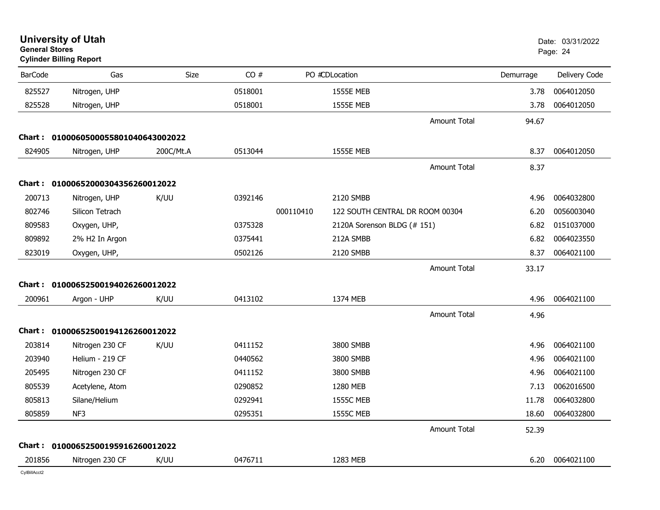| <b>General Stores</b> | University of Utah<br><b>Cylinder Billing Report</b> |             |         |           |                                 |           | Date: 03/31/2022<br>Page: 24 |
|-----------------------|------------------------------------------------------|-------------|---------|-----------|---------------------------------|-----------|------------------------------|
| <b>BarCode</b>        | Gas                                                  | <b>Size</b> | CO#     |           | PO #CDLocation                  | Demurrage | Delivery Code                |
| 825527                | Nitrogen, UHP                                        |             | 0518001 |           | <b>1555E MEB</b>                | 3.78      | 0064012050                   |
| 825528                | Nitrogen, UHP                                        |             | 0518001 |           | <b>1555E MEB</b>                | 3.78      | 0064012050                   |
|                       |                                                      |             |         |           | <b>Amount Total</b>             | 94.67     |                              |
|                       | Chart: 0100060500055801040643002022                  |             |         |           |                                 |           |                              |
| 824905                | Nitrogen, UHP                                        | 200C/Mt.A   | 0513044 |           | <b>1555E MEB</b>                | 8.37      | 0064012050                   |
|                       |                                                      |             |         |           | Amount Total                    | 8.37      |                              |
|                       | Chart: 01000652000304356260012022                    |             |         |           |                                 |           |                              |
| 200713                | Nitrogen, UHP                                        | K/UU        | 0392146 |           | 2120 SMBB                       | 4.96      | 0064032800                   |
| 802746                | Silicon Tetrach                                      |             |         | 000110410 | 122 SOUTH CENTRAL DR ROOM 00304 | 6.20      | 0056003040                   |
| 809583                | Oxygen, UHP,                                         |             | 0375328 |           | 2120A Sorenson BLDG (# 151)     | 6.82      | 0151037000                   |
| 809892                | 2% H2 In Argon                                       |             | 0375441 |           | 212A SMBB                       | 6.82      | 0064023550                   |
| 823019                | Oxygen, UHP,                                         |             | 0502126 |           | 2120 SMBB                       | 8.37      | 0064021100                   |
|                       |                                                      |             |         |           | <b>Amount Total</b>             | 33.17     |                              |
|                       | Chart: 01000652500194026260012022                    |             |         |           |                                 |           |                              |
| 200961                | Argon - UHP                                          | K/UU        | 0413102 |           | 1374 MEB                        | 4.96      | 0064021100                   |
|                       |                                                      |             |         |           | <b>Amount Total</b>             | 4.96      |                              |
|                       | Chart: 01000652500194126260012022                    |             |         |           |                                 |           |                              |
| 203814                | Nitrogen 230 CF                                      | K/UU        | 0411152 |           | 3800 SMBB                       | 4.96      | 0064021100                   |
| 203940                | Helium - 219 CF                                      |             | 0440562 |           | 3800 SMBB                       | 4.96      | 0064021100                   |
| 205495                | Nitrogen 230 CF                                      |             | 0411152 |           | 3800 SMBB                       | 4.96      | 0064021100                   |
| 805539                | Acetylene, Atom                                      |             | 0290852 |           | 1280 MEB                        | 7.13      | 0062016500                   |
| 805813                | Silane/Helium                                        |             | 0292941 |           | <b>1555C MEB</b>                | 11.78     | 0064032800                   |
| 805859                | NF <sub>3</sub>                                      |             | 0295351 |           | <b>1555C MEB</b>                | 18.60     | 0064032800                   |
|                       |                                                      |             |         |           | <b>Amount Total</b>             | 52.39     |                              |
|                       | Chart: 01000652500195916260012022                    |             |         |           |                                 |           |                              |
| 201856                | Nitrogen 230 CF                                      | K/UU        | 0476711 |           | 1283 MEB                        | 6.20      | 0064021100                   |
|                       |                                                      |             |         |           |                                 |           |                              |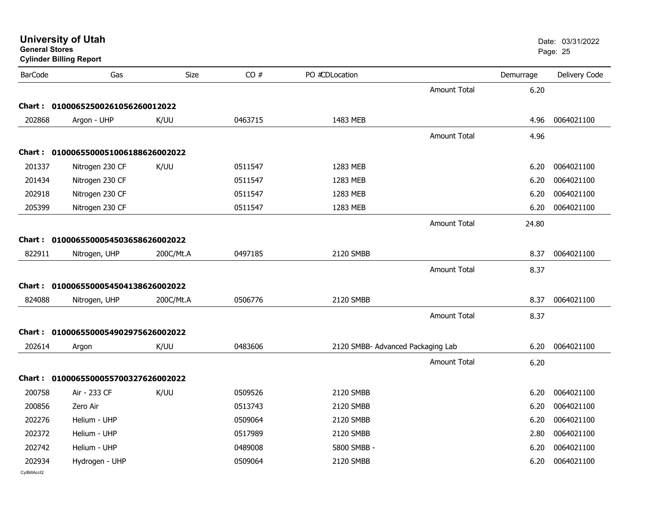| <b>General Stores</b> | <b>Cylinder Billing Report</b>      |             |         |                                   |                     |           | Page: 25      |
|-----------------------|-------------------------------------|-------------|---------|-----------------------------------|---------------------|-----------|---------------|
| <b>BarCode</b>        | Gas                                 | <b>Size</b> | CO#     | PO #CDLocation                    |                     | Demurrage | Delivery Code |
|                       |                                     |             |         |                                   | <b>Amount Total</b> | 6.20      |               |
|                       | Chart: 01000652500261056260012022   |             |         |                                   |                     |           |               |
| 202868                | Argon - UHP                         | K/UU        | 0463715 | 1483 MEB                          |                     | 4.96      | 0064021100    |
|                       |                                     |             |         |                                   | <b>Amount Total</b> | 4.96      |               |
|                       | Chart: 0100065500051006188626002022 |             |         |                                   |                     |           |               |
| 201337                | Nitrogen 230 CF                     | K/UU        | 0511547 | 1283 MEB                          |                     | 6.20      | 0064021100    |
| 201434                | Nitrogen 230 CF                     |             | 0511547 | 1283 MEB                          |                     | 6.20      | 0064021100    |
| 202918                | Nitrogen 230 CF                     |             | 0511547 | 1283 MEB                          |                     | 6.20      | 0064021100    |
| 205399                | Nitrogen 230 CF                     |             | 0511547 | 1283 MEB                          |                     | 6.20      | 0064021100    |
|                       |                                     |             |         |                                   | <b>Amount Total</b> | 24.80     |               |
|                       | Chart: 0100065500054503658626002022 |             |         |                                   |                     |           |               |
| 822911                | Nitrogen, UHP                       | 200C/Mt.A   | 0497185 | 2120 SMBB                         |                     | 8.37      | 0064021100    |
|                       |                                     |             |         |                                   | <b>Amount Total</b> | 8.37      |               |
|                       | Chart: 0100065500054504138626002022 |             |         |                                   |                     |           |               |
| 824088                | Nitrogen, UHP                       | 200C/Mt.A   | 0506776 | 2120 SMBB                         |                     | 8.37      | 0064021100    |
|                       |                                     |             |         |                                   | <b>Amount Total</b> | 8.37      |               |
|                       | Chart: 0100065500054902975626002022 |             |         |                                   |                     |           |               |
| 202614                | Argon                               | K/UU        | 0483606 | 2120 SMBB- Advanced Packaging Lab |                     | 6.20      | 0064021100    |
|                       |                                     |             |         |                                   | <b>Amount Total</b> | 6.20      |               |
|                       | Chart: 0100065500055700327626002022 |             |         |                                   |                     |           |               |
| 200758                | Air - 233 CF                        | K/UU        | 0509526 | 2120 SMBB                         |                     | 6.20      | 0064021100    |
| 200856                | Zero Air                            |             | 0513743 | 2120 SMBB                         |                     | 6.20      | 0064021100    |
| 202276                | Helium - UHP                        |             | 0509064 | 2120 SMBB                         |                     | 6.20      | 0064021100    |
| 202372                | Helium - UHP                        |             | 0517989 | 2120 SMBB                         |                     | 2.80      | 0064021100    |
| 202742                | Helium - UHP                        |             | 0489008 | 5800 SMBB -                       |                     | 6.20      | 0064021100    |
| 202934                | Hydrogen - UHP                      |             | 0509064 | 2120 SMBB                         |                     | 6.20      | 0064021100    |
| CylBillAcct2          |                                     |             |         |                                   |                     |           |               |

**University of Utah** Date: 03/31/2022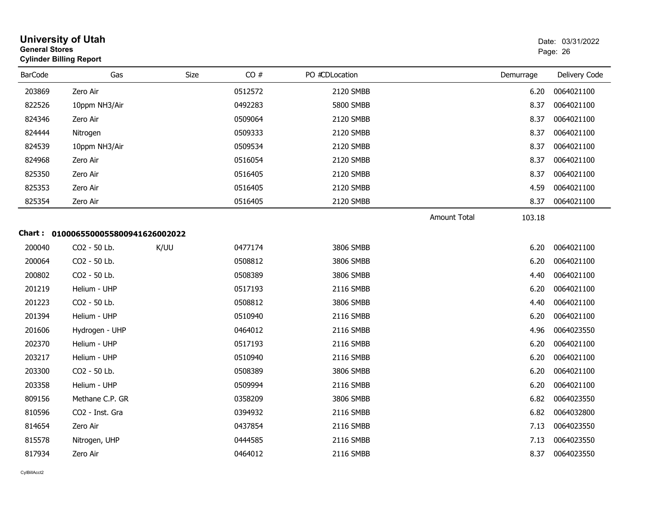| <b>General Stores</b> | <b>University of Utah</b><br><b>Cylinder Billing Report</b> |      |         |                |                     |           | Date: 03/31/2022<br>Page: 26 |
|-----------------------|-------------------------------------------------------------|------|---------|----------------|---------------------|-----------|------------------------------|
| <b>BarCode</b>        | Gas                                                         | Size | CO#     | PO #CDLocation |                     | Demurrage | Delivery Code                |
| 203869                | Zero Air                                                    |      | 0512572 | 2120 SMBB      |                     | 6.20      | 0064021100                   |
| 822526                | 10ppm NH3/Air                                               |      | 0492283 | 5800 SMBB      |                     | 8.37      | 0064021100                   |
| 824346                | Zero Air                                                    |      | 0509064 | 2120 SMBB      |                     | 8.37      | 0064021100                   |
| 824444                | Nitrogen                                                    |      | 0509333 | 2120 SMBB      |                     | 8.37      | 0064021100                   |
| 824539                | 10ppm NH3/Air                                               |      | 0509534 | 2120 SMBB      |                     | 8.37      | 0064021100                   |
| 824968                | Zero Air                                                    |      | 0516054 | 2120 SMBB      |                     | 8.37      | 0064021100                   |
| 825350                | Zero Air                                                    |      | 0516405 | 2120 SMBB      |                     | 8.37      | 0064021100                   |
| 825353                | Zero Air                                                    |      | 0516405 | 2120 SMBB      |                     | 4.59      | 0064021100                   |
| 825354                | Zero Air                                                    |      | 0516405 | 2120 SMBB      |                     | 8.37      | 0064021100                   |
|                       |                                                             |      |         |                | <b>Amount Total</b> | 103.18    |                              |
|                       | Chart: 0100065500055800941626002022                         |      |         |                |                     |           |                              |
| 200040                | CO2 - 50 Lb.                                                | K/UU | 0477174 | 3806 SMBB      |                     | 6.20      | 0064021100                   |
| 200064                | CO2 - 50 Lb.                                                |      | 0508812 | 3806 SMBB      |                     | 6.20      | 0064021100                   |
| 200802                | CO2 - 50 Lb.                                                |      | 0508389 | 3806 SMBB      |                     | 4.40      | 0064021100                   |
| 201219                | Helium - UHP                                                |      | 0517193 | 2116 SMBB      |                     | 6.20      | 0064021100                   |
| 201223                | CO2 - 50 Lb.                                                |      | 0508812 | 3806 SMBB      |                     | 4.40      | 0064021100                   |
| 201394                | Helium - UHP                                                |      | 0510940 | 2116 SMBB      |                     | 6.20      | 0064021100                   |
| 201606                | Hydrogen - UHP                                              |      | 0464012 | 2116 SMBB      |                     | 4.96      | 0064023550                   |
| 202370                | Helium - UHP                                                |      | 0517193 | 2116 SMBB      |                     | 6.20      | 0064021100                   |
| 203217                | Helium - UHP                                                |      | 0510940 | 2116 SMBB      |                     | 6.20      | 0064021100                   |
| 203300                | CO2 - 50 Lb.                                                |      | 0508389 | 3806 SMBB      |                     | 6.20      | 0064021100                   |
| 203358                | Helium - UHP                                                |      | 0509994 | 2116 SMBB      |                     | 6.20      | 0064021100                   |
| 809156                | Methane C.P. GR                                             |      | 0358209 | 3806 SMBB      |                     | 6.82      | 0064023550                   |
| 810596                | CO2 - Inst. Gra                                             |      | 0394932 | 2116 SMBB      |                     | 6.82      | 0064032800                   |
| 814654                | Zero Air                                                    |      | 0437854 | 2116 SMBB      |                     | 7.13      | 0064023550                   |
| 815578                | Nitrogen, UHP                                               |      | 0444585 | 2116 SMBB      |                     | 7.13      | 0064023550                   |
| 817934                | Zero Air                                                    |      | 0464012 | 2116 SMBB      |                     | 8.37      | 0064023550                   |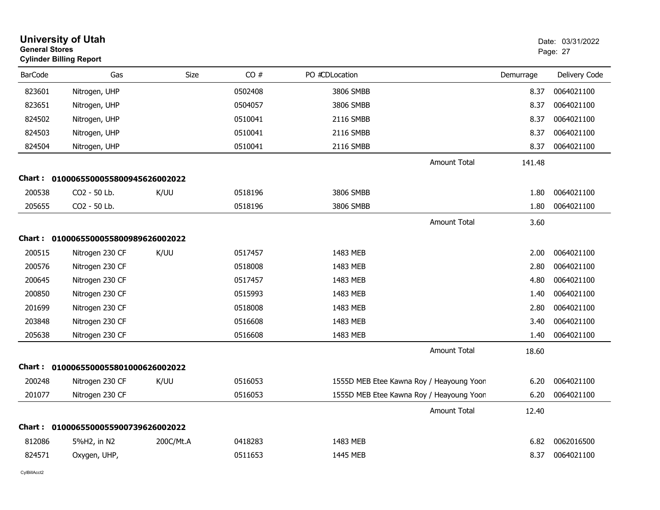| <b>General Stores</b> | <b>University of Utah</b><br><b>Cylinder Billing Report</b> |             |         |                |                                          |           | Date: 03/31/2022<br>Page: 27 |
|-----------------------|-------------------------------------------------------------|-------------|---------|----------------|------------------------------------------|-----------|------------------------------|
| <b>BarCode</b>        | Gas                                                         | <b>Size</b> | CO#     | PO #CDLocation |                                          | Demurrage | Delivery Code                |
| 823601                | Nitrogen, UHP                                               |             | 0502408 | 3806 SMBB      |                                          | 8.37      | 0064021100                   |
| 823651                | Nitrogen, UHP                                               |             | 0504057 | 3806 SMBB      |                                          | 8.37      | 0064021100                   |
| 824502                | Nitrogen, UHP                                               |             | 0510041 | 2116 SMBB      |                                          | 8.37      | 0064021100                   |
| 824503                | Nitrogen, UHP                                               |             | 0510041 | 2116 SMBB      |                                          | 8.37      | 0064021100                   |
| 824504                | Nitrogen, UHP                                               |             | 0510041 | 2116 SMBB      |                                          | 8.37      | 0064021100                   |
|                       |                                                             |             |         |                | <b>Amount Total</b>                      | 141.48    |                              |
|                       | Chart: 0100065500055800945626002022                         |             |         |                |                                          |           |                              |
| 200538                | CO <sub>2</sub> - 50 Lb.                                    | K/UU        | 0518196 | 3806 SMBB      |                                          | 1.80      | 0064021100                   |
| 205655                | CO2 - 50 Lb.                                                |             | 0518196 | 3806 SMBB      |                                          | 1.80      | 0064021100                   |
|                       |                                                             |             |         |                | Amount Total                             | 3.60      |                              |
|                       | Chart: 0100065500055800989626002022                         |             |         |                |                                          |           |                              |
| 200515                | Nitrogen 230 CF                                             | K/UU        | 0517457 | 1483 MEB       |                                          | 2.00      | 0064021100                   |
| 200576                | Nitrogen 230 CF                                             |             | 0518008 | 1483 MEB       |                                          | 2.80      | 0064021100                   |
| 200645                | Nitrogen 230 CF                                             |             | 0517457 | 1483 MEB       |                                          | 4.80      | 0064021100                   |
| 200850                | Nitrogen 230 CF                                             |             | 0515993 | 1483 MEB       |                                          | 1.40      | 0064021100                   |
| 201699                | Nitrogen 230 CF                                             |             | 0518008 | 1483 MEB       |                                          | 2.80      | 0064021100                   |
| 203848                | Nitrogen 230 CF                                             |             | 0516608 | 1483 MEB       |                                          | 3.40      | 0064021100                   |
| 205638                | Nitrogen 230 CF                                             |             | 0516608 | 1483 MEB       |                                          | 1.40      | 0064021100                   |
|                       |                                                             |             |         |                | <b>Amount Total</b>                      | 18.60     |                              |
| Chart :               | 0100065500055801000626002022                                |             |         |                |                                          |           |                              |
| 200248                | Nitrogen 230 CF                                             | K/UU        | 0516053 |                | 1555D MEB Etee Kawna Roy / Heayoung Yoon | 6.20      | 0064021100                   |
| 201077                | Nitrogen 230 CF                                             |             | 0516053 |                | 1555D MEB Etee Kawna Roy / Heayoung Yoon | 6.20      | 0064021100                   |
|                       |                                                             |             |         |                | <b>Amount Total</b>                      | 12.40     |                              |
|                       | Chart: 0100065500055900739626002022                         |             |         |                |                                          |           |                              |
| 812086                | 5%H2, in N2                                                 | 200C/Mt.A   | 0418283 | 1483 MEB       |                                          | 6.82      | 0062016500                   |
| 824571                | Oxygen, UHP,                                                |             | 0511653 | 1445 MEB       |                                          | 8.37      | 0064021100                   |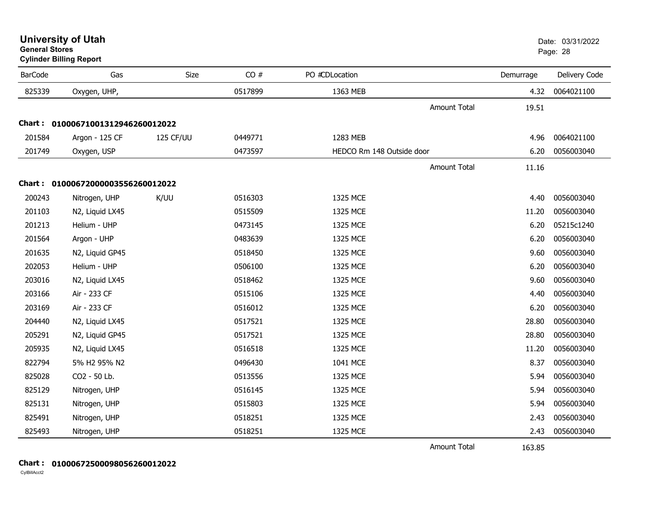| <b>Cylinder Billing Report</b> |                                   |           |         |                           |                     |           |               |  |  |  |  |
|--------------------------------|-----------------------------------|-----------|---------|---------------------------|---------------------|-----------|---------------|--|--|--|--|
| <b>BarCode</b>                 | Gas                               | Size      | CO#     | PO #CDLocation            |                     | Demurrage | Delivery Code |  |  |  |  |
| 825339                         | Oxygen, UHP,                      |           | 0517899 | 1363 MEB                  |                     | 4.32      | 0064021100    |  |  |  |  |
|                                |                                   |           |         |                           | <b>Amount Total</b> | 19.51     |               |  |  |  |  |
|                                | Chart: 01000671001312946260012022 |           |         |                           |                     |           |               |  |  |  |  |
| 201584                         | Argon - 125 CF                    | 125 CF/UU | 0449771 | 1283 MEB                  |                     | 4.96      | 0064021100    |  |  |  |  |
| 201749                         | Oxygen, USP                       |           | 0473597 | HEDCO Rm 148 Outside door |                     | 6.20      | 0056003040    |  |  |  |  |
|                                |                                   |           |         |                           | <b>Amount Total</b> | 11.16     |               |  |  |  |  |
|                                | Chart: 01000672000003556260012022 |           |         |                           |                     |           |               |  |  |  |  |
| 200243                         | Nitrogen, UHP                     | K/UU      | 0516303 | 1325 MCE                  |                     | 4.40      | 0056003040    |  |  |  |  |
| 201103                         | N2, Liquid LX45                   |           | 0515509 | 1325 MCE                  |                     | 11.20     | 0056003040    |  |  |  |  |
| 201213                         | Helium - UHP                      |           | 0473145 | 1325 MCE                  |                     | 6.20      | 05215c1240    |  |  |  |  |
| 201564                         | Argon - UHP                       |           | 0483639 | 1325 MCE                  |                     | 6.20      | 0056003040    |  |  |  |  |
| 201635                         | N2, Liquid GP45                   |           | 0518450 | 1325 MCE                  |                     | 9.60      | 0056003040    |  |  |  |  |
| 202053                         | Helium - UHP                      |           | 0506100 | 1325 MCE                  |                     | 6.20      | 0056003040    |  |  |  |  |
| 203016                         | N2, Liquid LX45                   |           | 0518462 | 1325 MCE                  |                     | 9.60      | 0056003040    |  |  |  |  |
| 203166                         | Air - 233 CF                      |           | 0515106 | 1325 MCE                  |                     | 4.40      | 0056003040    |  |  |  |  |
| 203169                         | Air - 233 CF                      |           | 0516012 | 1325 MCE                  |                     | 6.20      | 0056003040    |  |  |  |  |
| 204440                         | N2, Liquid LX45                   |           | 0517521 | 1325 MCE                  |                     | 28.80     | 0056003040    |  |  |  |  |
| 205291                         | N2, Liquid GP45                   |           | 0517521 | 1325 MCE                  |                     | 28.80     | 0056003040    |  |  |  |  |
| 205935                         | N2, Liquid LX45                   |           | 0516518 | 1325 MCE                  |                     | 11.20     | 0056003040    |  |  |  |  |
| 822794                         | 5% H2 95% N2                      |           | 0496430 | 1041 MCE                  |                     | 8.37      | 0056003040    |  |  |  |  |
| 825028                         | CO2 - 50 Lb.                      |           | 0513556 | 1325 MCE                  |                     | 5.94      | 0056003040    |  |  |  |  |
| 825129                         | Nitrogen, UHP                     |           | 0516145 | 1325 MCE                  |                     | 5.94      | 0056003040    |  |  |  |  |
| 825131                         | Nitrogen, UHP                     |           | 0515803 | 1325 MCE                  |                     | 5.94      | 0056003040    |  |  |  |  |
| 825491                         | Nitrogen, UHP                     |           | 0518251 | 1325 MCE                  |                     | 2.43      | 0056003040    |  |  |  |  |
| 825493                         | Nitrogen, UHP                     |           | 0518251 | 1325 MCE                  |                     | 2.43      | 0056003040    |  |  |  |  |
|                                |                                   |           |         |                           | <b>Amount Total</b> | 163.85    |               |  |  |  |  |

## **Chart : 01000672500098056260012022**

**General Stores**

## **University of Utah** Date: 03/31/2022 en de la construction de la construction de la construction de la construction de la construction de la construction de la construction de la construction de la construction de la construction de la construction de la cons

163.85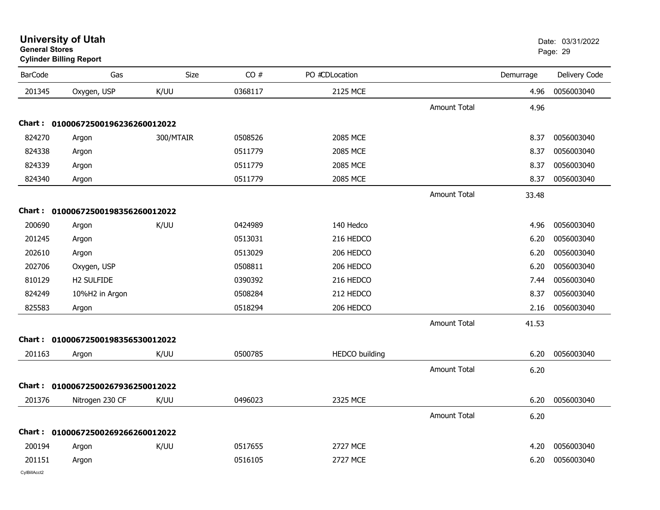| General Stores | <b>Cylinder Billing Report</b>    |           |         |                       |                     |           | Page: 29      |
|----------------|-----------------------------------|-----------|---------|-----------------------|---------------------|-----------|---------------|
| <b>BarCode</b> | Gas                               | Size      | CO#     | PO #CDLocation        |                     | Demurrage | Delivery Code |
| 201345         | Oxygen, USP                       | K/UU      | 0368117 | 2125 MCE              |                     | 4.96      | 0056003040    |
|                |                                   |           |         |                       | <b>Amount Total</b> | 4.96      |               |
|                | Chart: 01000672500196236260012022 |           |         |                       |                     |           |               |
| 824270         | Argon                             | 300/MTAIR | 0508526 | <b>2085 MCE</b>       |                     | 8.37      | 0056003040    |
| 824338         | Argon                             |           | 0511779 | 2085 MCE              |                     | 8.37      | 0056003040    |
| 824339         | Argon                             |           | 0511779 | 2085 MCE              |                     | 8.37      | 0056003040    |
| 824340         | Argon                             |           | 0511779 | 2085 MCE              |                     | 8.37      | 0056003040    |
|                |                                   |           |         |                       | <b>Amount Total</b> | 33.48     |               |
|                | Chart: 01000672500198356260012022 |           |         |                       |                     |           |               |
| 200690         | Argon                             | K/UU      | 0424989 | 140 Hedco             |                     | 4.96      | 0056003040    |
| 201245         | Argon                             |           | 0513031 | 216 HEDCO             |                     | 6.20      | 0056003040    |
| 202610         | Argon                             |           | 0513029 | 206 HEDCO             |                     | 6.20      | 0056003040    |
| 202706         | Oxygen, USP                       |           | 0508811 | 206 HEDCO             |                     | 6.20      | 0056003040    |
| 810129         | H2 SULFIDE                        |           | 0390392 | 216 HEDCO             |                     | 7.44      | 0056003040    |
| 824249         | 10%H2 in Argon                    |           | 0508284 | 212 HEDCO             |                     | 8.37      | 0056003040    |
| 825583         | Argon                             |           | 0518294 | 206 HEDCO             |                     | 2.16      | 0056003040    |
|                |                                   |           |         |                       | <b>Amount Total</b> | 41.53     |               |
|                | Chart: 01000672500198356530012022 |           |         |                       |                     |           |               |
| 201163         | Argon                             | K/UU      | 0500785 | <b>HEDCO</b> building |                     | 6.20      | 0056003040    |
|                |                                   |           |         |                       | <b>Amount Total</b> | 6.20      |               |
| Chart :        | 01000672500267936250012022        |           |         |                       |                     |           |               |
| 201376         | Nitrogen 230 CF                   | K/UU      | 0496023 | 2325 MCE              |                     | 6.20      | 0056003040    |
|                |                                   |           |         |                       | <b>Amount Total</b> | 6.20      |               |
|                | Chart: 01000672500269266260012022 |           |         |                       |                     |           |               |
| 200194         | Argon                             | K/UU      | 0517655 | <b>2727 MCE</b>       |                     | 4.20      | 0056003040    |
| 201151         | Argon                             |           | 0516105 | <b>2727 MCE</b>       |                     | 6.20      | 0056003040    |
|                |                                   |           |         |                       |                     |           |               |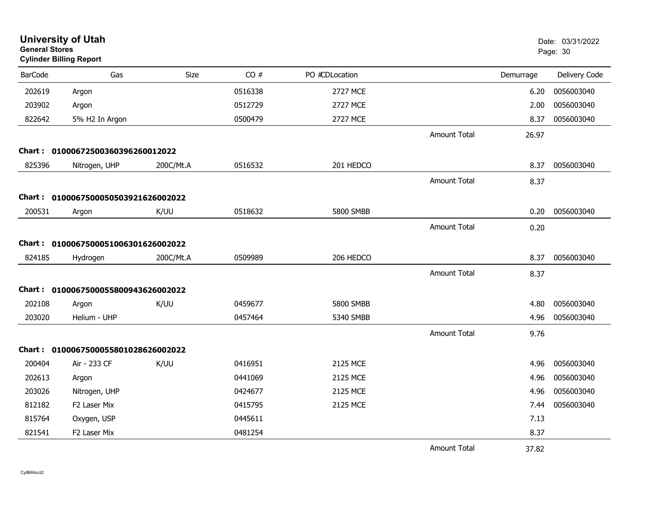|                | <b>University of Utah</b><br><b>General Stores</b><br><b>Cylinder Billing Report</b> |           |         |                |                     |           | Date: 03/31/2022<br>Page: 30 |
|----------------|--------------------------------------------------------------------------------------|-----------|---------|----------------|---------------------|-----------|------------------------------|
| <b>BarCode</b> | Gas                                                                                  | Size      | CO#     | PO #CDLocation |                     | Demurrage | Delivery Code                |
| 202619         | Argon                                                                                |           | 0516338 | 2727 MCE       |                     | 6.20      | 0056003040                   |
| 203902         | Argon                                                                                |           | 0512729 | 2727 MCE       |                     | 2.00      | 0056003040                   |
| 822642         | 5% H2 In Argon                                                                       |           | 0500479 | 2727 MCE       |                     | 8.37      | 0056003040                   |
|                |                                                                                      |           |         |                | <b>Amount Total</b> | 26.97     |                              |
|                | Chart: 01000672500360396260012022                                                    |           |         |                |                     |           |                              |
| 825396         | Nitrogen, UHP                                                                        | 200C/Mt.A | 0516532 | 201 HEDCO      |                     | 8.37      | 0056003040                   |
|                |                                                                                      |           |         |                | <b>Amount Total</b> | 8.37      |                              |
|                | Chart: 0100067500050503921626002022                                                  |           |         |                |                     |           |                              |
| 200531         | Argon                                                                                | K/UU      | 0518632 | 5800 SMBB      |                     | 0.20      | 0056003040                   |
|                |                                                                                      |           |         |                | <b>Amount Total</b> | 0.20      |                              |
|                | Chart: 0100067500051006301626002022                                                  |           |         |                |                     |           |                              |
| 824185         | Hydrogen                                                                             | 200C/Mt.A | 0509989 | 206 HEDCO      |                     | 8.37      | 0056003040                   |
|                |                                                                                      |           |         |                | <b>Amount Total</b> | 8.37      |                              |
|                | Chart: 0100067500055800943626002022                                                  |           |         |                |                     |           |                              |
| 202108         | Argon                                                                                | K/UU      | 0459677 | 5800 SMBB      |                     | 4.80      | 0056003040                   |
| 203020         | Helium - UHP                                                                         |           | 0457464 | 5340 SMBB      |                     | 4.96      | 0056003040                   |
|                |                                                                                      |           |         |                | <b>Amount Total</b> | 9.76      |                              |
|                | Chart: 0100067500055801028626002022                                                  |           |         |                |                     |           |                              |
| 200404         | Air - 233 CF                                                                         | K/UU      | 0416951 | 2125 MCE       |                     | 4.96      | 0056003040                   |
| 202613         | Argon                                                                                |           | 0441069 | 2125 MCE       |                     | 4.96      | 0056003040                   |
| 203026         | Nitrogen, UHP                                                                        |           | 0424677 | 2125 MCE       |                     | 4.96      | 0056003040                   |
| 812182         | F <sub>2</sub> Laser Mix                                                             |           | 0415795 | 2125 MCE       |                     | 7.44      | 0056003040                   |
| 815764         | Oxygen, USP                                                                          |           | 0445611 |                |                     | 7.13      |                              |
| 821541         | F2 Laser Mix                                                                         |           | 0481254 |                |                     | 8.37      |                              |
|                |                                                                                      |           |         |                | <b>Amount Total</b> | 37.82     |                              |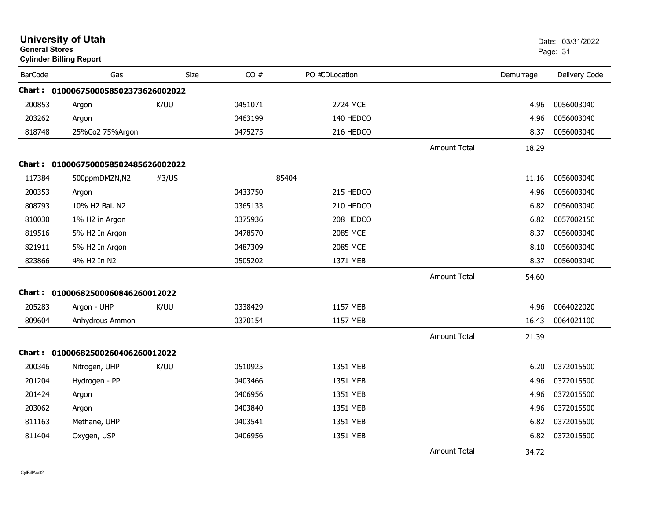| <b>General Stores</b> | <b>University of Utah</b><br><b>Cylinder Billing Report</b> |       |         |                | Date: 03/31/2022<br>Page: 31 |           |               |
|-----------------------|-------------------------------------------------------------|-------|---------|----------------|------------------------------|-----------|---------------|
| <b>BarCode</b>        | Gas                                                         | Size  | CO#     | PO #CDLocation |                              | Demurrage | Delivery Code |
|                       | Chart: 0100067500058502373626002022                         |       |         |                |                              |           |               |
| 200853                | Argon                                                       | K/UU  | 0451071 | 2724 MCE       |                              | 4.96      | 0056003040    |
| 203262                | Argon                                                       |       | 0463199 | 140 HEDCO      |                              | 4.96      | 0056003040    |
| 818748                | 25%Co2 75%Argon                                             |       | 0475275 | 216 HEDCO      |                              | 8.37      | 0056003040    |
|                       |                                                             |       |         |                | <b>Amount Total</b>          | 18.29     |               |
|                       | Chart: 0100067500058502485626002022                         |       |         |                |                              |           |               |
| 117384                | 500ppmDMZN,N2                                               | #3/US |         | 85404          |                              | 11.16     | 0056003040    |
| 200353                | Argon                                                       |       | 0433750 | 215 HEDCO      |                              | 4.96      | 0056003040    |
| 808793                | 10% H2 Bal. N2                                              |       | 0365133 | 210 HEDCO      |                              | 6.82      | 0056003040    |
| 810030                | 1% H2 in Argon                                              |       | 0375936 | 208 HEDCO      |                              | 6.82      | 0057002150    |
| 819516                | 5% H2 In Argon                                              |       | 0478570 | 2085 MCE       |                              | 8.37      | 0056003040    |
| 821911                | 5% H2 In Argon                                              |       | 0487309 | 2085 MCE       |                              | 8.10      | 0056003040    |
| 823866                | 4% H2 In N2                                                 |       | 0505202 | 1371 MEB       |                              | 8.37      | 0056003040    |
|                       |                                                             |       |         |                | <b>Amount Total</b>          | 54.60     |               |
| Chart :               | 01000682500060846260012022                                  |       |         |                |                              |           |               |
| 205283                | Argon - UHP                                                 | K/UU  | 0338429 | 1157 MEB       |                              | 4.96      | 0064022020    |
| 809604                | Anhydrous Ammon                                             |       | 0370154 | 1157 MEB       |                              | 16.43     | 0064021100    |
|                       |                                                             |       |         |                | <b>Amount Total</b>          | 21.39     |               |
|                       | Chart: 01000682500260406260012022                           |       |         |                |                              |           |               |
| 200346                | Nitrogen, UHP                                               | K/UU  | 0510925 | 1351 MEB       |                              | 6.20      | 0372015500    |
| 201204                | Hydrogen - PP                                               |       | 0403466 | 1351 MEB       |                              | 4.96      | 0372015500    |
| 201424                | Argon                                                       |       | 0406956 | 1351 MEB       |                              | 4.96      | 0372015500    |
| 203062                | Argon                                                       |       | 0403840 | 1351 MEB       |                              | 4.96      | 0372015500    |
| 811163                | Methane, UHP                                                |       | 0403541 | 1351 MEB       |                              | 6.82      | 0372015500    |
| 811404                | Oxygen, USP                                                 |       | 0406956 | 1351 MEB       |                              | 6.82      | 0372015500    |
|                       |                                                             |       |         |                | <b>Amount Total</b>          | 34.72     |               |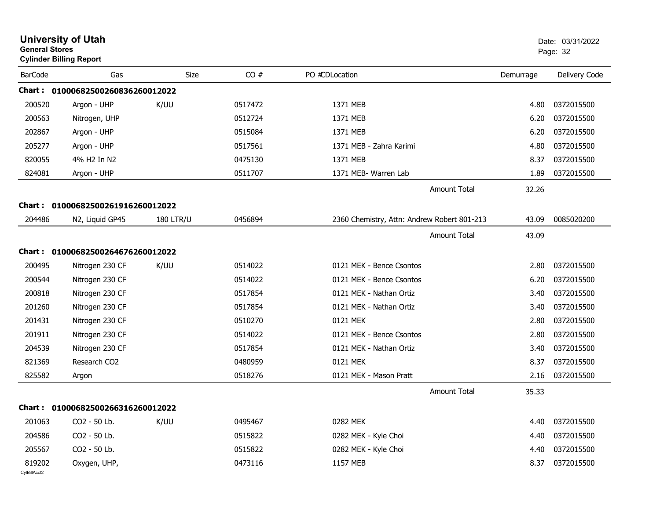| <b>General Stores</b>  | <b>University of Utah</b><br><b>Cylinder Billing Report</b> |                  |         |                                             |           | Date: 03/31/2022<br>Page: 32 |
|------------------------|-------------------------------------------------------------|------------------|---------|---------------------------------------------|-----------|------------------------------|
| <b>BarCode</b>         | Gas                                                         | Size             | CO#     | PO #CDLocation                              | Demurrage | Delivery Code                |
|                        | Chart: 01000682500260836260012022                           |                  |         |                                             |           |                              |
| 200520                 | Argon - UHP                                                 | K/UU             | 0517472 | 1371 MEB                                    | 4.80      | 0372015500                   |
| 200563                 | Nitrogen, UHP                                               |                  | 0512724 | 1371 MEB                                    | 6.20      | 0372015500                   |
| 202867                 | Argon - UHP                                                 |                  | 0515084 | 1371 MEB                                    | 6.20      | 0372015500                   |
| 205277                 | Argon - UHP                                                 |                  | 0517561 | 1371 MEB - Zahra Karimi                     | 4.80      | 0372015500                   |
| 820055                 | 4% H <sub>2</sub> In N <sub>2</sub>                         |                  | 0475130 | 1371 MEB                                    | 8.37      | 0372015500                   |
| 824081                 | Argon - UHP                                                 |                  | 0511707 | 1371 MEB- Warren Lab                        | 1.89      | 0372015500                   |
|                        |                                                             |                  |         | <b>Amount Total</b>                         | 32.26     |                              |
|                        | Chart: 01000682500261916260012022                           |                  |         |                                             |           |                              |
| 204486                 | N2, Liquid GP45                                             | <b>180 LTR/U</b> | 0456894 | 2360 Chemistry, Attn: Andrew Robert 801-213 | 43.09     | 0085020200                   |
|                        |                                                             |                  |         | <b>Amount Total</b>                         | 43.09     |                              |
|                        | Chart: 01000682500264676260012022                           |                  |         |                                             |           |                              |
| 200495                 | Nitrogen 230 CF                                             | K/UU             | 0514022 | 0121 MEK - Bence Csontos                    | 2.80      | 0372015500                   |
| 200544                 | Nitrogen 230 CF                                             |                  | 0514022 | 0121 MEK - Bence Csontos                    | 6.20      | 0372015500                   |
| 200818                 | Nitrogen 230 CF                                             |                  | 0517854 | 0121 MEK - Nathan Ortiz                     | 3.40      | 0372015500                   |
| 201260                 | Nitrogen 230 CF                                             |                  | 0517854 | 0121 MEK - Nathan Ortiz                     | 3.40      | 0372015500                   |
| 201431                 | Nitrogen 230 CF                                             |                  | 0510270 | 0121 MEK                                    | 2.80      | 0372015500                   |
| 201911                 | Nitrogen 230 CF                                             |                  | 0514022 | 0121 MEK - Bence Csontos                    | 2.80      | 0372015500                   |
| 204539                 | Nitrogen 230 CF                                             |                  | 0517854 | 0121 MEK - Nathan Ortiz                     | 3.40      | 0372015500                   |
| 821369                 | Research CO2                                                |                  | 0480959 | 0121 MEK                                    | 8.37      | 0372015500                   |
| 825582                 | Argon                                                       |                  | 0518276 | 0121 MEK - Mason Pratt                      | 2.16      | 0372015500                   |
|                        |                                                             |                  |         | <b>Amount Total</b>                         | 35.33     |                              |
|                        | Chart: 01000682500266316260012022                           |                  |         |                                             |           |                              |
| 201063                 | CO2 - 50 Lb.                                                | K/UU             | 0495467 | 0282 MEK                                    | 4.40      | 0372015500                   |
| 204586                 | CO2 - 50 Lb.                                                |                  | 0515822 | 0282 MEK - Kyle Choi                        | 4.40      | 0372015500                   |
| 205567                 | CO2 - 50 Lb.                                                |                  | 0515822 | 0282 MEK - Kyle Choi                        | 4.40      | 0372015500                   |
| 819202<br>CylBillAcct2 | Oxygen, UHP,                                                |                  | 0473116 | 1157 MEB                                    | 8.37      | 0372015500                   |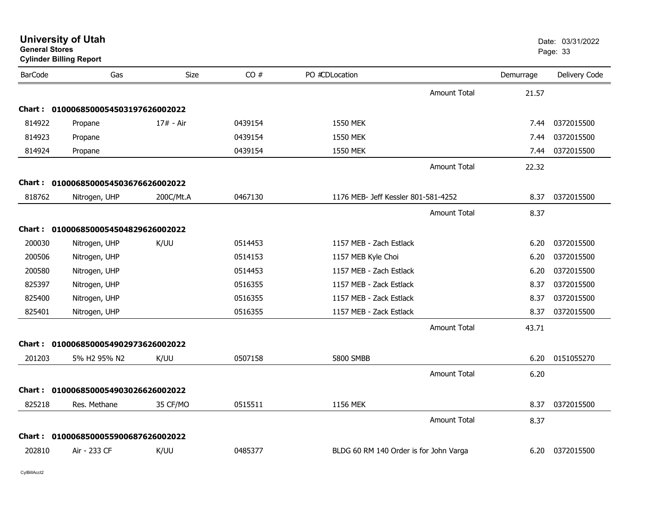| <b>General Stores</b><br><b>Cylinder Billing Report</b> |                                      |             |         |                                        |           | Page: 33      |
|---------------------------------------------------------|--------------------------------------|-------------|---------|----------------------------------------|-----------|---------------|
| <b>BarCode</b>                                          | Gas                                  | Size        | CO#     | PO #CDLocation                         | Demurrage | Delivery Code |
|                                                         |                                      |             |         | <b>Amount Total</b>                    | 21.57     |               |
|                                                         | Chart: 0100068500054503197626002022  |             |         |                                        |           |               |
| 814922                                                  | Propane                              | $17# - Air$ | 0439154 | <b>1550 MEK</b>                        | 7.44      | 0372015500    |
| 814923                                                  | Propane                              |             | 0439154 | <b>1550 MEK</b>                        | 7.44      | 0372015500    |
| 814924                                                  | Propane                              |             | 0439154 | <b>1550 MEK</b>                        | 7.44      | 0372015500    |
|                                                         |                                      |             |         | Amount Total                           | 22.32     |               |
|                                                         | Chart: 0100068500054503676626002022  |             |         |                                        |           |               |
| 818762                                                  | Nitrogen, UHP                        | 200C/Mt.A   | 0467130 | 1176 MEB- Jeff Kessler 801-581-4252    | 8.37      | 0372015500    |
|                                                         |                                      |             |         | <b>Amount Total</b>                    | 8.37      |               |
|                                                         | Chart: 0100068500054504829626002022  |             |         |                                        |           |               |
| 200030                                                  | Nitrogen, UHP                        | K/UU        | 0514453 | 1157 MEB - Zach Estlack                | 6.20      | 0372015500    |
| 200506                                                  | Nitrogen, UHP                        |             | 0514153 | 1157 MEB Kyle Choi                     | 6.20      | 0372015500    |
| 200580                                                  | Nitrogen, UHP                        |             | 0514453 | 1157 MEB - Zach Estlack                | 6.20      | 0372015500    |
| 825397                                                  | Nitrogen, UHP                        |             | 0516355 | 1157 MEB - Zack Estlack                | 8.37      | 0372015500    |
| 825400                                                  | Nitrogen, UHP                        |             | 0516355 | 1157 MEB - Zack Estlack                | 8.37      | 0372015500    |
| 825401                                                  | Nitrogen, UHP                        |             | 0516355 | 1157 MEB - Zack Estlack                | 8.37      | 0372015500    |
|                                                         |                                      |             |         | <b>Amount Total</b>                    | 43.71     |               |
|                                                         | Chart: 0100068500054902973626002022  |             |         |                                        |           |               |
| 201203                                                  | 5% H <sub>2</sub> 95% N <sub>2</sub> | K/UU        | 0507158 | 5800 SMBB                              | 6.20      | 0151055270    |
|                                                         |                                      |             |         | <b>Amount Total</b>                    | 6.20      |               |
| Chart :                                                 | 0100068500054903026626002022         |             |         |                                        |           |               |
| 825218                                                  | Res. Methane                         | 35 CF/MO    | 0515511 | 1156 MEK                               | 8.37      | 0372015500    |
|                                                         |                                      |             |         | <b>Amount Total</b>                    | 8.37      |               |
| Chart :                                                 | 0100068500055900687626002022         |             |         |                                        |           |               |
| 202810                                                  | Air - 233 CF                         | K/UU        | 0485377 | BLDG 60 RM 140 Order is for John Varga | 6.20      | 0372015500    |
|                                                         |                                      |             |         |                                        |           |               |

**University of Utah** Date: 03/31/2022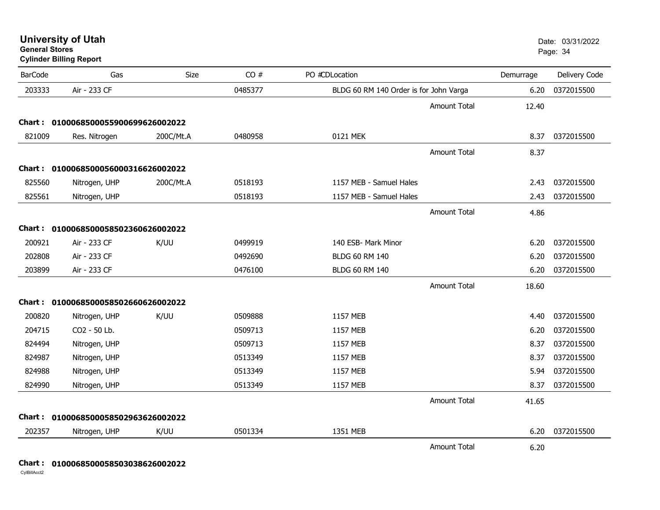**Cylinder Billing Report**

| <b>BarCode</b> | Gas                                 | <b>Size</b> | CO#     | PO #CDLocation                         |                     | Demurrage | Delivery Code |
|----------------|-------------------------------------|-------------|---------|----------------------------------------|---------------------|-----------|---------------|
| 203333         | Air - 233 CF                        |             | 0485377 | BLDG 60 RM 140 Order is for John Varga |                     | 6.20      | 0372015500    |
|                |                                     |             |         |                                        | <b>Amount Total</b> | 12.40     |               |
|                | Chart: 0100068500055900699626002022 |             |         |                                        |                     |           |               |
| 821009         | Res. Nitrogen                       | 200C/Mt.A   | 0480958 | 0121 MEK                               |                     | 8.37      | 0372015500    |
|                |                                     |             |         |                                        | <b>Amount Total</b> | 8.37      |               |
|                | Chart: 0100068500056000316626002022 |             |         |                                        |                     |           |               |
| 825560         | Nitrogen, UHP                       | 200C/Mt.A   | 0518193 | 1157 MEB - Samuel Hales                |                     | 2.43      | 0372015500    |
| 825561         | Nitrogen, UHP                       |             | 0518193 | 1157 MEB - Samuel Hales                |                     | 2.43      | 0372015500    |
|                |                                     |             |         |                                        | <b>Amount Total</b> | 4.86      |               |
|                | Chart: 0100068500058502360626002022 |             |         |                                        |                     |           |               |
| 200921         | Air - 233 CF                        | K/UU        | 0499919 | 140 ESB- Mark Minor                    |                     | 6.20      | 0372015500    |
| 202808         | Air - 233 CF                        |             | 0492690 | <b>BLDG 60 RM 140</b>                  |                     | 6.20      | 0372015500    |
| 203899         | Air - 233 CF                        |             | 0476100 | <b>BLDG 60 RM 140</b>                  |                     | 6.20      | 0372015500    |
|                |                                     |             |         |                                        | <b>Amount Total</b> | 18.60     |               |
|                | Chart: 0100068500058502660626002022 |             |         |                                        |                     |           |               |
| 200820         | Nitrogen, UHP                       | K/UU        | 0509888 | 1157 MEB                               |                     | 4.40      | 0372015500    |
| 204715         | CO2 - 50 Lb.                        |             | 0509713 | 1157 MEB                               |                     | 6.20      | 0372015500    |
| 824494         | Nitrogen, UHP                       |             | 0509713 | 1157 MEB                               |                     | 8.37      | 0372015500    |
| 824987         | Nitrogen, UHP                       |             | 0513349 | 1157 MEB                               |                     | 8.37      | 0372015500    |
| 824988         | Nitrogen, UHP                       |             | 0513349 | 1157 MEB                               |                     | 5.94      | 0372015500    |
| 824990         | Nitrogen, UHP                       |             | 0513349 | 1157 MEB                               |                     | 8.37      | 0372015500    |
|                |                                     |             |         |                                        | <b>Amount Total</b> | 41.65     |               |
|                | Chart: 0100068500058502963626002022 |             |         |                                        |                     |           |               |
| 202357         | Nitrogen, UHP                       | K/UU        | 0501334 | 1351 MEB                               |                     | 6.20      | 0372015500    |
|                |                                     |             |         |                                        | <b>Amount Total</b> | 6.20      |               |

### **Chart : 0100068500058503038626002022**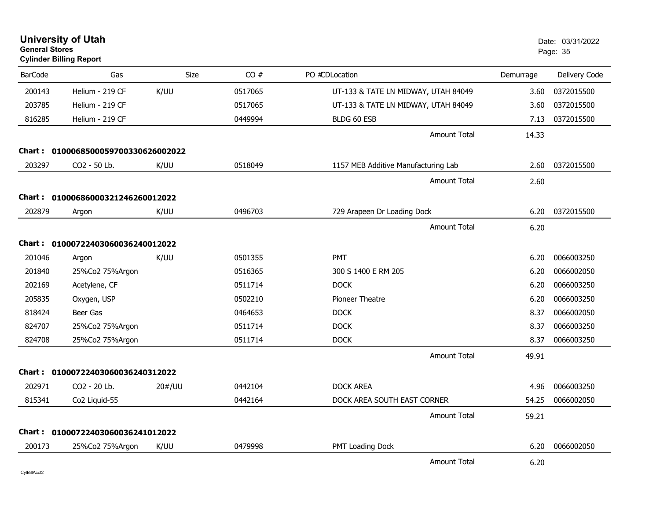| <b>General Stores</b> | <b>University of Utah</b><br><b>Cylinder Billing Report</b> |        |             |                                     |           | Date: 03/31/2022<br>Page: 35 |
|-----------------------|-------------------------------------------------------------|--------|-------------|-------------------------------------|-----------|------------------------------|
| <b>BarCode</b>        | Gas                                                         |        | Size<br>CO# | PO #CDLocation                      | Demurrage | Delivery Code                |
| 200143                | Helium - 219 CF                                             | K/UU   | 0517065     | UT-133 & TATE LN MIDWAY, UTAH 84049 | 3.60      | 0372015500                   |
| 203785                | Helium - 219 CF                                             |        | 0517065     | UT-133 & TATE LN MIDWAY, UTAH 84049 | 3.60      | 0372015500                   |
| 816285                | Helium - 219 CF                                             |        | 0449994     | BLDG 60 ESB                         | 7.13      | 0372015500                   |
|                       |                                                             |        |             | <b>Amount Total</b>                 | 14.33     |                              |
|                       | Chart: 0100068500059700330626002022                         |        |             |                                     |           |                              |
| 203297                | CO <sub>2</sub> - 50 Lb.                                    | K/UU   | 0518049     | 1157 MEB Additive Manufacturing Lab | 2.60      | 0372015500                   |
|                       |                                                             |        |             | <b>Amount Total</b>                 | 2.60      |                              |
|                       | Chart: 01000686000321246260012022                           |        |             |                                     |           |                              |
| 202879                | Argon                                                       | K/UU   | 0496703     | 729 Arapeen Dr Loading Dock         | 6.20      | 0372015500                   |
|                       |                                                             |        |             | <b>Amount Total</b>                 | 6.20      |                              |
|                       | Chart: 01000722403060036240012022                           |        |             |                                     |           |                              |
| 201046                | Argon                                                       | K/UU   | 0501355     | <b>PMT</b>                          | 6.20      | 0066003250                   |
| 201840                | 25%Co2 75%Argon                                             |        | 0516365     | 300 S 1400 E RM 205                 | 6.20      | 0066002050                   |
| 202169                | Acetylene, CF                                               |        | 0511714     | <b>DOCK</b>                         | 6.20      | 0066003250                   |
| 205835                | Oxygen, USP                                                 |        | 0502210     | Pioneer Theatre                     | 6.20      | 0066003250                   |
| 818424                | Beer Gas                                                    |        | 0464653     | <b>DOCK</b>                         | 8.37      | 0066002050                   |
| 824707                | 25%Co2 75%Argon                                             |        | 0511714     | <b>DOCK</b>                         | 8.37      | 0066003250                   |
| 824708                | 25%Co2 75%Argon                                             |        | 0511714     | <b>DOCK</b>                         | 8.37      | 0066003250                   |
|                       |                                                             |        |             | <b>Amount Total</b>                 | 49.91     |                              |
|                       | Chart: 01000722403060036240312022                           |        |             |                                     |           |                              |
| 202971                | CO2 - 20 Lb.                                                | 20#/UU | 0442104     | <b>DOCK AREA</b>                    | 4.96      | 0066003250                   |
| 815341                | Co2 Liquid-55                                               |        | 0442164     | DOCK AREA SOUTH EAST CORNER         | 54.25     | 0066002050                   |
|                       |                                                             |        |             | <b>Amount Total</b>                 | 59.21     |                              |
|                       | Chart: 01000722403060036241012022                           |        |             |                                     |           |                              |
| 200173                | 25%Co2 75%Argon                                             | K/UU   | 0479998     | PMT Loading Dock                    | 6.20      | 0066002050                   |
|                       |                                                             |        |             | <b>Amount Total</b>                 | 6.20      |                              |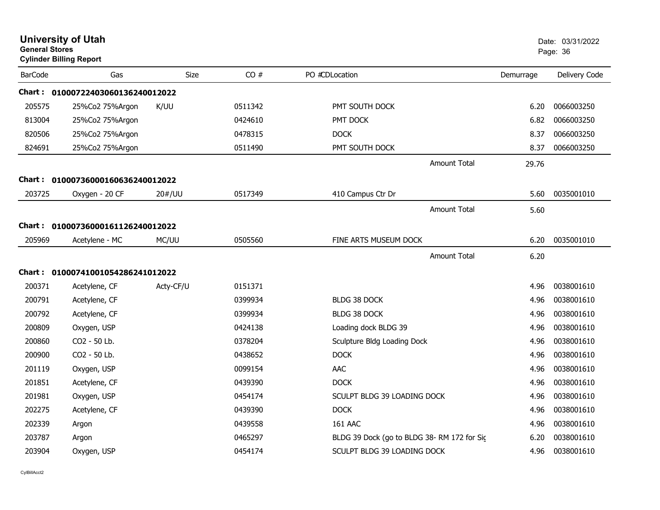| <b>University of Utah</b><br><b>General Stores</b><br><b>Cylinder Billing Report</b> |                                   |             |         |                                            | Date: 03/31/2022<br>Page: 36 |               |
|--------------------------------------------------------------------------------------|-----------------------------------|-------------|---------|--------------------------------------------|------------------------------|---------------|
| <b>BarCode</b>                                                                       | Gas                               | <b>Size</b> | CO#     | PO #CDLocation                             | Demurrage                    | Delivery Code |
|                                                                                      | Chart: 01000722403060136240012022 |             |         |                                            |                              |               |
| 205575                                                                               | 25%Co2 75%Argon                   | K/UU        | 0511342 | PMT SOUTH DOCK                             | 6.20                         | 0066003250    |
| 813004                                                                               | 25%Co2 75%Argon                   |             | 0424610 | PMT DOCK                                   | 6.82                         | 0066003250    |
| 820506                                                                               | 25%Co2 75%Argon                   |             | 0478315 | <b>DOCK</b>                                | 8.37                         | 0066003250    |
| 824691                                                                               | 25%Co2 75%Argon                   |             | 0511490 | PMT SOUTH DOCK                             | 8.37                         | 0066003250    |
|                                                                                      |                                   |             |         | <b>Amount Total</b>                        | 29.76                        |               |
|                                                                                      | Chart: 01000736000160636240012022 |             |         |                                            |                              |               |
| 203725                                                                               | Oxygen - 20 CF                    | 20#/UU      | 0517349 | 410 Campus Ctr Dr                          | 5.60                         | 0035001010    |
|                                                                                      |                                   |             |         | <b>Amount Total</b>                        | 5.60                         |               |
|                                                                                      | Chart: 01000736000161126240012022 |             |         |                                            |                              |               |
| 205969                                                                               | Acetylene - MC                    | MC/UU       | 0505560 | FINE ARTS MUSEUM DOCK                      | 6.20                         | 0035001010    |
|                                                                                      |                                   |             |         | <b>Amount Total</b>                        | 6.20                         |               |
|                                                                                      | Chart: 01000741001054286241012022 |             |         |                                            |                              |               |
| 200371                                                                               | Acetylene, CF                     | Acty-CF/U   | 0151371 |                                            | 4.96                         | 0038001610    |
| 200791                                                                               | Acetylene, CF                     |             | 0399934 | <b>BLDG 38 DOCK</b>                        | 4.96                         | 0038001610    |
| 200792                                                                               | Acetylene, CF                     |             | 0399934 | <b>BLDG 38 DOCK</b>                        | 4.96                         | 0038001610    |
| 200809                                                                               | Oxygen, USP                       |             | 0424138 | Loading dock BLDG 39                       | 4.96                         | 0038001610    |
| 200860                                                                               | CO2 - 50 Lb.                      |             | 0378204 | Sculpture Bldg Loading Dock                | 4.96                         | 0038001610    |
| 200900                                                                               | CO2 - 50 Lb.                      |             | 0438652 | <b>DOCK</b>                                | 4.96                         | 0038001610    |
| 201119                                                                               | Oxygen, USP                       |             | 0099154 | AAC                                        | 4.96                         | 0038001610    |
| 201851                                                                               | Acetylene, CF                     |             | 0439390 | <b>DOCK</b>                                | 4.96                         | 0038001610    |
| 201981                                                                               | Oxygen, USP                       |             | 0454174 | SCULPT BLDG 39 LOADING DOCK                | 4.96                         | 0038001610    |
| 202275                                                                               | Acetylene, CF                     |             | 0439390 | <b>DOCK</b>                                | 4.96                         | 0038001610    |
| 202339                                                                               | Argon                             |             | 0439558 | 161 AAC                                    | 4.96                         | 0038001610    |
| 203787                                                                               | Argon                             |             | 0465297 | BLDG 39 Dock (go to BLDG 38-RM 172 for Sic | 6.20                         | 0038001610    |
| 203904                                                                               | Oxygen, USP                       |             | 0454174 | SCULPT BLDG 39 LOADING DOCK                | 4.96                         | 0038001610    |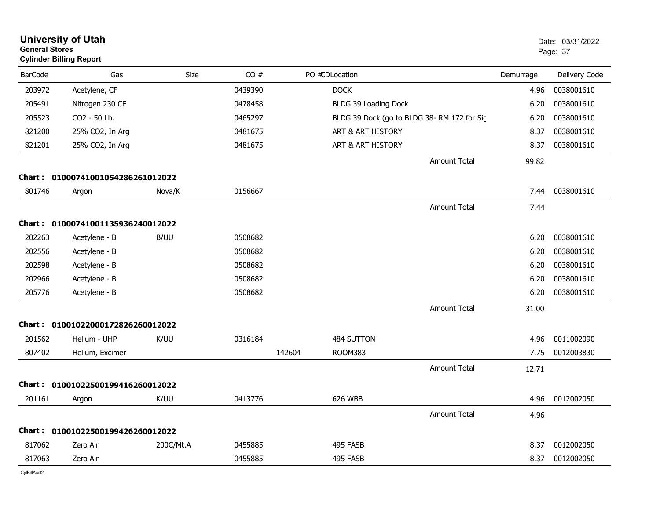| <b>General Stores</b> | <b>University of Utah</b><br><b>Cylinder Billing Report</b> |           |         |        |                                            |           | Date: 03/31/2022<br>Page: 37 |
|-----------------------|-------------------------------------------------------------|-----------|---------|--------|--------------------------------------------|-----------|------------------------------|
| <b>BarCode</b>        | Gas                                                         | Size      | CO#     |        | PO #CDLocation                             | Demurrage | Delivery Code                |
| 203972                | Acetylene, CF                                               |           | 0439390 |        | <b>DOCK</b>                                | 4.96      | 0038001610                   |
| 205491                | Nitrogen 230 CF                                             |           | 0478458 |        | BLDG 39 Loading Dock                       | 6.20      | 0038001610                   |
| 205523                | CO2 - 50 Lb.                                                |           | 0465297 |        | BLDG 39 Dock (go to BLDG 38-RM 172 for Sig | 6.20      | 0038001610                   |
| 821200                | 25% CO2, In Arg                                             |           | 0481675 |        | ART & ART HISTORY                          | 8.37      | 0038001610                   |
| 821201                | 25% CO2, In Arg                                             |           | 0481675 |        | ART & ART HISTORY                          | 8.37      | 0038001610                   |
|                       |                                                             |           |         |        | <b>Amount Total</b>                        | 99.82     |                              |
|                       | Chart: 01000741001054286261012022                           |           |         |        |                                            |           |                              |
| 801746                | Argon                                                       | Nova/K    | 0156667 |        |                                            | 7.44      | 0038001610                   |
|                       |                                                             |           |         |        | <b>Amount Total</b>                        | 7.44      |                              |
|                       | Chart: 01000741001135936240012022                           |           |         |        |                                            |           |                              |
| 202263                | Acetylene - B                                               | B/UU      | 0508682 |        |                                            | 6.20      | 0038001610                   |
| 202556                | Acetylene - B                                               |           | 0508682 |        |                                            | 6.20      | 0038001610                   |
| 202598                | Acetylene - B                                               |           | 0508682 |        |                                            | 6.20      | 0038001610                   |
| 202966                | Acetylene - B                                               |           | 0508682 |        |                                            | 6.20      | 0038001610                   |
| 205776                | Acetylene - B                                               |           | 0508682 |        |                                            | 6.20      | 0038001610                   |
|                       |                                                             |           |         |        | <b>Amount Total</b>                        | 31.00     |                              |
|                       | Chart: 01001022000172826260012022                           |           |         |        |                                            |           |                              |
| 201562                | Helium - UHP                                                | K/UU      | 0316184 |        | 484 SUTTON                                 | 4.96      | 0011002090                   |
| 807402                | Helium, Excimer                                             |           |         | 142604 | ROOM383                                    | 7.75      | 0012003830                   |
|                       |                                                             |           |         |        | <b>Amount Total</b>                        | 12.71     |                              |
|                       | Chart: 01001022500199416260012022                           |           |         |        |                                            |           |                              |
| 201161                | Argon                                                       | K/UU      | 0413776 |        | 626 WBB                                    | 4.96      | 0012002050                   |
|                       |                                                             |           |         |        | Amount Total                               | 4.96      |                              |
|                       | Chart: 01001022500199426260012022                           |           |         |        |                                            |           |                              |
| 817062                | Zero Air                                                    | 200C/Mt.A | 0455885 |        | 495 FASB                                   | 8.37      | 0012002050                   |
| 817063                | Zero Air                                                    |           | 0455885 |        | 495 FASB                                   | 8.37      | 0012002050                   |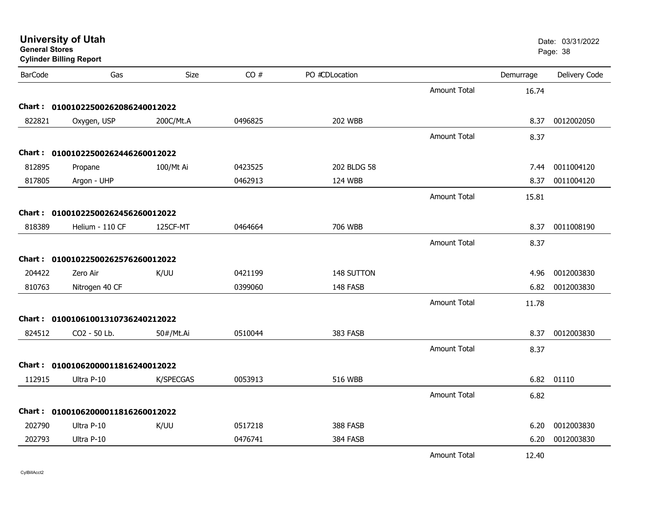| <b>General Stores</b> | <b>Cylinder Billing Report</b>    |           |         |                |                     |           | Page: 38      |
|-----------------------|-----------------------------------|-----------|---------|----------------|---------------------|-----------|---------------|
| <b>BarCode</b>        | Gas                               | Size      | CO#     | PO #CDLocation |                     | Demurrage | Delivery Code |
|                       |                                   |           |         |                | <b>Amount Total</b> | 16.74     |               |
|                       | Chart: 01001022500262086240012022 |           |         |                |                     |           |               |
| 822821                | Oxygen, USP                       | 200C/Mt.A | 0496825 | <b>202 WBB</b> |                     | 8.37      | 0012002050    |
|                       |                                   |           |         |                | <b>Amount Total</b> | 8.37      |               |
|                       | Chart: 01001022500262446260012022 |           |         |                |                     |           |               |
| 812895                | Propane                           | 100/Mt Ai | 0423525 | 202 BLDG 58    |                     | 7.44      | 0011004120    |
| 817805                | Argon - UHP                       |           | 0462913 | 124 WBB        |                     | 8.37      | 0011004120    |
|                       |                                   |           |         |                | <b>Amount Total</b> | 15.81     |               |
|                       | Chart: 01001022500262456260012022 |           |         |                |                     |           |               |
| 818389                | Helium - 110 CF                   | 125CF-MT  | 0464664 | 706 WBB        |                     | 8.37      | 0011008190    |
|                       |                                   |           |         |                | <b>Amount Total</b> | 8.37      |               |
|                       | Chart: 01001022500262576260012022 |           |         |                |                     |           |               |
| 204422                | Zero Air                          | K/UU      | 0421199 | 148 SUTTON     |                     | 4.96      | 0012003830    |
| 810763                | Nitrogen 40 CF                    |           | 0399060 | 148 FASB       |                     | 6.82      | 0012003830    |
|                       |                                   |           |         |                | <b>Amount Total</b> | 11.78     |               |
|                       | Chart: 01001061001310736240212022 |           |         |                |                     |           |               |
| 824512                | CO2 - 50 Lb.                      | 50#/Mt.Ai | 0510044 | 383 FASB       |                     | 8.37      | 0012003830    |
|                       |                                   |           |         |                | <b>Amount Total</b> | 8.37      |               |
|                       | Chart: 01001062000011816240012022 |           |         |                |                     |           |               |
| 112915                | Ultra P-10                        | K/SPECGAS | 0053913 | <b>516 WBB</b> |                     | 6.82      | 01110         |
|                       |                                   |           |         |                | <b>Amount Total</b> | 6.82      |               |
|                       | Chart: 01001062000011816260012022 |           |         |                |                     |           |               |
| 202790                | Ultra P-10                        | K/UU      | 0517218 | 388 FASB       |                     | 6.20      | 0012003830    |
| 202793                | Ultra P-10                        |           | 0476741 | 384 FASB       |                     | 6.20      | 0012003830    |
|                       |                                   |           |         |                | <b>Amount Total</b> | 12.40     |               |

**University of Utah** Date: 03/31/2022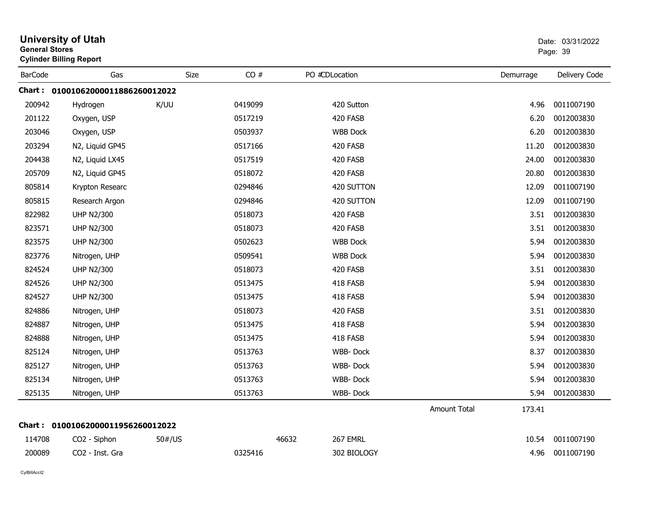|                | <b>University of Utah</b><br><b>General Stores</b><br><b>Cylinder Billing Report</b> |        |         |                   |                     |           | Date: 03/31/2022<br>Page: 39 |  |
|----------------|--------------------------------------------------------------------------------------|--------|---------|-------------------|---------------------|-----------|------------------------------|--|
| <b>BarCode</b> | Gas                                                                                  | Size   | CO#     | PO #CDLocation    |                     | Demurrage | Delivery Code                |  |
|                | Chart: 01001062000011886260012022                                                    |        |         |                   |                     |           |                              |  |
| 200942         | Hydrogen                                                                             | K/UU   | 0419099 | 420 Sutton        |                     | 4.96      | 0011007190                   |  |
| 201122         | Oxygen, USP                                                                          |        | 0517219 | 420 FASB          |                     | 6.20      | 0012003830                   |  |
| 203046         | Oxygen, USP                                                                          |        | 0503937 | <b>WBB Dock</b>   |                     | 6.20      | 0012003830                   |  |
| 203294         | N2, Liquid GP45                                                                      |        | 0517166 | 420 FASB          |                     | 11.20     | 0012003830                   |  |
| 204438         | N2, Liquid LX45                                                                      |        | 0517519 | 420 FASB          |                     | 24.00     | 0012003830                   |  |
| 205709         | N2, Liquid GP45                                                                      |        | 0518072 | 420 FASB          |                     | 20.80     | 0012003830                   |  |
| 805814         | Krypton Researc                                                                      |        | 0294846 | 420 SUTTON        |                     | 12.09     | 0011007190                   |  |
| 805815         | Research Argon                                                                       |        | 0294846 | 420 SUTTON        |                     | 12.09     | 0011007190                   |  |
| 822982         | <b>UHP N2/300</b>                                                                    |        | 0518073 | 420 FASB          |                     | 3.51      | 0012003830                   |  |
| 823571         | <b>UHP N2/300</b>                                                                    |        | 0518073 | 420 FASB          |                     | 3.51      | 0012003830                   |  |
| 823575         | <b>UHP N2/300</b>                                                                    |        | 0502623 | <b>WBB Dock</b>   |                     | 5.94      | 0012003830                   |  |
| 823776         | Nitrogen, UHP                                                                        |        | 0509541 | <b>WBB Dock</b>   |                     | 5.94      | 0012003830                   |  |
| 824524         | <b>UHP N2/300</b>                                                                    |        | 0518073 | 420 FASB          |                     | 3.51      | 0012003830                   |  |
| 824526         | <b>UHP N2/300</b>                                                                    |        | 0513475 | 418 FASB          |                     | 5.94      | 0012003830                   |  |
| 824527         | <b>UHP N2/300</b>                                                                    |        | 0513475 | 418 FASB          |                     | 5.94      | 0012003830                   |  |
| 824886         | Nitrogen, UHP                                                                        |        | 0518073 | 420 FASB          |                     | 3.51      | 0012003830                   |  |
| 824887         | Nitrogen, UHP                                                                        |        | 0513475 | 418 FASB          |                     | 5.94      | 0012003830                   |  |
| 824888         | Nitrogen, UHP                                                                        |        | 0513475 | 418 FASB          |                     | 5.94      | 0012003830                   |  |
| 825124         | Nitrogen, UHP                                                                        |        | 0513763 | WBB-Dock          |                     | 8.37      | 0012003830                   |  |
| 825127         | Nitrogen, UHP                                                                        |        | 0513763 | WBB-Dock          |                     | 5.94      | 0012003830                   |  |
| 825134         | Nitrogen, UHP                                                                        |        | 0513763 | WBB-Dock          |                     | 5.94      | 0012003830                   |  |
| 825135         | Nitrogen, UHP                                                                        |        | 0513763 | WBB-Dock          |                     | 5.94      | 0012003830                   |  |
|                |                                                                                      |        |         |                   | <b>Amount Total</b> | 173.41    |                              |  |
|                | Chart: 01001062000011956260012022                                                    |        |         |                   |                     |           |                              |  |
| 114708         | CO <sub>2</sub> - Siphon                                                             | 50#/US |         | 267 EMRL<br>46632 |                     | 10.54     | 0011007190                   |  |
| 200089         | CO2 - Inst. Gra                                                                      |        | 0325416 | 302 BIOLOGY       |                     | 4.96      | 0011007190                   |  |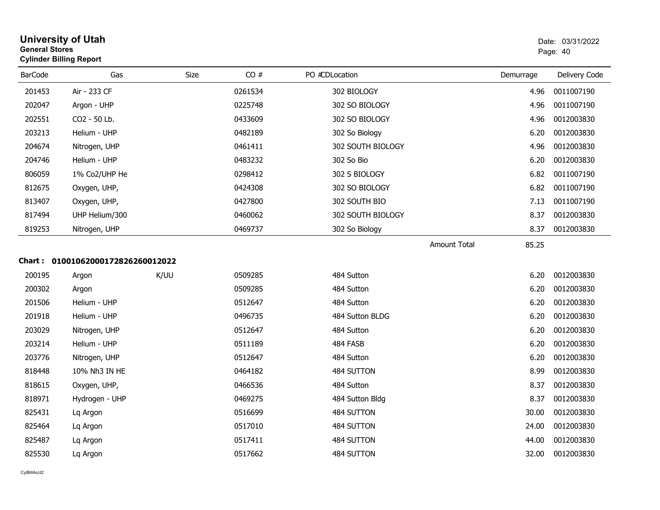| General Stores | <b>Cylinder Billing Report</b>    |      | Page: 40 |                   |                     |           |               |
|----------------|-----------------------------------|------|----------|-------------------|---------------------|-----------|---------------|
| <b>BarCode</b> | Gas                               | Size | CO#      | PO #CDLocation    |                     | Demurrage | Delivery Code |
| 201453         | Air - 233 CF                      |      | 0261534  | 302 BIOLOGY       |                     | 4.96      | 0011007190    |
| 202047         | Argon - UHP                       |      | 0225748  | 302 SO BIOLOGY    |                     | 4.96      | 0011007190    |
| 202551         | CO2 - 50 Lb.                      |      | 0433609  | 302 SO BIOLOGY    |                     | 4.96      | 0012003830    |
| 203213         | Helium - UHP                      |      | 0482189  | 302 So Biology    |                     | 6.20      | 0012003830    |
| 204674         | Nitrogen, UHP                     |      | 0461411  | 302 SOUTH BIOLOGY |                     | 4.96      | 0012003830    |
| 204746         | Helium - UHP                      |      | 0483232  | 302 So Bio        |                     | 6.20      | 0012003830    |
| 806059         | 1% Co2/UHP He                     |      | 0298412  | 302 S BIOLOGY     |                     | 6.82      | 0011007190    |
| 812675         | Oxygen, UHP,                      |      | 0424308  | 302 SO BIOLOGY    |                     | 6.82      | 0011007190    |
| 813407         | Oxygen, UHP,                      |      | 0427800  | 302 SOUTH BIO     |                     | 7.13      | 0011007190    |
| 817494         | UHP Helium/300                    |      | 0460062  | 302 SOUTH BIOLOGY |                     | 8.37      | 0012003830    |
| 819253         | Nitrogen, UHP                     |      | 0469737  | 302 So Biology    |                     | 8.37      | 0012003830    |
|                |                                   |      |          |                   | <b>Amount Total</b> | 85.25     |               |
|                | Chart: 01001062000172826260012022 |      |          |                   |                     |           |               |
| 200195         | Argon                             | K/UU | 0509285  | 484 Sutton        |                     | 6.20      | 0012003830    |
| 200302         | Argon                             |      | 0509285  | 484 Sutton        |                     | 6.20      | 0012003830    |
| 201506         | Helium - UHP                      |      | 0512647  | 484 Sutton        |                     | 6.20      | 0012003830    |
| 201918         | Helium - UHP                      |      | 0496735  | 484 Sutton BLDG   |                     | 6.20      | 0012003830    |
| 203029         | Nitrogen, UHP                     |      | 0512647  | 484 Sutton        |                     | 6.20      | 0012003830    |
| 203214         | Helium - UHP                      |      | 0511189  | 484 FASB          |                     | 6.20      | 0012003830    |
| 203776         | Nitrogen, UHP                     |      | 0512647  | 484 Sutton        |                     | 6.20      | 0012003830    |
| 818448         | 10% Nh3 IN HE                     |      | 0464182  | 484 SUTTON        |                     | 8.99      | 0012003830    |
| 818615         | Oxygen, UHP,                      |      | 0466536  | 484 Sutton        |                     | 8.37      | 0012003830    |
| 818971         | Hydrogen - UHP                    |      | 0469275  | 484 Sutton Bldg   |                     | 8.37      | 0012003830    |
| 825431         | Lq Argon                          |      | 0516699  | 484 SUTTON        |                     | 30.00     | 0012003830    |
| 825464         | Lq Argon                          |      | 0517010  | 484 SUTTON        |                     | 24.00     | 0012003830    |
| 825487         | Lq Argon                          |      | 0517411  | 484 SUTTON        |                     | 44.00     | 0012003830    |
| 825530         | Lg Argon                          |      | 0517662  | 484 SUTTON        |                     | 32.00     | 0012003830    |

# **University of Utah** Date: 03/31/2022 **General Stores**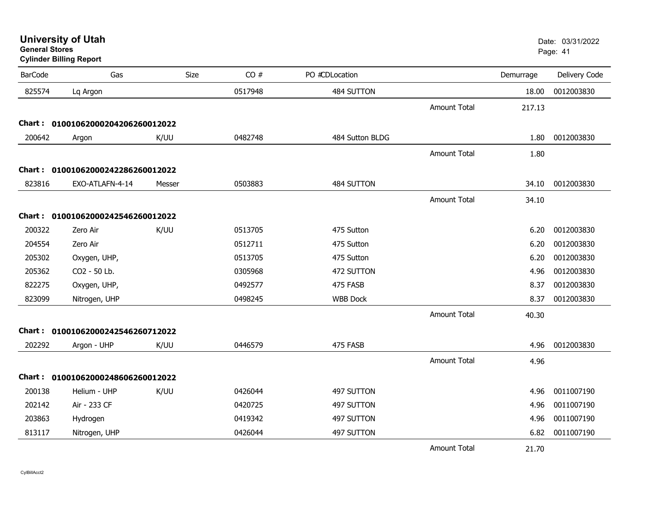| <b>General Stores</b> | <b>Cylinder Billing Report</b>    |        |         |                 |                     |           | Page: 41      |
|-----------------------|-----------------------------------|--------|---------|-----------------|---------------------|-----------|---------------|
| <b>BarCode</b>        | Gas                               | Size   | CO#     | PO #CDLocation  |                     | Demurrage | Delivery Code |
| 825574                | Lq Argon                          |        | 0517948 | 484 SUTTON      |                     | 18.00     | 0012003830    |
|                       |                                   |        |         |                 | <b>Amount Total</b> | 217.13    |               |
| Chart : _             | 01001062000204206260012022        |        |         |                 |                     |           |               |
| 200642                | Argon                             | K/UU   | 0482748 | 484 Sutton BLDG |                     | 1.80      | 0012003830    |
|                       |                                   |        |         |                 | <b>Amount Total</b> | 1.80      |               |
| <b>Chart :</b>        | 01001062000242286260012022        |        |         |                 |                     |           |               |
| 823816                | EXO-ATLAFN-4-14                   | Messer | 0503883 | 484 SUTTON      |                     | 34.10     | 0012003830    |
|                       |                                   |        |         |                 | <b>Amount Total</b> | 34.10     |               |
|                       | Chart: 01001062000242546260012022 |        |         |                 |                     |           |               |
| 200322                | Zero Air                          | K/UU   | 0513705 | 475 Sutton      |                     | 6.20      | 0012003830    |
| 204554                | Zero Air                          |        | 0512711 | 475 Sutton      |                     | 6.20      | 0012003830    |
| 205302                | Oxygen, UHP,                      |        | 0513705 | 475 Sutton      |                     | 6.20      | 0012003830    |
| 205362                | CO2 - 50 Lb.                      |        | 0305968 | 472 SUTTON      |                     | 4.96      | 0012003830    |
| 822275                | Oxygen, UHP,                      |        | 0492577 | 475 FASB        |                     | 8.37      | 0012003830    |
| 823099                | Nitrogen, UHP                     |        | 0498245 | <b>WBB Dock</b> |                     | 8.37      | 0012003830    |
|                       |                                   |        |         |                 | <b>Amount Total</b> | 40.30     |               |
| Chart :               | 01001062000242546260712022        |        |         |                 |                     |           |               |
| 202292                | Argon - UHP                       | K/UU   | 0446579 | 475 FASB        |                     | 4.96      | 0012003830    |
|                       |                                   |        |         |                 | <b>Amount Total</b> | 4.96      |               |
| Chart :               | 01001062000248606260012022        |        |         |                 |                     |           |               |
| 200138                | Helium - UHP                      | K/UU   | 0426044 | 497 SUTTON      |                     | 4.96      | 0011007190    |
| 202142                | Air - 233 CF                      |        | 0420725 | 497 SUTTON      |                     | 4.96      | 0011007190    |
| 203863                | Hydrogen                          |        | 0419342 | 497 SUTTON      |                     | 4.96      | 0011007190    |
| 813117                | Nitrogen, UHP                     |        | 0426044 | 497 SUTTON      |                     | 6.82      | 0011007190    |
|                       |                                   |        |         |                 | <b>Amount Total</b> | 21.70     |               |

**University of Utah** Date: 03/31/2022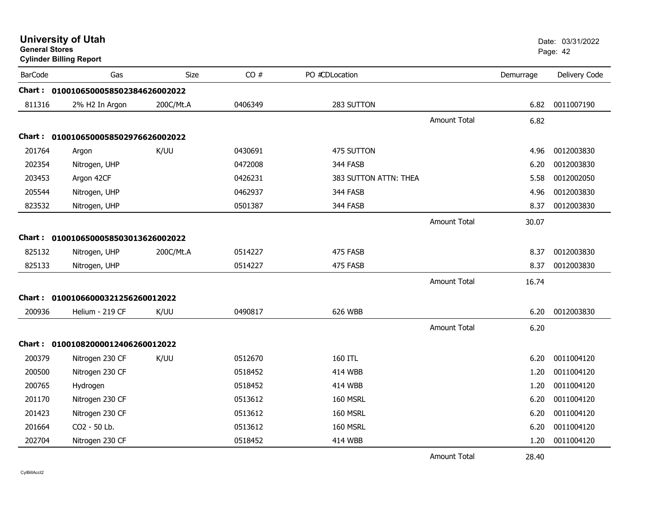| <b>General Stores</b> | <b>University of Utah</b><br><b>Cylinder Billing Report</b> |             |         |                       |                     |           | Date: 03/31/2022<br>Page: 42 |
|-----------------------|-------------------------------------------------------------|-------------|---------|-----------------------|---------------------|-----------|------------------------------|
| <b>BarCode</b>        | Gas                                                         | <b>Size</b> | CO#     | PO #CDLocation        |                     | Demurrage | Delivery Code                |
|                       | Chart: 0100106500058502384626002022                         |             |         |                       |                     |           |                              |
| 811316                | 2% H2 In Argon                                              | 200C/Mt.A   | 0406349 | 283 SUTTON            |                     | 6.82      | 0011007190                   |
|                       |                                                             |             |         |                       | Amount Total        | 6.82      |                              |
|                       | Chart: 0100106500058502976626002022                         |             |         |                       |                     |           |                              |
| 201764                | Argon                                                       | K/UU        | 0430691 | 475 SUTTON            |                     | 4.96      | 0012003830                   |
| 202354                | Nitrogen, UHP                                               |             | 0472008 | 344 FASB              |                     | 6.20      | 0012003830                   |
| 203453                | Argon 42CF                                                  |             | 0426231 | 383 SUTTON ATTN: THEA |                     | 5.58      | 0012002050                   |
| 205544                | Nitrogen, UHP                                               |             | 0462937 | 344 FASB              |                     | 4.96      | 0012003830                   |
| 823532                | Nitrogen, UHP                                               |             | 0501387 | 344 FASB              |                     | 8.37      | 0012003830                   |
|                       |                                                             |             |         |                       | Amount Total        | 30.07     |                              |
|                       | Chart: 0100106500058503013626002022                         |             |         |                       |                     |           |                              |
| 825132                | Nitrogen, UHP                                               | 200C/Mt.A   | 0514227 | 475 FASB              |                     | 8.37      | 0012003830                   |
| 825133                | Nitrogen, UHP                                               |             | 0514227 | 475 FASB              |                     | 8.37      | 0012003830                   |
|                       |                                                             |             |         |                       | Amount Total        | 16.74     |                              |
|                       | Chart: 01001066000321256260012022                           |             |         |                       |                     |           |                              |
| 200936                | Helium - 219 CF                                             | K/UU        | 0490817 | 626 WBB               |                     | 6.20      | 0012003830                   |
|                       |                                                             |             |         |                       | <b>Amount Total</b> | 6.20      |                              |
|                       | Chart: 01001082000012406260012022                           |             |         |                       |                     |           |                              |
| 200379                | Nitrogen 230 CF                                             | K/UU        | 0512670 | 160 ITL               |                     | 6.20      | 0011004120                   |
| 200500                | Nitrogen 230 CF                                             |             | 0518452 | 414 WBB               |                     | 1.20      | 0011004120                   |
| 200765                | Hydrogen                                                    |             | 0518452 | <b>414 WBB</b>        |                     | 1.20      | 0011004120                   |
| 201170                | Nitrogen 230 CF                                             |             | 0513612 | 160 MSRL              |                     | 6.20      | 0011004120                   |
| 201423                | Nitrogen 230 CF                                             |             | 0513612 | 160 MSRL              |                     | 6.20      | 0011004120                   |
| 201664                | CO2 - 50 Lb.                                                |             | 0513612 | 160 MSRL              |                     | 6.20      | 0011004120                   |
| 202704                | Nitrogen 230 CF                                             |             | 0518452 | <b>414 WBB</b>        |                     | 1.20      | 0011004120                   |
|                       |                                                             |             |         |                       | <b>Amount Total</b> | 28.40     |                              |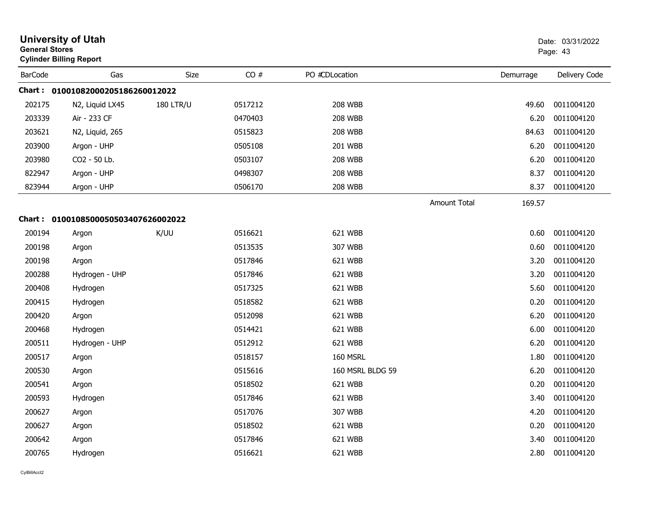| <b>University of Utah</b><br><b>General Stores</b><br><b>Cylinder Billing Report</b> |                                     |                  |         |                  | Date: 03/31/2022<br>Page: 43 |           |               |
|--------------------------------------------------------------------------------------|-------------------------------------|------------------|---------|------------------|------------------------------|-----------|---------------|
| <b>BarCode</b>                                                                       | Gas                                 | Size             | CO#     | PO #CDLocation   |                              | Demurrage | Delivery Code |
|                                                                                      | Chart: 01001082000205186260012022   |                  |         |                  |                              |           |               |
| 202175                                                                               | N2, Liquid LX45                     | <b>180 LTR/U</b> | 0517212 | <b>208 WBB</b>   |                              | 49.60     | 0011004120    |
| 203339                                                                               | Air - 233 CF                        |                  | 0470403 | <b>208 WBB</b>   |                              | 6.20      | 0011004120    |
| 203621                                                                               | N2, Liquid, 265                     |                  | 0515823 | <b>208 WBB</b>   |                              | 84.63     | 0011004120    |
| 203900                                                                               | Argon - UHP                         |                  | 0505108 | 201 WBB          |                              | 6.20      | 0011004120    |
| 203980                                                                               | CO2 - 50 Lb.                        |                  | 0503107 | <b>208 WBB</b>   |                              | 6.20      | 0011004120    |
| 822947                                                                               | Argon - UHP                         |                  | 0498307 | 208 WBB          |                              | 8.37      | 0011004120    |
| 823944                                                                               | Argon - UHP                         |                  | 0506170 | <b>208 WBB</b>   |                              | 8.37      | 0011004120    |
|                                                                                      |                                     |                  |         |                  | <b>Amount Total</b>          | 169.57    |               |
|                                                                                      | Chart: 0100108500050503407626002022 |                  |         |                  |                              |           |               |
| 200194                                                                               | Argon                               | K/UU             | 0516621 | 621 WBB          |                              | 0.60      | 0011004120    |
| 200198                                                                               | Argon                               |                  | 0513535 | 307 WBB          |                              | 0.60      | 0011004120    |
| 200198                                                                               | Argon                               |                  | 0517846 | 621 WBB          |                              | 3.20      | 0011004120    |
| 200288                                                                               | Hydrogen - UHP                      |                  | 0517846 | 621 WBB          |                              | 3.20      | 0011004120    |
| 200408                                                                               | Hydrogen                            |                  | 0517325 | 621 WBB          |                              | 5.60      | 0011004120    |
| 200415                                                                               | Hydrogen                            |                  | 0518582 | 621 WBB          |                              | 0.20      | 0011004120    |
| 200420                                                                               | Argon                               |                  | 0512098 | 621 WBB          |                              | 6.20      | 0011004120    |
| 200468                                                                               | Hydrogen                            |                  | 0514421 | 621 WBB          |                              | 6.00      | 0011004120    |
| 200511                                                                               | Hydrogen - UHP                      |                  | 0512912 | 621 WBB          |                              | 6.20      | 0011004120    |
| 200517                                                                               | Argon                               |                  | 0518157 | 160 MSRL         |                              | 1.80      | 0011004120    |
| 200530                                                                               | Argon                               |                  | 0515616 | 160 MSRL BLDG 59 |                              | 6.20      | 0011004120    |
| 200541                                                                               | Argon                               |                  | 0518502 | 621 WBB          |                              | 0.20      | 0011004120    |
| 200593                                                                               | Hydrogen                            |                  | 0517846 | 621 WBB          |                              | 3.40      | 0011004120    |
| 200627                                                                               | Argon                               |                  | 0517076 | 307 WBB          |                              | 4.20      | 0011004120    |
| 200627                                                                               | Argon                               |                  | 0518502 | 621 WBB          |                              | 0.20      | 0011004120    |
| 200642                                                                               | Argon                               |                  | 0517846 | 621 WBB          |                              | 3.40      | 0011004120    |
| 200765                                                                               | Hydrogen                            |                  | 0516621 | 621 WBB          |                              | 2.80      | 0011004120    |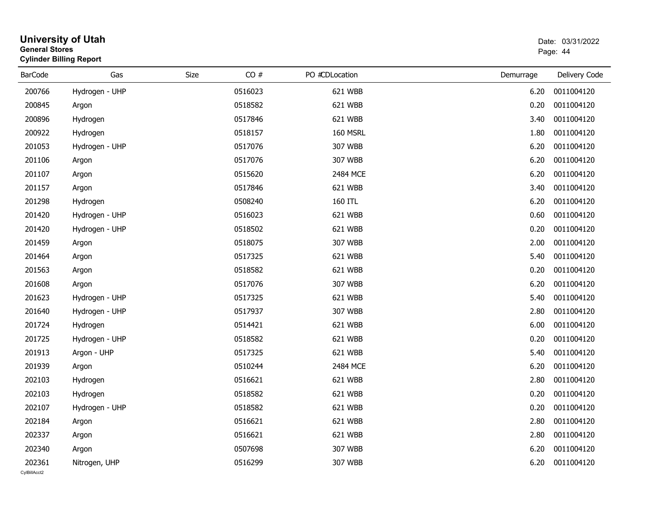| <b>General Stores</b>  | <b>University of Utah</b><br><b>Cylinder Billing Report</b> |      |         | Date: 03/31/2022<br>Page: 44 |           |                 |
|------------------------|-------------------------------------------------------------|------|---------|------------------------------|-----------|-----------------|
| <b>BarCode</b>         | Gas                                                         | Size | CO#     | PO #CDLocation               | Demurrage | Delivery Code   |
| 200766                 | Hydrogen - UHP                                              |      | 0516023 | 621 WBB                      | 6.20      | 0011004120      |
| 200845                 | Argon                                                       |      | 0518582 | 621 WBB                      | 0.20      | 0011004120      |
| 200896                 | Hydrogen                                                    |      | 0517846 | 621 WBB                      | 3.40      | 0011004120      |
| 200922                 | Hydrogen                                                    |      | 0518157 | 160 MSRL                     | 1.80      | 0011004120      |
| 201053                 | Hydrogen - UHP                                              |      | 0517076 | 307 WBB                      | 6.20      | 0011004120      |
| 201106                 | Argon                                                       |      | 0517076 | 307 WBB                      | 6.20      | 0011004120      |
| 201107                 | Argon                                                       |      | 0515620 | 2484 MCE                     | 6.20      | 0011004120      |
| 201157                 | Argon                                                       |      | 0517846 | 621 WBB                      | 3.40      | 0011004120      |
| 201298                 | Hydrogen                                                    |      | 0508240 | 160 ITL                      | 6.20      | 0011004120      |
| 201420                 | Hydrogen - UHP                                              |      | 0516023 | 621 WBB                      | 0.60      | 0011004120      |
| 201420                 | Hydrogen - UHP                                              |      | 0518502 | 621 WBB                      | 0.20      | 0011004120      |
| 201459                 | Argon                                                       |      | 0518075 | 307 WBB                      | 2.00      | 0011004120      |
| 201464                 | Argon                                                       |      | 0517325 | 621 WBB                      | 5.40      | 0011004120      |
| 201563                 | Argon                                                       |      | 0518582 | 621 WBB                      | 0.20      | 0011004120      |
| 201608                 | Argon                                                       |      | 0517076 | 307 WBB                      | 6.20      | 0011004120      |
| 201623                 | Hydrogen - UHP                                              |      | 0517325 | 621 WBB                      | 5.40      | 0011004120      |
| 201640                 | Hydrogen - UHP                                              |      | 0517937 | 307 WBB                      | 2.80      | 0011004120      |
| 201724                 | Hydrogen                                                    |      | 0514421 | 621 WBB                      | 6.00      | 0011004120      |
| 201725                 | Hydrogen - UHP                                              |      | 0518582 | 621 WBB                      | 0.20      | 0011004120      |
| 201913                 | Argon - UHP                                                 |      | 0517325 | 621 WBB                      | 5.40      | 0011004120      |
| 201939                 | Argon                                                       |      | 0510244 | 2484 MCE                     | 6.20      | 0011004120      |
| 202103                 | Hydrogen                                                    |      | 0516621 | 621 WBB                      | 2.80      | 0011004120      |
| 202103                 | Hydrogen                                                    |      | 0518582 | 621 WBB                      | 0.20      | 0011004120      |
| 202107                 | Hydrogen - UHP                                              |      | 0518582 | 621 WBB                      |           | 0.20 0011004120 |
| 202184                 | Argon                                                       |      | 0516621 | 621 WBB                      | 2.80      | 0011004120      |
| 202337                 | Argon                                                       |      | 0516621 | 621 WBB                      | 2.80      | 0011004120      |
| 202340                 | Argon                                                       |      | 0507698 | 307 WBB                      | 6.20      | 0011004120      |
| 202361<br>CvIBillAcct2 | Nitrogen, UHP                                               |      | 0516299 | 307 WBB                      | 6.20      | 0011004120      |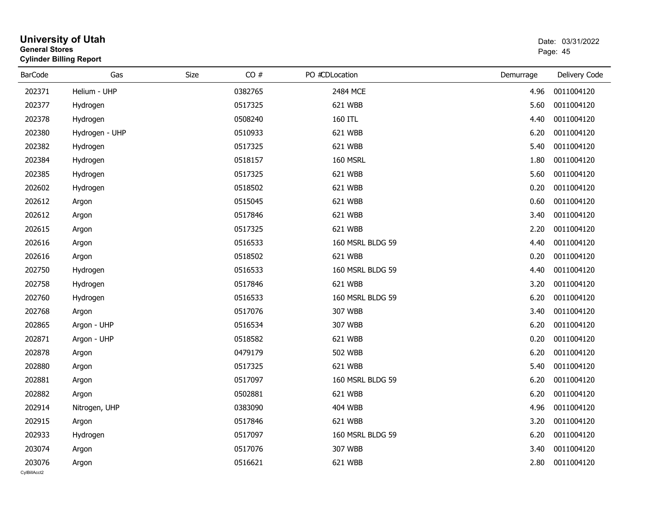| <b>General Stores</b>  | <b>University of Utah</b><br><b>Cylinder Billing Report</b> | Date: 03/31/2022<br>Page: 45 |         |                  |           |                 |
|------------------------|-------------------------------------------------------------|------------------------------|---------|------------------|-----------|-----------------|
| <b>BarCode</b>         | Gas                                                         | Size                         | CO#     | PO #CDLocation   | Demurrage | Delivery Code   |
| 202371                 | Helium - UHP                                                |                              | 0382765 | 2484 MCE         | 4.96      | 0011004120      |
| 202377                 | Hydrogen                                                    |                              | 0517325 | 621 WBB          | 5.60      | 0011004120      |
| 202378                 | Hydrogen                                                    |                              | 0508240 | 160 ITL          | 4.40      | 0011004120      |
| 202380                 | Hydrogen - UHP                                              |                              | 0510933 | 621 WBB          | 6.20      | 0011004120      |
| 202382                 | Hydrogen                                                    |                              | 0517325 | 621 WBB          | 5.40      | 0011004120      |
| 202384                 | Hydrogen                                                    |                              | 0518157 | 160 MSRL         | 1.80      | 0011004120      |
| 202385                 | Hydrogen                                                    |                              | 0517325 | 621 WBB          | 5.60      | 0011004120      |
| 202602                 | Hydrogen                                                    |                              | 0518502 | 621 WBB          | 0.20      | 0011004120      |
| 202612                 | Argon                                                       |                              | 0515045 | 621 WBB          | 0.60      | 0011004120      |
| 202612                 | Argon                                                       |                              | 0517846 | 621 WBB          | 3.40      | 0011004120      |
| 202615                 | Argon                                                       |                              | 0517325 | 621 WBB          | 2.20      | 0011004120      |
| 202616                 | Argon                                                       |                              | 0516533 | 160 MSRL BLDG 59 | 4.40      | 0011004120      |
| 202616                 | Argon                                                       |                              | 0518502 | 621 WBB          | 0.20      | 0011004120      |
| 202750                 | Hydrogen                                                    |                              | 0516533 | 160 MSRL BLDG 59 | 4.40      | 0011004120      |
| 202758                 | Hydrogen                                                    |                              | 0517846 | 621 WBB          | 3.20      | 0011004120      |
| 202760                 | Hydrogen                                                    |                              | 0516533 | 160 MSRL BLDG 59 | 6.20      | 0011004120      |
| 202768                 | Argon                                                       |                              | 0517076 | 307 WBB          | 3.40      | 0011004120      |
| 202865                 | Argon - UHP                                                 |                              | 0516534 | 307 WBB          | 6.20      | 0011004120      |
| 202871                 | Argon - UHP                                                 |                              | 0518582 | 621 WBB          | 0.20      | 0011004120      |
| 202878                 | Argon                                                       |                              | 0479179 | <b>502 WBB</b>   | 6.20      | 0011004120      |
| 202880                 | Argon                                                       |                              | 0517325 | 621 WBB          | 5.40      | 0011004120      |
| 202881                 | Argon                                                       |                              | 0517097 | 160 MSRL BLDG 59 | 6.20      | 0011004120      |
| 202882                 | Argon                                                       |                              | 0502881 | 621 WBB          | 6.20      | 0011004120      |
| 202914                 | Nitrogen, UHP                                               |                              | 0383090 | <b>404 WBB</b>   |           | 4.96 0011004120 |
| 202915                 | Argon                                                       |                              | 0517846 | 621 WBB          | 3.20      | 0011004120      |
| 202933                 | Hydrogen                                                    |                              | 0517097 | 160 MSRL BLDG 59 | 6.20      | 0011004120      |
| 203074                 | Argon                                                       |                              | 0517076 | 307 WBB          | 3.40      | 0011004120      |
| 203076<br>CvIBillAcct2 | Argon                                                       |                              | 0516621 | 621 WBB          | 2.80      | 0011004120      |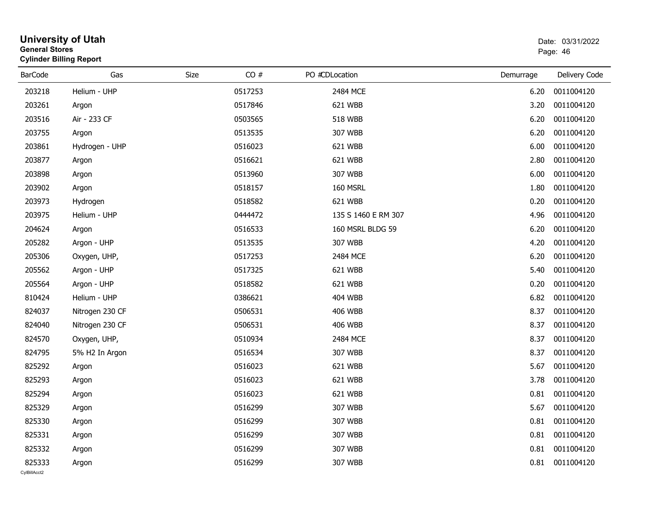| <b>General Stores</b>  | <b>University of Utah</b><br><b>Cylinder Billing Report</b> |      |         |                     |           |                 |  |
|------------------------|-------------------------------------------------------------|------|---------|---------------------|-----------|-----------------|--|
| <b>BarCode</b>         | Gas                                                         | Size | CO#     | PO #CDLocation      | Demurrage | Delivery Code   |  |
| 203218                 | Helium - UHP                                                |      | 0517253 | 2484 MCE            | 6.20      | 0011004120      |  |
| 203261                 | Argon                                                       |      | 0517846 | 621 WBB             | 3.20      | 0011004120      |  |
| 203516                 | Air - 233 CF                                                |      | 0503565 | <b>518 WBB</b>      | 6.20      | 0011004120      |  |
| 203755                 | Argon                                                       |      | 0513535 | 307 WBB             | 6.20      | 0011004120      |  |
| 203861                 | Hydrogen - UHP                                              |      | 0516023 | 621 WBB             | 6.00      | 0011004120      |  |
| 203877                 | Argon                                                       |      | 0516621 | 621 WBB             | 2.80      | 0011004120      |  |
| 203898                 | Argon                                                       |      | 0513960 | 307 WBB             | 6.00      | 0011004120      |  |
| 203902                 | Argon                                                       |      | 0518157 | 160 MSRL            | 1.80      | 0011004120      |  |
| 203973                 | Hydrogen                                                    |      | 0518582 | 621 WBB             | 0.20      | 0011004120      |  |
| 203975                 | Helium - UHP                                                |      | 0444472 | 135 S 1460 E RM 307 | 4.96      | 0011004120      |  |
| 204624                 | Argon                                                       |      | 0516533 | 160 MSRL BLDG 59    | 6.20      | 0011004120      |  |
| 205282                 | Argon - UHP                                                 |      | 0513535 | 307 WBB             | 4.20      | 0011004120      |  |
| 205306                 | Oxygen, UHP,                                                |      | 0517253 | 2484 MCE            | 6.20      | 0011004120      |  |
| 205562                 | Argon - UHP                                                 |      | 0517325 | 621 WBB             | 5.40      | 0011004120      |  |
| 205564                 | Argon - UHP                                                 |      | 0518582 | 621 WBB             | 0.20      | 0011004120      |  |
| 810424                 | Helium - UHP                                                |      | 0386621 | 404 WBB             | 6.82      | 0011004120      |  |
| 824037                 | Nitrogen 230 CF                                             |      | 0506531 | <b>406 WBB</b>      | 8.37      | 0011004120      |  |
| 824040                 | Nitrogen 230 CF                                             |      | 0506531 | <b>406 WBB</b>      | 8.37      | 0011004120      |  |
| 824570                 | Oxygen, UHP,                                                |      | 0510934 | 2484 MCE            | 8.37      | 0011004120      |  |
| 824795                 | 5% H2 In Argon                                              |      | 0516534 | 307 WBB             | 8.37      | 0011004120      |  |
| 825292                 | Argon                                                       |      | 0516023 | 621 WBB             | 5.67      | 0011004120      |  |
| 825293                 | Argon                                                       |      | 0516023 | 621 WBB             | 3.78      | 0011004120      |  |
| 825294                 | Argon                                                       |      | 0516023 | 621 WBB             | 0.81      | 0011004120      |  |
| 825329                 | Argon                                                       |      | 0516299 | 307 WBB             |           | 5.67 0011004120 |  |
| 825330                 | Argon                                                       |      | 0516299 | 307 WBB             | 0.81      | 0011004120      |  |
| 825331                 | Argon                                                       |      | 0516299 | 307 WBB             | 0.81      | 0011004120      |  |
| 825332                 | Argon                                                       |      | 0516299 | 307 WBB             | 0.81      | 0011004120      |  |
| 825333<br>CylBillAcct2 | Argon                                                       |      | 0516299 | 307 WBB             |           | 0.81 0011004120 |  |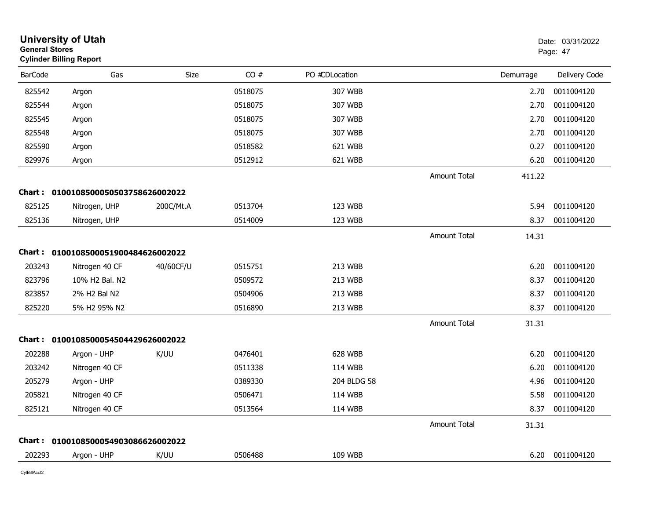|                | <b>University of Utah</b><br><b>General Stores</b><br><b>Cylinder Billing Report</b> |           |         |                | Date: 03/31/2022<br>Page: 47 |           |               |
|----------------|--------------------------------------------------------------------------------------|-----------|---------|----------------|------------------------------|-----------|---------------|
| <b>BarCode</b> | Gas                                                                                  | Size      | CO#     | PO #CDLocation |                              | Demurrage | Delivery Code |
| 825542         | Argon                                                                                |           | 0518075 | 307 WBB        |                              | 2.70      | 0011004120    |
| 825544         | Argon                                                                                |           | 0518075 | 307 WBB        |                              | 2.70      | 0011004120    |
| 825545         | Argon                                                                                |           | 0518075 | 307 WBB        |                              | 2.70      | 0011004120    |
| 825548         | Argon                                                                                |           | 0518075 | 307 WBB        |                              | 2.70      | 0011004120    |
| 825590         | Argon                                                                                |           | 0518582 | 621 WBB        |                              | 0.27      | 0011004120    |
| 829976         | Argon                                                                                |           | 0512912 | 621 WBB        |                              | 6.20      | 0011004120    |
|                |                                                                                      |           |         |                | <b>Amount Total</b>          | 411.22    |               |
|                | Chart: 0100108500050503758626002022                                                  |           |         |                |                              |           |               |
| 825125         | Nitrogen, UHP                                                                        | 200C/Mt.A | 0513704 | 123 WBB        |                              | 5.94      | 0011004120    |
| 825136         | Nitrogen, UHP                                                                        |           | 0514009 | 123 WBB        |                              | 8.37      | 0011004120    |
|                |                                                                                      |           |         |                | <b>Amount Total</b>          | 14.31     |               |
|                | Chart: 0100108500051900484626002022                                                  |           |         |                |                              |           |               |
| 203243         | Nitrogen 40 CF                                                                       | 40/60CF/U | 0515751 | 213 WBB        |                              | 6.20      | 0011004120    |
| 823796         | 10% H2 Bal. N2                                                                       |           | 0509572 | 213 WBB        |                              | 8.37      | 0011004120    |
| 823857         | 2% H2 Bal N2                                                                         |           | 0504906 | 213 WBB        |                              | 8.37      | 0011004120    |
| 825220         | 5% H2 95% N2                                                                         |           | 0516890 | 213 WBB        |                              | 8.37      | 0011004120    |
|                |                                                                                      |           |         |                | <b>Amount Total</b>          | 31.31     |               |
|                | Chart: 0100108500054504429626002022                                                  |           |         |                |                              |           |               |
| 202288         | Argon - UHP                                                                          | K/UU      | 0476401 | 628 WBB        |                              | 6.20      | 0011004120    |
| 203242         | Nitrogen 40 CF                                                                       |           | 0511338 | 114 WBB        |                              | 6.20      | 0011004120    |
| 205279         | Argon - UHP                                                                          |           | 0389330 | 204 BLDG 58    |                              | 4.96      | 0011004120    |
| 205821         | Nitrogen 40 CF                                                                       |           | 0506471 | 114 WBB        |                              | 5.58      | 0011004120    |
| 825121         | Nitrogen 40 CF                                                                       |           | 0513564 | 114 WBB        |                              | 8.37      | 0011004120    |
|                |                                                                                      |           |         |                | <b>Amount Total</b>          | 31.31     |               |
|                | Chart: 0100108500054903086626002022                                                  |           |         |                |                              |           |               |
| 202293         | Argon - UHP                                                                          | K/UU      | 0506488 | <b>109 WBB</b> |                              | 6.20      | 0011004120    |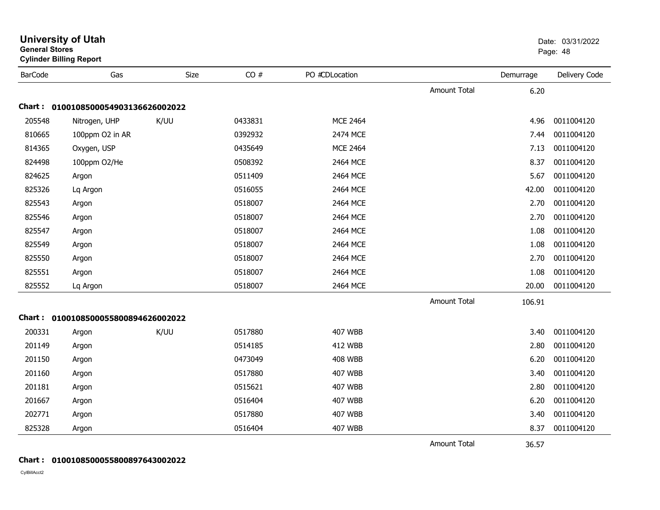| General Stores | <b>Cylinder Billing Report</b>      |             |         |                 |                     |           | Page: 48      |
|----------------|-------------------------------------|-------------|---------|-----------------|---------------------|-----------|---------------|
| <b>BarCode</b> | Gas                                 | <b>Size</b> | CO#     | PO #CDLocation  |                     | Demurrage | Delivery Code |
|                |                                     |             |         |                 | <b>Amount Total</b> | 6.20      |               |
| Chart :        | 0100108500054903136626002022        |             |         |                 |                     |           |               |
| 205548         | Nitrogen, UHP                       | K/UU        | 0433831 | <b>MCE 2464</b> |                     | 4.96      | 0011004120    |
| 810665         | 100ppm O2 in AR                     |             | 0392932 | 2474 MCE        |                     | 7.44      | 0011004120    |
| 814365         | Oxygen, USP                         |             | 0435649 | <b>MCE 2464</b> |                     | 7.13      | 0011004120    |
| 824498         | 100ppm O2/He                        |             | 0508392 | 2464 MCE        |                     | 8.37      | 0011004120    |
| 824625         | Argon                               |             | 0511409 | 2464 MCE        |                     | 5.67      | 0011004120    |
| 825326         | Lq Argon                            |             | 0516055 | 2464 MCE        |                     | 42.00     | 0011004120    |
| 825543         | Argon                               |             | 0518007 | 2464 MCE        |                     | 2.70      | 0011004120    |
| 825546         | Argon                               |             | 0518007 | 2464 MCE        |                     | 2.70      | 0011004120    |
| 825547         | Argon                               |             | 0518007 | 2464 MCE        |                     | 1.08      | 0011004120    |
| 825549         | Argon                               |             | 0518007 | 2464 MCE        |                     | 1.08      | 0011004120    |
| 825550         | Argon                               |             | 0518007 | 2464 MCE        |                     | 2.70      | 0011004120    |
| 825551         | Argon                               |             | 0518007 | 2464 MCE        |                     | 1.08      | 0011004120    |
| 825552         | Lq Argon                            |             | 0518007 | 2464 MCE        |                     | 20.00     | 0011004120    |
|                |                                     |             |         |                 | <b>Amount Total</b> | 106.91    |               |
|                | Chart: 0100108500055800894626002022 |             |         |                 |                     |           |               |
| 200331         | Argon                               | K/UU        | 0517880 | <b>407 WBB</b>  |                     | 3.40      | 0011004120    |
| 201149         | Argon                               |             | 0514185 | <b>412 WBB</b>  |                     | 2.80      | 0011004120    |
| 201150         | Argon                               |             | 0473049 | <b>408 WBB</b>  |                     | 6.20      | 0011004120    |
| 201160         | Argon                               |             | 0517880 | <b>407 WBB</b>  |                     | 3.40      | 0011004120    |
| 201181         | Argon                               |             | 0515621 | <b>407 WBB</b>  |                     | 2.80      | 0011004120    |
| 201667         | Argon                               |             | 0516404 | <b>407 WBB</b>  |                     | 6.20      | 0011004120    |
| 202771         | Argon                               |             | 0517880 | <b>407 WBB</b>  |                     | 3.40      | 0011004120    |
| 825328         | Argon                               |             | 0516404 | 407 WBB         |                     | 8.37      | 0011004120    |
|                |                                     |             |         |                 | <b>Amount Total</b> | 36.57     |               |

#### **Chart : 0100108500055800897643002022**

**General Stores**

# **University of Utah** Date: 03/31/2022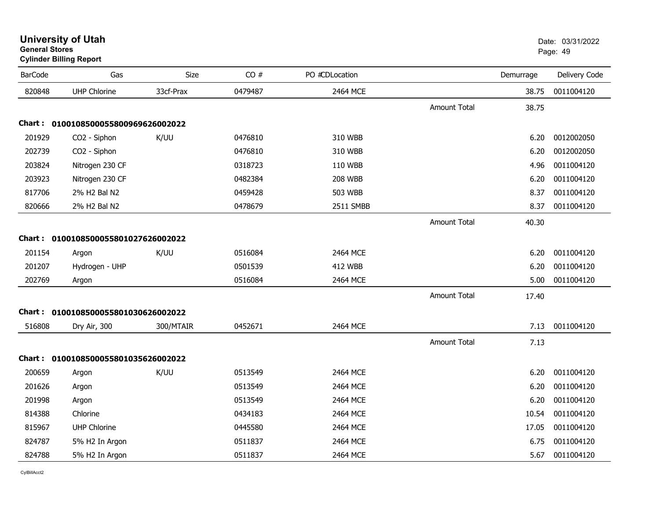| CO#<br>Gas<br>Size<br>PO #CDLocation<br><b>BarCode</b><br><b>UHP Chlorine</b><br>33cf-Prax<br>0479487<br>2464 MCE<br>820848<br><b>Amount Total</b> | Demurrage<br>38.75<br>38.75 | Delivery Code<br>0011004120 |
|----------------------------------------------------------------------------------------------------------------------------------------------------|-----------------------------|-----------------------------|
|                                                                                                                                                    |                             |                             |
|                                                                                                                                                    |                             |                             |
|                                                                                                                                                    |                             |                             |
| Chart: 0100108500055800969626002022                                                                                                                |                             |                             |
| 201929<br>0476810<br>CO2 - Siphon<br>K/UU<br>310 WBB                                                                                               | 6.20                        | 0012002050                  |
| 202739<br>CO2 - Siphon<br>0476810<br>310 WBB                                                                                                       | 6.20                        | 0012002050                  |
| 203824<br>Nitrogen 230 CF<br>0318723<br>110 WBB                                                                                                    | 4.96                        | 0011004120                  |
| 203923<br>Nitrogen 230 CF<br>0482384<br><b>208 WBB</b>                                                                                             | 6.20                        | 0011004120                  |
| 817706<br>2% H2 Bal N2<br>0459428<br>503 WBB                                                                                                       | 8.37                        | 0011004120                  |
| 2% H2 Bal N2<br>820666<br>0478679<br>2511 SMBB                                                                                                     | 8.37                        | 0011004120                  |
| <b>Amount Total</b>                                                                                                                                | 40.30                       |                             |
| Chart: 0100108500055801027626002022                                                                                                                |                             |                             |
| K/UU<br>0516084<br>2464 MCE<br>201154<br>Argon                                                                                                     | 6.20                        | 0011004120                  |
| 201207<br>Hydrogen - UHP<br>0501539<br><b>412 WBB</b>                                                                                              | 6.20                        | 0011004120                  |
| 202769<br>0516084<br>2464 MCE<br>Argon                                                                                                             | 5.00                        | 0011004120                  |
| Amount Total                                                                                                                                       | 17.40                       |                             |
| Chart: 0100108500055801030626002022                                                                                                                |                             |                             |
| 0452671<br>516808<br>300/MTAIR<br>2464 MCE<br>Dry Air, 300                                                                                         | 7.13                        | 0011004120                  |
| <b>Amount Total</b>                                                                                                                                | 7.13                        |                             |
| Chart: 0100108500055801035626002022                                                                                                                |                             |                             |
| K/UU<br>200659<br>0513549<br>2464 MCE<br>Argon                                                                                                     | 6.20                        | 0011004120                  |
| 201626<br>0513549<br>2464 MCE<br>Argon                                                                                                             | 6.20                        | 0011004120                  |
| 201998<br>0513549<br>2464 MCE<br>Argon                                                                                                             | 6.20                        | 0011004120                  |
| 814388<br>Chlorine<br>0434183<br>2464 MCE                                                                                                          | 10.54                       | 0011004120                  |
| 815967<br><b>UHP Chlorine</b><br>0445580<br>2464 MCE                                                                                               | 17.05                       | 0011004120                  |
| 824787<br>0511837<br>5% H2 In Argon<br>2464 MCE                                                                                                    | 6.75                        | 0011004120                  |
| 824788<br>5% H2 In Argon<br>0511837<br>2464 MCE                                                                                                    | 5.67                        | 0011004120                  |

#### **University of Utah** Date: 03/31/2022 **General Stores**en de la provincia de la provincia de la provincia de la provincia de la provincia de la provincia de la provi **Cylinder Billing Report**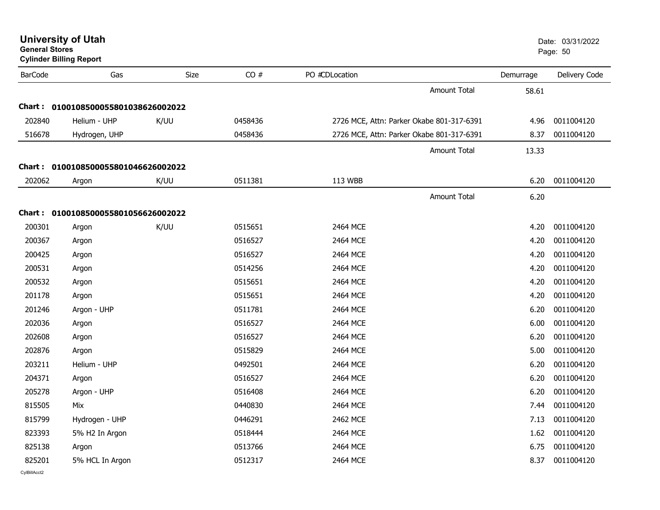| <b>General Stores</b> | <b>University of Utah</b><br><b>Cylinder Billing Report</b> |      |         |                                           |           | Date: 03/31/2022<br>Page: 50 |
|-----------------------|-------------------------------------------------------------|------|---------|-------------------------------------------|-----------|------------------------------|
| <b>BarCode</b>        | Gas                                                         | Size | CO#     | PO #CDLocation                            | Demurrage | Delivery Code                |
|                       |                                                             |      |         | Amount Total                              |           | 58.61                        |
|                       | Chart: 0100108500055801038626002022                         |      |         |                                           |           |                              |
| 202840                | Helium - UHP                                                | K/UU | 0458436 | 2726 MCE, Attn: Parker Okabe 801-317-6391 |           | 0011004120<br>4.96           |
| 516678                | Hydrogen, UHP                                               |      | 0458436 | 2726 MCE, Attn: Parker Okabe 801-317-6391 |           | 8.37<br>0011004120           |
|                       |                                                             |      |         | <b>Amount Total</b>                       |           | 13.33                        |
|                       | Chart: 0100108500055801046626002022                         |      |         |                                           |           |                              |
| 202062                | Argon                                                       | K/UU | 0511381 | 113 WBB                                   |           | 6.20<br>0011004120           |
|                       |                                                             |      |         | Amount Total                              |           | 6.20                         |
|                       | Chart: 0100108500055801056626002022                         |      |         |                                           |           |                              |
| 200301                | Argon                                                       | K/UU | 0515651 | 2464 MCE                                  |           | 4.20<br>0011004120           |
| 200367                | Argon                                                       |      | 0516527 | 2464 MCE                                  |           | 0011004120<br>4.20           |
| 200425                | Argon                                                       |      | 0516527 | 2464 MCE                                  |           | 4.20<br>0011004120           |
| 200531                | Argon                                                       |      | 0514256 | 2464 MCE                                  |           | 0011004120<br>4.20           |
| 200532                | Argon                                                       |      | 0515651 | 2464 MCE                                  |           | 0011004120<br>4.20           |
| 201178                | Argon                                                       |      | 0515651 | 2464 MCE                                  |           | 0011004120<br>4.20           |
| 201246                | Argon - UHP                                                 |      | 0511781 | 2464 MCE                                  |           | 0011004120<br>6.20           |
| 202036                | Argon                                                       |      | 0516527 | 2464 MCE                                  |           | 0011004120<br>6.00           |
| 202608                | Argon                                                       |      | 0516527 | 2464 MCE                                  |           | 0011004120<br>6.20           |
| 202876                | Argon                                                       |      | 0515829 | 2464 MCE                                  |           | 0011004120<br>5.00           |
| 203211                | Helium - UHP                                                |      | 0492501 | 2464 MCE                                  |           | 0011004120<br>6.20           |
| 204371                | Argon                                                       |      | 0516527 | 2464 MCE                                  |           | 0011004120<br>6.20           |
| 205278                | Argon - UHP                                                 |      | 0516408 | 2464 MCE                                  |           | 6.20<br>0011004120           |
| 815505                | Mix                                                         |      | 0440830 | 2464 MCE                                  |           | 0011004120<br>7.44           |
| 815799                | Hydrogen - UHP                                              |      | 0446291 | 2462 MCE                                  |           | 0011004120<br>7.13           |
| 823393                | 5% H2 In Argon                                              |      | 0518444 | 2464 MCE                                  |           | 0011004120<br>1.62           |
| 825138                | Argon                                                       |      | 0513766 | 2464 MCE                                  |           | 0011004120<br>6.75           |
| 825201                | 5% HCL In Argon                                             |      | 0512317 | 2464 MCE                                  |           | 0011004120<br>8.37           |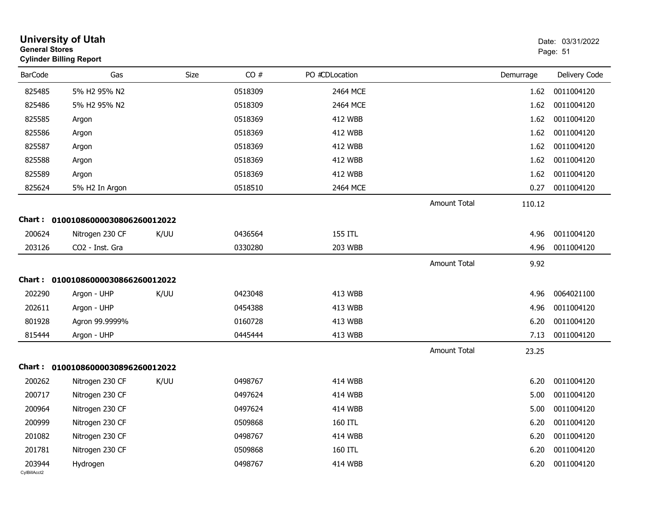| <b>General Stores</b>  | <b>University of Utah</b><br><b>Cylinder Billing Report</b> |             |         |                |                     |           | Date: 03/31/2022<br>Page: 51 |
|------------------------|-------------------------------------------------------------|-------------|---------|----------------|---------------------|-----------|------------------------------|
| <b>BarCode</b>         | Gas                                                         | <b>Size</b> | CO#     | PO #CDLocation |                     | Demurrage | Delivery Code                |
| 825485                 | 5% H2 95% N2                                                |             | 0518309 | 2464 MCE       |                     | 1.62      | 0011004120                   |
| 825486                 | 5% H2 95% N2                                                |             | 0518309 | 2464 MCE       |                     | 1.62      | 0011004120                   |
| 825585                 | Argon                                                       |             | 0518369 | <b>412 WBB</b> |                     | 1.62      | 0011004120                   |
| 825586                 | Argon                                                       |             | 0518369 | <b>412 WBB</b> |                     | 1.62      | 0011004120                   |
| 825587                 | Argon                                                       |             | 0518369 | <b>412 WBB</b> |                     | 1.62      | 0011004120                   |
| 825588                 | Argon                                                       |             | 0518369 | <b>412 WBB</b> |                     | 1.62      | 0011004120                   |
| 825589                 | Argon                                                       |             | 0518369 | <b>412 WBB</b> |                     | 1.62      | 0011004120                   |
| 825624                 | 5% H2 In Argon                                              |             | 0518510 | 2464 MCE       |                     | 0.27      | 0011004120                   |
|                        |                                                             |             |         |                | <b>Amount Total</b> | 110.12    |                              |
|                        | Chart: 01001086000030806260012022                           |             |         |                |                     |           |                              |
| 200624                 | Nitrogen 230 CF                                             | K/UU        | 0436564 | <b>155 ITL</b> |                     | 4.96      | 0011004120                   |
| 203126                 | CO2 - Inst. Gra                                             |             | 0330280 | 203 WBB        |                     | 4.96      | 0011004120                   |
|                        |                                                             |             |         |                | <b>Amount Total</b> | 9.92      |                              |
|                        | Chart: 01001086000030866260012022                           |             |         |                |                     |           |                              |
| 202290                 | Argon - UHP                                                 | K/UU        | 0423048 | 413 WBB        |                     | 4.96      | 0064021100                   |
| 202611                 | Argon - UHP                                                 |             | 0454388 | 413 WBB        |                     | 4.96      | 0011004120                   |
| 801928                 | Agron 99.9999%                                              |             | 0160728 | 413 WBB        |                     | 6.20      | 0011004120                   |
| 815444                 | Argon - UHP                                                 |             | 0445444 | 413 WBB        |                     | 7.13      | 0011004120                   |
|                        |                                                             |             |         |                | <b>Amount Total</b> | 23.25     |                              |
|                        | Chart: 01001086000030896260012022                           |             |         |                |                     |           |                              |
| 200262                 | Nitrogen 230 CF                                             | K/UU        | 0498767 | 414 WBB        |                     | 6.20      | 0011004120                   |
| 200717                 | Nitrogen 230 CF                                             |             | 0497624 | <b>414 WBB</b> |                     | 5.00      | 0011004120                   |
| 200964                 | Nitrogen 230 CF                                             |             | 0497624 | 414 WBB        |                     | 5.00      | 0011004120                   |
| 200999                 | Nitrogen 230 CF                                             |             | 0509868 | 160 ITL        |                     | 6.20      | 0011004120                   |
| 201082                 | Nitrogen 230 CF                                             |             | 0498767 | 414 WBB        |                     | 6.20      | 0011004120                   |
| 201781                 | Nitrogen 230 CF                                             |             | 0509868 | 160 ITL        |                     | 6.20      | 0011004120                   |
| 203944<br>CylBillAcct2 | Hydrogen                                                    |             | 0498767 | 414 WBB        |                     | 6.20      | 0011004120                   |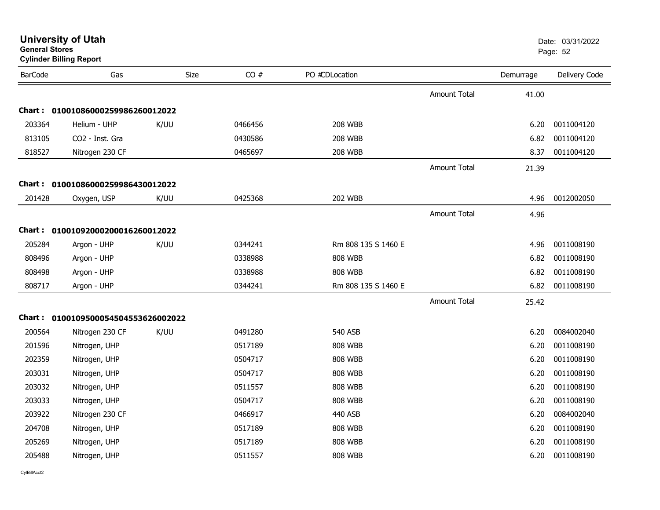| General Stores<br><b>Cylinder Billing Report</b> |                                     |      |         |                     |                     |           | Page: 52      |
|--------------------------------------------------|-------------------------------------|------|---------|---------------------|---------------------|-----------|---------------|
| <b>BarCode</b>                                   | Gas                                 | Size | CO#     | PO #CDLocation      |                     | Demurrage | Delivery Code |
|                                                  |                                     |      |         |                     | <b>Amount Total</b> | 41.00     |               |
|                                                  | Chart: 01001086000259986260012022   |      |         |                     |                     |           |               |
| 203364                                           | Helium - UHP                        | K/UU | 0466456 | <b>208 WBB</b>      |                     | 6.20      | 0011004120    |
| 813105                                           | CO2 - Inst. Gra                     |      | 0430586 | <b>208 WBB</b>      |                     | 6.82      | 0011004120    |
| 818527                                           | Nitrogen 230 CF                     |      | 0465697 | <b>208 WBB</b>      |                     | 8.37      | 0011004120    |
|                                                  |                                     |      |         |                     | <b>Amount Total</b> | 21.39     |               |
|                                                  | Chart: 01001086000259986430012022   |      |         |                     |                     |           |               |
| 201428                                           | Oxygen, USP                         | K/UU | 0425368 | <b>202 WBB</b>      |                     | 4.96      | 0012002050    |
|                                                  |                                     |      |         |                     | <b>Amount Total</b> | 4.96      |               |
|                                                  | Chart: 01001092000200016260012022   |      |         |                     |                     |           |               |
| 205284                                           | Argon - UHP                         | K/UU | 0344241 | Rm 808 135 S 1460 E |                     | 4.96      | 0011008190    |
| 808496                                           | Argon - UHP                         |      | 0338988 | <b>808 WBB</b>      |                     | 6.82      | 0011008190    |
| 808498                                           | Argon - UHP                         |      | 0338988 | <b>808 WBB</b>      |                     | 6.82      | 0011008190    |
| 808717                                           | Argon - UHP                         |      | 0344241 | Rm 808 135 S 1460 E |                     | 6.82      | 0011008190    |
|                                                  |                                     |      |         |                     | <b>Amount Total</b> | 25.42     |               |
|                                                  | Chart: 0100109500054504553626002022 |      |         |                     |                     |           |               |
| 200564                                           | Nitrogen 230 CF                     | K/UU | 0491280 | <b>540 ASB</b>      |                     | 6.20      | 0084002040    |
| 201596                                           | Nitrogen, UHP                       |      | 0517189 | <b>808 WBB</b>      |                     | 6.20      | 0011008190    |
| 202359                                           | Nitrogen, UHP                       |      | 0504717 | <b>808 WBB</b>      |                     | 6.20      | 0011008190    |
| 203031                                           | Nitrogen, UHP                       |      | 0504717 | <b>808 WBB</b>      |                     | 6.20      | 0011008190    |
| 203032                                           | Nitrogen, UHP                       |      | 0511557 | <b>808 WBB</b>      |                     | 6.20      | 0011008190    |
| 203033                                           | Nitrogen, UHP                       |      | 0504717 | <b>808 WBB</b>      |                     | 6.20      | 0011008190    |
| 203922                                           | Nitrogen 230 CF                     |      | 0466917 | 440 ASB             |                     | 6.20      | 0084002040    |
| 204708                                           | Nitrogen, UHP                       |      | 0517189 | <b>808 WBB</b>      |                     | 6.20      | 0011008190    |
| 205269                                           | Nitrogen, UHP                       |      | 0517189 | <b>808 WBB</b>      |                     | 6.20      | 0011008190    |
| 205488                                           | Nitrogen, UHP                       |      | 0511557 | <b>808 WBB</b>      |                     | 6.20      | 0011008190    |

## **University of Utah** Date: 03/31/2022 **General Stores**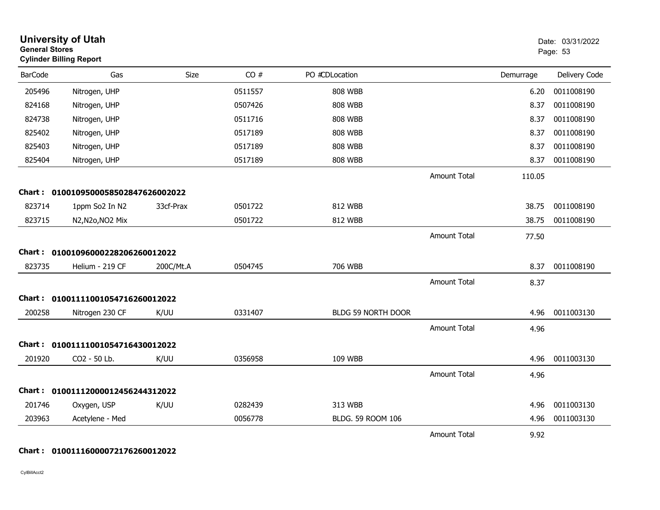| <b>General Stores</b> | <b>University of Utah</b><br><b>Cylinder Billing Report</b> |           |         |                    |                     |           | Date: 03/31/2022<br>Page: 53 |
|-----------------------|-------------------------------------------------------------|-----------|---------|--------------------|---------------------|-----------|------------------------------|
| <b>BarCode</b>        | Gas                                                         | Size      | CO#     | PO #CDLocation     |                     | Demurrage | Delivery Code                |
| 205496                | Nitrogen, UHP                                               |           | 0511557 | <b>808 WBB</b>     |                     | 6.20      | 0011008190                   |
| 824168                | Nitrogen, UHP                                               |           | 0507426 | <b>808 WBB</b>     |                     | 8.37      | 0011008190                   |
| 824738                | Nitrogen, UHP                                               |           | 0511716 | <b>808 WBB</b>     |                     | 8.37      | 0011008190                   |
| 825402                | Nitrogen, UHP                                               |           | 0517189 | <b>808 WBB</b>     |                     | 8.37      | 0011008190                   |
| 825403                | Nitrogen, UHP                                               |           | 0517189 | <b>808 WBB</b>     |                     | 8.37      | 0011008190                   |
| 825404                | Nitrogen, UHP                                               |           | 0517189 | <b>808 WBB</b>     |                     | 8.37      | 0011008190                   |
|                       |                                                             |           |         |                    | <b>Amount Total</b> | 110.05    |                              |
|                       | Chart: 0100109500058502847626002022                         |           |         |                    |                     |           |                              |
| 823714                | 1ppm So2 In N2                                              | 33cf-Prax | 0501722 | 812 WBB            |                     | 38.75     | 0011008190                   |
| 823715                | N2, N2o, NO2 Mix                                            |           | 0501722 | 812 WBB            |                     | 38.75     | 0011008190                   |
|                       |                                                             |           |         |                    | <b>Amount Total</b> | 77.50     |                              |
| <b>Chart :</b>        | 01001096000228206260012022                                  |           |         |                    |                     |           |                              |
| 823735                | Helium - 219 CF                                             | 200C/Mt.A | 0504745 | 706 WBB            |                     | 8.37      | 0011008190                   |
|                       |                                                             |           |         |                    | <b>Amount Total</b> | 8.37      |                              |
|                       | Chart: 01001111001054716260012022                           |           |         |                    |                     |           |                              |
| 200258                | Nitrogen 230 CF                                             | K/UU      | 0331407 | BLDG 59 NORTH DOOR |                     | 4.96      | 0011003130                   |
|                       |                                                             |           |         |                    | <b>Amount Total</b> | 4.96      |                              |
|                       | Chart: 01001111001054716430012022                           |           |         |                    |                     |           |                              |
| 201920                | CO2 - 50 Lb.                                                | K/UU      | 0356958 | 109 WBB            |                     | 4.96      | 0011003130                   |
|                       |                                                             |           |         |                    | <b>Amount Total</b> | 4.96      |                              |
|                       | Chart: 01001112000012456244312022                           |           |         |                    |                     |           |                              |
| 201746                | Oxygen, USP                                                 | K/UU      | 0282439 | 313 WBB            |                     | 4.96      | 0011003130                   |
| 203963                | Acetylene - Med                                             |           | 0056778 | BLDG. 59 ROOM 106  |                     | 4.96      | 0011003130                   |
|                       |                                                             |           |         |                    | <b>Amount Total</b> | 9.92      |                              |

### **Chart : 01001116000072176260012022**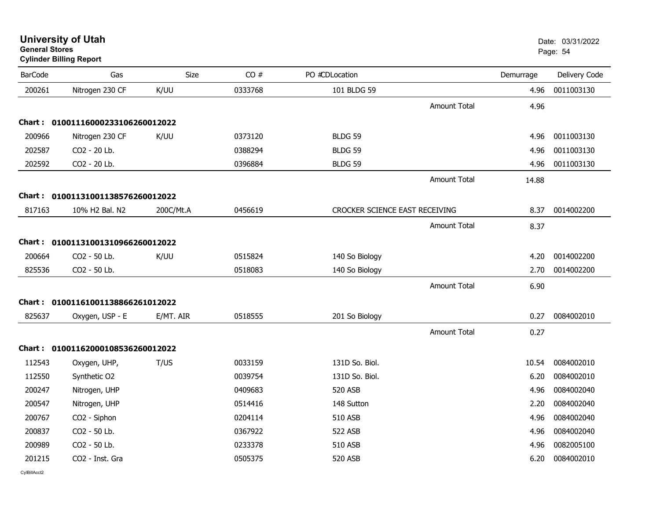| <b>BarCode</b> | Gas                               | <b>Size</b> | CO#     | PO #CDLocation                 |                     | Demurrage | Delivery Code |
|----------------|-----------------------------------|-------------|---------|--------------------------------|---------------------|-----------|---------------|
|                |                                   |             |         |                                |                     |           |               |
| 200261         | Nitrogen 230 CF                   | K/UU        | 0333768 | 101 BLDG 59                    |                     | 4.96      | 0011003130    |
|                |                                   |             |         |                                | Amount Total        | 4.96      |               |
|                | Chart: 01001116000233106260012022 |             |         |                                |                     |           |               |
| 200966         | Nitrogen 230 CF                   | K/UU        | 0373120 | <b>BLDG 59</b>                 |                     | 4.96      | 0011003130    |
| 202587         | CO2 - 20 Lb.                      |             | 0388294 | <b>BLDG 59</b>                 |                     | 4.96      | 0011003130    |
| 202592         | CO2 - 20 Lb.                      |             | 0396884 | BLDG 59                        |                     | 4.96      | 0011003130    |
|                |                                   |             |         |                                | <b>Amount Total</b> | 14.88     |               |
|                | Chart: 01001131001138576260012022 |             |         |                                |                     |           |               |
| 817163         | 10% H2 Bal. N2                    | 200C/Mt.A   | 0456619 | CROCKER SCIENCE EAST RECEIVING |                     | 8.37      | 0014002200    |
|                |                                   |             |         |                                |                     |           |               |
|                |                                   |             |         |                                | Amount Total        | 8.37      |               |
|                | Chart: 01001131001310966260012022 |             |         |                                |                     |           |               |
| 200664         | CO2 - 50 Lb.                      | K/UU        | 0515824 | 140 So Biology                 |                     | 4.20      | 0014002200    |
| 825536         | CO2 - 50 Lb.                      |             | 0518083 | 140 So Biology                 |                     | 2.70      | 0014002200    |
|                |                                   |             |         |                                | <b>Amount Total</b> | 6.90      |               |
|                | Chart: 01001161001138866261012022 |             |         |                                |                     |           |               |
| 825637         | Oxygen, USP - E                   | E/MT. AIR   | 0518555 | 201 So Biology                 |                     | 0.27      | 0084002010    |
|                |                                   |             |         |                                |                     |           |               |
|                |                                   |             |         |                                | <b>Amount Total</b> | 0.27      |               |
|                | Chart: 01001162000108536260012022 |             |         |                                |                     |           |               |
| 112543         | Oxygen, UHP,                      | T/US        | 0033159 | 131D So. Biol.                 |                     | 10.54     | 0084002010    |
| 112550         | Synthetic O2                      |             | 0039754 | 131D So. Biol.                 |                     | 6.20      | 0084002010    |
| 200247         | Nitrogen, UHP                     |             | 0409683 | 520 ASB                        |                     | 4.96      | 0084002040    |
| 200547         | Nitrogen, UHP                     |             | 0514416 | 148 Sutton                     |                     | 2.20      | 0084002040    |
| 200767         | CO2 - Siphon                      |             | 0204114 | 510 ASB                        |                     | 4.96      | 0084002040    |
| 200837         | CO2 - 50 Lb.                      |             | 0367922 | 522 ASB                        |                     | 4.96      | 0084002040    |
| 200989         | CO2 - 50 Lb.                      |             | 0233378 | 510 ASB                        |                     | 4.96      | 0082005100    |
| 201215         | CO2 - Inst. Gra                   |             | 0505375 | 520 ASB                        |                     | 6.20      | 0084002010    |

#### **University of Utah** Date: 03/31/2022 **General Stores**end and the state of the state of the state of the state of the state of the state of the Page: 54  $\,$  Page: 54  $\,$ **Cylinder Billing Report**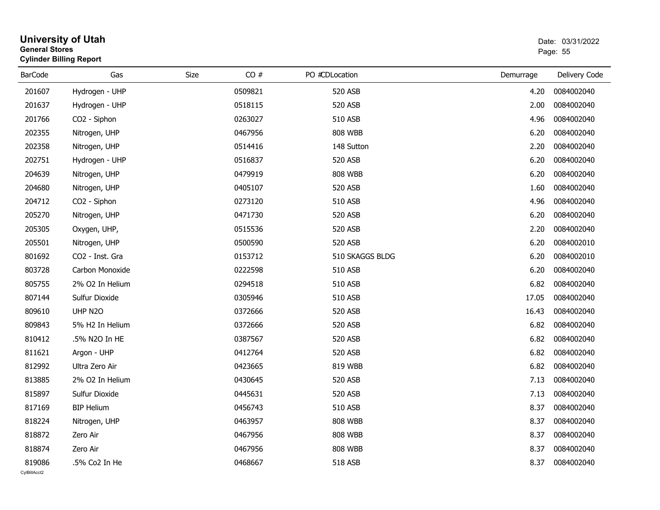| <b>General Stores</b>  | <b>University of Utah</b><br><b>Cylinder Billing Report</b> |      |         |                 | Date: 03/31/2022<br>Page: 55 |                 |  |
|------------------------|-------------------------------------------------------------|------|---------|-----------------|------------------------------|-----------------|--|
| <b>BarCode</b>         | Gas                                                         | Size | CO#     | PO #CDLocation  | Demurrage                    | Delivery Code   |  |
| 201607                 | Hydrogen - UHP                                              |      | 0509821 | 520 ASB         | 4.20                         | 0084002040      |  |
| 201637                 | Hydrogen - UHP                                              |      | 0518115 | 520 ASB         | 2.00                         | 0084002040      |  |
| 201766                 | CO <sub>2</sub> - Siphon                                    |      | 0263027 | 510 ASB         | 4.96                         | 0084002040      |  |
| 202355                 | Nitrogen, UHP                                               |      | 0467956 | <b>808 WBB</b>  | 6.20                         | 0084002040      |  |
| 202358                 | Nitrogen, UHP                                               |      | 0514416 | 148 Sutton      | 2.20                         | 0084002040      |  |
| 202751                 | Hydrogen - UHP                                              |      | 0516837 | 520 ASB         | 6.20                         | 0084002040      |  |
| 204639                 | Nitrogen, UHP                                               |      | 0479919 | <b>808 WBB</b>  | 6.20                         | 0084002040      |  |
| 204680                 | Nitrogen, UHP                                               |      | 0405107 | 520 ASB         | 1.60                         | 0084002040      |  |
| 204712                 | CO <sub>2</sub> - Siphon                                    |      | 0273120 | 510 ASB         | 4.96                         | 0084002040      |  |
| 205270                 | Nitrogen, UHP                                               |      | 0471730 | 520 ASB         | 6.20                         | 0084002040      |  |
| 205305                 | Oxygen, UHP,                                                |      | 0515536 | 520 ASB         | 2.20                         | 0084002040      |  |
| 205501                 | Nitrogen, UHP                                               |      | 0500590 | 520 ASB         | 6.20                         | 0084002010      |  |
| 801692                 | CO2 - Inst. Gra                                             |      | 0153712 | 510 SKAGGS BLDG | 6.20                         | 0084002010      |  |
| 803728                 | Carbon Monoxide                                             |      | 0222598 | 510 ASB         | 6.20                         | 0084002040      |  |
| 805755                 | 2% O2 In Helium                                             |      | 0294518 | 510 ASB         | 6.82                         | 0084002040      |  |
| 807144                 | Sulfur Dioxide                                              |      | 0305946 | 510 ASB         | 17.05                        | 0084002040      |  |
| 809610                 | UHP N2O                                                     |      | 0372666 | 520 ASB         | 16.43                        | 0084002040      |  |
| 809843                 | 5% H2 In Helium                                             |      | 0372666 | 520 ASB         | 6.82                         | 0084002040      |  |
| 810412                 | .5% N2O In HE                                               |      | 0387567 | 520 ASB         | 6.82                         | 0084002040      |  |
| 811621                 | Argon - UHP                                                 |      | 0412764 | 520 ASB         | 6.82                         | 0084002040      |  |
| 812992                 | Ultra Zero Air                                              |      | 0423665 | 819 WBB         | 6.82                         | 0084002040      |  |
| 813885                 | 2% O2 In Helium                                             |      | 0430645 | 520 ASB         | 7.13                         | 0084002040      |  |
| 815897                 | Sulfur Dioxide                                              |      | 0445631 | 520 ASB         | 7.13                         | 0084002040      |  |
| 817169                 | <b>BIP Helium</b>                                           |      | 0456743 | <b>510 ASB</b>  |                              | 8.37 0084002040 |  |
| 818224                 | Nitrogen, UHP                                               |      | 0463957 | <b>808 WBB</b>  | 8.37                         | 0084002040      |  |
| 818872                 | Zero Air                                                    |      | 0467956 | <b>808 WBB</b>  | 8.37                         | 0084002040      |  |
| 818874                 | Zero Air                                                    |      | 0467956 | <b>808 WBB</b>  | 8.37                         | 0084002040      |  |
| 819086<br>CvIBillAcct2 | .5% Co2 In He                                               |      | 0468667 | 518 ASB         | 8.37                         | 0084002040      |  |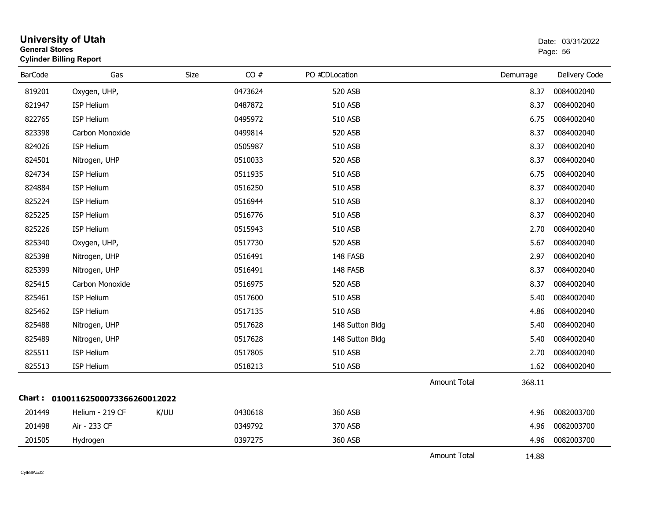| <b>General Stores</b> | <b>University of Utah</b><br><b>Cylinder Billing Report</b> |             |         |                 |                     |           | Date: 03/31/2022<br>Page: 56 |
|-----------------------|-------------------------------------------------------------|-------------|---------|-----------------|---------------------|-----------|------------------------------|
| <b>BarCode</b>        | Gas                                                         | <b>Size</b> | CO#     | PO #CDLocation  |                     | Demurrage | Delivery Code                |
| 819201                | Oxygen, UHP,                                                |             | 0473624 | 520 ASB         |                     | 8.37      | 0084002040                   |
| 821947                | ISP Helium                                                  |             | 0487872 | 510 ASB         |                     | 8.37      | 0084002040                   |
| 822765                | ISP Helium                                                  |             | 0495972 | 510 ASB         |                     | 6.75      | 0084002040                   |
| 823398                | Carbon Monoxide                                             |             | 0499814 | 520 ASB         |                     | 8.37      | 0084002040                   |
| 824026                | <b>ISP Helium</b>                                           |             | 0505987 | 510 ASB         |                     | 8.37      | 0084002040                   |
| 824501                | Nitrogen, UHP                                               |             | 0510033 | 520 ASB         |                     | 8.37      | 0084002040                   |
| 824734                | ISP Helium                                                  |             | 0511935 | 510 ASB         |                     | 6.75      | 0084002040                   |
| 824884                | <b>ISP Helium</b>                                           |             | 0516250 | 510 ASB         |                     | 8.37      | 0084002040                   |
| 825224                | ISP Helium                                                  |             | 0516944 | 510 ASB         |                     | 8.37      | 0084002040                   |
| 825225                | ISP Helium                                                  |             | 0516776 | 510 ASB         |                     | 8.37      | 0084002040                   |
| 825226                | ISP Helium                                                  |             | 0515943 | 510 ASB         |                     | 2.70      | 0084002040                   |
| 825340                | Oxygen, UHP,                                                |             | 0517730 | 520 ASB         |                     | 5.67      | 0084002040                   |
| 825398                | Nitrogen, UHP                                               |             | 0516491 | 148 FASB        |                     | 2.97      | 0084002040                   |
| 825399                | Nitrogen, UHP                                               |             | 0516491 | 148 FASB        |                     | 8.37      | 0084002040                   |
| 825415                | Carbon Monoxide                                             |             | 0516975 | 520 ASB         |                     | 8.37      | 0084002040                   |
| 825461                | ISP Helium                                                  |             | 0517600 | 510 ASB         |                     | 5.40      | 0084002040                   |
| 825462                | ISP Helium                                                  |             | 0517135 | 510 ASB         |                     | 4.86      | 0084002040                   |
| 825488                | Nitrogen, UHP                                               |             | 0517628 | 148 Sutton Bldg |                     | 5.40      | 0084002040                   |
| 825489                | Nitrogen, UHP                                               |             | 0517628 | 148 Sutton Bldg |                     | 5.40      | 0084002040                   |
| 825511                | <b>ISP Helium</b>                                           |             | 0517805 | 510 ASB         |                     | 2.70      | 0084002040                   |
| 825513                | <b>ISP Helium</b>                                           |             | 0518213 | 510 ASB         |                     | 1.62      | 0084002040                   |
|                       |                                                             |             |         |                 | <b>Amount Total</b> | 368.11    |                              |
|                       | Chart: 01001162500073366260012022                           |             |         |                 |                     |           |                              |
| 201449                | Helium - 219 CF                                             | K/UU        | 0430618 | 360 ASB         |                     | 4.96      | 0082003700                   |
| 201498                | Air - 233 CF                                                |             | 0349792 | 370 ASB         |                     | 4.96      | 0082003700                   |
| 201505                | Hydrogen                                                    |             | 0397275 | 360 ASB         |                     | 4.96      | 0082003700                   |
|                       |                                                             |             |         |                 | <b>Amount Total</b> | 14.88     |                              |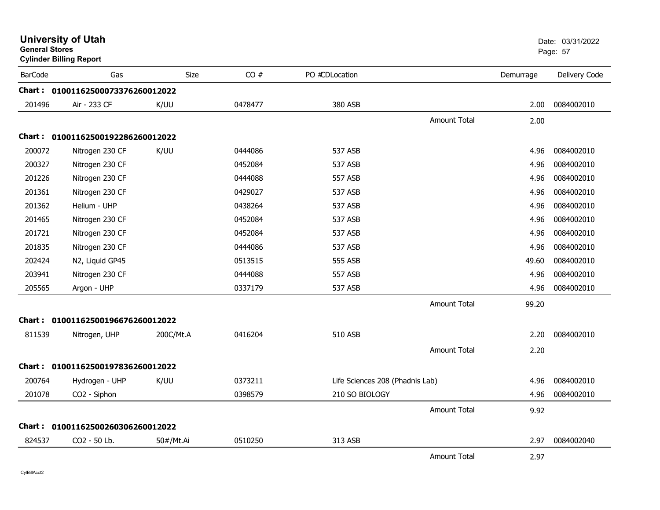| <b>General Stores</b> | <b>University of Utah</b><br><b>Cylinder Billing Report</b> |           |         |                                 |                     |           | Date: 03/31/2022<br>Page: 57 |
|-----------------------|-------------------------------------------------------------|-----------|---------|---------------------------------|---------------------|-----------|------------------------------|
| <b>BarCode</b>        | Gas                                                         | Size      | CO#     | PO #CDLocation                  |                     | Demurrage | Delivery Code                |
|                       | Chart: 01001162500073376260012022                           |           |         |                                 |                     |           |                              |
| 201496                | Air - 233 CF                                                | K/UU      | 0478477 | 380 ASB                         |                     | 2.00      | 0084002010                   |
|                       |                                                             |           |         |                                 | <b>Amount Total</b> | 2.00      |                              |
|                       | Chart: 01001162500192286260012022                           |           |         |                                 |                     |           |                              |
| 200072                | Nitrogen 230 CF                                             | K/UU      | 0444086 | 537 ASB                         |                     | 4.96      | 0084002010                   |
| 200327                | Nitrogen 230 CF                                             |           | 0452084 | 537 ASB                         |                     | 4.96      | 0084002010                   |
| 201226                | Nitrogen 230 CF                                             |           | 0444088 | 557 ASB                         |                     | 4.96      | 0084002010                   |
| 201361                | Nitrogen 230 CF                                             |           | 0429027 | 537 ASB                         |                     | 4.96      | 0084002010                   |
| 201362                | Helium - UHP                                                |           | 0438264 | 537 ASB                         |                     | 4.96      | 0084002010                   |
| 201465                | Nitrogen 230 CF                                             |           | 0452084 | 537 ASB                         |                     | 4.96      | 0084002010                   |
| 201721                | Nitrogen 230 CF                                             |           | 0452084 | 537 ASB                         |                     | 4.96      | 0084002010                   |
| 201835                | Nitrogen 230 CF                                             |           | 0444086 | 537 ASB                         |                     | 4.96      | 0084002010                   |
| 202424                | N2, Liquid GP45                                             |           | 0513515 | 555 ASB                         |                     | 49.60     | 0084002010                   |
| 203941                | Nitrogen 230 CF                                             |           | 0444088 | 557 ASB                         |                     | 4.96      | 0084002010                   |
| 205565                | Argon - UHP                                                 |           | 0337179 | 537 ASB                         |                     | 4.96      | 0084002010                   |
|                       |                                                             |           |         |                                 | Amount Total        | 99.20     |                              |
|                       | Chart: 01001162500196676260012022                           |           |         |                                 |                     |           |                              |
| 811539                | Nitrogen, UHP                                               | 200C/Mt.A | 0416204 | 510 ASB                         |                     | 2.20      | 0084002010                   |
|                       |                                                             |           |         |                                 | <b>Amount Total</b> | 2.20      |                              |
|                       | Chart: 01001162500197836260012022                           |           |         |                                 |                     |           |                              |
| 200764                | Hydrogen - UHP                                              | K/UU      | 0373211 | Life Sciences 208 (Phadnis Lab) |                     | 4.96      | 0084002010                   |
| 201078                | CO2 - Siphon                                                |           | 0398579 | 210 SO BIOLOGY                  |                     | 4.96      | 0084002010                   |
|                       |                                                             |           |         |                                 | <b>Amount Total</b> | 9.92      |                              |
|                       | Chart: 01001162500260306260012022                           |           |         |                                 |                     |           |                              |
| 824537                | CO2 - 50 Lb.                                                | 50#/Mt.Ai | 0510250 | 313 ASB                         |                     | 2.97      | 0084002040                   |
|                       |                                                             |           |         |                                 | <b>Amount Total</b> | 2.97      |                              |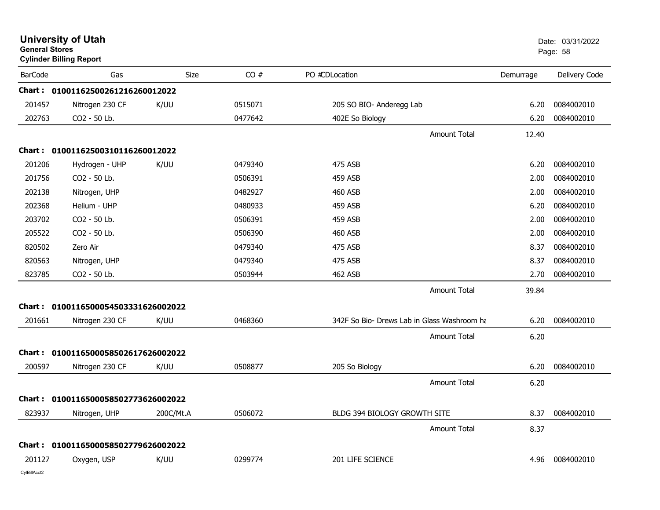| <b>General Stores</b> | <b>University of Utah</b><br><b>Cylinder Billing Report</b> |           |         |                                             |           | Date: 03/31/2022<br>Page: 58 |
|-----------------------|-------------------------------------------------------------|-----------|---------|---------------------------------------------|-----------|------------------------------|
| <b>BarCode</b>        | Gas                                                         | Size      | CO#     | PO #CDLocation                              | Demurrage | Delivery Code                |
|                       | Chart: 01001162500261216260012022                           |           |         |                                             |           |                              |
| 201457                | Nitrogen 230 CF                                             | K/UU      | 0515071 | 205 SO BIO- Anderegg Lab                    | 6.20      | 0084002010                   |
| 202763                | CO2 - 50 Lb.                                                |           | 0477642 | 402E So Biology                             | 6.20      | 0084002010                   |
|                       |                                                             |           |         | Amount Total                                | 12.40     |                              |
|                       | Chart: 01001162500310116260012022                           |           |         |                                             |           |                              |
| 201206                | Hydrogen - UHP                                              | K/UU      | 0479340 | 475 ASB                                     | 6.20      | 0084002010                   |
| 201756                | CO2 - 50 Lb.                                                |           | 0506391 | 459 ASB                                     | 2.00      | 0084002010                   |
| 202138                | Nitrogen, UHP                                               |           | 0482927 | 460 ASB                                     | 2.00      | 0084002010                   |
| 202368                | Helium - UHP                                                |           | 0480933 | 459 ASB                                     | 6.20      | 0084002010                   |
| 203702                | CO2 - 50 Lb.                                                |           | 0506391 | 459 ASB                                     | 2.00      | 0084002010                   |
| 205522                | CO2 - 50 Lb.                                                |           | 0506390 | 460 ASB                                     | 2.00      | 0084002010                   |
| 820502                | Zero Air                                                    |           | 0479340 | 475 ASB                                     | 8.37      | 0084002010                   |
| 820563                | Nitrogen, UHP                                               |           | 0479340 | 475 ASB                                     | 8.37      | 0084002010                   |
| 823785                | CO2 - 50 Lb.                                                |           | 0503944 | 462 ASB                                     | 2.70      | 0084002010                   |
|                       |                                                             |           |         | <b>Amount Total</b>                         | 39.84     |                              |
| Chart:                | 0100116500054503331626002022                                |           |         |                                             |           |                              |
| 201661                | Nitrogen 230 CF                                             | K/UU      | 0468360 | 342F So Bio- Drews Lab in Glass Washroom ha | 6.20      | 0084002010                   |
|                       |                                                             |           |         | Amount Total                                | 6.20      |                              |
| Chart :               | 0100116500058502617626002022                                |           |         |                                             |           |                              |
| 200597                | Nitrogen 230 CF                                             | K/UU      | 0508877 | 205 So Biology                              | 6.20      | 0084002010                   |
|                       |                                                             |           |         | <b>Amount Total</b>                         | 6.20      |                              |
|                       | Chart: 0100116500058502773626002022                         |           |         |                                             |           |                              |
| 823937                | Nitrogen, UHP                                               | 200C/Mt.A | 0506072 | BLDG 394 BIOLOGY GROWTH SITE                | 8.37      | 0084002010                   |
|                       |                                                             |           |         | <b>Amount Total</b>                         | 8.37      |                              |
|                       | Chart: 0100116500058502779626002022                         |           |         |                                             |           |                              |
| 201127                | Oxygen, USP                                                 | K/UU      | 0299774 | 201 LIFE SCIENCE                            | 4.96      | 0084002010                   |
| CylBillAcct2          |                                                             |           |         |                                             |           |                              |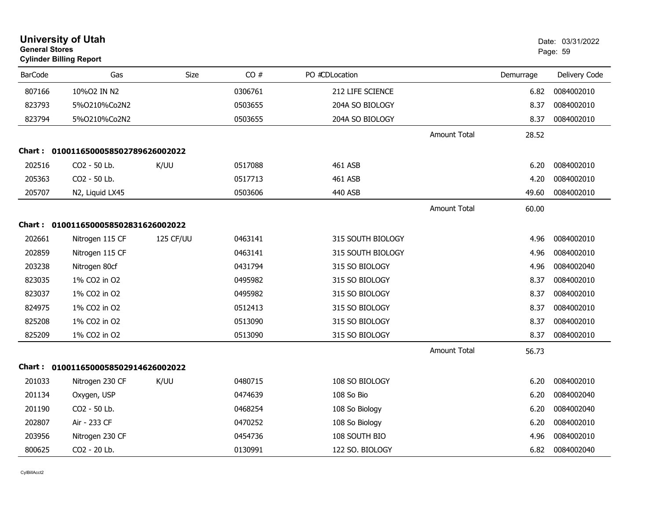|                | <b>University of Utah</b><br><b>General Stores</b><br><b>Cylinder Billing Report</b> |           |         |                   |                     |           | Date: 03/31/2022<br>Page: 59 |
|----------------|--------------------------------------------------------------------------------------|-----------|---------|-------------------|---------------------|-----------|------------------------------|
| <b>BarCode</b> | Gas                                                                                  | Size      | CO#     | PO #CDLocation    |                     | Demurrage | Delivery Code                |
| 807166         | 10%O2 IN N2                                                                          |           | 0306761 | 212 LIFE SCIENCE  |                     | 6.82      | 0084002010                   |
| 823793         | 5%0210%Co2N2                                                                         |           | 0503655 | 204A SO BIOLOGY   |                     | 8.37      | 0084002010                   |
| 823794         | 5%0210%Co2N2                                                                         |           | 0503655 | 204A SO BIOLOGY   |                     | 8.37      | 0084002010                   |
|                |                                                                                      |           |         |                   | <b>Amount Total</b> | 28.52     |                              |
|                | Chart: 0100116500058502789626002022                                                  |           |         |                   |                     |           |                              |
| 202516         | CO2 - 50 Lb.                                                                         | K/UU      | 0517088 | 461 ASB           |                     | 6.20      | 0084002010                   |
| 205363         | CO2 - 50 Lb.                                                                         |           | 0517713 | 461 ASB           |                     | 4.20      | 0084002010                   |
| 205707         | N2, Liquid LX45                                                                      |           | 0503606 | 440 ASB           |                     | 49.60     | 0084002010                   |
|                |                                                                                      |           |         |                   | <b>Amount Total</b> | 60.00     |                              |
|                | Chart: 0100116500058502831626002022                                                  |           |         |                   |                     |           |                              |
| 202661         | Nitrogen 115 CF                                                                      | 125 CF/UU | 0463141 | 315 SOUTH BIOLOGY |                     | 4.96      | 0084002010                   |
| 202859         | Nitrogen 115 CF                                                                      |           | 0463141 | 315 SOUTH BIOLOGY |                     | 4.96      | 0084002010                   |
| 203238         | Nitrogen 80cf                                                                        |           | 0431794 | 315 SO BIOLOGY    |                     | 4.96      | 0084002040                   |
| 823035         | 1% CO2 in O2                                                                         |           | 0495982 | 315 SO BIOLOGY    |                     | 8.37      | 0084002010                   |
| 823037         | 1% CO2 in O2                                                                         |           | 0495982 | 315 SO BIOLOGY    |                     | 8.37      | 0084002010                   |
| 824975         | 1% CO2 in O2                                                                         |           | 0512413 | 315 SO BIOLOGY    |                     | 8.37      | 0084002010                   |
| 825208         | 1% CO2 in O2                                                                         |           | 0513090 | 315 SO BIOLOGY    |                     | 8.37      | 0084002010                   |
| 825209         | 1% CO2 in O2                                                                         |           | 0513090 | 315 SO BIOLOGY    |                     | 8.37      | 0084002010                   |
|                |                                                                                      |           |         |                   | Amount Total        | 56.73     |                              |
|                | Chart: 0100116500058502914626002022                                                  |           |         |                   |                     |           |                              |
| 201033         | Nitrogen 230 CF                                                                      | K/UU      | 0480715 | 108 SO BIOLOGY    |                     | 6.20      | 0084002010                   |
| 201134         | Oxygen, USP                                                                          |           | 0474639 | 108 So Bio        |                     | 6.20      | 0084002040                   |
| 201190         | CO2 - 50 Lb.                                                                         |           | 0468254 | 108 So Biology    |                     | 6.20      | 0084002040                   |
| 202807         | Air - 233 CF                                                                         |           | 0470252 | 108 So Biology    |                     | 6.20      | 0084002010                   |
| 203956         | Nitrogen 230 CF                                                                      |           | 0454736 | 108 SOUTH BIO     |                     | 4.96      | 0084002010                   |
| 800625         | CO2 - 20 Lb.                                                                         |           | 0130991 | 122 SO. BIOLOGY   |                     | 6.82      | 0084002040                   |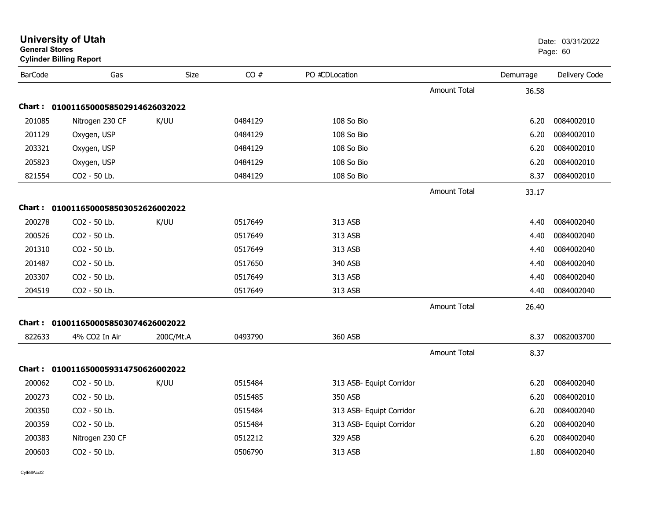| <b>General Stores</b> | <b>Cylinder Billing Report</b>      |           |         |                          |                     |           | Page: 60      |
|-----------------------|-------------------------------------|-----------|---------|--------------------------|---------------------|-----------|---------------|
| <b>BarCode</b>        | Gas                                 | Size      | CO#     | PO #CDLocation           |                     | Demurrage | Delivery Code |
|                       |                                     |           |         |                          | Amount Total        | 36.58     |               |
| <b>Chart:</b>         | 0100116500058502914626032022        |           |         |                          |                     |           |               |
| 201085                | Nitrogen 230 CF                     | K/UU      | 0484129 | 108 So Bio               |                     | 6.20      | 0084002010    |
| 201129                | Oxygen, USP                         |           | 0484129 | 108 So Bio               |                     | 6.20      | 0084002010    |
| 203321                | Oxygen, USP                         |           | 0484129 | 108 So Bio               |                     | 6.20      | 0084002010    |
| 205823                | Oxygen, USP                         |           | 0484129 | 108 So Bio               |                     | 6.20      | 0084002010    |
| 821554                | CO2 - 50 Lb.                        |           | 0484129 | 108 So Bio               |                     | 8.37      | 0084002010    |
|                       |                                     |           |         |                          | <b>Amount Total</b> | 33.17     |               |
|                       | Chart: 0100116500058503052626002022 |           |         |                          |                     |           |               |
| 200278                | CO2 - 50 Lb.                        | K/UU      | 0517649 | 313 ASB                  |                     | 4.40      | 0084002040    |
| 200526                | CO2 - 50 Lb.                        |           | 0517649 | 313 ASB                  |                     | 4.40      | 0084002040    |
| 201310                | CO2 - 50 Lb.                        |           | 0517649 | 313 ASB                  |                     | 4.40      | 0084002040    |
| 201487                | CO2 - 50 Lb.                        |           | 0517650 | 340 ASB                  |                     | 4.40      | 0084002040    |
| 203307                | CO2 - 50 Lb.                        |           | 0517649 | 313 ASB                  |                     | 4.40      | 0084002040    |
| 204519                | CO2 - 50 Lb.                        |           | 0517649 | 313 ASB                  |                     | 4.40      | 0084002040    |
|                       |                                     |           |         |                          | Amount Total        | 26.40     |               |
|                       | Chart: 0100116500058503074626002022 |           |         |                          |                     |           |               |
| 822633                | 4% CO2 In Air                       | 200C/Mt.A | 0493790 | 360 ASB                  |                     | 8.37      | 0082003700    |
|                       |                                     |           |         |                          | <b>Amount Total</b> | 8.37      |               |
|                       | Chart: 0100116500059314750626002022 |           |         |                          |                     |           |               |
| 200062                | CO2 - 50 Lb.                        | K/UU      | 0515484 | 313 ASB- Equipt Corridor |                     | 6.20      | 0084002040    |
| 200273                | CO2 - 50 Lb.                        |           | 0515485 | 350 ASB                  |                     | 6.20      | 0084002010    |
| 200350                | CO2 - 50 Lb.                        |           | 0515484 | 313 ASB- Equipt Corridor |                     | 6.20      | 0084002040    |
| 200359                | CO2 - 50 Lb.                        |           | 0515484 | 313 ASB- Equipt Corridor |                     | 6.20      | 0084002040    |
| 200383                | Nitrogen 230 CF                     |           | 0512212 | 329 ASB                  |                     | 6.20      | 0084002040    |
| 200603                | CO2 - 50 Lb.                        |           | 0506790 | 313 ASB                  |                     | 1.80      | 0084002040    |
|                       |                                     |           |         |                          |                     |           |               |

**University of Utah** Date: 03/31/2022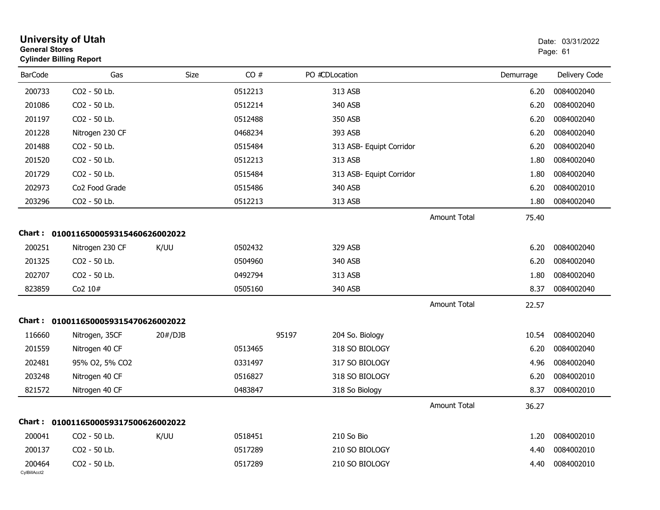| <b>General Stores</b>  | <b>University of Utah</b><br><b>Cylinder Billing Report</b> |         |         |       |                          |                     |           | Date: 03/31/2022<br>Page: 61 |
|------------------------|-------------------------------------------------------------|---------|---------|-------|--------------------------|---------------------|-----------|------------------------------|
| <b>BarCode</b>         | Gas                                                         | Size    | CO#     |       | PO #CDLocation           |                     | Demurrage | Delivery Code                |
| 200733                 | CO2 - 50 Lb.                                                |         | 0512213 |       | 313 ASB                  |                     | 6.20      | 0084002040                   |
| 201086                 | CO2 - 50 Lb.                                                |         | 0512214 |       | 340 ASB                  |                     | 6.20      | 0084002040                   |
| 201197                 | CO2 - 50 Lb.                                                |         | 0512488 |       | 350 ASB                  |                     | 6.20      | 0084002040                   |
| 201228                 | Nitrogen 230 CF                                             |         | 0468234 |       | 393 ASB                  |                     | 6.20      | 0084002040                   |
| 201488                 | CO2 - 50 Lb.                                                |         | 0515484 |       | 313 ASB- Equipt Corridor |                     | 6.20      | 0084002040                   |
| 201520                 | CO2 - 50 Lb.                                                |         | 0512213 |       | 313 ASB                  |                     | 1.80      | 0084002040                   |
| 201729                 | CO2 - 50 Lb.                                                |         | 0515484 |       | 313 ASB- Equipt Corridor |                     | 1.80      | 0084002040                   |
| 202973                 | Co2 Food Grade                                              |         | 0515486 |       | 340 ASB                  |                     | 6.20      | 0084002010                   |
| 203296                 | CO2 - 50 Lb.                                                |         | 0512213 |       | 313 ASB                  |                     | 1.80      | 0084002040                   |
|                        |                                                             |         |         |       |                          | <b>Amount Total</b> | 75.40     |                              |
|                        | Chart: 0100116500059315460626002022                         |         |         |       |                          |                     |           |                              |
| 200251                 | Nitrogen 230 CF                                             | K/UU    | 0502432 |       | 329 ASB                  |                     | 6.20      | 0084002040                   |
| 201325                 | CO2 - 50 Lb.                                                |         | 0504960 |       | 340 ASB                  |                     | 6.20      | 0084002040                   |
| 202707                 | CO2 - 50 Lb.                                                |         | 0492794 |       | 313 ASB                  |                     | 1.80      | 0084002040                   |
| 823859                 | Co2 10#                                                     |         | 0505160 |       | 340 ASB                  |                     | 8.37      | 0084002040                   |
|                        |                                                             |         |         |       |                          | <b>Amount Total</b> | 22.57     |                              |
|                        | Chart: 0100116500059315470626002022                         |         |         |       |                          |                     |           |                              |
| 116660                 | Nitrogen, 35CF                                              | 20#/DJB |         | 95197 | 204 So. Biology          |                     | 10.54     | 0084002040                   |
| 201559                 | Nitrogen 40 CF                                              |         | 0513465 |       | 318 SO BIOLOGY           |                     | 6.20      | 0084002040                   |
| 202481                 | 95% O2, 5% CO2                                              |         | 0331497 |       | 317 SO BIOLOGY           |                     | 4.96      | 0084002040                   |
| 203248                 | Nitrogen 40 CF                                              |         | 0516827 |       | 318 SO BIOLOGY           |                     | 6.20      | 0084002010                   |
| 821572                 | Nitrogen 40 CF                                              |         | 0483847 |       | 318 So Biology           |                     | 8.37      | 0084002010                   |
|                        |                                                             |         |         |       |                          | Amount Total        | 36.27     |                              |
|                        | Chart: 0100116500059317500626002022                         |         |         |       |                          |                     |           |                              |
| 200041                 | CO2 - 50 Lb.                                                | K/UU    | 0518451 |       | 210 So Bio               |                     | 1.20      | 0084002010                   |
| 200137                 | CO2 - 50 Lb.                                                |         | 0517289 |       | 210 SO BIOLOGY           |                     | 4.40      | 0084002010                   |
| 200464<br>CylBillAcct2 | CO2 - 50 Lb.                                                |         | 0517289 |       | 210 SO BIOLOGY           |                     | 4.40      | 0084002010                   |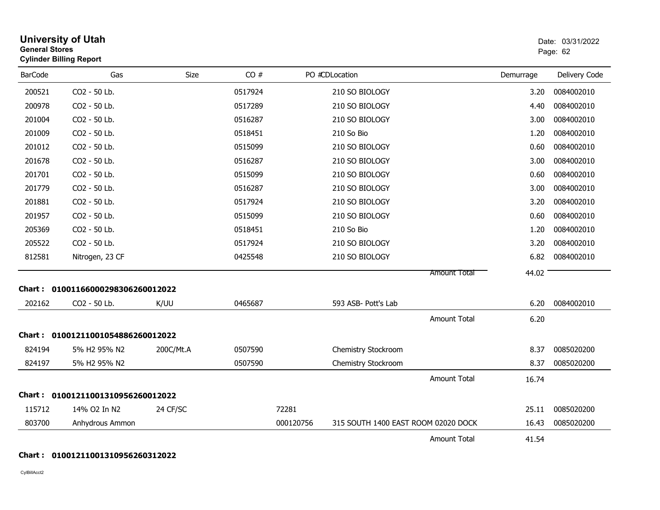| <b>General Stores</b> | <b>University of Utah</b><br><b>Cylinder Billing Report</b> |           |         |           |                                     |                     |           | Date: 03/31/2022<br>Page: 62 |
|-----------------------|-------------------------------------------------------------|-----------|---------|-----------|-------------------------------------|---------------------|-----------|------------------------------|
| <b>BarCode</b>        | Gas                                                         | Size      | CO#     |           | PO #CDLocation                      |                     | Demurrage | Delivery Code                |
| 200521                | CO2 - 50 Lb.                                                |           | 0517924 |           | 210 SO BIOLOGY                      |                     | 3.20      | 0084002010                   |
| 200978                | CO2 - 50 Lb.                                                |           | 0517289 |           | 210 SO BIOLOGY                      |                     | 4.40      | 0084002010                   |
| 201004                | CO2 - 50 Lb.                                                |           | 0516287 |           | 210 SO BIOLOGY                      |                     | 3.00      | 0084002010                   |
| 201009                | CO2 - 50 Lb.                                                |           | 0518451 |           | 210 So Bio                          |                     | 1.20      | 0084002010                   |
| 201012                | CO2 - 50 Lb.                                                |           | 0515099 |           | 210 SO BIOLOGY                      |                     | 0.60      | 0084002010                   |
| 201678                | CO2 - 50 Lb.                                                |           | 0516287 |           | 210 SO BIOLOGY                      |                     | 3.00      | 0084002010                   |
| 201701                | CO2 - 50 Lb.                                                |           | 0515099 |           | 210 SO BIOLOGY                      |                     | 0.60      | 0084002010                   |
| 201779                | CO2 - 50 Lb.                                                |           | 0516287 |           | 210 SO BIOLOGY                      |                     | 3.00      | 0084002010                   |
| 201881                | CO2 - 50 Lb.                                                |           | 0517924 |           | 210 SO BIOLOGY                      |                     | 3.20      | 0084002010                   |
| 201957                | CO2 - 50 Lb.                                                |           | 0515099 |           | 210 SO BIOLOGY                      |                     | 0.60      | 0084002010                   |
| 205369                | CO2 - 50 Lb.                                                |           | 0518451 |           | 210 So Bio                          |                     | 1.20      | 0084002010                   |
| 205522                | CO2 - 50 Lb.                                                |           | 0517924 |           | 210 SO BIOLOGY                      |                     | 3.20      | 0084002010                   |
| 812581                | Nitrogen, 23 CF                                             |           | 0425548 |           | 210 SO BIOLOGY                      |                     | 6.82      | 0084002010                   |
|                       |                                                             |           |         |           |                                     | <b>Amount Total</b> | 44.02     |                              |
| Chart :               | 01001166000298306260012022                                  |           |         |           |                                     |                     |           |                              |
| 202162                | CO2 - 50 Lb.                                                | K/UU      | 0465687 |           | 593 ASB- Pott's Lab                 |                     | 6.20      | 0084002010                   |
|                       |                                                             |           |         |           |                                     | <b>Amount Total</b> | 6.20      |                              |
|                       | Chart: 01001211001054886260012022                           |           |         |           |                                     |                     |           |                              |
| 824194                | 5% H2 95% N2                                                | 200C/Mt.A | 0507590 |           | Chemistry Stockroom                 |                     | 8.37      | 0085020200                   |
| 824197                | 5% H2 95% N2                                                |           | 0507590 |           | Chemistry Stockroom                 |                     | 8.37      | 0085020200                   |
|                       |                                                             |           |         |           |                                     | <b>Amount Total</b> | 16.74     |                              |
|                       | Chart: 01001211001310956260012022                           |           |         |           |                                     |                     |           |                              |
| 115712                | 14% O2 In N2                                                | 24 CF/SC  |         | 72281     |                                     |                     | 25.11     | 0085020200                   |
| 803700                | Anhydrous Ammon                                             |           |         | 000120756 | 315 SOUTH 1400 EAST ROOM 02020 DOCK |                     | 16.43     | 0085020200                   |
|                       |                                                             |           |         |           |                                     | <b>Amount Total</b> | 41.54     |                              |

### **Chart : 01001211001310956260312022**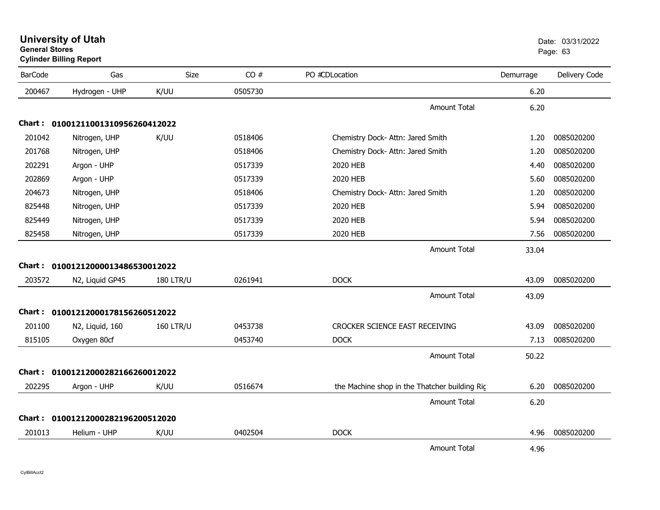| General Stores | <b>Cylinder Billing Report</b>    |                  |         |                                               |           | Page: 63      |
|----------------|-----------------------------------|------------------|---------|-----------------------------------------------|-----------|---------------|
| <b>BarCode</b> | Gas                               | Size             | CO#     | PO #CDLocation                                | Demurrage | Delivery Code |
| 200467         | Hydrogen - UHP                    | K/UU             | 0505730 |                                               | 6.20      |               |
|                |                                   |                  |         | <b>Amount Total</b>                           | 6.20      |               |
|                | Chart: 01001211001310956260412022 |                  |         |                                               |           |               |
| 201042         | Nitrogen, UHP                     | K/UU             | 0518406 | Chemistry Dock- Attn: Jared Smith             | 1.20      | 0085020200    |
| 201768         | Nitrogen, UHP                     |                  | 0518406 | Chemistry Dock- Attn: Jared Smith             | 1.20      | 0085020200    |
| 202291         | Argon - UHP                       |                  | 0517339 | 2020 HEB                                      | 4.40      | 0085020200    |
| 202869         | Argon - UHP                       |                  | 0517339 | 2020 HEB                                      | 5.60      | 0085020200    |
| 204673         | Nitrogen, UHP                     |                  | 0518406 | Chemistry Dock- Attn: Jared Smith             | 1.20      | 0085020200    |
| 825448         | Nitrogen, UHP                     |                  | 0517339 | 2020 HEB                                      | 5.94      | 0085020200    |
| 825449         | Nitrogen, UHP                     |                  | 0517339 | 2020 HEB                                      | 5.94      | 0085020200    |
| 825458         | Nitrogen, UHP                     |                  | 0517339 | 2020 HEB                                      | 7.56      | 0085020200    |
|                |                                   |                  |         | <b>Amount Total</b>                           | 33.04     |               |
|                | Chart: 01001212000013486530012022 |                  |         |                                               |           |               |
| 203572         | N2, Liquid GP45                   | <b>180 LTR/U</b> | 0261941 | <b>DOCK</b>                                   | 43.09     | 0085020200    |
|                |                                   |                  |         | <b>Amount Total</b>                           | 43.09     |               |
|                | Chart: 01001212000178156260512022 |                  |         |                                               |           |               |
| 201100         | N2, Liquid, 160                   | <b>160 LTR/U</b> | 0453738 | CROCKER SCIENCE EAST RECEIVING                | 43.09     | 0085020200    |
| 815105         | Oxygen 80cf                       |                  | 0453740 | <b>DOCK</b>                                   | 7.13      | 0085020200    |
|                |                                   |                  |         | <b>Amount Total</b>                           | 50.22     |               |
|                | Chart: 01001212000282166260012022 |                  |         |                                               |           |               |
| 202295         | Argon - UHP                       | K/UU             | 0516674 | the Machine shop in the Thatcher building Rig | 6.20      | 0085020200    |
|                |                                   |                  |         | <b>Amount Total</b>                           | 6.20      |               |
|                | Chart: 01001212000282196200512020 |                  |         |                                               |           |               |
| 201013         | Helium - UHP                      | K/UU             | 0402504 | <b>DOCK</b>                                   | 4.96      | 0085020200    |
|                |                                   |                  |         | <b>Amount Total</b>                           | 4.96      |               |

**University of Utah** Date: 03/31/2022

**General Stores**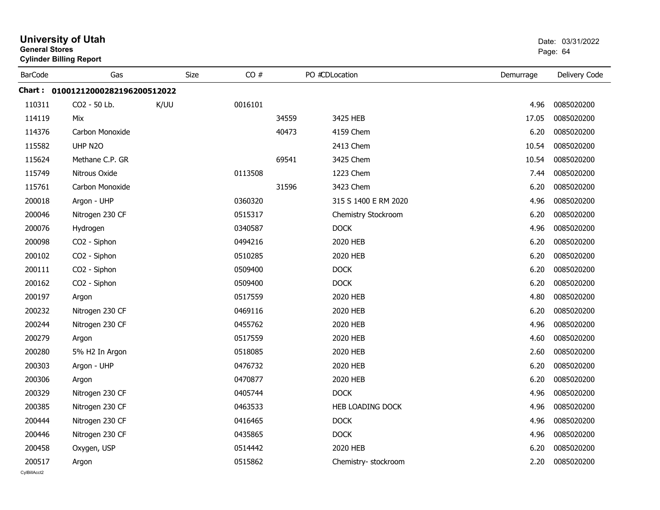|                | <b>University of Utah</b><br><b>General Stores</b><br><b>Cylinder Billing Report</b> |      |         |       |                         |           | Date: 03/31/2022<br>Page: 64 |
|----------------|--------------------------------------------------------------------------------------|------|---------|-------|-------------------------|-----------|------------------------------|
| <b>BarCode</b> | Gas                                                                                  | Size | CO#     |       | PO #CDLocation          | Demurrage | Delivery Code                |
|                | Chart: 01001212000282196200512022                                                    |      |         |       |                         |           |                              |
| 110311         | CO <sub>2</sub> - 50 Lb.                                                             | K/UU | 0016101 |       |                         | 4.96      | 0085020200                   |
| 114119         | Mix                                                                                  |      |         | 34559 | 3425 HEB                | 17.05     | 0085020200                   |
| 114376         | Carbon Monoxide                                                                      |      |         | 40473 | 4159 Chem               | 6.20      | 0085020200                   |
| 115582         | UHP N2O                                                                              |      |         |       | 2413 Chem               | 10.54     | 0085020200                   |
| 115624         | Methane C.P. GR                                                                      |      |         | 69541 | 3425 Chem               | 10.54     | 0085020200                   |
| 115749         | Nitrous Oxide                                                                        |      | 0113508 |       | 1223 Chem               | 7.44      | 0085020200                   |
| 115761         | Carbon Monoxide                                                                      |      |         | 31596 | 3423 Chem               | 6.20      | 0085020200                   |
| 200018         | Argon - UHP                                                                          |      | 0360320 |       | 315 S 1400 E RM 2020    | 4.96      | 0085020200                   |
| 200046         | Nitrogen 230 CF                                                                      |      | 0515317 |       | Chemistry Stockroom     | 6.20      | 0085020200                   |
| 200076         | Hydrogen                                                                             |      | 0340587 |       | <b>DOCK</b>             | 4.96      | 0085020200                   |
| 200098         | CO2 - Siphon                                                                         |      | 0494216 |       | 2020 HEB                | 6.20      | 0085020200                   |
| 200102         | CO2 - Siphon                                                                         |      | 0510285 |       | 2020 HEB                | 6.20      | 0085020200                   |
| 200111         | CO2 - Siphon                                                                         |      | 0509400 |       | <b>DOCK</b>             | 6.20      | 0085020200                   |
| 200162         | CO2 - Siphon                                                                         |      | 0509400 |       | <b>DOCK</b>             | 6.20      | 0085020200                   |
| 200197         | Argon                                                                                |      | 0517559 |       | 2020 HEB                | 4.80      | 0085020200                   |
| 200232         | Nitrogen 230 CF                                                                      |      | 0469116 |       | 2020 HEB                | 6.20      | 0085020200                   |
| 200244         | Nitrogen 230 CF                                                                      |      | 0455762 |       | 2020 HEB                | 4.96      | 0085020200                   |
| 200279         | Argon                                                                                |      | 0517559 |       | 2020 HEB                | 4.60      | 0085020200                   |
| 200280         | 5% H2 In Argon                                                                       |      | 0518085 |       | 2020 HEB                | 2.60      | 0085020200                   |
| 200303         | Argon - UHP                                                                          |      | 0476732 |       | 2020 HEB                | 6.20      | 0085020200                   |
| 200306         | Argon                                                                                |      | 0470877 |       | 2020 HEB                | 6.20      | 0085020200                   |
| 200329         | Nitrogen 230 CF                                                                      |      | 0405744 |       | <b>DOCK</b>             | 4.96      | 0085020200                   |
| 200385         | Nitrogen 230 CF                                                                      |      | 0463533 |       | <b>HEB LOADING DOCK</b> | 4.96      | 0085020200                   |
| 200444         | Nitrogen 230 CF                                                                      |      | 0416465 |       | <b>DOCK</b>             | 4.96      | 0085020200                   |
| 200446         | Nitrogen 230 CF                                                                      |      | 0435865 |       | <b>DOCK</b>             | 4.96      | 0085020200                   |
| 200458         | Oxygen, USP                                                                          |      | 0514442 |       | 2020 HEB                | 6.20      | 0085020200                   |
| 200517         | Argon                                                                                |      | 0515862 |       | Chemistry-stockroom     | 2.20      | 0085020200                   |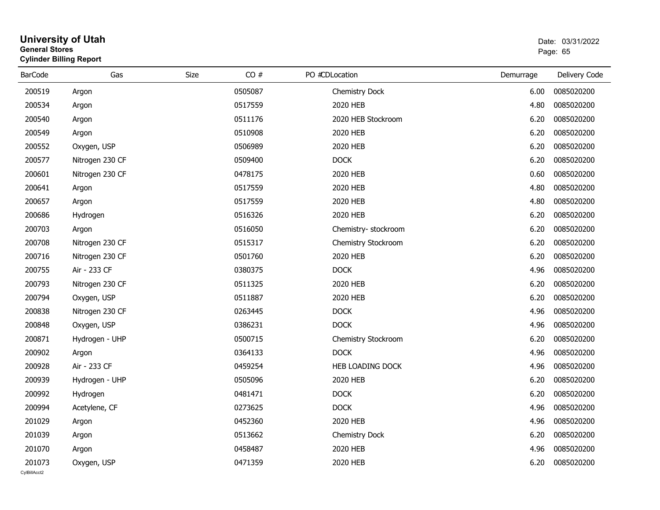#### **University of Utah** Date: 03/31/2022 **General Stores**entry of the control of the control of the control of the control of the control of the control of the control of the control of the control of the control of the control of the control of the control of the control of the **Cylinder Billing Report**

| <b>BarCode</b> | Gas             | CO#<br>Size | PO #CDLocation        | Demurrage | Delivery Code |
|----------------|-----------------|-------------|-----------------------|-----------|---------------|
| 200519         | Argon           | 0505087     | Chemistry Dock        | 6.00      | 0085020200    |
| 200534         | Argon           | 0517559     | 2020 HEB              | 4.80      | 0085020200    |
| 200540         | Argon           | 0511176     | 2020 HEB Stockroom    | 6.20      | 0085020200    |
| 200549         | Argon           | 0510908     | 2020 HEB              | 6.20      | 0085020200    |
| 200552         | Oxygen, USP     | 0506989     | 2020 HEB              | 6.20      | 0085020200    |
| 200577         | Nitrogen 230 CF | 0509400     | DOCK                  | 6.20      | 0085020200    |
| 200601         | Nitrogen 230 CF | 0478175     | 2020 HEB              | 0.60      | 0085020200    |
| 200641         | Argon           | 0517559     | 2020 HEB              | 4.80      | 0085020200    |
| 200657         | Argon           | 0517559     | 2020 HEB              | 4.80      | 0085020200    |
| 200686         | Hydrogen        | 0516326     | 2020 HEB              | 6.20      | 0085020200    |
| 200703         | Argon           | 0516050     | Chemistry- stockroom  | 6.20      | 0085020200    |
| 200708         | Nitrogen 230 CF | 0515317     | Chemistry Stockroom   | 6.20      | 0085020200    |
| 200716         | Nitrogen 230 CF | 0501760     | 2020 HEB              | 6.20      | 0085020200    |
| 200755         | Air - 233 CF    | 0380375     | <b>DOCK</b>           | 4.96      | 0085020200    |
| 200793         | Nitrogen 230 CF | 0511325     | 2020 HEB              | 6.20      | 0085020200    |
| 200794         | Oxygen, USP     | 0511887     | 2020 HEB              | 6.20      | 0085020200    |
| 200838         | Nitrogen 230 CF | 0263445     | <b>DOCK</b>           | 4.96      | 0085020200    |
| 200848         | Oxygen, USP     | 0386231     | <b>DOCK</b>           | 4.96      | 0085020200    |
| 200871         | Hydrogen - UHP  | 0500715     | Chemistry Stockroom   | 6.20      | 0085020200    |
| 200902         | Argon           | 0364133     | <b>DOCK</b>           | 4.96      | 0085020200    |
| 200928         | Air - 233 CF    | 0459254     | HEB LOADING DOCK      | 4.96      | 0085020200    |
| 200939         | Hydrogen - UHP  | 0505096     | 2020 HEB              | 6.20      | 0085020200    |
| 200992         | Hydrogen        | 0481471     | <b>DOCK</b>           | 6.20      | 0085020200    |
| 200994         | Acetylene, CF   | 0273625     | <b>DOCK</b>           | 4.96      | 0085020200    |
| 201029         | Argon           | 0452360     | 2020 HEB              | 4.96      | 0085020200    |
| 201039         | Argon           | 0513662     | <b>Chemistry Dock</b> | 6.20      | 0085020200    |
| 201070         | Argon           | 0458487     | 2020 HEB              | 4.96      | 0085020200    |
| 201073         | Oxygen, USP     | 0471359     | 2020 HEB              | 6.20      | 0085020200    |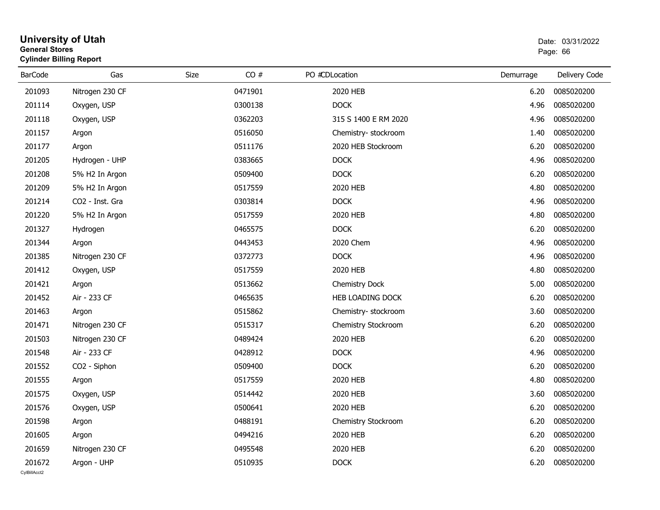#### **University of Utah** Date: 03/31/2022 **General Stores**е в последници по последници по последници по последници по последници по последници по последници по последниц<br>В 1963 године по последници по последници по последници по последници по последници по последници по последни **Cylinder Billing Report**

| <b>BarCode</b> | Gas             | CO#<br>Size | PO #CDLocation       | Demurrage | Delivery Code |
|----------------|-----------------|-------------|----------------------|-----------|---------------|
| 201093         | Nitrogen 230 CF | 0471901     | 2020 HEB             | 6.20      | 0085020200    |
| 201114         | Oxygen, USP     | 0300138     | <b>DOCK</b>          | 4.96      | 0085020200    |
| 201118         | Oxygen, USP     | 0362203     | 315 S 1400 E RM 2020 | 4.96      | 0085020200    |
| 201157         | Argon           | 0516050     | Chemistry-stockroom  | 1.40      | 0085020200    |
| 201177         | Argon           | 0511176     | 2020 HEB Stockroom   | 6.20      | 0085020200    |
| 201205         | Hydrogen - UHP  | 0383665     | <b>DOCK</b>          | 4.96      | 0085020200    |
| 201208         | 5% H2 In Argon  | 0509400     | <b>DOCK</b>          | 6.20      | 0085020200    |
| 201209         | 5% H2 In Argon  | 0517559     | 2020 HEB             | 4.80      | 0085020200    |
| 201214         | CO2 - Inst. Gra | 0303814     | <b>DOCK</b>          | 4.96      | 0085020200    |
| 201220         | 5% H2 In Argon  | 0517559     | 2020 HEB             | 4.80      | 0085020200    |
| 201327         | Hydrogen        | 0465575     | <b>DOCK</b>          | 6.20      | 0085020200    |
| 201344         | Argon           | 0443453     | 2020 Chem            | 4.96      | 0085020200    |
| 201385         | Nitrogen 230 CF | 0372773     | DOCK                 | 4.96      | 0085020200    |
| 201412         | Oxygen, USP     | 0517559     | 2020 HEB             | 4.80      | 0085020200    |
| 201421         | Argon           | 0513662     | Chemistry Dock       | 5.00      | 0085020200    |
| 201452         | Air - 233 CF    | 0465635     | HEB LOADING DOCK     | 6.20      | 0085020200    |
| 201463         | Argon           | 0515862     | Chemistry-stockroom  | 3.60      | 0085020200    |
| 201471         | Nitrogen 230 CF | 0515317     | Chemistry Stockroom  | 6.20      | 0085020200    |
| 201503         | Nitrogen 230 CF | 0489424     | 2020 HEB             | 6.20      | 0085020200    |
| 201548         | Air - 233 CF    | 0428912     | <b>DOCK</b>          | 4.96      | 0085020200    |
| 201552         | CO2 - Siphon    | 0509400     | <b>DOCK</b>          | 6.20      | 0085020200    |
| 201555         | Argon           | 0517559     | 2020 HEB             | 4.80      | 0085020200    |
| 201575         | Oxygen, USP     | 0514442     | 2020 HEB             | 3.60      | 0085020200    |
| 201576         | Oxygen, USP     | 0500641     | 2020 HEB             | 6.20      | 0085020200    |
| 201598         | Argon           | 0488191     | Chemistry Stockroom  | 6.20      | 0085020200    |
| 201605         | Argon           | 0494216     | 2020 HEB             | 6.20      | 0085020200    |
| 201659         | Nitrogen 230 CF | 0495548     | 2020 HEB             | 6.20      | 0085020200    |
| 201672         | Argon - UHP     | 0510935     | <b>DOCK</b>          | 6.20      | 0085020200    |
| CvIBillAcct2   |                 |             |                      |           |               |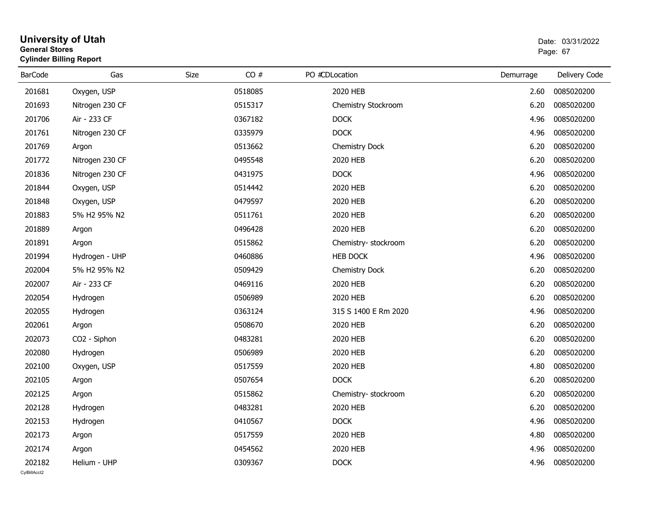#### **University of Utah** Date: 03/31/2022 **General Stores**end and the state of the state of the state of the state of the state of the state of the state of the state of the state of the state of the state of the state of the state of the state of the state of the state of the st **Cylinder Billing Report**

| <b>BarCode</b> | Gas             | Size    | CO# | PO #CDLocation       | Demurrage | Delivery Code |
|----------------|-----------------|---------|-----|----------------------|-----------|---------------|
|                |                 |         |     |                      |           |               |
| 201681         | Oxygen, USP     | 0518085 |     | 2020 HEB             | 2.60      | 0085020200    |
| 201693         | Nitrogen 230 CF | 0515317 |     | Chemistry Stockroom  | 6.20      | 0085020200    |
| 201706         | Air - 233 CF    | 0367182 |     | <b>DOCK</b>          | 4.96      | 0085020200    |
| 201761         | Nitrogen 230 CF | 0335979 |     | <b>DOCK</b>          | 4.96      | 0085020200    |
| 201769         | Argon           | 0513662 |     | Chemistry Dock       | 6.20      | 0085020200    |
| 201772         | Nitrogen 230 CF | 0495548 |     | 2020 HEB             | 6.20      | 0085020200    |
| 201836         | Nitrogen 230 CF | 0431975 |     | <b>DOCK</b>          | 4.96      | 0085020200    |
| 201844         | Oxygen, USP     | 0514442 |     | 2020 HEB             | 6.20      | 0085020200    |
| 201848         | Oxygen, USP     | 0479597 |     | 2020 HEB             | 6.20      | 0085020200    |
| 201883         | 5% H2 95% N2    | 0511761 |     | 2020 HEB             | 6.20      | 0085020200    |
| 201889         | Argon           | 0496428 |     | 2020 HEB             | 6.20      | 0085020200    |
| 201891         | Argon           | 0515862 |     | Chemistry-stockroom  | 6.20      | 0085020200    |
| 201994         | Hydrogen - UHP  | 0460886 |     | <b>HEB DOCK</b>      | 4.96      | 0085020200    |
| 202004         | 5% H2 95% N2    | 0509429 |     | Chemistry Dock       | 6.20      | 0085020200    |
| 202007         | Air - 233 CF    | 0469116 |     | 2020 HEB             | 6.20      | 0085020200    |
| 202054         | Hydrogen        | 0506989 |     | 2020 HEB             | 6.20      | 0085020200    |
| 202055         | Hydrogen        | 0363124 |     | 315 S 1400 E Rm 2020 | 4.96      | 0085020200    |
| 202061         | Argon           | 0508670 |     | 2020 HEB             | 6.20      | 0085020200    |
| 202073         | CO2 - Siphon    | 0483281 |     | 2020 HEB             | 6.20      | 0085020200    |
| 202080         | Hydrogen        | 0506989 |     | 2020 HEB             | 6.20      | 0085020200    |
| 202100         | Oxygen, USP     | 0517559 |     | 2020 HEB             | 4.80      | 0085020200    |
| 202105         | Argon           | 0507654 |     | <b>DOCK</b>          | 6.20      | 0085020200    |
| 202125         | Argon           | 0515862 |     | Chemistry-stockroom  | 6.20      | 0085020200    |
| 202128         | Hydrogen        | 0483281 |     | 2020 HEB             | 6.20      | 0085020200    |
| 202153         | Hydrogen        | 0410567 |     | <b>DOCK</b>          | 4.96      | 0085020200    |
| 202173         | Argon           | 0517559 |     | 2020 HEB             | 4.80      | 0085020200    |
| 202174         | Argon           | 0454562 |     | 2020 HEB             | 4.96      | 0085020200    |
| 202182         | Helium - UHP    | 0309367 |     | <b>DOCK</b>          | 4.96      | 0085020200    |
| CvIBillAcct2   |                 |         |     |                      |           |               |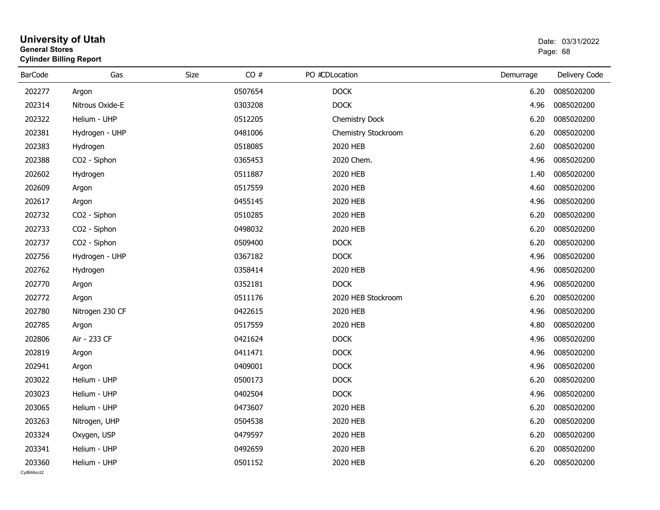#### **University of Utah** Date: 03/31/2022 **General Stores**entry of the control of the control of the control of the control of the control of the control of the control of the control of the control of the control of the control of the control of the control of the control of the **Cylinder Billing Report**

| <b>BarCode</b>         | Gas             | <b>Size</b> | CO# | PO #CDLocation      | Demurrage | Delivery Code |
|------------------------|-----------------|-------------|-----|---------------------|-----------|---------------|
| 202277                 | Argon           | 0507654     |     | <b>DOCK</b>         | 6.20      | 0085020200    |
| 202314                 | Nitrous Oxide-E | 0303208     |     | <b>DOCK</b>         | 4.96      | 0085020200    |
| 202322                 | Helium - UHP    | 0512205     |     | Chemistry Dock      | 6.20      | 0085020200    |
| 202381                 | Hydrogen - UHP  | 0481006     |     | Chemistry Stockroom | 6.20      | 0085020200    |
| 202383                 | Hydrogen        | 0518085     |     | 2020 HEB            | 2.60      | 0085020200    |
| 202388                 | CO2 - Siphon    | 0365453     |     | 2020 Chem.          | 4.96      | 0085020200    |
| 202602                 | Hydrogen        | 0511887     |     | 2020 HEB            | 1.40      | 0085020200    |
| 202609                 | Argon           | 0517559     |     | 2020 HEB            | 4.60      | 0085020200    |
| 202617                 | Argon           | 0455145     |     | 2020 HEB            | 4.96      | 0085020200    |
| 202732                 | CO2 - Siphon    | 0510285     |     | 2020 HEB            | 6.20      | 0085020200    |
| 202733                 | CO2 - Siphon    | 0498032     |     | 2020 HEB            | 6.20      | 0085020200    |
| 202737                 | CO2 - Siphon    | 0509400     |     | <b>DOCK</b>         | 6.20      | 0085020200    |
| 202756                 | Hydrogen - UHP  | 0367182     |     | <b>DOCK</b>         | 4.96      | 0085020200    |
| 202762                 | Hydrogen        | 0358414     |     | 2020 HEB            | 4.96      | 0085020200    |
| 202770                 | Argon           | 0352181     |     | <b>DOCK</b>         | 4.96      | 0085020200    |
| 202772                 | Argon           | 0511176     |     | 2020 HEB Stockroom  | 6.20      | 0085020200    |
| 202780                 | Nitrogen 230 CF | 0422615     |     | 2020 HEB            | 4.96      | 0085020200    |
| 202785                 | Argon           | 0517559     |     | 2020 HEB            | 4.80      | 0085020200    |
| 202806                 | Air - 233 CF    | 0421624     |     | <b>DOCK</b>         | 4.96      | 0085020200    |
| 202819                 | Argon           | 0411471     |     | <b>DOCK</b>         | 4.96      | 0085020200    |
| 202941                 | Argon           | 0409001     |     | <b>DOCK</b>         | 4.96      | 0085020200    |
| 203022                 | Helium - UHP    | 0500173     |     | <b>DOCK</b>         | 6.20      | 0085020200    |
| 203023                 | Helium - UHP    | 0402504     |     | <b>DOCK</b>         | 4.96      | 0085020200    |
| 203065                 | Helium - UHP    | 0473607     |     | 2020 HEB            | 6.20      | 0085020200    |
| 203263                 | Nitrogen, UHP   | 0504538     |     | 2020 HEB            | 6.20      | 0085020200    |
| 203324                 | Oxygen, USP     | 0479597     |     | 2020 HEB            | 6.20      | 0085020200    |
| 203341                 | Helium - UHP    | 0492659     |     | 2020 HEB            | 6.20      | 0085020200    |
| 203360<br>CvIBillAcct2 | Helium - UHP    | 0501152     |     | 2020 HEB            | 6.20      | 0085020200    |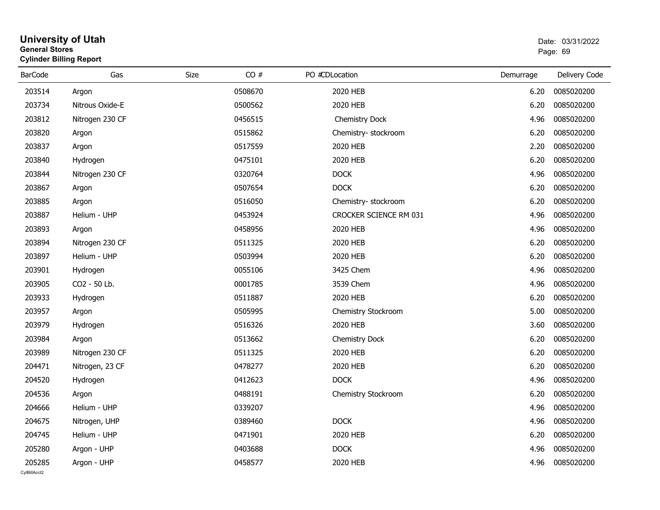#### **University of Utah** Date: 03/31/2022 **General Stores**en de la provincia de la provincia de la provincia de la provincia de la provincia de la provincia de la provi **Cylinder Billing Report**

| <b>BarCode</b> | Gas             | CO#<br>Size | PO #CDLocation         | Demurrage | Delivery Code |
|----------------|-----------------|-------------|------------------------|-----------|---------------|
| 203514         | Argon           | 0508670     | 2020 HEB               | 6.20      | 0085020200    |
| 203734         | Nitrous Oxide-E | 0500562     | 2020 HEB               | 6.20      | 0085020200    |
| 203812         | Nitrogen 230 CF | 0456515     | Chemistry Dock         | 4.96      | 0085020200    |
| 203820         | Argon           | 0515862     | Chemistry-stockroom    | 6.20      | 0085020200    |
| 203837         | Argon           | 0517559     | 2020 HEB               | 2.20      | 0085020200    |
| 203840         | Hydrogen        | 0475101     | 2020 HEB               | 6.20      | 0085020200    |
| 203844         | Nitrogen 230 CF | 0320764     | <b>DOCK</b>            | 4.96      | 0085020200    |
| 203867         | Argon           | 0507654     | <b>DOCK</b>            | 6.20      | 0085020200    |
| 203885         | Argon           | 0516050     | Chemistry-stockroom    | 6.20      | 0085020200    |
| 203887         | Helium - UHP    | 0453924     | CROCKER SCIENCE RM 031 | 4.96      | 0085020200    |
| 203893         | Argon           | 0458956     | 2020 HEB               | 4.96      | 0085020200    |
| 203894         | Nitrogen 230 CF | 0511325     | 2020 HEB               | 6.20      | 0085020200    |
| 203897         | Helium - UHP    | 0503994     | 2020 HEB               | 6.20      | 0085020200    |
| 203901         | Hydrogen        | 0055106     | 3425 Chem              | 4.96      | 0085020200    |
| 203905         | CO2 - 50 Lb.    | 0001785     | 3539 Chem              | 4.96      | 0085020200    |
| 203933         | Hydrogen        | 0511887     | 2020 HEB               | 6.20      | 0085020200    |
| 203957         | Argon           | 0505995     | Chemistry Stockroom    | 5.00      | 0085020200    |
| 203979         | Hydrogen        | 0516326     | 2020 HEB               | 3.60      | 0085020200    |
| 203984         | Argon           | 0513662     | Chemistry Dock         | 6.20      | 0085020200    |
| 203989         | Nitrogen 230 CF | 0511325     | 2020 HEB               | 6.20      | 0085020200    |
| 204471         | Nitrogen, 23 CF | 0478277     | 2020 HEB               | 6.20      | 0085020200    |
| 204520         | Hydrogen        | 0412623     | <b>DOCK</b>            | 4.96      | 0085020200    |
| 204536         | Argon           | 0488191     | Chemistry Stockroom    | 6.20      | 0085020200    |
| 204666         | Helium - UHP    | 0339207     |                        | 4.96      | 0085020200    |
| 204675         | Nitrogen, UHP   | 0389460     | <b>DOCK</b>            | 4.96      | 0085020200    |
| 204745         | Helium - UHP    | 0471901     | 2020 HEB               | 6.20      | 0085020200    |
| 205280         | Argon - UHP     | 0403688     | <b>DOCK</b>            | 4.96      | 0085020200    |
| 205285         | Argon - UHP     | 0458577     | 2020 HEB               | 4.96      | 0085020200    |
| CvIBillAcct2   |                 |             |                        |           |               |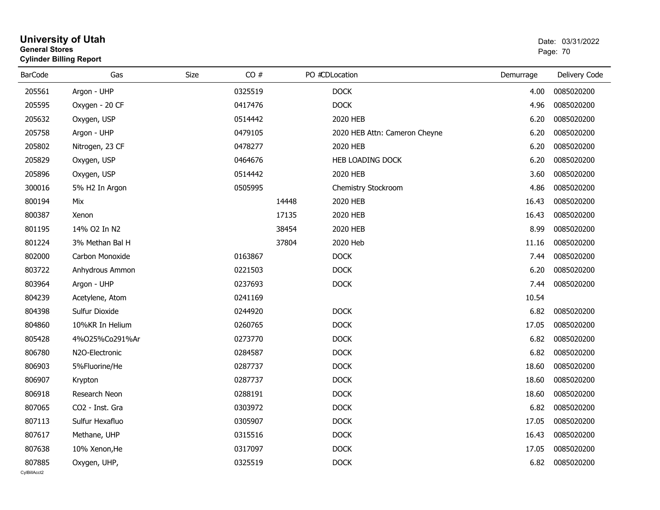| General Stores | <b>Cylinder Billing Report</b> | Page: 70 |         |       |                               |           |               |
|----------------|--------------------------------|----------|---------|-------|-------------------------------|-----------|---------------|
| <b>BarCode</b> | Gas                            | Size     | CO#     |       | PO #CDLocation                | Demurrage | Delivery Code |
| 205561         | Argon - UHP                    |          | 0325519 |       | <b>DOCK</b>                   | 4.00      | 0085020200    |
| 205595         | Oxygen - 20 CF                 |          | 0417476 |       | <b>DOCK</b>                   | 4.96      | 0085020200    |
| 205632         | Oxygen, USP                    |          | 0514442 |       | 2020 HEB                      | 6.20      | 0085020200    |
| 205758         | Argon - UHP                    |          | 0479105 |       | 2020 HEB Attn: Cameron Cheyne | 6.20      | 0085020200    |
| 205802         | Nitrogen, 23 CF                |          | 0478277 |       | 2020 HEB                      | 6.20      | 0085020200    |
| 205829         | Oxygen, USP                    |          | 0464676 |       | HEB LOADING DOCK              | 6.20      | 0085020200    |
| 205896         | Oxygen, USP                    |          | 0514442 |       | 2020 HEB                      | 3.60      | 0085020200    |
| 300016         | 5% H2 In Argon                 |          | 0505995 |       | Chemistry Stockroom           | 4.86      | 0085020200    |
| 800194         | Mix                            |          |         | 14448 | 2020 HEB                      | 16.43     | 0085020200    |
| 800387         | Xenon                          |          |         | 17135 | 2020 HEB                      | 16.43     | 0085020200    |
| 801195         | 14% O2 In N2                   |          |         | 38454 | 2020 HEB                      | 8.99      | 0085020200    |
| 801224         | 3% Methan Bal H                |          |         | 37804 | 2020 Heb                      | 11.16     | 0085020200    |
| 802000         | Carbon Monoxide                |          | 0163867 |       | <b>DOCK</b>                   | 7.44      | 0085020200    |
| 803722         | Anhydrous Ammon                |          | 0221503 |       | <b>DOCK</b>                   | 6.20      | 0085020200    |
| 803964         | Argon - UHP                    |          | 0237693 |       | <b>DOCK</b>                   | 7.44      | 0085020200    |
| 804239         | Acetylene, Atom                |          | 0241169 |       |                               | 10.54     |               |
| 804398         | Sulfur Dioxide                 |          | 0244920 |       | <b>DOCK</b>                   | 6.82      | 0085020200    |
| 804860         | 10%KR In Helium                |          | 0260765 |       | <b>DOCK</b>                   | 17.05     | 0085020200    |
| 805428         | 4%025%Co291%Ar                 |          | 0273770 |       | <b>DOCK</b>                   | 6.82      | 0085020200    |
| 806780         | N <sub>2</sub> O-Electronic    |          | 0284587 |       | <b>DOCK</b>                   | 6.82      | 0085020200    |
| 806903         | 5%Fluorine/He                  |          | 0287737 |       | <b>DOCK</b>                   | 18.60     | 0085020200    |
| 806907         | Krypton                        |          | 0287737 |       | <b>DOCK</b>                   | 18.60     | 0085020200    |
| 806918         | Research Neon                  |          | 0288191 |       | <b>DOCK</b>                   | 18.60     | 0085020200    |
| 807065         | CO2 - Inst. Gra                |          | 0303972 |       | <b>DOCK</b>                   | 6.82      | 0085020200    |
| 807113         | Sulfur Hexafluo                |          | 0305907 |       | <b>DOCK</b>                   | 17.05     | 0085020200    |
| 807617         | Methane, UHP                   |          | 0315516 |       | <b>DOCK</b>                   | 16.43     | 0085020200    |
| 807638         | 10% Xenon, He                  |          | 0317097 |       | <b>DOCK</b>                   | 17.05     | 0085020200    |
| 807885         | Oxygen, UHP,                   |          | 0325519 |       | <b>DOCK</b>                   | 6.82      | 0085020200    |

# **University of Utah** Date: 03/31/2022 **General Stores**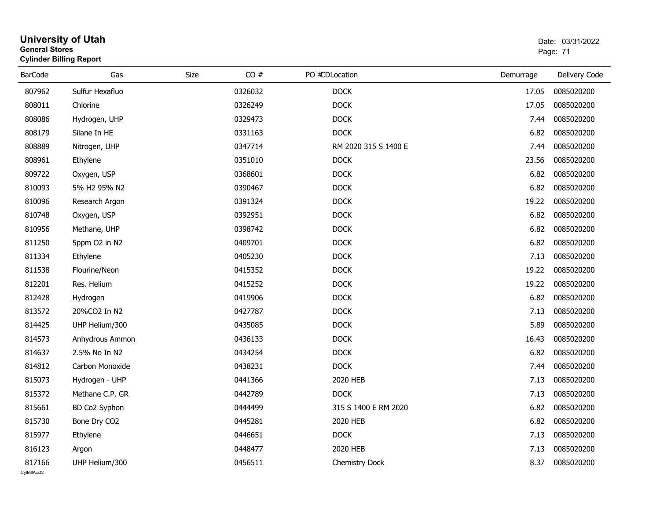| <b>General Stores</b> | <b>Cylinder Billing Report</b> |      | Page: 71 |                      |           |               |
|-----------------------|--------------------------------|------|----------|----------------------|-----------|---------------|
| <b>BarCode</b>        | Gas                            | Size | CO#      | PO #CDLocation       | Demurrage | Delivery Code |
| 807962                | Sulfur Hexafluo                |      | 0326032  | <b>DOCK</b>          | 17.05     | 0085020200    |
| 808011                | Chlorine                       |      | 0326249  | <b>DOCK</b>          | 17.05     | 0085020200    |
| 808086                | Hydrogen, UHP                  |      | 0329473  | <b>DOCK</b>          | 7.44      | 0085020200    |
| 808179                | Silane In HE                   |      | 0331163  | <b>DOCK</b>          | 6.82      | 0085020200    |
| 808889                | Nitrogen, UHP                  |      | 0347714  | RM 2020 315 S 1400 E | 7.44      | 0085020200    |
| 808961                | Ethylene                       |      | 0351010  | <b>DOCK</b>          | 23.56     | 0085020200    |
| 809722                | Oxygen, USP                    |      | 0368601  | <b>DOCK</b>          | 6.82      | 0085020200    |
| 810093                | 5% H2 95% N2                   |      | 0390467  | <b>DOCK</b>          | 6.82      | 0085020200    |
| 810096                | Research Argon                 |      | 0391324  | <b>DOCK</b>          | 19.22     | 0085020200    |
| 810748                | Oxygen, USP                    |      | 0392951  | <b>DOCK</b>          | 6.82      | 0085020200    |
| 810956                | Methane, UHP                   |      | 0398742  | <b>DOCK</b>          | 6.82      | 0085020200    |
| 811250                | 5ppm O2 in N2                  |      | 0409701  | <b>DOCK</b>          | 6.82      | 0085020200    |
| 811334                | Ethylene                       |      | 0405230  | <b>DOCK</b>          | 7.13      | 0085020200    |
| 811538                | Flourine/Neon                  |      | 0415352  | <b>DOCK</b>          | 19.22     | 0085020200    |
| 812201                | Res. Helium                    |      | 0415252  | <b>DOCK</b>          | 19.22     | 0085020200    |
| 812428                | Hydrogen                       |      | 0419906  | <b>DOCK</b>          | 6.82      | 0085020200    |
| 813572                | 20%CO2 In N2                   |      | 0427787  | <b>DOCK</b>          | 7.13      | 0085020200    |
| 814425                | UHP Helium/300                 |      | 0435085  | <b>DOCK</b>          | 5.89      | 0085020200    |
| 814573                | Anhydrous Ammon                |      | 0436133  | <b>DOCK</b>          | 16.43     | 0085020200    |
| 814637                | 2.5% No In N2                  |      | 0434254  | <b>DOCK</b>          | 6.82      | 0085020200    |
| 814812                | Carbon Monoxide                |      | 0438231  | <b>DOCK</b>          | 7.44      | 0085020200    |
| 815073                | Hydrogen - UHP                 |      | 0441366  | 2020 HEB             | 7.13      | 0085020200    |
| 815372                | Methane C.P. GR                |      | 0442789  | <b>DOCK</b>          | 7.13      | 0085020200    |
| 815661                | BD Co2 Syphon                  |      | 0444499  | 315 S 1400 E RM 2020 | 6.82      | 0085020200    |
| 815730                | Bone Dry CO2                   |      | 0445281  | 2020 HEB             | 6.82      | 0085020200    |
| 815977                | Ethylene                       |      | 0446651  | <b>DOCK</b>          | 7.13      | 0085020200    |
| 816123                | Argon                          |      | 0448477  | 2020 HEB             | 7.13      | 0085020200    |
| 817166                | UHP Helium/300                 |      | 0456511  | Chemistry Dock       | 8.37      | 0085020200    |

# **University of Utah**  Date: 03/31/2022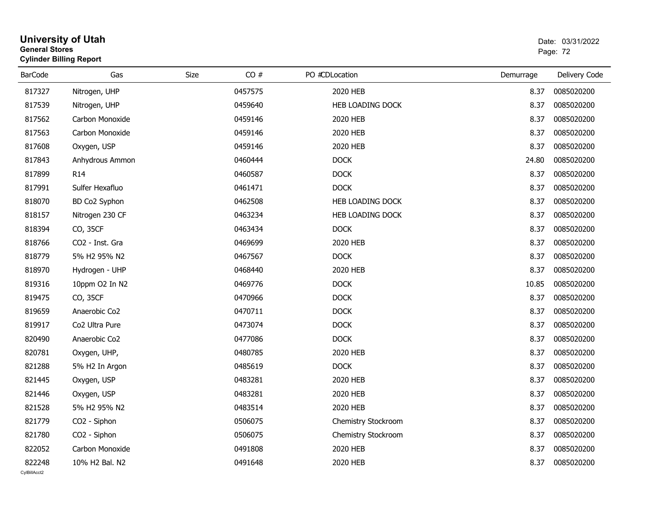| <b>General Stores</b> | <b>University of Utah</b><br><b>Cylinder Billing Report</b> |      |         |                         | Date: 03/31/2022<br>Page: 72 |               |  |
|-----------------------|-------------------------------------------------------------|------|---------|-------------------------|------------------------------|---------------|--|
| <b>BarCode</b>        | Gas                                                         | Size | CO#     | PO #CDLocation          | Demurrage                    | Delivery Code |  |
| 817327                | Nitrogen, UHP                                               |      | 0457575 | 2020 HEB                | 8.37                         | 0085020200    |  |
| 817539                | Nitrogen, UHP                                               |      | 0459640 | <b>HEB LOADING DOCK</b> | 8.37                         | 0085020200    |  |
| 817562                | Carbon Monoxide                                             |      | 0459146 | 2020 HEB                | 8.37                         | 0085020200    |  |
| 817563                | Carbon Monoxide                                             |      | 0459146 | 2020 HEB                | 8.37                         | 0085020200    |  |
| 817608                | Oxygen, USP                                                 |      | 0459146 | 2020 HEB                | 8.37                         | 0085020200    |  |
| 817843                | Anhydrous Ammon                                             |      | 0460444 | <b>DOCK</b>             | 24.80                        | 0085020200    |  |
| 817899                | R <sub>14</sub>                                             |      | 0460587 | <b>DOCK</b>             | 8.37                         | 0085020200    |  |
| 817991                | Sulfer Hexafluo                                             |      | 0461471 | <b>DOCK</b>             | 8.37                         | 0085020200    |  |
| 818070                | BD Co2 Syphon                                               |      | 0462508 | HEB LOADING DOCK        | 8.37                         | 0085020200    |  |
| 818157                | Nitrogen 230 CF                                             |      | 0463234 | HEB LOADING DOCK        | 8.37                         | 0085020200    |  |
| 818394                | CO, 35CF                                                    |      | 0463434 | <b>DOCK</b>             | 8.37                         | 0085020200    |  |
| 818766                | CO <sub>2</sub> - Inst. Gra                                 |      | 0469699 | 2020 HEB                | 8.37                         | 0085020200    |  |
| 818779                | 5% H2 95% N2                                                |      | 0467567 | <b>DOCK</b>             | 8.37                         | 0085020200    |  |
| 818970                | Hydrogen - UHP                                              |      | 0468440 | 2020 HEB                | 8.37                         | 0085020200    |  |
| 819316                | 10ppm O2 In N2                                              |      | 0469776 | DOCK                    | 10.85                        | 0085020200    |  |
| 819475                | CO, 35CF                                                    |      | 0470966 | <b>DOCK</b>             | 8.37                         | 0085020200    |  |
| 819659                | Anaerobic Co2                                               |      | 0470711 | <b>DOCK</b>             | 8.37                         | 0085020200    |  |
| 819917                | Co2 Ultra Pure                                              |      | 0473074 | <b>DOCK</b>             | 8.37                         | 0085020200    |  |
| 820490                | Anaerobic Co2                                               |      | 0477086 | <b>DOCK</b>             | 8.37                         | 0085020200    |  |
| 820781                | Oxygen, UHP,                                                |      | 0480785 | 2020 HEB                | 8.37                         | 0085020200    |  |
| 821288                | 5% H2 In Argon                                              |      | 0485619 | <b>DOCK</b>             | 8.37                         | 0085020200    |  |
| 821445                | Oxygen, USP                                                 |      | 0483281 | 2020 HEB                | 8.37                         | 0085020200    |  |
| 821446                | Oxygen, USP                                                 |      | 0483281 | 2020 HEB                | 8.37                         | 0085020200    |  |
| 821528                | 5% H2 95% N2                                                |      | 0483514 | 2020 HEB                | 8.37                         | 0085020200    |  |
| 821779                | CO2 - Siphon                                                |      | 0506075 | Chemistry Stockroom     | 8.37                         | 0085020200    |  |
| 821780                | CO <sub>2</sub> - Siphon                                    |      | 0506075 | Chemistry Stockroom     | 8.37                         | 0085020200    |  |
| 822052                | Carbon Monoxide                                             |      | 0491808 | 2020 HEB                | 8.37                         | 0085020200    |  |
| 822248                | 10% H2 Bal. N2                                              |      | 0491648 | 2020 HEB                | 8.37                         | 0085020200    |  |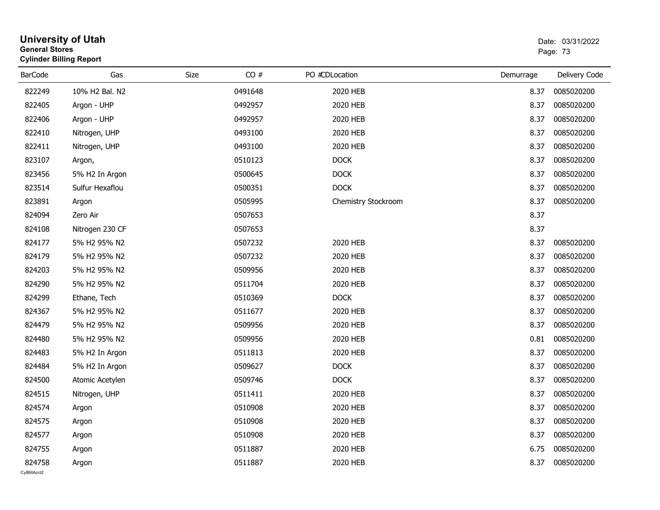| <b>General Stores</b>  | <b>University of Utah</b><br><b>Cylinder Billing Report</b> |      |         |                     |           | Date: 03/31/2022<br>Page: 73 |
|------------------------|-------------------------------------------------------------|------|---------|---------------------|-----------|------------------------------|
| <b>BarCode</b>         | Gas                                                         | Size | CO#     | PO #CDLocation      | Demurrage | Delivery Code                |
| 822249                 | 10% H2 Bal. N2                                              |      | 0491648 | 2020 HEB            | 8.37      | 0085020200                   |
| 822405                 | Argon - UHP                                                 |      | 0492957 | 2020 HEB            | 8.37      | 0085020200                   |
| 822406                 | Argon - UHP                                                 |      | 0492957 | 2020 HEB            | 8.37      | 0085020200                   |
| 822410                 | Nitrogen, UHP                                               |      | 0493100 | 2020 HEB            | 8.37      | 0085020200                   |
| 822411                 | Nitrogen, UHP                                               |      | 0493100 | 2020 HEB            | 8.37      | 0085020200                   |
| 823107                 | Argon,                                                      |      | 0510123 | <b>DOCK</b>         | 8.37      | 0085020200                   |
| 823456                 | 5% H2 In Argon                                              |      | 0500645 | <b>DOCK</b>         | 8.37      | 0085020200                   |
| 823514                 | Sulfur Hexaflou                                             |      | 0500351 | <b>DOCK</b>         | 8.37      | 0085020200                   |
| 823891                 | Argon                                                       |      | 0505995 | Chemistry Stockroom | 8.37      | 0085020200                   |
| 824094                 | Zero Air                                                    |      | 0507653 |                     | 8.37      |                              |
| 824108                 | Nitrogen 230 CF                                             |      | 0507653 |                     | 8.37      |                              |
| 824177                 | 5% H2 95% N2                                                |      | 0507232 | 2020 HEB            | 8.37      | 0085020200                   |
| 824179                 | 5% H2 95% N2                                                |      | 0507232 | 2020 HEB            | 8.37      | 0085020200                   |
| 824203                 | 5% H2 95% N2                                                |      | 0509956 | 2020 HEB            | 8.37      | 0085020200                   |
| 824290                 | 5% H2 95% N2                                                |      | 0511704 | 2020 HEB            | 8.37      | 0085020200                   |
| 824299                 | Ethane, Tech                                                |      | 0510369 | <b>DOCK</b>         | 8.37      | 0085020200                   |
| 824367                 | 5% H2 95% N2                                                |      | 0511677 | 2020 HEB            | 8.37      | 0085020200                   |
| 824479                 | 5% H2 95% N2                                                |      | 0509956 | 2020 HEB            | 8.37      | 0085020200                   |
| 824480                 | 5% H2 95% N2                                                |      | 0509956 | 2020 HEB            | 0.81      | 0085020200                   |
| 824483                 | 5% H2 In Argon                                              |      | 0511813 | 2020 HEB            | 8.37      | 0085020200                   |
| 824484                 | 5% H2 In Argon                                              |      | 0509627 | <b>DOCK</b>         | 8.37      | 0085020200                   |
| 824500                 | Atomic Acetylen                                             |      | 0509746 | <b>DOCK</b>         | 8.37      | 0085020200                   |
| 824515                 | Nitrogen, UHP                                               |      | 0511411 | 2020 HEB            | 8.37      | 0085020200                   |
| 824574                 | Argon                                                       |      | 0510908 | 2020 HEB            | 8.37      | 0085020200                   |
| 824575                 | Argon                                                       |      | 0510908 | 2020 HEB            | 8.37      | 0085020200                   |
| 824577                 | Argon                                                       |      | 0510908 | 2020 HEB            | 8.37      | 0085020200                   |
| 824755                 | Argon                                                       |      | 0511887 | 2020 HEB            | 6.75      | 0085020200                   |
| 824758<br>CylBillAcct2 | Argon                                                       |      | 0511887 | 2020 HEB            | 8.37      | 0085020200                   |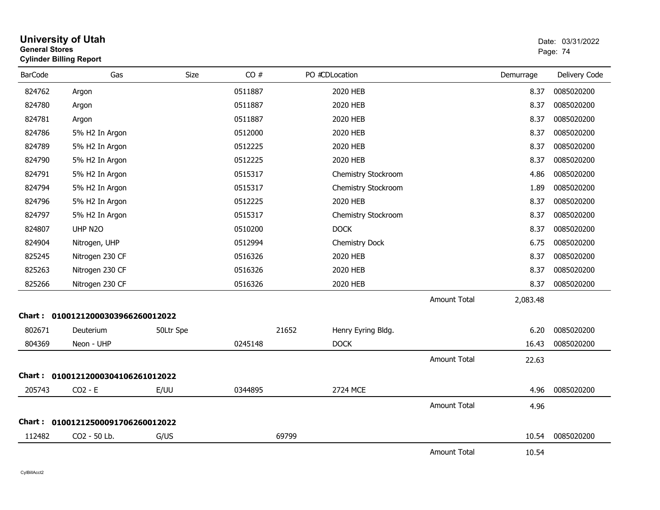| General Stores | <b>Cylinder Billing Report</b>    |           |         |                |                     |                     |           | Page: 74      |
|----------------|-----------------------------------|-----------|---------|----------------|---------------------|---------------------|-----------|---------------|
| <b>BarCode</b> | Gas                               | Size      | CO#     | PO #CDLocation |                     |                     | Demurrage | Delivery Code |
| 824762         | Argon                             |           | 0511887 |                | 2020 HEB            |                     | 8.37      | 0085020200    |
| 824780         | Argon                             |           | 0511887 |                | 2020 HEB            |                     | 8.37      | 0085020200    |
| 824781         | Argon                             |           | 0511887 |                | 2020 HEB            |                     | 8.37      | 0085020200    |
| 824786         | 5% H2 In Argon                    |           | 0512000 |                | 2020 HEB            |                     | 8.37      | 0085020200    |
| 824789         | 5% H2 In Argon                    |           | 0512225 |                | 2020 HEB            |                     | 8.37      | 0085020200    |
| 824790         | 5% H2 In Argon                    |           | 0512225 |                | 2020 HEB            |                     | 8.37      | 0085020200    |
| 824791         | 5% H2 In Argon                    |           | 0515317 |                | Chemistry Stockroom |                     | 4.86      | 0085020200    |
| 824794         | 5% H2 In Argon                    |           | 0515317 |                | Chemistry Stockroom |                     | 1.89      | 0085020200    |
| 824796         | 5% H2 In Argon                    |           | 0512225 |                | 2020 HEB            |                     | 8.37      | 0085020200    |
| 824797         | 5% H2 In Argon                    |           | 0515317 |                | Chemistry Stockroom |                     | 8.37      | 0085020200    |
| 824807         | UHP N2O                           |           | 0510200 |                | <b>DOCK</b>         |                     | 8.37      | 0085020200    |
| 824904         | Nitrogen, UHP                     |           | 0512994 |                | Chemistry Dock      |                     | 6.75      | 0085020200    |
| 825245         | Nitrogen 230 CF                   |           | 0516326 |                | 2020 HEB            |                     | 8.37      | 0085020200    |
| 825263         | Nitrogen 230 CF                   |           | 0516326 |                | 2020 HEB            |                     | 8.37      | 0085020200    |
| 825266         | Nitrogen 230 CF                   |           | 0516326 |                | 2020 HEB            |                     | 8.37      | 0085020200    |
|                |                                   |           |         |                |                     | Amount Total        | 2,083.48  |               |
|                | Chart: 01001212000303966260012022 |           |         |                |                     |                     |           |               |
| 802671         | Deuterium                         | 50Ltr Spe |         | 21652          | Henry Eyring Bldg.  |                     | 6.20      | 0085020200    |
| 804369         | Neon - UHP                        |           | 0245148 |                | <b>DOCK</b>         |                     | 16.43     | 0085020200    |
|                |                                   |           |         |                |                     | Amount Total        | 22.63     |               |
|                | Chart: 01001212000304106261012022 |           |         |                |                     |                     |           |               |
| 205743         | $CO2 - E$                         | E/UU      | 0344895 |                | 2724 MCE            |                     | 4.96      | 0085020200    |
|                |                                   |           |         |                |                     | Amount Total        | 4.96      |               |
|                | Chart: 01001212500091706260012022 |           |         |                |                     |                     |           |               |
| 112482         | CO2 - 50 Lb.                      | G/US      |         | 69799          |                     |                     | 10.54     | 0085020200    |
|                |                                   |           |         |                |                     | <b>Amount Total</b> | 10.54     |               |

# **University of Utah** Date: 03/31/2022 **General Stores**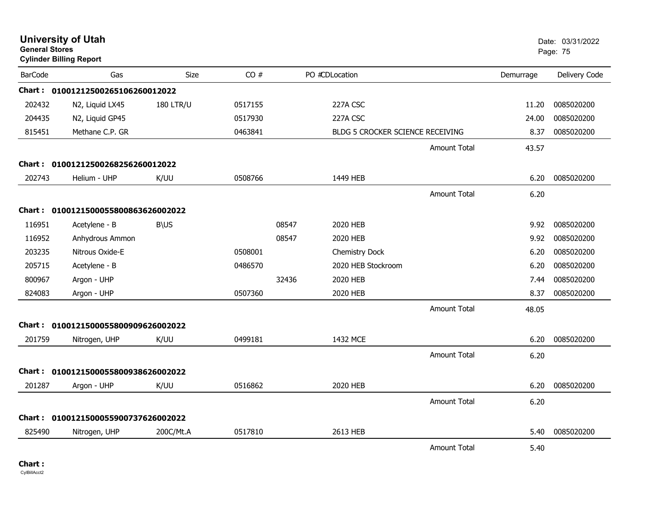|                | <b>University of Utah</b><br><b>General Stores</b><br><b>Cylinder Billing Report</b> |                  |         |       |                                         |                     | Date: 03/31/2022<br>Page: 75 |               |
|----------------|--------------------------------------------------------------------------------------|------------------|---------|-------|-----------------------------------------|---------------------|------------------------------|---------------|
| <b>BarCode</b> | Gas                                                                                  | <b>Size</b>      | CO#     |       | PO #CDLocation                          |                     | Demurrage                    | Delivery Code |
|                | Chart: 01001212500265106260012022                                                    |                  |         |       |                                         |                     |                              |               |
| 202432         | N2, Liquid LX45                                                                      | <b>180 LTR/U</b> | 0517155 |       | 227A CSC                                |                     | 11.20                        | 0085020200    |
| 204435         | N2, Liquid GP45                                                                      |                  | 0517930 |       | 227A CSC                                |                     | 24.00                        | 0085020200    |
| 815451         | Methane C.P. GR                                                                      |                  | 0463841 |       | <b>BLDG 5 CROCKER SCIENCE RECEIVING</b> |                     | 8.37                         | 0085020200    |
|                |                                                                                      |                  |         |       |                                         | <b>Amount Total</b> | 43.57                        |               |
|                | Chart: 01001212500268256260012022                                                    |                  |         |       |                                         |                     |                              |               |
| 202743         | Helium - UHP                                                                         | K/UU             | 0508766 |       | 1449 HEB                                |                     | 6.20                         | 0085020200    |
|                |                                                                                      |                  |         |       |                                         | <b>Amount Total</b> | 6.20                         |               |
|                | Chart: 0100121500055800863626002022                                                  |                  |         |       |                                         |                     |                              |               |
| 116951         | Acetylene - B                                                                        | <b>B\US</b>      |         | 08547 | 2020 HEB                                |                     | 9.92                         | 0085020200    |
| 116952         | Anhydrous Ammon                                                                      |                  |         | 08547 | 2020 HEB                                |                     | 9.92                         | 0085020200    |
| 203235         | Nitrous Oxide-E                                                                      |                  | 0508001 |       | <b>Chemistry Dock</b>                   |                     | 6.20                         | 0085020200    |
| 205715         | Acetylene - B                                                                        |                  | 0486570 |       | 2020 HEB Stockroom                      |                     | 6.20                         | 0085020200    |
| 800967         | Argon - UHP                                                                          |                  |         | 32436 | 2020 HEB                                |                     | 7.44                         | 0085020200    |
| 824083         | Argon - UHP                                                                          |                  | 0507360 |       | 2020 HEB                                |                     | 8.37                         | 0085020200    |
|                |                                                                                      |                  |         |       |                                         | <b>Amount Total</b> | 48.05                        |               |
| <b>Chart :</b> | 0100121500055800909626002022                                                         |                  |         |       |                                         |                     |                              |               |
| 201759         | Nitrogen, UHP                                                                        | K/UU             | 0499181 |       | 1432 MCE                                |                     | 6.20                         | 0085020200    |
|                |                                                                                      |                  |         |       |                                         | <b>Amount Total</b> | 6.20                         |               |
| Chart :        | 0100121500055800938626002022                                                         |                  |         |       |                                         |                     |                              |               |
| 201287         | Argon - UHP                                                                          | K/UU             | 0516862 |       | 2020 HEB                                |                     | 6.20                         | 0085020200    |
|                |                                                                                      |                  |         |       |                                         | <b>Amount Total</b> | 6.20                         |               |
|                | Chart: 0100121500055900737626002022                                                  |                  |         |       |                                         |                     |                              |               |
| 825490         | Nitrogen, UHP                                                                        | 200C/Mt.A        | 0517810 |       | 2613 HEB                                |                     | 5.40                         | 0085020200    |
|                |                                                                                      |                  |         |       |                                         | <b>Amount Total</b> | 5.40                         |               |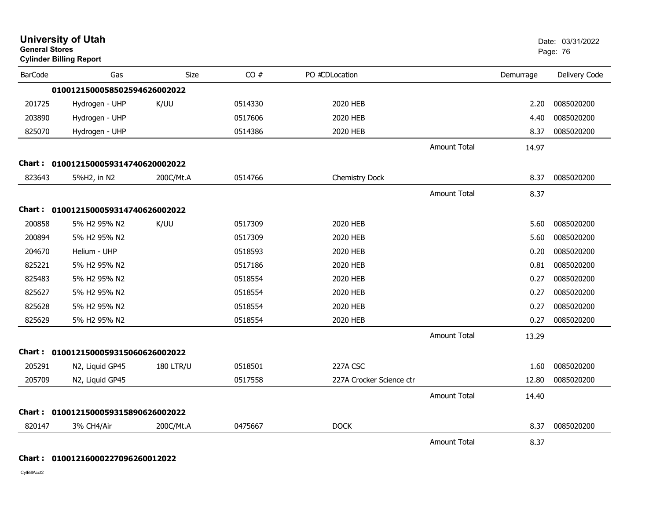| <b>General Stores</b> | <b>University of Utah</b><br><b>Cylinder Billing Report</b> |                  |         |                          |                     |           | Date: 03/31/2022<br>Page: 76 |
|-----------------------|-------------------------------------------------------------|------------------|---------|--------------------------|---------------------|-----------|------------------------------|
| <b>BarCode</b>        | Gas                                                         | Size             | CO#     | PO #CDLocation           |                     | Demurrage | Delivery Code                |
|                       | 0100121500058502594626002022                                |                  |         |                          |                     |           |                              |
| 201725                | Hydrogen - UHP                                              | K/UU             | 0514330 | 2020 HEB                 |                     | 2.20      | 0085020200                   |
| 203890                | Hydrogen - UHP                                              |                  | 0517606 | 2020 HEB                 |                     | 4.40      | 0085020200                   |
| 825070                | Hydrogen - UHP                                              |                  | 0514386 | 2020 HEB                 |                     | 8.37      | 0085020200                   |
|                       |                                                             |                  |         |                          | <b>Amount Total</b> | 14.97     |                              |
|                       | Chart: 0100121500059314740620002022                         |                  |         |                          |                     |           |                              |
| 823643                | 5%H2, in N2                                                 | 200C/Mt.A        | 0514766 | Chemistry Dock           |                     | 8.37      | 0085020200                   |
|                       |                                                             |                  |         |                          | <b>Amount Total</b> | 8.37      |                              |
|                       | Chart: 0100121500059314740626002022                         |                  |         |                          |                     |           |                              |
| 200858                | 5% H2 95% N2                                                | K/UU             | 0517309 | 2020 HEB                 |                     | 5.60      | 0085020200                   |
| 200894                | 5% H2 95% N2                                                |                  | 0517309 | 2020 HEB                 |                     | 5.60      | 0085020200                   |
| 204670                | Helium - UHP                                                |                  | 0518593 | 2020 HEB                 |                     | 0.20      | 0085020200                   |
| 825221                | 5% H2 95% N2                                                |                  | 0517186 | 2020 HEB                 |                     | 0.81      | 0085020200                   |
| 825483                | 5% H2 95% N2                                                |                  | 0518554 | 2020 HEB                 |                     | 0.27      | 0085020200                   |
| 825627                | 5% H2 95% N2                                                |                  | 0518554 | 2020 HEB                 |                     | 0.27      | 0085020200                   |
| 825628                | 5% H2 95% N2                                                |                  | 0518554 | 2020 HEB                 |                     | 0.27      | 0085020200                   |
| 825629                | 5% H2 95% N2                                                |                  | 0518554 | 2020 HEB                 |                     | 0.27      | 0085020200                   |
|                       |                                                             |                  |         |                          | <b>Amount Total</b> | 13.29     |                              |
|                       | Chart: 0100121500059315060626002022                         |                  |         |                          |                     |           |                              |
| 205291                | N2, Liquid GP45                                             | <b>180 LTR/U</b> | 0518501 | 227A CSC                 |                     | 1.60      | 0085020200                   |
| 205709                | N2, Liquid GP45                                             |                  | 0517558 | 227A Crocker Science ctr |                     | 12.80     | 0085020200                   |
|                       |                                                             |                  |         |                          | <b>Amount Total</b> | 14.40     |                              |
|                       | Chart: 0100121500059315890626002022                         |                  |         |                          |                     |           |                              |
| 820147                | 3% CH4/Air                                                  | 200C/Mt.A        | 0475667 | <b>DOCK</b>              |                     | 8.37      | 0085020200                   |
|                       |                                                             |                  |         |                          | <b>Amount Total</b> | 8.37      |                              |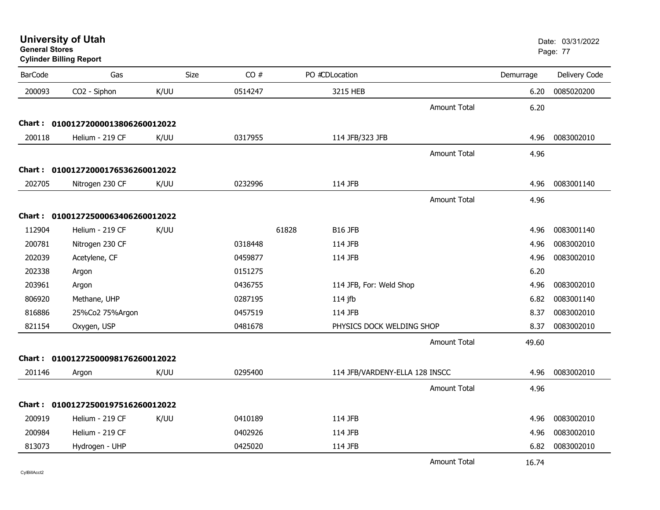| General Stores | <b>Cylinder Billing Report</b>    |             |         |                                |           | Page: 77      |
|----------------|-----------------------------------|-------------|---------|--------------------------------|-----------|---------------|
| <b>BarCode</b> | Gas                               | <b>Size</b> | CO#     | PO #CDLocation                 | Demurrage | Delivery Code |
| 200093         | CO2 - Siphon                      | K/UU        | 0514247 | 3215 HEB                       | 6.20      | 0085020200    |
|                |                                   |             |         | <b>Amount Total</b>            | 6.20      |               |
|                | Chart: 01001272000013806260012022 |             |         |                                |           |               |
| 200118         | Helium - 219 CF                   | K/UU        | 0317955 | 114 JFB/323 JFB                | 4.96      | 0083002010    |
|                |                                   |             |         | <b>Amount Total</b>            | 4.96      |               |
|                | Chart: 01001272000176536260012022 |             |         |                                |           |               |
| 202705         | Nitrogen 230 CF                   | K/UU        | 0232996 | 114 JFB                        | 4.96      | 0083001140    |
|                |                                   |             |         | <b>Amount Total</b>            | 4.96      |               |
|                | Chart: 01001272500063406260012022 |             |         |                                |           |               |
| 112904         | Helium - 219 CF                   | K/UU        |         | 61828<br>B16 JFB               | 4.96      | 0083001140    |
| 200781         | Nitrogen 230 CF                   |             | 0318448 | 114 JFB                        | 4.96      | 0083002010    |
| 202039         | Acetylene, CF                     |             | 0459877 | 114 JFB                        | 4.96      | 0083002010    |
| 202338         | Argon                             |             | 0151275 |                                | 6.20      |               |
| 203961         | Argon                             |             | 0436755 | 114 JFB, For: Weld Shop        | 4.96      | 0083002010    |
| 806920         | Methane, UHP                      |             | 0287195 | $114$ jfb                      | 6.82      | 0083001140    |
| 816886         | 25%Co2 75%Argon                   |             | 0457519 | 114 JFB                        | 8.37      | 0083002010    |
| 821154         | Oxygen, USP                       |             | 0481678 | PHYSICS DOCK WELDING SHOP      | 8.37      | 0083002010    |
|                |                                   |             |         | <b>Amount Total</b>            | 49.60     |               |
|                | Chart: 01001272500098176260012022 |             |         |                                |           |               |
| 201146         | Argon                             | K/UU        | 0295400 | 114 JFB/VARDENY-ELLA 128 INSCC | 4.96      | 0083002010    |
|                |                                   |             |         | <b>Amount Total</b>            | 4.96      |               |
|                | Chart: 01001272500197516260012022 |             |         |                                |           |               |
| 200919         | Helium - 219 CF                   | K/UU        | 0410189 | 114 JFB                        | 4.96      | 0083002010    |
| 200984         | Helium - 219 CF                   |             | 0402926 | 114 JFB                        | 4.96      | 0083002010    |
| 813073         | Hydrogen - UHP                    |             | 0425020 | 114 JFB                        | 6.82      | 0083002010    |
|                |                                   |             |         | <b>Amount Total</b>            | 16.74     |               |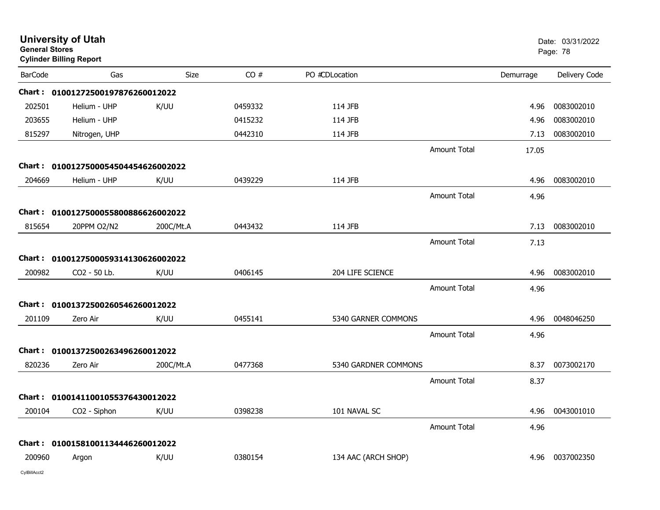| <b>General Stores</b> | <b>University of Utah</b><br><b>Cylinder Billing Report</b> |           |         |                      |                     |           | Date: 03/31/2022<br>Page: 78 |
|-----------------------|-------------------------------------------------------------|-----------|---------|----------------------|---------------------|-----------|------------------------------|
| <b>BarCode</b>        | Gas                                                         | Size      | CO#     | PO #CDLocation       |                     | Demurrage | Delivery Code                |
|                       | Chart: 01001272500197876260012022                           |           |         |                      |                     |           |                              |
| 202501                | Helium - UHP                                                | K/UU      | 0459332 | 114 JFB              |                     | 4.96      | 0083002010                   |
| 203655                | Helium - UHP                                                |           | 0415232 | 114 JFB              |                     | 4.96      | 0083002010                   |
| 815297                | Nitrogen, UHP                                               |           | 0442310 | 114 JFB              |                     | 7.13      | 0083002010                   |
|                       |                                                             |           |         |                      | <b>Amount Total</b> | 17.05     |                              |
|                       | Chart: 0100127500054504454626002022                         |           |         |                      |                     |           |                              |
| 204669                | Helium - UHP                                                | K/UU      | 0439229 | 114 JFB              |                     | 4.96      | 0083002010                   |
|                       |                                                             |           |         |                      | <b>Amount Total</b> | 4.96      |                              |
|                       | Chart: 0100127500055800886626002022                         |           |         |                      |                     |           |                              |
| 815654                | 20PPM O2/N2                                                 | 200C/Mt.A | 0443432 | 114 JFB              |                     | 7.13      | 0083002010                   |
|                       |                                                             |           |         |                      | <b>Amount Total</b> | 7.13      |                              |
|                       | Chart: 0100127500059314130626002022                         |           |         |                      |                     |           |                              |
| 200982                | CO2 - 50 Lb.                                                | K/UU      | 0406145 | 204 LIFE SCIENCE     |                     | 4.96      | 0083002010                   |
|                       |                                                             |           |         |                      | <b>Amount Total</b> | 4.96      |                              |
|                       | Chart: 01001372500260546260012022                           |           |         |                      |                     |           |                              |
| 201109                | Zero Air                                                    | K/UU      | 0455141 | 5340 GARNER COMMONS  |                     | 4.96      | 0048046250                   |
|                       |                                                             |           |         |                      | <b>Amount Total</b> | 4.96      |                              |
|                       | Chart: 01001372500263496260012022                           |           |         |                      |                     |           |                              |
| 820236                | Zero Air                                                    | 200C/Mt.A | 0477368 | 5340 GARDNER COMMONS |                     | 8.37      | 0073002170                   |
|                       |                                                             |           |         |                      | <b>Amount Total</b> | 8.37      |                              |
|                       | Chart: 01001411001055376430012022                           |           |         |                      |                     |           |                              |
| 200104                | CO2 - Siphon                                                | K/UU      | 0398238 | 101 NAVAL SC         |                     | 4.96      | 0043001010                   |
|                       |                                                             |           |         |                      | <b>Amount Total</b> | 4.96      |                              |
|                       | Chart: 01001581001134446260012022                           |           |         |                      |                     |           |                              |
| 200960                | Argon                                                       | K/UU      | 0380154 | 134 AAC (ARCH SHOP)  |                     | 4.96      | 0037002350                   |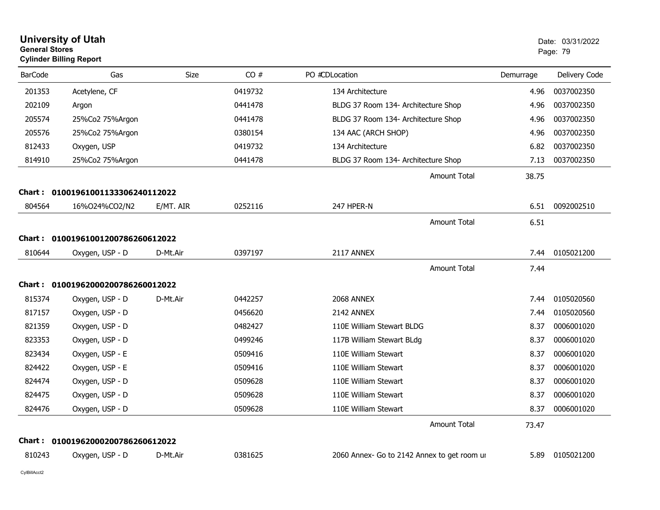|                | <b>University of Utah</b><br><b>General Stores</b><br><b>Cylinder Billing Report</b> |             |         |                                             | Date: 03/31/2022<br>Page: 79 |               |
|----------------|--------------------------------------------------------------------------------------|-------------|---------|---------------------------------------------|------------------------------|---------------|
| <b>BarCode</b> | Gas                                                                                  | <b>Size</b> | CO#     | PO #CDLocation                              | Demurrage                    | Delivery Code |
| 201353         | Acetylene, CF                                                                        |             | 0419732 | 134 Architecture                            | 4.96                         | 0037002350    |
| 202109         | Argon                                                                                |             | 0441478 | BLDG 37 Room 134- Architecture Shop         | 4.96                         | 0037002350    |
| 205574         | 25%Co2 75%Argon                                                                      |             | 0441478 | BLDG 37 Room 134- Architecture Shop         | 4.96                         | 0037002350    |
| 205576         | 25%Co2 75%Argon                                                                      |             | 0380154 | 134 AAC (ARCH SHOP)                         | 4.96                         | 0037002350    |
| 812433         | Oxygen, USP                                                                          |             | 0419732 | 134 Architecture                            | 6.82                         | 0037002350    |
| 814910         | 25%Co2 75%Argon                                                                      |             | 0441478 | BLDG 37 Room 134- Architecture Shop         | 7.13                         | 0037002350    |
|                |                                                                                      |             |         | Amount Total                                | 38.75                        |               |
| Chart :        | 01001961001133306240112022                                                           |             |         |                                             |                              |               |
| 804564         | 16%024%CO2/N2                                                                        | E/MT. AIR   | 0252116 | 247 HPER-N                                  | 6.51                         | 0092002510    |
|                |                                                                                      |             |         | <b>Amount Total</b>                         | 6.51                         |               |
| Chart :        | 01001961001200786260612022                                                           |             |         |                                             |                              |               |
| 810644         | Oxygen, USP - D                                                                      | D-Mt.Air    | 0397197 | 2117 ANNEX                                  | 7.44                         | 0105021200    |
|                |                                                                                      |             |         | <b>Amount Total</b>                         | 7.44                         |               |
|                | Chart: 01001962000200786260012022                                                    |             |         |                                             |                              |               |
| 815374         | Oxygen, USP - D                                                                      | D-Mt.Air    | 0442257 | 2068 ANNEX                                  | 7.44                         | 0105020560    |
| 817157         | Oxygen, USP - D                                                                      |             | 0456620 | 2142 ANNEX                                  | 7.44                         | 0105020560    |
| 821359         | Oxygen, USP - D                                                                      |             | 0482427 | 110E William Stewart BLDG                   | 8.37                         | 0006001020    |
| 823353         | Oxygen, USP - D                                                                      |             | 0499246 | 117B William Stewart BLdg                   | 8.37                         | 0006001020    |
| 823434         | Oxygen, USP - E                                                                      |             | 0509416 | 110E William Stewart                        | 8.37                         | 0006001020    |
| 824422         | Oxygen, USP - E                                                                      |             | 0509416 | 110E William Stewart                        | 8.37                         | 0006001020    |
| 824474         | Oxygen, USP - D                                                                      |             | 0509628 | 110E William Stewart                        | 8.37                         | 0006001020    |
| 824475         | Oxygen, USP - D                                                                      |             | 0509628 | 110E William Stewart                        | 8.37                         | 0006001020    |
| 824476         | Oxygen, USP - D                                                                      |             | 0509628 | 110E William Stewart                        | 8.37                         | 0006001020    |
|                |                                                                                      |             |         | <b>Amount Total</b>                         | 73.47                        |               |
|                | Chart: 01001962000200786260612022                                                    |             |         |                                             |                              |               |
| 810243         | Oxygen, USP - D                                                                      | D-Mt.Air    | 0381625 | 2060 Annex- Go to 2142 Annex to get room ur | 5.89                         | 0105021200    |
|                |                                                                                      |             |         |                                             |                              |               |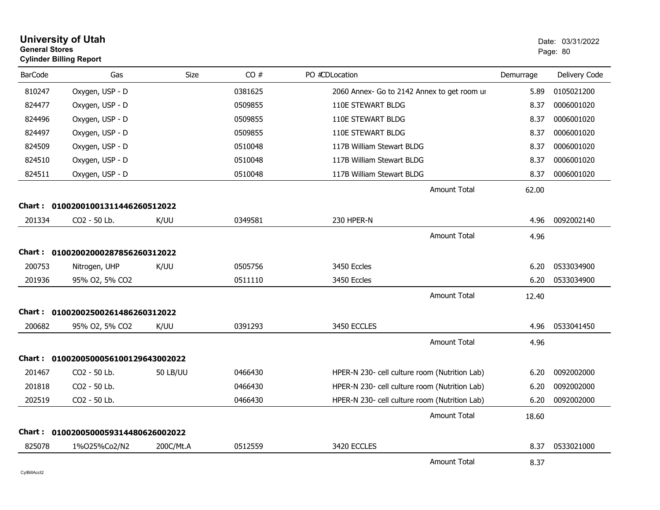| <b>General Stores</b> | <b>University of Utah</b><br><b>Cylinder Billing Report</b> |                 |         |                                               |           | Date: 03/31/2022<br>Page: 80 |
|-----------------------|-------------------------------------------------------------|-----------------|---------|-----------------------------------------------|-----------|------------------------------|
| <b>BarCode</b>        | Gas                                                         | Size            | CO#     | PO #CDLocation                                | Demurrage | Delivery Code                |
| 810247                | Oxygen, USP - D                                             |                 | 0381625 | 2060 Annex- Go to 2142 Annex to get room ur   | 5.89      | 0105021200                   |
| 824477                | Oxygen, USP - D                                             |                 | 0509855 | 110E STEWART BLDG                             | 8.37      | 0006001020                   |
| 824496                | Oxygen, USP - D                                             |                 | 0509855 | 110E STEWART BLDG                             | 8.37      | 0006001020                   |
| 824497                | Oxygen, USP - D                                             |                 | 0509855 | 110E STEWART BLDG                             | 8.37      | 0006001020                   |
| 824509                | Oxygen, USP - D                                             |                 | 0510048 | 117B William Stewart BLDG                     | 8.37      | 0006001020                   |
| 824510                | Oxygen, USP - D                                             |                 | 0510048 | 117B William Stewart BLDG                     | 8.37      | 0006001020                   |
| 824511                | Oxygen, USP - D                                             |                 | 0510048 | 117B William Stewart BLDG                     | 8.37      | 0006001020                   |
|                       |                                                             |                 |         | <b>Amount Total</b>                           | 62.00     |                              |
|                       | Chart: 01002001001311446260512022                           |                 |         |                                               |           |                              |
| 201334                | CO2 - 50 Lb.                                                | K/UU            | 0349581 | 230 HPER-N                                    | 4.96      | 0092002140                   |
|                       |                                                             |                 |         | <b>Amount Total</b>                           | 4.96      |                              |
|                       | Chart: 01002002000287856260312022                           |                 |         |                                               |           |                              |
| 200753                | Nitrogen, UHP                                               | K/UU            | 0505756 | 3450 Eccles                                   | 6.20      | 0533034900                   |
| 201936                | 95% O2, 5% CO2                                              |                 | 0511110 | 3450 Eccles                                   | 6.20      | 0533034900                   |
|                       |                                                             |                 |         | <b>Amount Total</b>                           | 12.40     |                              |
| Chart :               | 01002002500261486260312022                                  |                 |         |                                               |           |                              |
| 200682                | 95% O2, 5% CO2                                              | K/UU            | 0391293 | 3450 ECCLES                                   | 4.96      | 0533041450                   |
|                       |                                                             |                 |         | Amount Total                                  | 4.96      |                              |
| Chart :               | 0100200500056100129643002022                                |                 |         |                                               |           |                              |
| 201467                | CO2 - 50 Lb.                                                | <b>50 LB/UU</b> | 0466430 | HPER-N 230- cell culture room (Nutrition Lab) | 6.20      | 0092002000                   |
| 201818                | CO <sub>2</sub> - 50 Lb.                                    |                 | 0466430 | HPER-N 230- cell culture room (Nutrition Lab) | 6.20      | 0092002000                   |
| 202519                | CO2 - 50 Lb.                                                |                 | 0466430 | HPER-N 230- cell culture room (Nutrition Lab) | 6.20      | 0092002000                   |
|                       |                                                             |                 |         | Amount Total                                  | 18.60     |                              |
|                       | Chart: 0100200500059314480626002022                         |                 |         |                                               |           |                              |
| 825078                | 1%025%Co2/N2                                                | 200C/Mt.A       | 0512559 | 3420 ECCLES                                   | 8.37      | 0533021000                   |
|                       |                                                             |                 |         | <b>Amount Total</b>                           | 8.37      |                              |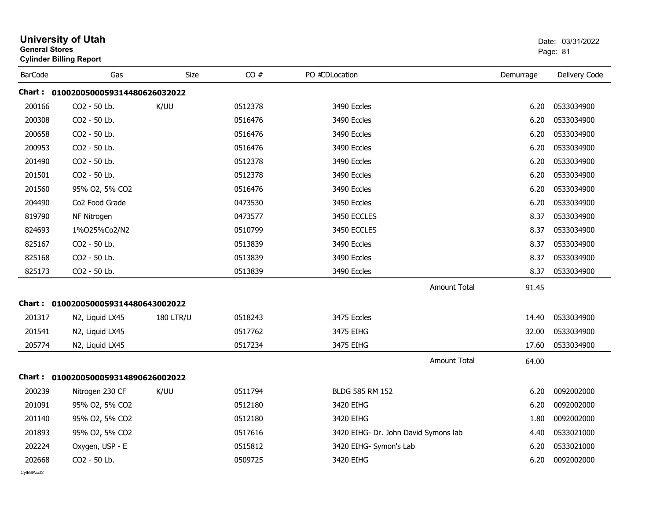| <b>General Stores</b> | <b>University of Utah</b><br><b>Cylinder Billing Report</b> |                  | Date: 03/31/2022<br>Page: 81 |                                      |           |               |
|-----------------------|-------------------------------------------------------------|------------------|------------------------------|--------------------------------------|-----------|---------------|
| <b>BarCode</b>        | Gas                                                         | Size             | CO#                          | PO #CDLocation                       | Demurrage | Delivery Code |
|                       | Chart: 0100200500059314480626032022                         |                  |                              |                                      |           |               |
| 200166                | CO2 - 50 Lb.                                                | K/UU             | 0512378                      | 3490 Eccles                          | 6.20      | 0533034900    |
| 200308                | CO2 - 50 Lb.                                                |                  | 0516476                      | 3490 Eccles                          | 6.20      | 0533034900    |
| 200658                | CO2 - 50 Lb.                                                |                  | 0516476                      | 3490 Eccles                          | 6.20      | 0533034900    |
| 200953                | CO2 - 50 Lb.                                                |                  | 0516476                      | 3490 Eccles                          | 6.20      | 0533034900    |
| 201490                | CO2 - 50 Lb.                                                |                  | 0512378                      | 3490 Eccles                          | 6.20      | 0533034900    |
| 201501                | CO2 - 50 Lb.                                                |                  | 0512378                      | 3490 Eccles                          | 6.20      | 0533034900    |
| 201560                | 95% O2, 5% CO2                                              |                  | 0516476                      | 3490 Eccles                          | 6.20      | 0533034900    |
| 204490                | Co2 Food Grade                                              |                  | 0473530                      | 3450 Eccles                          | 6.20      | 0533034900    |
| 819790                | NF Nitrogen                                                 |                  | 0473577                      | 3450 ECCLES                          | 8.37      | 0533034900    |
| 824693                | 1%025%Co2/N2                                                |                  | 0510799                      | 3450 ECCLES                          | 8.37      | 0533034900    |
| 825167                | CO2 - 50 Lb.                                                |                  | 0513839                      | 3490 Eccles                          | 8.37      | 0533034900    |
| 825168                | CO2 - 50 Lb.                                                |                  | 0513839                      | 3490 Eccles                          | 8.37      | 0533034900    |
| 825173                | CO2 - 50 Lb.                                                |                  | 0513839                      | 3490 Eccles                          | 8.37      | 0533034900    |
|                       |                                                             |                  |                              | <b>Amount Total</b>                  | 91.45     |               |
|                       | Chart: 0100200500059314480643002022                         |                  |                              |                                      |           |               |
| 201317                | N2, Liquid LX45                                             | <b>180 LTR/U</b> | 0518243                      | 3475 Eccles                          | 14.40     | 0533034900    |
| 201541                | N2, Liquid LX45                                             |                  | 0517762                      | 3475 EIHG                            | 32.00     | 0533034900    |
| 205774                | N2, Liquid LX45                                             |                  | 0517234                      | 3475 EIHG                            | 17.60     | 0533034900    |
|                       |                                                             |                  |                              | <b>Amount Total</b>                  | 64.00     |               |
|                       | Chart: 0100200500059314890626002022                         |                  |                              |                                      |           |               |
| 200239                | Nitrogen 230 CF                                             | K/UU             | 0511794                      | BLDG 585 RM 152                      | 6.20      | 0092002000    |
| 201091                | 95% O2, 5% CO2                                              |                  | 0512180                      | 3420 EIHG                            | 6.20      | 0092002000    |
| 201140                | 95% O2, 5% CO2                                              |                  | 0512180                      | 3420 EIHG                            | 1.80      | 0092002000    |
| 201893                | 95% O2, 5% CO2                                              |                  | 0517616                      | 3420 EIHG- Dr. John David Symons lab | 4.40      | 0533021000    |
| 202224                | Oxygen, USP - E                                             |                  | 0515812                      | 3420 EIHG- Symon's Lab               | 6.20      | 0533021000    |
| 202668                | CO2 - 50 Lb.                                                |                  | 0509725                      | 3420 EIHG                            | 6.20      | 0092002000    |
| CvIBillAcct2          |                                                             |                  |                              |                                      |           |               |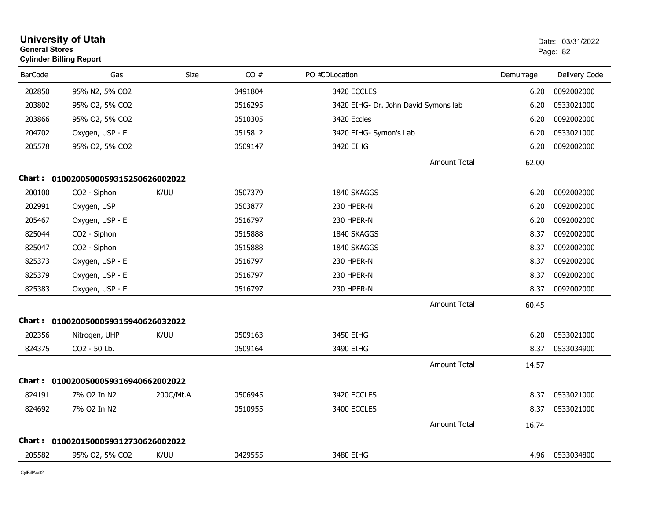| <b>General Stores</b> | <b>University of Utah</b><br><b>Cylinder Billing Report</b> |           |         |                                      |                     |           | Date: 03/31/2022<br>Page: 82 |
|-----------------------|-------------------------------------------------------------|-----------|---------|--------------------------------------|---------------------|-----------|------------------------------|
| <b>BarCode</b>        | Gas                                                         | Size      | CO#     | PO #CDLocation                       |                     | Demurrage | Delivery Code                |
| 202850                | 95% N2, 5% CO2                                              |           | 0491804 | 3420 ECCLES                          |                     | 6.20      | 0092002000                   |
| 203802                | 95% O2, 5% CO2                                              |           | 0516295 | 3420 EIHG- Dr. John David Symons lab |                     | 6.20      | 0533021000                   |
| 203866                | 95% O2, 5% CO2                                              |           | 0510305 | 3420 Eccles                          |                     | 6.20      | 0092002000                   |
| 204702                | Oxygen, USP - E                                             |           | 0515812 | 3420 EIHG- Symon's Lab               |                     | 6.20      | 0533021000                   |
| 205578                | 95% O2, 5% CO2                                              |           | 0509147 | 3420 EIHG                            |                     | 6.20      | 0092002000                   |
|                       |                                                             |           |         |                                      | Amount Total        | 62.00     |                              |
|                       | Chart: 0100200500059315250626002022                         |           |         |                                      |                     |           |                              |
| 200100                | CO <sub>2</sub> - Siphon                                    | K/UU      | 0507379 | 1840 SKAGGS                          |                     | 6.20      | 0092002000                   |
| 202991                | Oxygen, USP                                                 |           | 0503877 | 230 HPER-N                           |                     | 6.20      | 0092002000                   |
| 205467                | Oxygen, USP - E                                             |           | 0516797 | 230 HPER-N                           |                     | 6.20      | 0092002000                   |
| 825044                | CO2 - Siphon                                                |           | 0515888 | 1840 SKAGGS                          |                     | 8.37      | 0092002000                   |
| 825047                | CO2 - Siphon                                                |           | 0515888 | 1840 SKAGGS                          |                     | 8.37      | 0092002000                   |
| 825373                | Oxygen, USP - E                                             |           | 0516797 | 230 HPER-N                           |                     | 8.37      | 0092002000                   |
| 825379                | Oxygen, USP - E                                             |           | 0516797 | 230 HPER-N                           |                     | 8.37      | 0092002000                   |
| 825383                | Oxygen, USP - E                                             |           | 0516797 | 230 HPER-N                           |                     | 8.37      | 0092002000                   |
|                       |                                                             |           |         |                                      | <b>Amount Total</b> | 60.45     |                              |
|                       | Chart: 0100200500059315940626032022                         |           |         |                                      |                     |           |                              |
| 202356                | Nitrogen, UHP                                               | K/UU      | 0509163 | 3450 EIHG                            |                     | 6.20      | 0533021000                   |
| 824375                | CO2 - 50 Lb.                                                |           | 0509164 | 3490 EIHG                            |                     | 8.37      | 0533034900                   |
|                       |                                                             |           |         |                                      | Amount Total        | 14.57     |                              |
| <b>Chart :</b>        | 0100200500059316940662002022                                |           |         |                                      |                     |           |                              |
| 824191                | 7% O2 In N2                                                 | 200C/Mt.A | 0506945 | 3420 ECCLES                          |                     | 8.37      | 0533021000                   |
| 824692                | 7% O2 In N2                                                 |           | 0510955 | 3400 ECCLES                          |                     | 8.37      | 0533021000                   |
|                       |                                                             |           |         |                                      | <b>Amount Total</b> | 16.74     |                              |
|                       | Chart: 0100201500059312730626002022                         |           |         |                                      |                     |           |                              |
| 205582                | 95% O2, 5% CO2                                              | K/UU      | 0429555 | 3480 EIHG                            |                     | 4.96      | 0533034800                   |
|                       |                                                             |           |         |                                      |                     |           |                              |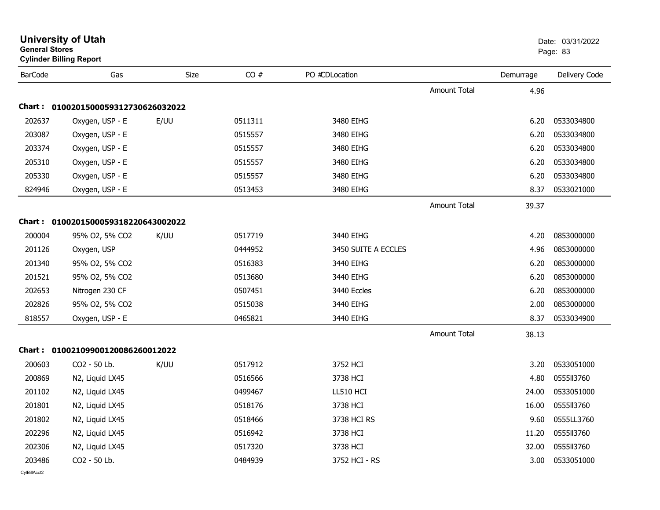| General Stores | <b>Cylinder Billing Report</b>      |      |         |                     |                     |                   | Page: 83      |
|----------------|-------------------------------------|------|---------|---------------------|---------------------|-------------------|---------------|
| <b>BarCode</b> | Gas                                 | Size | CO#     | PO #CDLocation      |                     | Demurrage         | Delivery Code |
|                |                                     |      |         |                     | <b>Amount Total</b> | 4.96              |               |
|                | Chart: 0100201500059312730626032022 |      |         |                     |                     |                   |               |
| 202637         | Oxygen, USP - E                     | E/UU | 0511311 | 3480 EIHG           |                     | 6.20              | 0533034800    |
| 203087         | Oxygen, USP - E                     |      | 0515557 | 3480 EIHG           |                     | 6.20              | 0533034800    |
| 203374         | Oxygen, USP - E                     |      | 0515557 | 3480 EIHG           |                     | 6.20              | 0533034800    |
| 205310         | Oxygen, USP - E                     |      | 0515557 | 3480 EIHG           |                     | 6.20              | 0533034800    |
| 205330         | Oxygen, USP - E                     |      | 0515557 | 3480 EIHG           |                     | 6.20              | 0533034800    |
| 824946         | Oxygen, USP - E                     |      | 0513453 | 3480 EIHG           |                     | 8.37              | 0533021000    |
|                |                                     |      |         |                     | <b>Amount Total</b> | 39.37             |               |
|                | Chart: 0100201500059318220643002022 |      |         |                     |                     |                   |               |
| 200004         | 95% O2, 5% CO2                      | K/UU | 0517719 | 3440 EIHG           |                     | 4.20              | 0853000000    |
| 201126         | Oxygen, USP                         |      | 0444952 | 3450 SUITE A ECCLES |                     | 4.96              | 0853000000    |
| 201340         | 95% O2, 5% CO2                      |      | 0516383 | 3440 EIHG           |                     | 6.20              | 0853000000    |
| 201521         | 95% O2, 5% CO2                      |      | 0513680 | 3440 EIHG           |                     | 6.20              | 0853000000    |
| 202653         | Nitrogen 230 CF                     |      | 0507451 | 3440 Eccles         |                     | 6.20              | 0853000000    |
| 202826         | 95% O2, 5% CO2                      |      | 0515038 | 3440 EIHG           |                     | 2.00              | 0853000000    |
| 818557         | Oxygen, USP - E                     |      | 0465821 | 3440 EIHG           |                     | 8.37              | 0533034900    |
|                |                                     |      |         |                     | <b>Amount Total</b> | 38.13             |               |
|                | Chart: 01002109900120086260012022   |      |         |                     |                     |                   |               |
| 200603         | CO2 - 50 Lb.                        | K/UU | 0517912 | 3752 HCI            |                     | 3.20              | 0533051000    |
| 200869         | N2, Liquid LX45                     |      | 0516566 | 3738 HCI            |                     | 4.80              | 0555113760    |
| 201102         | N2, Liquid LX45                     |      | 0499467 | LL510 HCI           |                     | 24.00             | 0533051000    |
| 201801         | N2, Liquid LX45                     |      | 0518176 | 3738 HCI            |                     | 16.00             | 0555113760    |
| 201802         | N2, Liquid LX45                     |      | 0518466 | 3738 HCI RS         |                     | 9.60              | 0555LL3760    |
| 202296         | N2, Liquid LX45                     |      | 0516942 | 3738 HCI            |                     | 11.20             | 0555113760    |
| 202306         | N2, Liquid LX45                     |      | 0517320 | 3738 HCI            |                     | 32.00             | 0555113760    |
| 203486         | CO2 - 50 Lb.                        |      | 0484939 | 3752 HCI - RS       |                     | 3.00 <sub>1</sub> | 0533051000    |
|                |                                     |      |         |                     |                     |                   |               |

# **University of Utah** Date: 03/31/2022 **General Stores**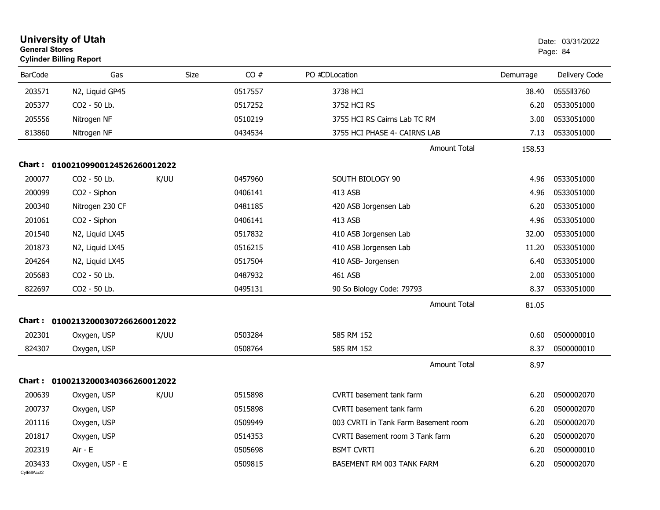|                        | <b>University of Utah</b><br><b>General Stores</b><br><b>Cylinder Billing Report</b> |             |         |                                      | Date: 03/31/2022<br>Page: 84 |               |
|------------------------|--------------------------------------------------------------------------------------|-------------|---------|--------------------------------------|------------------------------|---------------|
| <b>BarCode</b>         | Gas                                                                                  | <b>Size</b> | CO#     | PO #CDLocation                       | Demurrage                    | Delivery Code |
| 203571                 | N2, Liquid GP45                                                                      |             | 0517557 | 3738 HCI                             | 38.40                        | 0555113760    |
| 205377                 | CO2 - 50 Lb.                                                                         |             | 0517252 | 3752 HCI RS                          | 6.20                         | 0533051000    |
| 205556                 | Nitrogen NF                                                                          |             | 0510219 | 3755 HCI RS Cairns Lab TC RM         | 3.00                         | 0533051000    |
| 813860                 | Nitrogen NF                                                                          |             | 0434534 | 3755 HCI PHASE 4- CAIRNS LAB         | 7.13                         | 0533051000    |
|                        |                                                                                      |             |         | <b>Amount Total</b>                  | 158.53                       |               |
|                        | Chart: 01002109900124526260012022                                                    |             |         |                                      |                              |               |
| 200077                 | CO2 - 50 Lb.                                                                         | K/UU        | 0457960 | SOUTH BIOLOGY 90                     | 4.96                         | 0533051000    |
| 200099                 | CO2 - Siphon                                                                         |             | 0406141 | 413 ASB                              | 4.96                         | 0533051000    |
| 200340                 | Nitrogen 230 CF                                                                      |             | 0481185 | 420 ASB Jorgensen Lab                | 6.20                         | 0533051000    |
| 201061                 | CO2 - Siphon                                                                         |             | 0406141 | 413 ASB                              | 4.96                         | 0533051000    |
| 201540                 | N2, Liquid LX45                                                                      |             | 0517832 | 410 ASB Jorgensen Lab                | 32.00                        | 0533051000    |
| 201873                 | N2, Liquid LX45                                                                      |             | 0516215 | 410 ASB Jorgensen Lab                | 11.20                        | 0533051000    |
| 204264                 | N2, Liquid LX45                                                                      |             | 0517504 | 410 ASB- Jorgensen                   | 6.40                         | 0533051000    |
| 205683                 | CO2 - 50 Lb.                                                                         |             | 0487932 | 461 ASB                              | 2.00                         | 0533051000    |
| 822697                 | CO2 - 50 Lb.                                                                         |             | 0495131 | 90 So Biology Code: 79793            | 8.37                         | 0533051000    |
|                        |                                                                                      |             |         | <b>Amount Total</b>                  | 81.05                        |               |
|                        | Chart: 01002132000307266260012022                                                    |             |         |                                      |                              |               |
| 202301                 | Oxygen, USP                                                                          | K/UU        | 0503284 | 585 RM 152                           | 0.60                         | 0500000010    |
| 824307                 | Oxygen, USP                                                                          |             | 0508764 | 585 RM 152                           | 8.37                         | 0500000010    |
|                        |                                                                                      |             |         | <b>Amount Total</b>                  | 8.97                         |               |
| Chart :                | 01002132000340366260012022                                                           |             |         |                                      |                              |               |
| 200639                 | Oxygen, USP                                                                          | K/UU        | 0515898 | <b>CVRTI</b> basement tank farm      | 6.20                         | 0500002070    |
| 200737                 | Oxygen, USP                                                                          |             | 0515898 | CVRTI basement tank farm             | 6.20                         | 0500002070    |
| 201116                 | Oxygen, USP                                                                          |             | 0509949 | 003 CVRTI in Tank Farm Basement room | 6.20                         | 0500002070    |
| 201817                 | Oxygen, USP                                                                          |             | 0514353 | CVRTI Basement room 3 Tank farm      | 6.20                         | 0500002070    |
| 202319                 | Air - E                                                                              |             | 0505698 | <b>BSMT CVRTI</b>                    | 6.20                         | 0500000010    |
| 203433<br>CylBillAcct2 | Oxygen, USP - E                                                                      |             | 0509815 | BASEMENT RM 003 TANK FARM            | 6.20                         | 0500002070    |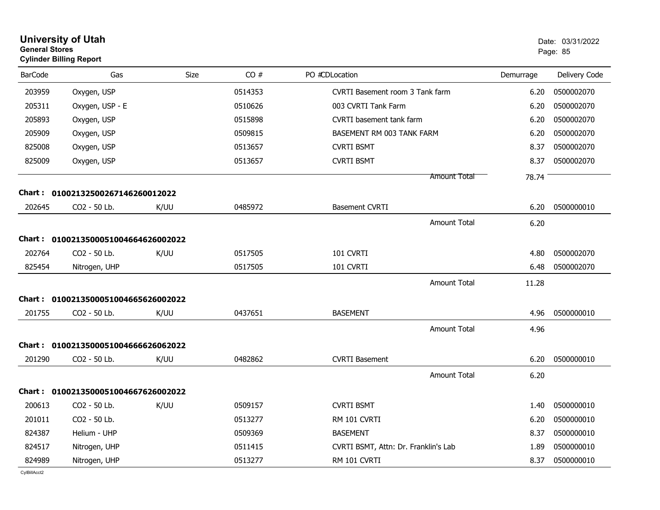| <b>General Stores</b> | <b>University of Utah</b><br><b>Cylinder Billing Report</b> |             |         |                                      |           | Date: 03/31/2022<br>Page: 85 |
|-----------------------|-------------------------------------------------------------|-------------|---------|--------------------------------------|-----------|------------------------------|
| <b>BarCode</b>        | Gas                                                         | <b>Size</b> | CO#     | PO #CDLocation                       | Demurrage | Delivery Code                |
| 203959                | Oxygen, USP                                                 |             | 0514353 | CVRTI Basement room 3 Tank farm      | 6.20      | 0500002070                   |
| 205311                | Oxygen, USP - E                                             |             | 0510626 | 003 CVRTI Tank Farm                  | 6.20      | 0500002070                   |
| 205893                | Oxygen, USP                                                 |             | 0515898 | <b>CVRTI</b> basement tank farm      | 6.20      | 0500002070                   |
| 205909                | Oxygen, USP                                                 |             | 0509815 | BASEMENT RM 003 TANK FARM            | 6.20      | 0500002070                   |
| 825008                | Oxygen, USP                                                 |             | 0513657 | <b>CVRTI BSMT</b>                    | 8.37      | 0500002070                   |
| 825009                | Oxygen, USP                                                 |             | 0513657 | <b>CVRTI BSMT</b>                    | 8.37      | 0500002070                   |
|                       |                                                             |             |         | <b>Amount Total</b>                  | 78.74     |                              |
|                       | Chart: 01002132500267146260012022                           |             |         |                                      |           |                              |
| 202645                | CO2 - 50 Lb.                                                | K/UU        | 0485972 | <b>Basement CVRTI</b>                | 6.20      | 0500000010                   |
|                       |                                                             |             |         | Amount Total                         | 6.20      |                              |
|                       | Chart: 0100213500051004664626002022                         |             |         |                                      |           |                              |
| 202764                | CO <sub>2</sub> - 50 Lb.                                    | K/UU        | 0517505 | 101 CVRTI                            | 4.80      | 0500002070                   |
| 825454                | Nitrogen, UHP                                               |             | 0517505 | 101 CVRTI                            | 6.48      | 0500002070                   |
|                       |                                                             |             |         | <b>Amount Total</b>                  | 11.28     |                              |
|                       | Chart: 0100213500051004665626002022                         |             |         |                                      |           |                              |
| 201755                | CO2 - 50 Lb.                                                | K/UU        | 0437651 | <b>BASEMENT</b>                      | 4.96      | 0500000010                   |
|                       |                                                             |             |         | <b>Amount Total</b>                  | 4.96      |                              |
|                       | Chart: 0100213500051004666626062022                         |             |         |                                      |           |                              |
| 201290                | CO2 - 50 Lb.                                                | K/UU        | 0482862 | <b>CVRTI Basement</b>                | 6.20      | 0500000010                   |
|                       |                                                             |             |         | <b>Amount Total</b>                  | 6.20      |                              |
|                       | Chart: 0100213500051004667626002022                         |             |         |                                      |           |                              |
| 200613                | CO2 - 50 Lb.                                                | K/UU        | 0509157 | <b>CVRTI BSMT</b>                    | 1.40      | 0500000010                   |
| 201011                | CO2 - 50 Lb.                                                |             | 0513277 | RM 101 CVRTI                         | 6.20      | 0500000010                   |
| 824387                | Helium - UHP                                                |             | 0509369 | <b>BASEMENT</b>                      | 8.37      | 0500000010                   |
| 824517                | Nitrogen, UHP                                               |             | 0511415 | CVRTI BSMT, Attn: Dr. Franklin's Lab | 1.89      | 0500000010                   |
| 824989                | Nitrogen, UHP                                               |             | 0513277 | RM 101 CVRTI                         | 8.37      | 0500000010                   |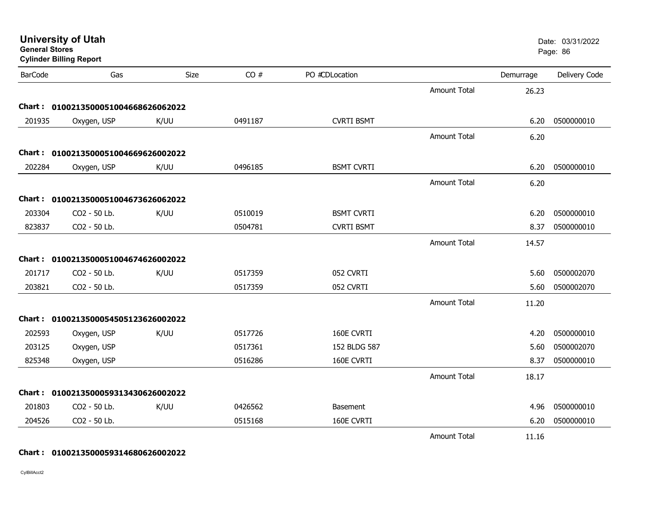|                | <b>University of Utah</b><br><b>General Stores</b><br><b>Cylinder Billing Report</b> |      |         |                   |                     |           | Date: 03/31/2022<br>Page: 86 |
|----------------|--------------------------------------------------------------------------------------|------|---------|-------------------|---------------------|-----------|------------------------------|
| <b>BarCode</b> | Gas                                                                                  | Size | CO#     | PO #CDLocation    |                     | Demurrage | Delivery Code                |
|                |                                                                                      |      |         |                   | Amount Total        | 26.23     |                              |
|                | Chart: 0100213500051004668626062022                                                  |      |         |                   |                     |           |                              |
| 201935         | Oxygen, USP                                                                          | K/UU | 0491187 | <b>CVRTI BSMT</b> |                     | 6.20      | 0500000010                   |
|                |                                                                                      |      |         |                   | <b>Amount Total</b> | 6.20      |                              |
|                | Chart: 0100213500051004669626002022                                                  |      |         |                   |                     |           |                              |
| 202284         | Oxygen, USP                                                                          | K/UU | 0496185 | <b>BSMT CVRTI</b> |                     | 6.20      | 0500000010                   |
|                |                                                                                      |      |         |                   | <b>Amount Total</b> | 6.20      |                              |
|                | Chart: 0100213500051004673626062022                                                  |      |         |                   |                     |           |                              |
| 203304         | CO2 - 50 Lb.                                                                         | K/UU | 0510019 | <b>BSMT CVRTI</b> |                     | 6.20      | 0500000010                   |
| 823837         | CO2 - 50 Lb.                                                                         |      | 0504781 | <b>CVRTI BSMT</b> |                     | 8.37      | 0500000010                   |
|                |                                                                                      |      |         |                   | <b>Amount Total</b> | 14.57     |                              |
|                | Chart: 0100213500051004674626002022                                                  |      |         |                   |                     |           |                              |
| 201717         | CO2 - 50 Lb.                                                                         | K/UU | 0517359 | 052 CVRTI         |                     | 5.60      | 0500002070                   |
| 203821         | CO2 - 50 Lb.                                                                         |      | 0517359 | 052 CVRTI         |                     | 5.60      | 0500002070                   |
|                |                                                                                      |      |         |                   | <b>Amount Total</b> | 11.20     |                              |
|                | Chart: 0100213500054505123626002022                                                  |      |         |                   |                     |           |                              |
| 202593         | Oxygen, USP                                                                          | K/UU | 0517726 | 160E CVRTI        |                     | 4.20      | 0500000010                   |
| 203125         | Oxygen, USP                                                                          |      | 0517361 | 152 BLDG 587      |                     | 5.60      | 0500002070                   |
| 825348         | Oxygen, USP                                                                          |      | 0516286 | 160E CVRTI        |                     | 8.37      | 0500000010                   |
|                |                                                                                      |      |         |                   | <b>Amount Total</b> | 18.17     |                              |
|                | Chart: 0100213500059313430626002022                                                  |      |         |                   |                     |           |                              |
| 201803         | CO2 - 50 Lb.                                                                         | K/UU | 0426562 | <b>Basement</b>   |                     | 4.96      | 0500000010                   |
| 204526         | CO2 - 50 Lb.                                                                         |      | 0515168 | 160E CVRTI        |                     | 6.20      | 0500000010                   |
|                |                                                                                      |      |         |                   | <b>Amount Total</b> | 11.16     |                              |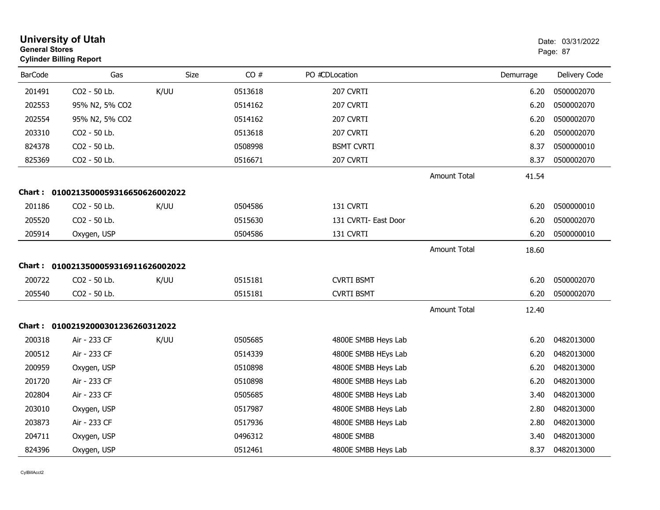| <b>General Stores</b> | <b>University of Utah</b><br><b>Cylinder Billing Report</b> |      |         |                      |                     |           | Date: 03/31/2022<br>Page: 87 |
|-----------------------|-------------------------------------------------------------|------|---------|----------------------|---------------------|-----------|------------------------------|
| <b>BarCode</b>        | Gas                                                         | Size | CO#     | PO #CDLocation       |                     | Demurrage | Delivery Code                |
| 201491                | CO2 - 50 Lb.                                                | K/UU | 0513618 | 207 CVRTI            |                     | 6.20      | 0500002070                   |
| 202553                | 95% N2, 5% CO2                                              |      | 0514162 | 207 CVRTI            |                     | 6.20      | 0500002070                   |
| 202554                | 95% N2, 5% CO2                                              |      | 0514162 | 207 CVRTI            |                     | 6.20      | 0500002070                   |
| 203310                | CO2 - 50 Lb.                                                |      | 0513618 | 207 CVRTI            |                     | 6.20      | 0500002070                   |
| 824378                | CO2 - 50 Lb.                                                |      | 0508998 | <b>BSMT CVRTI</b>    |                     | 8.37      | 0500000010                   |
| 825369                | CO2 - 50 Lb.                                                |      | 0516671 | 207 CVRTI            |                     | 8.37      | 0500002070                   |
|                       |                                                             |      |         |                      | Amount Total        | 41.54     |                              |
|                       | Chart: 0100213500059316650626002022                         |      |         |                      |                     |           |                              |
| 201186                | CO2 - 50 Lb.                                                | K/UU | 0504586 | 131 CVRTI            |                     | 6.20      | 0500000010                   |
| 205520                | CO2 - 50 Lb.                                                |      | 0515630 | 131 CVRTI- East Door |                     | 6.20      | 0500002070                   |
| 205914                | Oxygen, USP                                                 |      | 0504586 | 131 CVRTI            |                     | 6.20      | 0500000010                   |
|                       |                                                             |      |         |                      | Amount Total        | 18.60     |                              |
|                       | Chart: 0100213500059316911626002022                         |      |         |                      |                     |           |                              |
| 200722                | CO2 - 50 Lb.                                                | K/UU | 0515181 | <b>CVRTI BSMT</b>    |                     | 6.20      | 0500002070                   |
| 205540                | CO2 - 50 Lb.                                                |      | 0515181 | <b>CVRTI BSMT</b>    |                     | 6.20      | 0500002070                   |
|                       |                                                             |      |         |                      | <b>Amount Total</b> | 12.40     |                              |
|                       | Chart: 01002192000301236260312022                           |      |         |                      |                     |           |                              |
| 200318                | Air - 233 CF                                                | K/UU | 0505685 | 4800E SMBB Heys Lab  |                     | 6.20      | 0482013000                   |
| 200512                | Air - 233 CF                                                |      | 0514339 | 4800E SMBB HEys Lab  |                     | 6.20      | 0482013000                   |
| 200959                | Oxygen, USP                                                 |      | 0510898 | 4800E SMBB Heys Lab  |                     | 6.20      | 0482013000                   |
| 201720                | Air - 233 CF                                                |      | 0510898 | 4800E SMBB Heys Lab  |                     | 6.20      | 0482013000                   |
| 202804                | Air - 233 CF                                                |      | 0505685 | 4800E SMBB Heys Lab  |                     | 3.40      | 0482013000                   |
| 203010                | Oxygen, USP                                                 |      | 0517987 | 4800E SMBB Heys Lab  |                     | 2.80      | 0482013000                   |
| 203873                | Air - 233 CF                                                |      | 0517936 | 4800E SMBB Heys Lab  |                     | 2.80      | 0482013000                   |
| 204711                | Oxygen, USP                                                 |      | 0496312 | 4800E SMBB           |                     | 3.40      | 0482013000                   |
| 824396                | Oxygen, USP                                                 |      | 0512461 | 4800E SMBB Heys Lab  |                     | 8.37      | 0482013000                   |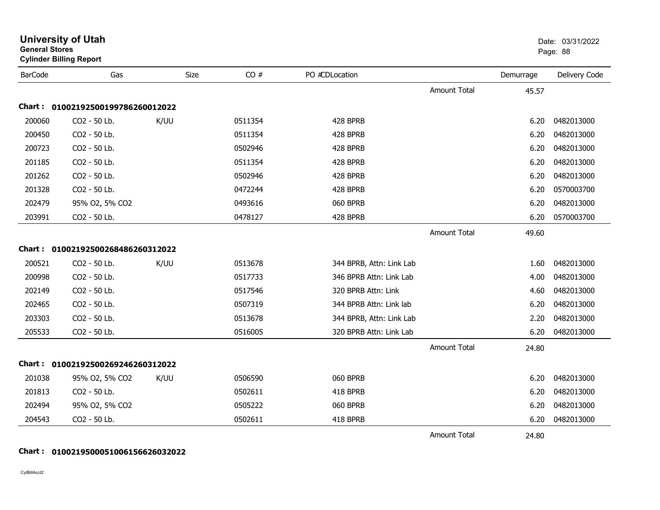| General Stores | <b>Cylinder Billing Report</b>    |      |         |                          |                     |           | Page: 88      |
|----------------|-----------------------------------|------|---------|--------------------------|---------------------|-----------|---------------|
| <b>BarCode</b> | Gas                               | Size | CO#     | PO #CDLocation           |                     | Demurrage | Delivery Code |
|                |                                   |      |         |                          | <b>Amount Total</b> | 45.57     |               |
|                | Chart: 01002192500199786260012022 |      |         |                          |                     |           |               |
| 200060         | CO2 - 50 Lb.                      | K/UU | 0511354 | 428 BPRB                 |                     | 6.20      | 0482013000    |
| 200450         | CO2 - 50 Lb.                      |      | 0511354 | 428 BPRB                 |                     | 6.20      | 0482013000    |
| 200723         | CO2 - 50 Lb.                      |      | 0502946 | 428 BPRB                 |                     | 6.20      | 0482013000    |
| 201185         | CO2 - 50 Lb.                      |      | 0511354 | 428 BPRB                 |                     | 6.20      | 0482013000    |
| 201262         | CO2 - 50 Lb.                      |      | 0502946 | 428 BPRB                 |                     | 6.20      | 0482013000    |
| 201328         | CO2 - 50 Lb.                      |      | 0472244 | 428 BPRB                 |                     | 6.20      | 0570003700    |
| 202479         | 95% O2, 5% CO2                    |      | 0493616 | 060 BPRB                 |                     | 6.20      | 0482013000    |
| 203991         | CO2 - 50 Lb.                      |      | 0478127 | 428 BPRB                 |                     | 6.20      | 0570003700    |
|                |                                   |      |         |                          | <b>Amount Total</b> | 49.60     |               |
|                | Chart: 01002192500268486260312022 |      |         |                          |                     |           |               |
| 200521         | CO2 - 50 Lb.                      | K/UU | 0513678 | 344 BPRB, Attn: Link Lab |                     | 1.60      | 0482013000    |
| 200998         | CO2 - 50 Lb.                      |      | 0517733 | 346 BPRB Attn: Link Lab  |                     | 4.00      | 0482013000    |
| 202149         | CO2 - 50 Lb.                      |      | 0517546 | 320 BPRB Attn: Link      |                     | 4.60      | 0482013000    |
| 202465         | CO2 - 50 Lb.                      |      | 0507319 | 344 BPRB Attn: Link lab  |                     | 6.20      | 0482013000    |
| 203303         | CO2 - 50 Lb.                      |      | 0513678 | 344 BPRB, Attn: Link Lab |                     | 2.20      | 0482013000    |
| 205533         | CO2 - 50 Lb.                      |      | 0516005 | 320 BPRB Attn: Link Lab  |                     | 6.20      | 0482013000    |
|                |                                   |      |         |                          | <b>Amount Total</b> | 24.80     |               |
|                | Chart: 01002192500269246260312022 |      |         |                          |                     |           |               |
| 201038         | 95% O2, 5% CO2                    | K/UU | 0506590 | 060 BPRB                 |                     | 6.20      | 0482013000    |
| 201813         | CO2 - 50 Lb.                      |      | 0502611 | 418 BPRB                 |                     | 6.20      | 0482013000    |
| 202494         | 95% O2, 5% CO2                    |      | 0505222 | 060 BPRB                 |                     | 6.20      | 0482013000    |
| 204543         | CO2 - 50 Lb.                      |      | 0502611 | 418 BPRB                 |                     | 6.20      | 0482013000    |
|                |                                   |      |         |                          | <b>Amount Total</b> | 24.80     |               |

**University of Utah** Date: 03/31/2022

# **Chart : 0100219500051006156626032022**

CylBillAcct2

**General Stores**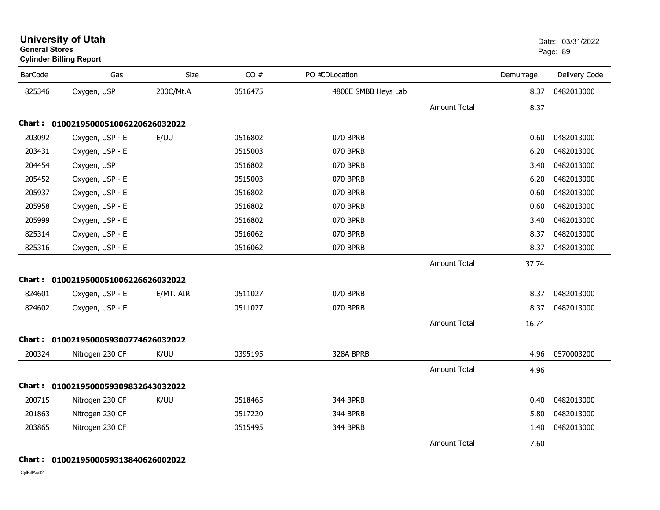| <b>BarCode</b> | Gas                                 | <b>Size</b> | CO#     | PO #CDLocation      |                     | Demurrage | Delivery Code |
|----------------|-------------------------------------|-------------|---------|---------------------|---------------------|-----------|---------------|
| 825346         | Oxygen, USP                         | 200C/Mt.A   | 0516475 | 4800E SMBB Heys Lab |                     | 8.37      | 0482013000    |
|                |                                     |             |         |                     | <b>Amount Total</b> | 8.37      |               |
|                | Chart: 0100219500051006220626032022 |             |         |                     |                     |           |               |
| 203092         | Oxygen, USP - E                     | E/UU        | 0516802 | 070 BPRB            |                     | 0.60      | 0482013000    |
| 203431         | Oxygen, USP - E                     |             | 0515003 | 070 BPRB            |                     | 6.20      | 0482013000    |
| 204454         | Oxygen, USP                         |             | 0516802 | 070 BPRB            |                     | 3.40      | 0482013000    |
| 205452         | Oxygen, USP - E                     |             | 0515003 | 070 BPRB            |                     | 6.20      | 0482013000    |
| 205937         | Oxygen, USP - E                     |             | 0516802 | 070 BPRB            |                     | 0.60      | 0482013000    |
| 205958         | Oxygen, USP - E                     |             | 0516802 | 070 BPRB            |                     | 0.60      | 0482013000    |
| 205999         | Oxygen, USP - E                     |             | 0516802 | 070 BPRB            |                     | 3.40      | 0482013000    |
| 825314         | Oxygen, USP - E                     |             | 0516062 | 070 BPRB            |                     | 8.37      | 0482013000    |
| 825316         | Oxygen, USP - E                     |             | 0516062 | 070 BPRB            |                     | 8.37      | 0482013000    |
|                |                                     |             |         |                     | <b>Amount Total</b> | 37.74     |               |
|                | Chart: 0100219500051006226626032022 |             |         |                     |                     |           |               |
| 824601         | Oxygen, USP - E                     | E/MT. AIR   | 0511027 | 070 BPRB            |                     | 8.37      | 0482013000    |
| 824602         | Oxygen, USP - E                     |             | 0511027 | 070 BPRB            |                     | 8.37      | 0482013000    |
|                |                                     |             |         |                     | <b>Amount Total</b> | 16.74     |               |
| Chart:         | 0100219500059300774626032022        |             |         |                     |                     |           |               |
| 200324         | Nitrogen 230 CF                     | K/UU        | 0395195 | 328A BPRB           |                     | 4.96      | 0570003200    |
|                |                                     |             |         |                     | <b>Amount Total</b> | 4.96      |               |
|                | Chart: 0100219500059309832643032022 |             |         |                     |                     |           |               |
| 200715         | Nitrogen 230 CF                     | K/UU        | 0518465 | 344 BPRB            |                     | 0.40      | 0482013000    |
| 201863         | Nitrogen 230 CF                     |             | 0517220 | 344 BPRB            |                     | 5.80      | 0482013000    |
| 203865         | Nitrogen 230 CF                     |             | 0515495 | 344 BPRB            |                     | 1.40      | 0482013000    |
|                |                                     |             |         |                     | <b>Amount Total</b> | 7.60      |               |

CylBillAcct2

#### **University of Utah** Date: 03/31/2022 **General Stores**en de la provincia de la provincia de la provincia de la provincia de la provincia de la provincia de la provi **Cylinder Billing Report**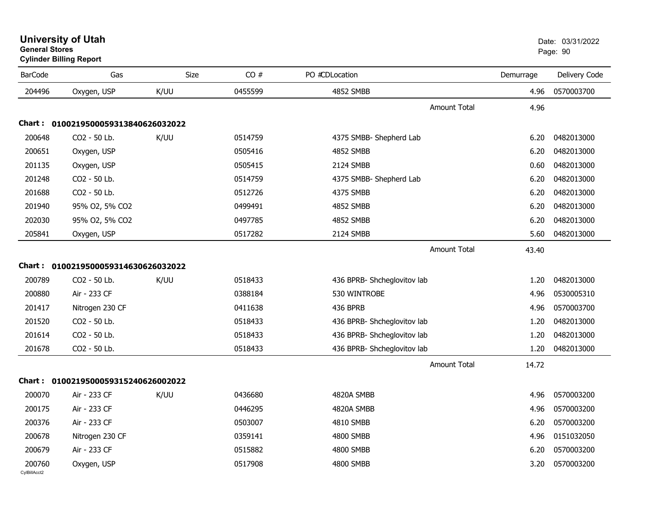|                | <b>Cylinder Billing Report</b>      |             |         |                             |           |               |
|----------------|-------------------------------------|-------------|---------|-----------------------------|-----------|---------------|
| <b>BarCode</b> | Gas                                 | <b>Size</b> | CO#     | PO #CDLocation              | Demurrage | Delivery Code |
| 204496         | Oxygen, USP                         | K/UU        | 0455599 | 4852 SMBB                   | 4.96      | 0570003700    |
|                |                                     |             |         | Amount Total                | 4.96      |               |
|                | Chart: 0100219500059313840626032022 |             |         |                             |           |               |
| 200648         | CO2 - 50 Lb.                        | K/UU        | 0514759 | 4375 SMBB- Shepherd Lab     | 6.20      | 0482013000    |
| 200651         | Oxygen, USP                         |             | 0505416 | <b>4852 SMBB</b>            | 6.20      | 0482013000    |
| 201135         | Oxygen, USP                         |             | 0505415 | 2124 SMBB                   | 0.60      | 0482013000    |
| 201248         | CO2 - 50 Lb.                        |             | 0514759 | 4375 SMBB- Shepherd Lab     | 6.20      | 0482013000    |
| 201688         | CO2 - 50 Lb.                        |             | 0512726 | 4375 SMBB                   | 6.20      | 0482013000    |
| 201940         | 95% O2, 5% CO2                      |             | 0499491 | <b>4852 SMBB</b>            | 6.20      | 0482013000    |
| 202030         | 95% O2, 5% CO2                      |             | 0497785 | 4852 SMBB                   | 6.20      | 0482013000    |
| 205841         | Oxygen, USP                         |             | 0517282 | 2124 SMBB                   | 5.60      | 0482013000    |
|                |                                     |             |         | Amount Total                | 43.40     |               |
| Chart :        | 0100219500059314630626032022        |             |         |                             |           |               |
| 200789         | CO2 - 50 Lb.                        | K/UU        | 0518433 | 436 BPRB- Shcheglovitov lab | 1.20      | 0482013000    |
| 200880         | Air - 233 CF                        |             | 0388184 | 530 WINTROBE                | 4.96      | 0530005310    |
| 201417         | Nitrogen 230 CF                     |             | 0411638 | 436 BPRB                    | 4.96      | 0570003700    |
| 201520         | CO2 - 50 Lb.                        |             | 0518433 | 436 BPRB- Shcheglovitov lab | 1.20      | 0482013000    |
| 201614         | CO2 - 50 Lb.                        |             | 0518433 | 436 BPRB- Shcheglovitov lab | 1.20      | 0482013000    |
| 201678         | CO2 - 50 Lb.                        |             | 0518433 | 436 BPRB- Shcheglovitov lab | 1.20      | 0482013000    |
|                |                                     |             |         | <b>Amount Total</b>         | 14.72     |               |
|                | Chart: 0100219500059315240626002022 |             |         |                             |           |               |
| 200070         | Air - 233 CF                        | K/UU        | 0436680 | 4820A SMBB                  | 4.96      | 0570003200    |
| 200175         | Air - 233 CF                        |             | 0446295 | 4820A SMBB                  | 4.96      | 0570003200    |
| 200376         | Air - 233 CF                        |             | 0503007 | 4810 SMBB                   | 6.20      | 0570003200    |
| 200678         | Nitrogen 230 CF                     |             | 0359141 | 4800 SMBB                   | 4.96      | 0151032050    |
| 200679         | Air - 233 CF                        |             | 0515882 | 4800 SMBB                   | 6.20      | 0570003200    |
| 200760         | Oxygen, USP                         |             | 0517908 | 4800 SMBB                   | 3.20      | 0570003200    |

#### **University of Utah** Date: 03/31/2022 **General Stores**en de la provincia de la provincia de la provincia de la provincia de la provincia de la provincia de la provi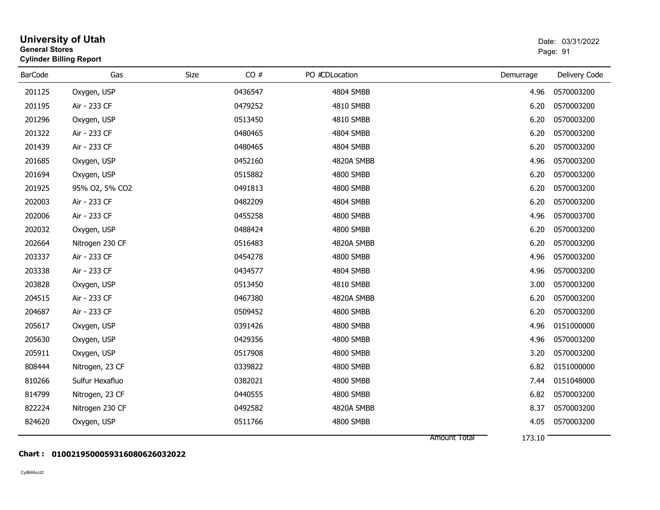| <b>General Stores</b> | <b>University of Utah</b><br><b>Cylinder Billing Report</b> |      |         |                |                        | Date: 03/31/2022<br>Page: 91 |
|-----------------------|-------------------------------------------------------------|------|---------|----------------|------------------------|------------------------------|
| <b>BarCode</b>        | Gas                                                         | Size | CO#     | PO #CDLocation | Demurrage              | Delivery Code                |
| 201125                | Oxygen, USP                                                 |      | 0436547 | 4804 SMBB      | 4.96                   | 0570003200                   |
| 201195                | Air - 233 CF                                                |      | 0479252 | 4810 SMBB      | 6.20                   | 0570003200                   |
| 201296                | Oxygen, USP                                                 |      | 0513450 | 4810 SMBB      | 6.20                   | 0570003200                   |
| 201322                | Air - 233 CF                                                |      | 0480465 | 4804 SMBB      | 6.20                   | 0570003200                   |
| 201439                | Air - 233 CF                                                |      | 0480465 | 4804 SMBB      | 6.20                   | 0570003200                   |
| 201685                | Oxygen, USP                                                 |      | 0452160 | 4820A SMBB     | 4.96                   | 0570003200                   |
| 201694                | Oxygen, USP                                                 |      | 0515882 | 4800 SMBB      | 6.20                   | 0570003200                   |
| 201925                | 95% O2, 5% CO2                                              |      | 0491813 | 4800 SMBB      | 6.20                   | 0570003200                   |
| 202003                | Air - 233 CF                                                |      | 0482209 | 4804 SMBB      | 6.20                   | 0570003200                   |
| 202006                | Air - 233 CF                                                |      | 0455258 | 4800 SMBB      | 4.96                   | 0570003700                   |
| 202032                | Oxygen, USP                                                 |      | 0488424 | 4800 SMBB      | 6.20                   | 0570003200                   |
| 202664                | Nitrogen 230 CF                                             |      | 0516483 | 4820A SMBB     | 6.20                   | 0570003200                   |
| 203337                | Air - 233 CF                                                |      | 0454278 | 4800 SMBB      | 4.96                   | 0570003200                   |
| 203338                | Air - 233 CF                                                |      | 0434577 | 4804 SMBB      | 4.96                   | 0570003200                   |
| 203828                | Oxygen, USP                                                 |      | 0513450 | 4810 SMBB      | 3.00                   | 0570003200                   |
| 204515                | Air - 233 CF                                                |      | 0467380 | 4820A SMBB     | 6.20                   | 0570003200                   |
| 204687                | Air - 233 CF                                                |      | 0509452 | 4800 SMBB      | 6.20                   | 0570003200                   |
| 205617                | Oxygen, USP                                                 |      | 0391426 | 4800 SMBB      | 4.96                   | 0151000000                   |
| 205630                | Oxygen, USP                                                 |      | 0429356 | 4800 SMBB      | 4.96                   | 0570003200                   |
| 205911                | Oxygen, USP                                                 |      | 0517908 | 4800 SMBB      | 3.20                   | 0570003200                   |
| 808444                | Nitrogen, 23 CF                                             |      | 0339822 | 4800 SMBB      | 6.82                   | 0151000000                   |
| 810266                | Sulfur Hexafluo                                             |      | 0382021 | 4800 SMBB      | 7.44                   | 0151048000                   |
| 814799                | Nitrogen, 23 CF                                             |      | 0440555 | 4800 SMBB      | 6.82                   | 0570003200                   |
| 822224                | Nitrogen 230 CF                                             |      | 0492582 | 4820A SMBB     | 8.37                   | 0570003200                   |
| 824620                | Oxygen, USP                                                 |      | 0511766 | 4800 SMBB      | 4.05                   | 0570003200                   |
|                       |                                                             |      |         |                | 173.10<br>Amount Total |                              |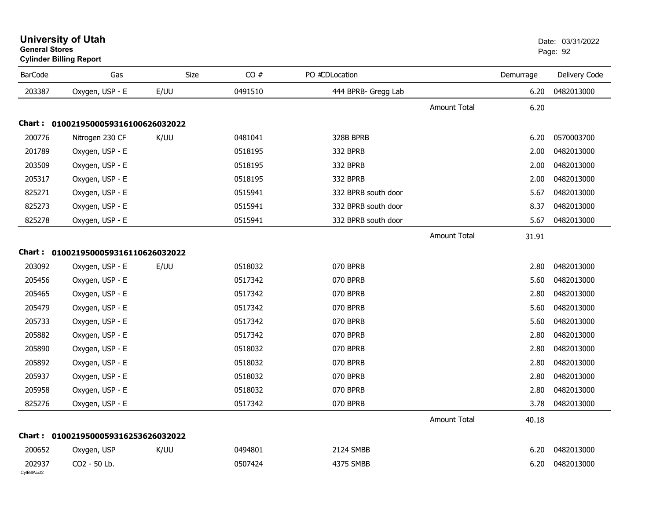| <b>BarCode</b>         | Gas                                 | Size | CO#     | PO #CDLocation      |                     | Demurrage | Delivery Code |
|------------------------|-------------------------------------|------|---------|---------------------|---------------------|-----------|---------------|
| 203387                 | Oxygen, USP - E                     | E/UU | 0491510 | 444 BPRB- Gregg Lab |                     | 6.20      | 0482013000    |
|                        |                                     |      |         |                     | <b>Amount Total</b> | 6.20      |               |
|                        | Chart: 0100219500059316100626032022 |      |         |                     |                     |           |               |
| 200776                 | Nitrogen 230 CF                     | K/UU | 0481041 | 328B BPRB           |                     | 6.20      | 0570003700    |
| 201789                 | Oxygen, USP - E                     |      | 0518195 | 332 BPRB            |                     | 2.00      | 0482013000    |
| 203509                 | Oxygen, USP - E                     |      | 0518195 | 332 BPRB            |                     | 2.00      | 0482013000    |
| 205317                 | Oxygen, USP - E                     |      | 0518195 | 332 BPRB            |                     | 2.00      | 0482013000    |
| 825271                 | Oxygen, USP - E                     |      | 0515941 | 332 BPRB south door |                     | 5.67      | 0482013000    |
| 825273                 | Oxygen, USP - E                     |      | 0515941 | 332 BPRB south door |                     | 8.37      | 0482013000    |
| 825278                 | Oxygen, USP - E                     |      | 0515941 | 332 BPRB south door |                     | 5.67      | 0482013000    |
|                        |                                     |      |         |                     | <b>Amount Total</b> | 31.91     |               |
|                        | Chart: 0100219500059316110626032022 |      |         |                     |                     |           |               |
| 203092                 | Oxygen, USP - E                     | E/UU | 0518032 | 070 BPRB            |                     | 2.80      | 0482013000    |
| 205456                 | Oxygen, USP - E                     |      | 0517342 | 070 BPRB            |                     | 5.60      | 0482013000    |
| 205465                 | Oxygen, USP - E                     |      | 0517342 | 070 BPRB            |                     | 2.80      | 0482013000    |
| 205479                 | Oxygen, USP - E                     |      | 0517342 | 070 BPRB            |                     | 5.60      | 0482013000    |
| 205733                 | Oxygen, USP - E                     |      | 0517342 | 070 BPRB            |                     | 5.60      | 0482013000    |
| 205882                 | Oxygen, USP - E                     |      | 0517342 | 070 BPRB            |                     | 2.80      | 0482013000    |
| 205890                 | Oxygen, USP - E                     |      | 0518032 | 070 BPRB            |                     | 2.80      | 0482013000    |
| 205892                 | Oxygen, USP - E                     |      | 0518032 | 070 BPRB            |                     | 2.80      | 0482013000    |
| 205937                 | Oxygen, USP - E                     |      | 0518032 | 070 BPRB            |                     | 2.80      | 0482013000    |
| 205958                 | Oxygen, USP - E                     |      | 0518032 | 070 BPRB            |                     | 2.80      | 0482013000    |
| 825276                 | Oxygen, USP - E                     |      | 0517342 | 070 BPRB            |                     | 3.78      | 0482013000    |
|                        |                                     |      |         |                     | <b>Amount Total</b> | 40.18     |               |
|                        | Chart: 0100219500059316253626032022 |      |         |                     |                     |           |               |
| 200652                 | Oxygen, USP                         | K/UU | 0494801 | 2124 SMBB           |                     | 6.20      | 0482013000    |
| 202937<br>CvIBillAcct2 | CO2 - 50 Lb.                        |      | 0507424 | 4375 SMBB           |                     | 6.20      | 0482013000    |

# **University of Utah** Date: 03/31/2022 **General Stores**entry of the control of the control of the control of the control of the control of the control of the control of the control of the control of the control of the control of the control of the control of the control of the **Cylinder Billing Report**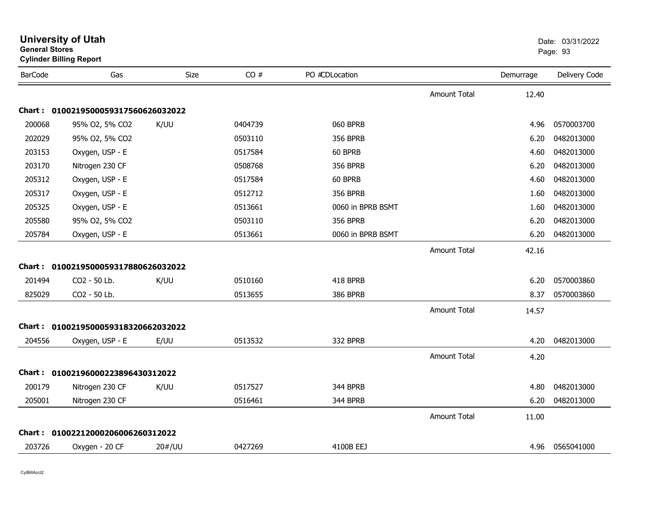| <b>General Stores</b> | <b>Cylinder Billing Report</b>      |        |         |                   |                     |           | Page: 93      |
|-----------------------|-------------------------------------|--------|---------|-------------------|---------------------|-----------|---------------|
| <b>BarCode</b>        | Gas                                 | Size   | CO#     | PO #CDLocation    |                     | Demurrage | Delivery Code |
|                       |                                     |        |         |                   | <b>Amount Total</b> | 12.40     |               |
|                       | Chart: 0100219500059317560626032022 |        |         |                   |                     |           |               |
| 200068                | 95% O2, 5% CO2                      | K/UU   | 0404739 | 060 BPRB          |                     | 4.96      | 0570003700    |
| 202029                | 95% O2, 5% CO2                      |        | 0503110 | <b>356 BPRB</b>   |                     | 6.20      | 0482013000    |
| 203153                | Oxygen, USP - E                     |        | 0517584 | 60 BPRB           |                     | 4.60      | 0482013000    |
| 203170                | Nitrogen 230 CF                     |        | 0508768 | <b>356 BPRB</b>   |                     | 6.20      | 0482013000    |
| 205312                | Oxygen, USP - E                     |        | 0517584 | 60 BPRB           |                     | 4.60      | 0482013000    |
| 205317                | Oxygen, USP - E                     |        | 0512712 | <b>356 BPRB</b>   |                     | 1.60      | 0482013000    |
| 205325                | Oxygen, USP - E                     |        | 0513661 | 0060 in BPRB BSMT |                     | 1.60      | 0482013000    |
| 205580                | 95% O2, 5% CO2                      |        | 0503110 | <b>356 BPRB</b>   |                     | 6.20      | 0482013000    |
| 205784                | Oxygen, USP - E                     |        | 0513661 | 0060 in BPRB BSMT |                     | 6.20      | 0482013000    |
|                       |                                     |        |         |                   | <b>Amount Total</b> | 42.16     |               |
|                       | Chart: 0100219500059317880626032022 |        |         |                   |                     |           |               |
| 201494                | CO2 - 50 Lb.                        | K/UU   | 0510160 | 418 BPRB          |                     | 6.20      | 0570003860    |
| 825029                | CO2 - 50 Lb.                        |        | 0513655 | <b>386 BPRB</b>   |                     | 8.37      | 0570003860    |
|                       |                                     |        |         |                   | <b>Amount Total</b> | 14.57     |               |
|                       | Chart: 0100219500059318320662032022 |        |         |                   |                     |           |               |
| 204556                | Oxygen, USP - E                     | E/UU   | 0513532 | 332 BPRB          |                     | 4.20      | 0482013000    |
|                       |                                     |        |         |                   | <b>Amount Total</b> | 4.20      |               |
|                       | Chart: 01002196000223896430312022   |        |         |                   |                     |           |               |
| 200179                | Nitrogen 230 CF                     | K/UU   | 0517527 | 344 BPRB          |                     | 4.80      | 0482013000    |
| 205001                | Nitrogen 230 CF                     |        | 0516461 | 344 BPRB          |                     | 6.20      | 0482013000    |
|                       |                                     |        |         |                   | <b>Amount Total</b> | 11.00     |               |
|                       | Chart: 01002212000206006260312022   |        |         |                   |                     |           |               |
| 203726                | Oxygen - 20 CF                      | 20#/UU | 0427269 | 4100B EEJ         |                     | 4.96      | 0565041000    |
|                       |                                     |        |         |                   |                     |           |               |

**University of Utah** Date: 03/31/2022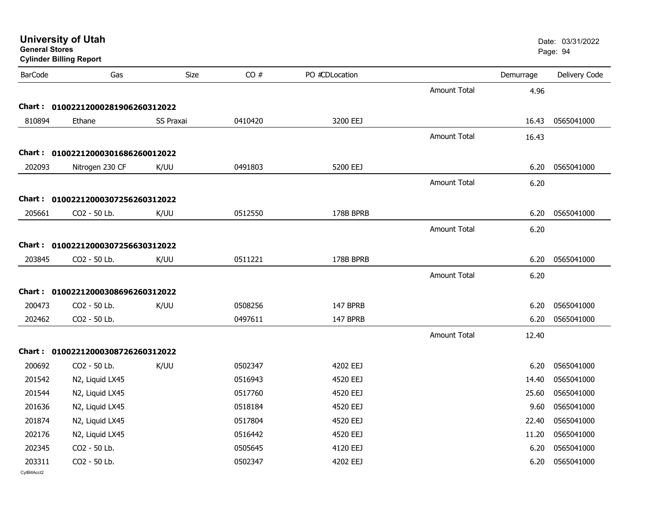| <b>General Stores</b>  | <b>University of Utah</b><br><b>Cylinder Billing Report</b> |           |         |                |                     |           | Date: 03/31/2022<br>Page: 94 |
|------------------------|-------------------------------------------------------------|-----------|---------|----------------|---------------------|-----------|------------------------------|
| <b>BarCode</b>         | Gas                                                         | Size      | CO#     | PO #CDLocation |                     | Demurrage | Delivery Code                |
|                        |                                                             |           |         |                | <b>Amount Total</b> | 4.96      |                              |
|                        | Chart: 01002212000281906260312022                           |           |         |                |                     |           |                              |
| 810894                 | Ethane                                                      | SS Praxai | 0410420 | 3200 EEJ       |                     | 16.43     | 0565041000                   |
|                        |                                                             |           |         |                | <b>Amount Total</b> | 16.43     |                              |
|                        | Chart: 01002212000301686260012022                           |           |         |                |                     |           |                              |
| 202093                 | Nitrogen 230 CF                                             | K/UU      | 0491803 | 5200 EEJ       |                     | 6.20      | 0565041000                   |
|                        |                                                             |           |         |                | Amount Total        | 6.20      |                              |
|                        | Chart: 01002212000307256260312022                           |           |         |                |                     |           |                              |
| 205661                 | CO2 - 50 Lb.                                                | K/UU      | 0512550 | 178B BPRB      |                     | 6.20      | 0565041000                   |
|                        |                                                             |           |         |                | Amount Total        | 6.20      |                              |
|                        | Chart: 01002212000307256630312022                           |           |         |                |                     |           |                              |
| 203845                 | CO2 - 50 Lb.                                                | K/UU      | 0511221 | 178B BPRB      |                     | 6.20      | 0565041000                   |
|                        |                                                             |           |         |                | <b>Amount Total</b> | 6.20      |                              |
|                        | Chart: 01002212000308696260312022                           |           |         |                |                     |           |                              |
| 200473                 | CO2 - 50 Lb.                                                | K/UU      | 0508256 | 147 BPRB       |                     | 6.20      | 0565041000                   |
| 202462                 | CO2 - 50 Lb.                                                |           | 0497611 | 147 BPRB       |                     | 6.20      | 0565041000                   |
|                        |                                                             |           |         |                | <b>Amount Total</b> | 12.40     |                              |
|                        | Chart: 01002212000308726260312022                           |           |         |                |                     |           |                              |
| 200692                 | CO2 - 50 Lb.                                                | K/UU      | 0502347 | 4202 EEJ       |                     | 6.20      | 0565041000                   |
| 201542                 | N2, Liquid LX45                                             |           | 0516943 | 4520 EEJ       |                     | 14.40     | 0565041000                   |
| 201544                 | N2, Liquid LX45                                             |           | 0517760 | 4520 EEJ       |                     | 25.60     | 0565041000                   |
| 201636                 | N2, Liquid LX45                                             |           | 0518184 | 4520 EEJ       |                     |           | 9.60 0565041000              |
| 201874                 | N2, Liquid LX45                                             |           | 0517804 | 4520 EEJ       |                     | 22.40     | 0565041000                   |
| 202176                 | N2, Liquid LX45                                             |           | 0516442 | 4520 EEJ       |                     | 11.20     | 0565041000                   |
| 202345                 | CO2 - 50 Lb.                                                |           | 0505645 | 4120 EEJ       |                     | 6.20      | 0565041000                   |
| 203311<br>CvIBillAcct2 | CO2 - 50 Lb.                                                |           | 0502347 | 4202 EEJ       |                     | 6.20      | 0565041000                   |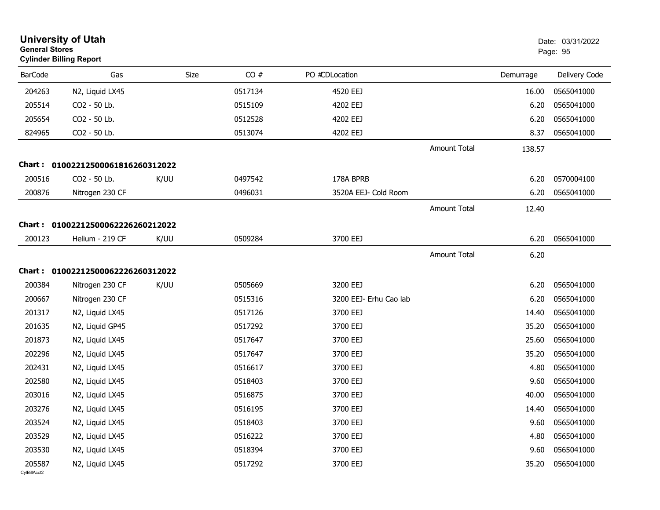|                        | <b>University of Utah</b><br><b>General Stores</b><br><b>Cylinder Billing Report</b> |      |      |         |                        | Date: 03/31/2022<br>Page: 95 |           |               |
|------------------------|--------------------------------------------------------------------------------------|------|------|---------|------------------------|------------------------------|-----------|---------------|
| <b>BarCode</b>         | Gas                                                                                  |      | Size | CO#     | PO #CDLocation         |                              | Demurrage | Delivery Code |
| 204263                 | N2, Liquid LX45                                                                      |      |      | 0517134 | 4520 EEJ               |                              | 16.00     | 0565041000    |
| 205514                 | CO2 - 50 Lb.                                                                         |      |      | 0515109 | 4202 EEJ               |                              | 6.20      | 0565041000    |
| 205654                 | CO2 - 50 Lb.                                                                         |      |      | 0512528 | 4202 EEJ               |                              | 6.20      | 0565041000    |
| 824965                 | CO2 - 50 Lb.                                                                         |      |      | 0513074 | 4202 EEJ               |                              | 8.37      | 0565041000    |
|                        |                                                                                      |      |      |         |                        | <b>Amount Total</b>          | 138.57    |               |
|                        | Chart: 01002212500061816260312022                                                    |      |      |         |                        |                              |           |               |
| 200516                 | CO2 - 50 Lb.                                                                         | K/UU |      | 0497542 | 178A BPRB              |                              | 6.20      | 0570004100    |
| 200876                 | Nitrogen 230 CF                                                                      |      |      | 0496031 | 3520A EEJ- Cold Room   |                              | 6.20      | 0565041000    |
|                        |                                                                                      |      |      |         |                        | Amount Total                 | 12.40     |               |
|                        | Chart: 01002212500062226260212022                                                    |      |      |         |                        |                              |           |               |
| 200123                 | Helium - 219 CF                                                                      | K/UU |      | 0509284 | 3700 EEJ               |                              | 6.20      | 0565041000    |
|                        |                                                                                      |      |      |         |                        | Amount Total                 | 6.20      |               |
|                        | Chart: 01002212500062226260312022                                                    |      |      |         |                        |                              |           |               |
| 200384                 | Nitrogen 230 CF                                                                      | K/UU |      | 0505669 | 3200 EEJ               |                              | 6.20      | 0565041000    |
| 200667                 | Nitrogen 230 CF                                                                      |      |      | 0515316 | 3200 EEJ- Erhu Cao lab |                              | 6.20      | 0565041000    |
| 201317                 | N2, Liquid LX45                                                                      |      |      | 0517126 | 3700 EEJ               |                              | 14.40     | 0565041000    |
| 201635                 | N2, Liquid GP45                                                                      |      |      | 0517292 | 3700 EEJ               |                              | 35.20     | 0565041000    |
| 201873                 | N2, Liquid LX45                                                                      |      |      | 0517647 | 3700 EEJ               |                              | 25.60     | 0565041000    |
| 202296                 | N2, Liquid LX45                                                                      |      |      | 0517647 | 3700 EEJ               |                              | 35.20     | 0565041000    |
| 202431                 | N2, Liquid LX45                                                                      |      |      | 0516617 | 3700 EEJ               |                              | 4.80      | 0565041000    |
| 202580                 | N2, Liquid LX45                                                                      |      |      | 0518403 | 3700 EEJ               |                              | 9.60      | 0565041000    |
| 203016                 | N2, Liquid LX45                                                                      |      |      | 0516875 | 3700 EEJ               |                              | 40.00     | 0565041000    |
| 203276                 | N2, Liquid LX45                                                                      |      |      | 0516195 | 3700 EEJ               |                              | 14.40     | 0565041000    |
| 203524                 | N2, Liquid LX45                                                                      |      |      | 0518403 | 3700 EEJ               |                              | 9.60      | 0565041000    |
| 203529                 | N2, Liquid LX45                                                                      |      |      | 0516222 | 3700 EEJ               |                              | 4.80      | 0565041000    |
| 203530                 | N2, Liquid LX45                                                                      |      |      | 0518394 | 3700 EEJ               |                              | 9.60      | 0565041000    |
| 205587<br>CvIBillAcct2 | N2, Liquid LX45                                                                      |      |      | 0517292 | 3700 EEJ               |                              | 35.20     | 0565041000    |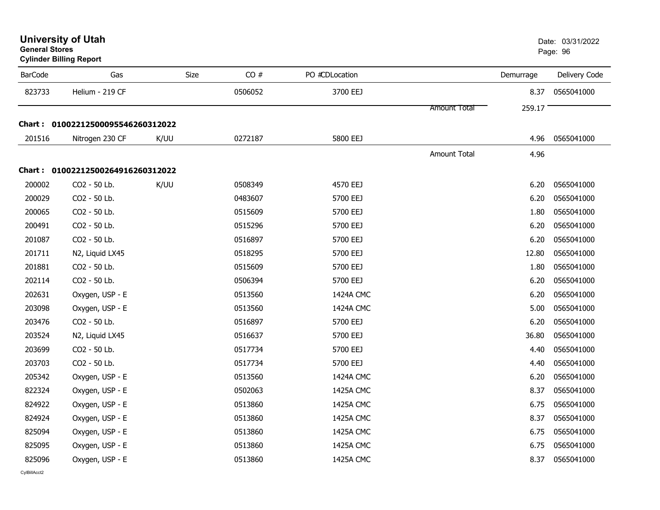| <b>General Stores</b> | <b>Cylinder Billing Report</b>    |      |         |                |                     |           | Page: 96      |
|-----------------------|-----------------------------------|------|---------|----------------|---------------------|-----------|---------------|
| <b>BarCode</b>        | Gas                               | Size | CO#     | PO #CDLocation |                     | Demurrage | Delivery Code |
| 823733                | Helium - 219 CF                   |      | 0506052 | 3700 EEJ       |                     | 8.37      | 0565041000    |
|                       |                                   |      |         |                | Amount Total        | 259.17    |               |
|                       | Chart: 01002212500095546260312022 |      |         |                |                     |           |               |
| 201516                | Nitrogen 230 CF                   | K/UU | 0272187 | 5800 EEJ       |                     | 4.96      | 0565041000    |
|                       |                                   |      |         |                | <b>Amount Total</b> | 4.96      |               |
|                       | Chart: 01002212500264916260312022 |      |         |                |                     |           |               |
| 200002                | CO2 - 50 Lb.                      | K/UU | 0508349 | 4570 EEJ       |                     | 6.20      | 0565041000    |
| 200029                | CO2 - 50 Lb.                      |      | 0483607 | 5700 EEJ       |                     | 6.20      | 0565041000    |
| 200065                | CO2 - 50 Lb.                      |      | 0515609 | 5700 EEJ       |                     | 1.80      | 0565041000    |
| 200491                | CO2 - 50 Lb.                      |      | 0515296 | 5700 EEJ       |                     | 6.20      | 0565041000    |
| 201087                | CO2 - 50 Lb.                      |      | 0516897 | 5700 EEJ       |                     | 6.20      | 0565041000    |
| 201711                | N2, Liquid LX45                   |      | 0518295 | 5700 EEJ       |                     | 12.80     | 0565041000    |
| 201881                | CO2 - 50 Lb.                      |      | 0515609 | 5700 EEJ       |                     | 1.80      | 0565041000    |
| 202114                | CO2 - 50 Lb.                      |      | 0506394 | 5700 EEJ       |                     | 6.20      | 0565041000    |
| 202631                | Oxygen, USP - E                   |      | 0513560 | 1424A CMC      |                     | 6.20      | 0565041000    |
| 203098                | Oxygen, USP - E                   |      | 0513560 | 1424A CMC      |                     | 5.00      | 0565041000    |
| 203476                | CO2 - 50 Lb.                      |      | 0516897 | 5700 EEJ       |                     | 6.20      | 0565041000    |
| 203524                | N2, Liquid LX45                   |      | 0516637 | 5700 EEJ       |                     | 36.80     | 0565041000    |
| 203699                | CO2 - 50 Lb.                      |      | 0517734 | 5700 EEJ       |                     | 4.40      | 0565041000    |
| 203703                | CO2 - 50 Lb.                      |      | 0517734 | 5700 EEJ       |                     | 4.40      | 0565041000    |
| 205342                | Oxygen, USP - E                   |      | 0513560 | 1424A CMC      |                     | 6.20      | 0565041000    |
| 822324                | Oxygen, USP - E                   |      | 0502063 | 1425A CMC      |                     | 8.37      | 0565041000    |
| 824922                | Oxygen, USP - E                   |      | 0513860 | 1425A CMC      |                     | 6.75      | 0565041000    |
| 824924                | Oxygen, USP - E                   |      | 0513860 | 1425A CMC      |                     | 8.37      | 0565041000    |
| 825094                | Oxygen, USP - E                   |      | 0513860 | 1425A CMC      |                     | 6.75      | 0565041000    |
| 825095                | Oxygen, USP - E                   |      | 0513860 | 1425A CMC      |                     | 6.75      | 0565041000    |
| 825096                | Oxygen, USP - E                   |      | 0513860 | 1425A CMC      |                     | 8.37      | 0565041000    |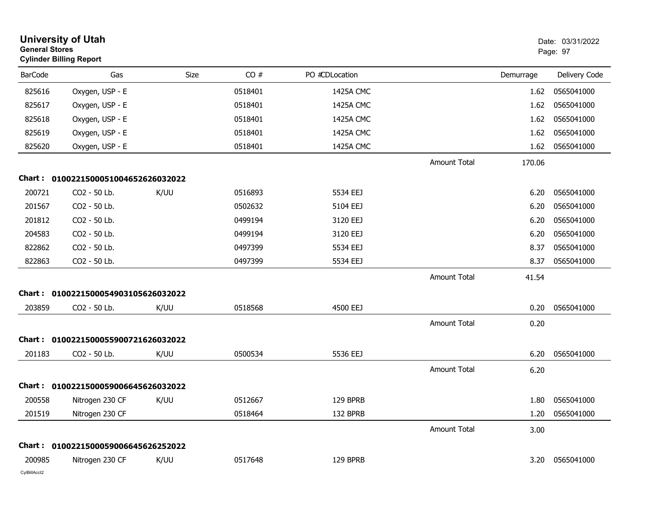|                | <b>University of Utah</b><br><b>General Stores</b><br><b>Cylinder Billing Report</b> |      |         |                |                     | Date: 03/31/2022<br>Page: 97 |               |
|----------------|--------------------------------------------------------------------------------------|------|---------|----------------|---------------------|------------------------------|---------------|
| <b>BarCode</b> | Gas                                                                                  | Size | CO#     | PO #CDLocation |                     | Demurrage                    | Delivery Code |
| 825616         | Oxygen, USP - E                                                                      |      | 0518401 | 1425A CMC      |                     | 1.62                         | 0565041000    |
| 825617         | Oxygen, USP - E                                                                      |      | 0518401 | 1425A CMC      |                     | 1.62                         | 0565041000    |
| 825618         | Oxygen, USP - E                                                                      |      | 0518401 | 1425A CMC      |                     | 1.62                         | 0565041000    |
| 825619         | Oxygen, USP - E                                                                      |      | 0518401 | 1425A CMC      |                     | 1.62                         | 0565041000    |
| 825620         | Oxygen, USP - E                                                                      |      | 0518401 | 1425A CMC      |                     | 1.62                         | 0565041000    |
|                |                                                                                      |      |         |                | <b>Amount Total</b> | 170.06                       |               |
| Chart :        | 0100221500051004652626032022                                                         |      |         |                |                     |                              |               |
| 200721         | CO2 - 50 Lb.                                                                         | K/UU | 0516893 | 5534 EEJ       |                     | 6.20                         | 0565041000    |
| 201567         | CO2 - 50 Lb.                                                                         |      | 0502632 | 5104 EEJ       |                     | 6.20                         | 0565041000    |
| 201812         | CO2 - 50 Lb.                                                                         |      | 0499194 | 3120 EEJ       |                     | 6.20                         | 0565041000    |
| 204583         | CO2 - 50 Lb.                                                                         |      | 0499194 | 3120 EEJ       |                     | 6.20                         | 0565041000    |
| 822862         | CO2 - 50 Lb.                                                                         |      | 0497399 | 5534 EEJ       |                     | 8.37                         | 0565041000    |
| 822863         | CO2 - 50 Lb.                                                                         |      | 0497399 | 5534 EEJ       |                     | 8.37                         | 0565041000    |
|                |                                                                                      |      |         |                | <b>Amount Total</b> | 41.54                        |               |
| Chart:         | 0100221500054903105626032022                                                         |      |         |                |                     |                              |               |
| 203859         | CO2 - 50 Lb.                                                                         | K/UU | 0518568 | 4500 EEJ       |                     | 0.20                         | 0565041000    |
|                |                                                                                      |      |         |                | <b>Amount Total</b> | 0.20                         |               |
| Chart :        | 0100221500055900721626032022                                                         |      |         |                |                     |                              |               |
| 201183         | CO2 - 50 Lb.                                                                         | K/UU | 0500534 | 5536 EEJ       |                     | 6.20                         | 0565041000    |
|                |                                                                                      |      |         |                | <b>Amount Total</b> | 6.20                         |               |
| Chart :        | 0100221500059006645626032022                                                         |      |         |                |                     |                              |               |
| 200558         | Nitrogen 230 CF                                                                      | K/UU | 0512667 | 129 BPRB       |                     | 1.80                         | 0565041000    |
| 201519         | Nitrogen 230 CF                                                                      |      | 0518464 | 132 BPRB       |                     | 1.20                         | 0565041000    |
|                |                                                                                      |      |         |                | <b>Amount Total</b> | 3.00                         |               |
|                | Chart: 0100221500059006645626252022                                                  |      |         |                |                     |                              |               |
| 200985         | Nitrogen 230 CF                                                                      | K/UU | 0517648 | 129 BPRB       |                     | 3.20                         | 0565041000    |
| CylBillAcct2   |                                                                                      |      |         |                |                     |                              |               |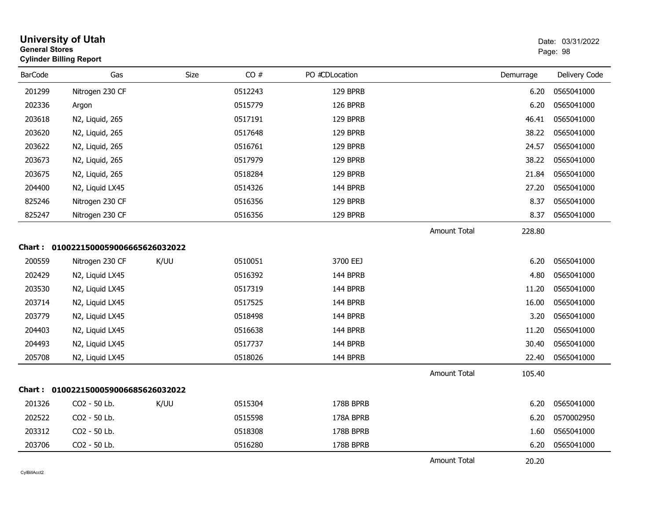| <b>General Stores</b> | <b>University of Utah</b><br><b>Cylinder Billing Report</b> |      |         |                |                     |           | Date: 03/31/2022<br>Page: 98 |
|-----------------------|-------------------------------------------------------------|------|---------|----------------|---------------------|-----------|------------------------------|
| <b>BarCode</b>        | Gas                                                         | Size | CO#     | PO #CDLocation |                     | Demurrage | Delivery Code                |
| 201299                | Nitrogen 230 CF                                             |      | 0512243 | 129 BPRB       |                     | 6.20      | 0565041000                   |
| 202336                | Argon                                                       |      | 0515779 | 126 BPRB       |                     | 6.20      | 0565041000                   |
| 203618                | N2, Liquid, 265                                             |      | 0517191 | 129 BPRB       |                     | 46.41     | 0565041000                   |
| 203620                | N2, Liquid, 265                                             |      | 0517648 | 129 BPRB       |                     | 38.22     | 0565041000                   |
| 203622                | N2, Liquid, 265                                             |      | 0516761 | 129 BPRB       |                     | 24.57     | 0565041000                   |
| 203673                | N2, Liquid, 265                                             |      | 0517979 | 129 BPRB       |                     | 38.22     | 0565041000                   |
| 203675                | N2, Liquid, 265                                             |      | 0518284 | 129 BPRB       |                     | 21.84     | 0565041000                   |
| 204400                | N2, Liquid LX45                                             |      | 0514326 | 144 BPRB       |                     | 27.20     | 0565041000                   |
| 825246                | Nitrogen 230 CF                                             |      | 0516356 | 129 BPRB       |                     | 8.37      | 0565041000                   |
| 825247                | Nitrogen 230 CF                                             |      | 0516356 | 129 BPRB       |                     | 8.37      | 0565041000                   |
|                       |                                                             |      |         |                | <b>Amount Total</b> | 228.80    |                              |
|                       | Chart: 0100221500059006665626032022                         |      |         |                |                     |           |                              |
| 200559                | Nitrogen 230 CF                                             | K/UU | 0510051 | 3700 EEJ       |                     | 6.20      | 0565041000                   |
| 202429                | N2, Liquid LX45                                             |      | 0516392 | 144 BPRB       |                     | 4.80      | 0565041000                   |
| 203530                | N2, Liquid LX45                                             |      | 0517319 | 144 BPRB       |                     | 11.20     | 0565041000                   |
| 203714                | N2, Liquid LX45                                             |      | 0517525 | 144 BPRB       |                     | 16.00     | 0565041000                   |
| 203779                | N2, Liquid LX45                                             |      | 0518498 | 144 BPRB       |                     | 3.20      | 0565041000                   |
| 204403                | N2, Liquid LX45                                             |      | 0516638 | 144 BPRB       |                     | 11.20     | 0565041000                   |
| 204493                | N2, Liquid LX45                                             |      | 0517737 | 144 BPRB       |                     | 30.40     | 0565041000                   |
| 205708                | N2, Liquid LX45                                             |      | 0518026 | 144 BPRB       |                     | 22.40     | 0565041000                   |
|                       |                                                             |      |         |                | <b>Amount Total</b> | 105.40    |                              |
|                       | Chart: 0100221500059006685626032022                         |      |         |                |                     |           |                              |
| 201326                | CO2 - 50 Lb.                                                | K/UU | 0515304 | 178B BPRB      |                     | 6.20      | 0565041000                   |
| 202522                | CO2 - 50 Lb.                                                |      | 0515598 | 178A BPRB      |                     | 6.20      | 0570002950                   |
| 203312                | CO2 - 50 Lb.                                                |      | 0518308 | 178B BPRB      |                     | 1.60      | 0565041000                   |
| 203706                | CO2 - 50 Lb.                                                |      | 0516280 | 178B BPRB      |                     | 6.20      | 0565041000                   |
|                       |                                                             |      |         |                | <b>Amount Total</b> | 20.20     |                              |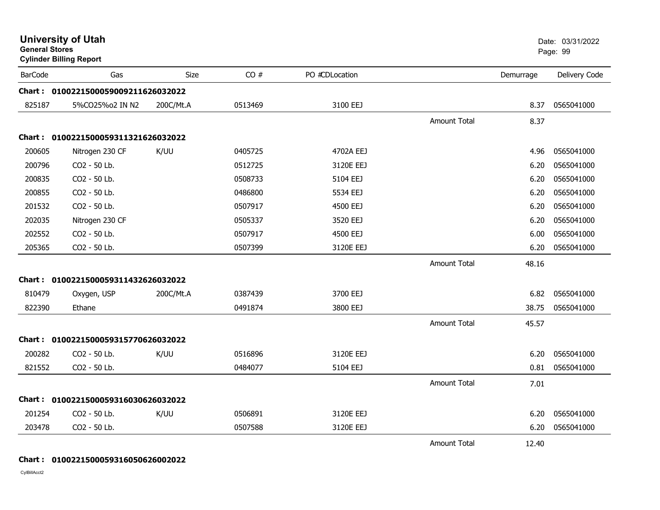| <b>General Stores</b> | <b>University of Utah</b><br><b>Cylinder Billing Report</b> |           |         |                |                     |           | Date: 03/31/2022<br>Page: 99 |
|-----------------------|-------------------------------------------------------------|-----------|---------|----------------|---------------------|-----------|------------------------------|
| <b>BarCode</b>        | Gas                                                         | Size      | CO#     | PO #CDLocation |                     | Demurrage | Delivery Code                |
|                       | Chart: 0100221500059009211626032022                         |           |         |                |                     |           |                              |
| 825187                | 5%CO25%o2 IN N2                                             | 200C/Mt.A | 0513469 | 3100 EEJ       |                     | 8.37      | 0565041000                   |
|                       |                                                             |           |         |                | <b>Amount Total</b> | 8.37      |                              |
|                       | Chart: 0100221500059311321626032022                         |           |         |                |                     |           |                              |
| 200605                | Nitrogen 230 CF                                             | K/UU      | 0405725 | 4702A EEJ      |                     | 4.96      | 0565041000                   |
| 200796                | CO2 - 50 Lb.                                                |           | 0512725 | 3120E EEJ      |                     | 6.20      | 0565041000                   |
| 200835                | CO2 - 50 Lb.                                                |           | 0508733 | 5104 EEJ       |                     | 6.20      | 0565041000                   |
| 200855                | CO2 - 50 Lb.                                                |           | 0486800 | 5534 EEJ       |                     | 6.20      | 0565041000                   |
| 201532                | CO2 - 50 Lb.                                                |           | 0507917 | 4500 EEJ       |                     | 6.20      | 0565041000                   |
| 202035                | Nitrogen 230 CF                                             |           | 0505337 | 3520 EEJ       |                     | 6.20      | 0565041000                   |
| 202552                | CO2 - 50 Lb.                                                |           | 0507917 | 4500 EEJ       |                     | 6.00      | 0565041000                   |
| 205365                | CO2 - 50 Lb.                                                |           | 0507399 | 3120E EEJ      |                     | 6.20      | 0565041000                   |
|                       |                                                             |           |         |                | <b>Amount Total</b> | 48.16     |                              |
|                       | Chart: 0100221500059311432626032022                         |           |         |                |                     |           |                              |
| 810479                | Oxygen, USP                                                 | 200C/Mt.A | 0387439 | 3700 EEJ       |                     | 6.82      | 0565041000                   |
| 822390                | Ethane                                                      |           | 0491874 | 3800 EEJ       |                     | 38.75     | 0565041000                   |
|                       |                                                             |           |         |                | <b>Amount Total</b> | 45.57     |                              |
|                       | Chart: 0100221500059315770626032022                         |           |         |                |                     |           |                              |
| 200282                | CO2 - 50 Lb.                                                | K/UU      | 0516896 | 3120E EEJ      |                     | 6.20      | 0565041000                   |
| 821552                | CO2 - 50 Lb.                                                |           | 0484077 | 5104 EEJ       |                     | 0.81      | 0565041000                   |
|                       |                                                             |           |         |                | <b>Amount Total</b> | 7.01      |                              |
|                       | Chart: 0100221500059316030626032022                         |           |         |                |                     |           |                              |
| 201254                | CO2 - 50 Lb.                                                | K/UU      | 0506891 | 3120E EEJ      |                     | 6.20      | 0565041000                   |
| 203478                | CO2 - 50 Lb.                                                |           | 0507588 | 3120E EEJ      |                     | 6.20      | 0565041000                   |
|                       |                                                             |           |         |                | Amount Total        | 12.40     |                              |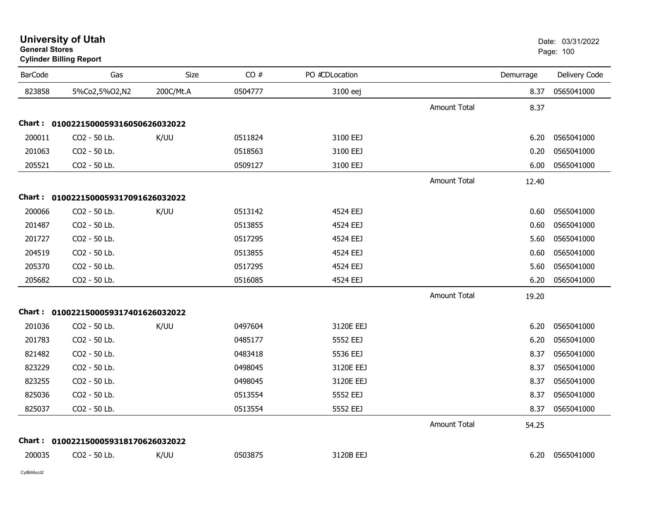| General Stores | <b>Cylinder Billing Report</b>      |             |         |                |                     |           | Page: 100     |
|----------------|-------------------------------------|-------------|---------|----------------|---------------------|-----------|---------------|
| <b>BarCode</b> | Gas                                 | <b>Size</b> | CO#     | PO #CDLocation |                     | Demurrage | Delivery Code |
| 823858         | 5%Co2,5%O2,N2                       | 200C/Mt.A   | 0504777 | 3100 eej       |                     | 8.37      | 0565041000    |
|                |                                     |             |         |                | <b>Amount Total</b> | 8.37      |               |
|                | Chart: 0100221500059316050626032022 |             |         |                |                     |           |               |
| 200011         | CO2 - 50 Lb.                        | K/UU        | 0511824 | 3100 EEJ       |                     | 6.20      | 0565041000    |
| 201063         | CO <sub>2</sub> - 50 Lb.            |             | 0518563 | 3100 EEJ       |                     | 0.20      | 0565041000    |
| 205521         | CO2 - 50 Lb.                        |             | 0509127 | 3100 EEJ       |                     | 6.00      | 0565041000    |
|                |                                     |             |         |                | <b>Amount Total</b> | 12.40     |               |
|                | Chart: 0100221500059317091626032022 |             |         |                |                     |           |               |
| 200066         | CO2 - 50 Lb.                        | K/UU        | 0513142 | 4524 EEJ       |                     | 0.60      | 0565041000    |
| 201487         | CO2 - 50 Lb.                        |             | 0513855 | 4524 EEJ       |                     | 0.60      | 0565041000    |
| 201727         | CO2 - 50 Lb.                        |             | 0517295 | 4524 EEJ       |                     | 5.60      | 0565041000    |
| 204519         | CO2 - 50 Lb.                        |             | 0513855 | 4524 EEJ       |                     | 0.60      | 0565041000    |
| 205370         | CO2 - 50 Lb.                        |             | 0517295 | 4524 EEJ       |                     | 5.60      | 0565041000    |
| 205682         | CO2 - 50 Lb.                        |             | 0516085 | 4524 EEJ       |                     | 6.20      | 0565041000    |
|                |                                     |             |         |                | <b>Amount Total</b> | 19.20     |               |
|                | Chart: 0100221500059317401626032022 |             |         |                |                     |           |               |
| 201036         | CO2 - 50 Lb.                        | K/UU        | 0497604 | 3120E EEJ      |                     | 6.20      | 0565041000    |
| 201783         | CO2 - 50 Lb.                        |             | 0485177 | 5552 EEJ       |                     | 6.20      | 0565041000    |
| 821482         | CO2 - 50 Lb.                        |             | 0483418 | 5536 EEJ       |                     | 8.37      | 0565041000    |
| 823229         | CO2 - 50 Lb.                        |             | 0498045 | 3120E EEJ      |                     | 8.37      | 0565041000    |
| 823255         | CO2 - 50 Lb.                        |             | 0498045 | 3120E EEJ      |                     | 8.37      | 0565041000    |
| 825036         | CO2 - 50 Lb.                        |             | 0513554 | 5552 EEJ       |                     | 8.37      | 0565041000    |
| 825037         | CO2 - 50 Lb.                        |             | 0513554 | 5552 EEJ       |                     | 8.37      | 0565041000    |
|                |                                     |             |         |                | <b>Amount Total</b> | 54.25     |               |
|                | Chart: 0100221500059318170626032022 |             |         |                |                     |           |               |
| 200035         | CO2 - 50 Lb.                        | K/UU        | 0503875 | 3120B EEJ      |                     | 6.20      | 0565041000    |

# **University of Utah** Date: 03/31/2022 **General Stores**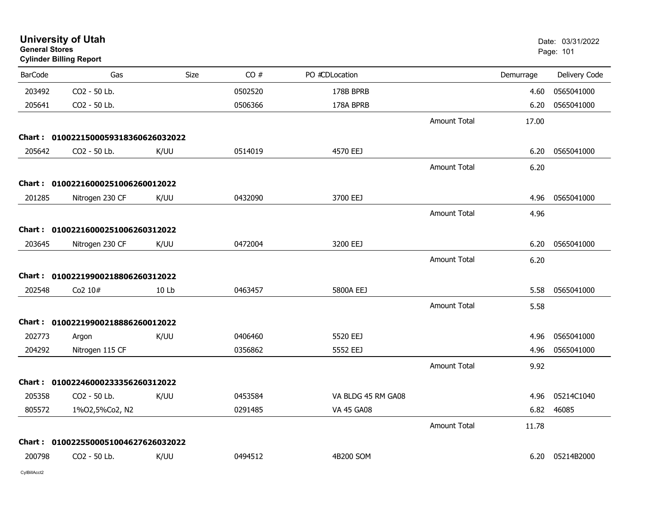|                | <b>University of Utah</b><br><b>General Stores</b><br><b>Cylinder Billing Report</b> |             |         |                    |                     | Date: 03/31/2022<br>Page: 101 |                 |
|----------------|--------------------------------------------------------------------------------------|-------------|---------|--------------------|---------------------|-------------------------------|-----------------|
| <b>BarCode</b> | Gas                                                                                  | <b>Size</b> | CO#     | PO #CDLocation     |                     | Demurrage                     | Delivery Code   |
| 203492         | CO2 - 50 Lb.                                                                         |             | 0502520 | 178B BPRB          |                     | 4.60                          | 0565041000      |
| 205641         | CO2 - 50 Lb.                                                                         |             | 0506366 | 178A BPRB          |                     | 6.20                          | 0565041000      |
|                |                                                                                      |             |         |                    | <b>Amount Total</b> | 17.00                         |                 |
|                | Chart: 0100221500059318360626032022                                                  |             |         |                    |                     |                               |                 |
| 205642         | CO2 - 50 Lb.                                                                         | K/UU        | 0514019 | 4570 EEJ           |                     | 6.20                          | 0565041000      |
|                |                                                                                      |             |         |                    | <b>Amount Total</b> | 6.20                          |                 |
|                | Chart: 01002216000251006260012022                                                    |             |         |                    |                     |                               |                 |
| 201285         | Nitrogen 230 CF                                                                      | K/UU        | 0432090 | 3700 EEJ           |                     | 4.96                          | 0565041000      |
|                |                                                                                      |             |         |                    | <b>Amount Total</b> | 4.96                          |                 |
|                | Chart: 01002216000251006260312022                                                    |             |         |                    |                     |                               |                 |
| 203645         | Nitrogen 230 CF                                                                      | K/UU        | 0472004 | 3200 EEJ           |                     | 6.20                          | 0565041000      |
|                |                                                                                      |             |         |                    | <b>Amount Total</b> | 6.20                          |                 |
|                | Chart: 01002219900218806260312022                                                    |             |         |                    |                     |                               |                 |
| 202548         | Co2 10#                                                                              | 10 Lb       | 0463457 | 5800A EEJ          |                     | 5.58                          | 0565041000      |
|                |                                                                                      |             |         |                    | <b>Amount Total</b> | 5.58                          |                 |
|                | Chart: 01002219900218886260012022                                                    |             |         |                    |                     |                               |                 |
| 202773         | Argon                                                                                | K/UU        | 0406460 | 5520 EEJ           |                     | 4.96                          | 0565041000      |
| 204292         | Nitrogen 115 CF                                                                      |             | 0356862 | 5552 EEJ           |                     | 4.96                          | 0565041000      |
|                |                                                                                      |             |         |                    | <b>Amount Total</b> | 9.92                          |                 |
|                | Chart: 01002246000233356260312022                                                    |             |         |                    |                     |                               |                 |
| 205358         | CO2 - 50 Lb.                                                                         | K/UU        | 0453584 | VA BLDG 45 RM GA08 |                     | 4.96                          | 05214C1040      |
| 805572         | 1%02,5%Co2, N2                                                                       |             | 0291485 | <b>VA 45 GA08</b>  |                     | 6.82                          | 46085           |
|                |                                                                                      |             |         |                    | <b>Amount Total</b> | 11.78                         |                 |
|                | Chart: 0100225500051004627626032022                                                  |             |         |                    |                     |                               |                 |
| 200798         | CO2 - 50 Lb.                                                                         | K/UU        | 0494512 | 4B200 SOM          |                     |                               | 6.20 05214B2000 |
|                |                                                                                      |             |         |                    |                     |                               |                 |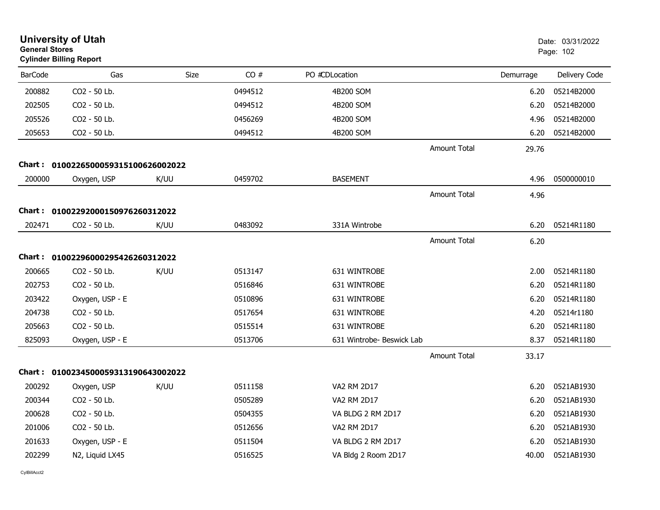| <b>General Stores</b> | <b>University of Utah</b><br><b>Cylinder Billing Report</b> |      |         |                           |                     |           | Date: 03/31/2022<br>Page: 102 |
|-----------------------|-------------------------------------------------------------|------|---------|---------------------------|---------------------|-----------|-------------------------------|
| <b>BarCode</b>        | Gas                                                         | Size | CO#     | PO #CDLocation            |                     | Demurrage | Delivery Code                 |
| 200882                | CO2 - 50 Lb.                                                |      | 0494512 | 4B200 SOM                 |                     | 6.20      | 05214B2000                    |
| 202505                | CO <sub>2</sub> - 50 Lb.                                    |      | 0494512 | 4B200 SOM                 |                     | 6.20      | 05214B2000                    |
| 205526                | CO2 - 50 Lb.                                                |      | 0456269 | 4B200 SOM                 |                     | 4.96      | 05214B2000                    |
| 205653                | CO2 - 50 Lb.                                                |      | 0494512 | 4B200 SOM                 |                     | 6.20      | 05214B2000                    |
|                       |                                                             |      |         |                           | Amount Total        | 29.76     |                               |
|                       | Chart: 0100226500059315100626002022                         |      |         |                           |                     |           |                               |
| 200000                | Oxygen, USP                                                 | K/UU | 0459702 | <b>BASEMENT</b>           |                     | 4.96      | 0500000010                    |
|                       |                                                             |      |         |                           | Amount Total        | 4.96      |                               |
|                       | Chart: 01002292000150976260312022                           |      |         |                           |                     |           |                               |
| 202471                | CO2 - 50 Lb.                                                | K/UU | 0483092 | 331A Wintrobe             |                     | 6.20      | 05214R1180                    |
|                       |                                                             |      |         |                           | <b>Amount Total</b> | 6.20      |                               |
|                       | Chart: 01002296000295426260312022                           |      |         |                           |                     |           |                               |
| 200665                | CO <sub>2</sub> - 50 Lb.                                    | K/UU | 0513147 | 631 WINTROBE              |                     | 2.00      | 05214R1180                    |
| 202753                | CO2 - 50 Lb.                                                |      | 0516846 | 631 WINTROBE              |                     | 6.20      | 05214R1180                    |
| 203422                | Oxygen, USP - E                                             |      | 0510896 | 631 WINTROBE              |                     | 6.20      | 05214R1180                    |
| 204738                | CO2 - 50 Lb.                                                |      | 0517654 | 631 WINTROBE              |                     | 4.20      | 05214r1180                    |
| 205663                | CO2 - 50 Lb.                                                |      | 0515514 | 631 WINTROBE              |                     | 6.20      | 05214R1180                    |
| 825093                | Oxygen, USP - E                                             |      | 0513706 | 631 Wintrobe- Beswick Lab |                     | 8.37      | 05214R1180                    |
|                       |                                                             |      |         |                           | <b>Amount Total</b> | 33.17     |                               |
|                       | Chart: 0100234500059313190643002022                         |      |         |                           |                     |           |                               |
| 200292                | Oxygen, USP                                                 | K/UU | 0511158 | <b>VA2 RM 2D17</b>        |                     | 6.20      | 0521AB1930                    |
| 200344                | CO2 - 50 Lb.                                                |      | 0505289 | VA2 RM 2D17               |                     | 6.20      | 0521AB1930                    |
| 200628                | CO2 - 50 Lb.                                                |      | 0504355 | VA BLDG 2 RM 2D17         |                     | 6.20      | 0521AB1930                    |
| 201006                | CO2 - 50 Lb.                                                |      | 0512656 | VA2 RM 2D17               |                     | 6.20      | 0521AB1930                    |
| 201633                | Oxygen, USP - E                                             |      | 0511504 | VA BLDG 2 RM 2D17         |                     | 6.20      | 0521AB1930                    |
| 202299                | N2, Liquid LX45                                             |      | 0516525 | VA Bldg 2 Room 2D17       |                     | 40.00     | 0521AB1930                    |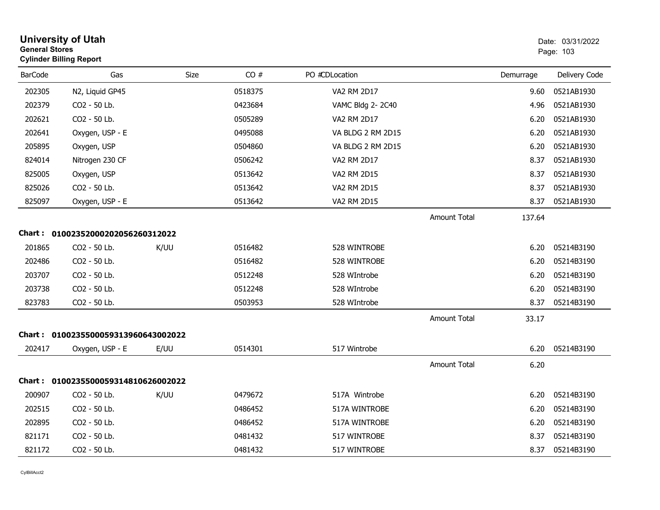| <b>General Stores</b> | <b>University of Utah</b><br><b>Cylinder Billing Report</b> |             |         |                    |                     |           | Date: 03/31/2022<br>Page: 103 |
|-----------------------|-------------------------------------------------------------|-------------|---------|--------------------|---------------------|-----------|-------------------------------|
| <b>BarCode</b>        | Gas                                                         | <b>Size</b> | CO#     | PO #CDLocation     |                     | Demurrage | Delivery Code                 |
| 202305                | N2, Liquid GP45                                             |             | 0518375 | <b>VA2 RM 2D17</b> |                     | 9.60      | 0521AB1930                    |
| 202379                | CO <sub>2</sub> - 50 Lb.                                    |             | 0423684 | VAMC Bldg 2-2C40   |                     | 4.96      | 0521AB1930                    |
| 202621                | CO2 - 50 Lb.                                                |             | 0505289 | VA2 RM 2D17        |                     | 6.20      | 0521AB1930                    |
| 202641                | Oxygen, USP - E                                             |             | 0495088 | VA BLDG 2 RM 2D15  |                     | 6.20      | 0521AB1930                    |
| 205895                | Oxygen, USP                                                 |             | 0504860 | VA BLDG 2 RM 2D15  |                     | 6.20      | 0521AB1930                    |
| 824014                | Nitrogen 230 CF                                             |             | 0506242 | VA2 RM 2D17        |                     | 8.37      | 0521AB1930                    |
| 825005                | Oxygen, USP                                                 |             | 0513642 | VA2 RM 2D15        |                     | 8.37      | 0521AB1930                    |
| 825026                | CO2 - 50 Lb.                                                |             | 0513642 | VA2 RM 2D15        |                     | 8.37      | 0521AB1930                    |
| 825097                | Oxygen, USP - E                                             |             | 0513642 | VA2 RM 2D15        |                     | 8.37      | 0521AB1930                    |
|                       |                                                             |             |         |                    | <b>Amount Total</b> | 137.64    |                               |
|                       | Chart: 01002352000202056260312022                           |             |         |                    |                     |           |                               |
| 201865                | CO2 - 50 Lb.                                                | K/UU        | 0516482 | 528 WINTROBE       |                     | 6.20      | 05214B3190                    |
| 202486                | CO2 - 50 Lb.                                                |             | 0516482 | 528 WINTROBE       |                     | 6.20      | 05214B3190                    |
| 203707                | CO2 - 50 Lb.                                                |             | 0512248 | 528 WIntrobe       |                     | 6.20      | 05214B3190                    |
| 203738                | CO2 - 50 Lb.                                                |             | 0512248 | 528 WIntrobe       |                     | 6.20      | 05214B3190                    |
| 823783                | CO2 - 50 Lb.                                                |             | 0503953 | 528 WIntrobe       |                     | 8.37      | 05214B3190                    |
|                       |                                                             |             |         |                    | <b>Amount Total</b> | 33.17     |                               |
|                       | Chart: 0100235500059313960643002022                         |             |         |                    |                     |           |                               |
| 202417                | Oxygen, USP - E                                             | E/UU        | 0514301 | 517 Wintrobe       |                     | 6.20      | 05214B3190                    |
|                       |                                                             |             |         |                    | <b>Amount Total</b> | 6.20      |                               |
|                       | Chart: 0100235500059314810626002022                         |             |         |                    |                     |           |                               |
| 200907                | CO2 - 50 Lb.                                                | K/UU        | 0479672 | 517A Wintrobe      |                     | 6.20      | 05214B3190                    |
| 202515                | CO2 - 50 Lb.                                                |             | 0486452 | 517A WINTROBE      |                     | 6.20      | 05214B3190                    |
| 202895                | CO2 - 50 Lb.                                                |             | 0486452 | 517A WINTROBE      |                     | 6.20      | 05214B3190                    |
| 821171                | CO2 - 50 Lb.                                                |             | 0481432 | 517 WINTROBE       |                     | 8.37      | 05214B3190                    |
| 821172                | CO2 - 50 Lb.                                                |             | 0481432 | 517 WINTROBE       |                     | 8.37      | 05214B3190                    |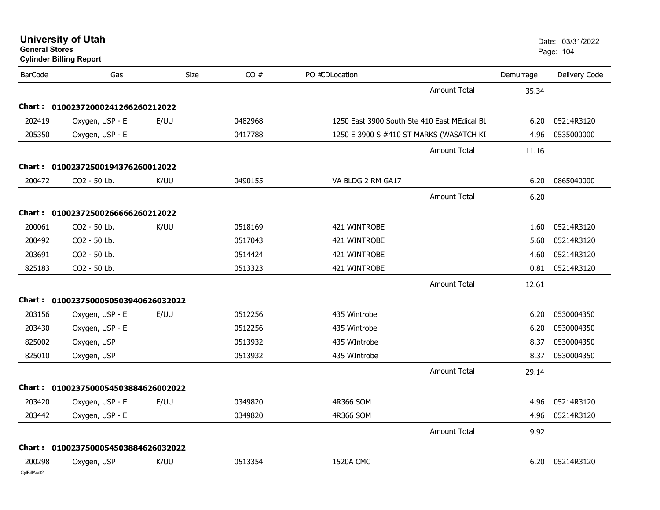| <b>General Stores</b>  | <b>University of Utah</b><br><b>Cylinder Billing Report</b> |      |         |                                              |           | Date: 03/31/2022<br>Page: 104 |
|------------------------|-------------------------------------------------------------|------|---------|----------------------------------------------|-----------|-------------------------------|
| <b>BarCode</b>         | Gas                                                         | Size | CO#     | PO #CDLocation                               | Demurrage | Delivery Code                 |
|                        |                                                             |      |         | <b>Amount Total</b>                          | 35.34     |                               |
|                        | Chart: 01002372000241266260212022                           |      |         |                                              |           |                               |
| 202419                 | Oxygen, USP - E                                             | E/UU | 0482968 | 1250 East 3900 South Ste 410 East MEdical BL | 6.20      | 05214R3120                    |
| 205350                 | Oxygen, USP - E                                             |      | 0417788 | 1250 E 3900 S #410 ST MARKS (WASATCH KI      | 4.96      | 0535000000                    |
|                        |                                                             |      |         | Amount Total                                 | 11.16     |                               |
| Chart :                | 01002372500194376260012022                                  |      |         |                                              |           |                               |
| 200472                 | CO2 - 50 Lb.                                                | K/UU | 0490155 | VA BLDG 2 RM GA17                            | 6.20      | 0865040000                    |
|                        |                                                             |      |         | <b>Amount Total</b>                          | 6.20      |                               |
|                        | Chart: 01002372500266666260212022                           |      |         |                                              |           |                               |
| 200061                 | CO2 - 50 Lb.                                                | K/UU | 0518169 | 421 WINTROBE                                 | 1.60      | 05214R3120                    |
| 200492                 | CO2 - 50 Lb.                                                |      | 0517043 | 421 WINTROBE                                 | 5.60      | 05214R3120                    |
| 203691                 | CO2 - 50 Lb.                                                |      | 0514424 | 421 WINTROBE                                 | 4.60      | 05214R3120                    |
| 825183                 | CO2 - 50 Lb.                                                |      | 0513323 | 421 WINTROBE                                 | 0.81      | 05214R3120                    |
|                        |                                                             |      |         | <b>Amount Total</b>                          | 12.61     |                               |
|                        | Chart: 0100237500050503940626032022                         |      |         |                                              |           |                               |
| 203156                 | Oxygen, USP - E                                             | E/UU | 0512256 | 435 Wintrobe                                 | 6.20      | 0530004350                    |
| 203430                 | Oxygen, USP - E                                             |      | 0512256 | 435 Wintrobe                                 | 6.20      | 0530004350                    |
| 825002                 | Oxygen, USP                                                 |      | 0513932 | 435 WIntrobe                                 | 8.37      | 0530004350                    |
| 825010                 | Oxygen, USP                                                 |      | 0513932 | 435 WIntrobe                                 | 8.37      | 0530004350                    |
|                        |                                                             |      |         | <b>Amount Total</b>                          | 29.14     |                               |
|                        | Chart: 0100237500054503884626002022                         |      |         |                                              |           |                               |
| 203420                 | Oxygen, USP - E                                             | E/UU | 0349820 | 4R366 SOM                                    | 4.96      | 05214R3120                    |
| 203442                 | Oxygen, USP - E                                             |      | 0349820 | 4R366 SOM                                    |           | 4.96 05214R3120               |
|                        |                                                             |      |         | <b>Amount Total</b>                          | 9.92      |                               |
|                        | Chart: 0100237500054503884626032022                         |      |         |                                              |           |                               |
| 200298<br>CylBillAcct2 | Oxygen, USP                                                 | K/UU | 0513354 | <b>1520A CMC</b>                             | 6.20      | 05214R3120                    |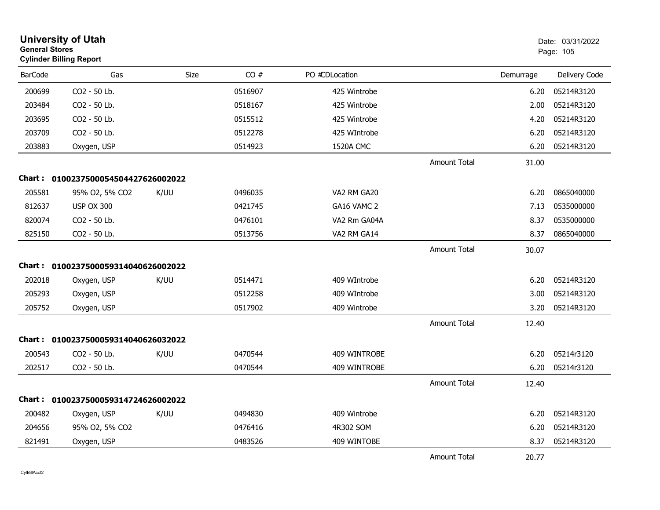|                | <b>University of Utah</b><br><b>General Stores</b><br><b>Cylinder Billing Report</b> |             |         |                |                     |           | Date: 03/31/2022<br>Page: 105 |
|----------------|--------------------------------------------------------------------------------------|-------------|---------|----------------|---------------------|-----------|-------------------------------|
| <b>BarCode</b> | Gas                                                                                  | <b>Size</b> | CO#     | PO #CDLocation |                     | Demurrage | Delivery Code                 |
| 200699         | CO2 - 50 Lb.                                                                         |             | 0516907 | 425 Wintrobe   |                     | 6.20      | 05214R3120                    |
| 203484         | CO2 - 50 Lb.                                                                         |             | 0518167 | 425 Wintrobe   |                     | 2.00      | 05214R3120                    |
| 203695         | CO2 - 50 Lb.                                                                         |             | 0515512 | 425 Wintrobe   |                     | 4.20      | 05214R3120                    |
| 203709         | CO2 - 50 Lb.                                                                         |             | 0512278 | 425 WIntrobe   |                     | 6.20      | 05214R3120                    |
| 203883         | Oxygen, USP                                                                          |             | 0514923 | 1520A CMC      |                     | 6.20      | 05214R3120                    |
|                |                                                                                      |             |         |                | <b>Amount Total</b> | 31.00     |                               |
|                | Chart: 0100237500054504427626002022                                                  |             |         |                |                     |           |                               |
| 205581         | 95% O2, 5% CO2                                                                       | K/UU        | 0496035 | VA2 RM GA20    |                     | 6.20      | 0865040000                    |
| 812637         | <b>USP OX 300</b>                                                                    |             | 0421745 | GA16 VAMC 2    |                     | 7.13      | 0535000000                    |
| 820074         | CO2 - 50 Lb.                                                                         |             | 0476101 | VA2 Rm GA04A   |                     | 8.37      | 0535000000                    |
| 825150         | CO2 - 50 Lb.                                                                         |             | 0513756 | VA2 RM GA14    |                     | 8.37      | 0865040000                    |
|                |                                                                                      |             |         |                | <b>Amount Total</b> | 30.07     |                               |
|                | Chart: 0100237500059314040626002022                                                  |             |         |                |                     |           |                               |
| 202018         | Oxygen, USP                                                                          | K/UU        | 0514471 | 409 WIntrobe   |                     | 6.20      | 05214R3120                    |
| 205293         | Oxygen, USP                                                                          |             | 0512258 | 409 WIntrobe   |                     | 3.00      | 05214R3120                    |
| 205752         | Oxygen, USP                                                                          |             | 0517902 | 409 Wintrobe   |                     | 3.20      | 05214R3120                    |
|                |                                                                                      |             |         |                | <b>Amount Total</b> | 12.40     |                               |
|                | Chart: 0100237500059314040626032022                                                  |             |         |                |                     |           |                               |
| 200543         | CO <sub>2</sub> - 50 Lb.                                                             | K/UU        | 0470544 | 409 WINTROBE   |                     | 6.20      | 05214r3120                    |
| 202517         | CO2 - 50 Lb.                                                                         |             | 0470544 | 409 WINTROBE   |                     | 6.20      | 05214r3120                    |
|                |                                                                                      |             |         |                | <b>Amount Total</b> | 12.40     |                               |
| Chart :        | 0100237500059314724626002022                                                         |             |         |                |                     |           |                               |
| 200482         | Oxygen, USP                                                                          | K/UU        | 0494830 | 409 Wintrobe   |                     | 6.20      | 05214R3120                    |
| 204656         | 95% O2, 5% CO2                                                                       |             | 0476416 | 4R302 SOM      |                     | 6.20      | 05214R3120                    |
| 821491         | Oxygen, USP                                                                          |             | 0483526 | 409 WINTOBE    |                     | 8.37      | 05214R3120                    |
|                |                                                                                      |             |         |                | <b>Amount Total</b> | 20.77     |                               |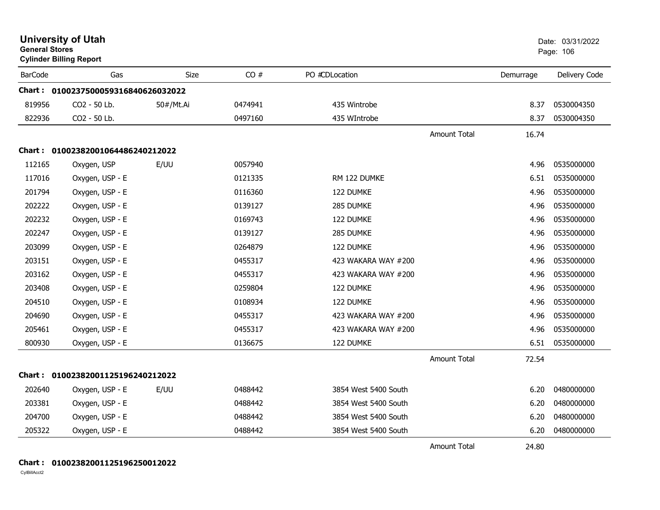| <b>General Stores</b> | <b>University of Utah</b><br><b>Cylinder Billing Report</b> |             |         |                      |                     |           | Date: 03/31/2022<br>Page: 106 |
|-----------------------|-------------------------------------------------------------|-------------|---------|----------------------|---------------------|-----------|-------------------------------|
| <b>BarCode</b>        | Gas                                                         | <b>Size</b> | CO#     | PO #CDLocation       |                     | Demurrage | Delivery Code                 |
|                       | Chart: 0100237500059316840626032022                         |             |         |                      |                     |           |                               |
| 819956                | CO2 - 50 Lb.                                                | 50#/Mt.Ai   | 0474941 | 435 Wintrobe         |                     | 8.37      | 0530004350                    |
| 822936                | CO2 - 50 Lb.                                                |             | 0497160 | 435 WIntrobe         |                     | 8.37      | 0530004350                    |
|                       |                                                             |             |         |                      | <b>Amount Total</b> | 16.74     |                               |
|                       | Chart: 01002382001064486240212022                           |             |         |                      |                     |           |                               |
| 112165                | Oxygen, USP                                                 | E/UU        | 0057940 |                      |                     | 4.96      | 0535000000                    |
| 117016                | Oxygen, USP - E                                             |             | 0121335 | RM 122 DUMKE         |                     | 6.51      | 0535000000                    |
| 201794                | Oxygen, USP - E                                             |             | 0116360 | 122 DUMKE            |                     | 4.96      | 0535000000                    |
| 202222                | Oxygen, USP - E                                             |             | 0139127 | 285 DUMKE            |                     | 4.96      | 0535000000                    |
| 202232                | Oxygen, USP - E                                             |             | 0169743 | 122 DUMKE            |                     | 4.96      | 0535000000                    |
| 202247                | Oxygen, USP - E                                             |             | 0139127 | 285 DUMKE            |                     | 4.96      | 0535000000                    |
| 203099                | Oxygen, USP - E                                             |             | 0264879 | 122 DUMKE            |                     | 4.96      | 0535000000                    |
| 203151                | Oxygen, USP - E                                             |             | 0455317 | 423 WAKARA WAY #200  |                     | 4.96      | 0535000000                    |
| 203162                | Oxygen, USP - E                                             |             | 0455317 | 423 WAKARA WAY #200  |                     | 4.96      | 0535000000                    |
| 203408                | Oxygen, USP - E                                             |             | 0259804 | 122 DUMKE            |                     | 4.96      | 0535000000                    |
| 204510                | Oxygen, USP - E                                             |             | 0108934 | 122 DUMKE            |                     | 4.96      | 0535000000                    |
| 204690                | Oxygen, USP - E                                             |             | 0455317 | 423 WAKARA WAY #200  |                     | 4.96      | 0535000000                    |
| 205461                | Oxygen, USP - E                                             |             | 0455317 | 423 WAKARA WAY #200  |                     | 4.96      | 0535000000                    |
| 800930                | Oxygen, USP - E                                             |             | 0136675 | 122 DUMKE            |                     | 6.51      | 0535000000                    |
|                       |                                                             |             |         |                      | <b>Amount Total</b> | 72.54     |                               |
|                       | Chart: 01002382001125196240212022                           |             |         |                      |                     |           |                               |
| 202640                | Oxygen, USP - E                                             | E/UU        | 0488442 | 3854 West 5400 South |                     | 6.20      | 0480000000                    |
| 203381                | Oxygen, USP - E                                             |             | 0488442 | 3854 West 5400 South |                     | 6.20      | 0480000000                    |
| 204700                | Oxygen, USP - E                                             |             | 0488442 | 3854 West 5400 South |                     | 6.20      | 0480000000                    |
| 205322                | Oxygen, USP - E                                             |             | 0488442 | 3854 West 5400 South |                     | 6.20      | 0480000000                    |
|                       |                                                             |             |         |                      | <b>Amount Total</b> | 24.80     |                               |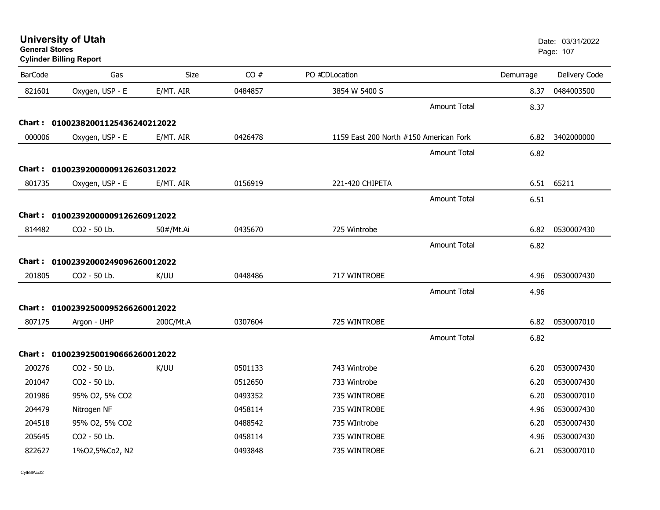| <b>General Stores</b> | <b>Cylinder Billing Report</b>                    |           |         |                                        |           | Page: 107     |
|-----------------------|---------------------------------------------------|-----------|---------|----------------------------------------|-----------|---------------|
| <b>BarCode</b>        | Gas                                               | Size      | CO#     | PO #CDLocation                         | Demurrage | Delivery Code |
| 821601                | Oxygen, USP - E                                   | E/MT. AIR | 0484857 | 3854 W 5400 S                          | 8.37      | 0484003500    |
|                       |                                                   |           |         | <b>Amount Total</b>                    | 8.37      |               |
|                       |                                                   |           |         |                                        |           |               |
| 000006                | Oxygen, USP - E                                   | E/MT. AIR | 0426478 | 1159 East 200 North #150 American Fork | 6.82      | 3402000000    |
|                       |                                                   |           |         | <b>Amount Total</b>                    | 6.82      |               |
|                       | Chart: 01002392000009126260312022                 |           |         |                                        |           |               |
| 801735                | Oxygen, USP - E                                   | E/MT. AIR | 0156919 | 221-420 CHIPETA                        |           | 6.51 65211    |
|                       |                                                   |           |         | <b>Amount Total</b>                    | 6.51      |               |
|                       | Chart: 01002392000009126260912022                 |           |         |                                        |           |               |
| 814482                | CO2 - 50 Lb.                                      | 50#/Mt.Ai | 0435670 | 725 Wintrobe                           | 6.82      | 0530007430    |
|                       |                                                   |           |         | <b>Amount Total</b>                    | 6.82      |               |
|                       |                                                   |           |         |                                        |           |               |
| 201805                | Chart: 01002392000249096260012022<br>CO2 - 50 Lb. | K/UU      | 0448486 | 717 WINTROBE                           | 4.96      | 0530007430    |
|                       |                                                   |           |         |                                        |           |               |
|                       |                                                   |           |         | <b>Amount Total</b>                    | 4.96      |               |
|                       | Chart: 01002392500095266260012022                 |           |         |                                        |           |               |
| 807175                | Argon - UHP                                       | 200C/Mt.A | 0307604 | 725 WINTROBE                           | 6.82      | 0530007010    |
|                       |                                                   |           |         | <b>Amount Total</b>                    | 6.82      |               |
|                       | Chart: 01002392500190666260012022                 |           |         |                                        |           |               |
| 200276                | CO2 - 50 Lb.                                      | K/UU      | 0501133 | 743 Wintrobe                           | 6.20      | 0530007430    |
| 201047                | CO2 - 50 Lb.                                      |           | 0512650 | 733 Wintrobe                           | 6.20      | 0530007430    |
| 201986                | 95% O2, 5% CO2                                    |           | 0493352 | 735 WINTROBE                           | 6.20      | 0530007010    |
| 204479                | Nitrogen NF                                       |           | 0458114 | 735 WINTROBE                           | 4.96      | 0530007430    |
| 204518                | 95% O2, 5% CO2                                    |           | 0488542 | 735 WIntrobe                           | 6.20      | 0530007430    |
| 205645                | CO2 - 50 Lb.                                      |           | 0458114 | 735 WINTROBE                           | 4.96      | 0530007430    |
| 822627                | 1%02,5%Co2, N2                                    |           | 0493848 | 735 WINTROBE                           | 6.21      | 0530007010    |

**University of Utah** Date: 03/31/2022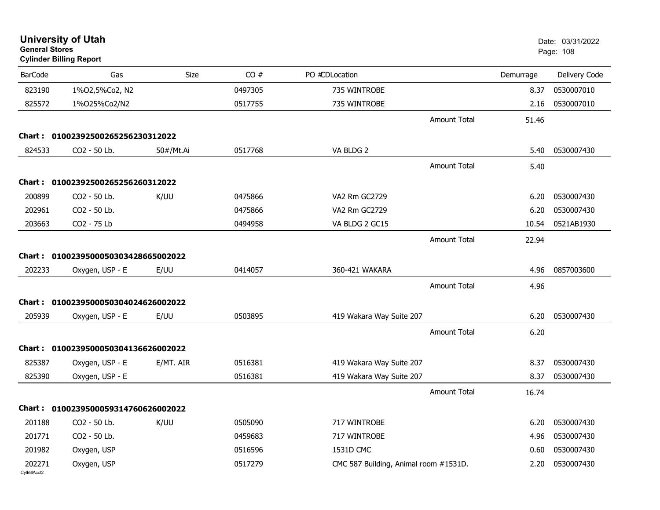| <b>General Stores</b>  | <b>University of Utah</b><br><b>Cylinder Billing Report</b> |           |         |                                       |                     |           | Date: 03/31/2022<br>Page: 108 |
|------------------------|-------------------------------------------------------------|-----------|---------|---------------------------------------|---------------------|-----------|-------------------------------|
| <b>BarCode</b>         | Gas                                                         | Size      | CO#     | PO #CDLocation                        |                     | Demurrage | Delivery Code                 |
| 823190                 | 1%02,5%Co2, N2                                              |           | 0497305 | 735 WINTROBE                          |                     | 8.37      | 0530007010                    |
| 825572                 | 1%025%Co2/N2                                                |           | 0517755 | 735 WINTROBE                          |                     | 2.16      | 0530007010                    |
|                        |                                                             |           |         |                                       | <b>Amount Total</b> | 51.46     |                               |
| Chart :                | 01002392500265256230312022                                  |           |         |                                       |                     |           |                               |
| 824533                 | CO2 - 50 Lb.                                                | 50#/Mt.Ai | 0517768 | VA BLDG 2                             |                     | 5.40      | 0530007430                    |
|                        |                                                             |           |         |                                       | <b>Amount Total</b> | 5.40      |                               |
|                        | Chart: 01002392500265256260312022                           |           |         |                                       |                     |           |                               |
| 200899                 | CO2 - 50 Lb.                                                | K/UU      | 0475866 | VA2 Rm GC2729                         |                     | 6.20      | 0530007430                    |
| 202961                 | CO2 - 50 Lb.                                                |           | 0475866 | VA2 Rm GC2729                         |                     | 6.20      | 0530007430                    |
| 203663                 | CO2 - 75 Lb                                                 |           | 0494958 | VA BLDG 2 GC15                        |                     | 10.54     | 0521AB1930                    |
|                        |                                                             |           |         |                                       | <b>Amount Total</b> | 22.94     |                               |
| Chart :                | 0100239500050303428665002022                                |           |         |                                       |                     |           |                               |
| 202233                 | Oxygen, USP - E                                             | E/UU      | 0414057 | 360-421 WAKARA                        |                     | 4.96      | 0857003600                    |
|                        |                                                             |           |         |                                       | <b>Amount Total</b> | 4.96      |                               |
|                        | Chart: 0100239500050304024626002022                         |           |         |                                       |                     |           |                               |
| 205939                 | Oxygen, USP - E                                             | E/UU      | 0503895 | 419 Wakara Way Suite 207              |                     | 6.20      | 0530007430                    |
|                        |                                                             |           |         |                                       | <b>Amount Total</b> | 6.20      |                               |
|                        | Chart: 0100239500050304136626002022                         |           |         |                                       |                     |           |                               |
| 825387                 | Oxygen, USP - E                                             | E/MT. AIR | 0516381 | 419 Wakara Way Suite 207              |                     | 8.37      | 0530007430                    |
| 825390                 | Oxygen, USP - E                                             |           | 0516381 | 419 Wakara Way Suite 207              |                     | 8.37      | 0530007430                    |
|                        |                                                             |           |         |                                       | <b>Amount Total</b> | 16.74     |                               |
|                        | Chart: 0100239500059314760626002022                         |           |         |                                       |                     |           |                               |
| 201188                 | CO2 - 50 Lb.                                                | K/UU      | 0505090 | 717 WINTROBE                          |                     | 6.20      | 0530007430                    |
| 201771                 | CO2 - 50 Lb.                                                |           | 0459683 | 717 WINTROBE                          |                     | 4.96      | 0530007430                    |
| 201982                 | Oxygen, USP                                                 |           | 0516596 | 1531D CMC                             |                     | 0.60      | 0530007430                    |
| 202271<br>CylBillAcct2 | Oxygen, USP                                                 |           | 0517279 | CMC 587 Building, Animal room #1531D. |                     | 2.20      | 0530007430                    |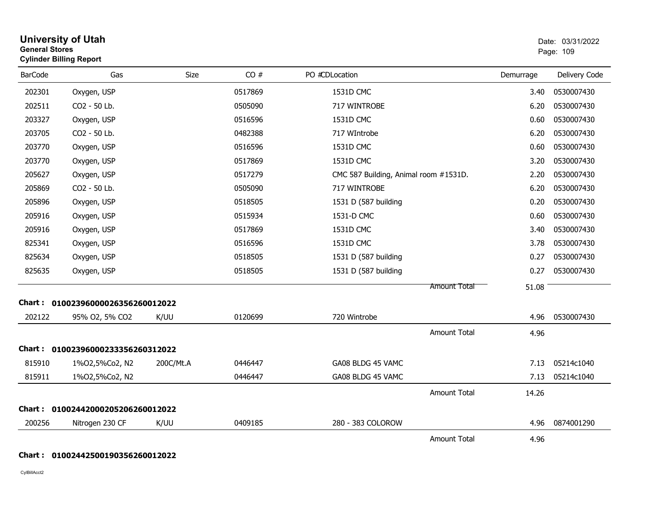| <b>General Stores</b> | <b>Cylinder Billing Report</b>    |           |         |                                       |           | Page: 109     |
|-----------------------|-----------------------------------|-----------|---------|---------------------------------------|-----------|---------------|
| <b>BarCode</b>        | Gas                               | Size      | CO#     | PO #CDLocation                        | Demurrage | Delivery Code |
| 202301                | Oxygen, USP                       |           | 0517869 | 1531D CMC                             | 3.40      | 0530007430    |
| 202511                | CO2 - 50 Lb.                      |           | 0505090 | 717 WINTROBE                          | 6.20      | 0530007430    |
| 203327                | Oxygen, USP                       |           | 0516596 | 1531D CMC                             | 0.60      | 0530007430    |
| 203705                | CO2 - 50 Lb.                      |           | 0482388 | 717 WIntrobe                          | 6.20      | 0530007430    |
| 203770                | Oxygen, USP                       |           | 0516596 | 1531D CMC                             | 0.60      | 0530007430    |
| 203770                | Oxygen, USP                       |           | 0517869 | 1531D CMC                             | 3.20      | 0530007430    |
| 205627                | Oxygen, USP                       |           | 0517279 | CMC 587 Building, Animal room #1531D. | 2.20      | 0530007430    |
| 205869                | CO2 - 50 Lb.                      |           | 0505090 | 717 WINTROBE                          | 6.20      | 0530007430    |
| 205896                | Oxygen, USP                       |           | 0518505 | 1531 D (587 building                  | 0.20      | 0530007430    |
| 205916                | Oxygen, USP                       |           | 0515934 | 1531-D CMC                            | 0.60      | 0530007430    |
| 205916                | Oxygen, USP                       |           | 0517869 | 1531D CMC                             | 3.40      | 0530007430    |
| 825341                | Oxygen, USP                       |           | 0516596 | 1531D CMC                             | 3.78      | 0530007430    |
| 825634                | Oxygen, USP                       |           | 0518505 | 1531 D (587 building                  | 0.27      | 0530007430    |
| 825635                | Oxygen, USP                       |           | 0518505 | 1531 D (587 building                  | 0.27      | 0530007430    |
|                       |                                   |           |         | <b>Amount Total</b>                   | 51.08     |               |
|                       | Chart: 01002396000026356260012022 |           |         |                                       |           |               |
| 202122                | 95% O2, 5% CO2                    | K/UU      | 0120699 | 720 Wintrobe                          | 4.96      | 0530007430    |
|                       |                                   |           |         | <b>Amount Total</b>                   | 4.96      |               |
|                       | Chart: 01002396000233356260312022 |           |         |                                       |           |               |
| 815910                | 1%02,5%Co2, N2                    | 200C/Mt.A | 0446447 | GA08 BLDG 45 VAMC                     | 7.13      | 05214c1040    |
| 815911                | 1%02,5%Co2, N2                    |           | 0446447 | GA08 BLDG 45 VAMC                     | 7.13      | 05214c1040    |
|                       |                                   |           |         | <b>Amount Total</b>                   | 14.26     |               |
|                       | Chart: 01002442000205206260012022 |           |         |                                       |           |               |
| 200256                | Nitrogen 230 CF                   | K/UU      | 0409185 | 280 - 383 COLOROW                     | 4.96      | 0874001290    |
|                       |                                   |           |         | Amount Total                          | 4.96      |               |

**University of Utah** Date: 03/31/2022

#### **Chart : 01002442500190356260012022**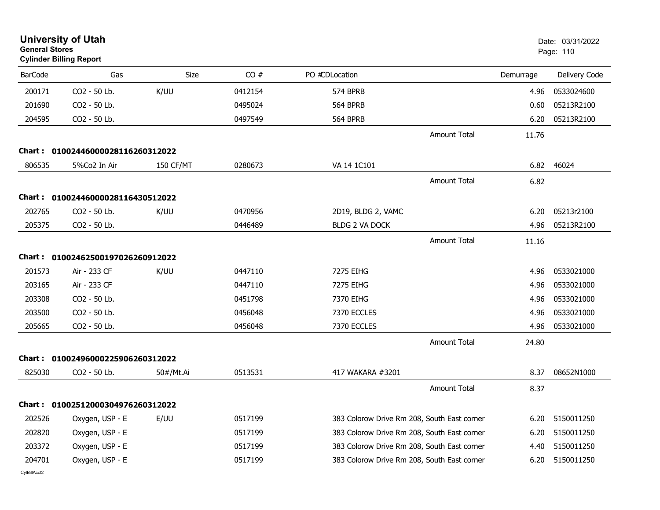| <b>General Stores</b> | <b>University of Utah</b><br><b>Cylinder Billing Report</b> |                  |         |                                             |                     |           | Date: 03/31/2022<br>Page: 110 |
|-----------------------|-------------------------------------------------------------|------------------|---------|---------------------------------------------|---------------------|-----------|-------------------------------|
| <b>BarCode</b>        | Gas                                                         | Size             | CO#     | PO #CDLocation                              |                     | Demurrage | Delivery Code                 |
| 200171                | CO2 - 50 Lb.                                                | K/UU             | 0412154 | 574 BPRB                                    |                     | 4.96      | 0533024600                    |
| 201690                | CO2 - 50 Lb.                                                |                  | 0495024 | <b>564 BPRB</b>                             |                     | 0.60      | 05213R2100                    |
| 204595                | CO2 - 50 Lb.                                                |                  | 0497549 | <b>564 BPRB</b>                             |                     | 6.20      | 05213R2100                    |
|                       |                                                             |                  |         |                                             | <b>Amount Total</b> | 11.76     |                               |
|                       | Chart: 01002446000028116260312022                           |                  |         |                                             |                     |           |                               |
| 806535                | 5%Co2 In Air                                                | <b>150 CF/MT</b> | 0280673 | VA 14 1C101                                 |                     | 6.82      | 46024                         |
|                       |                                                             |                  |         |                                             | <b>Amount Total</b> | 6.82      |                               |
|                       | Chart: 01002446000028116430512022                           |                  |         |                                             |                     |           |                               |
| 202765                | CO2 - 50 Lb.                                                | K/UU             | 0470956 | 2D19, BLDG 2, VAMC                          |                     | 6.20      | 05213r2100                    |
| 205375                | CO2 - 50 Lb.                                                |                  | 0446489 | <b>BLDG 2 VA DOCK</b>                       |                     | 4.96      | 05213R2100                    |
|                       |                                                             |                  |         |                                             | <b>Amount Total</b> | 11.16     |                               |
|                       | Chart: 01002462500197026260912022                           |                  |         |                                             |                     |           |                               |
| 201573                | Air - 233 CF                                                | K/UU             | 0447110 | 7275 EIHG                                   |                     | 4.96      | 0533021000                    |
| 203165                | Air - 233 CF                                                |                  | 0447110 | 7275 EIHG                                   |                     | 4.96      | 0533021000                    |
| 203308                | CO2 - 50 Lb.                                                |                  | 0451798 | 7370 EIHG                                   |                     | 4.96      | 0533021000                    |
| 203500                | CO2 - 50 Lb.                                                |                  | 0456048 | 7370 ECCLES                                 |                     | 4.96      | 0533021000                    |
| 205665                | CO2 - 50 Lb.                                                |                  | 0456048 | 7370 ECCLES                                 |                     | 4.96      | 0533021000                    |
|                       |                                                             |                  |         |                                             | <b>Amount Total</b> | 24.80     |                               |
|                       | Chart: 01002496000225906260312022                           |                  |         |                                             |                     |           |                               |
| 825030                | CO2 - 50 Lb.                                                | 50#/Mt.Ai        | 0513531 | 417 WAKARA #3201                            |                     | 8.37      | 08652N1000                    |
|                       |                                                             |                  |         |                                             | <b>Amount Total</b> | 8.37      |                               |
|                       | Chart: 01002512000304976260312022                           |                  |         |                                             |                     |           |                               |
| 202526                | Oxygen, USP - E                                             | E/UU             | 0517199 | 383 Colorow Drive Rm 208, South East corner |                     | 6.20      | 5150011250                    |
| 202820                | Oxygen, USP - E                                             |                  | 0517199 | 383 Colorow Drive Rm 208, South East corner |                     | 6.20      | 5150011250                    |
| 203372                | Oxygen, USP - E                                             |                  | 0517199 | 383 Colorow Drive Rm 208, South East corner |                     | 4.40      | 5150011250                    |
| 204701                | Oxygen, USP - E                                             |                  | 0517199 | 383 Colorow Drive Rm 208, South East corner |                     | 6.20      | 5150011250                    |
| CvIBillAcct2          |                                                             |                  |         |                                             |                     |           |                               |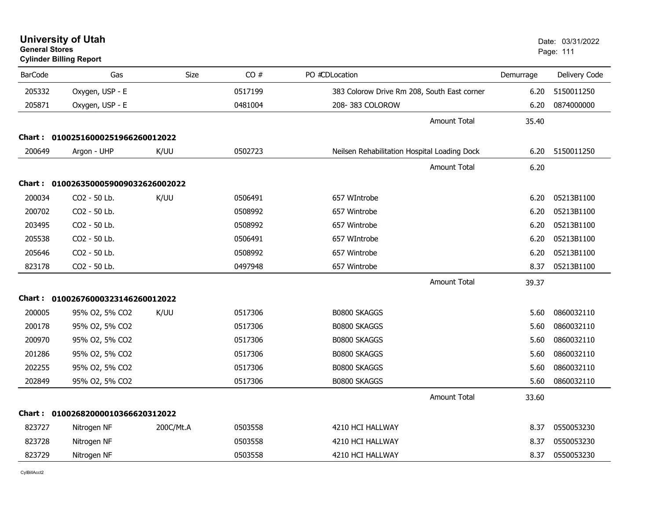er van die 111de eeu n.C. In 1916 van die 12de eeu n.C. Soos ander van die 12de eeu n.C. 2006 v.C. 111 v.C. 11 **Cylinder Billing Report** BarCode Gas Size CO # PO #CDLocation Demurrage Delivery Code 205332Oxygen, USP - E 05150011250 363 Colorow Drive Rm 208, South East corner 6.20 5150011250 205871 U-ST Oxygen, USP - E <sup>0481004</sup> 208- 383 COLOROW 6.20 <sup>0874000000</sup> Amount Total 35.40**Chart : 01002516000251966260012022**200649 Arg Phyos Argon - UHP K/UU <sup>0502723</sup> Neilsen Rehabilitation Hospital Loading Dock 6.20 <sup>5150011250</sup> Amount Total 6.20**Chart : 0100263500059009032626002022**200034034 CO2 - 50 Lb. K/UU 0506491 657 WIntrobe 6.20 05213B1100 200702 Surg CO2 - 50 Lb. 0508992 657 Wintrobe 6.20 05213B1100 203495 Surg CO2 - 50 Lb. 0508992 657 Wintrobe 6.20 05213B1100 205538538 CO2 - 50 Lb. 0506491 657 WIntrobe 6.20 05213B1100 205646 Surg CO2 - 50 Lb. 0508992 657 Wintrobe 6.20 05213B1100 823178 Surg CO2 - 50 Lb. 0497948 657 Wintrobe 8.37 05213B1100 Amount Total 39.37**Chart : 01002676000323146260012022**200005005 95% O2, 5% CO2 K/UU 0517306 B0800 SKAGGS 5.60 0860032110 200178 Antic 95% O2, 5% CO2 0517306 B0800 SKAGGS 5.60 0860032110 200970970 95% O2, 5% CO2 0517306 B0800 SKAGGS 5.60 0860032110 201286 Antic 95% O2, 5% CO2 0517306 B0800 SKAGGS 5.60 0860032110 202255 Antic 95% O2, 5% CO2 0517306 B0800 SKAGGS 5.60 0860032110 202849849 95% O2, 5% CO2 0517306 B0800 SKAGGS 5.60 0860032110 Amount Total 33.60**Chart : 01002682000010366620312022**823727727 Nitrogen NF 200C/Mt.A 0503558 4210 HCI HALLWAY 8.37 0550053230 823728 Neu Nitrogen NF <sup>0503558</sup> 4210 HCI HALLWAY 8.37 <sup>0550053230</sup> 823729729 Nitrogen NF 0503558 4210 HCI HALLWAY 8.37 0550053230

**University of Utah**  Date: 03/31/2022

CylBillAcct2

**General Stores**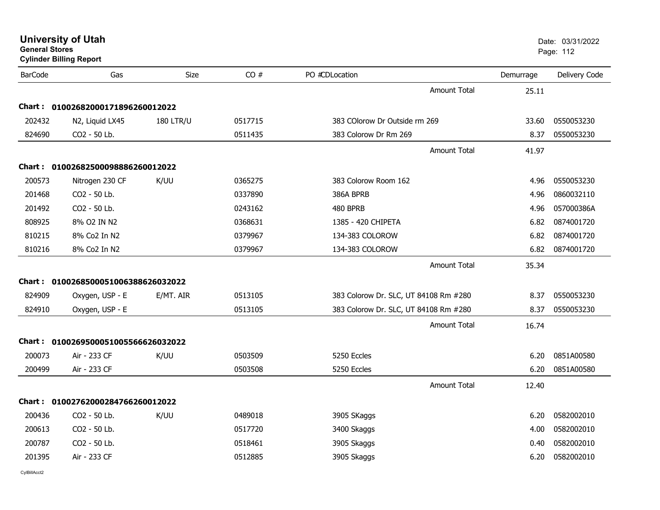| General Stores | <b>Cylinder Billing Report</b>      |                  |         |                                       |           | Page: 112     |
|----------------|-------------------------------------|------------------|---------|---------------------------------------|-----------|---------------|
| <b>BarCode</b> | Gas                                 | <b>Size</b>      | CO#     | PO #CDLocation                        | Demurrage | Delivery Code |
|                |                                     |                  |         | Amount Total                          | 25.11     |               |
|                | Chart: 01002682000171896260012022   |                  |         |                                       |           |               |
| 202432         | N2, Liquid LX45                     | <b>180 LTR/U</b> | 0517715 | 383 COlorow Dr Outside rm 269         | 33.60     | 0550053230    |
| 824690         | CO2 - 50 Lb.                        |                  | 0511435 | 383 Colorow Dr Rm 269                 | 8.37      | 0550053230    |
|                |                                     |                  |         | <b>Amount Total</b>                   | 41.97     |               |
|                | Chart: 01002682500098886260012022   |                  |         |                                       |           |               |
| 200573         | Nitrogen 230 CF                     | K/UU             | 0365275 | 383 Colorow Room 162                  | 4.96      | 0550053230    |
| 201468         | CO <sub>2</sub> - 50 Lb.            |                  | 0337890 | 386A BPRB                             | 4.96      | 0860032110    |
| 201492         | CO2 - 50 Lb.                        |                  | 0243162 | 480 BPRB                              | 4.96      | 057000386A    |
| 808925         | 8% O2 IN N2                         |                  | 0368631 | 1385 - 420 CHIPETA                    | 6.82      | 0874001720    |
| 810215         | 8% Co2 In N2                        |                  | 0379967 | 134-383 COLOROW                       | 6.82      | 0874001720    |
| 810216         | 8% Co2 In N2                        |                  | 0379967 | 134-383 COLOROW                       | 6.82      | 0874001720    |
|                |                                     |                  |         | Amount Total                          | 35.34     |               |
|                | Chart: 0100268500051006388626032022 |                  |         |                                       |           |               |
| 824909         | Oxygen, USP - E                     | E/MT. AIR        | 0513105 | 383 Colorow Dr. SLC, UT 84108 Rm #280 | 8.37      | 0550053230    |
| 824910         | Oxygen, USP - E                     |                  | 0513105 | 383 Colorow Dr. SLC, UT 84108 Rm #280 | 8.37      | 0550053230    |
|                |                                     |                  |         | Amount Total                          | 16.74     |               |
|                | Chart: 0100269500051005566626032022 |                  |         |                                       |           |               |
| 200073         | Air - 233 CF                        | K/UU             | 0503509 | 5250 Eccles                           | 6.20      | 0851A00580    |
| 200499         | Air - 233 CF                        |                  | 0503508 | 5250 Eccles                           | 6.20      | 0851A00580    |
|                |                                     |                  |         | <b>Amount Total</b>                   | 12.40     |               |
|                | Chart: 01002762000284766260012022   |                  |         |                                       |           |               |
| 200436         | CO <sub>2</sub> - 50 Lb.            | K/UU             | 0489018 | 3905 SKaggs                           | 6.20      | 0582002010    |
| 200613         | CO <sub>2</sub> - 50 Lb.            |                  | 0517720 | 3400 Skaggs                           | 4.00      | 0582002010    |
| 200787         | CO <sub>2</sub> - 50 Lb.            |                  | 0518461 | 3905 Skaggs                           | 0.40      | 0582002010    |
| 201395         | Air - 233 CF                        |                  | 0512885 | 3905 Skaggs                           | 6.20      | 0582002010    |
|                |                                     |                  |         |                                       |           |               |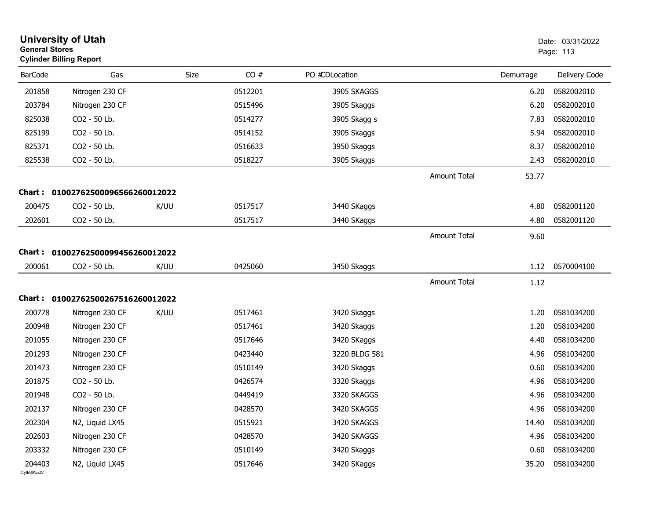| <b>General Stores</b>  | <b>University of Utah</b><br><b>Cylinder Billing Report</b> |             |         |                |                     |           | Date: 03/31/2022<br>Page: 113 |
|------------------------|-------------------------------------------------------------|-------------|---------|----------------|---------------------|-----------|-------------------------------|
| <b>BarCode</b>         | Gas                                                         | <b>Size</b> | CO#     | PO #CDLocation |                     | Demurrage | Delivery Code                 |
| 201858                 | Nitrogen 230 CF                                             |             | 0512201 | 3905 SKAGGS    |                     | 6.20      | 0582002010                    |
| 203784                 | Nitrogen 230 CF                                             |             | 0515496 | 3905 Skaggs    |                     | 6.20      | 0582002010                    |
| 825038                 | CO2 - 50 Lb.                                                |             | 0514277 | 3905 Skagg s   |                     | 7.83      | 0582002010                    |
| 825199                 | CO2 - 50 Lb.                                                |             | 0514152 | 3905 Skaggs    |                     | 5.94      | 0582002010                    |
| 825371                 | CO2 - 50 Lb.                                                |             | 0516633 | 3950 Skaggs    |                     | 8.37      | 0582002010                    |
| 825538                 | CO2 - 50 Lb.                                                |             | 0518227 | 3905 Skaggs    |                     | 2.43      | 0582002010                    |
|                        |                                                             |             |         |                | Amount Total        | 53.77     |                               |
| Chart :                | 01002762500096566260012022                                  |             |         |                |                     |           |                               |
| 200475                 | CO2 - 50 Lb.                                                | K/UU        | 0517517 | 3440 SKaggs    |                     | 4.80      | 0582001120                    |
| 202601                 | CO2 - 50 Lb.                                                |             | 0517517 | 3440 SKaggs    |                     | 4.80      | 0582001120                    |
|                        |                                                             |             |         |                | Amount Total        | 9.60      |                               |
| Chart :                | 01002762500099456260012022                                  |             |         |                |                     |           |                               |
| 200061                 | CO2 - 50 Lb.                                                | K/UU        | 0425060 | 3450 Skaggs    |                     | 1.12      | 0570004100                    |
|                        |                                                             |             |         |                | <b>Amount Total</b> | 1.12      |                               |
|                        | Chart: 01002762500267516260012022                           |             |         |                |                     |           |                               |
| 200778                 | Nitrogen 230 CF                                             | K/UU        | 0517461 | 3420 Skaggs    |                     | 1.20      | 0581034200                    |
| 200948                 | Nitrogen 230 CF                                             |             | 0517461 | 3420 Skaggs    |                     | 1.20      | 0581034200                    |
| 201055                 | Nitrogen 230 CF                                             |             | 0517646 | 3420 SKaggs    |                     | 4.40      | 0581034200                    |
| 201293                 | Nitrogen 230 CF                                             |             | 0423440 | 3220 BLDG 581  |                     | 4.96      | 0581034200                    |
| 201473                 | Nitrogen 230 CF                                             |             | 0510149 | 3420 Skaggs    |                     | 0.60      | 0581034200                    |
| 201875                 | CO2 - 50 Lb.                                                |             | 0426574 | 3320 Skaggs    |                     | 4.96      | 0581034200                    |
| 201948                 | CO2 - 50 Lb.                                                |             | 0449419 | 3320 SKAGGS    |                     | 4.96      | 0581034200                    |
| 202137                 | Nitrogen 230 CF                                             |             | 0428570 | 3420 SKAGGS    |                     | 4.96      | 0581034200                    |
| 202304                 | N2, Liquid LX45                                             |             | 0515921 | 3420 SKAGGS    |                     | 14.40     | 0581034200                    |
| 202603                 | Nitrogen 230 CF                                             |             | 0428570 | 3420 SKAGGS    |                     | 4.96      | 0581034200                    |
| 203332                 | Nitrogen 230 CF                                             |             | 0510149 | 3420 Skaggs    |                     | 0.60      | 0581034200                    |
| 204403<br>CvIBillAcct2 | N2, Liquid LX45                                             |             | 0517646 | 3420 SKaggs    |                     | 35.20     | 0581034200                    |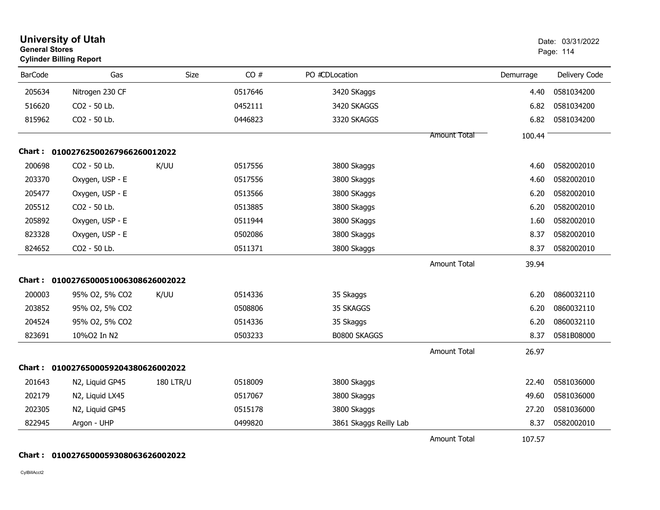| <b>General Stores</b> | <b>University of Utah</b><br><b>Cylinder Billing Report</b> |                  |         |                        |                     | Date: 03/31/2022<br>Page: 114 |               |
|-----------------------|-------------------------------------------------------------|------------------|---------|------------------------|---------------------|-------------------------------|---------------|
| <b>BarCode</b>        | Gas                                                         | Size             | CO#     | PO #CDLocation         |                     | Demurrage                     | Delivery Code |
| 205634                | Nitrogen 230 CF                                             |                  | 0517646 | 3420 SKaggs            |                     | 4.40                          | 0581034200    |
| 516620                | CO2 - 50 Lb.                                                |                  | 0452111 | 3420 SKAGGS            |                     | 6.82                          | 0581034200    |
| 815962                | CO2 - 50 Lb.                                                |                  | 0446823 | 3320 SKAGGS            |                     | 6.82                          | 0581034200    |
|                       |                                                             |                  |         |                        | <b>Amount Total</b> | 100.44                        |               |
|                       | Chart: 01002762500267966260012022                           |                  |         |                        |                     |                               |               |
| 200698                | CO2 - 50 Lb.                                                | K/UU             | 0517556 | 3800 Skaggs            |                     | 4.60                          | 0582002010    |
| 203370                | Oxygen, USP - E                                             |                  | 0517556 | 3800 Skaggs            |                     | 4.60                          | 0582002010    |
| 205477                | Oxygen, USP - E                                             |                  | 0513566 | 3800 SKaggs            |                     | 6.20                          | 0582002010    |
| 205512                | CO2 - 50 Lb.                                                |                  | 0513885 | 3800 Skaggs            |                     | 6.20                          | 0582002010    |
| 205892                | Oxygen, USP - E                                             |                  | 0511944 | 3800 SKaggs            |                     | 1.60                          | 0582002010    |
| 823328                | Oxygen, USP - E                                             |                  | 0502086 | 3800 Skaggs            |                     | 8.37                          | 0582002010    |
| 824652                | CO2 - 50 Lb.                                                |                  | 0511371 | 3800 Skaggs            |                     | 8.37                          | 0582002010    |
|                       |                                                             |                  |         |                        | <b>Amount Total</b> | 39.94                         |               |
| Chart :               | 0100276500051006308626002022                                |                  |         |                        |                     |                               |               |
| 200003                | 95% O2, 5% CO2                                              | K/UU             | 0514336 | 35 Skaggs              |                     | 6.20                          | 0860032110    |
| 203852                | 95% O2, 5% CO2                                              |                  | 0508806 | 35 SKAGGS              |                     | 6.20                          | 0860032110    |
| 204524                | 95% O2, 5% CO2                                              |                  | 0514336 | 35 Skaggs              |                     | 6.20                          | 0860032110    |
| 823691                | 10%O2 In N2                                                 |                  | 0503233 | B0800 SKAGGS           |                     | 8.37                          | 0581B08000    |
|                       |                                                             |                  |         |                        | <b>Amount Total</b> | 26.97                         |               |
| Chart :               | 0100276500059204380626002022                                |                  |         |                        |                     |                               |               |
| 201643                | N2, Liquid GP45                                             | <b>180 LTR/U</b> | 0518009 | 3800 Skaggs            |                     | 22.40                         | 0581036000    |
| 202179                | N2, Liquid LX45                                             |                  | 0517067 | 3800 Skaggs            |                     | 49.60                         | 0581036000    |
| 202305                | N2, Liquid GP45                                             |                  | 0515178 | 3800 Skaggs            |                     | 27.20                         | 0581036000    |
| 822945                | Argon - UHP                                                 |                  | 0499820 | 3861 Skaggs Reilly Lab |                     | 8.37                          | 0582002010    |
|                       |                                                             |                  |         |                        | <b>Amount Total</b> | 107.57                        |               |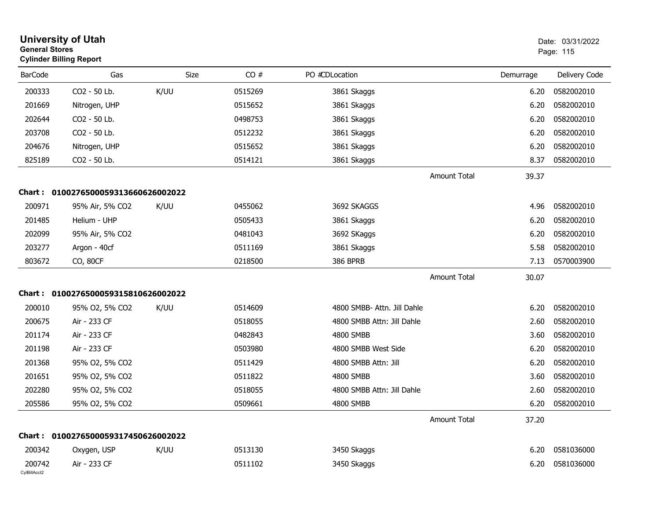| <b>General Stores</b>  | <b>University of Utah</b><br><b>Cylinder Billing Report</b> |      |         |                             |                     |           | Date: 03/31/2022<br>Page: 115 |
|------------------------|-------------------------------------------------------------|------|---------|-----------------------------|---------------------|-----------|-------------------------------|
| <b>BarCode</b>         | Gas                                                         | Size | CO#     | PO #CDLocation              |                     | Demurrage | Delivery Code                 |
| 200333                 | CO2 - 50 Lb.                                                | K/UU | 0515269 | 3861 Skaggs                 |                     | 6.20      | 0582002010                    |
| 201669                 | Nitrogen, UHP                                               |      | 0515652 | 3861 Skaggs                 |                     | 6.20      | 0582002010                    |
| 202644                 | CO2 - 50 Lb.                                                |      | 0498753 | 3861 Skaggs                 |                     | 6.20      | 0582002010                    |
| 203708                 | CO2 - 50 Lb.                                                |      | 0512232 | 3861 Skaggs                 |                     | 6.20      | 0582002010                    |
| 204676                 | Nitrogen, UHP                                               |      | 0515652 | 3861 Skaggs                 |                     | 6.20      | 0582002010                    |
| 825189                 | CO2 - 50 Lb.                                                |      | 0514121 | 3861 Skaggs                 |                     | 8.37      | 0582002010                    |
|                        |                                                             |      |         |                             | <b>Amount Total</b> | 39.37     |                               |
|                        | Chart: 0100276500059313660626002022                         |      |         |                             |                     |           |                               |
| 200971                 | 95% Air, 5% CO2                                             | K/UU | 0455062 | 3692 SKAGGS                 |                     | 4.96      | 0582002010                    |
| 201485                 | Helium - UHP                                                |      | 0505433 | 3861 Skaggs                 |                     | 6.20      | 0582002010                    |
| 202099                 | 95% Air, 5% CO2                                             |      | 0481043 | 3692 SKaggs                 |                     | 6.20      | 0582002010                    |
| 203277                 | Argon - 40cf                                                |      | 0511169 | 3861 Skaggs                 |                     | 5.58      | 0582002010                    |
| 803672                 | CO, 80CF                                                    |      | 0218500 | <b>386 BPRB</b>             |                     | 7.13      | 0570003900                    |
|                        |                                                             |      |         |                             | <b>Amount Total</b> | 30.07     |                               |
|                        | Chart: 0100276500059315810626002022                         |      |         |                             |                     |           |                               |
| 200010                 | 95% O2, 5% CO2                                              | K/UU | 0514609 | 4800 SMBB- Attn. Jill Dahle |                     | 6.20      | 0582002010                    |
| 200675                 | Air - 233 CF                                                |      | 0518055 | 4800 SMBB Attn: Jill Dahle  |                     | 2.60      | 0582002010                    |
| 201174                 | Air - 233 CF                                                |      | 0482843 | 4800 SMBB                   |                     | 3.60      | 0582002010                    |
| 201198                 | Air - 233 CF                                                |      | 0503980 | 4800 SMBB West Side         |                     | 6.20      | 0582002010                    |
| 201368                 | 95% O2, 5% CO2                                              |      | 0511429 | 4800 SMBB Attn: Jill        |                     | 6.20      | 0582002010                    |
| 201651                 | 95% O2, 5% CO2                                              |      | 0511822 | 4800 SMBB                   |                     | 3.60      | 0582002010                    |
| 202280                 | 95% O2, 5% CO2                                              |      | 0518055 | 4800 SMBB Attn: Jill Dahle  |                     | 2.60      | 0582002010                    |
| 205586                 | 95% O2, 5% CO2                                              |      | 0509661 | 4800 SMBB                   |                     | 6.20      | 0582002010                    |
|                        |                                                             |      |         |                             | <b>Amount Total</b> | 37.20     |                               |
|                        | Chart: 0100276500059317450626002022                         |      |         |                             |                     |           |                               |
| 200342                 | Oxygen, USP                                                 | K/UU | 0513130 | 3450 Skaggs                 |                     | 6.20      | 0581036000                    |
| 200742<br>CylBillAcct2 | Air - 233 CF                                                |      | 0511102 | 3450 Skaggs                 |                     | 6.20      | 0581036000                    |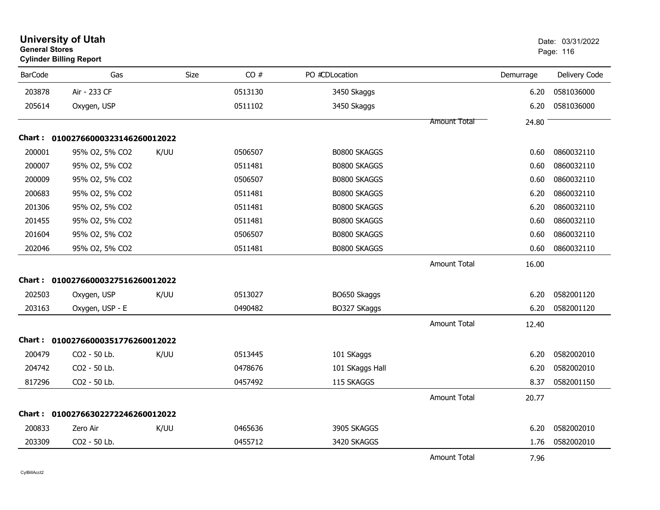| <b>General Stores</b> | <b>University of Utah</b><br><b>Cylinder Billing Report</b> |      |         |                     |                     | Date: 03/31/2022<br>Page: 116 |               |
|-----------------------|-------------------------------------------------------------|------|---------|---------------------|---------------------|-------------------------------|---------------|
| <b>BarCode</b>        | Gas                                                         | Size | CO#     | PO #CDLocation      |                     | Demurrage                     | Delivery Code |
| 203878                | Air - 233 CF                                                |      | 0513130 | 3450 Skaggs         |                     | 6.20                          | 0581036000    |
| 205614                | Oxygen, USP                                                 |      | 0511102 | 3450 Skaggs         |                     | 6.20                          | 0581036000    |
|                       |                                                             |      |         |                     | <b>Amount Total</b> | 24.80                         |               |
| <b>Chart :</b>        | 01002766000323146260012022                                  |      |         |                     |                     |                               |               |
| 200001                | 95% O2, 5% CO2                                              | K/UU | 0506507 | B0800 SKAGGS        |                     | 0.60                          | 0860032110    |
| 200007                | 95% O2, 5% CO2                                              |      | 0511481 | <b>B0800 SKAGGS</b> |                     | 0.60                          | 0860032110    |
| 200009                | 95% O2, 5% CO2                                              |      | 0506507 | B0800 SKAGGS        |                     | 0.60                          | 0860032110    |
| 200683                | 95% O2, 5% CO2                                              |      | 0511481 | B0800 SKAGGS        |                     | 6.20                          | 0860032110    |
| 201306                | 95% O2, 5% CO2                                              |      | 0511481 | <b>B0800 SKAGGS</b> |                     | 6.20                          | 0860032110    |
| 201455                | 95% O2, 5% CO2                                              |      | 0511481 | B0800 SKAGGS        |                     | 0.60                          | 0860032110    |
| 201604                | 95% O2, 5% CO2                                              |      | 0506507 | B0800 SKAGGS        |                     | 0.60                          | 0860032110    |
| 202046                | 95% O2, 5% CO2                                              |      | 0511481 | B0800 SKAGGS        |                     | 0.60                          | 0860032110    |
|                       |                                                             |      |         |                     | <b>Amount Total</b> | 16.00                         |               |
|                       | Chart: 01002766000327516260012022                           |      |         |                     |                     |                               |               |
| 202503                | Oxygen, USP                                                 | K/UU | 0513027 | BO650 Skaggs        |                     | 6.20                          | 0582001120    |
| 203163                | Oxygen, USP - E                                             |      | 0490482 | BO327 SKaggs        |                     | 6.20                          | 0582001120    |
|                       |                                                             |      |         |                     | <b>Amount Total</b> | 12.40                         |               |
|                       | Chart: 01002766000351776260012022                           |      |         |                     |                     |                               |               |
| 200479                | CO2 - 50 Lb.                                                | K/UU | 0513445 | 101 SKaggs          |                     | 6.20                          | 0582002010    |
| 204742                | CO2 - 50 Lb.                                                |      | 0478676 | 101 SKaggs Hall     |                     | 6.20                          | 0582002010    |
| 817296                | CO2 - 50 Lb.                                                |      | 0457492 | 115 SKAGGS          |                     | 8.37                          | 0582001150    |
|                       |                                                             |      |         |                     | <b>Amount Total</b> | 20.77                         |               |
|                       | Chart: 01002766302272246260012022                           |      |         |                     |                     |                               |               |
| 200833                | Zero Air                                                    | K/UU | 0465636 | 3905 SKAGGS         |                     | 6.20                          | 0582002010    |
| 203309                | CO2 - 50 Lb.                                                |      | 0455712 | 3420 SKAGGS         |                     | 1.76                          | 0582002010    |
|                       |                                                             |      |         |                     | <b>Amount Total</b> | 7.96                          |               |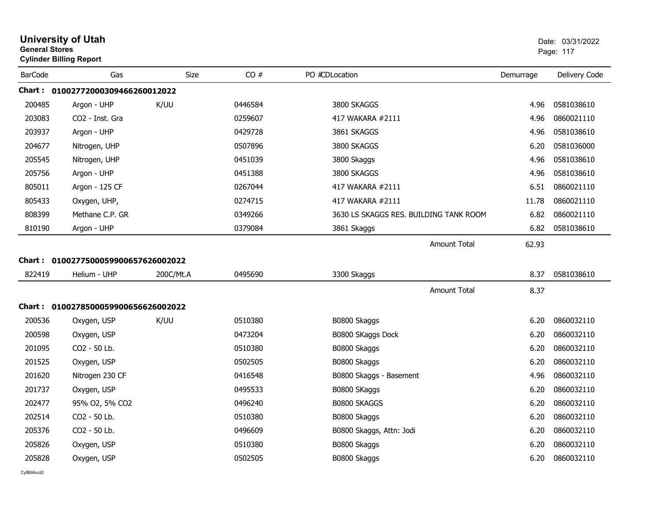| <b>General Stores</b> | <b>University of Utah</b><br><b>Cylinder Billing Report</b> |           |         |                                        |           | Date: 03/31/2022<br>Page: 117 |
|-----------------------|-------------------------------------------------------------|-----------|---------|----------------------------------------|-----------|-------------------------------|
| <b>BarCode</b>        | Gas                                                         | Size      | CO#     | PO #CDLocation                         | Demurrage | Delivery Code                 |
|                       | Chart :    01002772000309466260012022                       |           |         |                                        |           |                               |
| 200485                | Argon - UHP                                                 | K/UU      | 0446584 | 3800 SKAGGS                            | 4.96      | 0581038610                    |
| 203083                | CO <sub>2</sub> - Inst. Gra                                 |           | 0259607 | 417 WAKARA #2111                       | 4.96      | 0860021110                    |
| 203937                | Argon - UHP                                                 |           | 0429728 | 3861 SKAGGS                            | 4.96      | 0581038610                    |
| 204677                | Nitrogen, UHP                                               |           | 0507896 | 3800 SKAGGS                            | 6.20      | 0581036000                    |
| 205545                | Nitrogen, UHP                                               |           | 0451039 | 3800 Skaggs                            | 4.96      | 0581038610                    |
| 205756                | Argon - UHP                                                 |           | 0451388 | 3800 SKAGGS                            | 4.96      | 0581038610                    |
| 805011                | Argon - 125 CF                                              |           | 0267044 | 417 WAKARA #2111                       | 6.51      | 0860021110                    |
| 805433                | Oxygen, UHP,                                                |           | 0274715 | 417 WAKARA #2111                       | 11.78     | 0860021110                    |
| 808399                | Methane C.P. GR                                             |           | 0349266 | 3630 LS SKAGGS RES. BUILDING TANK ROOM | 6.82      | 0860021110                    |
| 810190                | Argon - UHP                                                 |           | 0379084 | 3861 Skaggs                            | 6.82      | 0581038610                    |
|                       |                                                             |           |         | <b>Amount Total</b>                    | 62.93     |                               |
|                       | Chart: 0100277500059900657626002022                         |           |         |                                        |           |                               |
| 822419                | Helium - UHP                                                | 200C/Mt.A | 0495690 | 3300 Skaggs                            | 8.37      | 0581038610                    |
|                       |                                                             |           |         | <b>Amount Total</b>                    | 8.37      |                               |
|                       | Chart: 0100278500059900656626002022                         |           |         |                                        |           |                               |
| 200536                | Oxygen, USP                                                 | K/UU      | 0510380 | B0800 Skaggs                           | 6.20      | 0860032110                    |
| 200598                | Oxygen, USP                                                 |           | 0473204 | B0800 SKaggs Dock                      | 6.20      | 0860032110                    |
| 201095                | CO2 - 50 Lb.                                                |           | 0510380 | B0800 Skaggs                           | 6.20      | 0860032110                    |
| 201525                | Oxygen, USP                                                 |           | 0502505 | B0800 Skaggs                           | 6.20      | 0860032110                    |
| 201620                | Nitrogen 230 CF                                             |           | 0416548 | B0800 Skaggs - Basement                | 4.96      | 0860032110                    |
| 201737                | Oxygen, USP                                                 |           | 0495533 | B0800 SKaggs                           | 6.20      | 0860032110                    |
| 202477                | 95% O2, 5% CO2                                              |           | 0496240 | <b>B0800 SKAGGS</b>                    | 6.20      | 0860032110                    |
| 202514                | CO2 - 50 Lb.                                                |           | 0510380 | B0800 Skaggs                           | 6.20      | 0860032110                    |
| 205376                | CO2 - 50 Lb.                                                |           | 0496609 | B0800 Skaggs, Attn: Jodi               | 6.20      | 0860032110                    |
| 205826                | Oxygen, USP                                                 |           | 0510380 | B0800 Skaggs                           | 6.20      | 0860032110                    |
| 205828                | Oxygen, USP                                                 |           | 0502505 | B0800 Skaggs                           | 6.20      | 0860032110                    |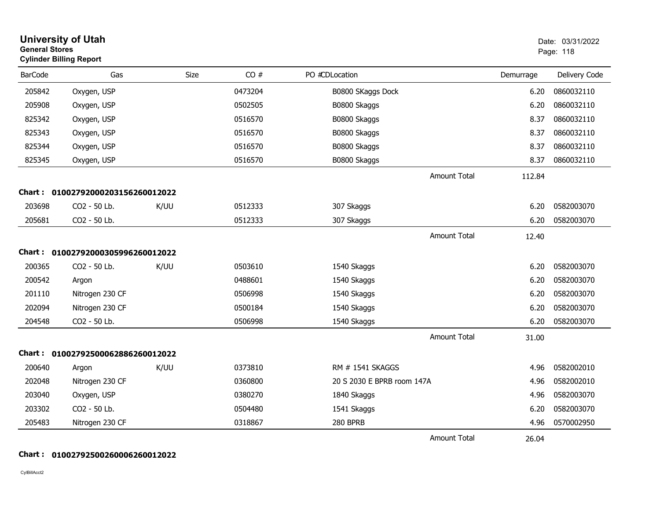| <b>General Stores</b> | <b>University of Utah</b><br><b>Cylinder Billing Report</b> |      |      |         |                            |                     |           | Date: 03/31/2022<br>Page: 118 |
|-----------------------|-------------------------------------------------------------|------|------|---------|----------------------------|---------------------|-----------|-------------------------------|
| <b>BarCode</b>        | Gas                                                         |      | Size | CO#     | PO #CDLocation             |                     | Demurrage | Delivery Code                 |
| 205842                | Oxygen, USP                                                 |      |      | 0473204 | B0800 SKaggs Dock          |                     | 6.20      | 0860032110                    |
| 205908                | Oxygen, USP                                                 |      |      | 0502505 | B0800 Skaggs               |                     | 6.20      | 0860032110                    |
| 825342                | Oxygen, USP                                                 |      |      | 0516570 | B0800 Skaggs               |                     | 8.37      | 0860032110                    |
| 825343                | Oxygen, USP                                                 |      |      | 0516570 | B0800 Skaggs               |                     | 8.37      | 0860032110                    |
| 825344                | Oxygen, USP                                                 |      |      | 0516570 | B0800 Skaggs               |                     | 8.37      | 0860032110                    |
| 825345                | Oxygen, USP                                                 |      |      | 0516570 | B0800 Skaggs               |                     | 8.37      | 0860032110                    |
|                       |                                                             |      |      |         |                            | <b>Amount Total</b> | 112.84    |                               |
|                       | Chart: 01002792000203156260012022                           |      |      |         |                            |                     |           |                               |
| 203698                | CO2 - 50 Lb.                                                | K/UU |      | 0512333 | 307 Skaggs                 |                     | 6.20      | 0582003070                    |
| 205681                | CO2 - 50 Lb.                                                |      |      | 0512333 | 307 Skaggs                 |                     | 6.20      | 0582003070                    |
|                       |                                                             |      |      |         |                            | <b>Amount Total</b> | 12.40     |                               |
|                       | Chart: 01002792000305996260012022                           |      |      |         |                            |                     |           |                               |
| 200365                | CO2 - 50 Lb.                                                | K/UU |      | 0503610 | 1540 Skaggs                |                     | 6.20      | 0582003070                    |
| 200542                | Argon                                                       |      |      | 0488601 | 1540 Skaggs                |                     | 6.20      | 0582003070                    |
| 201110                | Nitrogen 230 CF                                             |      |      | 0506998 | 1540 Skaggs                |                     | 6.20      | 0582003070                    |
| 202094                | Nitrogen 230 CF                                             |      |      | 0500184 | 1540 Skaggs                |                     | 6.20      | 0582003070                    |
| 204548                | CO2 - 50 Lb.                                                |      |      | 0506998 | 1540 Skaggs                |                     | 6.20      | 0582003070                    |
|                       |                                                             |      |      |         |                            | <b>Amount Total</b> | 31.00     |                               |
|                       | Chart: 01002792500062886260012022                           |      |      |         |                            |                     |           |                               |
| 200640                | Argon                                                       | K/UU |      | 0373810 | RM # 1541 SKAGGS           |                     | 4.96      | 0582002010                    |
| 202048                | Nitrogen 230 CF                                             |      |      | 0360800 | 20 S 2030 E BPRB room 147A |                     | 4.96      | 0582002010                    |
| 203040                | Oxygen, USP                                                 |      |      | 0380270 | 1840 Skaggs                |                     | 4.96      | 0582003070                    |
| 203302                | CO2 - 50 Lb.                                                |      |      | 0504480 | 1541 Skaggs                |                     | 6.20      | 0582003070                    |
| 205483                | Nitrogen 230 CF                                             |      |      | 0318867 | 280 BPRB                   |                     | 4.96      | 0570002950                    |
|                       |                                                             |      |      |         |                            | <b>Amount Total</b> | 26.04     |                               |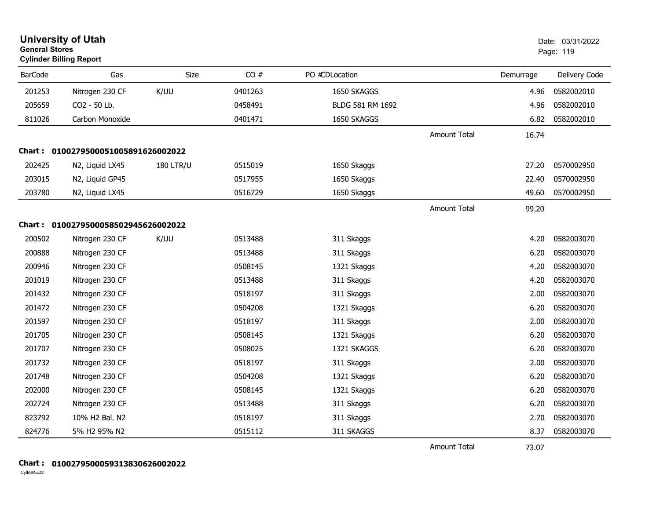| <b>General Stores</b> | <b>University of Utah</b><br><b>Cylinder Billing Report</b> |                  |         |                  |                     |           | Date: 03/31/2022<br>Page: 119 |
|-----------------------|-------------------------------------------------------------|------------------|---------|------------------|---------------------|-----------|-------------------------------|
| <b>BarCode</b>        | Gas                                                         | <b>Size</b>      | CO#     | PO #CDLocation   |                     | Demurrage | Delivery Code                 |
| 201253                | Nitrogen 230 CF                                             | K/UU             | 0401263 | 1650 SKAGGS      |                     | 4.96      | 0582002010                    |
| 205659                | CO2 - 50 Lb.                                                |                  | 0458491 | BLDG 581 RM 1692 |                     | 4.96      | 0582002010                    |
| 811026                | Carbon Monoxide                                             |                  | 0401471 | 1650 SKAGGS      |                     | 6.82      | 0582002010                    |
|                       |                                                             |                  |         |                  | <b>Amount Total</b> | 16.74     |                               |
|                       | Chart: 0100279500051005891626002022                         |                  |         |                  |                     |           |                               |
| 202425                | N2, Liquid LX45                                             | <b>180 LTR/U</b> | 0515019 | 1650 Skaggs      |                     | 27.20     | 0570002950                    |
| 203015                | N2, Liquid GP45                                             |                  | 0517955 | 1650 Skaggs      |                     | 22.40     | 0570002950                    |
| 203780                | N2, Liquid LX45                                             |                  | 0516729 | 1650 Skaggs      |                     | 49.60     | 0570002950                    |
|                       |                                                             |                  |         |                  | Amount Total        | 99.20     |                               |
|                       | Chart: 0100279500058502945626002022                         |                  |         |                  |                     |           |                               |
| 200502                | Nitrogen 230 CF                                             | K/UU             | 0513488 | 311 Skaggs       |                     | 4.20      | 0582003070                    |
| 200888                | Nitrogen 230 CF                                             |                  | 0513488 | 311 Skaggs       |                     | 6.20      | 0582003070                    |
| 200946                | Nitrogen 230 CF                                             |                  | 0508145 | 1321 Skaggs      |                     | 4.20      | 0582003070                    |
| 201019                | Nitrogen 230 CF                                             |                  | 0513488 | 311 Skaggs       |                     | 4.20      | 0582003070                    |
| 201432                | Nitrogen 230 CF                                             |                  | 0518197 | 311 Skaggs       |                     | 2.00      | 0582003070                    |
| 201472                | Nitrogen 230 CF                                             |                  | 0504208 | 1321 Skaggs      |                     | 6.20      | 0582003070                    |
| 201597                | Nitrogen 230 CF                                             |                  | 0518197 | 311 Skaggs       |                     | 2.00      | 0582003070                    |
| 201705                | Nitrogen 230 CF                                             |                  | 0508145 | 1321 Skaggs      |                     | 6.20      | 0582003070                    |
| 201707                | Nitrogen 230 CF                                             |                  | 0508025 | 1321 SKAGGS      |                     | 6.20      | 0582003070                    |
| 201732                | Nitrogen 230 CF                                             |                  | 0518197 | 311 Skaggs       |                     | 2.00      | 0582003070                    |
| 201748                | Nitrogen 230 CF                                             |                  | 0504208 | 1321 Skaggs      |                     | 6.20      | 0582003070                    |
| 202000                | Nitrogen 230 CF                                             |                  | 0508145 | 1321 Skaggs      |                     | 6.20      | 0582003070                    |
| 202724                | Nitrogen 230 CF                                             |                  | 0513488 | 311 Skaggs       |                     | 6.20      | 0582003070                    |
| 823792                | 10% H2 Bal. N2                                              |                  | 0518197 | 311 Skaggs       |                     | 2.70      | 0582003070                    |
| 824776                | 5% H2 95% N2                                                |                  | 0515112 | 311 SKAGGS       |                     | 8.37      | 0582003070                    |
|                       |                                                             |                  |         |                  | <b>Amount Total</b> | 73.07     |                               |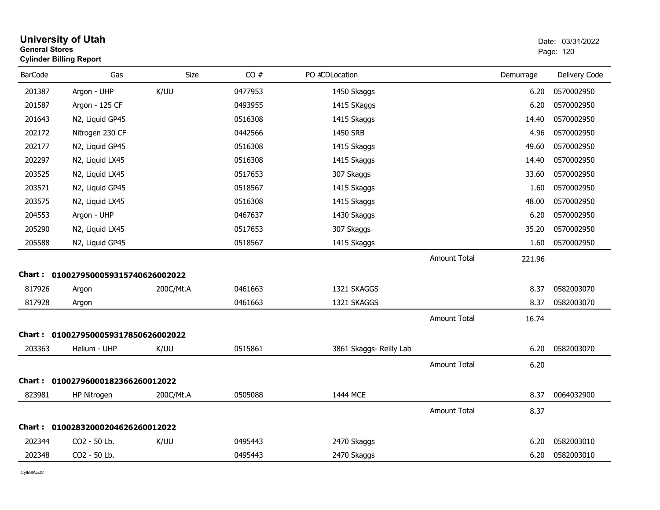| <b>General Stores</b> | <b>University of Utah</b><br><b>Cylinder Billing Report</b> |           |         |                         |                     |           | Date: 03/31/2022<br>Page: 120 |
|-----------------------|-------------------------------------------------------------|-----------|---------|-------------------------|---------------------|-----------|-------------------------------|
| <b>BarCode</b>        | Gas                                                         | Size      | CO#     | PO #CDLocation          |                     | Demurrage | Delivery Code                 |
| 201387                | Argon - UHP                                                 | K/UU      | 0477953 | 1450 Skaggs             |                     | 6.20      | 0570002950                    |
| 201587                | Argon - 125 CF                                              |           | 0493955 | 1415 SKaggs             |                     | 6.20      | 0570002950                    |
| 201643                | N2, Liquid GP45                                             |           | 0516308 | 1415 Skaggs             |                     | 14.40     | 0570002950                    |
| 202172                | Nitrogen 230 CF                                             |           | 0442566 | 1450 SRB                |                     | 4.96      | 0570002950                    |
| 202177                | N2, Liquid GP45                                             |           | 0516308 | 1415 Skaggs             |                     | 49.60     | 0570002950                    |
| 202297                | N2, Liquid LX45                                             |           | 0516308 | 1415 Skaggs             |                     | 14.40     | 0570002950                    |
| 203525                | N2, Liquid LX45                                             |           | 0517653 | 307 Skaggs              |                     | 33.60     | 0570002950                    |
| 203571                | N2, Liquid GP45                                             |           | 0518567 | 1415 Skaggs             |                     | 1.60      | 0570002950                    |
| 203575                | N2, Liquid LX45                                             |           | 0516308 | 1415 Skaggs             |                     | 48.00     | 0570002950                    |
| 204553                | Argon - UHP                                                 |           | 0467637 | 1430 Skaggs             |                     | 6.20      | 0570002950                    |
| 205290                | N2, Liquid LX45                                             |           | 0517653 | 307 Skaggs              |                     | 35.20     | 0570002950                    |
| 205588                | N2, Liquid GP45                                             |           | 0518567 | 1415 Skaggs             |                     | 1.60      | 0570002950                    |
|                       |                                                             |           |         |                         | <b>Amount Total</b> | 221.96    |                               |
|                       | Chart: 0100279500059315740626002022                         |           |         |                         |                     |           |                               |
| 817926                | Argon                                                       | 200C/Mt.A | 0461663 | 1321 SKAGGS             |                     | 8.37      | 0582003070                    |
| 817928                | Argon                                                       |           | 0461663 | 1321 SKAGGS             |                     | 8.37      | 0582003070                    |
|                       |                                                             |           |         |                         | <b>Amount Total</b> | 16.74     |                               |
|                       | Chart: 0100279500059317850626002022                         |           |         |                         |                     |           |                               |
| 203363                | Helium - UHP                                                | K/UU      | 0515861 | 3861 Skaggs- Reilly Lab |                     | 6.20      | 0582003070                    |
|                       |                                                             |           |         |                         | <b>Amount Total</b> | 6.20      |                               |
|                       | Chart: 01002796000182366260012022                           |           |         |                         |                     |           |                               |
| 823981                | HP Nitrogen                                                 | 200C/Mt.A | 0505088 | 1444 MCE                |                     | 8.37      | 0064032900                    |
|                       |                                                             |           |         |                         | <b>Amount Total</b> | 8.37      |                               |
|                       | Chart: 01002832000204626260012022                           |           |         |                         |                     |           |                               |
| 202344                | CO <sub>2</sub> - 50 Lb.                                    | K/UU      | 0495443 | 2470 Skaggs             |                     | 6.20      | 0582003010                    |
| 202348                | CO2 - 50 Lb.                                                |           | 0495443 | 2470 Skaggs             |                     | 6.20      | 0582003010                    |
|                       |                                                             |           |         |                         |                     |           |                               |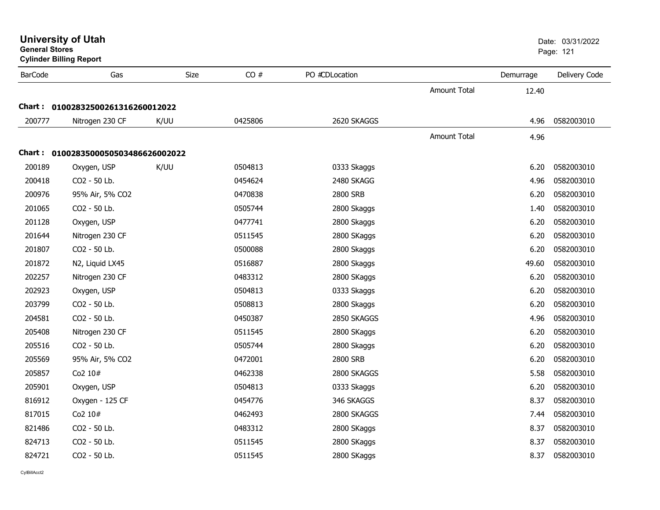| General Stores | <b>Cylinder Billing Report</b>      |             |         |                |                     |           | Page: 121     |  |
|----------------|-------------------------------------|-------------|---------|----------------|---------------------|-----------|---------------|--|
| <b>BarCode</b> | Gas                                 | <b>Size</b> | CO#     | PO #CDLocation |                     | Demurrage | Delivery Code |  |
|                |                                     |             |         |                | <b>Amount Total</b> | 12.40     |               |  |
|                | Chart: 01002832500261316260012022   |             |         |                |                     |           |               |  |
| 200777         | Nitrogen 230 CF                     | K/UU        | 0425806 | 2620 SKAGGS    |                     | 4.96      | 0582003010    |  |
|                |                                     |             |         |                | <b>Amount Total</b> | 4.96      |               |  |
|                | Chart: 0100283500050503486626002022 |             |         |                |                     |           |               |  |
| 200189         | Oxygen, USP                         | K/UU        | 0504813 | 0333 Skaggs    |                     | 6.20      | 0582003010    |  |
| 200418         | CO2 - 50 Lb.                        |             | 0454624 | 2480 SKAGG     |                     | 4.96      | 0582003010    |  |
| 200976         | 95% Air, 5% CO2                     |             | 0470838 | 2800 SRB       |                     | 6.20      | 0582003010    |  |
| 201065         | CO2 - 50 Lb.                        |             | 0505744 | 2800 Skaggs    |                     | 1.40      | 0582003010    |  |
| 201128         | Oxygen, USP                         |             | 0477741 | 2800 Skaggs    |                     | 6.20      | 0582003010    |  |
| 201644         | Nitrogen 230 CF                     |             | 0511545 | 2800 SKaggs    |                     | 6.20      | 0582003010    |  |
| 201807         | CO2 - 50 Lb.                        |             | 0500088 | 2800 Skaggs    |                     | 6.20      | 0582003010    |  |
| 201872         | N2, Liquid LX45                     |             | 0516887 | 2800 Skaggs    |                     | 49.60     | 0582003010    |  |
| 202257         | Nitrogen 230 CF                     |             | 0483312 | 2800 SKaggs    |                     | 6.20      | 0582003010    |  |
| 202923         | Oxygen, USP                         |             | 0504813 | 0333 Skaggs    |                     | 6.20      | 0582003010    |  |
| 203799         | CO2 - 50 Lb.                        |             | 0508813 | 2800 Skaggs    |                     | 6.20      | 0582003010    |  |
| 204581         | CO2 - 50 Lb.                        |             | 0450387 | 2850 SKAGGS    |                     | 4.96      | 0582003010    |  |
| 205408         | Nitrogen 230 CF                     |             | 0511545 | 2800 SKaggs    |                     | 6.20      | 0582003010    |  |
| 205516         | CO2 - 50 Lb.                        |             | 0505744 | 2800 Skaggs    |                     | 6.20      | 0582003010    |  |
| 205569         | 95% Air, 5% CO2                     |             | 0472001 | 2800 SRB       |                     | 6.20      | 0582003010    |  |
| 205857         | Co2 10#                             |             | 0462338 | 2800 SKAGGS    |                     | 5.58      | 0582003010    |  |
| 205901         | Oxygen, USP                         |             | 0504813 | 0333 Skaggs    |                     | 6.20      | 0582003010    |  |
| 816912         | Oxygen - 125 CF                     |             | 0454776 | 346 SKAGGS     |                     | 8.37      | 0582003010    |  |
| 817015         | Co2 10#                             |             | 0462493 | 2800 SKAGGS    |                     | 7.44      | 0582003010    |  |
| 821486         | CO2 - 50 Lb.                        |             | 0483312 | 2800 SKaggs    |                     | 8.37      | 0582003010    |  |
| 824713         | CO2 - 50 Lb.                        |             | 0511545 | 2800 SKaggs    |                     | 8.37      | 0582003010    |  |
| 824721         | CO2 - 50 Lb.                        |             | 0511545 | 2800 SKaggs    |                     | 8.37      | 0582003010    |  |

**University of Utah** Date: 03/31/2022

**General Stores**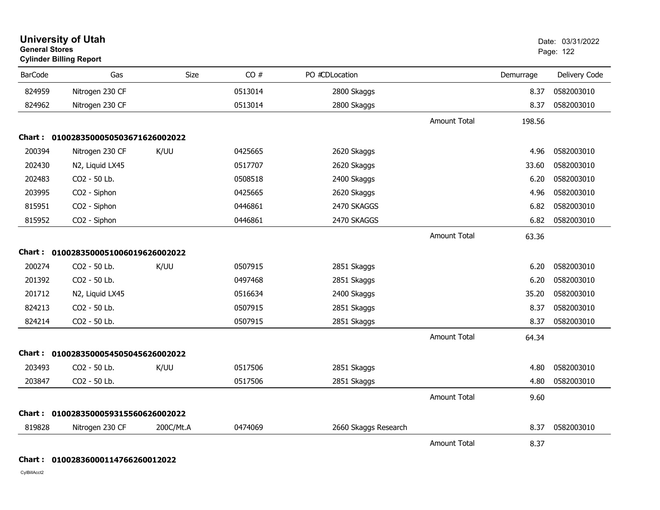| <b>General Stores</b> | <b>University of Utah</b><br><b>Cylinder Billing Report</b> |           |         |                      |                     |           | Date: 03/31/2022<br>Page: 122 |
|-----------------------|-------------------------------------------------------------|-----------|---------|----------------------|---------------------|-----------|-------------------------------|
| <b>BarCode</b>        | Gas                                                         | Size      | CO#     | PO #CDLocation       |                     | Demurrage | Delivery Code                 |
| 824959                | Nitrogen 230 CF                                             |           | 0513014 | 2800 Skaggs          |                     | 8.37      | 0582003010                    |
| 824962                | Nitrogen 230 CF                                             |           | 0513014 | 2800 Skaggs          |                     | 8.37      | 0582003010                    |
|                       |                                                             |           |         |                      | <b>Amount Total</b> | 198.56    |                               |
|                       | Chart: 0100283500050503671626002022                         |           |         |                      |                     |           |                               |
| 200394                | Nitrogen 230 CF                                             | K/UU      | 0425665 | 2620 Skaggs          |                     | 4.96      | 0582003010                    |
| 202430                | N2, Liquid LX45                                             |           | 0517707 | 2620 Skaggs          |                     | 33.60     | 0582003010                    |
| 202483                | CO2 - 50 Lb.                                                |           | 0508518 | 2400 Skaggs          |                     | 6.20      | 0582003010                    |
| 203995                | CO2 - Siphon                                                |           | 0425665 | 2620 Skaggs          |                     | 4.96      | 0582003010                    |
| 815951                | CO2 - Siphon                                                |           | 0446861 | 2470 SKAGGS          |                     | 6.82      | 0582003010                    |
| 815952                | CO2 - Siphon                                                |           | 0446861 | 2470 SKAGGS          |                     | 6.82      | 0582003010                    |
|                       |                                                             |           |         |                      | <b>Amount Total</b> | 63.36     |                               |
|                       | Chart: 0100283500051006019626002022                         |           |         |                      |                     |           |                               |
| 200274                | CO2 - 50 Lb.                                                | K/UU      | 0507915 | 2851 Skaggs          |                     | 6.20      | 0582003010                    |
| 201392                | CO2 - 50 Lb.                                                |           | 0497468 | 2851 Skaggs          |                     | 6.20      | 0582003010                    |
| 201712                | N2, Liquid LX45                                             |           | 0516634 | 2400 Skaggs          |                     | 35.20     | 0582003010                    |
| 824213                | CO2 - 50 Lb.                                                |           | 0507915 | 2851 Skaggs          |                     | 8.37      | 0582003010                    |
| 824214                | CO2 - 50 Lb.                                                |           | 0507915 | 2851 Skaggs          |                     | 8.37      | 0582003010                    |
|                       |                                                             |           |         |                      | <b>Amount Total</b> | 64.34     |                               |
|                       | Chart: 0100283500054505045626002022                         |           |         |                      |                     |           |                               |
| 203493                | CO2 - 50 Lb.                                                | K/UU      | 0517506 | 2851 Skaggs          |                     | 4.80      | 0582003010                    |
| 203847                | CO2 - 50 Lb.                                                |           | 0517506 | 2851 Skaggs          |                     | 4.80      | 0582003010                    |
|                       |                                                             |           |         |                      | <b>Amount Total</b> | 9.60      |                               |
|                       | Chart: 0100283500059315560626002022                         |           |         |                      |                     |           |                               |
| 819828                | Nitrogen 230 CF                                             | 200C/Mt.A | 0474069 | 2660 Skaggs Research |                     | 8.37      | 0582003010                    |
|                       |                                                             |           |         |                      | <b>Amount Total</b> | 8.37      |                               |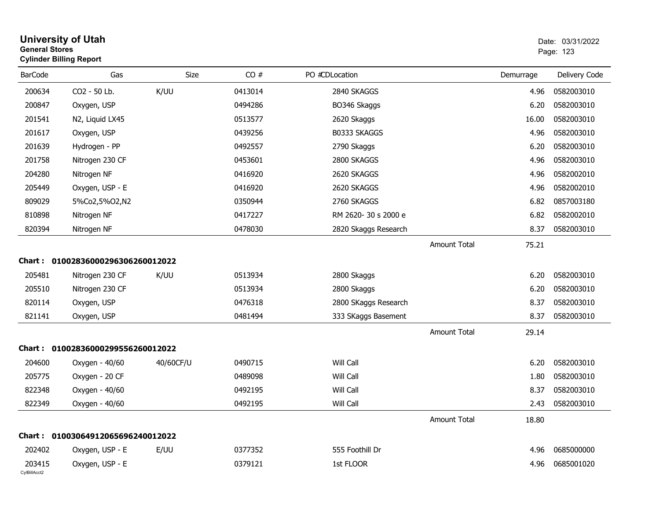| <b>General Stores</b>  | <b>University of Utah</b><br><b>Cylinder Billing Report</b> |             |         |                      |                     |           | Date: 03/31/2022<br>Page: 123 |
|------------------------|-------------------------------------------------------------|-------------|---------|----------------------|---------------------|-----------|-------------------------------|
| <b>BarCode</b>         | Gas                                                         | <b>Size</b> | CO#     | PO #CDLocation       |                     | Demurrage | Delivery Code                 |
| 200634                 | CO2 - 50 Lb.                                                | K/UU        | 0413014 | 2840 SKAGGS          |                     | 4.96      | 0582003010                    |
| 200847                 | Oxygen, USP                                                 |             | 0494286 | BO346 Skaggs         |                     | 6.20      | 0582003010                    |
| 201541                 | N2, Liquid LX45                                             |             | 0513577 | 2620 Skaggs          |                     | 16.00     | 0582003010                    |
| 201617                 | Oxygen, USP                                                 |             | 0439256 | B0333 SKAGGS         |                     | 4.96      | 0582003010                    |
| 201639                 | Hydrogen - PP                                               |             | 0492557 | 2790 Skaggs          |                     | 6.20      | 0582003010                    |
| 201758                 | Nitrogen 230 CF                                             |             | 0453601 | 2800 SKAGGS          |                     | 4.96      | 0582003010                    |
| 204280                 | Nitrogen NF                                                 |             | 0416920 | 2620 SKAGGS          |                     | 4.96      | 0582002010                    |
| 205449                 | Oxygen, USP - E                                             |             | 0416920 | 2620 SKAGGS          |                     | 4.96      | 0582002010                    |
| 809029                 | 5%Co2,5%O2,N2                                               |             | 0350944 | 2760 SKAGGS          |                     | 6.82      | 0857003180                    |
| 810898                 | Nitrogen NF                                                 |             | 0417227 | RM 2620-30 s 2000 e  |                     | 6.82      | 0582002010                    |
| 820394                 | Nitrogen NF                                                 |             | 0478030 | 2820 Skaggs Research |                     | 8.37      | 0582003010                    |
|                        |                                                             |             |         |                      | Amount Total        | 75.21     |                               |
|                        | Chart: 01002836000296306260012022                           |             |         |                      |                     |           |                               |
| 205481                 | Nitrogen 230 CF                                             | K/UU        | 0513934 | 2800 Skaggs          |                     | 6.20      | 0582003010                    |
| 205510                 | Nitrogen 230 CF                                             |             | 0513934 | 2800 Skaggs          |                     | 6.20      | 0582003010                    |
| 820114                 | Oxygen, USP                                                 |             | 0476318 | 2800 SKaggs Research |                     | 8.37      | 0582003010                    |
| 821141                 | Oxygen, USP                                                 |             | 0481494 | 333 SKaggs Basement  |                     | 8.37      | 0582003010                    |
|                        |                                                             |             |         |                      | <b>Amount Total</b> | 29.14     |                               |
|                        | Chart: 01002836000299556260012022                           |             |         |                      |                     |           |                               |
| 204600                 | Oxygen - 40/60                                              | 40/60CF/U   | 0490715 | Will Call            |                     | 6.20      | 0582003010                    |
| 205775                 | Oxygen - 20 CF                                              |             | 0489098 | Will Call            |                     | 1.80      | 0582003010                    |
| 822348                 | Oxygen - 40/60                                              |             | 0492195 | Will Call            |                     | 8.37      | 0582003010                    |
| 822349                 | Oxygen - 40/60                                              |             | 0492195 | Will Call            |                     | 2.43      | 0582003010                    |
|                        |                                                             |             |         |                      | <b>Amount Total</b> | 18.80     |                               |
|                        | Chart: 01003064912065696240012022                           |             |         |                      |                     |           |                               |
| 202402                 | Oxygen, USP - E                                             | E/UU        | 0377352 | 555 Foothill Dr      |                     | 4.96      | 0685000000                    |
| 203415<br>CylBillAcct2 | Oxygen, USP - E                                             |             | 0379121 | 1st FLOOR            |                     | 4.96      | 0685001020                    |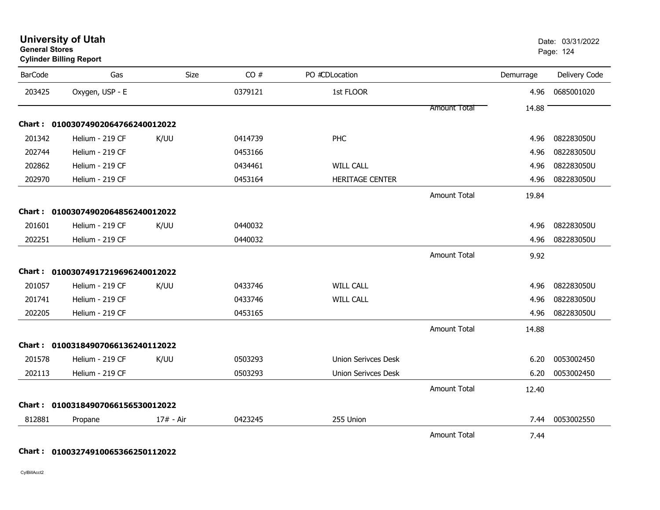| <b>University of Utah</b> |  |
|---------------------------|--|
| <b>General Stores</b>     |  |

| <b>BarCode</b> | Gas                               | Size      | CO#     | PO #CDLocation             |                     | Demurrage | Delivery Code |
|----------------|-----------------------------------|-----------|---------|----------------------------|---------------------|-----------|---------------|
| 203425         | Oxygen, USP - E                   |           | 0379121 | 1st FLOOR                  |                     | 4.96      | 0685001020    |
|                |                                   |           |         |                            | <b>Amount Total</b> | 14.88     |               |
|                | Chart: 01003074902064766240012022 |           |         |                            |                     |           |               |
| 201342         | Helium - 219 CF                   | K/UU      | 0414739 | <b>PHC</b>                 |                     | 4.96      | 082283050U    |
| 202744         | Helium - 219 CF                   |           | 0453166 |                            |                     | 4.96      | 082283050U    |
| 202862         | Helium - 219 CF                   |           | 0434461 | <b>WILL CALL</b>           |                     | 4.96      | 082283050U    |
| 202970         | Helium - 219 CF                   |           | 0453164 | <b>HERITAGE CENTER</b>     |                     | 4.96      | 082283050U    |
|                |                                   |           |         |                            | <b>Amount Total</b> | 19.84     |               |
| <b>Chart:</b>  | 01003074902064856240012022        |           |         |                            |                     |           |               |
| 201601         | Helium - 219 CF                   | K/UU      | 0440032 |                            |                     | 4.96      | 082283050U    |
| 202251         | Helium - 219 CF                   |           | 0440032 |                            |                     | 4.96      | 082283050U    |
|                |                                   |           |         |                            | <b>Amount Total</b> | 9.92      |               |
| Chart :        | 01003074917219696240012022        |           |         |                            |                     |           |               |
| 201057         | Helium - 219 CF                   | K/UU      | 0433746 | <b>WILL CALL</b>           |                     | 4.96      | 082283050U    |
| 201741         | Helium - 219 CF                   |           | 0433746 | <b>WILL CALL</b>           |                     | 4.96      | 082283050U    |
| 202205         | Helium - 219 CF                   |           | 0453165 |                            |                     | 4.96      | 082283050U    |
|                |                                   |           |         |                            | <b>Amount Total</b> | 14.88     |               |
|                | Chart: 01003184907066136240112022 |           |         |                            |                     |           |               |
| 201578         | Helium - 219 CF                   | K/UU      | 0503293 | <b>Union Serivces Desk</b> |                     | 6.20      | 0053002450    |
| 202113         | Helium - 219 CF                   |           | 0503293 | <b>Union Serivces Desk</b> |                     | 6.20      | 0053002450    |
|                |                                   |           |         |                            | <b>Amount Total</b> | 12.40     |               |
|                | Chart: 01003184907066156530012022 |           |         |                            |                     |           |               |
| 812881         | Propane                           | 17# - Air | 0423245 | 255 Union                  |                     | 7.44      | 0053002550    |
|                |                                   |           |         |                            | Amount Total        | 7.44      |               |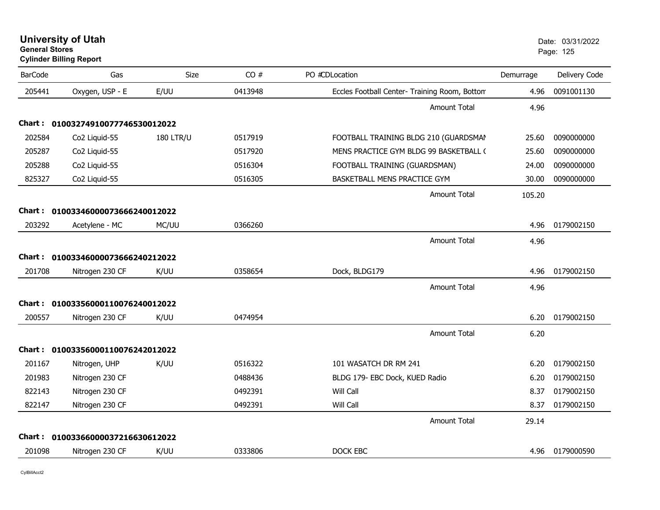| <b>University of Utah</b>      | Date: 03/ |  |
|--------------------------------|-----------|--|
| <b>General Stores</b>          | Page: 125 |  |
| <b>Cylinder Billing Report</b> |           |  |

| <b>BarCode</b> | Gas                               | <b>Size</b>      | CO#     | PO #CDLocation                                | Demurrage | Delivery Code |
|----------------|-----------------------------------|------------------|---------|-----------------------------------------------|-----------|---------------|
| 205441         | Oxygen, USP - E                   | E/UU             | 0413948 | Eccles Football Center- Training Room, Bottom | 4.96      | 0091001130    |
|                |                                   |                  |         | <b>Amount Total</b>                           | 4.96      |               |
| Chart :        | 01003274910077746530012022        |                  |         |                                               |           |               |
| 202584         | Co2 Liquid-55                     | <b>180 LTR/U</b> | 0517919 | FOOTBALL TRAINING BLDG 210 (GUARDSMAN         | 25.60     | 0090000000    |
| 205287         | Co2 Liquid-55                     |                  | 0517920 | MENS PRACTICE GYM BLDG 99 BASKETBALL (        | 25.60     | 0090000000    |
| 205288         | Co2 Liquid-55                     |                  | 0516304 | FOOTBALL TRAINING (GUARDSMAN)                 | 24.00     | 0090000000    |
| 825327         | Co2 Liquid-55                     |                  | 0516305 | BASKETBALL MENS PRACTICE GYM                  | 30.00     | 0090000000    |
|                |                                   |                  |         | <b>Amount Total</b>                           | 105.20    |               |
|                | Chart: 01003346000073666240012022 |                  |         |                                               |           |               |
| 203292         | Acetylene - MC                    | MC/UU            | 0366260 |                                               | 4.96      | 0179002150    |
|                |                                   |                  |         | <b>Amount Total</b>                           | 4.96      |               |
| Chart :        | 01003346000073666240212022        |                  |         |                                               |           |               |
| 201708         | Nitrogen 230 CF                   | K/UU             | 0358654 | Dock, BLDG179                                 | 4.96      | 0179002150    |
|                |                                   |                  |         | <b>Amount Total</b>                           | 4.96      |               |
|                | Chart: 01003356000110076240012022 |                  |         |                                               |           |               |
| 200557         | Nitrogen 230 CF                   | K/UU             | 0474954 |                                               | 6.20      | 0179002150    |
|                |                                   |                  |         | <b>Amount Total</b>                           | 6.20      |               |
|                | Chart: 01003356000110076242012022 |                  |         |                                               |           |               |
| 201167         | Nitrogen, UHP                     | K/UU             | 0516322 | 101 WASATCH DR RM 241                         | 6.20      | 0179002150    |
| 201983         | Nitrogen 230 CF                   |                  | 0488436 | BLDG 179- EBC Dock, KUED Radio                | 6.20      | 0179002150    |
| 822143         | Nitrogen 230 CF                   |                  | 0492391 | Will Call                                     | 8.37      | 0179002150    |
| 822147         | Nitrogen 230 CF                   |                  | 0492391 | Will Call                                     | 8.37      | 0179002150    |
|                |                                   |                  |         | <b>Amount Total</b>                           | 29.14     |               |
|                | Chart: 01003366000037216630612022 |                  |         |                                               |           |               |
| 201098         | Nitrogen 230 CF                   | K/UU             | 0333806 | DOCK EBC                                      | 4.96      | 0179000590    |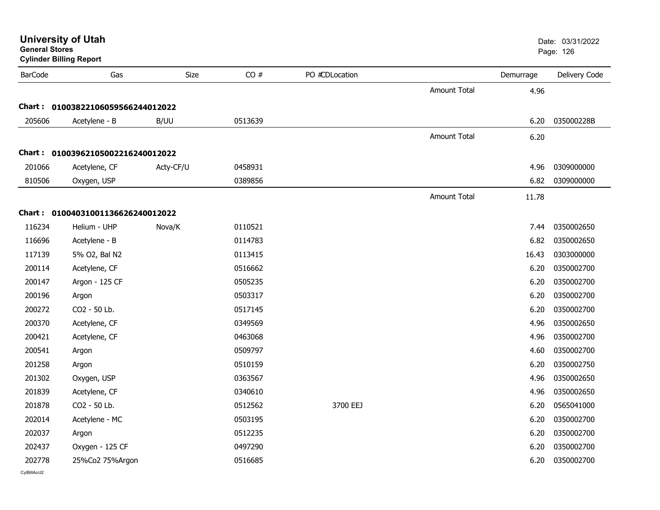| <b>General Stores</b> | <b>University of Utah</b><br><b>Cylinder Billing Report</b> |           |         |                |                     |           | Date: 03/31/2022<br>Page: 126 |
|-----------------------|-------------------------------------------------------------|-----------|---------|----------------|---------------------|-----------|-------------------------------|
| <b>BarCode</b>        | Gas                                                         | Size      | CO#     | PO #CDLocation |                     | Demurrage | Delivery Code                 |
|                       |                                                             |           |         |                | <b>Amount Total</b> | 4.96      |                               |
|                       | Chart: 01003822106059566244012022                           |           |         |                |                     |           |                               |
| 205606                | Acetylene - B                                               | B/UU      | 0513639 |                |                     | 6.20      | 035000228B                    |
|                       |                                                             |           |         |                | <b>Amount Total</b> | 6.20      |                               |
|                       | Chart: 01003962105002216240012022                           |           |         |                |                     |           |                               |
| 201066                | Acetylene, CF                                               | Acty-CF/U | 0458931 |                |                     | 4.96      | 0309000000                    |
| 810506                | Oxygen, USP                                                 |           | 0389856 |                |                     | 6.82      | 0309000000                    |
|                       |                                                             |           |         |                | <b>Amount Total</b> | 11.78     |                               |
|                       | Chart: 01004031001136626240012022                           |           |         |                |                     |           |                               |
| 116234                | Helium - UHP                                                | Nova/K    | 0110521 |                |                     | 7.44      | 0350002650                    |
| 116696                | Acetylene - B                                               |           | 0114783 |                |                     | 6.82      | 0350002650                    |
| 117139                | 5% O2, Bal N2                                               |           | 0113415 |                |                     | 16.43     | 0303000000                    |
| 200114                | Acetylene, CF                                               |           | 0516662 |                |                     | 6.20      | 0350002700                    |
| 200147                | Argon - 125 CF                                              |           | 0505235 |                |                     | 6.20      | 0350002700                    |
| 200196                | Argon                                                       |           | 0503317 |                |                     | 6.20      | 0350002700                    |
| 200272                | CO2 - 50 Lb.                                                |           | 0517145 |                |                     | 6.20      | 0350002700                    |
| 200370                | Acetylene, CF                                               |           | 0349569 |                |                     | 4.96      | 0350002650                    |
| 200421                | Acetylene, CF                                               |           | 0463068 |                |                     | 4.96      | 0350002700                    |
| 200541                | Argon                                                       |           | 0509797 |                |                     | 4.60      | 0350002700                    |
| 201258                | Argon                                                       |           | 0510159 |                |                     | 6.20      | 0350002750                    |
| 201302                | Oxygen, USP                                                 |           | 0363567 |                |                     | 4.96      | 0350002650                    |
| 201839                | Acetylene, CF                                               |           | 0340610 |                |                     | 4.96      | 0350002650                    |
| 201878                | CO2 - 50 Lb.                                                |           | 0512562 | 3700 EEJ       |                     | 6.20      | 0565041000                    |
| 202014                | Acetylene - MC                                              |           | 0503195 |                |                     | 6.20      | 0350002700                    |
| 202037                | Argon                                                       |           | 0512235 |                |                     | 6.20      | 0350002700                    |
| 202437                | Oxygen - 125 CF                                             |           | 0497290 |                |                     | 6.20      | 0350002700                    |
| 202778                | 25%Co2 75%Argon                                             |           | 0516685 |                |                     | 6.20      | 0350002700                    |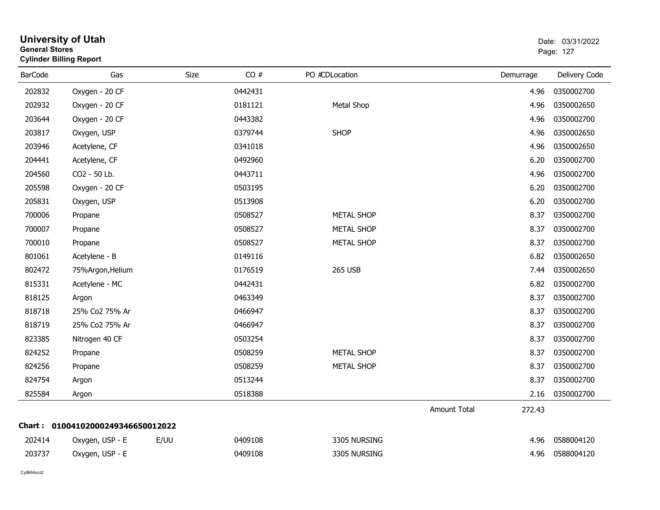| <b>General Stores</b> | <b>Cylinder Billing Report</b>    |      |         |                   |              |           | Page: 127     |
|-----------------------|-----------------------------------|------|---------|-------------------|--------------|-----------|---------------|
| <b>BarCode</b>        | Gas                               | Size | CO#     | PO #CDLocation    |              | Demurrage | Delivery Code |
| 202832                | Oxygen - 20 CF                    |      | 0442431 |                   |              | 4.96      | 0350002700    |
| 202932                | Oxygen - 20 CF                    |      | 0181121 | Metal Shop        |              | 4.96      | 0350002650    |
| 203644                | Oxygen - 20 CF                    |      | 0443382 |                   |              | 4.96      | 0350002700    |
| 203817                | Oxygen, USP                       |      | 0379744 | <b>SHOP</b>       |              | 4.96      | 0350002650    |
| 203946                | Acetylene, CF                     |      | 0341018 |                   |              | 4.96      | 0350002650    |
| 204441                | Acetylene, CF                     |      | 0492960 |                   |              | 6.20      | 0350002700    |
| 204560                | CO2 - 50 Lb.                      |      | 0443711 |                   |              | 4.96      | 0350002700    |
| 205598                | Oxygen - 20 CF                    |      | 0503195 |                   |              | 6.20      | 0350002700    |
| 205831                | Oxygen, USP                       |      | 0513908 |                   |              | 6.20      | 0350002700    |
| 700006                | Propane                           |      | 0508527 | <b>METAL SHOP</b> |              | 8.37      | 0350002700    |
| 700007                | Propane                           |      | 0508527 | <b>METAL SHOP</b> |              | 8.37      | 0350002700    |
| 700010                | Propane                           |      | 0508527 | <b>METAL SHOP</b> |              | 8.37      | 0350002700    |
| 801061                | Acetylene - B                     |      | 0149116 |                   |              | 6.82      | 0350002650    |
| 802472                | 75%Argon, Helium                  |      | 0176519 | <b>265 USB</b>    |              | 7.44      | 0350002650    |
| 815331                | Acetylene - MC                    |      | 0442431 |                   |              | 6.82      | 0350002700    |
| 818125                | Argon                             |      | 0463349 |                   |              | 8.37      | 0350002700    |
| 818718                | 25% Co2 75% Ar                    |      | 0466947 |                   |              | 8.37      | 0350002700    |
| 818719                | 25% Co2 75% Ar                    |      | 0466947 |                   |              | 8.37      | 0350002700    |
| 823385                | Nitrogen 40 CF                    |      | 0503254 |                   |              | 8.37      | 0350002700    |
| 824252                | Propane                           |      | 0508259 | <b>METAL SHOP</b> |              | 8.37      | 0350002700    |
| 824256                | Propane                           |      | 0508259 | <b>METAL SHOP</b> |              | 8.37      | 0350002700    |
| 824754                | Argon                             |      | 0513244 |                   |              | 8.37      | 0350002700    |
| 825584                | Argon                             |      | 0518388 |                   |              | 2.16      | 0350002700    |
|                       |                                   |      |         |                   | Amount Total | 272.43    |               |
|                       | Chart: 01004102000249346650012022 |      |         |                   |              |           |               |
| 202414                | Oxygen, USP - E                   | E/UU | 0409108 | 3305 NURSING      |              | 4.96      | 0588004120    |
| 203737                | Oxygen, USP - E                   |      | 0409108 | 3305 NURSING      |              | 4.96      | 0588004120    |
|                       |                                   |      |         |                   |              |           |               |

**University of Utah** Date: 03/31/2022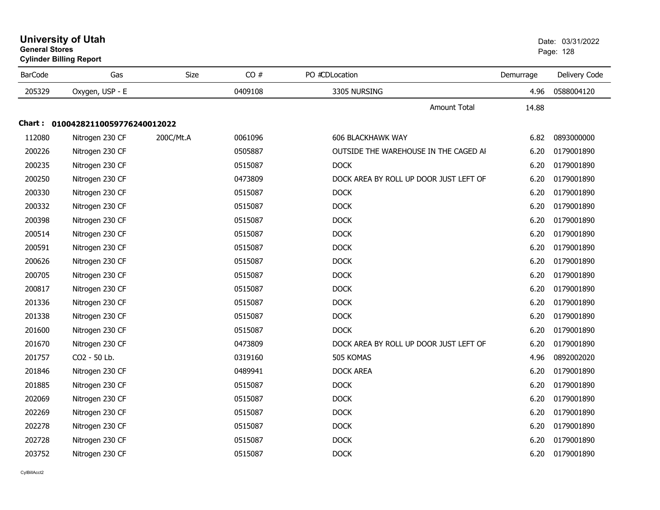| General Stores | <b>Cylinder Billing Report</b>    |           |         |                                        |           | Page: 128     |
|----------------|-----------------------------------|-----------|---------|----------------------------------------|-----------|---------------|
| <b>BarCode</b> | Gas                               | Size      | CO#     | PO #CDLocation                         | Demurrage | Delivery Code |
| 205329         | Oxygen, USP - E                   |           | 0409108 | 3305 NURSING                           | 4.96      | 0588004120    |
|                |                                   |           |         | <b>Amount Total</b>                    | 14.88     |               |
|                | Chart: 01004282110059776240012022 |           |         |                                        |           |               |
| 112080         | Nitrogen 230 CF                   | 200C/Mt.A | 0061096 | <b>606 BLACKHAWK WAY</b>               | 6.82      | 0893000000    |
| 200226         | Nitrogen 230 CF                   |           | 0505887 | OUTSIDE THE WAREHOUSE IN THE CAGED AI  | 6.20      | 0179001890    |
| 200235         | Nitrogen 230 CF                   |           | 0515087 | <b>DOCK</b>                            | 6.20      | 0179001890    |
| 200250         | Nitrogen 230 CF                   |           | 0473809 | DOCK AREA BY ROLL UP DOOR JUST LEFT OF | 6.20      | 0179001890    |
| 200330         | Nitrogen 230 CF                   |           | 0515087 | <b>DOCK</b>                            | 6.20      | 0179001890    |
| 200332         | Nitrogen 230 CF                   |           | 0515087 | <b>DOCK</b>                            | 6.20      | 0179001890    |
| 200398         | Nitrogen 230 CF                   |           | 0515087 | <b>DOCK</b>                            | 6.20      | 0179001890    |
| 200514         | Nitrogen 230 CF                   |           | 0515087 | <b>DOCK</b>                            | 6.20      | 0179001890    |
| 200591         | Nitrogen 230 CF                   |           | 0515087 | <b>DOCK</b>                            | 6.20      | 0179001890    |
| 200626         | Nitrogen 230 CF                   |           | 0515087 | <b>DOCK</b>                            | 6.20      | 0179001890    |
| 200705         | Nitrogen 230 CF                   |           | 0515087 | <b>DOCK</b>                            | 6.20      | 0179001890    |
| 200817         | Nitrogen 230 CF                   |           | 0515087 | <b>DOCK</b>                            | 6.20      | 0179001890    |
| 201336         | Nitrogen 230 CF                   |           | 0515087 | <b>DOCK</b>                            | 6.20      | 0179001890    |
| 201338         | Nitrogen 230 CF                   |           | 0515087 | <b>DOCK</b>                            | 6.20      | 0179001890    |
| 201600         | Nitrogen 230 CF                   |           | 0515087 | <b>DOCK</b>                            | 6.20      | 0179001890    |
| 201670         | Nitrogen 230 CF                   |           | 0473809 | DOCK AREA BY ROLL UP DOOR JUST LEFT OF | 6.20      | 0179001890    |
| 201757         | CO2 - 50 Lb.                      |           | 0319160 | 505 KOMAS                              | 4.96      | 0892002020    |
| 201846         | Nitrogen 230 CF                   |           | 0489941 | <b>DOCK AREA</b>                       | 6.20      | 0179001890    |
| 201885         | Nitrogen 230 CF                   |           | 0515087 | <b>DOCK</b>                            | 6.20      | 0179001890    |
| 202069         | Nitrogen 230 CF                   |           | 0515087 | <b>DOCK</b>                            | 6.20      | 0179001890    |
| 202269         | Nitrogen 230 CF                   |           | 0515087 | <b>DOCK</b>                            | 6.20      | 0179001890    |
| 202278         | Nitrogen 230 CF                   |           | 0515087 | <b>DOCK</b>                            | 6.20      | 0179001890    |
| 202728         | Nitrogen 230 CF                   |           | 0515087 | <b>DOCK</b>                            | 6.20      | 0179001890    |
| 203752         | Nitrogen 230 CF                   |           | 0515087 | <b>DOCK</b>                            | 6.20      | 0179001890    |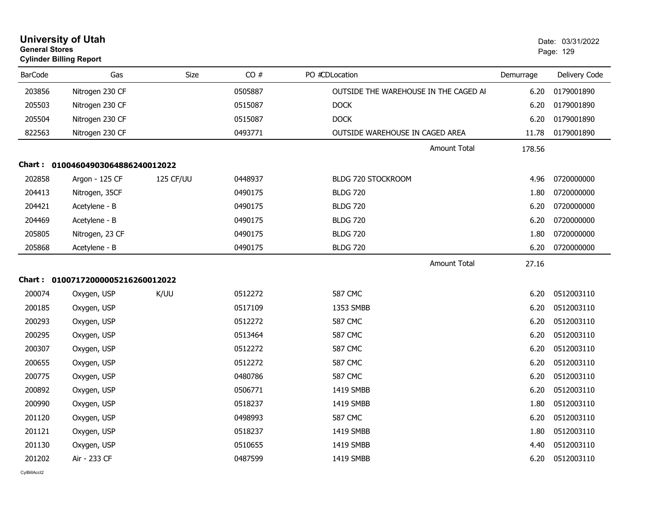| <b>General Stores</b> | <b>University of Utah</b><br><b>Cylinder Billing Report</b> |           |         |                                       |           | Date: 03/31/2022<br>Page: 129 |
|-----------------------|-------------------------------------------------------------|-----------|---------|---------------------------------------|-----------|-------------------------------|
| <b>BarCode</b>        | Gas                                                         | Size      | CO#     | PO #CDLocation                        | Demurrage | Delivery Code                 |
| 203856                | Nitrogen 230 CF                                             |           | 0505887 | OUTSIDE THE WAREHOUSE IN THE CAGED AI | 6.20      | 0179001890                    |
| 205503                | Nitrogen 230 CF                                             |           | 0515087 | <b>DOCK</b>                           | 6.20      | 0179001890                    |
| 205504                | Nitrogen 230 CF                                             |           | 0515087 | <b>DOCK</b>                           | 6.20      | 0179001890                    |
| 822563                | Nitrogen 230 CF                                             |           | 0493771 | OUTSIDE WAREHOUSE IN CAGED AREA       | 11.78     | 0179001890                    |
|                       |                                                             |           |         | <b>Amount Total</b>                   | 178.56    |                               |
|                       | Chart: 01004604903064886240012022                           |           |         |                                       |           |                               |
| 202858                | Argon - 125 CF                                              | 125 CF/UU | 0448937 | BLDG 720 STOCKROOM                    | 4.96      | 0720000000                    |
| 204413                | Nitrogen, 35CF                                              |           | 0490175 | <b>BLDG 720</b>                       | 1.80      | 0720000000                    |
| 204421                | Acetylene - B                                               |           | 0490175 | <b>BLDG 720</b>                       | 6.20      | 0720000000                    |
| 204469                | Acetylene - B                                               |           | 0490175 | <b>BLDG 720</b>                       | 6.20      | 0720000000                    |
| 205805                | Nitrogen, 23 CF                                             |           | 0490175 | <b>BLDG 720</b>                       | 1.80      | 0720000000                    |
| 205868                | Acetylene - B                                               |           | 0490175 | <b>BLDG 720</b>                       | 6.20      | 0720000000                    |
|                       |                                                             |           |         | Amount Total                          | 27.16     |                               |
|                       | Chart: 01007172000005216260012022                           |           |         |                                       |           |                               |
| 200074                | Oxygen, USP                                                 | K/UU      | 0512272 | <b>587 CMC</b>                        | 6.20      | 0512003110                    |
| 200185                | Oxygen, USP                                                 |           | 0517109 | 1353 SMBB                             | 6.20      | 0512003110                    |
| 200293                | Oxygen, USP                                                 |           | 0512272 | <b>587 CMC</b>                        | 6.20      | 0512003110                    |
| 200295                | Oxygen, USP                                                 |           | 0513464 | <b>587 CMC</b>                        | 6.20      | 0512003110                    |
| 200307                | Oxygen, USP                                                 |           | 0512272 | <b>587 CMC</b>                        | 6.20      | 0512003110                    |
| 200655                | Oxygen, USP                                                 |           | 0512272 | <b>587 CMC</b>                        | 6.20      | 0512003110                    |
| 200775                | Oxygen, USP                                                 |           | 0480786 | <b>587 CMC</b>                        | 6.20      | 0512003110                    |
| 200892                | Oxygen, USP                                                 |           | 0506771 | 1419 SMBB                             | 6.20      | 0512003110                    |
| 200990                | Oxygen, USP                                                 |           | 0518237 | 1419 SMBB                             | 1.80      | 0512003110                    |
| 201120                | Oxygen, USP                                                 |           | 0498993 | <b>587 CMC</b>                        | 6.20      | 0512003110                    |
| 201121                | Oxygen, USP                                                 |           | 0518237 | 1419 SMBB                             | 1.80      | 0512003110                    |
| 201130                | Oxygen, USP                                                 |           | 0510655 | 1419 SMBB                             | 4.40      | 0512003110                    |
| 201202                | Air - 233 CF                                                |           | 0487599 | 1419 SMBB                             | 6.20      | 0512003110                    |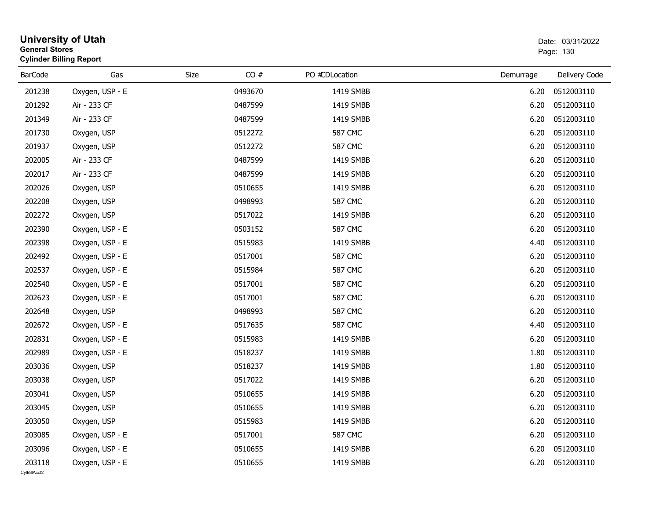| <b>General Stores</b>  | <b>University of Utah</b><br><b>Cylinder Billing Report</b> |             |         |                |           | Date: 03/31/2022<br>Page: 130 |
|------------------------|-------------------------------------------------------------|-------------|---------|----------------|-----------|-------------------------------|
| <b>BarCode</b>         | Gas                                                         | <b>Size</b> | CO#     | PO #CDLocation | Demurrage | Delivery Code                 |
| 201238                 | Oxygen, USP - E                                             |             | 0493670 | 1419 SMBB      | 6.20      | 0512003110                    |
| 201292                 | Air - 233 CF                                                |             | 0487599 | 1419 SMBB      | 6.20      | 0512003110                    |
| 201349                 | Air - 233 CF                                                |             | 0487599 | 1419 SMBB      | 6.20      | 0512003110                    |
| 201730                 | Oxygen, USP                                                 |             | 0512272 | <b>587 CMC</b> | 6.20      | 0512003110                    |
| 201937                 | Oxygen, USP                                                 |             | 0512272 | <b>587 CMC</b> | 6.20      | 0512003110                    |
| 202005                 | Air - 233 CF                                                |             | 0487599 | 1419 SMBB      | 6.20      | 0512003110                    |
| 202017                 | Air - 233 CF                                                |             | 0487599 | 1419 SMBB      | 6.20      | 0512003110                    |
| 202026                 | Oxygen, USP                                                 |             | 0510655 | 1419 SMBB      | 6.20      | 0512003110                    |
| 202208                 | Oxygen, USP                                                 |             | 0498993 | <b>587 CMC</b> | 6.20      | 0512003110                    |
| 202272                 | Oxygen, USP                                                 |             | 0517022 | 1419 SMBB      | 6.20      | 0512003110                    |
| 202390                 | Oxygen, USP - E                                             |             | 0503152 | <b>587 CMC</b> | 6.20      | 0512003110                    |
| 202398                 | Oxygen, USP - E                                             |             | 0515983 | 1419 SMBB      | 4.40      | 0512003110                    |
| 202492                 | Oxygen, USP - E                                             |             | 0517001 | <b>587 CMC</b> | 6.20      | 0512003110                    |
| 202537                 | Oxygen, USP - E                                             |             | 0515984 | <b>587 CMC</b> | 6.20      | 0512003110                    |
| 202540                 | Oxygen, USP - E                                             |             | 0517001 | <b>587 CMC</b> | 6.20      | 0512003110                    |
| 202623                 | Oxygen, USP - E                                             |             | 0517001 | <b>587 CMC</b> | 6.20      | 0512003110                    |
| 202648                 | Oxygen, USP                                                 |             | 0498993 | <b>587 CMC</b> | 6.20      | 0512003110                    |
| 202672                 | Oxygen, USP - E                                             |             | 0517635 | <b>587 CMC</b> | 4.40      | 0512003110                    |
| 202831                 | Oxygen, USP - E                                             |             | 0515983 | 1419 SMBB      | 6.20      | 0512003110                    |
| 202989                 | Oxygen, USP - E                                             |             | 0518237 | 1419 SMBB      | 1.80      | 0512003110                    |
| 203036                 | Oxygen, USP                                                 |             | 0518237 | 1419 SMBB      | 1.80      | 0512003110                    |
| 203038                 | Oxygen, USP                                                 |             | 0517022 | 1419 SMBB      | 6.20      | 0512003110                    |
| 203041                 | Oxygen, USP                                                 |             | 0510655 | 1419 SMBB      | 6.20      | 0512003110                    |
| 203045                 | Oxygen, USP                                                 |             | 0510655 | 1419 SMBB      | 6.20      | 0512003110                    |
| 203050                 | Oxygen, USP                                                 |             | 0515983 | 1419 SMBB      | 6.20      | 0512003110                    |
| 203085                 | Oxygen, USP - E                                             |             | 0517001 | <b>587 CMC</b> | 6.20      | 0512003110                    |
| 203096                 | Oxygen, USP - E                                             |             | 0510655 | 1419 SMBB      | 6.20      | 0512003110                    |
| 203118<br>CvIBillAcct2 | Oxygen, USP - E                                             |             | 0510655 | 1419 SMBB      | 6.20      | 0512003110                    |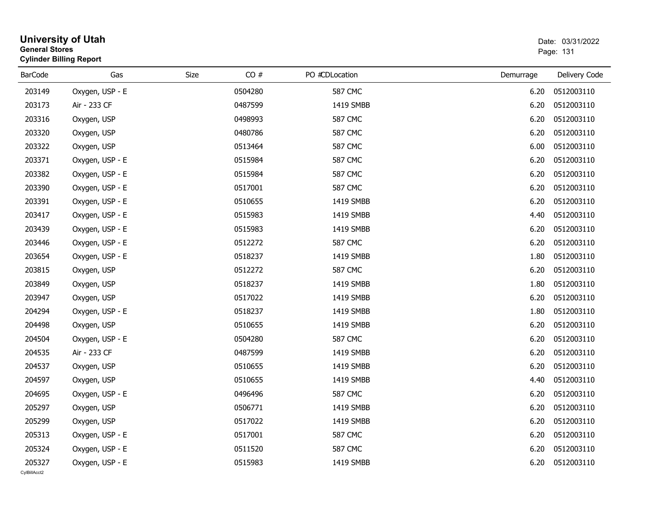| <b>General Stores</b>  | <b>University of Utah</b><br><b>Cylinder Billing Report</b> |             |         |                |           | Date: 03/31/2022<br>Page: 131 |
|------------------------|-------------------------------------------------------------|-------------|---------|----------------|-----------|-------------------------------|
| <b>BarCode</b>         | Gas                                                         | <b>Size</b> | CO#     | PO #CDLocation | Demurrage | Delivery Code                 |
| 203149                 | Oxygen, USP - E                                             |             | 0504280 | <b>587 CMC</b> | 6.20      | 0512003110                    |
| 203173                 | Air - 233 CF                                                |             | 0487599 | 1419 SMBB      | 6.20      | 0512003110                    |
| 203316                 | Oxygen, USP                                                 |             | 0498993 | <b>587 CMC</b> | 6.20      | 0512003110                    |
| 203320                 | Oxygen, USP                                                 |             | 0480786 | <b>587 CMC</b> | 6.20      | 0512003110                    |
| 203322                 | Oxygen, USP                                                 |             | 0513464 | <b>587 CMC</b> | 6.00      | 0512003110                    |
| 203371                 | Oxygen, USP - E                                             |             | 0515984 | <b>587 CMC</b> | 6.20      | 0512003110                    |
| 203382                 | Oxygen, USP - E                                             |             | 0515984 | <b>587 CMC</b> | 6.20      | 0512003110                    |
| 203390                 | Oxygen, USP - E                                             |             | 0517001 | <b>587 CMC</b> | 6.20      | 0512003110                    |
| 203391                 | Oxygen, USP - E                                             |             | 0510655 | 1419 SMBB      | 6.20      | 0512003110                    |
| 203417                 | Oxygen, USP - E                                             |             | 0515983 | 1419 SMBB      | 4.40      | 0512003110                    |
| 203439                 | Oxygen, USP - E                                             |             | 0515983 | 1419 SMBB      | 6.20      | 0512003110                    |
| 203446                 | Oxygen, USP - E                                             |             | 0512272 | <b>587 CMC</b> | 6.20      | 0512003110                    |
| 203654                 | Oxygen, USP - E                                             |             | 0518237 | 1419 SMBB      | 1.80      | 0512003110                    |
| 203815                 | Oxygen, USP                                                 |             | 0512272 | <b>587 CMC</b> | 6.20      | 0512003110                    |
| 203849                 | Oxygen, USP                                                 |             | 0518237 | 1419 SMBB      | 1.80      | 0512003110                    |
| 203947                 | Oxygen, USP                                                 |             | 0517022 | 1419 SMBB      | 6.20      | 0512003110                    |
| 204294                 | Oxygen, USP - E                                             |             | 0518237 | 1419 SMBB      | 1.80      | 0512003110                    |
| 204498                 | Oxygen, USP                                                 |             | 0510655 | 1419 SMBB      | 6.20      | 0512003110                    |
| 204504                 | Oxygen, USP - E                                             |             | 0504280 | <b>587 CMC</b> | 6.20      | 0512003110                    |
| 204535                 | Air - 233 CF                                                |             | 0487599 | 1419 SMBB      | 6.20      | 0512003110                    |
| 204537                 | Oxygen, USP                                                 |             | 0510655 | 1419 SMBB      | 6.20      | 0512003110                    |
| 204597                 | Oxygen, USP                                                 |             | 0510655 | 1419 SMBB      | 4.40      | 0512003110                    |
| 204695                 | Oxygen, USP - E                                             |             | 0496496 | <b>587 CMC</b> | 6.20      | 0512003110                    |
| 205297                 | Oxygen, USP                                                 |             | 0506771 | 1419 SMBB      | 6.20      | 0512003110                    |
| 205299                 | Oxygen, USP                                                 |             | 0517022 | 1419 SMBB      | 6.20      | 0512003110                    |
| 205313                 | Oxygen, USP - E                                             |             | 0517001 | <b>587 CMC</b> | 6.20      | 0512003110                    |
| 205324                 | Oxygen, USP - E                                             |             | 0511520 | <b>587 CMC</b> | 6.20      | 0512003110                    |
| 205327<br>CvIBillAcct2 | Oxygen, USP - E                                             |             | 0515983 | 1419 SMBB      | 6.20      | 0512003110                    |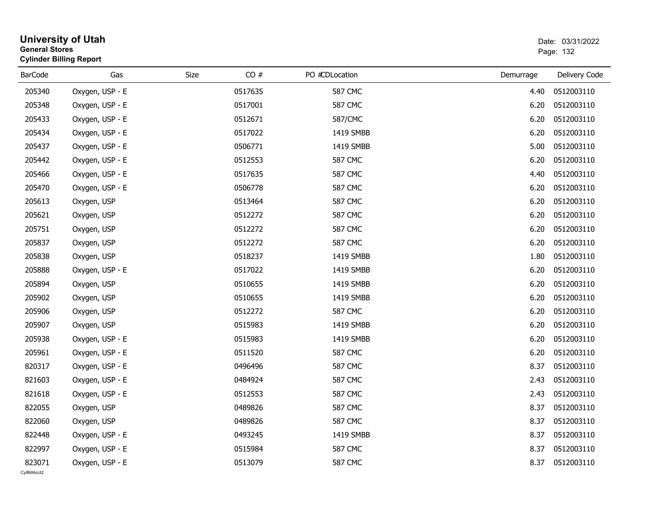| <b>General Stores</b>  | <b>University of Utah</b><br><b>Cylinder Billing Report</b> |      |         |                |           | Date: 03/31/2022<br>Page: 132 |
|------------------------|-------------------------------------------------------------|------|---------|----------------|-----------|-------------------------------|
| <b>BarCode</b>         | Gas                                                         | Size | CO#     | PO #CDLocation | Demurrage | Delivery Code                 |
| 205340                 | Oxygen, USP - E                                             |      | 0517635 | <b>587 CMC</b> | 4.40      | 0512003110                    |
| 205348                 | Oxygen, USP - E                                             |      | 0517001 | <b>587 CMC</b> | 6.20      | 0512003110                    |
| 205433                 | Oxygen, USP - E                                             |      | 0512671 | 587/CMC        | 6.20      | 0512003110                    |
| 205434                 | Oxygen, USP - E                                             |      | 0517022 | 1419 SMBB      | 6.20      | 0512003110                    |
| 205437                 | Oxygen, USP - E                                             |      | 0506771 | 1419 SMBB      | 5.00      | 0512003110                    |
| 205442                 | Oxygen, USP - E                                             |      | 0512553 | <b>587 CMC</b> | 6.20      | 0512003110                    |
| 205466                 | Oxygen, USP - E                                             |      | 0517635 | <b>587 CMC</b> | 4.40      | 0512003110                    |
| 205470                 | Oxygen, USP - E                                             |      | 0506778 | <b>587 CMC</b> | 6.20      | 0512003110                    |
| 205613                 | Oxygen, USP                                                 |      | 0513464 | <b>587 CMC</b> | 6.20      | 0512003110                    |
| 205621                 | Oxygen, USP                                                 |      | 0512272 | <b>587 CMC</b> | 6.20      | 0512003110                    |
| 205751                 | Oxygen, USP                                                 |      | 0512272 | <b>587 CMC</b> | 6.20      | 0512003110                    |
| 205837                 | Oxygen, USP                                                 |      | 0512272 | <b>587 CMC</b> | 6.20      | 0512003110                    |
| 205838                 | Oxygen, USP                                                 |      | 0518237 | 1419 SMBB      | 1.80      | 0512003110                    |
| 205888                 | Oxygen, USP - E                                             |      | 0517022 | 1419 SMBB      | 6.20      | 0512003110                    |
| 205894                 | Oxygen, USP                                                 |      | 0510655 | 1419 SMBB      | 6.20      | 0512003110                    |
| 205902                 | Oxygen, USP                                                 |      | 0510655 | 1419 SMBB      | 6.20      | 0512003110                    |
| 205906                 | Oxygen, USP                                                 |      | 0512272 | <b>587 CMC</b> | 6.20      | 0512003110                    |
| 205907                 | Oxygen, USP                                                 |      | 0515983 | 1419 SMBB      | 6.20      | 0512003110                    |
| 205938                 | Oxygen, USP - E                                             |      | 0515983 | 1419 SMBB      | 6.20      | 0512003110                    |
| 205961                 | Oxygen, USP - E                                             |      | 0511520 | <b>587 CMC</b> | 6.20      | 0512003110                    |
| 820317                 | Oxygen, USP - E                                             |      | 0496496 | <b>587 CMC</b> | 8.37      | 0512003110                    |
| 821603                 | Oxygen, USP - E                                             |      | 0484924 | <b>587 CMC</b> | 2.43      | 0512003110                    |
| 821618                 | Oxygen, USP - E                                             |      | 0512553 | <b>587 CMC</b> | 2.43      | 0512003110                    |
| 822055                 | Oxygen, USP                                                 |      | 0489826 | <b>587 CMC</b> | 8.37      | 0512003110                    |
| 822060                 | Oxygen, USP                                                 |      | 0489826 | <b>587 CMC</b> | 8.37      | 0512003110                    |
| 822448                 | Oxygen, USP - E                                             |      | 0493245 | 1419 SMBB      | 8.37      | 0512003110                    |
| 822997                 | Oxygen, USP - E                                             |      | 0515984 | <b>587 CMC</b> | 8.37      | 0512003110                    |
| 823071<br>CvIBillAcct2 | Oxygen, USP - E                                             |      | 0513079 | <b>587 CMC</b> | 8.37      | 0512003110                    |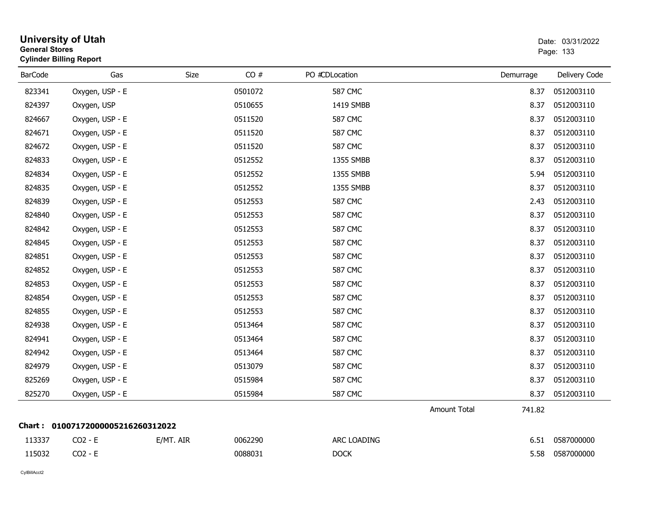| <b>General Stores</b> | <b>University of Utah</b><br><b>Cylinder Billing Report</b> |           |         |                |                     |           | Date: 03/31/2022<br>Page: 133 |
|-----------------------|-------------------------------------------------------------|-----------|---------|----------------|---------------------|-----------|-------------------------------|
| <b>BarCode</b>        | Gas                                                         | Size      | CO#     | PO #CDLocation |                     | Demurrage | Delivery Code                 |
| 823341                | Oxygen, USP - E                                             |           | 0501072 | <b>587 CMC</b> |                     | 8.37      | 0512003110                    |
| 824397                | Oxygen, USP                                                 |           | 0510655 | 1419 SMBB      |                     | 8.37      | 0512003110                    |
| 824667                | Oxygen, USP - E                                             |           | 0511520 | <b>587 CMC</b> |                     | 8.37      | 0512003110                    |
| 824671                | Oxygen, USP - E                                             |           | 0511520 | <b>587 CMC</b> |                     | 8.37      | 0512003110                    |
| 824672                | Oxygen, USP - E                                             |           | 0511520 | <b>587 CMC</b> |                     | 8.37      | 0512003110                    |
| 824833                | Oxygen, USP - E                                             |           | 0512552 | 1355 SMBB      |                     | 8.37      | 0512003110                    |
| 824834                | Oxygen, USP - E                                             |           | 0512552 | 1355 SMBB      |                     | 5.94      | 0512003110                    |
| 824835                | Oxygen, USP - E                                             |           | 0512552 | 1355 SMBB      |                     | 8.37      | 0512003110                    |
| 824839                | Oxygen, USP - E                                             |           | 0512553 | <b>587 CMC</b> |                     | 2.43      | 0512003110                    |
| 824840                | Oxygen, USP - E                                             |           | 0512553 | <b>587 CMC</b> |                     | 8.37      | 0512003110                    |
| 824842                | Oxygen, USP - E                                             |           | 0512553 | <b>587 CMC</b> |                     | 8.37      | 0512003110                    |
| 824845                | Oxygen, USP - E                                             |           | 0512553 | <b>587 CMC</b> |                     | 8.37      | 0512003110                    |
| 824851                | Oxygen, USP - E                                             |           | 0512553 | <b>587 CMC</b> |                     | 8.37      | 0512003110                    |
| 824852                | Oxygen, USP - E                                             |           | 0512553 | <b>587 CMC</b> |                     | 8.37      | 0512003110                    |
| 824853                | Oxygen, USP - E                                             |           | 0512553 | <b>587 CMC</b> |                     | 8.37      | 0512003110                    |
| 824854                | Oxygen, USP - E                                             |           | 0512553 | <b>587 CMC</b> |                     | 8.37      | 0512003110                    |
| 824855                | Oxygen, USP - E                                             |           | 0512553 | <b>587 CMC</b> |                     | 8.37      | 0512003110                    |
| 824938                | Oxygen, USP - E                                             |           | 0513464 | <b>587 CMC</b> |                     | 8.37      | 0512003110                    |
| 824941                | Oxygen, USP - E                                             |           | 0513464 | <b>587 CMC</b> |                     | 8.37      | 0512003110                    |
| 824942                | Oxygen, USP - E                                             |           | 0513464 | <b>587 CMC</b> |                     | 8.37      | 0512003110                    |
| 824979                | Oxygen, USP - E                                             |           | 0513079 | <b>587 CMC</b> |                     | 8.37      | 0512003110                    |
| 825269                | Oxygen, USP - E                                             |           | 0515984 | <b>587 CMC</b> |                     | 8.37      | 0512003110                    |
| 825270                | Oxygen, USP - E                                             |           | 0515984 | <b>587 CMC</b> |                     | 8.37      | 0512003110                    |
|                       |                                                             |           |         |                | <b>Amount Total</b> | 741.82    |                               |
|                       | Chart: 01007172000005216260312022                           |           |         |                |                     |           |                               |
| 113337                | $CO2 - E$                                                   | E/MT. AIR | 0062290 | ARC LOADING    |                     | 6.51      | 0587000000                    |
| 115032                | CO2 - E                                                     |           | 0088031 | <b>DOCK</b>    |                     | 5.58      | 0587000000                    |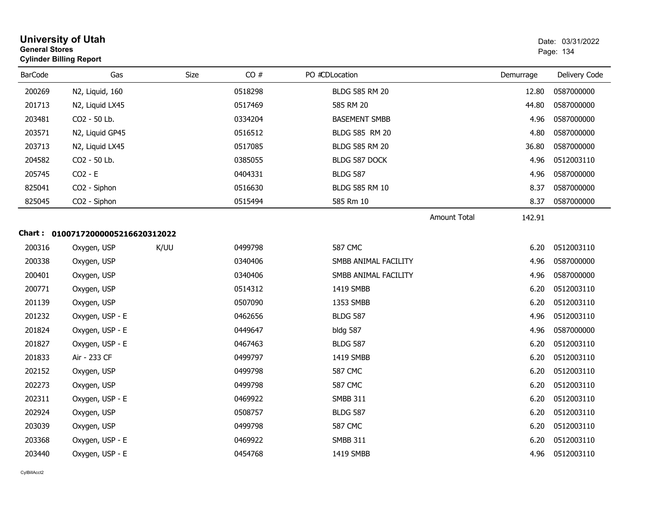| <b>General Stores</b> | <b>University of Utah</b><br><b>Cylinder Billing Report</b> |             |         |                       |                               | Date: 03/31/2022<br>Page: 134 |  |
|-----------------------|-------------------------------------------------------------|-------------|---------|-----------------------|-------------------------------|-------------------------------|--|
| <b>BarCode</b>        | Gas                                                         | <b>Size</b> | CO#     | PO #CDLocation        | Demurrage                     | Delivery Code                 |  |
| 200269                | N2, Liquid, 160                                             |             | 0518298 | <b>BLDG 585 RM 20</b> | 12.80                         | 0587000000                    |  |
| 201713                | N2, Liquid LX45                                             |             | 0517469 | 585 RM 20             | 44.80                         | 0587000000                    |  |
| 203481                | CO2 - 50 Lb.                                                |             | 0334204 | <b>BASEMENT SMBB</b>  | 4.96                          | 0587000000                    |  |
| 203571                | N2, Liquid GP45                                             |             | 0516512 | BLDG 585 RM 20        | 4.80                          | 0587000000                    |  |
| 203713                | N2, Liquid LX45                                             |             | 0517085 | <b>BLDG 585 RM 20</b> | 36.80                         | 0587000000                    |  |
| 204582                | CO2 - 50 Lb.                                                |             | 0385055 | BLDG 587 DOCK         | 4.96                          | 0512003110                    |  |
| 205745                | $CO2 - E$                                                   |             | 0404331 | <b>BLDG 587</b>       | 4.96                          | 0587000000                    |  |
| 825041                | CO2 - Siphon                                                |             | 0516630 | <b>BLDG 585 RM 10</b> | 8.37                          | 0587000000                    |  |
| 825045                | CO2 - Siphon                                                |             | 0515494 | 585 Rm 10             | 8.37                          | 0587000000                    |  |
|                       |                                                             |             |         |                       | <b>Amount Total</b><br>142.91 |                               |  |
|                       | Chart: 01007172000005216620312022                           |             |         |                       |                               |                               |  |
| 200316                | Oxygen, USP                                                 | K/UU        | 0499798 | <b>587 CMC</b>        | 6.20                          | 0512003110                    |  |
| 200338                | Oxygen, USP                                                 |             | 0340406 | SMBB ANIMAL FACILITY  | 4.96                          | 0587000000                    |  |
| 200401                | Oxygen, USP                                                 |             | 0340406 | SMBB ANIMAL FACILITY  | 4.96                          | 0587000000                    |  |
| 200771                | Oxygen, USP                                                 |             | 0514312 | 1419 SMBB             | 6.20                          | 0512003110                    |  |
| 201139                | Oxygen, USP                                                 |             | 0507090 | 1353 SMBB             | 6.20                          | 0512003110                    |  |
| 201232                | Oxygen, USP - E                                             |             | 0462656 | <b>BLDG 587</b>       | 4.96                          | 0512003110                    |  |
| 201824                | Oxygen, USP - E                                             |             | 0449647 | <b>bldg 587</b>       | 4.96                          | 0587000000                    |  |
| 201827                | Oxygen, USP - E                                             |             | 0467463 | <b>BLDG 587</b>       | 6.20                          | 0512003110                    |  |
| 201833                | Air - 233 CF                                                |             | 0499797 | 1419 SMBB             | 6.20                          | 0512003110                    |  |
| 202152                | Oxygen, USP                                                 |             | 0499798 | <b>587 CMC</b>        | 6.20                          | 0512003110                    |  |
| 202273                | Oxygen, USP                                                 |             | 0499798 | <b>587 CMC</b>        | 6.20                          | 0512003110                    |  |
| 202311                | Oxygen, USP - E                                             |             | 0469922 | <b>SMBB 311</b>       | 6.20                          | 0512003110                    |  |
| 202924                | Oxygen, USP                                                 |             | 0508757 | <b>BLDG 587</b>       | 6.20                          | 0512003110                    |  |
| 203039                | Oxygen, USP                                                 |             | 0499798 | <b>587 CMC</b>        | 6.20                          | 0512003110                    |  |
| 203368                | Oxygen, USP - E                                             |             | 0469922 | <b>SMBB 311</b>       | 6.20                          | 0512003110                    |  |
| 203440                | Oxygen, USP - E                                             |             | 0454768 | 1419 SMBB             | 4.96                          | 0512003110                    |  |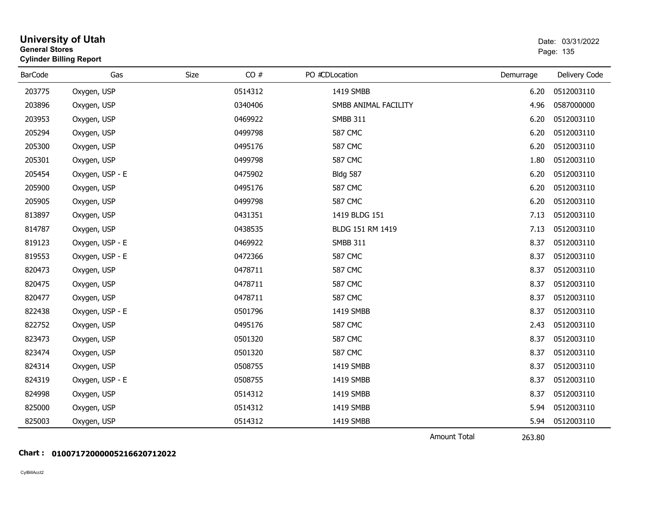| <b>General Stores</b><br><b>Cylinder Billing Report</b> | <b>University of Utah</b> |      |         |                      |                                                  | Date: 03/31/2022<br>Page: 135 |
|---------------------------------------------------------|---------------------------|------|---------|----------------------|--------------------------------------------------|-------------------------------|
| <b>BarCode</b>                                          | Gas                       | Size | CO#     | PO #CDLocation       | Demurrage                                        | Delivery Code                 |
| 203775                                                  | Oxygen, USP               |      | 0514312 | 1419 SMBB            | 6.20                                             | 0512003110                    |
| 203896                                                  | Oxygen, USP               |      | 0340406 | SMBB ANIMAL FACILITY | 4.96                                             | 0587000000                    |
| 203953                                                  | Oxygen, USP               |      | 0469922 | <b>SMBB 311</b>      | 6.20                                             | 0512003110                    |
| 205294                                                  | Oxygen, USP               |      | 0499798 | <b>587 CMC</b>       | 6.20                                             | 0512003110                    |
| 205300                                                  | Oxygen, USP               |      | 0495176 | <b>587 CMC</b>       | 6.20                                             | 0512003110                    |
| 205301                                                  | Oxygen, USP               |      | 0499798 | <b>587 CMC</b>       | 1.80                                             | 0512003110                    |
| 205454                                                  | Oxygen, USP - E           |      | 0475902 | <b>Bldg 587</b>      | 6.20                                             | 0512003110                    |
| 205900                                                  | Oxygen, USP               |      | 0495176 | <b>587 CMC</b>       | 6.20                                             | 0512003110                    |
| 205905                                                  | Oxygen, USP               |      | 0499798 | <b>587 CMC</b>       | 6.20                                             | 0512003110                    |
| 813897                                                  | Oxygen, USP               |      | 0431351 | 1419 BLDG 151        | 7.13                                             | 0512003110                    |
| 814787                                                  | Oxygen, USP               |      | 0438535 | BLDG 151 RM 1419     | 7.13                                             | 0512003110                    |
| 819123                                                  | Oxygen, USP - E           |      | 0469922 | <b>SMBB 311</b>      | 8.37                                             | 0512003110                    |
| 819553                                                  | Oxygen, USP - E           |      | 0472366 | <b>587 CMC</b>       | 8.37                                             | 0512003110                    |
| 820473                                                  | Oxygen, USP               |      | 0478711 | <b>587 CMC</b>       | 8.37                                             | 0512003110                    |
| 820475                                                  | Oxygen, USP               |      | 0478711 | <b>587 CMC</b>       | 8.37                                             | 0512003110                    |
| 820477                                                  | Oxygen, USP               |      | 0478711 | <b>587 CMC</b>       | 8.37                                             | 0512003110                    |
| 822438                                                  | Oxygen, USP - E           |      | 0501796 | 1419 SMBB            | 8.37                                             | 0512003110                    |
| 822752                                                  | Oxygen, USP               |      | 0495176 | <b>587 CMC</b>       | 2.43                                             | 0512003110                    |
| 823473                                                  | Oxygen, USP               |      | 0501320 | <b>587 CMC</b>       | 8.37                                             | 0512003110                    |
| 823474                                                  | Oxygen, USP               |      | 0501320 | <b>587 CMC</b>       | 8.37                                             | 0512003110                    |
| 824314                                                  | Oxygen, USP               |      | 0508755 | 1419 SMBB            | 8.37                                             | 0512003110                    |
| 824319                                                  | Oxygen, USP - E           |      | 0508755 | 1419 SMBB            | 8.37                                             | 0512003110                    |
| 824998                                                  | Oxygen, USP               |      | 0514312 | 1419 SMBB            | 8.37                                             | 0512003110                    |
| 825000                                                  | Oxygen, USP               |      | 0514312 | 1419 SMBB            | 5.94                                             | 0512003110                    |
| 825003                                                  | Oxygen, USP               |      | 0514312 | 1419 SMBB            | 5.94                                             | 0512003110                    |
|                                                         |                           |      |         |                      | $\sim$ $\sim$ $\sim$ $\sim$ $\sim$ $\sim$ $\sim$ |                               |

Amount Total

263.80

#### **Chart : 01007172000005216620712022**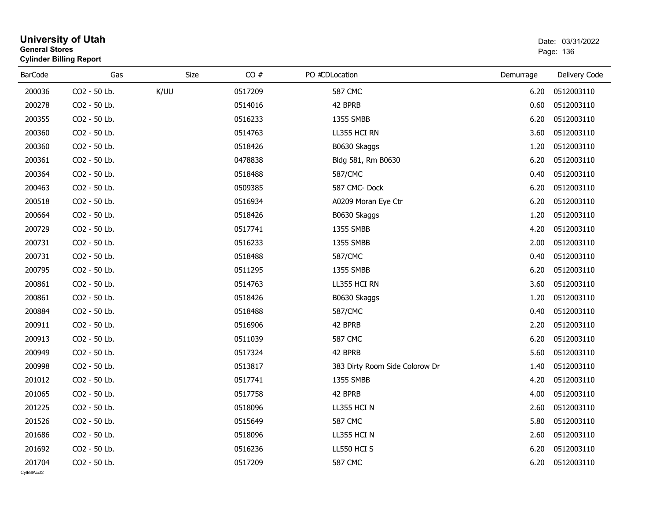|                | General Stores<br><b>Cylinder Billing Report</b> |      |         |                                | Page: 136 |               |  |
|----------------|--------------------------------------------------|------|---------|--------------------------------|-----------|---------------|--|
| <b>BarCode</b> | Gas                                              | Size | CO#     | PO #CDLocation                 | Demurrage | Delivery Code |  |
| 200036         | CO2 - 50 Lb.                                     | K/UU | 0517209 | <b>587 CMC</b>                 | 6.20      | 0512003110    |  |
| 200278         | CO2 - 50 Lb.                                     |      | 0514016 | 42 BPRB                        | 0.60      | 0512003110    |  |
| 200355         | CO2 - 50 Lb.                                     |      | 0516233 | 1355 SMBB                      | 6.20      | 0512003110    |  |
| 200360         | CO2 - 50 Lb.                                     |      | 0514763 | LL355 HCI RN                   | 3.60      | 0512003110    |  |
| 200360         | CO2 - 50 Lb.                                     |      | 0518426 | B0630 Skaggs                   | 1.20      | 0512003110    |  |
| 200361         | CO2 - 50 Lb.                                     |      | 0478838 | Bldg 581, Rm B0630             | 6.20      | 0512003110    |  |
| 200364         | CO2 - 50 Lb.                                     |      | 0518488 | 587/CMC                        | 0.40      | 0512003110    |  |
| 200463         | CO2 - 50 Lb.                                     |      | 0509385 | 587 CMC-Dock                   | 6.20      | 0512003110    |  |
| 200518         | CO2 - 50 Lb.                                     |      | 0516934 | A0209 Moran Eye Ctr            | 6.20      | 0512003110    |  |
| 200664         | CO2 - 50 Lb.                                     |      | 0518426 | B0630 Skaggs                   | 1.20      | 0512003110    |  |
| 200729         | CO2 - 50 Lb.                                     |      | 0517741 | 1355 SMBB                      | 4.20      | 0512003110    |  |
| 200731         | CO2 - 50 Lb.                                     |      | 0516233 | 1355 SMBB                      | 2.00      | 0512003110    |  |
| 200731         | CO2 - 50 Lb.                                     |      | 0518488 | 587/CMC                        | 0.40      | 0512003110    |  |
| 200795         | CO2 - 50 Lb.                                     |      | 0511295 | 1355 SMBB                      | 6.20      | 0512003110    |  |
| 200861         | CO2 - 50 Lb.                                     |      | 0514763 | LL355 HCI RN                   | 3.60      | 0512003110    |  |
| 200861         | CO2 - 50 Lb.                                     |      | 0518426 | B0630 Skaggs                   | 1.20      | 0512003110    |  |
| 200884         | CO2 - 50 Lb.                                     |      | 0518488 | 587/CMC                        | 0.40      | 0512003110    |  |
| 200911         | CO2 - 50 Lb.                                     |      | 0516906 | 42 BPRB                        | 2.20      | 0512003110    |  |
| 200913         | CO2 - 50 Lb.                                     |      | 0511039 | <b>587 CMC</b>                 | 6.20      | 0512003110    |  |
| 200949         | CO2 - 50 Lb.                                     |      | 0517324 | 42 BPRB                        | 5.60      | 0512003110    |  |
| 200998         | CO2 - 50 Lb.                                     |      | 0513817 | 383 Dirty Room Side Colorow Dr | 1.40      | 0512003110    |  |
| 201012         | CO2 - 50 Lb.                                     |      | 0517741 | 1355 SMBB                      | 4.20      | 0512003110    |  |
| 201065         | CO2 - 50 Lb.                                     |      | 0517758 | 42 BPRB                        | 4.00      | 0512003110    |  |
| 201225         | CO2 - 50 Lb.                                     |      | 0518096 | LL355 HCI N                    | 2.60      | 0512003110    |  |
| 201526         | CO2 - 50 Lb.                                     |      | 0515649 | <b>587 CMC</b>                 | 5.80      | 0512003110    |  |
| 201686         | CO2 - 50 Lb.                                     |      | 0518096 | LL355 HCI N                    | 2.60      | 0512003110    |  |
| 201692         | CO2 - 50 Lb.                                     |      | 0516236 | LL550 HCI S                    | 6.20      | 0512003110    |  |
| 201704         | CO2 - 50 Lb.                                     |      | 0517209 | <b>587 CMC</b>                 | 6.20      | 0512003110    |  |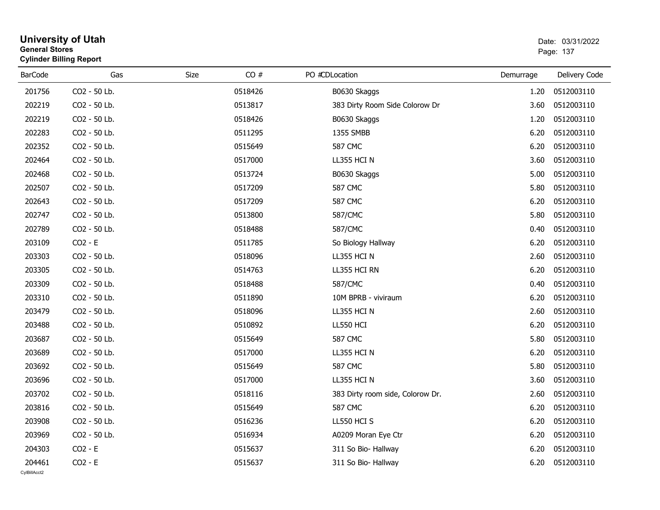|                | General Stores<br><b>Cylinder Billing Report</b> |      |         |                                  |           | Page: 137     |  |  |
|----------------|--------------------------------------------------|------|---------|----------------------------------|-----------|---------------|--|--|
| <b>BarCode</b> | Gas                                              | Size | CO#     | PO #CDLocation                   | Demurrage | Delivery Code |  |  |
| 201756         | CO2 - 50 Lb.                                     |      | 0518426 | B0630 Skaggs                     | 1.20      | 0512003110    |  |  |
| 202219         | CO2 - 50 Lb.                                     |      | 0513817 | 383 Dirty Room Side Colorow Dr   | 3.60      | 0512003110    |  |  |
| 202219         | CO2 - 50 Lb.                                     |      | 0518426 | B0630 Skaggs                     | 1.20      | 0512003110    |  |  |
| 202283         | CO2 - 50 Lb.                                     |      | 0511295 | 1355 SMBB                        | 6.20      | 0512003110    |  |  |
| 202352         | CO2 - 50 Lb.                                     |      | 0515649 | <b>587 CMC</b>                   | 6.20      | 0512003110    |  |  |
| 202464         | CO2 - 50 Lb.                                     |      | 0517000 | LL355 HCI N                      | 3.60      | 0512003110    |  |  |
| 202468         | CO2 - 50 Lb.                                     |      | 0513724 | B0630 Skaggs                     | 5.00      | 0512003110    |  |  |
| 202507         | CO2 - 50 Lb.                                     |      | 0517209 | <b>587 CMC</b>                   | 5.80      | 0512003110    |  |  |
| 202643         | CO2 - 50 Lb.                                     |      | 0517209 | <b>587 CMC</b>                   | 6.20      | 0512003110    |  |  |
| 202747         | CO2 - 50 Lb.                                     |      | 0513800 | 587/CMC                          | 5.80      | 0512003110    |  |  |
| 202789         | CO2 - 50 Lb.                                     |      | 0518488 | 587/CMC                          | 0.40      | 0512003110    |  |  |
| 203109         | $CO2 - E$                                        |      | 0511785 | So Biology Hallway               | 6.20      | 0512003110    |  |  |
| 203303         | CO2 - 50 Lb.                                     |      | 0518096 | LL355 HCI N                      | 2.60      | 0512003110    |  |  |
| 203305         | CO2 - 50 Lb.                                     |      | 0514763 | LL355 HCI RN                     | 6.20      | 0512003110    |  |  |
| 203309         | CO2 - 50 Lb.                                     |      | 0518488 | 587/CMC                          | 0.40      | 0512003110    |  |  |
| 203310         | CO2 - 50 Lb.                                     |      | 0511890 | 10M BPRB - viviraum              | 6.20      | 0512003110    |  |  |
| 203479         | CO2 - 50 Lb.                                     |      | 0518096 | LL355 HCI N                      | 2.60      | 0512003110    |  |  |
| 203488         | CO2 - 50 Lb.                                     |      | 0510892 | LL550 HCI                        | 6.20      | 0512003110    |  |  |
| 203687         | CO2 - 50 Lb.                                     |      | 0515649 | <b>587 CMC</b>                   | 5.80      | 0512003110    |  |  |
| 203689         | CO2 - 50 Lb.                                     |      | 0517000 | LL355 HCI N                      | 6.20      | 0512003110    |  |  |
| 203692         | CO2 - 50 Lb.                                     |      | 0515649 | <b>587 CMC</b>                   | 5.80      | 0512003110    |  |  |
| 203696         | CO2 - 50 Lb.                                     |      | 0517000 | LL355 HCI N                      | 3.60      | 0512003110    |  |  |
| 203702         | CO2 - 50 Lb.                                     |      | 0518116 | 383 Dirty room side, Colorow Dr. | 2.60      | 0512003110    |  |  |
| 203816         | CO2 - 50 Lb.                                     |      | 0515649 | <b>587 CMC</b>                   | 6.20      | 0512003110    |  |  |
| 203908         | CO2 - 50 Lb.                                     |      | 0516236 | LL550 HCI S                      | 6.20      | 0512003110    |  |  |
| 203969         | CO2 - 50 Lb.                                     |      | 0516934 | A0209 Moran Eye Ctr              | 6.20      | 0512003110    |  |  |
| 204303         | $CO2 - E$                                        |      | 0515637 | 311 So Bio- Hallway              | 6.20      | 0512003110    |  |  |
| 204461         | $CO2 - E$                                        |      | 0515637 | 311 So Bio- Hallway              | 6.20      | 0512003110    |  |  |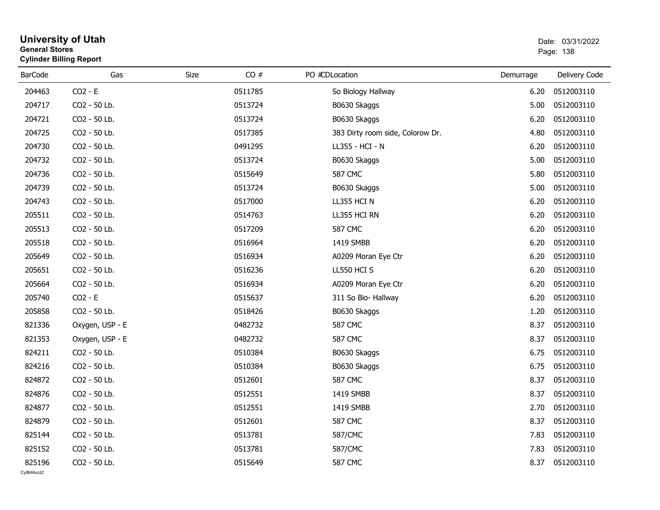| General Stores<br><b>Cylinder Billing Report</b> | Page: 138 |         |                                  |           |               |
|--------------------------------------------------|-----------|---------|----------------------------------|-----------|---------------|
| Gas                                              | Size      | CO#     | PO #CDLocation                   | Demurrage | Delivery Code |
| $CO2 - E$                                        |           | 0511785 | So Biology Hallway               | 6.20      | 0512003110    |
| CO2 - 50 Lb.                                     |           | 0513724 | B0630 Skaggs                     | 5.00      | 0512003110    |
| CO2 - 50 Lb.                                     |           | 0513724 | B0630 Skaggs                     | 6.20      | 0512003110    |
| CO2 - 50 Lb.                                     |           | 0517385 | 383 Dirty room side, Colorow Dr. | 4.80      | 0512003110    |
| CO2 - 50 Lb.                                     |           | 0491295 | LL355 - HCI - N                  | 6.20      | 0512003110    |
| CO2 - 50 Lb.                                     |           | 0513724 | B0630 Skaggs                     | 5.00      | 0512003110    |
| CO2 - 50 Lb.                                     |           | 0515649 | <b>587 CMC</b>                   | 5.80      | 0512003110    |
| CO2 - 50 Lb.                                     |           | 0513724 | B0630 Skaggs                     | 5.00      | 0512003110    |
| CO2 - 50 Lb.                                     |           | 0517000 | LL355 HCI N                      | 6.20      | 0512003110    |
| CO2 - 50 Lb.                                     |           | 0514763 | LL355 HCI RN                     | 6.20      | 0512003110    |
| CO2 - 50 Lb.                                     |           | 0517209 | <b>587 CMC</b>                   | 6.20      | 0512003110    |
| CO2 - 50 Lb.                                     |           | 0516964 | 1419 SMBB                        | 6.20      | 0512003110    |
| CO2 - 50 Lb.                                     |           | 0516934 | A0209 Moran Eye Ctr              | 6.20      | 0512003110    |
| CO2 - 50 Lb.                                     |           | 0516236 | LL550 HCI S                      | 6.20      | 0512003110    |
| CO2 - 50 Lb.                                     |           | 0516934 | A0209 Moran Eye Ctr              | 6.20      | 0512003110    |
| $CO2 - E$                                        |           | 0515637 | 311 So Bio- Hallway              | 6.20      | 0512003110    |
| CO2 - 50 Lb.                                     |           | 0518426 | B0630 Skaggs                     | 1.20      | 0512003110    |
| Oxygen, USP - E                                  |           | 0482732 | <b>587 CMC</b>                   | 8.37      | 0512003110    |
| Oxygen, USP - E                                  |           | 0482732 | <b>587 CMC</b>                   | 8.37      | 0512003110    |
| CO2 - 50 Lb.                                     |           | 0510384 | B0630 Skaggs                     | 6.75      | 0512003110    |
| CO2 - 50 Lb.                                     |           | 0510384 | B0630 Skaggs                     | 6.75      | 0512003110    |
| CO2 - 50 Lb.                                     |           | 0512601 | <b>587 CMC</b>                   | 8.37      | 0512003110    |
| CO2 - 50 Lb.                                     |           | 0512551 | 1419 SMBB                        | 8.37      | 0512003110    |
| CO2 - 50 Lb.                                     |           | 0512551 | 1419 SMBB                        | 2.70      | 0512003110    |
| CO2 - 50 Lb.                                     |           | 0512601 | <b>587 CMC</b>                   | 8.37      | 0512003110    |
| CO2 - 50 Lb.                                     |           | 0513781 | 587/CMC                          | 7.83      | 0512003110    |
| CO2 - 50 Lb.                                     |           | 0513781 | 587/CMC                          | 7.83      | 0512003110    |
| CO2 - 50 Lb.                                     |           | 0515649 | <b>587 CMC</b>                   | 8.37      | 0512003110    |
|                                                  |           |         |                                  |           |               |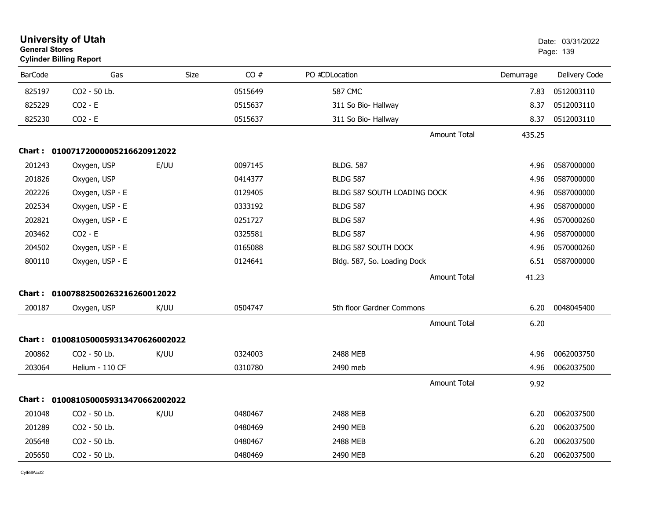| <b>General Stores</b> | <b>University of Utah</b><br><b>Cylinder Billing Report</b> |      |         |                             |           | Date: 03/31/2022<br>Page: 139 |
|-----------------------|-------------------------------------------------------------|------|---------|-----------------------------|-----------|-------------------------------|
| <b>BarCode</b>        | Gas                                                         | Size | CO#     | PO #CDLocation              | Demurrage | Delivery Code                 |
| 825197                | CO <sub>2</sub> - 50 Lb.                                    |      | 0515649 | 587 CMC                     | 7.83      | 0512003110                    |
| 825229                | $CO2 - E$                                                   |      | 0515637 | 311 So Bio- Hallway         | 8.37      | 0512003110                    |
| 825230                | $CO2 - E$                                                   |      | 0515637 | 311 So Bio- Hallway         | 8.37      | 0512003110                    |
|                       |                                                             |      |         | <b>Amount Total</b>         | 435.25    |                               |
|                       | Chart: 01007172000005216620912022                           |      |         |                             |           |                               |
| 201243                | Oxygen, USP                                                 | E/UU | 0097145 | <b>BLDG. 587</b>            | 4.96      | 0587000000                    |
| 201826                | Oxygen, USP                                                 |      | 0414377 | <b>BLDG 587</b>             | 4.96      | 0587000000                    |
| 202226                | Oxygen, USP - E                                             |      | 0129405 | BLDG 587 SOUTH LOADING DOCK | 4.96      | 0587000000                    |
| 202534                | Oxygen, USP - E                                             |      | 0333192 | <b>BLDG 587</b>             | 4.96      | 0587000000                    |
| 202821                | Oxygen, USP - E                                             |      | 0251727 | <b>BLDG 587</b>             | 4.96      | 0570000260                    |
| 203462                | $CO2 - E$                                                   |      | 0325581 | <b>BLDG 587</b>             | 4.96      | 0587000000                    |
| 204502                | Oxygen, USP - E                                             |      | 0165088 | <b>BLDG 587 SOUTH DOCK</b>  | 4.96      | 0570000260                    |
| 800110                | Oxygen, USP - E                                             |      | 0124641 | Bldg. 587, So. Loading Dock | 6.51      | 0587000000                    |
|                       |                                                             |      |         | <b>Amount Total</b>         | 41.23     |                               |
|                       | Chart: 01007882500263216260012022                           |      |         |                             |           |                               |
| 200187                | Oxygen, USP                                                 | K/UU | 0504747 | 5th floor Gardner Commons   | 6.20      | 0048045400                    |
|                       |                                                             |      |         | <b>Amount Total</b>         | 6.20      |                               |
|                       | Chart: 0100810500059313470626002022                         |      |         |                             |           |                               |
| 200862                | CO2 - 50 Lb.                                                | K/UU | 0324003 | 2488 MEB                    | 4.96      | 0062003750                    |
| 203064                | Helium - 110 CF                                             |      | 0310780 | 2490 meb                    | 4.96      | 0062037500                    |
|                       |                                                             |      |         | <b>Amount Total</b>         | 9.92      |                               |
|                       | Chart: 0100810500059313470662002022                         |      |         |                             |           |                               |
| 201048                | CO2 - 50 Lb.                                                | K/UU | 0480467 | 2488 MEB                    | 6.20      | 0062037500                    |
| 201289                | CO <sub>2</sub> - 50 Lb.                                    |      | 0480469 | 2490 MEB                    | 6.20      | 0062037500                    |
| 205648                | CO2 - 50 Lb.                                                |      | 0480467 | 2488 MEB                    | 6.20      | 0062037500                    |
| 205650                | CO2 - 50 Lb.                                                |      | 0480469 | 2490 MEB                    | 6.20      | 0062037500                    |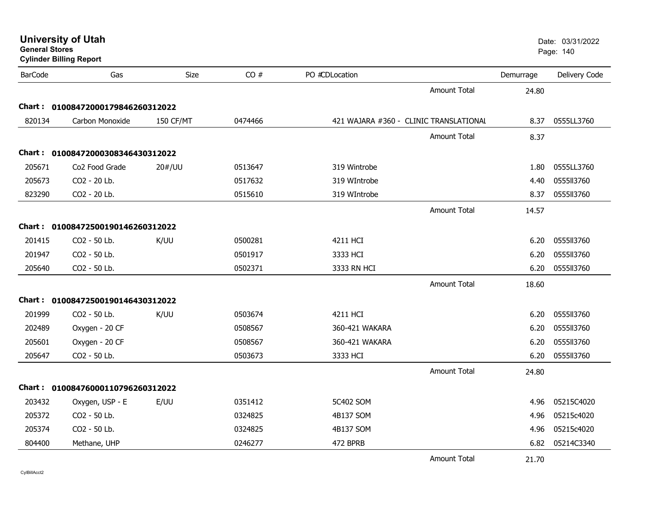| <b>General Stores</b> | <b>University of Utah</b><br><b>Cylinder Billing Report</b> |                  |         |                                        |                     |           | Date: 03/31/2022<br>Page: 140 |
|-----------------------|-------------------------------------------------------------|------------------|---------|----------------------------------------|---------------------|-----------|-------------------------------|
| <b>BarCode</b>        | Gas                                                         | Size             | CO#     | PO #CDLocation                         |                     | Demurrage | Delivery Code                 |
|                       |                                                             |                  |         |                                        | <b>Amount Total</b> | 24.80     |                               |
| Chart :               | 01008472000179846260312022                                  |                  |         |                                        |                     |           |                               |
| 820134                | Carbon Monoxide                                             | <b>150 CF/MT</b> | 0474466 | 421 WAJARA #360 - CLINIC TRANSLATIONAL |                     | 8.37      | 0555LL3760                    |
|                       |                                                             |                  |         |                                        | <b>Amount Total</b> | 8.37      |                               |
|                       | Chart: 01008472000308346430312022                           |                  |         |                                        |                     |           |                               |
| 205671                | Co <sub>2</sub> Food Grade                                  | 20#/UU           | 0513647 | 319 Wintrobe                           |                     | 1.80      | 0555LL3760                    |
| 205673                | CO2 - 20 Lb.                                                |                  | 0517632 | 319 WIntrobe                           |                     | 4.40      | 0555ll3760                    |
| 823290                | CO2 - 20 Lb.                                                |                  | 0515610 | 319 WIntrobe                           |                     | 8.37      | 0555113760                    |
|                       |                                                             |                  |         |                                        | <b>Amount Total</b> | 14.57     |                               |
|                       | Chart: 01008472500190146260312022                           |                  |         |                                        |                     |           |                               |
| 201415                | CO2 - 50 Lb.                                                | K/UU             | 0500281 | 4211 HCI                               |                     | 6.20      | 0555113760                    |
| 201947                | CO2 - 50 Lb.                                                |                  | 0501917 | 3333 HCI                               |                     | 6.20      | 0555113760                    |
| 205640                | CO2 - 50 Lb.                                                |                  | 0502371 | 3333 RN HCI                            |                     | 6.20      | 0555113760                    |
|                       |                                                             |                  |         |                                        | <b>Amount Total</b> | 18.60     |                               |
|                       | Chart: 01008472500190146430312022                           |                  |         |                                        |                     |           |                               |
| 201999                | CO2 - 50 Lb.                                                | K/UU             | 0503674 | 4211 HCI                               |                     | 6.20      | 0555113760                    |
| 202489                | Oxygen - 20 CF                                              |                  | 0508567 | 360-421 WAKARA                         |                     | 6.20      | 0555113760                    |
| 205601                | Oxygen - 20 CF                                              |                  | 0508567 | 360-421 WAKARA                         |                     | 6.20      | 0555113760                    |
| 205647                | CO2 - 50 Lb.                                                |                  | 0503673 | 3333 HCI                               |                     | 6.20      | 0555ll3760                    |
|                       |                                                             |                  |         |                                        | <b>Amount Total</b> | 24.80     |                               |
|                       | Chart: 01008476000110796260312022                           |                  |         |                                        |                     |           |                               |
| 203432                | Oxygen, USP - E                                             | E/UU             | 0351412 | 5C402 SOM                              |                     | 4.96      | 05215C4020                    |
| 205372                | CO2 - 50 Lb.                                                |                  | 0324825 | 4B137 SOM                              |                     | 4.96      | 05215c4020                    |
| 205374                | CO2 - 50 Lb.                                                |                  | 0324825 | 4B137 SOM                              |                     | 4.96      | 05215c4020                    |
| 804400                | Methane, UHP                                                |                  | 0246277 | 472 BPRB                               |                     | 6.82      | 05214C3340                    |
|                       |                                                             |                  |         |                                        | <b>Amount Total</b> | 21.70     |                               |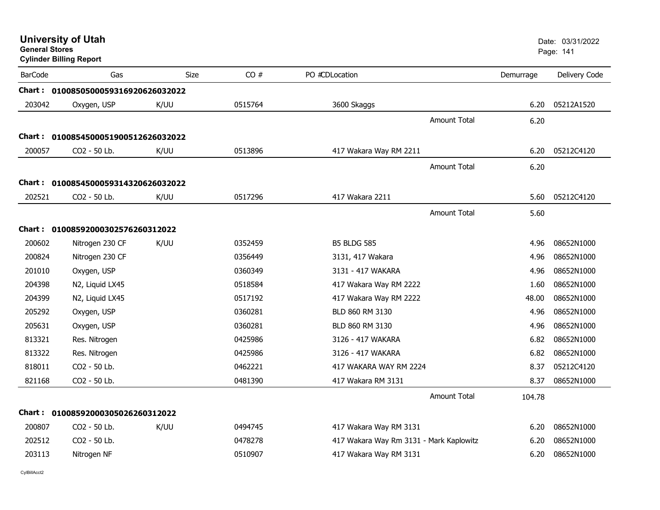| <b>General Stores</b> | <b>University of Utah</b><br><b>Cylinder Billing Report</b> |      |         |                                         |                     |           | Date: 03/31/2022<br>Page: 141 |
|-----------------------|-------------------------------------------------------------|------|---------|-----------------------------------------|---------------------|-----------|-------------------------------|
| <b>BarCode</b>        | Gas                                                         | Size | CO#     | PO #CDLocation                          |                     | Demurrage | Delivery Code                 |
|                       | Chart: 0100850500059316920626032022                         |      |         |                                         |                     |           |                               |
| 203042                | Oxygen, USP                                                 | K/UU | 0515764 | 3600 Skaggs                             |                     | 6.20      | 05212A1520                    |
|                       |                                                             |      |         |                                         | <b>Amount Total</b> | 6.20      |                               |
|                       | Chart: 0100854500051900512626032022                         |      |         |                                         |                     |           |                               |
| 200057                | CO <sub>2</sub> - 50 Lb.                                    | K/UU | 0513896 | 417 Wakara Way RM 2211                  |                     | 6.20      | 05212C4120                    |
|                       |                                                             |      |         |                                         | <b>Amount Total</b> | 6.20      |                               |
|                       | Chart: 0100854500059314320626032022                         |      |         |                                         |                     |           |                               |
| 202521                | CO2 - 50 Lb.                                                | K/UU | 0517296 | 417 Wakara 2211                         |                     | 5.60      | 05212C4120                    |
|                       |                                                             |      |         |                                         | <b>Amount Total</b> | 5.60      |                               |
|                       | Chart: 01008592000302576260312022                           |      |         |                                         |                     |           |                               |
| 200602                | Nitrogen 230 CF                                             | K/UU | 0352459 | <b>B5 BLDG 585</b>                      |                     | 4.96      | 08652N1000                    |
| 200824                | Nitrogen 230 CF                                             |      | 0356449 | 3131, 417 Wakara                        |                     | 4.96      | 08652N1000                    |
| 201010                | Oxygen, USP                                                 |      | 0360349 | 3131 - 417 WAKARA                       |                     | 4.96      | 08652N1000                    |
| 204398                | N2, Liquid LX45                                             |      | 0518584 | 417 Wakara Way RM 2222                  |                     | 1.60      | 08652N1000                    |
| 204399                | N2, Liquid LX45                                             |      | 0517192 | 417 Wakara Way RM 2222                  |                     | 48.00     | 08652N1000                    |
| 205292                | Oxygen, USP                                                 |      | 0360281 | BLD 860 RM 3130                         |                     | 4.96      | 08652N1000                    |
| 205631                | Oxygen, USP                                                 |      | 0360281 | BLD 860 RM 3130                         |                     | 4.96      | 08652N1000                    |
| 813321                | Res. Nitrogen                                               |      | 0425986 | 3126 - 417 WAKARA                       |                     | 6.82      | 08652N1000                    |
| 813322                | Res. Nitrogen                                               |      | 0425986 | 3126 - 417 WAKARA                       |                     | 6.82      | 08652N1000                    |
| 818011                | CO <sub>2</sub> - 50 Lb.                                    |      | 0462221 | 417 WAKARA WAY RM 2224                  |                     | 8.37      | 05212C4120                    |
| 821168                | CO2 - 50 Lb.                                                |      | 0481390 | 417 Wakara RM 3131                      |                     | 8.37      | 08652N1000                    |
|                       |                                                             |      |         |                                         | <b>Amount Total</b> | 104.78    |                               |
|                       | Chart: 01008592000305026260312022                           |      |         |                                         |                     |           |                               |
| 200807                | CO2 - 50 Lb.                                                | K/UU | 0494745 | 417 Wakara Way RM 3131                  |                     | 6.20      | 08652N1000                    |
| 202512                | CO2 - 50 Lb.                                                |      | 0478278 | 417 Wakara Way Rm 3131 - Mark Kaplowitz |                     | 6.20      | 08652N1000                    |
| 203113                | Nitrogen NF                                                 |      | 0510907 | 417 Wakara Way RM 3131                  |                     | 6.20      | 08652N1000                    |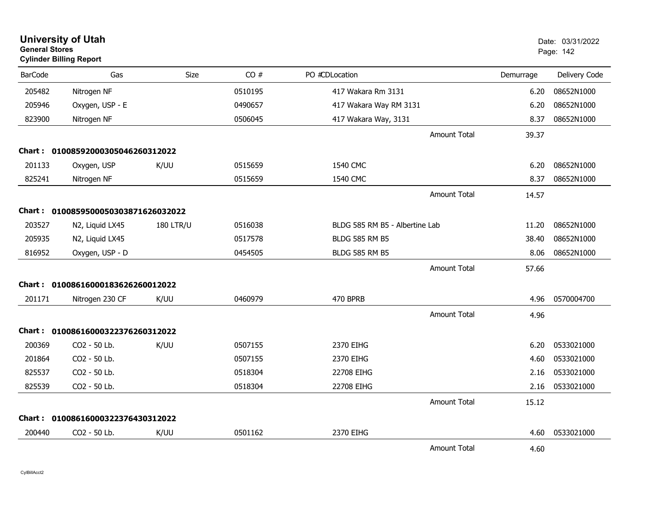| <b>University of Utah</b><br><b>General Stores</b><br><b>Cylinder Billing Report</b> |                                     |                  |         |                                |                     |           | Date: 03/31/2022<br>Page: 142 |
|--------------------------------------------------------------------------------------|-------------------------------------|------------------|---------|--------------------------------|---------------------|-----------|-------------------------------|
| <b>BarCode</b>                                                                       | Gas                                 | Size             | CO#     | PO #CDLocation                 |                     | Demurrage | Delivery Code                 |
| 205482                                                                               | Nitrogen NF                         |                  | 0510195 | 417 Wakara Rm 3131             |                     | 6.20      | 08652N1000                    |
| 205946                                                                               | Oxygen, USP - E                     |                  | 0490657 | 417 Wakara Way RM 3131         |                     | 6.20      | 08652N1000                    |
| 823900                                                                               | Nitrogen NF                         |                  | 0506045 | 417 Wakara Way, 3131           |                     | 8.37      | 08652N1000                    |
|                                                                                      |                                     |                  |         |                                | Amount Total        | 39.37     |                               |
| Chart :                                                                              | 01008592000305046260312022          |                  |         |                                |                     |           |                               |
| 201133                                                                               | Oxygen, USP                         | K/UU             | 0515659 | 1540 CMC                       |                     | 6.20      | 08652N1000                    |
| 825241                                                                               | Nitrogen NF                         |                  | 0515659 | 1540 CMC                       |                     | 8.37      | 08652N1000                    |
|                                                                                      |                                     |                  |         |                                | <b>Amount Total</b> | 14.57     |                               |
|                                                                                      | Chart: 0100859500050303871626032022 |                  |         |                                |                     |           |                               |
| 203527                                                                               | N2, Liquid LX45                     | <b>180 LTR/U</b> | 0516038 | BLDG 585 RM B5 - Albertine Lab |                     | 11.20     | 08652N1000                    |
| 205935                                                                               | N2, Liquid LX45                     |                  | 0517578 | <b>BLDG 585 RM B5</b>          |                     | 38.40     | 08652N1000                    |
| 816952                                                                               | Oxygen, USP - D                     |                  | 0454505 | <b>BLDG 585 RM B5</b>          |                     | 8.06      | 08652N1000                    |
|                                                                                      |                                     |                  |         |                                | <b>Amount Total</b> | 57.66     |                               |
|                                                                                      | Chart: 01008616000183626260012022   |                  |         |                                |                     |           |                               |
| 201171                                                                               | Nitrogen 230 CF                     | K/UU             | 0460979 | 470 BPRB                       |                     | 4.96      | 0570004700                    |
|                                                                                      |                                     |                  |         |                                | <b>Amount Total</b> | 4.96      |                               |
|                                                                                      | Chart: 01008616000322376260312022   |                  |         |                                |                     |           |                               |
| 200369                                                                               | CO2 - 50 Lb.                        | K/UU             | 0507155 | 2370 EIHG                      |                     | 6.20      | 0533021000                    |
| 201864                                                                               | CO2 - 50 Lb.                        |                  | 0507155 | 2370 EIHG                      |                     | 4.60      | 0533021000                    |
| 825537                                                                               | CO2 - 50 Lb.                        |                  | 0518304 | 22708 EIHG                     |                     | 2.16      | 0533021000                    |
| 825539                                                                               | CO2 - 50 Lb.                        |                  | 0518304 | 22708 EIHG                     |                     | 2.16      | 0533021000                    |
|                                                                                      |                                     |                  |         |                                | <b>Amount Total</b> | 15.12     |                               |
| <b>Chart :</b>                                                                       | 01008616000322376430312022          |                  |         |                                |                     |           |                               |
| 200440                                                                               | CO <sub>2</sub> - 50 Lb.            | K/UU             | 0501162 | 2370 EIHG                      |                     | 4.60      | 0533021000                    |
|                                                                                      |                                     |                  |         |                                | <b>Amount Total</b> | 4.60      |                               |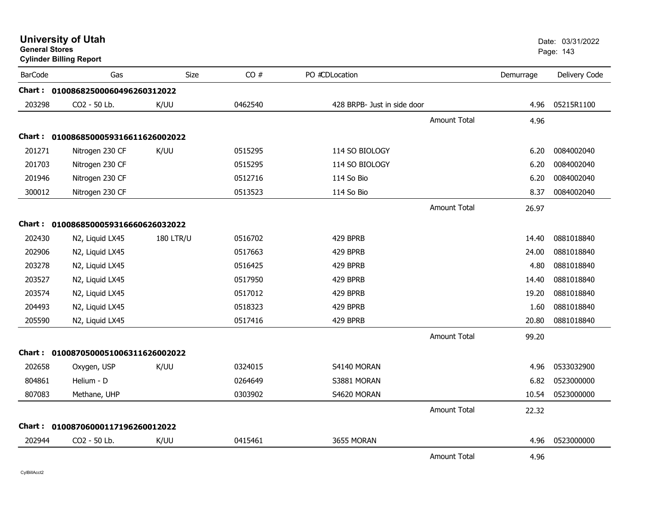|                | <b>University of Utah</b><br><b>General Stores</b><br><b>Cylinder Billing Report</b> |                  |         |                             |           | Date: 03/31/2022<br>Page: 143 |
|----------------|--------------------------------------------------------------------------------------|------------------|---------|-----------------------------|-----------|-------------------------------|
| <b>BarCode</b> | Gas                                                                                  | <b>Size</b>      | CO#     | PO #CDLocation              | Demurrage | Delivery Code                 |
|                | Chart: 01008682500060496260312022                                                    |                  |         |                             |           |                               |
| 203298         | CO2 - 50 Lb.                                                                         | K/UU             | 0462540 | 428 BRPB- Just in side door | 4.96      | 05215R1100                    |
|                |                                                                                      |                  |         | <b>Amount Total</b>         | 4.96      |                               |
|                | Chart: 0100868500059316611626002022                                                  |                  |         |                             |           |                               |
| 201271         | Nitrogen 230 CF                                                                      | K/UU             | 0515295 | 114 SO BIOLOGY              | 6.20      | 0084002040                    |
| 201703         | Nitrogen 230 CF                                                                      |                  | 0515295 | 114 SO BIOLOGY              | 6.20      | 0084002040                    |
| 201946         | Nitrogen 230 CF                                                                      |                  | 0512716 | 114 So Bio                  | 6.20      | 0084002040                    |
| 300012         | Nitrogen 230 CF                                                                      |                  | 0513523 | 114 So Bio                  | 8.37      | 0084002040                    |
|                |                                                                                      |                  |         | <b>Amount Total</b>         | 26.97     |                               |
|                | Chart: 0100868500059316660626032022                                                  |                  |         |                             |           |                               |
| 202430         | N2, Liquid LX45                                                                      | <b>180 LTR/U</b> | 0516702 | 429 BPRB                    | 14.40     | 0881018840                    |
| 202906         | N2, Liquid LX45                                                                      |                  | 0517663 | 429 BPRB                    | 24.00     | 0881018840                    |
| 203278         | N2, Liquid LX45                                                                      |                  | 0516425 | 429 BPRB                    | 4.80      | 0881018840                    |
| 203527         | N2, Liquid LX45                                                                      |                  | 0517950 | 429 BPRB                    | 14.40     | 0881018840                    |
| 203574         | N2, Liquid LX45                                                                      |                  | 0517012 | 429 BPRB                    | 19.20     | 0881018840                    |
| 204493         | N2, Liquid LX45                                                                      |                  | 0518323 | 429 BPRB                    | 1.60      | 0881018840                    |
| 205590         | N2, Liquid LX45                                                                      |                  | 0517416 | 429 BPRB                    | 20.80     | 0881018840                    |
|                |                                                                                      |                  |         | <b>Amount Total</b>         | 99.20     |                               |
| Chart :        | 0100870500051006311626002022                                                         |                  |         |                             |           |                               |
| 202658         | Oxygen, USP                                                                          | K/UU             | 0324015 | S4140 MORAN                 | 4.96      | 0533032900                    |
| 804861         | Helium - D                                                                           |                  | 0264649 | S3881 MORAN                 | 6.82      | 0523000000                    |
| 807083         | Methane, UHP                                                                         |                  | 0303902 | S4620 MORAN                 | 10.54     | 0523000000                    |
|                |                                                                                      |                  |         | <b>Amount Total</b>         | 22.32     |                               |
|                | Chart: 01008706000117196260012022                                                    |                  |         |                             |           |                               |
| 202944         | CO2 - 50 Lb.                                                                         | K/UU             | 0415461 | 3655 MORAN                  | 4.96      | 0523000000                    |
|                |                                                                                      |                  |         | <b>Amount Total</b>         | 4.96      |                               |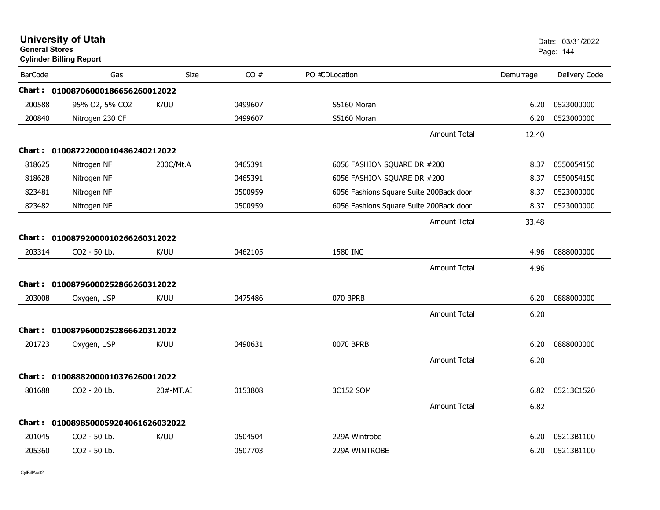| <b>General Stores</b> | <b>University of Utah</b><br><b>Cylinder Billing Report</b> |             |         |                                         | Date: 03/31/2022<br>Page: 144 |               |
|-----------------------|-------------------------------------------------------------|-------------|---------|-----------------------------------------|-------------------------------|---------------|
| <b>BarCode</b>        | Gas                                                         | <b>Size</b> | CO#     | PO #CDLocation                          | Demurrage                     | Delivery Code |
|                       | Chart: 01008706000186656260012022                           |             |         |                                         |                               |               |
| 200588                | 95% O2, 5% CO2                                              | K/UU        | 0499607 | S5160 Moran                             | 6.20                          | 0523000000    |
| 200840                | Nitrogen 230 CF                                             |             | 0499607 | S5160 Moran                             | 6.20                          | 0523000000    |
|                       |                                                             |             |         | <b>Amount Total</b>                     | 12.40                         |               |
|                       | Chart: 01008722000010486240212022                           |             |         |                                         |                               |               |
| 818625                | Nitrogen NF                                                 | 200C/Mt.A   | 0465391 | 6056 FASHION SQUARE DR #200             | 8.37                          | 0550054150    |
| 818628                | Nitrogen NF                                                 |             | 0465391 | 6056 FASHION SQUARE DR #200             | 8.37                          | 0550054150    |
| 823481                | Nitrogen NF                                                 |             | 0500959 | 6056 Fashions Square Suite 200Back door | 8.37                          | 0523000000    |
| 823482                | Nitrogen NF                                                 |             | 0500959 | 6056 Fashions Square Suite 200Back door | 8.37                          | 0523000000    |
|                       |                                                             |             |         | Amount Total                            | 33.48                         |               |
| Chart :               | 01008792000010266260312022                                  |             |         |                                         |                               |               |
| 203314                | CO2 - 50 Lb.                                                | K/UU        | 0462105 | 1580 INC                                | 4.96                          | 0888000000    |
|                       |                                                             |             |         | <b>Amount Total</b>                     | 4.96                          |               |
| Chart :               | 01008796000252866260312022                                  |             |         |                                         |                               |               |
| 203008                | Oxygen, USP                                                 | K/UU        | 0475486 | 070 BPRB                                | 6.20                          | 0888000000    |
|                       |                                                             |             |         | <b>Amount Total</b>                     | 6.20                          |               |
| Chart :               | 01008796000252866620312022                                  |             |         |                                         |                               |               |
| 201723                | Oxygen, USP                                                 | K/UU        | 0490631 | 0070 BPRB                               | 6.20                          | 0888000000    |
|                       |                                                             |             |         | <b>Amount Total</b>                     | 6.20                          |               |
| Chart :               | 01008882000010376260012022                                  |             |         |                                         |                               |               |
| 801688                | CO2 - 20 Lb.                                                | 20#-MT.AI   | 0153808 | 3C152 SOM                               | 6.82                          | 05213C1520    |
|                       |                                                             |             |         | <b>Amount Total</b>                     | 6.82                          |               |
|                       | Chart: 0100898500059204061626032022                         |             |         |                                         |                               |               |
| 201045                | CO2 - 50 Lb.                                                | K/UU        | 0504504 | 229A Wintrobe                           | 6.20                          | 05213B1100    |
| 205360                | CO2 - 50 Lb.                                                |             | 0507703 | 229A WINTROBE                           | 6.20                          | 05213B1100    |
|                       |                                                             |             |         |                                         |                               |               |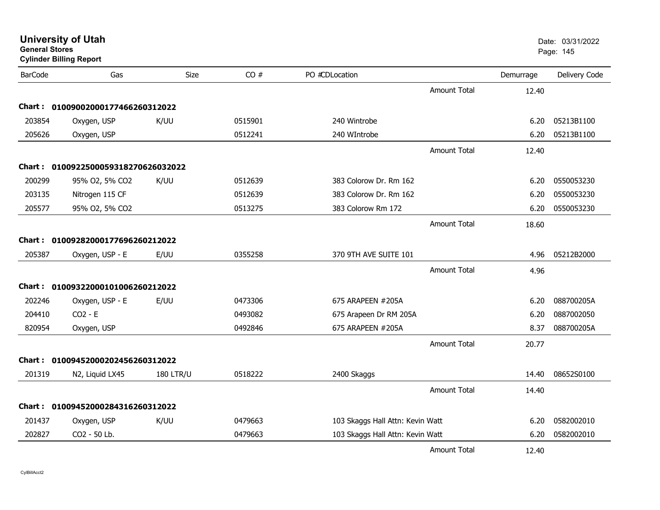| <b>University of Utah</b> |  |
|---------------------------|--|
| <b>General Stores</b>     |  |

**Cylinder Billing Report**

| <b>BarCode</b> | Gas                                 | Size             | CO#     | PO #CDLocation                   |                     | Demurrage | Delivery Code |
|----------------|-------------------------------------|------------------|---------|----------------------------------|---------------------|-----------|---------------|
|                |                                     |                  |         |                                  | <b>Amount Total</b> | 12.40     |               |
|                | Chart: 01009002000177466260312022   |                  |         |                                  |                     |           |               |
| 203854         | Oxygen, USP                         | K/UU             | 0515901 | 240 Wintrobe                     |                     | 6.20      | 05213B1100    |
| 205626         | Oxygen, USP                         |                  | 0512241 | 240 WIntrobe                     |                     | 6.20      | 05213B1100    |
|                |                                     |                  |         |                                  | <b>Amount Total</b> | 12.40     |               |
|                | Chart: 0100922500059318270626032022 |                  |         |                                  |                     |           |               |
| 200299         | 95% O2, 5% CO2                      | K/UU             | 0512639 | 383 Colorow Dr. Rm 162           |                     | 6.20      | 0550053230    |
| 203135         | Nitrogen 115 CF                     |                  | 0512639 | 383 Colorow Dr. Rm 162           |                     | 6.20      | 0550053230    |
| 205577         | 95% O2, 5% CO2                      |                  | 0513275 | 383 Colorow Rm 172               |                     | 6.20      | 0550053230    |
|                |                                     |                  |         |                                  | <b>Amount Total</b> | 18.60     |               |
|                | Chart: 01009282000177696260212022   |                  |         |                                  |                     |           |               |
| 205387         | Oxygen, USP - E                     | E/UU             | 0355258 | 370 9TH AVE SUITE 101            |                     | 4.96      | 05212B2000    |
|                |                                     |                  |         |                                  | <b>Amount Total</b> | 4.96      |               |
|                | Chart: 01009322000101006260212022   |                  |         |                                  |                     |           |               |
| 202246         | Oxygen, USP - E                     | E/UU             | 0473306 | 675 ARAPEEN #205A                |                     | 6.20      | 088700205A    |
| 204410         | $CO2 - E$                           |                  | 0493082 | 675 Arapeen Dr RM 205A           |                     | 6.20      | 0887002050    |
| 820954         | Oxygen, USP                         |                  | 0492846 | 675 ARAPEEN #205A                |                     | 8.37      | 088700205A    |
|                |                                     |                  |         |                                  | <b>Amount Total</b> | 20.77     |               |
|                | Chart: 01009452000202456260312022   |                  |         |                                  |                     |           |               |
| 201319         | N2, Liquid LX45                     | <b>180 LTR/U</b> | 0518222 | 2400 Skaggs                      |                     | 14.40     | 08652S0100    |
|                |                                     |                  |         |                                  | <b>Amount Total</b> | 14.40     |               |
|                | Chart: 01009452000284316260312022   |                  |         |                                  |                     |           |               |
| 201437         | Oxygen, USP                         | K/UU             | 0479663 | 103 Skaggs Hall Attn: Kevin Watt |                     | 6.20      | 0582002010    |
| 202827         | CO2 - 50 Lb.                        |                  | 0479663 | 103 Skaggs Hall Attn: Kevin Watt |                     | 6.20      | 0582002010    |
|                |                                     |                  |         |                                  | <b>Amount Total</b> | 12.40     |               |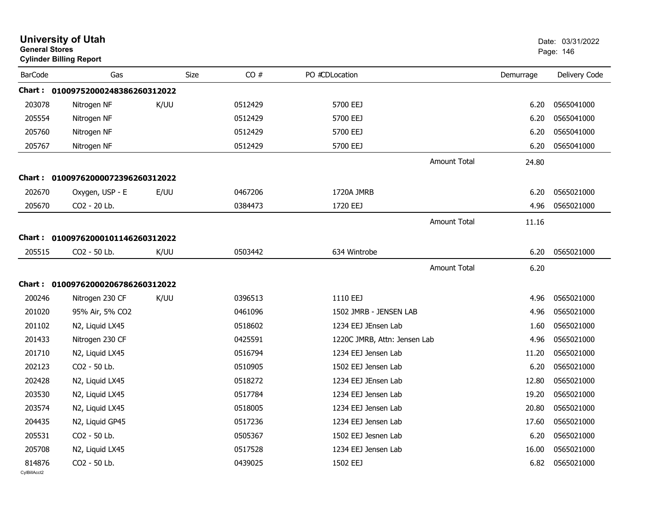|                        | <b>University of Utah</b><br><b>General Stores</b><br><b>Cylinder Billing Report</b> |      |             |         |                                            |                     |           | Date: 03/31/2022<br>Page: 146 |  |
|------------------------|--------------------------------------------------------------------------------------|------|-------------|---------|--------------------------------------------|---------------------|-----------|-------------------------------|--|
| <b>BarCode</b>         | Gas                                                                                  |      | <b>Size</b> | CO#     | PO #CDLocation                             |                     | Demurrage | Delivery Code                 |  |
|                        | Chart: 01009752000248386260312022                                                    |      |             |         |                                            |                     |           |                               |  |
| 203078                 | Nitrogen NF                                                                          | K/UU |             | 0512429 | 5700 EEJ                                   |                     | 6.20      | 0565041000                    |  |
| 205554                 | Nitrogen NF                                                                          |      |             | 0512429 | 5700 EEJ                                   |                     | 6.20      | 0565041000                    |  |
| 205760                 | Nitrogen NF                                                                          |      |             | 0512429 | 5700 EEJ                                   |                     | 6.20      | 0565041000                    |  |
| 205767                 | Nitrogen NF                                                                          |      |             | 0512429 | 5700 EEJ                                   |                     | 6.20      | 0565041000                    |  |
|                        |                                                                                      |      |             |         |                                            | <b>Amount Total</b> | 24.80     |                               |  |
|                        | Chart: 01009762000072396260312022                                                    |      |             |         |                                            |                     |           |                               |  |
| 202670                 | Oxygen, USP - E                                                                      | E/UU |             | 0467206 | 1720A JMRB                                 |                     | 6.20      | 0565021000                    |  |
| 205670                 | CO2 - 20 Lb.                                                                         |      |             | 0384473 | 1720 EEJ                                   |                     | 4.96      | 0565021000                    |  |
|                        |                                                                                      |      |             |         |                                            | <b>Amount Total</b> | 11.16     |                               |  |
|                        | Chart: 01009762000101146260312022                                                    |      |             |         |                                            |                     |           |                               |  |
| 205515                 | CO2 - 50 Lb.                                                                         | K/UU |             | 0503442 | 634 Wintrobe                               |                     | 6.20      | 0565021000                    |  |
|                        |                                                                                      |      |             |         |                                            | <b>Amount Total</b> | 6.20      |                               |  |
|                        | Chart: 01009762000206786260312022                                                    |      |             |         |                                            |                     |           |                               |  |
| 200246                 |                                                                                      |      |             | 0396513 | 1110 EEJ                                   |                     | 4.96      | 0565021000                    |  |
|                        | Nitrogen 230 CF                                                                      | K/UU |             |         |                                            |                     |           |                               |  |
| 201020                 | 95% Air, 5% CO2                                                                      |      |             | 0461096 | 1502 JMRB - JENSEN LAB                     |                     | 4.96      | 0565021000                    |  |
| 201102                 | N2, Liquid LX45                                                                      |      |             | 0518602 | 1234 EEJ JEnsen Lab                        |                     | 1.60      | 0565021000                    |  |
| 201433                 | Nitrogen 230 CF                                                                      |      |             | 0425591 | 1220C JMRB, Attn: Jensen Lab               |                     | 4.96      | 0565021000                    |  |
| 201710                 | N2, Liquid LX45                                                                      |      |             | 0516794 | 1234 EEJ Jensen Lab<br>1502 EEJ Jensen Lab |                     | 11.20     | 0565021000                    |  |
| 202123                 | CO2 - 50 Lb.                                                                         |      |             | 0510905 |                                            |                     | 6.20      | 0565021000                    |  |
| 202428                 | N2, Liquid LX45                                                                      |      |             | 0518272 | 1234 EEJ JEnsen Lab                        |                     | 12.80     | 0565021000                    |  |
| 203530                 | N2, Liquid LX45                                                                      |      |             | 0517784 | 1234 EEJ Jensen Lab                        |                     | 19.20     | 0565021000                    |  |
| 203574                 | N2, Liquid LX45                                                                      |      |             | 0518005 | 1234 EEJ Jensen Lab                        |                     | 20.80     | 0565021000                    |  |
| 204435                 | N2, Liquid GP45                                                                      |      |             | 0517236 | 1234 EEJ Jensen Lab                        |                     | 17.60     | 0565021000                    |  |
| 205531                 | CO2 - 50 Lb.                                                                         |      |             | 0505367 | 1502 EEJ Jesnen Lab                        |                     | 6.20      | 0565021000                    |  |
| 205708                 | N2, Liquid LX45                                                                      |      |             | 0517528 | 1234 EEJ Jensen Lab                        |                     | 16.00     | 0565021000                    |  |
| 814876<br>CvIBillAcct2 | CO2 - 50 Lb.                                                                         |      |             | 0439025 | 1502 EEJ                                   |                     | 6.82      | 0565021000                    |  |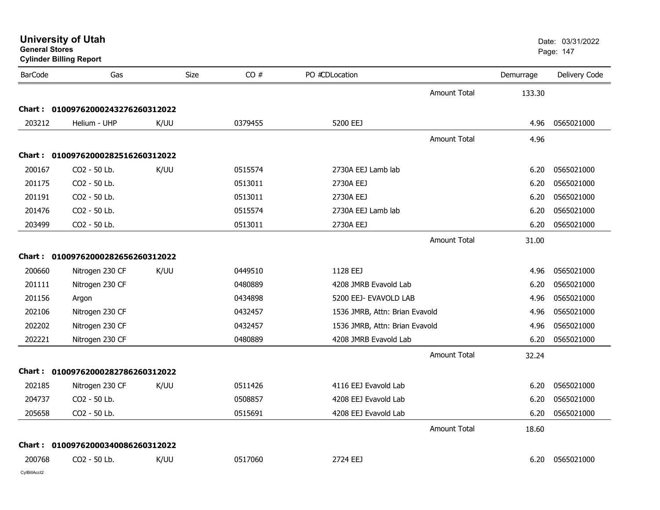| <b>University of Utah</b> |  |
|---------------------------|--|
|                           |  |

| <b>BarCode</b> | Gas                               | Size | CO#     | PO #CDLocation                 |                     | Demurrage | Delivery Code |
|----------------|-----------------------------------|------|---------|--------------------------------|---------------------|-----------|---------------|
|                |                                   |      |         |                                | <b>Amount Total</b> | 133.30    |               |
| Chart :        | 01009762000243276260312022        |      |         |                                |                     |           |               |
| 203212         | Helium - UHP                      | K/UU | 0379455 | 5200 EEJ                       |                     | 4.96      | 0565021000    |
|                |                                   |      |         |                                | <b>Amount Total</b> | 4.96      |               |
| Chart :        | 01009762000282516260312022        |      |         |                                |                     |           |               |
| 200167         | CO2 - 50 Lb.                      | K/UU | 0515574 | 2730A EEJ Lamb lab             |                     | 6.20      | 0565021000    |
| 201175         | CO2 - 50 Lb.                      |      | 0513011 | 2730A EEJ                      |                     | 6.20      | 0565021000    |
| 201191         | CO2 - 50 Lb.                      |      | 0513011 | 2730A EEJ                      |                     | 6.20      | 0565021000    |
| 201476         | CO2 - 50 Lb.                      |      | 0515574 | 2730A EEJ Lamb lab             |                     | 6.20      | 0565021000    |
| 203499         | CO2 - 50 Lb.                      |      | 0513011 | 2730A EEJ                      |                     | 6.20      | 0565021000    |
|                |                                   |      |         |                                | <b>Amount Total</b> | 31.00     |               |
|                | Chart: 01009762000282656260312022 |      |         |                                |                     |           |               |
| 200660         | Nitrogen 230 CF                   | K/UU | 0449510 | 1128 EEJ                       |                     | 4.96      | 0565021000    |
| 201111         | Nitrogen 230 CF                   |      | 0480889 | 4208 JMRB Evavold Lab          |                     | 6.20      | 0565021000    |
| 201156         | Argon                             |      | 0434898 | 5200 EEJ- EVAVOLD LAB          |                     | 4.96      | 0565021000    |
| 202106         | Nitrogen 230 CF                   |      | 0432457 | 1536 JMRB, Attn: Brian Evavold |                     | 4.96      | 0565021000    |
| 202202         | Nitrogen 230 CF                   |      | 0432457 | 1536 JMRB, Attn: Brian Evavold |                     | 4.96      | 0565021000    |
| 202221         | Nitrogen 230 CF                   |      | 0480889 | 4208 JMRB Evavold Lab          |                     | 6.20      | 0565021000    |
|                |                                   |      |         |                                | <b>Amount Total</b> | 32.24     |               |
|                | Chart: 01009762000282786260312022 |      |         |                                |                     |           |               |
| 202185         | Nitrogen 230 CF                   | K/UU | 0511426 | 4116 EEJ Evavold Lab           |                     | 6.20      | 0565021000    |
| 204737         | CO2 - 50 Lb.                      |      | 0508857 | 4208 EEJ Evavold Lab           |                     | 6.20      | 0565021000    |
| 205658         | CO2 - 50 Lb.                      |      | 0515691 | 4208 EEJ Evavold Lab           |                     | 6.20      | 0565021000    |
|                |                                   |      |         |                                | <b>Amount Total</b> | 18.60     |               |
| Chart :        | 01009762000340086260312022        |      |         |                                |                     |           |               |
| 200768         | CO2 - 50 Lb.                      | K/UU | 0517060 | 2724 EEJ                       |                     | 6.20      | 0565021000    |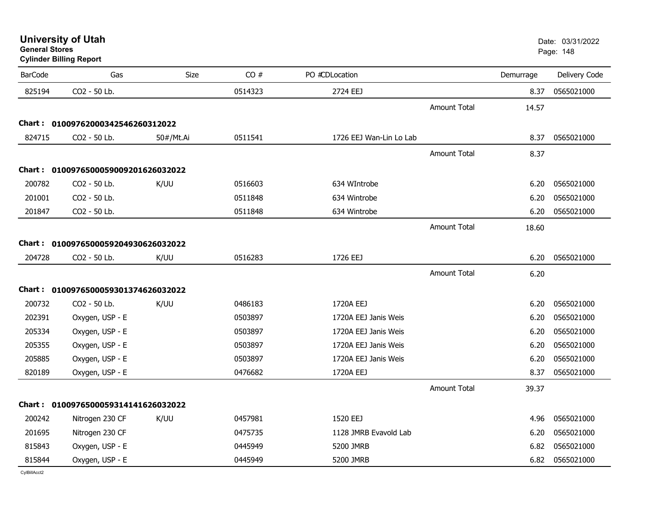**University of Utah** Date: 03/31/2022

**General StoresCylinder Billing Report**

| <b>BarCode</b> | Gas                                 | Size      | CO#     | PO #CDLocation          |                     | Demurrage | Delivery Code |
|----------------|-------------------------------------|-----------|---------|-------------------------|---------------------|-----------|---------------|
| 825194         | CO2 - 50 Lb.                        |           | 0514323 | 2724 EEJ                |                     | 8.37      | 0565021000    |
|                |                                     |           |         |                         | <b>Amount Total</b> | 14.57     |               |
|                | Chart: 01009762000342546260312022   |           |         |                         |                     |           |               |
| 824715         | CO2 - 50 Lb.                        | 50#/Mt.Ai | 0511541 | 1726 EEJ Wan-Lin Lo Lab |                     | 8.37      | 0565021000    |
|                |                                     |           |         |                         | <b>Amount Total</b> | 8.37      |               |
|                | Chart: 0100976500059009201626032022 |           |         |                         |                     |           |               |
| 200782         | CO2 - 50 Lb.                        | K/UU      | 0516603 | 634 WIntrobe            |                     | 6.20      | 0565021000    |
| 201001         | CO2 - 50 Lb.                        |           | 0511848 | 634 Wintrobe            |                     | 6.20      | 0565021000    |
| 201847         | CO2 - 50 Lb.                        |           | 0511848 | 634 Wintrobe            |                     | 6.20      | 0565021000    |
|                |                                     |           |         |                         | <b>Amount Total</b> | 18.60     |               |
|                | Chart: 0100976500059204930626032022 |           |         |                         |                     |           |               |
| 204728         | CO2 - 50 Lb.                        | K/UU      | 0516283 | 1726 EEJ                |                     | 6.20      | 0565021000    |
|                |                                     |           |         |                         | <b>Amount Total</b> | 6.20      |               |
|                | Chart: 0100976500059301374626032022 |           |         |                         |                     |           |               |
| 200732         | CO2 - 50 Lb.                        | K/UU      | 0486183 | 1720A EEJ               |                     | 6.20      | 0565021000    |
| 202391         | Oxygen, USP - E                     |           | 0503897 | 1720A EEJ Janis Weis    |                     | 6.20      | 0565021000    |
| 205334         | Oxygen, USP - E                     |           | 0503897 | 1720A EEJ Janis Weis    |                     | 6.20      | 0565021000    |
| 205355         | Oxygen, USP - E                     |           | 0503897 | 1720A EEJ Janis Weis    |                     | 6.20      | 0565021000    |
| 205885         | Oxygen, USP - E                     |           | 0503897 | 1720A EEJ Janis Weis    |                     | 6.20      | 0565021000    |
| 820189         | Oxygen, USP - E                     |           | 0476682 | 1720A EEJ               |                     | 8.37      | 0565021000    |
|                |                                     |           |         |                         | <b>Amount Total</b> | 39.37     |               |
|                | Chart: 0100976500059314141626032022 |           |         |                         |                     |           |               |
| 200242         | Nitrogen 230 CF                     | K/UU      | 0457981 | 1520 EEJ                |                     | 4.96      | 0565021000    |
| 201695         | Nitrogen 230 CF                     |           | 0475735 | 1128 JMRB Evavold Lab   |                     | 6.20      | 0565021000    |
| 815843         | Oxygen, USP - E                     |           | 0445949 | 5200 JMRB               |                     | 6.82      | 0565021000    |
| 815844         | Oxygen, USP - E                     |           | 0445949 | 5200 JMRB               |                     | 6.82      | 0565021000    |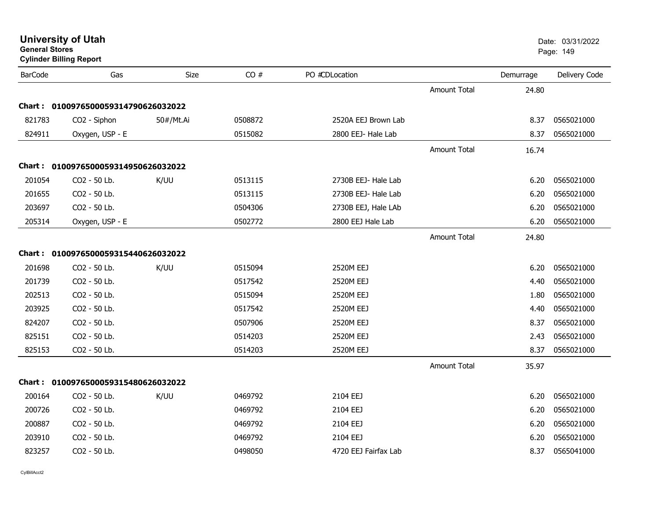|                | <b>Cylinder Billing Report</b>      |           |         |                      |                     |           |               |
|----------------|-------------------------------------|-----------|---------|----------------------|---------------------|-----------|---------------|
| <b>BarCode</b> | Gas                                 | Size      | CO#     | PO #CDLocation       |                     | Demurrage | Delivery Code |
|                |                                     |           |         |                      | <b>Amount Total</b> | 24.80     |               |
|                | Chart: 0100976500059314790626032022 |           |         |                      |                     |           |               |
| 821783         | CO2 - Siphon                        | 50#/Mt.Ai | 0508872 | 2520A EEJ Brown Lab  |                     | 8.37      | 0565021000    |
| 824911         | Oxygen, USP - E                     |           | 0515082 | 2800 EEJ- Hale Lab   |                     | 8.37      | 0565021000    |
|                |                                     |           |         |                      | <b>Amount Total</b> | 16.74     |               |
|                | Chart: 0100976500059314950626032022 |           |         |                      |                     |           |               |
| 201054         | CO2 - 50 Lb.                        | K/UU      | 0513115 | 2730B EEJ- Hale Lab  |                     | 6.20      | 0565021000    |
| 201655         | CO2 - 50 Lb.                        |           | 0513115 | 2730B EEJ- Hale Lab  |                     | 6.20      | 0565021000    |
| 203697         | CO2 - 50 Lb.                        |           | 0504306 | 2730B EEJ, Hale LAb  |                     | 6.20      | 0565021000    |
| 205314         | Oxygen, USP - E                     |           | 0502772 | 2800 EEJ Hale Lab    |                     | 6.20      | 0565021000    |
|                |                                     |           |         |                      | <b>Amount Total</b> | 24.80     |               |
|                | Chart: 0100976500059315440626032022 |           |         |                      |                     |           |               |
| 201698         | CO2 - 50 Lb.                        | K/UU      | 0515094 | 2520M EEJ            |                     | 6.20      | 0565021000    |
| 201739         | CO2 - 50 Lb.                        |           | 0517542 | 2520M EEJ            |                     | 4.40      | 0565021000    |
| 202513         | CO2 - 50 Lb.                        |           | 0515094 | 2520M EEJ            |                     | 1.80      | 0565021000    |
| 203925         | CO2 - 50 Lb.                        |           | 0517542 | 2520M EEJ            |                     | 4.40      | 0565021000    |
| 824207         | CO2 - 50 Lb.                        |           | 0507906 | 2520M EEJ            |                     | 8.37      | 0565021000    |
| 825151         | CO2 - 50 Lb.                        |           | 0514203 | 2520M EEJ            |                     | 2.43      | 0565021000    |
| 825153         | CO2 - 50 Lb.                        |           | 0514203 | 2520M EEJ            |                     | 8.37      | 0565021000    |
|                |                                     |           |         |                      | <b>Amount Total</b> | 35.97     |               |
|                | Chart: 0100976500059315480626032022 |           |         |                      |                     |           |               |
| 200164         | CO2 - 50 Lb.                        | K/UU      | 0469792 | 2104 EEJ             |                     | 6.20      | 0565021000    |
| 200726         | CO2 - 50 Lb.                        |           | 0469792 | 2104 EEJ             |                     | 6.20      | 0565021000    |
| 200887         | CO2 - 50 Lb.                        |           | 0469792 | 2104 EEJ             |                     | 6.20      | 0565021000    |
| 203910         | CO2 - 50 Lb.                        |           | 0469792 | 2104 EEJ             |                     | 6.20      | 0565021000    |
| 823257         | CO2 - 50 Lb.                        |           | 0498050 | 4720 EEJ Fairfax Lab |                     | 8.37      | 0565041000    |

**General Stores**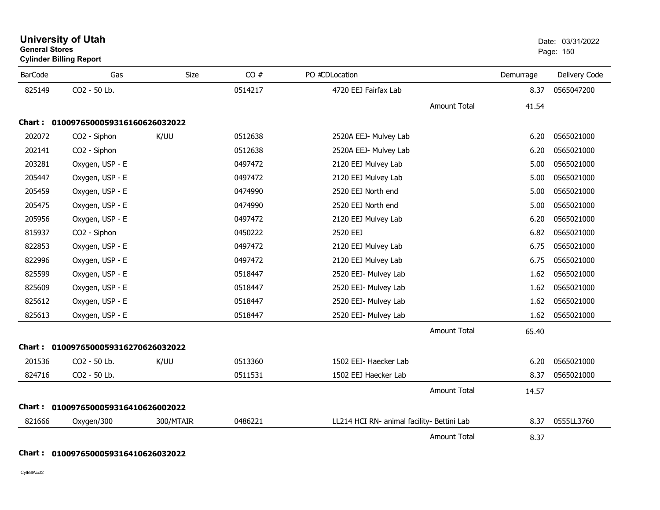|                | General Stores<br><b>Cylinder Billing Report</b> |           |         |                                            |                     |           | Page: 150     |  |
|----------------|--------------------------------------------------|-----------|---------|--------------------------------------------|---------------------|-----------|---------------|--|
| <b>BarCode</b> | Gas                                              | Size      | CO#     | PO #CDLocation                             |                     | Demurrage | Delivery Code |  |
| 825149         | CO2 - 50 Lb.                                     |           | 0514217 | 4720 EEJ Fairfax Lab                       |                     | 8.37      | 0565047200    |  |
|                |                                                  |           |         |                                            | <b>Amount Total</b> | 41.54     |               |  |
|                | Chart: 0100976500059316160626032022              |           |         |                                            |                     |           |               |  |
| 202072         | CO <sub>2</sub> - Siphon                         | K/UU      | 0512638 | 2520A EEJ- Mulvey Lab                      |                     | 6.20      | 0565021000    |  |
| 202141         | CO2 - Siphon                                     |           | 0512638 | 2520A EEJ- Mulvey Lab                      |                     | 6.20      | 0565021000    |  |
| 203281         | Oxygen, USP - E                                  |           | 0497472 | 2120 EEJ Mulvey Lab                        |                     | 5.00      | 0565021000    |  |
| 205447         | Oxygen, USP - E                                  |           | 0497472 | 2120 EEJ Mulvey Lab                        |                     | 5.00      | 0565021000    |  |
| 205459         | Oxygen, USP - E                                  |           | 0474990 | 2520 EEJ North end                         |                     | 5.00      | 0565021000    |  |
| 205475         | Oxygen, USP - E                                  |           | 0474990 | 2520 EEJ North end                         |                     | 5.00      | 0565021000    |  |
| 205956         | Oxygen, USP - E                                  |           | 0497472 | 2120 EEJ Mulvey Lab                        |                     | 6.20      | 0565021000    |  |
| 815937         | CO2 - Siphon                                     |           | 0450222 | 2520 EEJ                                   |                     | 6.82      | 0565021000    |  |
| 822853         | Oxygen, USP - E                                  |           | 0497472 | 2120 EEJ Mulvey Lab                        |                     | 6.75      | 0565021000    |  |
| 822996         | Oxygen, USP - E                                  |           | 0497472 | 2120 EEJ Mulvey Lab                        |                     | 6.75      | 0565021000    |  |
| 825599         | Oxygen, USP - E                                  |           | 0518447 | 2520 EEJ- Mulvey Lab                       |                     | 1.62      | 0565021000    |  |
| 825609         | Oxygen, USP - E                                  |           | 0518447 | 2520 EEJ- Mulvey Lab                       |                     | 1.62      | 0565021000    |  |
| 825612         | Oxygen, USP - E                                  |           | 0518447 | 2520 EEJ- Mulvey Lab                       |                     | 1.62      | 0565021000    |  |
| 825613         | Oxygen, USP - E                                  |           | 0518447 | 2520 EEJ- Mulvey Lab                       |                     | 1.62      | 0565021000    |  |
|                |                                                  |           |         |                                            | <b>Amount Total</b> | 65.40     |               |  |
|                | Chart: 0100976500059316270626032022              |           |         |                                            |                     |           |               |  |
| 201536         | CO2 - 50 Lb.                                     | K/UU      | 0513360 | 1502 EEJ- Haecker Lab                      |                     | 6.20      | 0565021000    |  |
| 824716         | CO2 - 50 Lb.                                     |           | 0511531 | 1502 EEJ Haecker Lab                       |                     | 8.37      | 0565021000    |  |
|                |                                                  |           |         |                                            | <b>Amount Total</b> | 14.57     |               |  |
|                | Chart: 0100976500059316410626002022              |           |         |                                            |                     |           |               |  |
| 821666         | Oxygen/300                                       | 300/MTAIR | 0486221 | LL214 HCI RN- animal facility- Bettini Lab |                     | 8.37      | 0555LL3760    |  |
|                |                                                  |           |         |                                            | <b>Amount Total</b> | 8.37      |               |  |

**University of Utah** Date: 03/31/2022

# **Chart : 0100976500059316410626032022**

CylBillAcct2

**General Stores**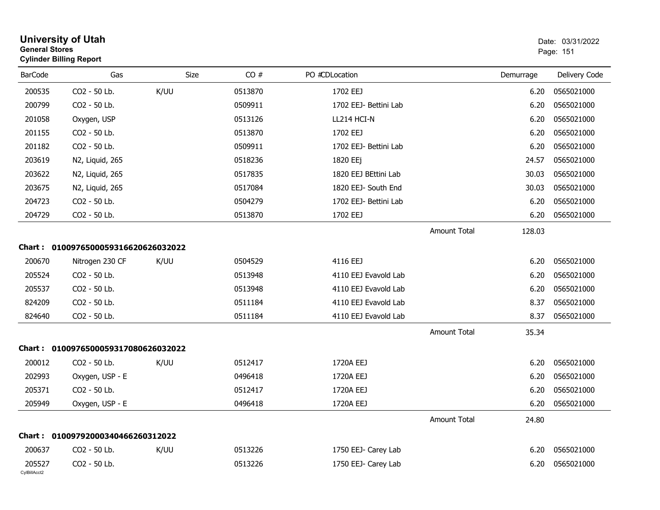| <b>General Stores</b>  | <b>University of Utah</b><br><b>Cylinder Billing Report</b> |             |         |                       |                     |           | Date: 03/31/2022<br>Page: 151 |
|------------------------|-------------------------------------------------------------|-------------|---------|-----------------------|---------------------|-----------|-------------------------------|
| <b>BarCode</b>         | Gas                                                         | <b>Size</b> | CO#     | PO #CDLocation        |                     | Demurrage | Delivery Code                 |
| 200535                 | CO2 - 50 Lb.                                                | K/UU        | 0513870 | 1702 EEJ              |                     | 6.20      | 0565021000                    |
| 200799                 | CO2 - 50 Lb.                                                |             | 0509911 | 1702 EEJ- Bettini Lab |                     | 6.20      | 0565021000                    |
| 201058                 | Oxygen, USP                                                 |             | 0513126 | LL214 HCI-N           |                     | 6.20      | 0565021000                    |
| 201155                 | CO2 - 50 Lb.                                                |             | 0513870 | 1702 EEJ              |                     | 6.20      | 0565021000                    |
| 201182                 | CO2 - 50 Lb.                                                |             | 0509911 | 1702 EEJ- Bettini Lab |                     | 6.20      | 0565021000                    |
| 203619                 | N2, Liquid, 265                                             |             | 0518236 | 1820 EEj              |                     | 24.57     | 0565021000                    |
| 203622                 | N2, Liquid, 265                                             |             | 0517835 | 1820 EEJ BEttini Lab  |                     | 30.03     | 0565021000                    |
| 203675                 | N2, Liquid, 265                                             |             | 0517084 | 1820 EEJ- South End   |                     | 30.03     | 0565021000                    |
| 204723                 | CO2 - 50 Lb.                                                |             | 0504279 | 1702 EEJ- Bettini Lab |                     | 6.20      | 0565021000                    |
| 204729                 | CO2 - 50 Lb.                                                |             | 0513870 | 1702 EEJ              |                     | 6.20      | 0565021000                    |
|                        |                                                             |             |         |                       | <b>Amount Total</b> | 128.03    |                               |
|                        | Chart: 0100976500059316620626032022                         |             |         |                       |                     |           |                               |
| 200670                 | Nitrogen 230 CF                                             | K/UU        | 0504529 | 4116 EEJ              |                     | 6.20      | 0565021000                    |
| 205524                 | CO2 - 50 Lb.                                                |             | 0513948 | 4110 EEJ Evavold Lab  |                     | 6.20      | 0565021000                    |
| 205537                 | CO2 - 50 Lb.                                                |             | 0513948 | 4110 EEJ Evavold Lab  |                     | 6.20      | 0565021000                    |
| 824209                 | CO2 - 50 Lb.                                                |             | 0511184 | 4110 EEJ Evavold Lab  |                     | 8.37      | 0565021000                    |
| 824640                 | CO2 - 50 Lb.                                                |             | 0511184 | 4110 EEJ Evavold Lab  |                     | 8.37      | 0565021000                    |
|                        |                                                             |             |         |                       | <b>Amount Total</b> | 35.34     |                               |
|                        | Chart: 0100976500059317080626032022                         |             |         |                       |                     |           |                               |
| 200012                 | CO2 - 50 Lb.                                                | K/UU        | 0512417 | 1720A EEJ             |                     | 6.20      | 0565021000                    |
| 202993                 | Oxygen, USP - E                                             |             | 0496418 | 1720A EEJ             |                     | 6.20      | 0565021000                    |
| 205371                 | CO2 - 50 Lb.                                                |             | 0512417 | 1720A EEJ             |                     | 6.20      | 0565021000                    |
| 205949                 | Oxygen, USP - E                                             |             | 0496418 | 1720A EEJ             |                     | 6.20      | 0565021000                    |
|                        |                                                             |             |         |                       | <b>Amount Total</b> | 24.80     |                               |
|                        | Chart: 01009792000340466260312022                           |             |         |                       |                     |           |                               |
| 200637                 | CO2 - 50 Lb.                                                | K/UU        | 0513226 | 1750 EEJ- Carey Lab   |                     | 6.20      | 0565021000                    |
| 205527<br>CylBillAcct2 | CO2 - 50 Lb.                                                |             | 0513226 | 1750 EEJ- Carey Lab   |                     | 6.20      | 0565021000                    |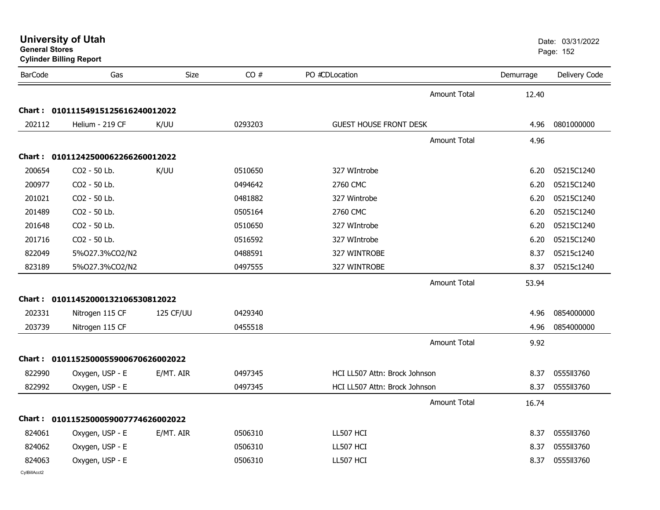| General Stores | <b>Cylinder Billing Report</b>      |           |         |                               | Page: 152           |           |               |
|----------------|-------------------------------------|-----------|---------|-------------------------------|---------------------|-----------|---------------|
| <b>BarCode</b> | Gas                                 | Size      | CO#     | PO #CDLocation                |                     | Demurrage | Delivery Code |
|                |                                     |           |         |                               | Amount Total        | 12.40     |               |
|                | Chart: 01011154915125616240012022   |           |         |                               |                     |           |               |
| 202112         | Helium - 219 CF                     | K/UU      | 0293203 | <b>GUEST HOUSE FRONT DESK</b> |                     | 4.96      | 0801000000    |
|                |                                     |           |         |                               | <b>Amount Total</b> | 4.96      |               |
|                | Chart: 01011242500062266260012022   |           |         |                               |                     |           |               |
| 200654         | CO <sub>2</sub> - 50 Lb.            | K/UU      | 0510650 | 327 WIntrobe                  |                     | 6.20      | 05215C1240    |
| 200977         | CO2 - 50 Lb.                        |           | 0494642 | 2760 CMC                      |                     | 6.20      | 05215C1240    |
| 201021         | CO2 - 50 Lb.                        |           | 0481882 | 327 Wintrobe                  |                     | 6.20      | 05215C1240    |
| 201489         | CO2 - 50 Lb.                        |           | 0505164 | 2760 CMC                      |                     | 6.20      | 05215C1240    |
| 201648         | CO2 - 50 Lb.                        |           | 0510650 | 327 WIntrobe                  |                     | 6.20      | 05215C1240    |
| 201716         | CO2 - 50 Lb.                        |           | 0516592 | 327 WIntrobe                  |                     | 6.20      | 05215C1240    |
| 822049         | 5%027.3%CO2/N2                      |           | 0488591 | 327 WINTROBE                  |                     | 8.37      | 05215c1240    |
| 823189         | 5%027.3%CO2/N2                      |           | 0497555 | 327 WINTROBE                  |                     | 8.37      | 05215c1240    |
|                |                                     |           |         |                               | <b>Amount Total</b> | 53.94     |               |
|                | Chart: 01011452000132106530812022   |           |         |                               |                     |           |               |
| 202331         | Nitrogen 115 CF                     | 125 CF/UU | 0429340 |                               |                     | 4.96      | 0854000000    |
| 203739         | Nitrogen 115 CF                     |           | 0455518 |                               |                     | 4.96      | 0854000000    |
|                |                                     |           |         |                               | <b>Amount Total</b> | 9.92      |               |
|                | Chart: 0101152500055900670626002022 |           |         |                               |                     |           |               |
| 822990         | Oxygen, USP - E                     | E/MT. AIR | 0497345 | HCI LL507 Attn: Brock Johnson |                     | 8.37      | 0555113760    |
| 822992         | Oxygen, USP - E                     |           | 0497345 | HCI LL507 Attn: Brock Johnson |                     | 8.37      | 0555113760    |
|                |                                     |           |         |                               | <b>Amount Total</b> | 16.74     |               |
|                | Chart: 0101152500059007774626002022 |           |         |                               |                     |           |               |
| 824061         | Oxygen, USP - E                     | E/MT. AIR | 0506310 | LL507 HCI                     |                     | 8.37      | 0555113760    |
| 824062         | Oxygen, USP - E                     |           | 0506310 | LL507 HCI                     |                     | 8.37      | 0555113760    |
| 824063         | Oxygen, USP - E                     |           | 0506310 | LL507 HCI                     |                     | 8.37      | 0555113760    |
| CylBillAcct2   |                                     |           |         |                               |                     |           |               |

**University of Utah** Date: 03/31/2022 **General Stores**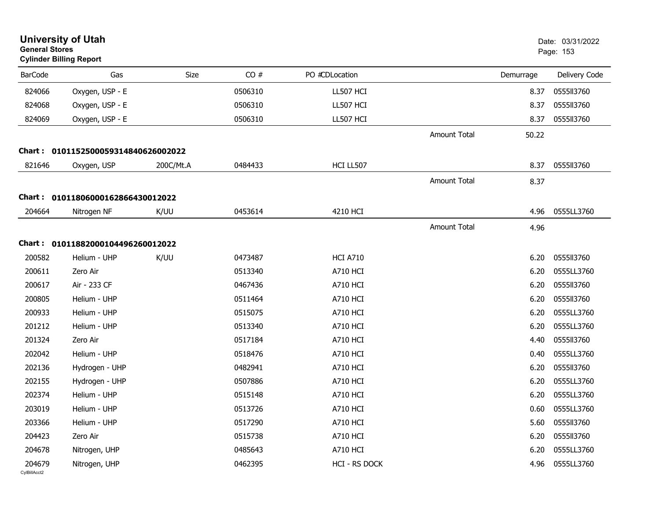| <b>General Stores</b>  | <b>University of Utah</b><br><b>Cylinder Billing Report</b> |             |         |                 |                     |           | Date: 03/31/2022<br>Page: 153 |
|------------------------|-------------------------------------------------------------|-------------|---------|-----------------|---------------------|-----------|-------------------------------|
| <b>BarCode</b>         | Gas                                                         | <b>Size</b> | CO#     | PO #CDLocation  |                     | Demurrage | Delivery Code                 |
| 824066                 | Oxygen, USP - E                                             |             | 0506310 | LL507 HCI       |                     | 8.37      | 0555113760                    |
| 824068                 | Oxygen, USP - E                                             |             | 0506310 | LL507 HCI       |                     | 8.37      | 0555113760                    |
| 824069                 | Oxygen, USP - E                                             |             | 0506310 | LL507 HCI       |                     | 8.37      | 0555113760                    |
|                        |                                                             |             |         |                 | <b>Amount Total</b> | 50.22     |                               |
|                        | Chart: 0101152500059314840626002022                         |             |         |                 |                     |           |                               |
| 821646                 | Oxygen, USP                                                 | 200C/Mt.A   | 0484433 | HCI LL507       |                     | 8.37      | 0555113760                    |
|                        |                                                             |             |         |                 | <b>Amount Total</b> | 8.37      |                               |
|                        | Chart: 01011806000162866430012022                           |             |         |                 |                     |           |                               |
| 204664                 | Nitrogen NF                                                 | K/UU        | 0453614 | 4210 HCI        |                     | 4.96      | 0555LL3760                    |
|                        |                                                             |             |         |                 | Amount Total        | 4.96      |                               |
| Chart :                | 01011882000104496260012022                                  |             |         |                 |                     |           |                               |
| 200582                 | Helium - UHP                                                | K/UU        | 0473487 | <b>HCI A710</b> |                     | 6.20      | 0555113760                    |
| 200611                 | Zero Air                                                    |             | 0513340 | <b>A710 HCI</b> |                     | 6.20      | 0555LL3760                    |
| 200617                 | Air - 233 CF                                                |             | 0467436 | <b>A710 HCI</b> |                     | 6.20      | 0555113760                    |
| 200805                 | Helium - UHP                                                |             | 0511464 | A710 HCI        |                     | 6.20      | 0555113760                    |
| 200933                 | Helium - UHP                                                |             | 0515075 | A710 HCI        |                     | 6.20      | 0555LL3760                    |
| 201212                 | Helium - UHP                                                |             | 0513340 | <b>A710 HCI</b> |                     | 6.20      | 0555LL3760                    |
| 201324                 | Zero Air                                                    |             | 0517184 | <b>A710 HCI</b> |                     | 4.40      | 0555113760                    |
| 202042                 | Helium - UHP                                                |             | 0518476 | A710 HCI        |                     | 0.40      | 0555LL3760                    |
| 202136                 | Hydrogen - UHP                                              |             | 0482941 | A710 HCI        |                     | 6.20      | 0555113760                    |
| 202155                 | Hydrogen - UHP                                              |             | 0507886 | <b>A710 HCI</b> |                     | 6.20      | 0555LL3760                    |
| 202374                 | Helium - UHP                                                |             | 0515148 | <b>A710 HCI</b> |                     | 6.20      | 0555LL3760                    |
| 203019                 | Helium - UHP                                                |             | 0513726 | A710 HCI        |                     | 0.60      | 0555LL3760                    |
| 203366                 | Helium - UHP                                                |             | 0517290 | <b>A710 HCI</b> |                     | 5.60      | 0555113760                    |
| 204423                 | Zero Air                                                    |             | 0515738 | <b>A710 HCI</b> |                     | 6.20      | 0555113760                    |
| 204678                 | Nitrogen, UHP                                               |             | 0485643 | <b>A710 HCI</b> |                     | 6.20      | 0555LL3760                    |
| 204679<br>CylBillAcct2 | Nitrogen, UHP                                               |             | 0462395 | HCI - RS DOCK   |                     | 4.96      | 0555LL3760                    |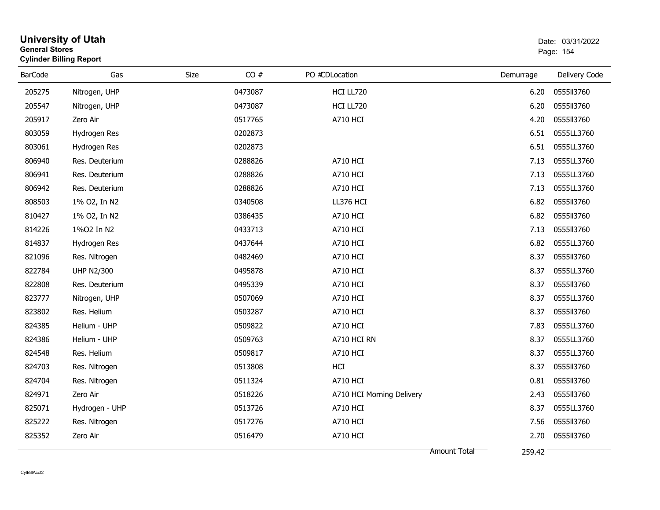| <b>General Stores</b> | <b>University of Utah</b><br><b>Cylinder Billing Report</b> |      |         |                           |           | Date: 03/31/2022<br>Page: 154 |
|-----------------------|-------------------------------------------------------------|------|---------|---------------------------|-----------|-------------------------------|
| <b>BarCode</b>        | Gas                                                         | Size | CO#     | PO #CDLocation            | Demurrage | Delivery Code                 |
| 205275                | Nitrogen, UHP                                               |      | 0473087 | HCI LL720                 | 6.20      | 0555113760                    |
| 205547                | Nitrogen, UHP                                               |      | 0473087 | HCI LL720                 | 6.20      | 0555113760                    |
| 205917                | Zero Air                                                    |      | 0517765 | <b>A710 HCI</b>           | 4.20      | 0555113760                    |
| 803059                | Hydrogen Res                                                |      | 0202873 |                           | 6.51      | 0555LL3760                    |
| 803061                | Hydrogen Res                                                |      | 0202873 |                           | 6.51      | 0555LL3760                    |
| 806940                | Res. Deuterium                                              |      | 0288826 | <b>A710 HCI</b>           | 7.13      | 0555LL3760                    |
| 806941                | Res. Deuterium                                              |      | 0288826 | <b>A710 HCI</b>           | 7.13      | 0555LL3760                    |
| 806942                | Res. Deuterium                                              |      | 0288826 | <b>A710 HCI</b>           | 7.13      | 0555LL3760                    |
| 808503                | 1% O2, In N2                                                |      | 0340508 | LL376 HCI                 | 6.82      | 0555113760                    |
| 810427                | 1% O2, In N2                                                |      | 0386435 | <b>A710 HCI</b>           | 6.82      | 0555113760                    |
| 814226                | 1%02 In N2                                                  |      | 0433713 | <b>A710 HCI</b>           | 7.13      | 0555113760                    |
| 814837                | Hydrogen Res                                                |      | 0437644 | A710 HCI                  | 6.82      | 0555LL3760                    |
| 821096                | Res. Nitrogen                                               |      | 0482469 | <b>A710 HCI</b>           | 8.37      | 0555113760                    |
| 822784                | <b>UHP N2/300</b>                                           |      | 0495878 | <b>A710 HCI</b>           | 8.37      | 0555LL3760                    |
| 822808                | Res. Deuterium                                              |      | 0495339 | <b>A710 HCI</b>           | 8.37      | 0555113760                    |
| 823777                | Nitrogen, UHP                                               |      | 0507069 | <b>A710 HCI</b>           | 8.37      | 0555LL3760                    |
| 823802                | Res. Helium                                                 |      | 0503287 | <b>A710 HCI</b>           | 8.37      | 0555113760                    |
| 824385                | Helium - UHP                                                |      | 0509822 | <b>A710 HCI</b>           | 7.83      | 0555LL3760                    |
| 824386                | Helium - UHP                                                |      | 0509763 | A710 HCI RN               | 8.37      | 0555LL3760                    |
| 824548                | Res. Helium                                                 |      | 0509817 | <b>A710 HCI</b>           | 8.37      | 0555LL3760                    |
| 824703                | Res. Nitrogen                                               |      | 0513808 | HCI                       | 8.37      | 0555113760                    |
| 824704                | Res. Nitrogen                                               |      | 0511324 | <b>A710 HCI</b>           | 0.81      | 0555113760                    |
| 824971                | Zero Air                                                    |      | 0518226 | A710 HCI Morning Delivery | 2.43      | 0555113760                    |
| 825071                | Hydrogen - UHP                                              |      | 0513726 | <b>A710 HCI</b>           | 8.37      | 0555LL3760                    |
| 825222                | Res. Nitrogen                                               |      | 0517276 | <b>A710 HCI</b>           | 7.56      | 0555113760                    |
| 825352                | Zero Air                                                    |      | 0516479 | <b>A710 HCI</b>           | 2.70      | 0555113760                    |
|                       |                                                             |      |         | Amount Total              | 259.42    |                               |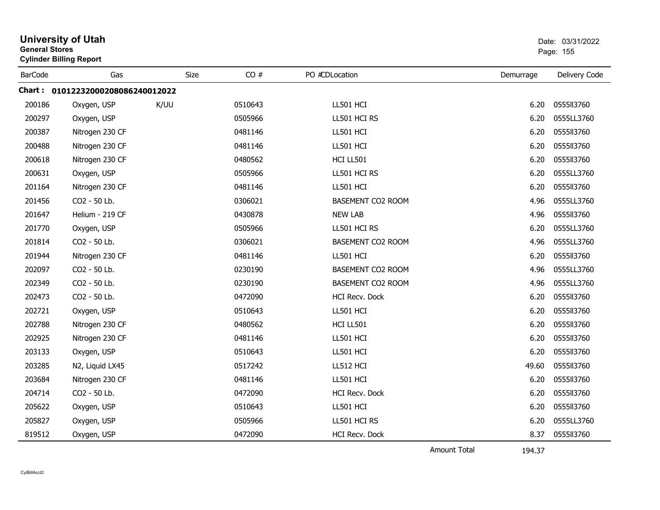|                | <b>University of Utah</b><br><b>General Stores</b><br><b>Cylinder Billing Report</b> |             |         |                       |           | Date: 03/31/2022<br>Page: 155 |
|----------------|--------------------------------------------------------------------------------------|-------------|---------|-----------------------|-----------|-------------------------------|
| <b>BarCode</b> | Gas                                                                                  | <b>Size</b> | CO#     | PO #CDLocation        | Demurrage | Delivery Code                 |
|                | Chart: 01012232000208086240012022                                                    |             |         |                       |           |                               |
| 200186         | Oxygen, USP                                                                          | K/UU        | 0510643 | LL501 HCI             | 6.20      | 0555113760                    |
| 200297         | Oxygen, USP                                                                          |             | 0505966 | LL501 HCI RS          | 6.20      | 0555LL3760                    |
| 200387         | Nitrogen 230 CF                                                                      |             | 0481146 | LL501 HCI             | 6.20      | 0555113760                    |
| 200488         | Nitrogen 230 CF                                                                      |             | 0481146 | LL501 HCI             | 6.20      | 0555113760                    |
| 200618         | Nitrogen 230 CF                                                                      |             | 0480562 | HCI LL501             | 6.20      | 0555113760                    |
| 200631         | Oxygen, USP                                                                          |             | 0505966 | LL501 HCI RS          | 6.20      | 0555LL3760                    |
| 201164         | Nitrogen 230 CF                                                                      |             | 0481146 | LL501 HCI             | 6.20      | 0555113760                    |
| 201456         | CO2 - 50 Lb.                                                                         |             | 0306021 | BASEMENT CO2 ROOM     | 4.96      | 0555LL3760                    |
| 201647         | Helium - 219 CF                                                                      |             | 0430878 | <b>NEW LAB</b>        | 4.96      | 0555113760                    |
| 201770         | Oxygen, USP                                                                          |             | 0505966 | LL501 HCI RS          | 6.20      | 0555LL3760                    |
| 201814         | CO2 - 50 Lb.                                                                         |             | 0306021 | BASEMENT CO2 ROOM     | 4.96      | 0555LL3760                    |
| 201944         | Nitrogen 230 CF                                                                      |             | 0481146 | LL501 HCI             | 6.20      | 0555113760                    |
| 202097         | CO2 - 50 Lb.                                                                         |             | 0230190 | BASEMENT CO2 ROOM     | 4.96      | 0555LL3760                    |
| 202349         | CO2 - 50 Lb.                                                                         |             | 0230190 | BASEMENT CO2 ROOM     | 4.96      | 0555LL3760                    |
| 202473         | CO2 - 50 Lb.                                                                         |             | 0472090 | HCI Recv. Dock        | 6.20      | 0555113760                    |
| 202721         | Oxygen, USP                                                                          |             | 0510643 | LL501 HCI             | 6.20      | 0555113760                    |
| 202788         | Nitrogen 230 CF                                                                      |             | 0480562 | HCI LL501             | 6.20      | 0555113760                    |
| 202925         | Nitrogen 230 CF                                                                      |             | 0481146 | LL501 HCI             | 6.20      | 0555113760                    |
| 203133         | Oxygen, USP                                                                          |             | 0510643 | LL501 HCI             | 6.20      | 0555113760                    |
| 203285         | N2, Liquid LX45                                                                      |             | 0517242 | LL512 HCI             | 49.60     | 0555113760                    |
| 203684         | Nitrogen 230 CF                                                                      |             | 0481146 | LL501 HCI             | 6.20      | 0555113760                    |
| 204714         | CO2 - 50 Lb.                                                                         |             | 0472090 | <b>HCI Recv. Dock</b> | 6.20      | 0555113760                    |
| 205622         | Oxygen, USP                                                                          |             | 0510643 | LL501 HCI             | 6.20      | 0555113760                    |
| 205827         | Oxygen, USP                                                                          |             | 0505966 | LL501 HCI RS          | 6.20      | 0555LL3760                    |
| 819512         | Oxygen, USP                                                                          |             | 0472090 | <b>HCI Recv. Dock</b> | 8.37      | 0555113760                    |

Amount Total

194.37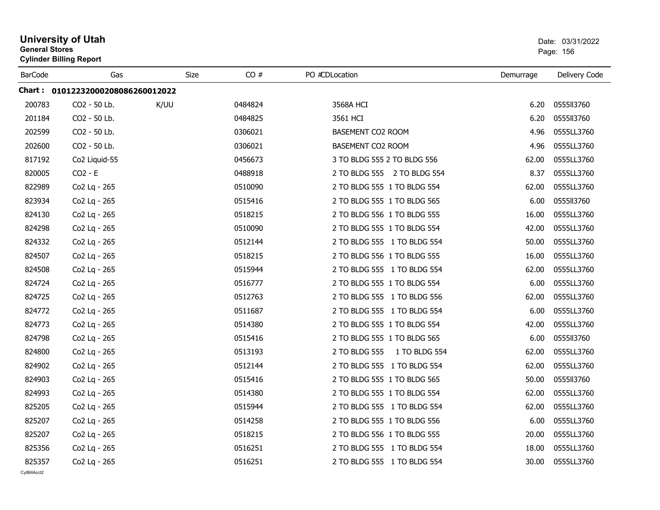| <b>General Stores</b> | <b>University of Utah</b><br><b>Cylinder Billing Report</b> |      |      |         |                                |           | Date: 03/31/2022<br>Page: 156 |  |
|-----------------------|-------------------------------------------------------------|------|------|---------|--------------------------------|-----------|-------------------------------|--|
| <b>BarCode</b>        | Gas                                                         |      | Size | CO#     | PO #CDLocation                 | Demurrage | Delivery Code                 |  |
|                       | Chart: 01012232000208086260012022                           |      |      |         |                                |           |                               |  |
| 200783                | CO2 - 50 Lb.                                                | K/UU |      | 0484824 | 3568A HCI                      | 6.20      | 0555113760                    |  |
| 201184                | CO2 - 50 Lb.                                                |      |      | 0484825 | 3561 HCI                       | 6.20      | 0555113760                    |  |
| 202599                | CO2 - 50 Lb.                                                |      |      | 0306021 | BASEMENT CO2 ROOM              | 4.96      | 0555LL3760                    |  |
| 202600                | CO2 - 50 Lb.                                                |      |      | 0306021 | BASEMENT CO2 ROOM              | 4.96      | 0555LL3760                    |  |
| 817192                | Co2 Liquid-55                                               |      |      | 0456673 | 3 TO BLDG 555 2 TO BLDG 556    | 62.00     | 0555LL3760                    |  |
| 820005                | $CO2 - E$                                                   |      |      | 0488918 | 2 TO BLDG 555 2 TO BLDG 554    | 8.37      | 0555LL3760                    |  |
| 822989                | Co2 Lq - 265                                                |      |      | 0510090 | 2 TO BLDG 555 1 TO BLDG 554    | 62.00     | 0555LL3760                    |  |
| 823934                | Co2 Lq - 265                                                |      |      | 0515416 | 2 TO BLDG 555 1 TO BLDG 565    | 6.00      | 0555113760                    |  |
| 824130                | Co2 Lq - 265                                                |      |      | 0518215 | 2 TO BLDG 556 1 TO BLDG 555    | 16.00     | 0555LL3760                    |  |
| 824298                | Co2 Lq - 265                                                |      |      | 0510090 | 2 TO BLDG 555 1 TO BLDG 554    | 42.00     | 0555LL3760                    |  |
| 824332                | Co2 Lq - 265                                                |      |      | 0512144 | 2 TO BLDG 555 1 TO BLDG 554    | 50.00     | 0555LL3760                    |  |
| 824507                | Co2 Lq - 265                                                |      |      | 0518215 | 2 TO BLDG 556 1 TO BLDG 555    | 16.00     | 0555LL3760                    |  |
| 824508                | Co2 Lq - 265                                                |      |      | 0515944 | 2 TO BLDG 555 1 TO BLDG 554    | 62.00     | 0555LL3760                    |  |
| 824724                | Co2 Lq - 265                                                |      |      | 0516777 | 2 TO BLDG 555 1 TO BLDG 554    | 6.00      | 0555LL3760                    |  |
| 824725                | Co2 Lq - 265                                                |      |      | 0512763 | 2 TO BLDG 555 1 TO BLDG 556    | 62.00     | 0555LL3760                    |  |
| 824772                | Co2 Lq - 265                                                |      |      | 0511687 | 2 TO BLDG 555 1 TO BLDG 554    | 6.00      | 0555LL3760                    |  |
| 824773                | Co2 Lq - 265                                                |      |      | 0514380 | 2 TO BLDG 555 1 TO BLDG 554    | 42.00     | 0555LL3760                    |  |
| 824798                | Co2 Lq - 265                                                |      |      | 0515416 | 2 TO BLDG 555 1 TO BLDG 565    | 6.00      | 0555113760                    |  |
| 824800                | Co2 Lq - 265                                                |      |      | 0513193 | 2 TO BLDG 555<br>1 TO BLDG 554 | 62.00     | 0555LL3760                    |  |
| 824902                | Co2 Lq - 265                                                |      |      | 0512144 | 2 TO BLDG 555 1 TO BLDG 554    | 62.00     | 0555LL3760                    |  |
| 824903                | Co2 Lq - 265                                                |      |      | 0515416 | 2 TO BLDG 555 1 TO BLDG 565    | 50.00     | 0555113760                    |  |
| 824993                | Co2 Lq - 265                                                |      |      | 0514380 | 2 TO BLDG 555 1 TO BLDG 554    | 62.00     | 0555LL3760                    |  |
| 825205                | Co2 Lq - 265                                                |      |      | 0515944 | 2 TO BLDG 555 1 TO BLDG 554    | 62.00     | 0555LL3760                    |  |
| 825207                | Co2 Lq - 265                                                |      |      | 0514258 | 2 TO BLDG 555 1 TO BLDG 556    | 6.00      | 0555LL3760                    |  |
| 825207                | Co2 Lq - 265                                                |      |      | 0518215 | 2 TO BLDG 556 1 TO BLDG 555    | 20.00     | 0555LL3760                    |  |
| 825356                | Co2 Lq - 265                                                |      |      | 0516251 | 2 TO BLDG 555 1 TO BLDG 554    | 18.00     | 0555LL3760                    |  |
| 825357                | Co <sub>2</sub> Lq - 265                                    |      |      | 0516251 | 2 TO BLDG 555 1 TO BLDG 554    | 30.00     | 0555LL3760                    |  |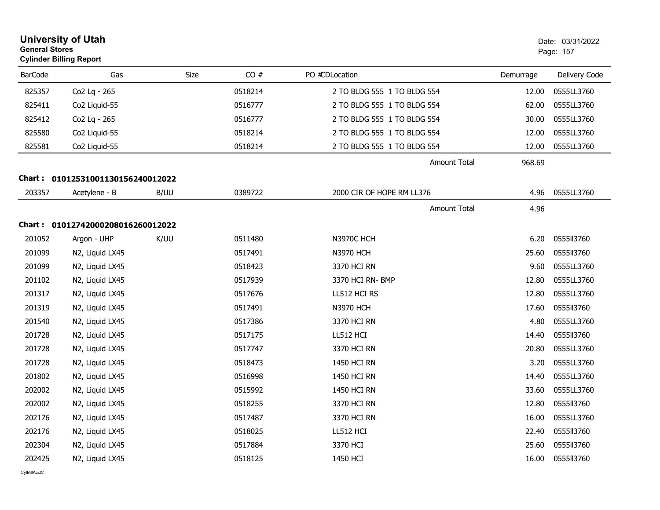| <b>General Stores</b> | <b>University of Utah</b><br><b>Cylinder Billing Report</b> |      | Date: 03/31/2022<br>Page: 157 |                             |                               |               |
|-----------------------|-------------------------------------------------------------|------|-------------------------------|-----------------------------|-------------------------------|---------------|
| <b>BarCode</b>        | Gas                                                         |      | CO#<br>Size                   | PO #CDLocation              | Demurrage                     | Delivery Code |
| 825357                | Co2 Lq - 265                                                |      | 0518214                       | 2 TO BLDG 555 1 TO BLDG 554 | 12.00                         | 0555LL3760    |
| 825411                | Co <sub>2</sub> Liquid-55                                   |      | 0516777                       | 2 TO BLDG 555 1 TO BLDG 554 | 62.00                         | 0555LL3760    |
| 825412                | Co2 Lq - 265                                                |      | 0516777                       | 2 TO BLDG 555 1 TO BLDG 554 | 30.00                         | 0555LL3760    |
| 825580                | Co2 Liquid-55                                               |      | 0518214                       | 2 TO BLDG 555 1 TO BLDG 554 | 12.00                         | 0555LL3760    |
| 825581                | Co2 Liquid-55                                               |      | 0518214                       | 2 TO BLDG 555 1 TO BLDG 554 | 12.00                         | 0555LL3760    |
|                       |                                                             |      |                               |                             | <b>Amount Total</b><br>968.69 |               |
|                       | Chart: 01012531001130156240012022                           |      |                               |                             |                               |               |
| 203357                | Acetylene - B                                               | B/UU | 0389722                       | 2000 CIR OF HOPE RM LL376   | 4.96                          | 0555LL3760    |
|                       |                                                             |      |                               |                             | <b>Amount Total</b><br>4.96   |               |
|                       | Chart: 01012742000208016260012022                           |      |                               |                             |                               |               |
| 201052                | Argon - UHP                                                 | K/UU | 0511480                       | <b>N3970C HCH</b>           | 6.20                          | 0555113760    |
| 201099                | N2, Liquid LX45                                             |      | 0517491                       | <b>N3970 HCH</b>            | 25.60                         | 0555II3760    |
| 201099                | N2, Liquid LX45                                             |      | 0518423                       | 3370 HCI RN                 | 9.60                          | 0555LL3760    |
| 201102                | N2, Liquid LX45                                             |      | 0517939                       | 3370 HCI RN- BMP            | 12.80                         | 0555LL3760    |
| 201317                | N2, Liquid LX45                                             |      | 0517676                       | LL512 HCI RS                | 12.80                         | 0555LL3760    |
| 201319                | N2, Liquid LX45                                             |      | 0517491                       | <b>N3970 HCH</b>            | 17.60                         | 0555113760    |
| 201540                | N2, Liquid LX45                                             |      | 0517386                       | 3370 HCI RN                 | 4.80                          | 0555LL3760    |
| 201728                | N2, Liquid LX45                                             |      | 0517175                       | LL512 HCI                   | 14.40                         | 0555113760    |
| 201728                | N2, Liquid LX45                                             |      | 0517747                       | 3370 HCI RN                 | 20.80                         | 0555LL3760    |
| 201728                | N2, Liquid LX45                                             |      | 0518473                       | 1450 HCI RN                 | 3.20                          | 0555LL3760    |
| 201802                | N2, Liquid LX45                                             |      | 0516998                       | 1450 HCI RN                 | 14.40                         | 0555LL3760    |
| 202002                | N2, Liquid LX45                                             |      | 0515992                       | 1450 HCI RN                 | 33.60                         | 0555LL3760    |
| 202002                | N2, Liquid LX45                                             |      | 0518255                       | 3370 HCI RN                 | 12.80                         | 0555113760    |
| 202176                | N2, Liquid LX45                                             |      | 0517487                       | 3370 HCI RN                 | 16.00                         | 0555LL3760    |
| 202176                | N2, Liquid LX45                                             |      | 0518025                       | LL512 HCI                   | 22.40                         | 0555113760    |
| 202304                | N2, Liquid LX45                                             |      | 0517884                       | 3370 HCI                    | 25.60                         | 0555II3760    |
| 202425                | N2, Liquid LX45                                             |      | 0518125                       | 1450 HCI                    | 16.00                         | 0555ll3760    |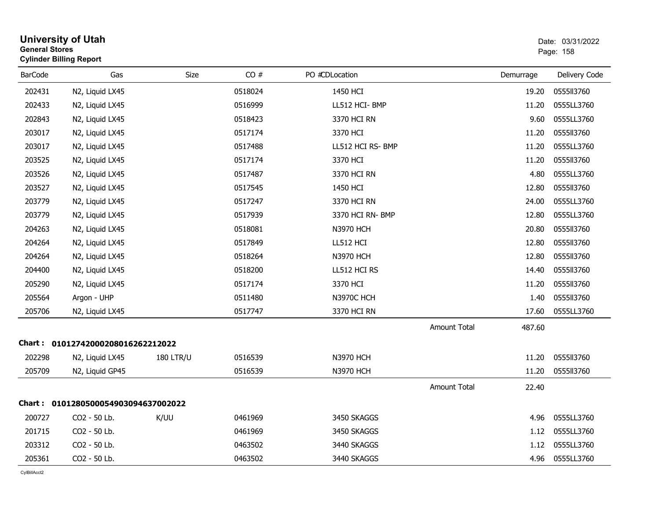|                | <b>University of Utah</b><br><b>General Stores</b><br><b>Cylinder Billing Report</b> |                  |         |                   |                     |           | Date: 03/31/2022<br>Page: 158 |
|----------------|--------------------------------------------------------------------------------------|------------------|---------|-------------------|---------------------|-----------|-------------------------------|
| <b>BarCode</b> | Gas                                                                                  | Size             | CO#     | PO #CDLocation    |                     | Demurrage | Delivery Code                 |
| 202431         | N2, Liquid LX45                                                                      |                  | 0518024 | 1450 HCI          |                     | 19.20     | 0555113760                    |
| 202433         | N2, Liquid LX45                                                                      |                  | 0516999 | LL512 HCI-BMP     |                     | 11.20     | 0555LL3760                    |
| 202843         | N2, Liquid LX45                                                                      |                  | 0518423 | 3370 HCI RN       |                     | 9.60      | 0555LL3760                    |
| 203017         | N2, Liquid LX45                                                                      |                  | 0517174 | 3370 HCI          |                     | 11.20     | 0555113760                    |
| 203017         | N2, Liquid LX45                                                                      |                  | 0517488 | LL512 HCI RS- BMP |                     | 11.20     | 0555LL3760                    |
| 203525         | N2, Liquid LX45                                                                      |                  | 0517174 | 3370 HCI          |                     | 11.20     | 0555113760                    |
| 203526         | N2, Liquid LX45                                                                      |                  | 0517487 | 3370 HCI RN       |                     | 4.80      | 0555LL3760                    |
| 203527         | N2, Liquid LX45                                                                      |                  | 0517545 | 1450 HCI          |                     | 12.80     | 0555113760                    |
| 203779         | N2, Liquid LX45                                                                      |                  | 0517247 | 3370 HCI RN       |                     | 24.00     | 0555LL3760                    |
| 203779         | N2, Liquid LX45                                                                      |                  | 0517939 | 3370 HCI RN- BMP  |                     | 12.80     | 0555LL3760                    |
| 204263         | N2, Liquid LX45                                                                      |                  | 0518081 | <b>N3970 HCH</b>  |                     | 20.80     | 0555113760                    |
| 204264         | N2, Liquid LX45                                                                      |                  | 0517849 | LL512 HCI         |                     | 12.80     | 0555113760                    |
| 204264         | N2, Liquid LX45                                                                      |                  | 0518264 | <b>N3970 HCH</b>  |                     | 12.80     | 0555113760                    |
| 204400         | N2, Liquid LX45                                                                      |                  | 0518200 | LL512 HCI RS      |                     | 14.40     | 0555113760                    |
| 205290         | N2, Liquid LX45                                                                      |                  | 0517174 | 3370 HCI          |                     | 11.20     | 0555113760                    |
| 205564         | Argon - UHP                                                                          |                  | 0511480 | N3970C HCH        |                     | 1.40      | 0555113760                    |
| 205706         | N2, Liquid LX45                                                                      |                  | 0517747 | 3370 HCI RN       |                     | 17.60     | 0555LL3760                    |
|                |                                                                                      |                  |         |                   | <b>Amount Total</b> | 487.60    |                               |
|                | Chart: 01012742000208016262212022                                                    |                  |         |                   |                     |           |                               |
| 202298         | N2, Liquid LX45                                                                      | <b>180 LTR/U</b> | 0516539 | <b>N3970 HCH</b>  |                     | 11.20     | 0555113760                    |
| 205709         | N2, Liquid GP45                                                                      |                  | 0516539 | <b>N3970 HCH</b>  |                     | 11.20     | 0555113760                    |
|                |                                                                                      |                  |         |                   | Amount Total        | 22.40     |                               |
|                | Chart: 0101280500054903094637002022                                                  |                  |         |                   |                     |           |                               |
| 200727         | CO2 - 50 Lb.                                                                         | K/UU             | 0461969 | 3450 SKAGGS       |                     | 4.96      | 0555LL3760                    |
| 201715         | CO2 - 50 Lb.                                                                         |                  | 0461969 | 3450 SKAGGS       |                     | 1.12      | 0555LL3760                    |
| 203312         | CO2 - 50 Lb.                                                                         |                  | 0463502 | 3440 SKAGGS       |                     | 1.12      | 0555LL3760                    |
| 205361         | CO2 - 50 Lb.                                                                         |                  | 0463502 | 3440 SKAGGS       |                     | 4.96      | 0555LL3760                    |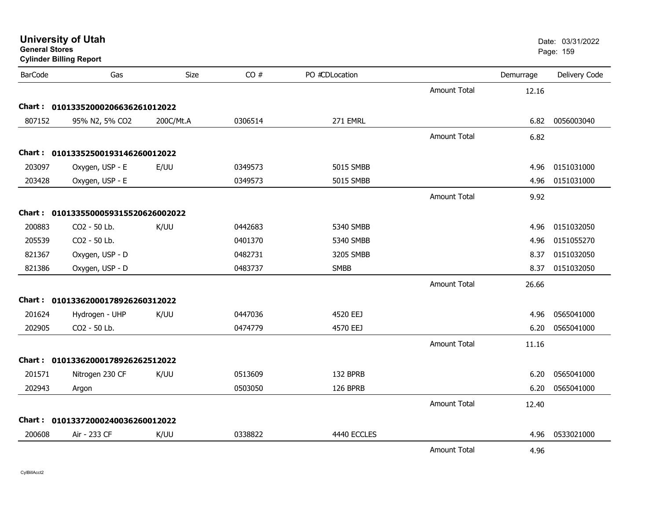| General Stores | <b>Cylinder Billing Report</b>      |           |         |                |                     |           | Page: 159     |
|----------------|-------------------------------------|-----------|---------|----------------|---------------------|-----------|---------------|
| <b>BarCode</b> | Gas                                 | Size      | CO#     | PO #CDLocation |                     | Demurrage | Delivery Code |
|                |                                     |           |         |                | <b>Amount Total</b> | 12.16     |               |
|                | Chart: 01013352000206636261012022   |           |         |                |                     |           |               |
| 807152         | 95% N2, 5% CO2                      | 200C/Mt.A | 0306514 | 271 EMRL       |                     | 6.82      | 0056003040    |
|                |                                     |           |         |                | <b>Amount Total</b> | 6.82      |               |
|                | Chart: 01013352500193146260012022   |           |         |                |                     |           |               |
| 203097         | Oxygen, USP - E                     | E/UU      | 0349573 | 5015 SMBB      |                     | 4.96      | 0151031000    |
| 203428         | Oxygen, USP - E                     |           | 0349573 | 5015 SMBB      |                     | 4.96      | 0151031000    |
|                |                                     |           |         |                | <b>Amount Total</b> | 9.92      |               |
|                | Chart: 0101335500059315520626002022 |           |         |                |                     |           |               |
| 200883         | CO2 - 50 Lb.                        | K/UU      | 0442683 | 5340 SMBB      |                     | 4.96      | 0151032050    |
| 205539         | CO2 - 50 Lb.                        |           | 0401370 | 5340 SMBB      |                     | 4.96      | 0151055270    |
| 821367         | Oxygen, USP - D                     |           | 0482731 | 3205 SMBB      |                     | 8.37      | 0151032050    |
| 821386         | Oxygen, USP - D                     |           | 0483737 | <b>SMBB</b>    |                     | 8.37      | 0151032050    |
|                |                                     |           |         |                | <b>Amount Total</b> | 26.66     |               |
|                | Chart: 01013362000178926260312022   |           |         |                |                     |           |               |
| 201624         | Hydrogen - UHP                      | K/UU      | 0447036 | 4520 EEJ       |                     | 4.96      | 0565041000    |
| 202905         | CO2 - 50 Lb.                        |           | 0474779 | 4570 EEJ       |                     | 6.20      | 0565041000    |
|                |                                     |           |         |                | <b>Amount Total</b> | 11.16     |               |
|                | Chart: 01013362000178926262512022   |           |         |                |                     |           |               |
| 201571         | Nitrogen 230 CF                     | K/UU      | 0513609 | 132 BPRB       |                     | 6.20      | 0565041000    |
| 202943         | Argon                               |           | 0503050 | 126 BPRB       |                     | 6.20      | 0565041000    |
|                |                                     |           |         |                | <b>Amount Total</b> | 12.40     |               |
|                | Chart: 01013372000240036260012022   |           |         |                |                     |           |               |
| 200608         | Air - 233 CF                        | K/UU      | 0338822 | 4440 ECCLES    |                     | 4.96      | 0533021000    |
|                |                                     |           |         |                | Amount Total        | 4.96      |               |

# **General Stores**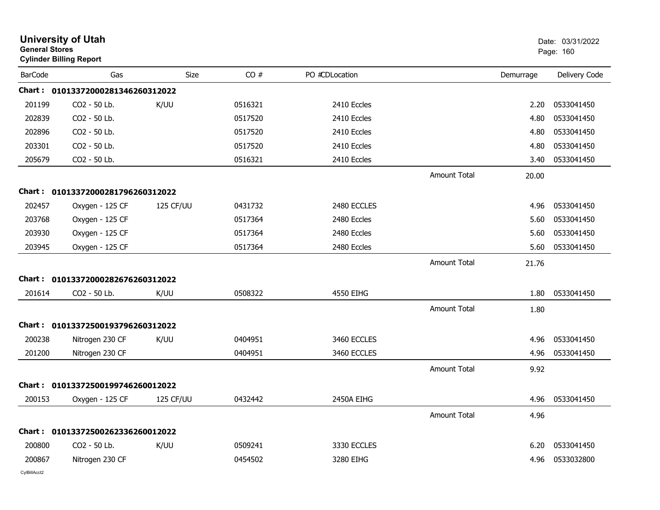|                | <b>University of Utah</b><br><b>General Stores</b><br><b>Cylinder Billing Report</b> |                  |         |                |                     |           | Date: 03/31/2022<br>Page: 160 |
|----------------|--------------------------------------------------------------------------------------|------------------|---------|----------------|---------------------|-----------|-------------------------------|
| <b>BarCode</b> | Gas                                                                                  | Size             | CO#     | PO #CDLocation |                     | Demurrage | Delivery Code                 |
|                | Chart: 01013372000281346260312022                                                    |                  |         |                |                     |           |                               |
| 201199         | CO2 - 50 Lb.                                                                         | K/UU             | 0516321 | 2410 Eccles    |                     | 2.20      | 0533041450                    |
| 202839         | CO2 - 50 Lb.                                                                         |                  | 0517520 | 2410 Eccles    |                     | 4.80      | 0533041450                    |
| 202896         | CO2 - 50 Lb.                                                                         |                  | 0517520 | 2410 Eccles    |                     | 4.80      | 0533041450                    |
| 203301         | CO2 - 50 Lb.                                                                         |                  | 0517520 | 2410 Eccles    |                     | 4.80      | 0533041450                    |
| 205679         | CO2 - 50 Lb.                                                                         |                  | 0516321 | 2410 Eccles    |                     | 3.40      | 0533041450                    |
|                |                                                                                      |                  |         |                | <b>Amount Total</b> | 20.00     |                               |
|                | Chart: 01013372000281796260312022                                                    |                  |         |                |                     |           |                               |
| 202457         | Oxygen - 125 CF                                                                      | 125 CF/UU        | 0431732 | 2480 ECCLES    |                     | 4.96      | 0533041450                    |
| 203768         | Oxygen - 125 CF                                                                      |                  | 0517364 | 2480 Eccles    |                     | 5.60      | 0533041450                    |
| 203930         | Oxygen - 125 CF                                                                      |                  | 0517364 | 2480 Eccles    |                     | 5.60      | 0533041450                    |
| 203945         | Oxygen - 125 CF                                                                      |                  | 0517364 | 2480 Eccles    |                     | 5.60      | 0533041450                    |
|                |                                                                                      |                  |         |                | <b>Amount Total</b> | 21.76     |                               |
|                | Chart: 01013372000282676260312022                                                    |                  |         |                |                     |           |                               |
| 201614         | CO2 - 50 Lb.                                                                         | K/UU             | 0508322 | 4550 EIHG      |                     | 1.80      | 0533041450                    |
|                |                                                                                      |                  |         |                | <b>Amount Total</b> | 1.80      |                               |
|                | Chart: 01013372500193796260312022                                                    |                  |         |                |                     |           |                               |
| 200238         | Nitrogen 230 CF                                                                      | K/UU             | 0404951 | 3460 ECCLES    |                     | 4.96      | 0533041450                    |
| 201200         | Nitrogen 230 CF                                                                      |                  | 0404951 | 3460 ECCLES    |                     | 4.96      | 0533041450                    |
|                |                                                                                      |                  |         |                | <b>Amount Total</b> | 9.92      |                               |
|                | Chart: 01013372500199746260012022                                                    |                  |         |                |                     |           |                               |
| 200153         | Oxygen - 125 CF                                                                      | <b>125 CF/UU</b> | 0432442 | 2450A EIHG     |                     | 4.96      | 0533041450                    |
|                |                                                                                      |                  |         |                | <b>Amount Total</b> | 4.96      |                               |
|                | Chart: 01013372500262336260012022                                                    |                  |         |                |                     |           |                               |
| 200800         | CO2 - 50 Lb.                                                                         | K/UU             | 0509241 | 3330 ECCLES    |                     | 6.20      | 0533041450                    |
| 200867         | Nitrogen 230 CF                                                                      |                  | 0454502 | 3280 EIHG      |                     | 4.96      | 0533032800                    |
|                |                                                                                      |                  |         |                |                     |           |                               |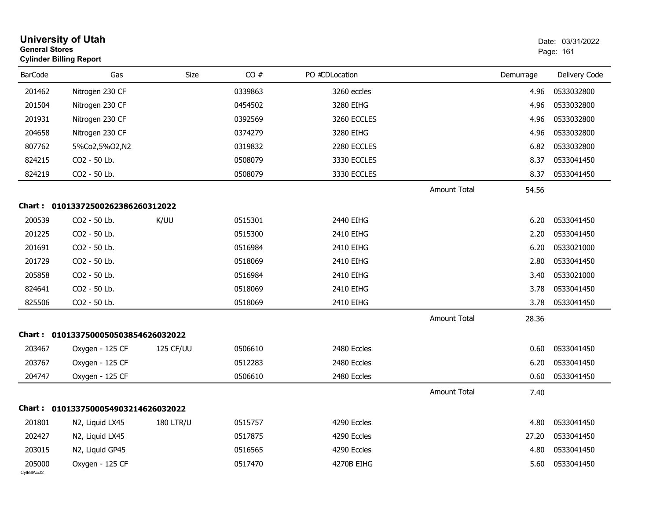| <b>General Stores</b>  | <b>University of Utah</b><br><b>Cylinder Billing Report</b> |                  |         |                |                     |           | Date: 03/31/2022<br>Page: 161 |  |
|------------------------|-------------------------------------------------------------|------------------|---------|----------------|---------------------|-----------|-------------------------------|--|
| <b>BarCode</b>         | Gas                                                         | Size             | CO#     | PO #CDLocation |                     | Demurrage | Delivery Code                 |  |
| 201462                 | Nitrogen 230 CF                                             |                  | 0339863 | 3260 eccles    |                     | 4.96      | 0533032800                    |  |
| 201504                 | Nitrogen 230 CF                                             |                  | 0454502 | 3280 EIHG      |                     | 4.96      | 0533032800                    |  |
| 201931                 | Nitrogen 230 CF                                             |                  | 0392569 | 3260 ECCLES    |                     | 4.96      | 0533032800                    |  |
| 204658                 | Nitrogen 230 CF                                             |                  | 0374279 | 3280 EIHG      |                     | 4.96      | 0533032800                    |  |
| 807762                 | 5%Co2,5%O2,N2                                               |                  | 0319832 | 2280 ECCLES    |                     | 6.82      | 0533032800                    |  |
| 824215                 | CO2 - 50 Lb.                                                |                  | 0508079 | 3330 ECCLES    |                     | 8.37      | 0533041450                    |  |
| 824219                 | CO2 - 50 Lb.                                                |                  | 0508079 | 3330 ECCLES    |                     | 8.37      | 0533041450                    |  |
|                        |                                                             |                  |         |                | Amount Total        | 54.56     |                               |  |
|                        | Chart: 01013372500262386260312022                           |                  |         |                |                     |           |                               |  |
| 200539                 | CO2 - 50 Lb.                                                | K/UU             | 0515301 | 2440 EIHG      |                     | 6.20      | 0533041450                    |  |
| 201225                 | CO2 - 50 Lb.                                                |                  | 0515300 | 2410 EIHG      |                     | 2.20      | 0533041450                    |  |
| 201691                 | CO2 - 50 Lb.                                                |                  | 0516984 | 2410 EIHG      |                     | 6.20      | 0533021000                    |  |
| 201729                 | CO2 - 50 Lb.                                                |                  | 0518069 | 2410 EIHG      |                     | 2.80      | 0533041450                    |  |
| 205858                 | CO2 - 50 Lb.                                                |                  | 0516984 | 2410 EIHG      |                     | 3.40      | 0533021000                    |  |
| 824641                 | CO2 - 50 Lb.                                                |                  | 0518069 | 2410 EIHG      |                     | 3.78      | 0533041450                    |  |
| 825506                 | CO2 - 50 Lb.                                                |                  | 0518069 | 2410 EIHG      |                     | 3.78      | 0533041450                    |  |
|                        |                                                             |                  |         |                | Amount Total        | 28.36     |                               |  |
|                        | Chart: 0101337500050503854626032022                         |                  |         |                |                     |           |                               |  |
| 203467                 | Oxygen - 125 CF                                             | <b>125 CF/UU</b> | 0506610 | 2480 Eccles    |                     | 0.60      | 0533041450                    |  |
| 203767                 | Oxygen - 125 CF                                             |                  | 0512283 | 2480 Eccles    |                     | 6.20      | 0533041450                    |  |
| 204747                 | Oxygen - 125 CF                                             |                  | 0506610 | 2480 Eccles    |                     | 0.60      | 0533041450                    |  |
|                        |                                                             |                  |         |                | <b>Amount Total</b> | 7.40      |                               |  |
|                        | Chart: 0101337500054903214626032022                         |                  |         |                |                     |           |                               |  |
| 201801                 | N2, Liquid LX45                                             | <b>180 LTR/U</b> | 0515757 | 4290 Eccles    |                     | 4.80      | 0533041450                    |  |
| 202427                 | N2, Liquid LX45                                             |                  | 0517875 | 4290 Eccles    |                     | 27.20     | 0533041450                    |  |
| 203015                 | N2, Liquid GP45                                             |                  | 0516565 | 4290 Eccles    |                     | 4.80      | 0533041450                    |  |
| 205000<br>CylBillAcct2 | Oxygen - 125 CF                                             |                  | 0517470 | 4270B EIHG     |                     | 5.60      | 0533041450                    |  |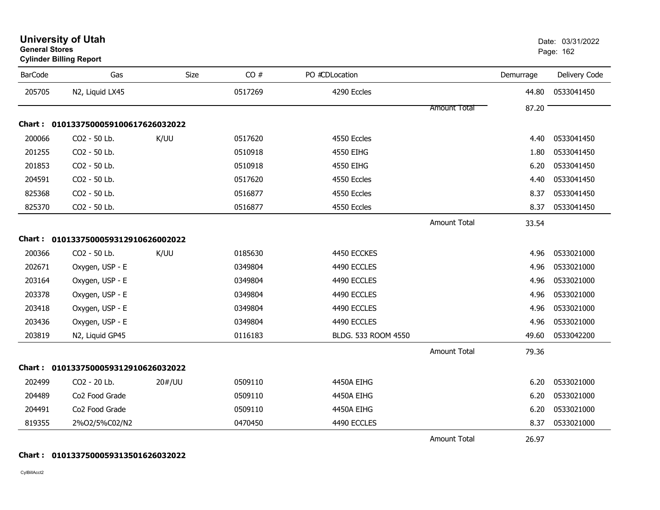| <b>BarCode</b> | Gas                                 | <b>Size</b> | CO#     | PO #CDLocation      |                     | Demurrage | Delivery Code |
|----------------|-------------------------------------|-------------|---------|---------------------|---------------------|-----------|---------------|
| 205705         | N2, Liquid LX45                     |             | 0517269 | 4290 Eccles         |                     | 44.80     | 0533041450    |
|                |                                     |             |         |                     | <b>Amount Total</b> | 87.20     |               |
|                | Chart: 0101337500059100617626032022 |             |         |                     |                     |           |               |
| 200066         | CO2 - 50 Lb.                        | K/UU        | 0517620 | 4550 Eccles         |                     | 4.40      | 0533041450    |
| 201255         | CO2 - 50 Lb.                        |             | 0510918 | 4550 EIHG           |                     | 1.80      | 0533041450    |
| 201853         | CO2 - 50 Lb.                        |             | 0510918 | 4550 EIHG           |                     | 6.20      | 0533041450    |
| 204591         | CO2 - 50 Lb.                        |             | 0517620 | 4550 Eccles         |                     | 4.40      | 0533041450    |
| 825368         | CO2 - 50 Lb.                        |             | 0516877 | 4550 Eccles         |                     | 8.37      | 0533041450    |
| 825370         | CO2 - 50 Lb.                        |             | 0516877 | 4550 Eccles         |                     | 8.37      | 0533041450    |
|                |                                     |             |         |                     | <b>Amount Total</b> | 33.54     |               |
|                | Chart: 0101337500059312910626002022 |             |         |                     |                     |           |               |
| 200366         | CO2 - 50 Lb.                        | K/UU        | 0185630 | 4450 ECCKES         |                     | 4.96      | 0533021000    |
| 202671         | Oxygen, USP - E                     |             | 0349804 | 4490 ECCLES         |                     | 4.96      | 0533021000    |
| 203164         | Oxygen, USP - E                     |             | 0349804 | 4490 ECCLES         |                     | 4.96      | 0533021000    |
| 203378         | Oxygen, USP - E                     |             | 0349804 | 4490 ECCLES         |                     | 4.96      | 0533021000    |
| 203418         | Oxygen, USP - E                     |             | 0349804 | 4490 ECCLES         |                     | 4.96      | 0533021000    |
| 203436         | Oxygen, USP - E                     |             | 0349804 | 4490 ECCLES         |                     | 4.96      | 0533021000    |
| 203819         | N2, Liquid GP45                     |             | 0116183 | BLDG. 533 ROOM 4550 |                     | 49.60     | 0533042200    |
|                |                                     |             |         |                     | <b>Amount Total</b> | 79.36     |               |
|                | Chart: 0101337500059312910626032022 |             |         |                     |                     |           |               |
| 202499         | CO2 - 20 Lb.                        | 20#/UU      | 0509110 | 4450A EIHG          |                     | 6.20      | 0533021000    |
| 204489         | Co2 Food Grade                      |             | 0509110 | 4450A EIHG          |                     | 6.20      | 0533021000    |
| 204491         | Co2 Food Grade                      |             | 0509110 | 4450A EIHG          |                     | 6.20      | 0533021000    |
| 819355         | 2%O2/5%C02/N2                       |             | 0470450 | 4490 ECCLES         |                     | 8.37      | 0533021000    |
|                |                                     |             |         |                     | <b>Amount Total</b> | 26.97     |               |

### **General Stores**er beste beste beste beste beste beste beste beste beste beste beste beste beste beste beste beste beste beste **Cylinder Billing Report**

**Chart : 0101337500059313501626032022**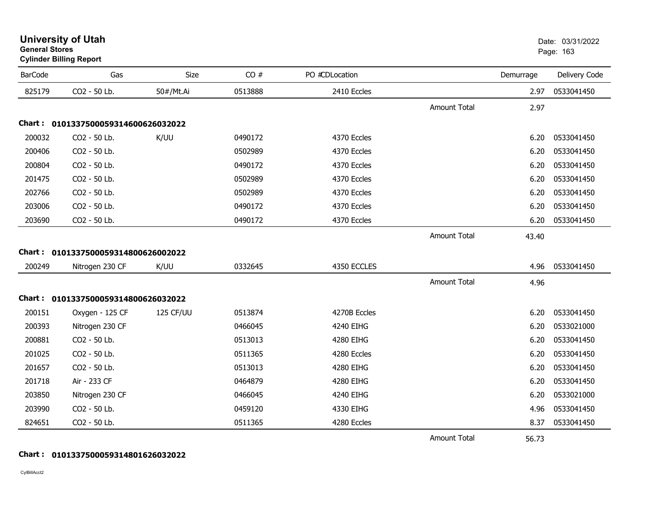|                | <b>Cylinder Billing Report</b>      |           |         |                |                     |           |               |
|----------------|-------------------------------------|-----------|---------|----------------|---------------------|-----------|---------------|
| <b>BarCode</b> | Gas                                 | Size      | CO#     | PO #CDLocation |                     | Demurrage | Delivery Code |
| 825179         | CO2 - 50 Lb.                        | 50#/Mt.Ai | 0513888 | 2410 Eccles    |                     | 2.97      | 0533041450    |
|                |                                     |           |         |                | <b>Amount Total</b> | 2.97      |               |
|                | Chart: 0101337500059314600626032022 |           |         |                |                     |           |               |
| 200032         | CO2 - 50 Lb.                        | K/UU      | 0490172 | 4370 Eccles    |                     | 6.20      | 0533041450    |
| 200406         | CO2 - 50 Lb.                        |           | 0502989 | 4370 Eccles    |                     | 6.20      | 0533041450    |
| 200804         | CO2 - 50 Lb.                        |           | 0490172 | 4370 Eccles    |                     | 6.20      | 0533041450    |
| 201475         | CO2 - 50 Lb.                        |           | 0502989 | 4370 Eccles    |                     | 6.20      | 0533041450    |
| 202766         | CO2 - 50 Lb.                        |           | 0502989 | 4370 Eccles    |                     | 6.20      | 0533041450    |
| 203006         | CO2 - 50 Lb.                        |           | 0490172 | 4370 Eccles    |                     | 6.20      | 0533041450    |
| 203690         | CO2 - 50 Lb.                        |           | 0490172 | 4370 Eccles    |                     | 6.20      | 0533041450    |
|                |                                     |           |         |                | <b>Amount Total</b> | 43.40     |               |
|                | Chart: 0101337500059314800626002022 |           |         |                |                     |           |               |
| 200249         | Nitrogen 230 CF                     | K/UU      | 0332645 | 4350 ECCLES    |                     | 4.96      | 0533041450    |
|                |                                     |           |         |                | <b>Amount Total</b> | 4.96      |               |
|                | Chart: 0101337500059314800626032022 |           |         |                |                     |           |               |
| 200151         | Oxygen - 125 CF                     | 125 CF/UU | 0513874 | 4270B Eccles   |                     | 6.20      | 0533041450    |
| 200393         | Nitrogen 230 CF                     |           | 0466045 | 4240 EIHG      |                     | 6.20      | 0533021000    |
| 200881         | CO2 - 50 Lb.                        |           | 0513013 | 4280 EIHG      |                     | 6.20      | 0533041450    |
| 201025         | CO2 - 50 Lb.                        |           | 0511365 | 4280 Eccles    |                     | 6.20      | 0533041450    |
| 201657         | CO2 - 50 Lb.                        |           | 0513013 | 4280 EIHG      |                     | 6.20      | 0533041450    |
| 201718         | Air - 233 CF                        |           | 0464879 | 4280 EIHG      |                     | 6.20      | 0533041450    |
| 203850         | Nitrogen 230 CF                     |           | 0466045 | 4240 EIHG      |                     | 6.20      | 0533021000    |
| 203990         | CO2 - 50 Lb.                        |           | 0459120 | 4330 EIHG      |                     | 4.96      | 0533041450    |
| 824651         | CO2 - 50 Lb.                        |           | 0511365 | 4280 Eccles    |                     | 8.37      | 0533041450    |
|                |                                     |           |         |                | <b>Amount Total</b> | 56.73     |               |

**University of Utah** Date: 03/31/2022

entry of the contract of the contract of the contract of the contract of the contract of the contract of the contract of the contract of the contract of the contract of the contract of the contract of the contract of the c

# **Chart : 0101337500059314801626032022**

CylBillAcct2

**General Stores**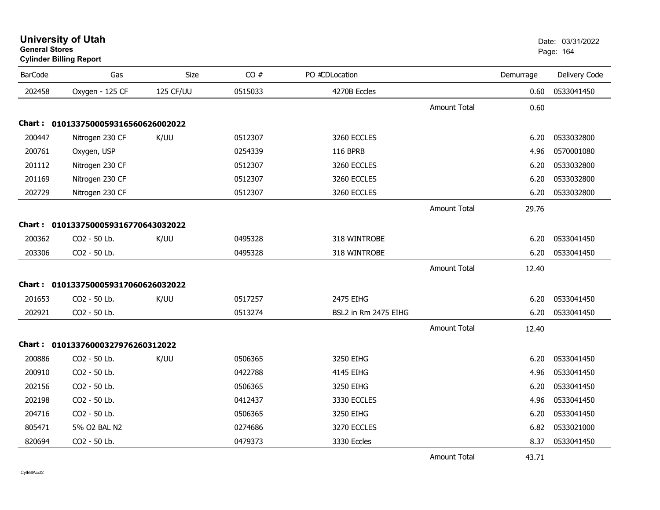| <b>BarCode</b> | Gas                                 | Size      | CO#     | PO #CDLocation       |                     | Demurrage | Delivery Code |
|----------------|-------------------------------------|-----------|---------|----------------------|---------------------|-----------|---------------|
| 202458         | Oxygen - 125 CF                     | 125 CF/UU | 0515033 | 4270B Eccles         |                     | 0.60      | 0533041450    |
|                |                                     |           |         |                      | <b>Amount Total</b> | 0.60      |               |
|                | Chart: 0101337500059316560626002022 |           |         |                      |                     |           |               |
| 200447         | Nitrogen 230 CF                     | K/UU      | 0512307 | 3260 ECCLES          |                     | 6.20      | 0533032800    |
| 200761         | Oxygen, USP                         |           | 0254339 | <b>116 BPRB</b>      |                     | 4.96      | 0570001080    |
| 201112         | Nitrogen 230 CF                     |           | 0512307 | 3260 ECCLES          |                     | 6.20      | 0533032800    |
| 201169         | Nitrogen 230 CF                     |           | 0512307 | 3260 ECCLES          |                     | 6.20      | 0533032800    |
| 202729         | Nitrogen 230 CF                     |           | 0512307 | 3260 ECCLES          |                     | 6.20      | 0533032800    |
|                |                                     |           |         |                      | Amount Total        | 29.76     |               |
| <b>Chart :</b> | 0101337500059316770643032022        |           |         |                      |                     |           |               |
| 200362         | CO2 - 50 Lb.                        | K/UU      | 0495328 | 318 WINTROBE         |                     | 6.20      | 0533041450    |
| 203306         | CO2 - 50 Lb.                        |           | 0495328 | 318 WINTROBE         |                     | 6.20      | 0533041450    |
|                |                                     |           |         |                      | <b>Amount Total</b> | 12.40     |               |
|                | Chart: 0101337500059317060626032022 |           |         |                      |                     |           |               |
| 201653         | CO2 - 50 Lb.                        | K/UU      | 0517257 | 2475 EIHG            |                     | 6.20      | 0533041450    |
| 202921         | CO2 - 50 Lb.                        |           | 0513274 | BSL2 in Rm 2475 EIHG |                     | 6.20      | 0533041450    |
|                |                                     |           |         |                      | <b>Amount Total</b> | 12.40     |               |
|                | Chart: 01013376000327976260312022   |           |         |                      |                     |           |               |
| 200886         | CO2 - 50 Lb.                        | K/UU      | 0506365 | 3250 EIHG            |                     | 6.20      | 0533041450    |
| 200910         | CO2 - 50 Lb.                        |           | 0422788 | 4145 EIHG            |                     | 4.96      | 0533041450    |
| 202156         | CO2 - 50 Lb.                        |           | 0506365 | 3250 EIHG            |                     | 6.20      | 0533041450    |
| 202198         | CO2 - 50 Lb.                        |           | 0412437 | 3330 ECCLES          |                     | 4.96      | 0533041450    |
| 204716         | CO2 - 50 Lb.                        |           | 0506365 | 3250 EIHG            |                     | 6.20      | 0533041450    |
| 805471         | 5% O2 BAL N2                        |           | 0274686 | 3270 ECCLES          |                     | 6.82      | 0533021000    |
| 820694         | CO2 - 50 Lb.                        |           | 0479373 | 3330 Eccles          |                     | 8.37      | 0533041450    |
|                |                                     |           |         |                      | <b>Amount Total</b> | 43.71     |               |

## **University of Utah** Date: 03/31/2022 **General Stores**er beste beste beste beste beste beste beste beste beste beste beste beste beste beste beste beste beste beste **Cylinder Billing Report**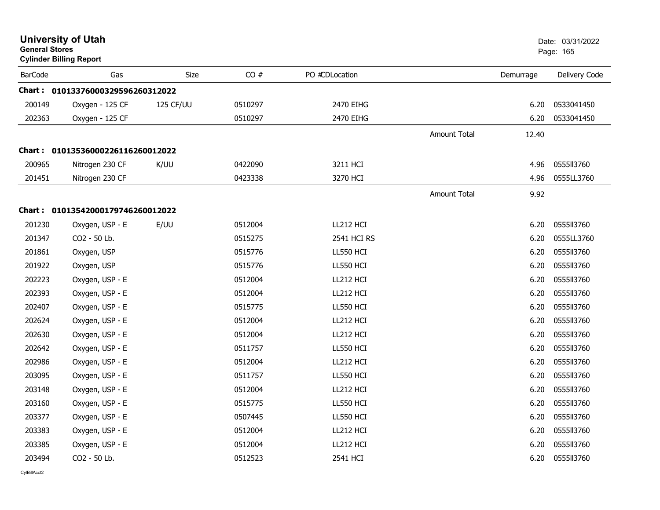| <b>University of Utah</b><br><b>General Stores</b><br><b>Cylinder Billing Report</b> |                                   |           |         |                |              |           | Date: 03/31/2022<br>Page: 165 |
|--------------------------------------------------------------------------------------|-----------------------------------|-----------|---------|----------------|--------------|-----------|-------------------------------|
| <b>BarCode</b>                                                                       | Gas                               | Size      | CO#     | PO #CDLocation |              | Demurrage | Delivery Code                 |
|                                                                                      | Chart: 01013376000329596260312022 |           |         |                |              |           |                               |
| 200149                                                                               | Oxygen - 125 CF                   | 125 CF/UU | 0510297 | 2470 EIHG      |              | 6.20      | 0533041450                    |
| 202363                                                                               | Oxygen - 125 CF                   |           | 0510297 | 2470 EIHG      |              | 6.20      | 0533041450                    |
|                                                                                      |                                   |           |         |                | Amount Total | 12.40     |                               |
|                                                                                      | Chart: 01013536000226116260012022 |           |         |                |              |           |                               |
| 200965                                                                               | Nitrogen 230 CF                   | K/UU      | 0422090 | 3211 HCI       |              | 4.96      | 0555113760                    |
| 201451                                                                               | Nitrogen 230 CF                   |           | 0423338 | 3270 HCI       |              | 4.96      | 0555LL3760                    |
|                                                                                      |                                   |           |         |                | Amount Total | 9.92      |                               |
|                                                                                      | Chart: 01013542000179746260012022 |           |         |                |              |           |                               |
| 201230                                                                               | Oxygen, USP - E                   | E/UU      | 0512004 | LL212 HCI      |              | 6.20      | 0555113760                    |
| 201347                                                                               | CO2 - 50 Lb.                      |           | 0515275 | 2541 HCI RS    |              | 6.20      | 0555LL3760                    |
| 201861                                                                               | Oxygen, USP                       |           | 0515776 | LL550 HCI      |              | 6.20      | 0555113760                    |
| 201922                                                                               | Oxygen, USP                       |           | 0515776 | LL550 HCI      |              | 6.20      | 0555113760                    |
| 202223                                                                               | Oxygen, USP - E                   |           | 0512004 | LL212 HCI      |              | 6.20      | 0555113760                    |
| 202393                                                                               | Oxygen, USP - E                   |           | 0512004 | LL212 HCI      |              | 6.20      | 0555113760                    |
| 202407                                                                               | Oxygen, USP - E                   |           | 0515775 | LL550 HCI      |              | 6.20      | 0555113760                    |
| 202624                                                                               | Oxygen, USP - E                   |           | 0512004 | LL212 HCI      |              | 6.20      | 0555113760                    |
| 202630                                                                               | Oxygen, USP - E                   |           | 0512004 | LL212 HCI      |              | 6.20      | 0555113760                    |
| 202642                                                                               | Oxygen, USP - E                   |           | 0511757 | LL550 HCI      |              | 6.20      | 0555113760                    |
| 202986                                                                               | Oxygen, USP - E                   |           | 0512004 | LL212 HCI      |              | 6.20      | 0555113760                    |
| 203095                                                                               | Oxygen, USP - E                   |           | 0511757 | LL550 HCI      |              | 6.20      | 0555113760                    |
| 203148                                                                               | Oxygen, USP - E                   |           | 0512004 | LL212 HCI      |              | 6.20      | 0555113760                    |
| 203160                                                                               | Oxygen, USP - E                   |           | 0515775 | LL550 HCI      |              | 6.20      | 0555113760                    |
| 203377                                                                               | Oxygen, USP - E                   |           | 0507445 | LL550 HCI      |              | 6.20      | 0555113760                    |
| 203383                                                                               | Oxygen, USP - E                   |           | 0512004 | LL212 HCI      |              | 6.20      | 0555113760                    |
| 203385                                                                               | Oxygen, USP - E                   |           | 0512004 | LL212 HCI      |              | 6.20      | 0555113760                    |
| 203494                                                                               | CO2 - 50 Lb.                      |           | 0512523 | 2541 HCI       |              | 6.20      | 0555113760                    |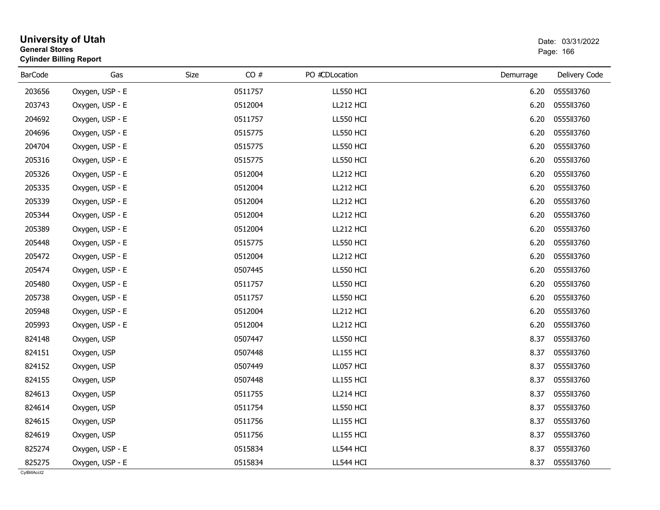| <b>General Stores</b> | <b>Cylinder Billing Report</b> |             | Page: 166        |           |               |
|-----------------------|--------------------------------|-------------|------------------|-----------|---------------|
| <b>BarCode</b>        | Gas                            | CO#<br>Size | PO #CDLocation   | Demurrage | Delivery Code |
| 203656                | Oxygen, USP - E                | 0511757     | <b>LL550 HCI</b> | 6.20      | 0555113760    |
| 203743                | Oxygen, USP - E                | 0512004     | LL212 HCI        | 6.20      | 0555113760    |
| 204692                | Oxygen, USP - E                | 0511757     | LL550 HCI        | 6.20      | 0555113760    |
| 204696                | Oxygen, USP - E                | 0515775     | <b>LL550 HCI</b> | 6.20      | 0555113760    |
| 204704                | Oxygen, USP - E                | 0515775     | LL550 HCI        | 6.20      | 0555113760    |
| 205316                | Oxygen, USP - E                | 0515775     | <b>LL550 HCI</b> | 6.20      | 0555113760    |
| 205326                | Oxygen, USP - E                | 0512004     | LL212 HCI        | 6.20      | 0555113760    |
| 205335                | Oxygen, USP - E                | 0512004     | LL212 HCI        | 6.20      | 0555113760    |
| 205339                | Oxygen, USP - E                | 0512004     | LL212 HCI        | 6.20      | 0555113760    |
| 205344                | Oxygen, USP - E                | 0512004     | LL212 HCI        | 6.20      | 0555113760    |
| 205389                | Oxygen, USP - E                | 0512004     | LL212 HCI        | 6.20      | 0555113760    |
| 205448                | Oxygen, USP - E                | 0515775     | LL550 HCI        | 6.20      | 0555113760    |
| 205472                | Oxygen, USP - E                | 0512004     | LL212 HCI        | 6.20      | 0555113760    |
| 205474                | Oxygen, USP - E                | 0507445     | <b>LL550 HCI</b> | 6.20      | 0555113760    |
| 205480                | Oxygen, USP - E                | 0511757     | LL550 HCI        | 6.20      | 0555113760    |
| 205738                | Oxygen, USP - E                | 0511757     | <b>LL550 HCI</b> | 6.20      | 0555113760    |
| 205948                | Oxygen, USP - E                | 0512004     | LL212 HCI        | 6.20      | 0555113760    |
| 205993                | Oxygen, USP - E                | 0512004     | LL212 HCI        | 6.20      | 0555113760    |
| 824148                | Oxygen, USP                    | 0507447     | <b>LL550 HCI</b> | 8.37      | 0555113760    |
| 824151                | Oxygen, USP                    | 0507448     | <b>LL155 HCI</b> | 8.37      | 0555113760    |
| 824152                | Oxygen, USP                    | 0507449     | LL057 HCI        | 8.37      | 0555113760    |
| 824155                | Oxygen, USP                    | 0507448     | <b>LL155 HCI</b> | 8.37      | 0555113760    |
| 824613                | Oxygen, USP                    | 0511755     | LL214 HCI        | 8.37      | 0555113760    |
| 824614                | Oxygen, USP                    | 0511754     | <b>LL550 HCI</b> | 8.37      | 0555113760    |
| 824615                | Oxygen, USP                    | 0511756     | <b>LL155 HCI</b> | 8.37      | 0555113760    |
| 824619                | Oxygen, USP                    | 0511756     | <b>LL155 HCI</b> | 8.37      | 0555113760    |
| 825274                | Oxygen, USP - E                | 0515834     | LL544 HCI        | 8.37      | 0555113760    |
| 825275                | Oxygen, USP - E                | 0515834     | LL544 HCI        | 8.37      | 0555113760    |

# **University of Utah** Date: 03/31/2022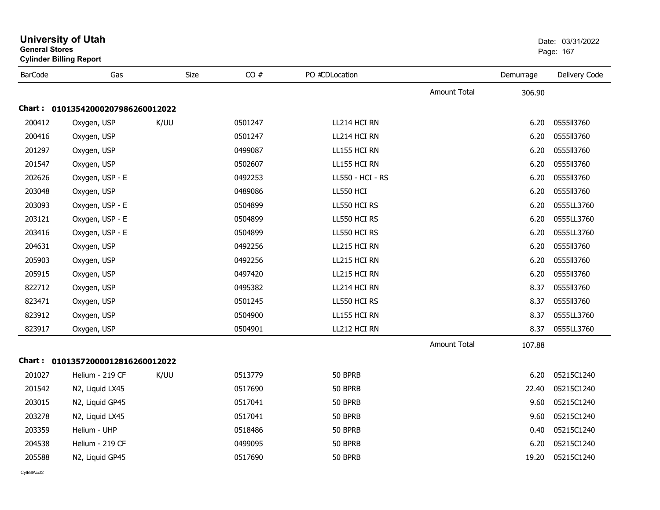| <b>General Stores</b><br><b>Cylinder Billing Report</b> |                                   |             |         |                  |                     |           | Page: 167     |  |
|---------------------------------------------------------|-----------------------------------|-------------|---------|------------------|---------------------|-----------|---------------|--|
| <b>BarCode</b>                                          | Gas                               | <b>Size</b> | CO#     | PO #CDLocation   |                     | Demurrage | Delivery Code |  |
|                                                         |                                   |             |         |                  | <b>Amount Total</b> | 306.90    |               |  |
|                                                         | Chart: 01013542000207986260012022 |             |         |                  |                     |           |               |  |
| 200412                                                  | Oxygen, USP                       | K/UU        | 0501247 | LL214 HCI RN     |                     | 6.20      | 0555113760    |  |
| 200416                                                  | Oxygen, USP                       |             | 0501247 | LL214 HCI RN     |                     | 6.20      | 0555113760    |  |
| 201297                                                  | Oxygen, USP                       |             | 0499087 | LL155 HCI RN     |                     | 6.20      | 0555113760    |  |
| 201547                                                  | Oxygen, USP                       |             | 0502607 | LL155 HCI RN     |                     | 6.20      | 0555113760    |  |
| 202626                                                  | Oxygen, USP - E                   |             | 0492253 | LL550 - HCI - RS |                     | 6.20      | 0555113760    |  |
| 203048                                                  | Oxygen, USP                       |             | 0489086 | LL550 HCI        |                     | 6.20      | 0555113760    |  |
| 203093                                                  | Oxygen, USP - E                   |             | 0504899 | LL550 HCI RS     |                     | 6.20      | 0555LL3760    |  |
| 203121                                                  | Oxygen, USP - E                   |             | 0504899 | LL550 HCI RS     |                     | 6.20      | 0555LL3760    |  |
| 203416                                                  | Oxygen, USP - E                   |             | 0504899 | LL550 HCI RS     |                     | 6.20      | 0555LL3760    |  |
| 204631                                                  | Oxygen, USP                       |             | 0492256 | LL215 HCI RN     |                     | 6.20      | 0555113760    |  |
| 205903                                                  | Oxygen, USP                       |             | 0492256 | LL215 HCI RN     |                     | 6.20      | 0555113760    |  |
| 205915                                                  | Oxygen, USP                       |             | 0497420 | LL215 HCI RN     |                     | 6.20      | 0555113760    |  |
| 822712                                                  | Oxygen, USP                       |             | 0495382 | LL214 HCI RN     |                     | 8.37      | 0555113760    |  |
| 823471                                                  | Oxygen, USP                       |             | 0501245 | LL550 HCI RS     |                     | 8.37      | 0555113760    |  |
| 823912                                                  | Oxygen, USP                       |             | 0504900 | LL155 HCI RN     |                     | 8.37      | 0555LL3760    |  |
| 823917                                                  | Oxygen, USP                       |             | 0504901 | LL212 HCI RN     |                     | 8.37      | 0555LL3760    |  |
|                                                         |                                   |             |         |                  | <b>Amount Total</b> | 107.88    |               |  |
| Chart :                                                 | 01013572000012816260012022        |             |         |                  |                     |           |               |  |
| 201027                                                  | Helium - 219 CF                   | K/UU        | 0513779 | 50 BPRB          |                     | 6.20      | 05215C1240    |  |
| 201542                                                  | N2, Liquid LX45                   |             | 0517690 | 50 BPRB          |                     | 22.40     | 05215C1240    |  |
| 203015                                                  | N2, Liquid GP45                   |             | 0517041 | 50 BPRB          |                     | 9.60      | 05215C1240    |  |
| 203278                                                  | N2, Liquid LX45                   |             | 0517041 | 50 BPRB          |                     | 9.60      | 05215C1240    |  |
| 203359                                                  | Helium - UHP                      |             | 0518486 | 50 BPRB          |                     | 0.40      | 05215C1240    |  |
| 204538                                                  | Helium - 219 CF                   |             | 0499095 | 50 BPRB          |                     | 6.20      | 05215C1240    |  |
| 205588                                                  | N2, Liquid GP45                   |             | 0517690 | 50 BPRB          |                     | 19.20     | 05215C1240    |  |

**University of Utah** Date: 03/31/2022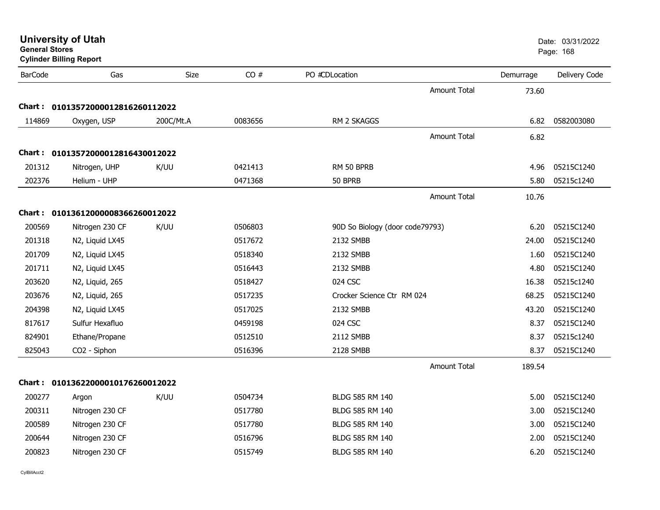| <b>University of Utah</b><br><b>General Stores</b><br><b>Cylinder Billing Report</b> |                                   |             |         |                                 | Date: 03/31/2022<br>Page: 168 |           |               |
|--------------------------------------------------------------------------------------|-----------------------------------|-------------|---------|---------------------------------|-------------------------------|-----------|---------------|
| <b>BarCode</b>                                                                       | Gas                               | <b>Size</b> | CO#     | PO #CDLocation                  |                               | Demurrage | Delivery Code |
|                                                                                      |                                   |             |         |                                 | <b>Amount Total</b>           | 73.60     |               |
| Chart :                                                                              | 01013572000012816260112022        |             |         |                                 |                               |           |               |
| 114869                                                                               | Oxygen, USP                       | 200C/Mt.A   | 0083656 | RM 2 SKAGGS                     |                               | 6.82      | 0582003080    |
|                                                                                      |                                   |             |         |                                 | <b>Amount Total</b>           | 6.82      |               |
| Chart :                                                                              | 01013572000012816430012022        |             |         |                                 |                               |           |               |
| 201312                                                                               | Nitrogen, UHP                     | K/UU        | 0421413 | RM 50 BPRB                      |                               | 4.96      | 05215C1240    |
| 202376                                                                               | Helium - UHP                      |             | 0471368 | 50 BPRB                         |                               | 5.80      | 05215c1240    |
|                                                                                      |                                   |             |         |                                 | <b>Amount Total</b>           | 10.76     |               |
|                                                                                      | Chart: 01013612000008366260012022 |             |         |                                 |                               |           |               |
| 200569                                                                               | Nitrogen 230 CF                   | K/UU        | 0506803 | 90D So Biology (door code79793) |                               | 6.20      | 05215C1240    |
| 201318                                                                               | N2, Liquid LX45                   |             | 0517672 | 2132 SMBB                       |                               | 24.00     | 05215C1240    |
| 201709                                                                               | N2, Liquid LX45                   |             | 0518340 | 2132 SMBB                       |                               | 1.60      | 05215C1240    |
| 201711                                                                               | N2, Liquid LX45                   |             | 0516443 | 2132 SMBB                       |                               | 4.80      | 05215C1240    |
| 203620                                                                               | N2, Liquid, 265                   |             | 0518427 | 024 CSC                         |                               | 16.38     | 05215c1240    |
| 203676                                                                               | N2, Liquid, 265                   |             | 0517235 | Crocker Science Ctr RM 024      |                               | 68.25     | 05215C1240    |
| 204398                                                                               | N2, Liquid LX45                   |             | 0517025 | 2132 SMBB                       |                               | 43.20     | 05215C1240    |
| 817617                                                                               | Sulfur Hexafluo                   |             | 0459198 | 024 CSC                         |                               | 8.37      | 05215C1240    |
| 824901                                                                               | Ethane/Propane                    |             | 0512510 | 2112 SMBB                       |                               | 8.37      | 05215c1240    |
| 825043                                                                               | CO2 - Siphon                      |             | 0516396 | 2128 SMBB                       |                               | 8.37      | 05215C1240    |
|                                                                                      |                                   |             |         |                                 | <b>Amount Total</b>           | 189.54    |               |
|                                                                                      | Chart: 01013622000010176260012022 |             |         |                                 |                               |           |               |
| 200277                                                                               | Argon                             | K/UU        | 0504734 | BLDG 585 RM 140                 |                               | 5.00      | 05215C1240    |
| 200311                                                                               | Nitrogen 230 CF                   |             | 0517780 | BLDG 585 RM 140                 |                               | 3.00      | 05215C1240    |
| 200589                                                                               | Nitrogen 230 CF                   |             | 0517780 | BLDG 585 RM 140                 |                               | 3.00      | 05215C1240    |
| 200644                                                                               | Nitrogen 230 CF                   |             | 0516796 | <b>BLDG 585 RM 140</b>          |                               | 2.00      | 05215C1240    |
| 200823                                                                               | Nitrogen 230 CF                   |             | 0515749 | BLDG 585 RM 140                 |                               | 6.20      | 05215C1240    |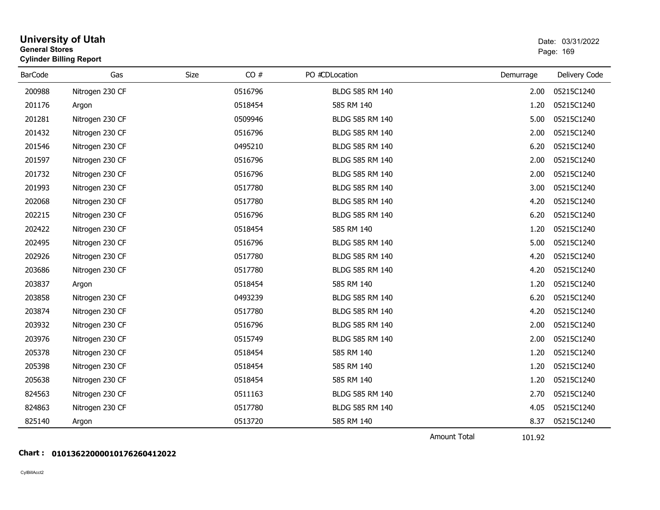| <b>General Stores</b> | <b>University of Utah</b><br><b>Cylinder Billing Report</b> |      |         |                        |                               | Date: 03/31/2022<br>Page: 169 |
|-----------------------|-------------------------------------------------------------|------|---------|------------------------|-------------------------------|-------------------------------|
| <b>BarCode</b>        | Gas                                                         | Size | CO#     | PO #CDLocation         | Demurrage                     | Delivery Code                 |
| 200988                | Nitrogen 230 CF                                             |      | 0516796 | BLDG 585 RM 140        | 2.00                          | 05215C1240                    |
| 201176                | Argon                                                       |      | 0518454 | 585 RM 140             | 1.20                          | 05215C1240                    |
| 201281                | Nitrogen 230 CF                                             |      | 0509946 | BLDG 585 RM 140        | 5.00                          | 05215C1240                    |
| 201432                | Nitrogen 230 CF                                             |      | 0516796 | BLDG 585 RM 140        | 2.00                          | 05215C1240                    |
| 201546                | Nitrogen 230 CF                                             |      | 0495210 | <b>BLDG 585 RM 140</b> | 6.20                          | 05215C1240                    |
| 201597                | Nitrogen 230 CF                                             |      | 0516796 | BLDG 585 RM 140        | 2.00                          | 05215C1240                    |
| 201732                | Nitrogen 230 CF                                             |      | 0516796 | BLDG 585 RM 140        | 2.00                          | 05215C1240                    |
| 201993                | Nitrogen 230 CF                                             |      | 0517780 | BLDG 585 RM 140        | 3.00                          | 05215C1240                    |
| 202068                | Nitrogen 230 CF                                             |      | 0517780 | BLDG 585 RM 140        | 4.20                          | 05215C1240                    |
| 202215                | Nitrogen 230 CF                                             |      | 0516796 | <b>BLDG 585 RM 140</b> | 6.20                          | 05215C1240                    |
| 202422                | Nitrogen 230 CF                                             |      | 0518454 | 585 RM 140             | 1.20                          | 05215C1240                    |
| 202495                | Nitrogen 230 CF                                             |      | 0516796 | BLDG 585 RM 140        | 5.00                          | 05215C1240                    |
| 202926                | Nitrogen 230 CF                                             |      | 0517780 | BLDG 585 RM 140        | 4.20                          | 05215C1240                    |
| 203686                | Nitrogen 230 CF                                             |      | 0517780 | BLDG 585 RM 140        | 4.20                          | 05215C1240                    |
| 203837                | Argon                                                       |      | 0518454 | 585 RM 140             | 1.20                          | 05215C1240                    |
| 203858                | Nitrogen 230 CF                                             |      | 0493239 | BLDG 585 RM 140        | 6.20                          | 05215C1240                    |
| 203874                | Nitrogen 230 CF                                             |      | 0517780 | BLDG 585 RM 140        | 4.20                          | 05215C1240                    |
| 203932                | Nitrogen 230 CF                                             |      | 0516796 | BLDG 585 RM 140        | 2.00                          | 05215C1240                    |
| 203976                | Nitrogen 230 CF                                             |      | 0515749 | BLDG 585 RM 140        | 2.00                          | 05215C1240                    |
| 205378                | Nitrogen 230 CF                                             |      | 0518454 | 585 RM 140             | 1.20                          | 05215C1240                    |
| 205398                | Nitrogen 230 CF                                             |      | 0518454 | 585 RM 140             | 1.20                          | 05215C1240                    |
| 205638                | Nitrogen 230 CF                                             |      | 0518454 | 585 RM 140             | 1.20                          | 05215C1240                    |
| 824563                | Nitrogen 230 CF                                             |      | 0511163 | BLDG 585 RM 140        | 2.70                          | 05215C1240                    |
| 824863                | Nitrogen 230 CF                                             |      | 0517780 | BLDG 585 RM 140        | 4.05                          | 05215C1240                    |
| 825140                | Argon                                                       |      | 0513720 | 585 RM 140             | 8.37                          | 05215C1240                    |
|                       |                                                             |      |         |                        | <b>Amount Total</b><br>101.92 |                               |

## **Chart : 01013622000010176260412022**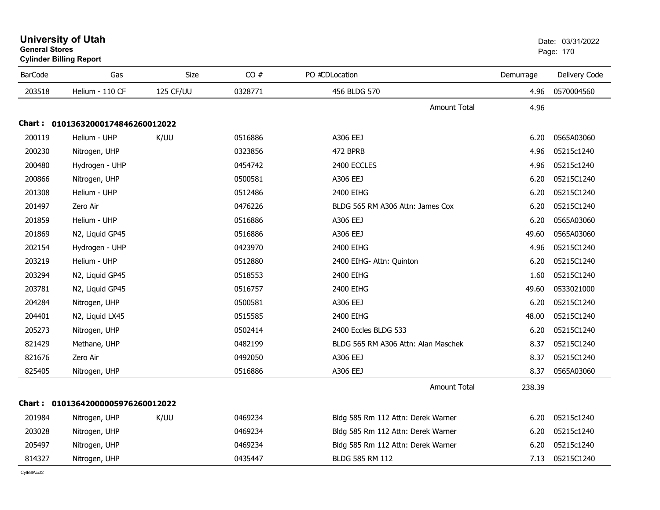| ບeneral ວເores<br><b>Cylinder Billing Report</b> |                                   |           |         |                                     | Page: 170 |               |
|--------------------------------------------------|-----------------------------------|-----------|---------|-------------------------------------|-----------|---------------|
| <b>BarCode</b>                                   | Gas                               | Size      | CO#     | PO #CDLocation                      | Demurrage | Delivery Code |
| 203518                                           | Helium - 110 CF                   | 125 CF/UU | 0328771 | 456 BLDG 570                        | 4.96      | 0570004560    |
|                                                  |                                   |           |         | <b>Amount Total</b>                 | 4.96      |               |
|                                                  | Chart: 01013632000174846260012022 |           |         |                                     |           |               |
| 200119                                           | Helium - UHP                      | K/UU      | 0516886 | A306 EEJ                            | 6.20      | 0565A03060    |
| 200230                                           | Nitrogen, UHP                     |           | 0323856 | 472 BPRB                            | 4.96      | 05215c1240    |
| 200480                                           | Hydrogen - UHP                    |           | 0454742 | 2400 ECCLES                         | 4.96      | 05215c1240    |
| 200866                                           | Nitrogen, UHP                     |           | 0500581 | A306 EEJ                            | 6.20      | 05215C1240    |
| 201308                                           | Helium - UHP                      |           | 0512486 | 2400 EIHG                           | 6.20      | 05215C1240    |
| 201497                                           | Zero Air                          |           | 0476226 | BLDG 565 RM A306 Attn: James Cox    | 6.20      | 05215C1240    |
| 201859                                           | Helium - UHP                      |           | 0516886 | A306 EEJ                            | 6.20      | 0565A03060    |
| 201869                                           | N2, Liquid GP45                   |           | 0516886 | A306 EEJ                            | 49.60     | 0565A03060    |
| 202154                                           | Hydrogen - UHP                    |           | 0423970 | 2400 EIHG                           | 4.96      | 05215C1240    |
| 203219                                           | Helium - UHP                      |           | 0512880 | 2400 EIHG- Attn: Quinton            | 6.20      | 05215C1240    |
| 203294                                           | N2, Liquid GP45                   |           | 0518553 | 2400 EIHG                           | 1.60      | 05215C1240    |
| 203781                                           | N2, Liquid GP45                   |           | 0516757 | 2400 EIHG                           | 49.60     | 0533021000    |
| 204284                                           | Nitrogen, UHP                     |           | 0500581 | A306 EEJ                            | 6.20      | 05215C1240    |
| 204401                                           | N2, Liquid LX45                   |           | 0515585 | 2400 EIHG                           | 48.00     | 05215C1240    |
| 205273                                           | Nitrogen, UHP                     |           | 0502414 | 2400 Eccles BLDG 533                | 6.20      | 05215C1240    |
| 821429                                           | Methane, UHP                      |           | 0482199 | BLDG 565 RM A306 Attn: Alan Maschek | 8.37      | 05215C1240    |
| 821676                                           | Zero Air                          |           | 0492050 | A306 EEJ                            | 8.37      | 05215C1240    |
| 825405                                           | Nitrogen, UHP                     |           | 0516886 | A306 EEJ                            | 8.37      | 0565A03060    |
|                                                  |                                   |           |         | <b>Amount Total</b>                 | 238.39    |               |
|                                                  | Chart: 01013642000005976260012022 |           |         |                                     |           |               |
| 201984                                           | Nitrogen, UHP                     | K/UU      | 0469234 | Bldg 585 Rm 112 Attn: Derek Warner  | 6.20      | 05215c1240    |
| 203028                                           | Nitrogen, UHP                     |           | 0469234 | Bldg 585 Rm 112 Attn: Derek Warner  | 6.20      | 05215c1240    |
| 205497                                           | Nitrogen, UHP                     |           | 0469234 | Bldg 585 Rm 112 Attn: Derek Warner  | 6.20      | 05215c1240    |
| 814327                                           | Nitrogen, UHP                     |           | 0435447 | <b>BLDG 585 RM 112</b>              | 7.13      | 05215C1240    |

# **University of Utah** Date: 03/31/2022 **General Stores**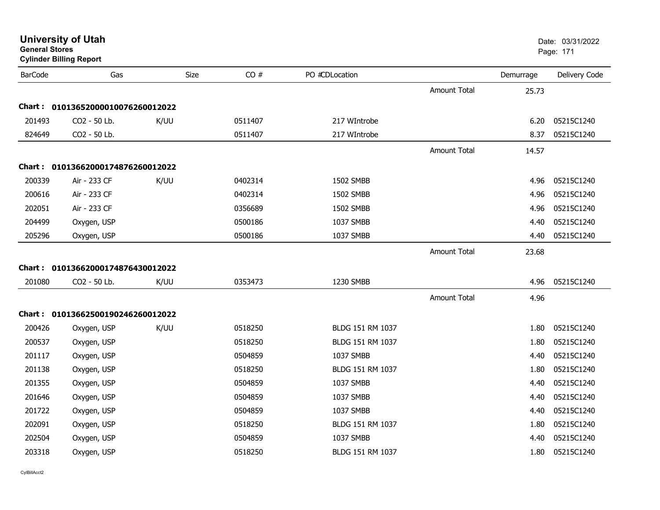| <b>BarCode</b> | Gas                               | Size | CO#     | PO #CDLocation   |                     | Demurrage | Delivery Code |
|----------------|-----------------------------------|------|---------|------------------|---------------------|-----------|---------------|
|                |                                   |      |         |                  | <b>Amount Total</b> | 25.73     |               |
|                | Chart: 01013652000010076260012022 |      |         |                  |                     |           |               |
| 201493         | CO2 - 50 Lb.                      | K/UU | 0511407 | 217 WIntrobe     |                     | 6.20      | 05215C1240    |
| 824649         | CO2 - 50 Lb.                      |      | 0511407 | 217 WIntrobe     |                     | 8.37      | 05215C1240    |
|                |                                   |      |         |                  | <b>Amount Total</b> | 14.57     |               |
|                | Chart: 01013662000174876260012022 |      |         |                  |                     |           |               |
| 200339         | Air - 233 CF                      | K/UU | 0402314 | 1502 SMBB        |                     | 4.96      | 05215C1240    |
| 200616         | Air - 233 CF                      |      | 0402314 | 1502 SMBB        |                     | 4.96      | 05215C1240    |
| 202051         | Air - 233 CF                      |      | 0356689 | 1502 SMBB        |                     | 4.96      | 05215C1240    |
| 204499         | Oxygen, USP                       |      | 0500186 | 1037 SMBB        |                     | 4.40      | 05215C1240    |
| 205296         | Oxygen, USP                       |      | 0500186 | 1037 SMBB        |                     | 4.40      | 05215C1240    |
|                |                                   |      |         |                  |                     |           |               |
|                |                                   |      |         |                  | <b>Amount Total</b> | 23.68     |               |
|                | Chart: 01013662000174876430012022 |      |         |                  |                     |           |               |
| 201080         | CO2 - 50 Lb.                      | K/UU | 0353473 | 1230 SMBB        |                     | 4.96      | 05215C1240    |
|                |                                   |      |         |                  | <b>Amount Total</b> | 4.96      |               |
|                | Chart: 01013662500190246260012022 |      |         |                  |                     |           |               |
| 200426         | Oxygen, USP                       | K/UU | 0518250 | BLDG 151 RM 1037 |                     | 1.80      | 05215C1240    |
| 200537         | Oxygen, USP                       |      | 0518250 | BLDG 151 RM 1037 |                     | 1.80      | 05215C1240    |
| 201117         | Oxygen, USP                       |      | 0504859 | 1037 SMBB        |                     | 4.40      | 05215C1240    |
| 201138         | Oxygen, USP                       |      | 0518250 | BLDG 151 RM 1037 |                     | 1.80      | 05215C1240    |
| 201355         | Oxygen, USP                       |      | 0504859 | 1037 SMBB        |                     | 4.40      | 05215C1240    |
| 201646         | Oxygen, USP                       |      | 0504859 | 1037 SMBB        |                     | 4.40      | 05215C1240    |
| 201722         | Oxygen, USP                       |      | 0504859 | 1037 SMBB        |                     | 4.40      | 05215C1240    |
| 202091         | Oxygen, USP                       |      | 0518250 | BLDG 151 RM 1037 |                     | 1.80      | 05215C1240    |
| 202504         | Oxygen, USP                       |      | 0504859 | 1037 SMBB        |                     | 4.40      | 05215C1240    |

# **University of Utah** Date: 03/31/2022 **General Stores**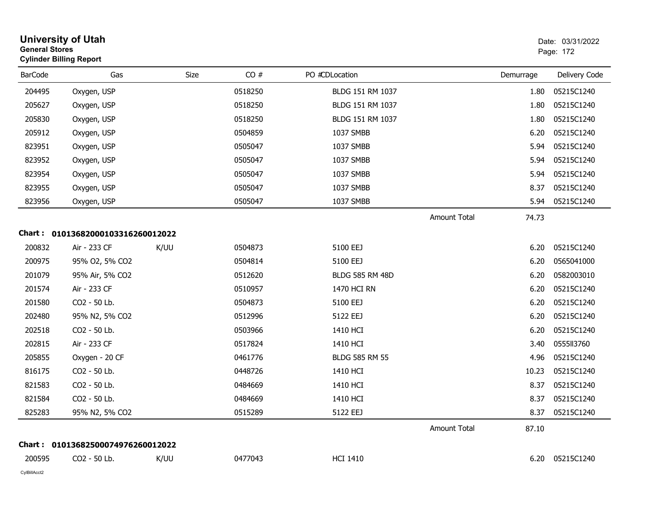| <b>General Stores</b> | <b>University of Utah</b><br><b>Cylinder Billing Report</b> |             |         |                        |                     |           | Date: 03/31/2022<br>Page: 172 |
|-----------------------|-------------------------------------------------------------|-------------|---------|------------------------|---------------------|-----------|-------------------------------|
| <b>BarCode</b>        | Gas                                                         | <b>Size</b> | CO#     | PO #CDLocation         |                     | Demurrage | Delivery Code                 |
| 204495                | Oxygen, USP                                                 |             | 0518250 | BLDG 151 RM 1037       |                     | 1.80      | 05215C1240                    |
| 205627                | Oxygen, USP                                                 |             | 0518250 | BLDG 151 RM 1037       |                     | 1.80      | 05215C1240                    |
| 205830                | Oxygen, USP                                                 |             | 0518250 | BLDG 151 RM 1037       |                     | 1.80      | 05215C1240                    |
| 205912                | Oxygen, USP                                                 |             | 0504859 | 1037 SMBB              |                     | 6.20      | 05215C1240                    |
| 823951                | Oxygen, USP                                                 |             | 0505047 | 1037 SMBB              |                     | 5.94      | 05215C1240                    |
| 823952                | Oxygen, USP                                                 |             | 0505047 | 1037 SMBB              |                     | 5.94      | 05215C1240                    |
| 823954                | Oxygen, USP                                                 |             | 0505047 | 1037 SMBB              |                     | 5.94      | 05215C1240                    |
| 823955                | Oxygen, USP                                                 |             | 0505047 | 1037 SMBB              |                     | 8.37      | 05215C1240                    |
| 823956                | Oxygen, USP                                                 |             | 0505047 | 1037 SMBB              |                     | 5.94      | 05215C1240                    |
|                       |                                                             |             |         |                        | <b>Amount Total</b> | 74.73     |                               |
|                       | Chart: 01013682000103316260012022                           |             |         |                        |                     |           |                               |
| 200832                | Air - 233 CF                                                | K/UU        | 0504873 | 5100 EEJ               |                     | 6.20      | 05215C1240                    |
| 200975                | 95% O2, 5% CO2                                              |             | 0504814 | 5100 EEJ               |                     | 6.20      | 0565041000                    |
| 201079                | 95% Air, 5% CO2                                             |             | 0512620 | <b>BLDG 585 RM 48D</b> |                     | 6.20      | 0582003010                    |
| 201574                | Air - 233 CF                                                |             | 0510957 | 1470 HCI RN            |                     | 6.20      | 05215C1240                    |
| 201580                | CO2 - 50 Lb.                                                |             | 0504873 | 5100 EEJ               |                     | 6.20      | 05215C1240                    |
| 202480                | 95% N2, 5% CO2                                              |             | 0512996 | 5122 EEJ               |                     | 6.20      | 05215C1240                    |
| 202518                | CO2 - 50 Lb.                                                |             | 0503966 | 1410 HCI               |                     | 6.20      | 05215C1240                    |
| 202815                | Air - 233 CF                                                |             | 0517824 | 1410 HCI               |                     | 3.40      | 0555113760                    |
| 205855                | Oxygen - 20 CF                                              |             | 0461776 | <b>BLDG 585 RM 55</b>  |                     | 4.96      | 05215C1240                    |
| 816175                | CO2 - 50 Lb.                                                |             | 0448726 | 1410 HCI               |                     | 10.23     | 05215C1240                    |
| 821583                | CO2 - 50 Lb.                                                |             | 0484669 | 1410 HCI               |                     | 8.37      | 05215C1240                    |
| 821584                | CO2 - 50 Lb.                                                |             | 0484669 | 1410 HCI               |                     | 8.37      | 05215C1240                    |
| 825283                | 95% N2, 5% CO2                                              |             | 0515289 | 5122 EEJ               |                     |           | 8.37 05215C1240               |
|                       |                                                             |             |         |                        | Amount Total        | 87.10     |                               |
|                       | Chart: 01013682500074976260012022                           |             |         |                        |                     |           |                               |
| 200595                | CO2 - 50 Lb.                                                | K/UU        | 0477043 | <b>HCI 1410</b>        |                     |           | 6.20 05215C1240               |
| CylBillAcct2          |                                                             |             |         |                        |                     |           |                               |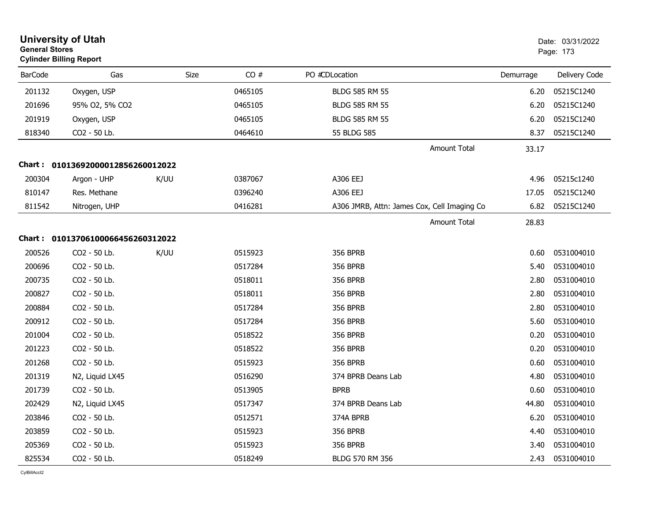| <b>University of Utah</b><br><b>General Stores</b><br><b>Cylinder Billing Report</b> |                                   |      |             |         |                                             |           | Date: 03/31/2022<br>Page: 173 |
|--------------------------------------------------------------------------------------|-----------------------------------|------|-------------|---------|---------------------------------------------|-----------|-------------------------------|
| <b>BarCode</b>                                                                       | Gas                               |      | <b>Size</b> | CO#     | PO #CDLocation                              | Demurrage | Delivery Code                 |
| 201132                                                                               | Oxygen, USP                       |      |             | 0465105 | <b>BLDG 585 RM 55</b>                       | 6.20      | 05215C1240                    |
| 201696                                                                               | 95% O2, 5% CO2                    |      |             | 0465105 | BLDG 585 RM 55                              | 6.20      | 05215C1240                    |
| 201919                                                                               | Oxygen, USP                       |      |             | 0465105 | <b>BLDG 585 RM 55</b>                       | 6.20      | 05215C1240                    |
| 818340                                                                               | CO2 - 50 Lb.                      |      |             | 0464610 | 55 BLDG 585                                 | 8.37      | 05215C1240                    |
|                                                                                      |                                   |      |             |         | <b>Amount Total</b>                         | 33.17     |                               |
|                                                                                      | Chart: 01013692000012856260012022 |      |             |         |                                             |           |                               |
| 200304                                                                               | Argon - UHP                       | K/UU |             | 0387067 | A306 EEJ                                    | 4.96      | 05215c1240                    |
| 810147                                                                               | Res. Methane                      |      |             | 0396240 | A306 EEJ                                    | 17.05     | 05215C1240                    |
| 811542                                                                               | Nitrogen, UHP                     |      |             | 0416281 | A306 JMRB, Attn: James Cox, Cell Imaging Co | 6.82      | 05215C1240                    |
|                                                                                      |                                   |      |             |         | <b>Amount Total</b>                         | 28.83     |                               |
|                                                                                      | Chart: 01013706100066456260312022 |      |             |         |                                             |           |                               |
| 200526                                                                               | CO2 - 50 Lb.                      | K/UU |             | 0515923 | <b>356 BPRB</b>                             | 0.60      | 0531004010                    |
| 200696                                                                               | CO2 - 50 Lb.                      |      |             | 0517284 | <b>356 BPRB</b>                             | 5.40      | 0531004010                    |
| 200735                                                                               | CO2 - 50 Lb.                      |      |             | 0518011 | <b>356 BPRB</b>                             | 2.80      | 0531004010                    |
| 200827                                                                               | CO2 - 50 Lb.                      |      |             | 0518011 | <b>356 BPRB</b>                             | 2.80      | 0531004010                    |
| 200884                                                                               | CO2 - 50 Lb.                      |      |             | 0517284 | <b>356 BPRB</b>                             | 2.80      | 0531004010                    |
| 200912                                                                               | CO2 - 50 Lb.                      |      |             | 0517284 | 356 BPRB                                    | 5.60      | 0531004010                    |
| 201004                                                                               | CO2 - 50 Lb.                      |      |             | 0518522 | 356 BPRB                                    | 0.20      | 0531004010                    |
| 201223                                                                               | CO2 - 50 Lb.                      |      |             | 0518522 | <b>356 BPRB</b>                             | 0.20      | 0531004010                    |
| 201268                                                                               | CO2 - 50 Lb.                      |      |             | 0515923 | <b>356 BPRB</b>                             | 0.60      | 0531004010                    |
| 201319                                                                               | N2, Liquid LX45                   |      |             | 0516290 | 374 BPRB Deans Lab                          | 4.80      | 0531004010                    |
| 201739                                                                               | CO2 - 50 Lb.                      |      |             | 0513905 | <b>BPRB</b>                                 | 0.60      | 0531004010                    |
| 202429                                                                               | N2, Liquid LX45                   |      |             | 0517347 | 374 BPRB Deans Lab                          | 44.80     | 0531004010                    |
| 203846                                                                               | CO2 - 50 Lb.                      |      |             | 0512571 | 374A BPRB                                   | 6.20      | 0531004010                    |
| 203859                                                                               | CO <sub>2</sub> - 50 Lb.          |      |             | 0515923 | <b>356 BPRB</b>                             | 4.40      | 0531004010                    |
| 205369                                                                               | CO2 - 50 Lb.                      |      |             | 0515923 | <b>356 BPRB</b>                             | 3.40      | 0531004010                    |
| 825534                                                                               | CO2 - 50 Lb.                      |      |             | 0518249 | BLDG 570 RM 356                             | 2.43      | 0531004010                    |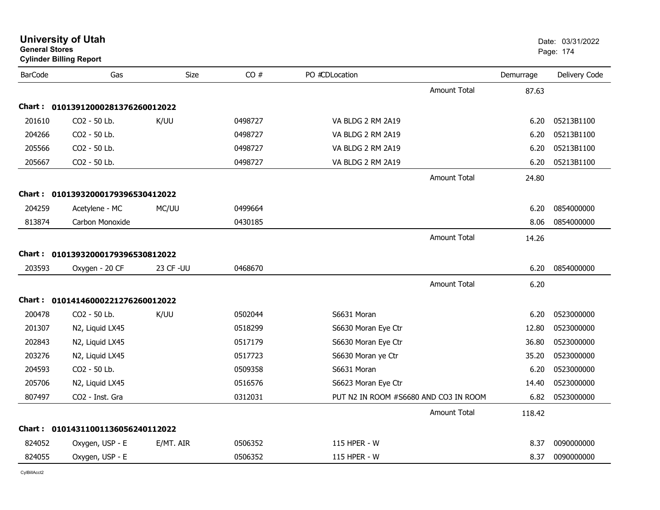| <b>General Stores</b> | <b>University of Utah</b><br><b>Cylinder Billing Report</b> |            |         |                                       |           | Date: 03/31/2022<br>Page: 174 |
|-----------------------|-------------------------------------------------------------|------------|---------|---------------------------------------|-----------|-------------------------------|
| <b>BarCode</b>        | Gas                                                         | Size       | CO#     | PO #CDLocation                        | Demurrage | Delivery Code                 |
|                       |                                                             |            |         | <b>Amount Total</b>                   | 87.63     |                               |
|                       | Chart: 01013912000281376260012022                           |            |         |                                       |           |                               |
| 201610                | CO2 - 50 Lb.                                                | K/UU       | 0498727 | VA BLDG 2 RM 2A19                     | 6.20      | 05213B1100                    |
| 204266                | CO2 - 50 Lb.                                                |            | 0498727 | VA BLDG 2 RM 2A19                     | 6.20      | 05213B1100                    |
| 205566                | CO <sub>2</sub> - 50 Lb.                                    |            | 0498727 | VA BLDG 2 RM 2A19                     | 6.20      | 05213B1100                    |
| 205667                | CO2 - 50 Lb.                                                |            | 0498727 | VA BLDG 2 RM 2A19                     | 6.20      | 05213B1100                    |
|                       |                                                             |            |         | <b>Amount Total</b>                   | 24.80     |                               |
|                       | Chart: 01013932000179396530412022                           |            |         |                                       |           |                               |
| 204259                | Acetylene - MC                                              | MC/UU      | 0499664 |                                       | 6.20      | 0854000000                    |
| 813874                | Carbon Monoxide                                             |            | 0430185 |                                       | 8.06      | 0854000000                    |
|                       |                                                             |            |         | <b>Amount Total</b>                   | 14.26     |                               |
|                       | Chart: 01013932000179396530812022                           |            |         |                                       |           |                               |
| 203593                | Oxygen - 20 CF                                              | 23 CF - UU | 0468670 |                                       | 6.20      | 0854000000                    |
|                       |                                                             |            |         | <b>Amount Total</b>                   | 6.20      |                               |
|                       | Chart: 01014146000221276260012022                           |            |         |                                       |           |                               |
| 200478                | CO2 - 50 Lb.                                                | K/UU       | 0502044 | S6631 Moran                           | 6.20      | 0523000000                    |
| 201307                | N2, Liquid LX45                                             |            | 0518299 | S6630 Moran Eye Ctr                   | 12.80     | 0523000000                    |
| 202843                | N2, Liquid LX45                                             |            | 0517179 | S6630 Moran Eye Ctr                   | 36.80     | 0523000000                    |
| 203276                | N2, Liquid LX45                                             |            | 0517723 | S6630 Moran ye Ctr                    | 35.20     | 0523000000                    |
| 204593                | CO2 - 50 Lb.                                                |            | 0509358 | S6631 Moran                           | 6.20      | 0523000000                    |
| 205706                | N2, Liquid LX45                                             |            | 0516576 | S6623 Moran Eye Ctr                   | 14.40     | 0523000000                    |
| 807497                | CO2 - Inst. Gra                                             |            | 0312031 | PUT N2 IN ROOM #S6680 AND CO3 IN ROOM | 6.82      | 0523000000                    |
|                       |                                                             |            |         | <b>Amount Total</b>                   | 118.42    |                               |
|                       | Chart: 01014311001136056240112022                           |            |         |                                       |           |                               |
| 824052                | Oxygen, USP - E                                             | E/MT. AIR  | 0506352 | 115 HPER - W                          | 8.37      | 0090000000                    |
| 824055                | Oxygen, USP - E                                             |            | 0506352 | 115 HPER - W                          | 8.37      | 0090000000                    |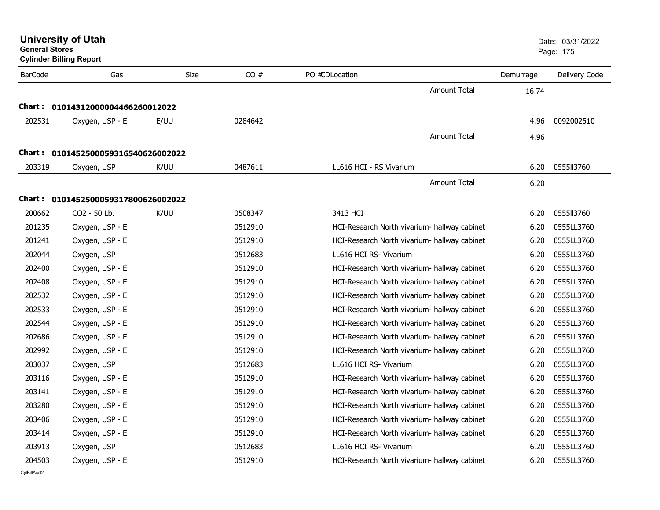| <b>General Stores</b><br><b>Cylinder Billing Report</b> |                                     |             |         |                                              |           | Page: 175     |
|---------------------------------------------------------|-------------------------------------|-------------|---------|----------------------------------------------|-----------|---------------|
| <b>BarCode</b>                                          | Gas                                 | <b>Size</b> | CO#     | PO #CDLocation                               | Demurrage | Delivery Code |
|                                                         |                                     |             |         | <b>Amount Total</b>                          | 16.74     |               |
|                                                         | Chart: 01014312000004466260012022   |             |         |                                              |           |               |
| 202531                                                  | Oxygen, USP - E                     | E/UU        | 0284642 |                                              | 4.96      | 0092002510    |
|                                                         |                                     |             |         | <b>Amount Total</b>                          | 4.96      |               |
|                                                         | Chart: 0101452500059316540626002022 |             |         |                                              |           |               |
| 203319                                                  | Oxygen, USP                         | K/UU        | 0487611 | LL616 HCI - RS Vivarium                      | 6.20      | 0555113760    |
|                                                         |                                     |             |         | <b>Amount Total</b>                          |           |               |
|                                                         |                                     |             |         |                                              | 6.20      |               |
|                                                         | Chart: 0101452500059317800626002022 |             |         |                                              |           |               |
| 200662                                                  | CO2 - 50 Lb.                        | K/UU        | 0508347 | 3413 HCI                                     | 6.20      | 0555113760    |
| 201235                                                  | Oxygen, USP - E                     |             | 0512910 | HCI-Research North vivarium- hallway cabinet | 6.20      | 0555LL3760    |
| 201241                                                  | Oxygen, USP - E                     |             | 0512910 | HCI-Research North vivarium- hallway cabinet | 6.20      | 0555LL3760    |
| 202044                                                  | Oxygen, USP                         |             | 0512683 | LL616 HCI RS- Vivarium                       | 6.20      | 0555LL3760    |
| 202400                                                  | Oxygen, USP - E                     |             | 0512910 | HCI-Research North vivarium- hallway cabinet | 6.20      | 0555LL3760    |
| 202408                                                  | Oxygen, USP - E                     |             | 0512910 | HCI-Research North vivarium- hallway cabinet | 6.20      | 0555LL3760    |
| 202532                                                  | Oxygen, USP - E                     |             | 0512910 | HCI-Research North vivarium- hallway cabinet | 6.20      | 0555LL3760    |
| 202533                                                  | Oxygen, USP - E                     |             | 0512910 | HCI-Research North vivarium- hallway cabinet | 6.20      | 0555LL3760    |
| 202544                                                  | Oxygen, USP - E                     |             | 0512910 | HCI-Research North vivarium- hallway cabinet | 6.20      | 0555LL3760    |
| 202686                                                  | Oxygen, USP - E                     |             | 0512910 | HCI-Research North vivarium- hallway cabinet | 6.20      | 0555LL3760    |
| 202992                                                  | Oxygen, USP - E                     |             | 0512910 | HCI-Research North vivarium- hallway cabinet | 6.20      | 0555LL3760    |
| 203037                                                  | Oxygen, USP                         |             | 0512683 | LL616 HCI RS- Vivarium                       | 6.20      | 0555LL3760    |
| 203116                                                  | Oxygen, USP - E                     |             | 0512910 | HCI-Research North vivarium- hallway cabinet | 6.20      | 0555LL3760    |
| 203141                                                  | Oxygen, USP - E                     |             | 0512910 | HCI-Research North vivarium- hallway cabinet | 6.20      | 0555LL3760    |
| 203280                                                  | Oxygen, USP - E                     |             | 0512910 | HCI-Research North vivarium- hallway cabinet | 6.20      | 0555LL3760    |
| 203406                                                  | Oxygen, USP - E                     |             | 0512910 | HCI-Research North vivarium- hallway cabinet | 6.20      | 0555LL3760    |
| 203414                                                  | Oxygen, USP - E                     |             | 0512910 | HCI-Research North vivarium- hallway cabinet | 6.20      | 0555LL3760    |
| 203913                                                  | Oxygen, USP                         |             | 0512683 | LL616 HCI RS- Vivarium                       | 6.20      | 0555LL3760    |
| 204503                                                  | Oxygen, USP - E                     |             | 0512910 | HCI-Research North vivarium- hallway cabinet | 6.20      | 0555LL3760    |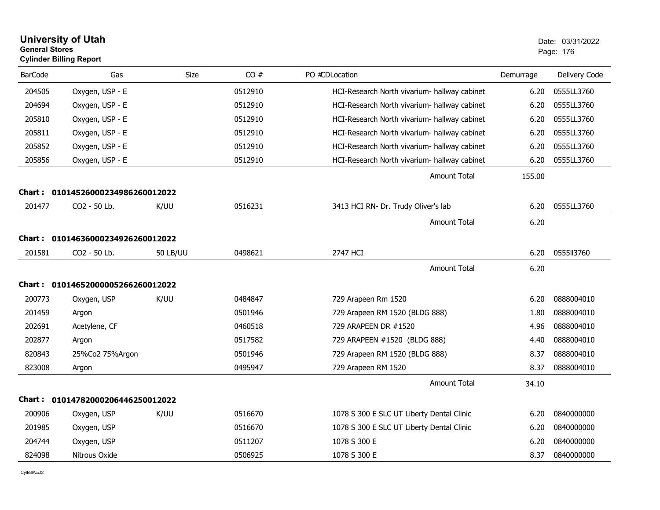| <b>General Stores</b> | <b>University of Utah</b><br><b>Cylinder Billing Report</b> |                 |         |                                              |           | Date: 03/31/2022<br>Page: 176 |
|-----------------------|-------------------------------------------------------------|-----------------|---------|----------------------------------------------|-----------|-------------------------------|
| <b>BarCode</b>        | Gas                                                         | <b>Size</b>     | CO#     | PO #CDLocation                               | Demurrage | Delivery Code                 |
| 204505                | Oxygen, USP - E                                             |                 | 0512910 | HCI-Research North vivarium- hallway cabinet | 6.20      | 0555LL3760                    |
| 204694                | Oxygen, USP - E                                             |                 | 0512910 | HCI-Research North vivarium- hallway cabinet | 6.20      | 0555LL3760                    |
| 205810                | Oxygen, USP - E                                             |                 | 0512910 | HCI-Research North vivarium- hallway cabinet | 6.20      | 0555LL3760                    |
| 205811                | Oxygen, USP - E                                             |                 | 0512910 | HCI-Research North vivarium- hallway cabinet | 6.20      | 0555LL3760                    |
| 205852                | Oxygen, USP - E                                             |                 | 0512910 | HCI-Research North vivarium- hallway cabinet | 6.20      | 0555LL3760                    |
| 205856                | Oxygen, USP - E                                             |                 | 0512910 | HCI-Research North vivarium- hallway cabinet | 6.20      | 0555LL3760                    |
|                       |                                                             |                 |         | <b>Amount Total</b>                          | 155.00    |                               |
|                       | Chart: 01014526000234986260012022                           |                 |         |                                              |           |                               |
| 201477                | CO <sub>2</sub> - 50 Lb.                                    | K/UU            | 0516231 | 3413 HCI RN- Dr. Trudy Oliver's lab          | 6.20      | 0555LL3760                    |
|                       |                                                             |                 |         | Amount Total                                 | 6.20      |                               |
|                       | Chart: 01014636000234926260012022                           |                 |         |                                              |           |                               |
| 201581                | CO2 - 50 Lb.                                                | <b>50 LB/UU</b> | 0498621 | 2747 HCI                                     | 6.20      | 0555113760                    |
|                       |                                                             |                 |         | <b>Amount Total</b>                          | 6.20      |                               |
|                       | Chart: 01014652000005266260012022                           |                 |         |                                              |           |                               |
| 200773                | Oxygen, USP                                                 | K/UU            | 0484847 | 729 Arapeen Rm 1520                          | 6.20      | 0888004010                    |
| 201459                | Argon                                                       |                 | 0501946 | 729 Arapeen RM 1520 (BLDG 888)               | 1.80      | 0888004010                    |
| 202691                | Acetylene, CF                                               |                 | 0460518 | 729 ARAPEEN DR #1520                         | 4.96      | 0888004010                    |
| 202877                | Argon                                                       |                 | 0517582 | 729 ARAPEEN #1520 (BLDG 888)                 | 4.40      | 0888004010                    |
| 820843                | 25%Co2 75%Argon                                             |                 | 0501946 | 729 Arapeen RM 1520 (BLDG 888)               | 8.37      | 0888004010                    |
| 823008                | Argon                                                       |                 | 0495947 | 729 Arapeen RM 1520                          | 8.37      | 0888004010                    |
|                       |                                                             |                 |         | Amount Total                                 | 34.10     |                               |
|                       | Chart: 01014782000206446250012022                           |                 |         |                                              |           |                               |
| 200906                | Oxygen, USP                                                 | K/UU            | 0516670 | 1078 S 300 E SLC UT Liberty Dental Clinic    | 6.20      | 0840000000                    |
| 201985                | Oxygen, USP                                                 |                 | 0516670 | 1078 S 300 E SLC UT Liberty Dental Clinic    | 6.20      | 0840000000                    |
| 204744                | Oxygen, USP                                                 |                 | 0511207 | 1078 S 300 E                                 | 6.20      | 0840000000                    |
| 824098                | Nitrous Oxide                                               |                 | 0506925 | 1078 S 300 E                                 | 8.37      | 0840000000                    |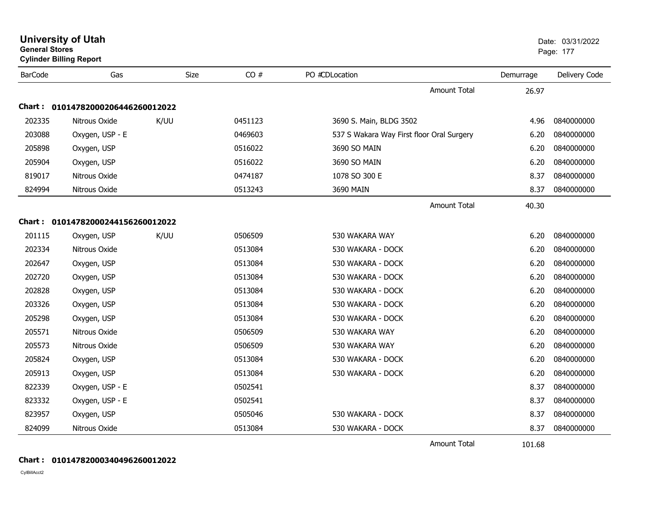| <b>General Stores</b> | <b>University of Utah</b><br><b>Cylinder Billing Report</b> |      |         |                                           |           | Date: 03/31/2022<br>Page: 177 |
|-----------------------|-------------------------------------------------------------|------|---------|-------------------------------------------|-----------|-------------------------------|
| <b>BarCode</b>        | Gas                                                         | Size | CO#     | PO #CDLocation                            | Demurrage | Delivery Code                 |
|                       |                                                             |      |         | <b>Amount Total</b>                       | 26.97     |                               |
|                       | Chart: 01014782000206446260012022                           |      |         |                                           |           |                               |
| 202335                | Nitrous Oxide                                               | K/UU | 0451123 | 3690 S. Main, BLDG 3502                   | 4.96      | 0840000000                    |
| 203088                | Oxygen, USP - E                                             |      | 0469603 | 537 S Wakara Way First floor Oral Surgery | 6.20      | 0840000000                    |
| 205898                | Oxygen, USP                                                 |      | 0516022 | 3690 SO MAIN                              | 6.20      | 0840000000                    |
| 205904                | Oxygen, USP                                                 |      | 0516022 | 3690 SO MAIN                              | 6.20      | 0840000000                    |
| 819017                | Nitrous Oxide                                               |      | 0474187 | 1078 SO 300 E                             | 8.37      | 0840000000                    |
| 824994                | Nitrous Oxide                                               |      | 0513243 | 3690 MAIN                                 | 8.37      | 0840000000                    |
|                       |                                                             |      |         | <b>Amount Total</b>                       | 40.30     |                               |
|                       | Chart: 01014782000244156260012022                           |      |         |                                           |           |                               |
| 201115                | Oxygen, USP                                                 | K/UU | 0506509 | 530 WAKARA WAY                            | 6.20      | 0840000000                    |
| 202334                | Nitrous Oxide                                               |      | 0513084 | 530 WAKARA - DOCK                         | 6.20      | 0840000000                    |
| 202647                | Oxygen, USP                                                 |      | 0513084 | 530 WAKARA - DOCK                         | 6.20      | 0840000000                    |
| 202720                | Oxygen, USP                                                 |      | 0513084 | 530 WAKARA - DOCK                         | 6.20      | 0840000000                    |
| 202828                | Oxygen, USP                                                 |      | 0513084 | 530 WAKARA - DOCK                         | 6.20      | 0840000000                    |
| 203326                | Oxygen, USP                                                 |      | 0513084 | 530 WAKARA - DOCK                         | 6.20      | 0840000000                    |
| 205298                | Oxygen, USP                                                 |      | 0513084 | 530 WAKARA - DOCK                         | 6.20      | 0840000000                    |
| 205571                | Nitrous Oxide                                               |      | 0506509 | 530 WAKARA WAY                            | 6.20      | 0840000000                    |
| 205573                | Nitrous Oxide                                               |      | 0506509 | 530 WAKARA WAY                            | 6.20      | 0840000000                    |
| 205824                | Oxygen, USP                                                 |      | 0513084 | 530 WAKARA - DOCK                         | 6.20      | 0840000000                    |
| 205913                | Oxygen, USP                                                 |      | 0513084 | 530 WAKARA - DOCK                         | 6.20      | 0840000000                    |
| 822339                | Oxygen, USP - E                                             |      | 0502541 |                                           | 8.37      | 0840000000                    |
| 823332                | Oxygen, USP - E                                             |      | 0502541 |                                           | 8.37      | 0840000000                    |
| 823957                | Oxygen, USP                                                 |      | 0505046 | 530 WAKARA - DOCK                         | 8.37      | 0840000000                    |
| 824099                | Nitrous Oxide                                               |      | 0513084 | 530 WAKARA - DOCK                         | 8.37      | 0840000000                    |
|                       |                                                             |      |         | <b>Amount Total</b>                       | 101.68    |                               |

## **Chart : 01014782000340496260012022**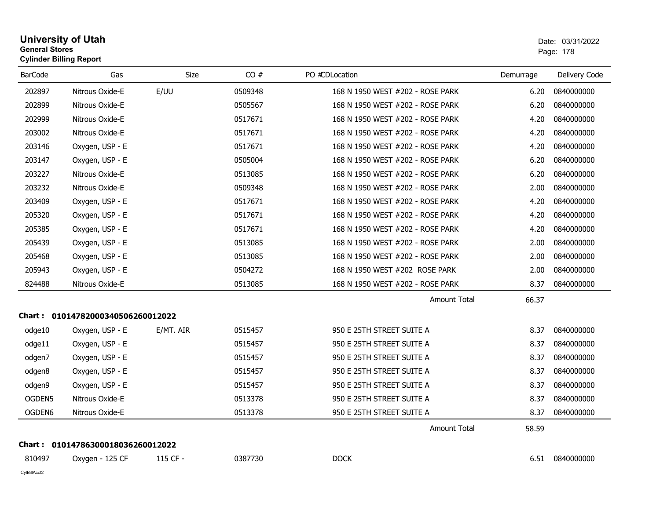| <b>University of Utah</b>      | Date: 03/ |
|--------------------------------|-----------|
| <b>General Stores</b>          | Page: 178 |
| <b>Cylinder Billing Report</b> |           |

| <b>BarCode</b> | Gas                               | Size      | CO#     | PO #CDLocation                   | Demurrage | Delivery Code |
|----------------|-----------------------------------|-----------|---------|----------------------------------|-----------|---------------|
| 202897         | Nitrous Oxide-E                   | E/UU      | 0509348 | 168 N 1950 WEST #202 - ROSE PARK | 6.20      | 0840000000    |
| 202899         | Nitrous Oxide-E                   |           | 0505567 | 168 N 1950 WEST #202 - ROSE PARK | 6.20      | 0840000000    |
| 202999         | Nitrous Oxide-E                   |           | 0517671 | 168 N 1950 WEST #202 - ROSE PARK | 4.20      | 0840000000    |
| 203002         | Nitrous Oxide-E                   |           | 0517671 | 168 N 1950 WEST #202 - ROSE PARK | 4.20      | 0840000000    |
| 203146         | Oxygen, USP - E                   |           | 0517671 | 168 N 1950 WEST #202 - ROSE PARK | 4.20      | 0840000000    |
| 203147         | Oxygen, USP - E                   |           | 0505004 | 168 N 1950 WEST #202 - ROSE PARK | 6.20      | 0840000000    |
| 203227         | Nitrous Oxide-E                   |           | 0513085 | 168 N 1950 WEST #202 - ROSE PARK | 6.20      | 0840000000    |
| 203232         | Nitrous Oxide-E                   |           | 0509348 | 168 N 1950 WEST #202 - ROSE PARK | 2.00      | 0840000000    |
| 203409         | Oxygen, USP - E                   |           | 0517671 | 168 N 1950 WEST #202 - ROSE PARK | 4.20      | 0840000000    |
| 205320         | Oxygen, USP - E                   |           | 0517671 | 168 N 1950 WEST #202 - ROSE PARK | 4.20      | 0840000000    |
| 205385         | Oxygen, USP - E                   |           | 0517671 | 168 N 1950 WEST #202 - ROSE PARK | 4.20      | 0840000000    |
| 205439         | Oxygen, USP - E                   |           | 0513085 | 168 N 1950 WEST #202 - ROSE PARK | 2.00      | 0840000000    |
| 205468         | Oxygen, USP - E                   |           | 0513085 | 168 N 1950 WEST #202 - ROSE PARK | 2.00      | 0840000000    |
| 205943         | Oxygen, USP - E                   |           | 0504272 | 168 N 1950 WEST #202 ROSE PARK   | 2.00      | 0840000000    |
| 824488         | Nitrous Oxide-E                   |           | 0513085 | 168 N 1950 WEST #202 - ROSE PARK | 8.37      | 0840000000    |
|                |                                   |           |         | <b>Amount Total</b>              | 66.37     |               |
|                | Chart: 01014782000340506260012022 |           |         |                                  |           |               |
| odge10         | Oxygen, USP - E                   | E/MT. AIR | 0515457 | 950 E 25TH STREET SUITE A        | 8.37      | 0840000000    |
| odge11         | Oxygen, USP - E                   |           | 0515457 | 950 E 25TH STREET SUITE A        | 8.37      | 0840000000    |
| odgen7         | Oxygen, USP - E                   |           | 0515457 | 950 E 25TH STREET SUITE A        | 8.37      | 0840000000    |
| odgen8         | Oxygen, USP - E                   |           | 0515457 | 950 E 25TH STREET SUITE A        | 8.37      | 0840000000    |
| odgen9         | Oxygen, USP - E                   |           | 0515457 | 950 E 25TH STREET SUITE A        | 8.37      | 0840000000    |
| OGDEN5         | Nitrous Oxide-E                   |           | 0513378 | 950 E 25TH STREET SUITE A        | 8.37      | 0840000000    |
| OGDEN6         | Nitrous Oxide-E                   |           | 0513378 | 950 E 25TH STREET SUITE A        | 8.37      | 0840000000    |
|                |                                   |           |         | <b>Amount Total</b>              | 58.59     |               |
|                | Chart: 01014786300018036260012022 |           |         |                                  |           |               |
| 810497         | Oxygen - 125 CF                   | 115 CF -  | 0387730 | <b>DOCK</b>                      | 6.51      | 0840000000    |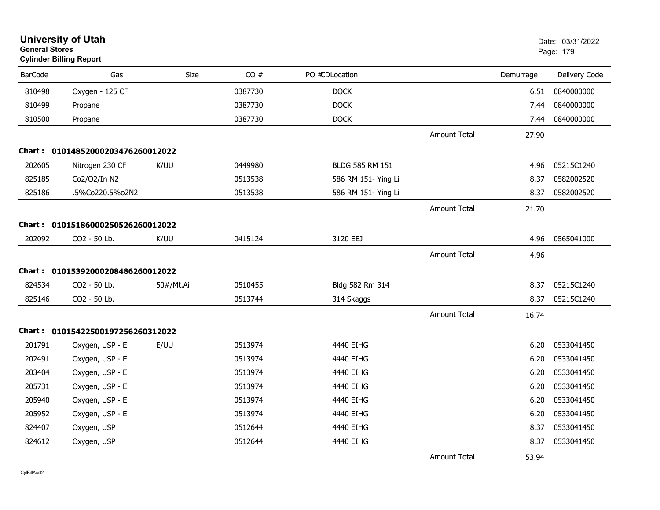| <b>General Stores</b> | <b>University of Utah</b><br><b>Cylinder Billing Report</b> |           |         |                     |                     |           | Date: 03/31/2022<br>Page: 179 |
|-----------------------|-------------------------------------------------------------|-----------|---------|---------------------|---------------------|-----------|-------------------------------|
| <b>BarCode</b>        | Gas                                                         | Size      | CO#     | PO #CDLocation      |                     | Demurrage | Delivery Code                 |
| 810498                | Oxygen - 125 CF                                             |           | 0387730 | <b>DOCK</b>         |                     | 6.51      | 0840000000                    |
| 810499                | Propane                                                     |           | 0387730 | <b>DOCK</b>         |                     | 7.44      | 0840000000                    |
| 810500                | Propane                                                     |           | 0387730 | <b>DOCK</b>         |                     | 7.44      | 0840000000                    |
|                       |                                                             |           |         |                     | <b>Amount Total</b> | 27.90     |                               |
|                       | Chart: 01014852000203476260012022                           |           |         |                     |                     |           |                               |
| 202605                | Nitrogen 230 CF                                             | K/UU      | 0449980 | BLDG 585 RM 151     |                     | 4.96      | 05215C1240                    |
| 825185                | Co2/O2/In N2                                                |           | 0513538 | 586 RM 151- Ying Li |                     | 8.37      | 0582002520                    |
| 825186                | .5%Co220.5%o2N2                                             |           | 0513538 | 586 RM 151- Ying Li |                     | 8.37      | 0582002520                    |
|                       |                                                             |           |         |                     | <b>Amount Total</b> | 21.70     |                               |
|                       | Chart: 01015186000250526260012022                           |           |         |                     |                     |           |                               |
| 202092                | CO2 - 50 Lb.                                                | K/UU      | 0415124 | 3120 EEJ            |                     | 4.96      | 0565041000                    |
|                       |                                                             |           |         |                     | <b>Amount Total</b> | 4.96      |                               |
|                       | Chart: 01015392000208486260012022                           |           |         |                     |                     |           |                               |
| 824534                | CO2 - 50 Lb.                                                | 50#/Mt.Ai | 0510455 | Bldg 582 Rm 314     |                     | 8.37      | 05215C1240                    |
| 825146                | CO2 - 50 Lb.                                                |           | 0513744 | 314 Skaggs          |                     | 8.37      | 05215C1240                    |
|                       |                                                             |           |         |                     | <b>Amount Total</b> | 16.74     |                               |
|                       | Chart: 01015422500197256260312022                           |           |         |                     |                     |           |                               |
| 201791                | Oxygen, USP - E                                             | E/UU      | 0513974 | 4440 EIHG           |                     | 6.20      | 0533041450                    |
| 202491                | Oxygen, USP - E                                             |           | 0513974 | 4440 EIHG           |                     | 6.20      | 0533041450                    |
| 203404                | Oxygen, USP - E                                             |           | 0513974 | 4440 EIHG           |                     | 6.20      | 0533041450                    |
| 205731                | Oxygen, USP - E                                             |           | 0513974 | 4440 EIHG           |                     | 6.20      | 0533041450                    |
| 205940                | Oxygen, USP - E                                             |           | 0513974 | 4440 EIHG           |                     | 6.20      | 0533041450                    |
| 205952                | Oxygen, USP - E                                             |           | 0513974 | 4440 EIHG           |                     | 6.20      | 0533041450                    |
| 824407                | Oxygen, USP                                                 |           | 0512644 | 4440 EIHG           |                     | 8.37      | 0533041450                    |
| 824612                | Oxygen, USP                                                 |           | 0512644 | 4440 EIHG           |                     | 8.37      | 0533041450                    |
|                       |                                                             |           |         |                     | <b>Amount Total</b> | 53.94     |                               |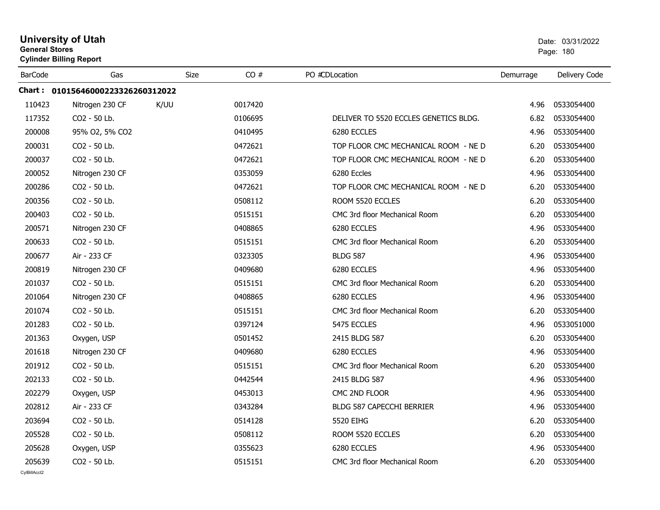| <b>University of Utah</b><br><b>General Stores</b><br><b>Cylinder Billing Report</b> |                                   |      |      | Date: 03/31/2022<br>Page: 180 |                                       |           |               |
|--------------------------------------------------------------------------------------|-----------------------------------|------|------|-------------------------------|---------------------------------------|-----------|---------------|
| <b>BarCode</b>                                                                       | Gas                               |      | Size | CO#                           | PO #CDLocation                        | Demurrage | Delivery Code |
|                                                                                      | Chart: 01015646000223326260312022 |      |      |                               |                                       |           |               |
| 110423                                                                               | Nitrogen 230 CF                   | K/UU |      | 0017420                       |                                       | 4.96      | 0533054400    |
| 117352                                                                               | CO2 - 50 Lb.                      |      |      | 0106695                       | DELIVER TO 5520 ECCLES GENETICS BLDG. | 6.82      | 0533054400    |
| 200008                                                                               | 95% O2, 5% CO2                    |      |      | 0410495                       | 6280 ECCLES                           | 4.96      | 0533054400    |
| 200031                                                                               | CO <sub>2</sub> - 50 Lb.          |      |      | 0472621                       | TOP FLOOR CMC MECHANICAL ROOM - NE D  | 6.20      | 0533054400    |
| 200037                                                                               | CO <sub>2</sub> - 50 Lb.          |      |      | 0472621                       | TOP FLOOR CMC MECHANICAL ROOM - NE D  | 6.20      | 0533054400    |
| 200052                                                                               | Nitrogen 230 CF                   |      |      | 0353059                       | 6280 Eccles                           | 4.96      | 0533054400    |
| 200286                                                                               | CO <sub>2</sub> - 50 Lb.          |      |      | 0472621                       | TOP FLOOR CMC MECHANICAL ROOM - NE D  | 6.20      | 0533054400    |
| 200356                                                                               | CO2 - 50 Lb.                      |      |      | 0508112                       | ROOM 5520 ECCLES                      | 6.20      | 0533054400    |
| 200403                                                                               | CO2 - 50 Lb.                      |      |      | 0515151                       | CMC 3rd floor Mechanical Room         | 6.20      | 0533054400    |
| 200571                                                                               | Nitrogen 230 CF                   |      |      | 0408865                       | 6280 ECCLES                           | 4.96      | 0533054400    |
| 200633                                                                               | CO2 - 50 Lb.                      |      |      | 0515151                       | CMC 3rd floor Mechanical Room         | 6.20      | 0533054400    |
| 200677                                                                               | Air - 233 CF                      |      |      | 0323305                       | <b>BLDG 587</b>                       | 4.96      | 0533054400    |
| 200819                                                                               | Nitrogen 230 CF                   |      |      | 0409680                       | 6280 ECCLES                           | 4.96      | 0533054400    |
| 201037                                                                               | CO2 - 50 Lb.                      |      |      | 0515151                       | CMC 3rd floor Mechanical Room         | 6.20      | 0533054400    |
| 201064                                                                               | Nitrogen 230 CF                   |      |      | 0408865                       | 6280 ECCLES                           | 4.96      | 0533054400    |
| 201074                                                                               | CO2 - 50 Lb.                      |      |      | 0515151                       | CMC 3rd floor Mechanical Room         | 6.20      | 0533054400    |
| 201283                                                                               | CO2 - 50 Lb.                      |      |      | 0397124                       | 5475 ECCLES                           | 4.96      | 0533051000    |
| 201363                                                                               | Oxygen, USP                       |      |      | 0501452                       | 2415 BLDG 587                         | 6.20      | 0533054400    |
| 201618                                                                               | Nitrogen 230 CF                   |      |      | 0409680                       | 6280 ECCLES                           | 4.96      | 0533054400    |
| 201912                                                                               | CO <sub>2</sub> - 50 Lb.          |      |      | 0515151                       | CMC 3rd floor Mechanical Room         | 6.20      | 0533054400    |
| 202133                                                                               | CO2 - 50 Lb.                      |      |      | 0442544                       | 2415 BLDG 587                         | 4.96      | 0533054400    |
| 202279                                                                               | Oxygen, USP                       |      |      | 0453013                       | CMC 2ND FLOOR                         | 4.96      | 0533054400    |
| 202812                                                                               | Air - 233 CF                      |      |      | 0343284                       | BLDG 587 CAPECCHI BERRIER             | 4.96      | 0533054400    |
| 203694                                                                               | CO2 - 50 Lb.                      |      |      | 0514128                       | 5520 EIHG                             | 6.20      | 0533054400    |
| 205528                                                                               | CO2 - 50 Lb.                      |      |      | 0508112                       | ROOM 5520 ECCLES                      | 6.20      | 0533054400    |
| 205628                                                                               | Oxygen, USP                       |      |      | 0355623                       | 6280 ECCLES                           | 4.96      | 0533054400    |
| 205639                                                                               | CO <sub>2</sub> - 50 Lb.          |      |      | 0515151                       | CMC 3rd floor Mechanical Room         | 6.20      | 0533054400    |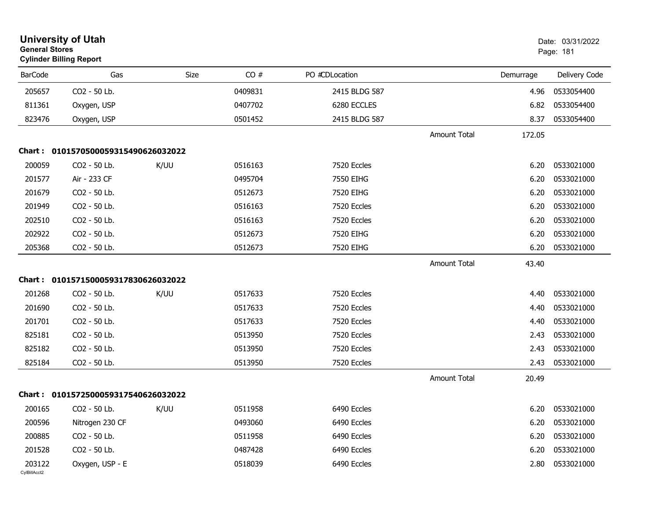|                        | <b>University of Utah</b><br><b>General Stores</b><br><b>Cylinder Billing Report</b> |      |         |                |                     | Date: 03/31/2022<br>Page: 181 |               |
|------------------------|--------------------------------------------------------------------------------------|------|---------|----------------|---------------------|-------------------------------|---------------|
| <b>BarCode</b>         | Gas                                                                                  | Size | CO#     | PO #CDLocation |                     | Demurrage                     | Delivery Code |
| 205657                 | CO2 - 50 Lb.                                                                         |      | 0409831 | 2415 BLDG 587  |                     | 4.96                          | 0533054400    |
| 811361                 | Oxygen, USP                                                                          |      | 0407702 | 6280 ECCLES    |                     | 6.82                          | 0533054400    |
| 823476                 | Oxygen, USP                                                                          |      | 0501452 | 2415 BLDG 587  |                     | 8.37                          | 0533054400    |
|                        |                                                                                      |      |         |                | <b>Amount Total</b> | 172.05                        |               |
| Chart : .              | 0101570500059315490626032022                                                         |      |         |                |                     |                               |               |
| 200059                 | CO2 - 50 Lb.                                                                         | K/UU | 0516163 | 7520 Eccles    |                     | 6.20                          | 0533021000    |
| 201577                 | Air - 233 CF                                                                         |      | 0495704 | 7550 EIHG      |                     | 6.20                          | 0533021000    |
| 201679                 | CO2 - 50 Lb.                                                                         |      | 0512673 | 7520 EIHG      |                     | 6.20                          | 0533021000    |
| 201949                 | CO2 - 50 Lb.                                                                         |      | 0516163 | 7520 Eccles    |                     | 6.20                          | 0533021000    |
| 202510                 | CO2 - 50 Lb.                                                                         |      | 0516163 | 7520 Eccles    |                     | 6.20                          | 0533021000    |
| 202922                 | CO2 - 50 Lb.                                                                         |      | 0512673 | 7520 EIHG      |                     | 6.20                          | 0533021000    |
| 205368                 | CO2 - 50 Lb.                                                                         |      | 0512673 | 7520 EIHG      |                     | 6.20                          | 0533021000    |
|                        |                                                                                      |      |         |                | <b>Amount Total</b> | 43.40                         |               |
|                        | Chart: 0101571500059317830626032022                                                  |      |         |                |                     |                               |               |
| 201268                 | CO2 - 50 Lb.                                                                         | K/UU | 0517633 | 7520 Eccles    |                     | 4.40                          | 0533021000    |
| 201690                 | CO2 - 50 Lb.                                                                         |      | 0517633 | 7520 Eccles    |                     | 4.40                          | 0533021000    |
| 201701                 | CO2 - 50 Lb.                                                                         |      | 0517633 | 7520 Eccles    |                     | 4.40                          | 0533021000    |
| 825181                 | CO2 - 50 Lb.                                                                         |      | 0513950 | 7520 Eccles    |                     | 2.43                          | 0533021000    |
| 825182                 | CO2 - 50 Lb.                                                                         |      | 0513950 | 7520 Eccles    |                     | 2.43                          | 0533021000    |
| 825184                 | CO2 - 50 Lb.                                                                         |      | 0513950 | 7520 Eccles    |                     | 2.43                          | 0533021000    |
|                        |                                                                                      |      |         |                | <b>Amount Total</b> | 20.49                         |               |
|                        | Chart: 0101572500059317540626032022                                                  |      |         |                |                     |                               |               |
| 200165                 | CO2 - 50 Lb.                                                                         | K/UU | 0511958 | 6490 Eccles    |                     | 6.20                          | 0533021000    |
| 200596                 | Nitrogen 230 CF                                                                      |      | 0493060 | 6490 Eccles    |                     | 6.20                          | 0533021000    |
| 200885                 | CO2 - 50 Lb.                                                                         |      | 0511958 | 6490 Eccles    |                     | 6.20                          | 0533021000    |
| 201528                 | CO2 - 50 Lb.                                                                         |      | 0487428 | 6490 Eccles    |                     | 6.20                          | 0533021000    |
| 203122<br>CylBillAcct2 | Oxygen, USP - E                                                                      |      | 0518039 | 6490 Eccles    |                     | 2.80                          | 0533021000    |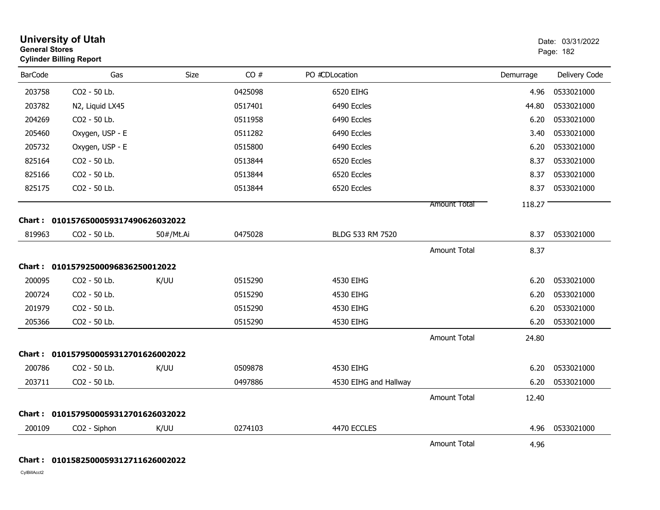|                | <b>University of Utah</b><br><b>General Stores</b><br><b>Cylinder Billing Report</b> |           |         |                       |                     | Date: 03/31/2022<br>Page: 182 |               |
|----------------|--------------------------------------------------------------------------------------|-----------|---------|-----------------------|---------------------|-------------------------------|---------------|
| <b>BarCode</b> | Gas                                                                                  | Size      | CO#     | PO #CDLocation        |                     | Demurrage                     | Delivery Code |
| 203758         | CO2 - 50 Lb.                                                                         |           | 0425098 | 6520 EIHG             |                     | 4.96                          | 0533021000    |
| 203782         | N2, Liquid LX45                                                                      |           | 0517401 | 6490 Eccles           |                     | 44.80                         | 0533021000    |
| 204269         | CO2 - 50 Lb.                                                                         |           | 0511958 | 6490 Eccles           |                     | 6.20                          | 0533021000    |
| 205460         | Oxygen, USP - E                                                                      |           | 0511282 | 6490 Eccles           |                     | 3.40                          | 0533021000    |
| 205732         | Oxygen, USP - E                                                                      |           | 0515800 | 6490 Eccles           |                     | 6.20                          | 0533021000    |
| 825164         | CO2 - 50 Lb.                                                                         |           | 0513844 | 6520 Eccles           |                     | 8.37                          | 0533021000    |
| 825166         | CO2 - 50 Lb.                                                                         |           | 0513844 | 6520 Eccles           |                     | 8.37                          | 0533021000    |
| 825175         | CO2 - 50 Lb.                                                                         |           | 0513844 | 6520 Eccles           |                     | 8.37                          | 0533021000    |
|                |                                                                                      |           |         |                       | Amount Total        | 118.27                        |               |
|                | Chart: 0101576500059317490626032022                                                  |           |         |                       |                     |                               |               |
| 819963         | CO2 - 50 Lb.                                                                         | 50#/Mt.Ai | 0475028 | BLDG 533 RM 7520      |                     | 8.37                          | 0533021000    |
|                |                                                                                      |           |         |                       | <b>Amount Total</b> | 8.37                          |               |
|                | Chart: 01015792500096836250012022                                                    |           |         |                       |                     |                               |               |
| 200095         | CO2 - 50 Lb.                                                                         | K/UU      | 0515290 | 4530 EIHG             |                     | 6.20                          | 0533021000    |
| 200724         | CO2 - 50 Lb.                                                                         |           | 0515290 | 4530 EIHG             |                     | 6.20                          | 0533021000    |
| 201979         | CO2 - 50 Lb.                                                                         |           | 0515290 | 4530 EIHG             |                     | 6.20                          | 0533021000    |
| 205366         | CO2 - 50 Lb.                                                                         |           | 0515290 | 4530 EIHG             |                     | 6.20                          | 0533021000    |
|                |                                                                                      |           |         |                       | <b>Amount Total</b> | 24.80                         |               |
|                | Chart: 0101579500059312701626002022                                                  |           |         |                       |                     |                               |               |
| 200786         | CO <sub>2</sub> - 50 Lb.                                                             | K/UU      | 0509878 | 4530 EIHG             |                     | 6.20                          | 0533021000    |
| 203711         | CO2 - 50 Lb.                                                                         |           | 0497886 | 4530 EIHG and Hallway |                     | 6.20                          | 0533021000    |
|                |                                                                                      |           |         |                       | <b>Amount Total</b> | 12.40                         |               |
|                | Chart: 0101579500059312701626032022                                                  |           |         |                       |                     |                               |               |
| 200109         | CO2 - Siphon                                                                         | K/UU      | 0274103 | 4470 ECCLES           |                     | 4.96                          | 0533021000    |
|                |                                                                                      |           |         |                       | <b>Amount Total</b> | 4.96                          |               |

## **Chart : 0101582500059312711626002022**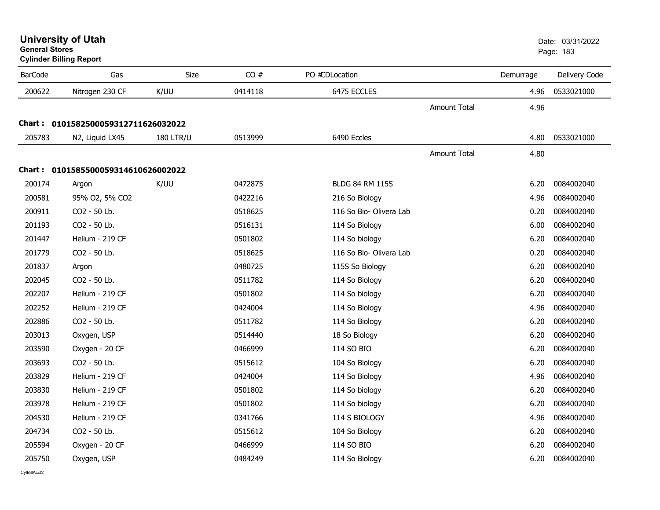**University of Utah** Date: 03/31/2022 **General Stores**

**Cylinder Billing Report**

| <b>BarCode</b> | Gas                                 | Size             | CO#     | PO #CDLocation          |                     | Demurrage | Delivery Code |
|----------------|-------------------------------------|------------------|---------|-------------------------|---------------------|-----------|---------------|
| 200622         | Nitrogen 230 CF                     | K/UU             | 0414118 | 6475 ECCLES             |                     | 4.96      | 0533021000    |
|                |                                     |                  |         |                         | <b>Amount Total</b> | 4.96      |               |
|                | Chart: 0101582500059312711626032022 |                  |         |                         |                     |           |               |
| 205783         | N2, Liquid LX45                     | <b>180 LTR/U</b> | 0513999 | 6490 Eccles             |                     | 4.80      | 0533021000    |
|                |                                     |                  |         |                         | Amount Total        | 4.80      |               |
|                | Chart: 0101585500059314610626002022 |                  |         |                         |                     |           |               |
| 200174         | Argon                               | K/UU             | 0472875 | <b>BLDG 84 RM 115S</b>  |                     | 6.20      | 0084002040    |
| 200581         | 95% O2, 5% CO2                      |                  | 0422216 | 216 So Biology          |                     | 4.96      | 0084002040    |
| 200911         | CO2 - 50 Lb.                        |                  | 0518625 | 116 So Bio- Olivera Lab |                     | 0.20      | 0084002040    |
| 201193         | CO2 - 50 Lb.                        |                  | 0516131 | 114 So Biology          |                     | 6.00      | 0084002040    |
| 201447         | Helium - 219 CF                     |                  | 0501802 | 114 So biology          |                     | 6.20      | 0084002040    |
| 201779         | CO2 - 50 Lb.                        |                  | 0518625 | 116 So Bio- Olivera Lab |                     | 0.20      | 0084002040    |
| 201837         | Argon                               |                  | 0480725 | 115S So Biology         |                     | 6.20      | 0084002040    |
| 202045         | CO2 - 50 Lb.                        |                  | 0511782 | 114 So Biology          |                     | 6.20      | 0084002040    |
| 202207         | Helium - 219 CF                     |                  | 0501802 | 114 So biology          |                     | 6.20      | 0084002040    |
| 202252         | Helium - 219 CF                     |                  | 0424004 | 114 So Biology          |                     | 4.96      | 0084002040    |
| 202886         | CO2 - 50 Lb.                        |                  | 0511782 | 114 So Biology          |                     | 6.20      | 0084002040    |
| 203013         | Oxygen, USP                         |                  | 0514440 | 18 So Biology           |                     | 6.20      | 0084002040    |
| 203590         | Oxygen - 20 CF                      |                  | 0466999 | 114 SO BIO              |                     | 6.20      | 0084002040    |
| 203693         | CO2 - 50 Lb.                        |                  | 0515612 | 104 So Biology          |                     | 6.20      | 0084002040    |
| 203829         | Helium - 219 CF                     |                  | 0424004 | 114 So Biology          |                     | 4.96      | 0084002040    |
| 203830         | Helium - 219 CF                     |                  | 0501802 | 114 So biology          |                     | 6.20      | 0084002040    |
| 203978         | Helium - 219 CF                     |                  | 0501802 | 114 So biology          |                     | 6.20      | 0084002040    |
| 204530         | Helium - 219 CF                     |                  | 0341766 | 114 S BIOLOGY           |                     | 4.96      | 0084002040    |
| 204734         | CO2 - 50 Lb.                        |                  | 0515612 | 104 So Biology          |                     | 6.20      | 0084002040    |
| 205594         | Oxygen - 20 CF                      |                  | 0466999 | 114 SO BIO              |                     | 6.20      | 0084002040    |
| 205750         | Oxygen, USP                         |                  | 0484249 | 114 So Biology          |                     | 6.20      | 0084002040    |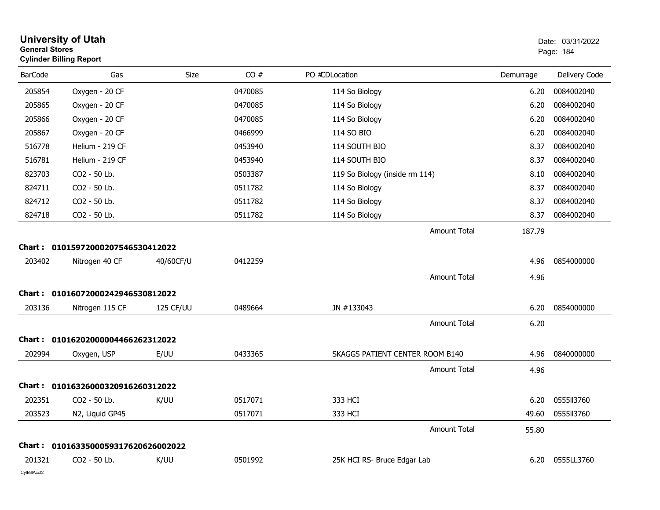| .<br><b>General Stores</b><br><b>Cylinder Billing Report</b> |                                     |           |         | DAIG. UJIJIIZUZZ<br>Page: 184   |           |               |
|--------------------------------------------------------------|-------------------------------------|-----------|---------|---------------------------------|-----------|---------------|
| <b>BarCode</b>                                               | Gas                                 | Size      | CO#     | PO #CDLocation                  | Demurrage | Delivery Code |
| 205854                                                       | Oxygen - 20 CF                      |           | 0470085 | 114 So Biology                  | 6.20      | 0084002040    |
| 205865                                                       | Oxygen - 20 CF                      |           | 0470085 | 114 So Biology                  | 6.20      | 0084002040    |
| 205866                                                       | Oxygen - 20 CF                      |           | 0470085 | 114 So Biology                  | 6.20      | 0084002040    |
| 205867                                                       | Oxygen - 20 CF                      |           | 0466999 | 114 SO BIO                      | 6.20      | 0084002040    |
| 516778                                                       | Helium - 219 CF                     |           | 0453940 | 114 SOUTH BIO                   | 8.37      | 0084002040    |
| 516781                                                       | Helium - 219 CF                     |           | 0453940 | 114 SOUTH BIO                   | 8.37      | 0084002040    |
| 823703                                                       | CO2 - 50 Lb.                        |           | 0503387 | 119 So Biology (inside rm 114)  | 8.10      | 0084002040    |
| 824711                                                       | CO2 - 50 Lb.                        |           | 0511782 | 114 So Biology                  | 8.37      | 0084002040    |
| 824712                                                       | CO2 - 50 Lb.                        |           | 0511782 | 114 So Biology                  | 8.37      | 0084002040    |
| 824718                                                       | CO2 - 50 Lb.                        |           | 0511782 | 114 So Biology                  | 8.37      | 0084002040    |
|                                                              |                                     |           |         | <b>Amount Total</b>             | 187.79    |               |
|                                                              | Chart: 01015972000207546530412022   |           |         |                                 |           |               |
| 203402                                                       | Nitrogen 40 CF                      | 40/60CF/U | 0412259 |                                 | 4.96      | 0854000000    |
|                                                              |                                     |           |         | <b>Amount Total</b>             | 4.96      |               |
|                                                              | Chart: 01016072000242946530812022   |           |         |                                 |           |               |
| 203136                                                       | Nitrogen 115 CF                     | 125 CF/UU | 0489664 | JN #133043                      | 6.20      | 0854000000    |
|                                                              |                                     |           |         | <b>Amount Total</b>             | 6.20      |               |
|                                                              | Chart: 01016202000004466262312022   |           |         |                                 |           |               |
| 202994                                                       | Oxygen, USP                         | E/UU      | 0433365 | SKAGGS PATIENT CENTER ROOM B140 | 4.96      | 0840000000    |
|                                                              |                                     |           |         | Amount Total                    | 4.96      |               |
|                                                              | Chart: 01016326000320916260312022   |           |         |                                 |           |               |
| 202351                                                       | CO2 - 50 Lb.                        | K/UU      | 0517071 | 333 HCI                         | 6.20      | 0555113760    |
| 203523                                                       | N2, Liquid GP45                     |           | 0517071 | 333 HCI                         | 49.60     | 0555113760    |
|                                                              |                                     |           |         | Amount Total                    | 55.80     |               |
|                                                              | Chart: 0101633500059317620626002022 |           |         |                                 |           |               |
| 201321                                                       | CO <sub>2</sub> - 50 Lb.            | K/UU      | 0501992 | 25K HCI RS- Bruce Edgar Lab     | 6.20      | 0555LL3760    |
| CylBillAcct2                                                 |                                     |           |         |                                 |           |               |

**University of Utah** <br>
Date: 03/31/2022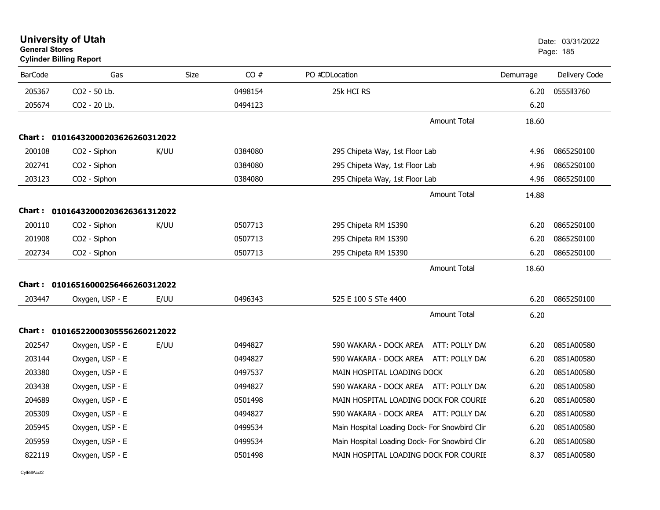| General Stores | <b>Cylinder Billing Report</b>    |      |         |                                               |           | Page: 185     |
|----------------|-----------------------------------|------|---------|-----------------------------------------------|-----------|---------------|
| <b>BarCode</b> | Gas                               | Size | CO#     | PO #CDLocation                                | Demurrage | Delivery Code |
| 205367         | CO2 - 50 Lb.                      |      | 0498154 | 25k HCI RS                                    | 6.20      | 0555113760    |
| 205674         | CO2 - 20 Lb.                      |      | 0494123 |                                               | 6.20      |               |
|                |                                   |      |         | <b>Amount Total</b>                           | 18.60     |               |
|                | Chart: 01016432000203626260312022 |      |         |                                               |           |               |
| 200108         | CO2 - Siphon                      | K/UU | 0384080 | 295 Chipeta Way, 1st Floor Lab                | 4.96      | 08652S0100    |
| 202741         | CO <sub>2</sub> - Siphon          |      | 0384080 | 295 Chipeta Way, 1st Floor Lab                | 4.96      | 08652S0100    |
| 203123         | CO2 - Siphon                      |      | 0384080 | 295 Chipeta Way, 1st Floor Lab                | 4.96      | 08652S0100    |
|                |                                   |      |         | <b>Amount Total</b>                           | 14.88     |               |
|                | Chart: 01016432000203626361312022 |      |         |                                               |           |               |
| 200110         | CO2 - Siphon                      | K/UU | 0507713 | 295 Chipeta RM 1S390                          | 6.20      | 08652S0100    |
| 201908         | CO <sub>2</sub> - Siphon          |      | 0507713 | 295 Chipeta RM 1S390                          | 6.20      | 08652S0100    |
| 202734         | CO2 - Siphon                      |      | 0507713 | 295 Chipeta RM 1S390                          | 6.20      | 08652S0100    |
|                |                                   |      |         | <b>Amount Total</b>                           | 18.60     |               |
|                | Chart: 01016516000256466260312022 |      |         |                                               |           |               |
| 203447         | Oxygen, USP - E                   | E/UU | 0496343 | 525 E 100 S STe 4400                          | 6.20      | 08652S0100    |
|                |                                   |      |         | <b>Amount Total</b>                           | 6.20      |               |
|                | Chart: 01016522000305556260212022 |      |         |                                               |           |               |
| 202547         | Oxygen, USP - E                   | E/UU | 0494827 | 590 WAKARA - DOCK AREA<br>ATT: POLLY DA(      | 6.20      | 0851A00580    |
| 203144         | Oxygen, USP - E                   |      | 0494827 | 590 WAKARA - DOCK AREA ATT: POLLY DA(         | 6.20      | 0851A00580    |
| 203380         | Oxygen, USP - E                   |      | 0497537 | MAIN HOSPITAL LOADING DOCK                    | 6.20      | 0851A00580    |
| 203438         | Oxygen, USP - E                   |      | 0494827 | 590 WAKARA - DOCK AREA ATT: POLLY DAC         | 6.20      | 0851A00580    |
| 204689         | Oxygen, USP - E                   |      | 0501498 | MAIN HOSPITAL LOADING DOCK FOR COURIE         | 6.20      | 0851A00580    |
| 205309         | Oxygen, USP - E                   |      | 0494827 | 590 WAKARA - DOCK AREA ATT: POLLY DA(         | 6.20      | 0851A00580    |
| 205945         | Oxygen, USP - E                   |      | 0499534 | Main Hospital Loading Dock- For Snowbird Clin | 6.20      | 0851A00580    |
| 205959         | Oxygen, USP - E                   |      | 0499534 | Main Hospital Loading Dock- For Snowbird Clin | 6.20      | 0851A00580    |
| 822119         | Oxygen, USP - E                   |      | 0501498 | MAIN HOSPITAL LOADING DOCK FOR COURIE         | 8.37      | 0851A00580    |

# **University of Utah** Date: 03/31/2022 **General Stores**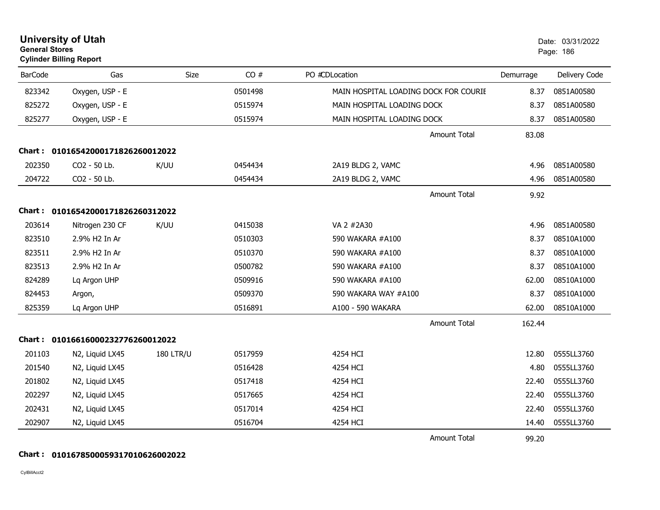| <b>General Stores</b> | <b>Cylinder Billing Report</b>    |                  |         |                                       |           | Page: 186     |
|-----------------------|-----------------------------------|------------------|---------|---------------------------------------|-----------|---------------|
| <b>BarCode</b>        | Gas                               | Size             | CO#     | PO #CDLocation                        | Demurrage | Delivery Code |
| 823342                | Oxygen, USP - E                   |                  | 0501498 | MAIN HOSPITAL LOADING DOCK FOR COURIE | 8.37      | 0851A00580    |
| 825272                | Oxygen, USP - E                   |                  | 0515974 | MAIN HOSPITAL LOADING DOCK            | 8.37      | 0851A00580    |
| 825277                | Oxygen, USP - E                   |                  | 0515974 | MAIN HOSPITAL LOADING DOCK            | 8.37      | 0851A00580    |
|                       |                                   |                  |         | Amount Total                          | 83.08     |               |
|                       | Chart: 01016542000171826260012022 |                  |         |                                       |           |               |
| 202350                | CO2 - 50 Lb.                      | K/UU             | 0454434 | 2A19 BLDG 2, VAMC                     | 4.96      | 0851A00580    |
| 204722                | CO2 - 50 Lb.                      |                  | 0454434 | 2A19 BLDG 2, VAMC                     | 4.96      | 0851A00580    |
|                       |                                   |                  |         | <b>Amount Total</b>                   | 9.92      |               |
| Chart :               | 01016542000171826260312022        |                  |         |                                       |           |               |
| 203614                | Nitrogen 230 CF                   | K/UU             | 0415038 | VA 2 #2A30                            | 4.96      | 0851A00580    |
| 823510                | 2.9% H2 In Ar                     |                  | 0510303 | 590 WAKARA #A100                      | 8.37      | 08510A1000    |
| 823511                | 2.9% H2 In Ar                     |                  | 0510370 | 590 WAKARA #A100                      | 8.37      | 08510A1000    |
| 823513                | 2.9% H2 In Ar                     |                  | 0500782 | 590 WAKARA #A100                      | 8.37      | 08510A1000    |
| 824289                | Lq Argon UHP                      |                  | 0509916 | 590 WAKARA #A100                      | 62.00     | 08510A1000    |
| 824453                | Argon,                            |                  | 0509370 | 590 WAKARA WAY #A100                  | 8.37      | 08510A1000    |
| 825359                | Lq Argon UHP                      |                  | 0516891 | A100 - 590 WAKARA                     | 62.00     | 08510A1000    |
|                       |                                   |                  |         | <b>Amount Total</b>                   | 162.44    |               |
| Chart :               | 01016616000232776260012022        |                  |         |                                       |           |               |
| 201103                | N2, Liquid LX45                   | <b>180 LTR/U</b> | 0517959 | 4254 HCI                              | 12.80     | 0555LL3760    |
| 201540                | N2, Liquid LX45                   |                  | 0516428 | 4254 HCI                              | 4.80      | 0555LL3760    |
| 201802                | N2, Liquid LX45                   |                  | 0517418 | 4254 HCI                              | 22.40     | 0555LL3760    |
| 202297                | N2, Liquid LX45                   |                  | 0517665 | 4254 HCI                              | 22.40     | 0555LL3760    |
| 202431                | N2, Liquid LX45                   |                  | 0517014 | 4254 HCI                              | 22.40     | 0555LL3760    |
| 202907                | N2, Liquid LX45                   |                  | 0516704 | 4254 HCI                              | 14.40     | 0555LL3760    |
|                       |                                   |                  |         | Amount Total                          | 99.20     |               |

**University of Utah** Date: 03/31/2022

## **Chart : 0101678500059317010626002022**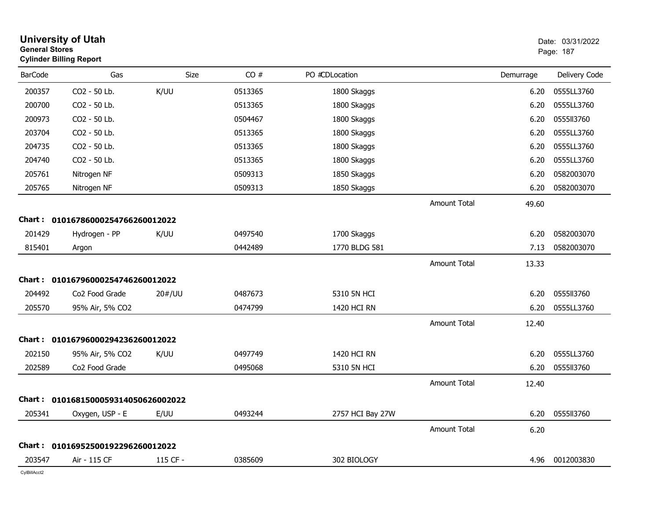|                | <b>University of Utah</b><br><b>General Stores</b><br><b>Cylinder Billing Report</b> |          |         |                  |                     |           | Date: 03/31/2022<br>Page: 187 |  |
|----------------|--------------------------------------------------------------------------------------|----------|---------|------------------|---------------------|-----------|-------------------------------|--|
| <b>BarCode</b> | Gas                                                                                  | Size     | CO#     | PO #CDLocation   |                     | Demurrage | Delivery Code                 |  |
| 200357         | CO2 - 50 Lb.                                                                         | K/UU     | 0513365 | 1800 Skaggs      |                     | 6.20      | 0555LL3760                    |  |
| 200700         | CO2 - 50 Lb.                                                                         |          | 0513365 | 1800 Skaggs      |                     | 6.20      | 0555LL3760                    |  |
| 200973         | CO2 - 50 Lb.                                                                         |          | 0504467 | 1800 Skaggs      |                     | 6.20      | 0555113760                    |  |
| 203704         | CO2 - 50 Lb.                                                                         |          | 0513365 | 1800 Skaggs      |                     | 6.20      | 0555LL3760                    |  |
| 204735         | CO2 - 50 Lb.                                                                         |          | 0513365 | 1800 Skaggs      |                     | 6.20      | 0555LL3760                    |  |
| 204740         | CO2 - 50 Lb.                                                                         |          | 0513365 | 1800 Skaggs      |                     | 6.20      | 0555LL3760                    |  |
| 205761         | Nitrogen NF                                                                          |          | 0509313 | 1850 Skaggs      |                     | 6.20      | 0582003070                    |  |
| 205765         | Nitrogen NF                                                                          |          | 0509313 | 1850 Skaggs      |                     | 6.20      | 0582003070                    |  |
|                |                                                                                      |          |         |                  | <b>Amount Total</b> | 49.60     |                               |  |
| Chart :        | 01016786000254766260012022                                                           |          |         |                  |                     |           |                               |  |
| 201429         | Hydrogen - PP                                                                        | K/UU     | 0497540 | 1700 Skaggs      |                     | 6.20      | 0582003070                    |  |
| 815401         | Argon                                                                                |          | 0442489 | 1770 BLDG 581    |                     | 7.13      | 0582003070                    |  |
|                |                                                                                      |          |         |                  | <b>Amount Total</b> | 13.33     |                               |  |
| Chart :        | 01016796000254746260012022                                                           |          |         |                  |                     |           |                               |  |
| 204492         | Co2 Food Grade                                                                       | 20#/UU   | 0487673 | 5310 5N HCI      |                     | 6.20      | 0555113760                    |  |
| 205570         | 95% Air, 5% CO2                                                                      |          | 0474799 | 1420 HCI RN      |                     | 6.20      | 0555LL3760                    |  |
|                |                                                                                      |          |         |                  | <b>Amount Total</b> | 12.40     |                               |  |
| Chart :        | 01016796000294236260012022                                                           |          |         |                  |                     |           |                               |  |
| 202150         | 95% Air, 5% CO2                                                                      | K/UU     | 0497749 | 1420 HCI RN      |                     | 6.20      | 0555LL3760                    |  |
| 202589         | Co2 Food Grade                                                                       |          | 0495068 | 5310 5N HCI      |                     | 6.20      | 0555113760                    |  |
|                |                                                                                      |          |         |                  | <b>Amount Total</b> | 12.40     |                               |  |
|                | Chart: 0101681500059314050626002022                                                  |          |         |                  |                     |           |                               |  |
| 205341         | Oxygen, USP - E                                                                      | E/UU     | 0493244 | 2757 HCI Bay 27W |                     | 6.20      | 0555113760                    |  |
|                |                                                                                      |          |         |                  | <b>Amount Total</b> | 6.20      |                               |  |
|                | Chart: 01016952500192296260012022                                                    |          |         |                  |                     |           |                               |  |
| 203547         | Air - 115 CF                                                                         | 115 CF - | 0385609 | 302 BIOLOGY      |                     |           | 4.96 0012003830               |  |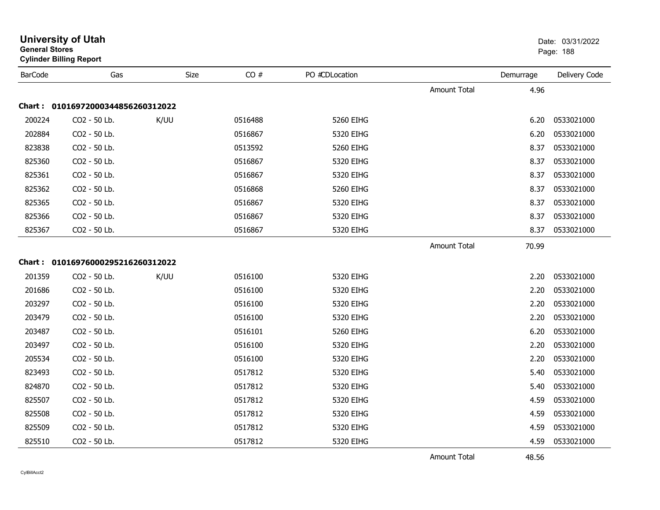|                | General Stores<br><b>Cylinder Billing Report</b> |      |         |                |                     | Page: 188 |               |
|----------------|--------------------------------------------------|------|---------|----------------|---------------------|-----------|---------------|
| <b>BarCode</b> | Gas                                              | Size | CO#     | PO #CDLocation |                     | Demurrage | Delivery Code |
|                |                                                  |      |         |                | Amount Total        | 4.96      |               |
|                | Chart: 01016972000344856260312022                |      |         |                |                     |           |               |
| 200224         | CO2 - 50 Lb.                                     | K/UU | 0516488 | 5260 EIHG      |                     | 6.20      | 0533021000    |
| 202884         | CO2 - 50 Lb.                                     |      | 0516867 | 5320 EIHG      |                     | 6.20      | 0533021000    |
| 823838         | CO2 - 50 Lb.                                     |      | 0513592 | 5260 EIHG      |                     | 8.37      | 0533021000    |
| 825360         | CO2 - 50 Lb.                                     |      | 0516867 | 5320 EIHG      |                     | 8.37      | 0533021000    |
| 825361         | CO2 - 50 Lb.                                     |      | 0516867 | 5320 EIHG      |                     | 8.37      | 0533021000    |
| 825362         | CO2 - 50 Lb.                                     |      | 0516868 | 5260 EIHG      |                     | 8.37      | 0533021000    |
| 825365         | CO2 - 50 Lb.                                     |      | 0516867 | 5320 EIHG      |                     | 8.37      | 0533021000    |
| 825366         | CO2 - 50 Lb.                                     |      | 0516867 | 5320 EIHG      |                     | 8.37      | 0533021000    |
| 825367         | CO2 - 50 Lb.                                     |      | 0516867 | 5320 EIHG      |                     | 8.37      | 0533021000    |
|                |                                                  |      |         |                | <b>Amount Total</b> | 70.99     |               |
|                | Chart: 01016976000295216260312022                |      |         |                |                     |           |               |
| 201359         | CO2 - 50 Lb.                                     | K/UU | 0516100 | 5320 EIHG      |                     | 2.20      | 0533021000    |
| 201686         | CO2 - 50 Lb.                                     |      | 0516100 | 5320 EIHG      |                     | 2.20      | 0533021000    |
| 203297         | CO2 - 50 Lb.                                     |      | 0516100 | 5320 EIHG      |                     | 2.20      | 0533021000    |
| 203479         | CO2 - 50 Lb.                                     |      | 0516100 | 5320 EIHG      |                     | 2.20      | 0533021000    |
| 203487         | CO2 - 50 Lb.                                     |      | 0516101 | 5260 EIHG      |                     | 6.20      | 0533021000    |
| 203497         | CO2 - 50 Lb.                                     |      | 0516100 | 5320 EIHG      |                     | 2.20      | 0533021000    |
| 205534         | CO2 - 50 Lb.                                     |      | 0516100 | 5320 EIHG      |                     | 2.20      | 0533021000    |
| 823493         | CO2 - 50 Lb.                                     |      | 0517812 | 5320 EIHG      |                     | 5.40      | 0533021000    |
| 824870         | CO2 - 50 Lb.                                     |      | 0517812 | 5320 EIHG      |                     | 5.40      | 0533021000    |
| 825507         | CO2 - 50 Lb.                                     |      | 0517812 | 5320 EIHG      |                     | 4.59      | 0533021000    |
| 825508         | CO2 - 50 Lb.                                     |      | 0517812 | 5320 EIHG      |                     | 4.59      | 0533021000    |
| 825509         | CO2 - 50 Lb.                                     |      | 0517812 | 5320 EIHG      |                     | 4.59      | 0533021000    |
| 825510         | CO2 - 50 Lb.                                     |      | 0517812 | 5320 EIHG      |                     | 4.59      | 0533021000    |
|                |                                                  |      |         |                | <b>Amount Total</b> | 48.56     |               |

# **University of Utah** Date: 03/31/2022 **General Stores**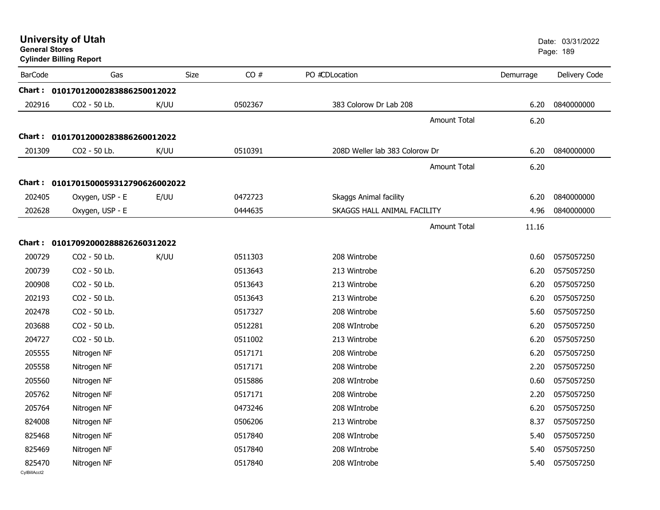| <b>University of Utah</b> |  |
|---------------------------|--|
| <b>General Stores</b>     |  |

| <b>BarCode</b>         | Gas                               | Size | CO#     | PO #CDLocation                 | Demurrage | Delivery Code |
|------------------------|-----------------------------------|------|---------|--------------------------------|-----------|---------------|
| Chart :                | 01017012000283886250012022        |      |         |                                |           |               |
| 202916                 | CO2 - 50 Lb.                      | K/UU | 0502367 | 383 Colorow Dr Lab 208         | 6.20      | 0840000000    |
|                        |                                   |      |         | <b>Amount Total</b>            | 6.20      |               |
|                        | Chart: 01017012000283886260012022 |      |         |                                |           |               |
| 201309                 | CO2 - 50 Lb.                      | K/UU | 0510391 | 208D Weller lab 383 Colorow Dr | 6.20      | 0840000000    |
|                        |                                   |      |         | <b>Amount Total</b>            | 6.20      |               |
| Chart :                | 0101701500059312790626002022      |      |         |                                |           |               |
| 202405                 | Oxygen, USP - E                   | E/UU | 0472723 | Skaggs Animal facility         | 6.20      | 0840000000    |
| 202628                 | Oxygen, USP - E                   |      | 0444635 | SKAGGS HALL ANIMAL FACILITY    | 4.96      | 0840000000    |
|                        |                                   |      |         |                                |           |               |
|                        |                                   |      |         | <b>Amount Total</b>            | 11.16     |               |
| <b>Chart :</b>         | 01017092000288826260312022        |      |         |                                |           |               |
| 200729                 | CO2 - 50 Lb.                      | K/UU | 0511303 | 208 Wintrobe                   | 0.60      | 0575057250    |
| 200739                 | CO2 - 50 Lb.                      |      | 0513643 | 213 Wintrobe                   | 6.20      | 0575057250    |
| 200908                 | CO2 - 50 Lb.                      |      | 0513643 | 213 Wintrobe                   | 6.20      | 0575057250    |
| 202193                 | CO2 - 50 Lb.                      |      | 0513643 | 213 Wintrobe                   | 6.20      | 0575057250    |
| 202478                 | CO2 - 50 Lb.                      |      | 0517327 | 208 Wintrobe                   | 5.60      | 0575057250    |
| 203688                 | CO2 - 50 Lb.                      |      | 0512281 | 208 WIntrobe                   | 6.20      | 0575057250    |
| 204727                 | CO2 - 50 Lb.                      |      | 0511002 | 213 Wintrobe                   | 6.20      | 0575057250    |
| 205555                 | Nitrogen NF                       |      | 0517171 | 208 Wintrobe                   | 6.20      | 0575057250    |
| 205558                 | Nitrogen NF                       |      | 0517171 | 208 Wintrobe                   | 2.20      | 0575057250    |
| 205560                 | Nitrogen NF                       |      | 0515886 | 208 WIntrobe                   | 0.60      | 0575057250    |
| 205762                 | Nitrogen NF                       |      | 0517171 | 208 Wintrobe                   | 2.20      | 0575057250    |
| 205764                 | Nitrogen NF                       |      | 0473246 | 208 WIntrobe                   | 6.20      | 0575057250    |
| 824008                 | Nitrogen NF                       |      | 0506206 | 213 Wintrobe                   | 8.37      | 0575057250    |
| 825468                 | Nitrogen NF                       |      | 0517840 | 208 WIntrobe                   | 5.40      | 0575057250    |
| 825469                 | Nitrogen NF                       |      | 0517840 | 208 WIntrobe                   | 5.40      | 0575057250    |
| 825470<br>CvIBillAcct2 | Nitrogen NF                       |      | 0517840 | 208 WIntrobe                   | 5.40      | 0575057250    |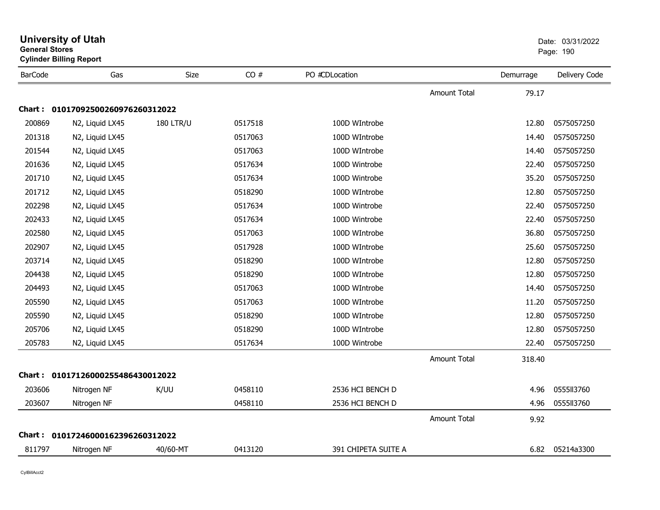|                | <b>General Stores</b><br><b>Cylinder Billing Report</b> |                  |         |                     |                     | Page: 190 |               |
|----------------|---------------------------------------------------------|------------------|---------|---------------------|---------------------|-----------|---------------|
| <b>BarCode</b> | Gas                                                     | <b>Size</b>      | CO#     | PO #CDLocation      |                     | Demurrage | Delivery Code |
|                |                                                         |                  |         |                     | Amount Total        | 79.17     |               |
|                | Chart: 01017092500260976260312022                       |                  |         |                     |                     |           |               |
| 200869         | N2, Liquid LX45                                         | <b>180 LTR/U</b> | 0517518 | 100D WIntrobe       |                     | 12.80     | 0575057250    |
| 201318         | N2, Liquid LX45                                         |                  | 0517063 | 100D WIntrobe       |                     | 14.40     | 0575057250    |
| 201544         | N2, Liquid LX45                                         |                  | 0517063 | 100D WIntrobe       |                     | 14.40     | 0575057250    |
| 201636         | N2, Liquid LX45                                         |                  | 0517634 | 100D Wintrobe       |                     | 22.40     | 0575057250    |
| 201710         | N2, Liquid LX45                                         |                  | 0517634 | 100D Wintrobe       |                     | 35.20     | 0575057250    |
| 201712         | N2, Liquid LX45                                         |                  | 0518290 | 100D WIntrobe       |                     | 12.80     | 0575057250    |
| 202298         | N2, Liquid LX45                                         |                  | 0517634 | 100D Wintrobe       |                     | 22.40     | 0575057250    |
| 202433         | N2, Liquid LX45                                         |                  | 0517634 | 100D Wintrobe       |                     | 22.40     | 0575057250    |
| 202580         | N2, Liquid LX45                                         |                  | 0517063 | 100D WIntrobe       |                     | 36.80     | 0575057250    |
| 202907         | N2, Liquid LX45                                         |                  | 0517928 | 100D WIntrobe       |                     | 25.60     | 0575057250    |
| 203714         | N2, Liquid LX45                                         |                  | 0518290 | 100D WIntrobe       |                     | 12.80     | 0575057250    |
| 204438         | N2, Liquid LX45                                         |                  | 0518290 | 100D WIntrobe       |                     | 12.80     | 0575057250    |
| 204493         | N2, Liquid LX45                                         |                  | 0517063 | 100D WIntrobe       |                     | 14.40     | 0575057250    |
| 205590         | N2, Liquid LX45                                         |                  | 0517063 | 100D WIntrobe       |                     | 11.20     | 0575057250    |
| 205590         | N2, Liquid LX45                                         |                  | 0518290 | 100D WIntrobe       |                     | 12.80     | 0575057250    |
| 205706         | N2, Liquid LX45                                         |                  | 0518290 | 100D WIntrobe       |                     | 12.80     | 0575057250    |
| 205783         | N2, Liquid LX45                                         |                  | 0517634 | 100D Wintrobe       |                     | 22.40     | 0575057250    |
|                |                                                         |                  |         |                     | <b>Amount Total</b> | 318.40    |               |
| <b>Chart :</b> | 01017126000255486430012022                              |                  |         |                     |                     |           |               |
| 203606         | Nitrogen NF                                             | K/UU             | 0458110 | 2536 HCI BENCH D    |                     | 4.96      | 0555113760    |
| 203607         | Nitrogen NF                                             |                  | 0458110 | 2536 HCI BENCH D    |                     | 4.96      | 0555113760    |
|                |                                                         |                  |         |                     | <b>Amount Total</b> | 9.92      |               |
|                | Chart: 01017246000162396260312022                       |                  |         |                     |                     |           |               |
| 811797         | Nitrogen NF                                             | 40/60-MT         | 0413120 | 391 CHIPETA SUITE A |                     | 6.82      | 05214a3300    |

# **University of Utah** Date: 03/31/2022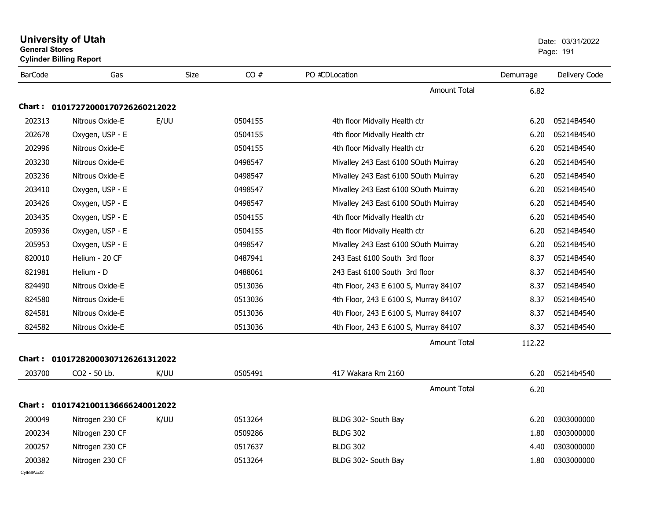|                | <b>University of Utah</b><br><b>General Stores</b><br><b>Cylinder Billing Report</b> |      |         |                                       | Date: 03/31/2022<br>Page: 191 |               |
|----------------|--------------------------------------------------------------------------------------|------|---------|---------------------------------------|-------------------------------|---------------|
| <b>BarCode</b> | Gas                                                                                  | Size | CO#     | PO #CDLocation                        | Demurrage                     | Delivery Code |
|                |                                                                                      |      |         | <b>Amount Total</b>                   | 6.82                          |               |
| Chart : .      | 01017272000170726260212022                                                           |      |         |                                       |                               |               |
| 202313         | Nitrous Oxide-E                                                                      | E/UU | 0504155 | 4th floor Midvally Health ctr         | 6.20                          | 05214B4540    |
| 202678         | Oxygen, USP - E                                                                      |      | 0504155 | 4th floor Midvally Health ctr         | 6.20                          | 05214B4540    |
| 202996         | Nitrous Oxide-E                                                                      |      | 0504155 | 4th floor Midvally Health ctr         | 6.20                          | 05214B4540    |
| 203230         | Nitrous Oxide-E                                                                      |      | 0498547 | Mivalley 243 East 6100 SOuth Muirray  | 6.20                          | 05214B4540    |
| 203236         | Nitrous Oxide-E                                                                      |      | 0498547 | Mivalley 243 East 6100 SOuth Muirray  | 6.20                          | 05214B4540    |
| 203410         | Oxygen, USP - E                                                                      |      | 0498547 | Mivalley 243 East 6100 SOuth Muirray  | 6.20                          | 05214B4540    |
| 203426         | Oxygen, USP - E                                                                      |      | 0498547 | Mivalley 243 East 6100 SOuth Muirray  | 6.20                          | 05214B4540    |
| 203435         | Oxygen, USP - E                                                                      |      | 0504155 | 4th floor Midvally Health ctr         | 6.20                          | 05214B4540    |
| 205936         | Oxygen, USP - E                                                                      |      | 0504155 | 4th floor Midvally Health ctr         | 6.20                          | 05214B4540    |
| 205953         | Oxygen, USP - E                                                                      |      | 0498547 | Mivalley 243 East 6100 SOuth Muirray  | 6.20                          | 05214B4540    |
| 820010         | Helium - 20 CF                                                                       |      | 0487941 | 243 East 6100 South 3rd floor         | 8.37                          | 05214B4540    |
| 821981         | Helium - D                                                                           |      | 0488061 | 243 East 6100 South 3rd floor         | 8.37                          | 05214B4540    |
| 824490         | Nitrous Oxide-E                                                                      |      | 0513036 | 4th Floor, 243 E 6100 S, Murray 84107 | 8.37                          | 05214B4540    |
| 824580         | Nitrous Oxide-E                                                                      |      | 0513036 | 4th Floor, 243 E 6100 S, Murray 84107 | 8.37                          | 05214B4540    |
| 824581         | Nitrous Oxide-E                                                                      |      | 0513036 | 4th Floor, 243 E 6100 S, Murray 84107 | 8.37                          | 05214B4540    |
| 824582         | Nitrous Oxide-E                                                                      |      | 0513036 | 4th Floor, 243 E 6100 S, Murray 84107 | 8.37                          | 05214B4540    |
|                |                                                                                      |      |         | <b>Amount Total</b>                   | 112.22                        |               |
| Chart :        | 01017282000307126261312022                                                           |      |         |                                       |                               |               |
| 203700         | CO2 - 50 Lb.                                                                         | K/UU | 0505491 | 417 Wakara Rm 2160                    | 6.20                          | 05214b4540    |
|                |                                                                                      |      |         | <b>Amount Total</b>                   | 6.20                          |               |
|                | Chart: 01017421001136666240012022                                                    |      |         |                                       |                               |               |
| 200049         | Nitrogen 230 CF                                                                      | K/UU | 0513264 | BLDG 302- South Bay                   | 6.20                          | 0303000000    |
| 200234         | Nitrogen 230 CF                                                                      |      | 0509286 | <b>BLDG 302</b>                       | 1.80                          | 0303000000    |
| 200257         | Nitrogen 230 CF                                                                      |      | 0517637 | <b>BLDG 302</b>                       | 4.40                          | 0303000000    |
| 200382         | Nitrogen 230 CF                                                                      |      | 0513264 | BLDG 302- South Bay                   | 1.80                          | 0303000000    |
| CvIBillAcct2   |                                                                                      |      |         |                                       |                               |               |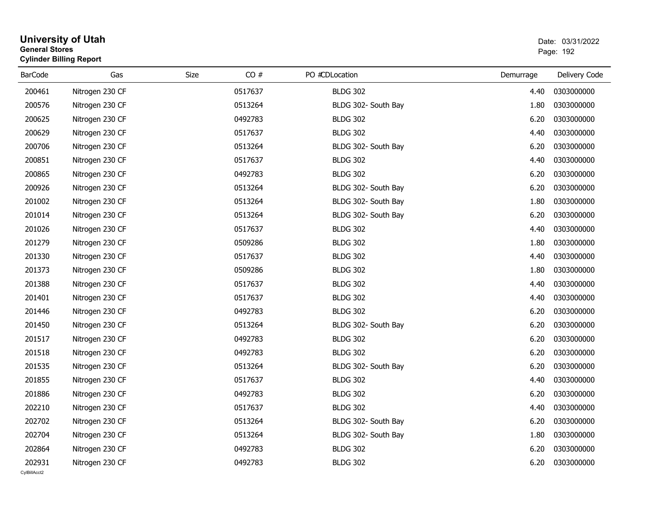| <b>General Stores</b> | <b>University of Utah</b><br><b>Cylinder Billing Report</b> |      |         |                     |           | Date: 03/31/2022<br>Page: 192 |
|-----------------------|-------------------------------------------------------------|------|---------|---------------------|-----------|-------------------------------|
| <b>BarCode</b>        | Gas                                                         | Size | CO#     | PO #CDLocation      | Demurrage | Delivery Code                 |
| 200461                | Nitrogen 230 CF                                             |      | 0517637 | <b>BLDG 302</b>     | 4.40      | 0303000000                    |
| 200576                | Nitrogen 230 CF                                             |      | 0513264 | BLDG 302- South Bay | 1.80      | 0303000000                    |
| 200625                | Nitrogen 230 CF                                             |      | 0492783 | <b>BLDG 302</b>     | 6.20      | 0303000000                    |
| 200629                | Nitrogen 230 CF                                             |      | 0517637 | <b>BLDG 302</b>     | 4.40      | 0303000000                    |
| 200706                | Nitrogen 230 CF                                             |      | 0513264 | BLDG 302- South Bay | 6.20      | 0303000000                    |
| 200851                | Nitrogen 230 CF                                             |      | 0517637 | <b>BLDG 302</b>     | 4.40      | 0303000000                    |
| 200865                | Nitrogen 230 CF                                             |      | 0492783 | <b>BLDG 302</b>     | 6.20      | 0303000000                    |
| 200926                | Nitrogen 230 CF                                             |      | 0513264 | BLDG 302- South Bay | 6.20      | 0303000000                    |
| 201002                | Nitrogen 230 CF                                             |      | 0513264 | BLDG 302- South Bay | 1.80      | 0303000000                    |
| 201014                | Nitrogen 230 CF                                             |      | 0513264 | BLDG 302- South Bay | 6.20      | 0303000000                    |
| 201026                | Nitrogen 230 CF                                             |      | 0517637 | <b>BLDG 302</b>     | 4.40      | 0303000000                    |
| 201279                | Nitrogen 230 CF                                             |      | 0509286 | <b>BLDG 302</b>     | 1.80      | 0303000000                    |
| 201330                | Nitrogen 230 CF                                             |      | 0517637 | <b>BLDG 302</b>     | 4.40      | 0303000000                    |
| 201373                | Nitrogen 230 CF                                             |      | 0509286 | <b>BLDG 302</b>     | 1.80      | 0303000000                    |
| 201388                | Nitrogen 230 CF                                             |      | 0517637 | <b>BLDG 302</b>     | 4.40      | 0303000000                    |
| 201401                | Nitrogen 230 CF                                             |      | 0517637 | <b>BLDG 302</b>     | 4.40      | 0303000000                    |
| 201446                | Nitrogen 230 CF                                             |      | 0492783 | <b>BLDG 302</b>     | 6.20      | 0303000000                    |
| 201450                | Nitrogen 230 CF                                             |      | 0513264 | BLDG 302- South Bay | 6.20      | 0303000000                    |
| 201517                | Nitrogen 230 CF                                             |      | 0492783 | <b>BLDG 302</b>     | 6.20      | 0303000000                    |
| 201518                | Nitrogen 230 CF                                             |      | 0492783 | <b>BLDG 302</b>     | 6.20      | 0303000000                    |
| 201535                | Nitrogen 230 CF                                             |      | 0513264 | BLDG 302- South Bay | 6.20      | 0303000000                    |
| 201855                | Nitrogen 230 CF                                             |      | 0517637 | <b>BLDG 302</b>     | 4.40      | 0303000000                    |
| 201886                | Nitrogen 230 CF                                             |      | 0492783 | <b>BLDG 302</b>     | 6.20      | 0303000000                    |
| 202210                | Nitrogen 230 CF                                             |      | 0517637 | <b>BLDG 302</b>     | 4.40      | 0303000000                    |
| 202702                | Nitrogen 230 CF                                             |      | 0513264 | BLDG 302- South Bay | 6.20      | 0303000000                    |
| 202704                | Nitrogen 230 CF                                             |      | 0513264 | BLDG 302- South Bay | 1.80      | 0303000000                    |
| 202864                | Nitrogen 230 CF                                             |      | 0492783 | <b>BLDG 302</b>     | 6.20      | 0303000000                    |
| 202931                | Nitrogen 230 CF                                             |      | 0492783 | <b>BLDG 302</b>     | 6.20      | 0303000000                    |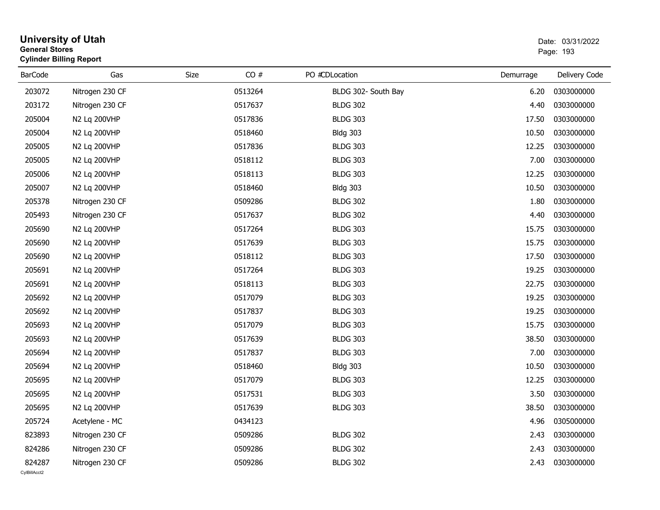| <b>General Stores</b>  | <b>University of Utah</b><br><b>Cylinder Billing Report</b> |      |         |                     | Date: 03/31/2022<br>Page: 193 |               |  |
|------------------------|-------------------------------------------------------------|------|---------|---------------------|-------------------------------|---------------|--|
| <b>BarCode</b>         | Gas                                                         | Size | CO#     | PO #CDLocation      | Demurrage                     | Delivery Code |  |
| 203072                 | Nitrogen 230 CF                                             |      | 0513264 | BLDG 302- South Bay | 6.20                          | 0303000000    |  |
| 203172                 | Nitrogen 230 CF                                             |      | 0517637 | <b>BLDG 302</b>     | 4.40                          | 0303000000    |  |
| 205004                 | N2 Lq 200VHP                                                |      | 0517836 | <b>BLDG 303</b>     | 17.50                         | 0303000000    |  |
| 205004                 | N2 Lq 200VHP                                                |      | 0518460 | <b>Bldg 303</b>     | 10.50                         | 0303000000    |  |
| 205005                 | N2 Lq 200VHP                                                |      | 0517836 | <b>BLDG 303</b>     | 12.25                         | 0303000000    |  |
| 205005                 | N2 Lq 200VHP                                                |      | 0518112 | <b>BLDG 303</b>     | 7.00                          | 0303000000    |  |
| 205006                 | N2 Lq 200VHP                                                |      | 0518113 | <b>BLDG 303</b>     | 12.25                         | 0303000000    |  |
| 205007                 | N2 Lq 200VHP                                                |      | 0518460 | <b>Bldg 303</b>     | 10.50                         | 0303000000    |  |
| 205378                 | Nitrogen 230 CF                                             |      | 0509286 | <b>BLDG 302</b>     | 1.80                          | 0303000000    |  |
| 205493                 | Nitrogen 230 CF                                             |      | 0517637 | <b>BLDG 302</b>     | 4.40                          | 0303000000    |  |
| 205690                 | N2 Lq 200VHP                                                |      | 0517264 | <b>BLDG 303</b>     | 15.75                         | 0303000000    |  |
| 205690                 | N2 Lq 200VHP                                                |      | 0517639 | <b>BLDG 303</b>     | 15.75                         | 0303000000    |  |
| 205690                 | N2 Lq 200VHP                                                |      | 0518112 | <b>BLDG 303</b>     | 17.50                         | 0303000000    |  |
| 205691                 | N2 Lq 200VHP                                                |      | 0517264 | <b>BLDG 303</b>     | 19.25                         | 0303000000    |  |
| 205691                 | N2 Lq 200VHP                                                |      | 0518113 | <b>BLDG 303</b>     | 22.75                         | 0303000000    |  |
| 205692                 | N2 Lq 200VHP                                                |      | 0517079 | <b>BLDG 303</b>     | 19.25                         | 0303000000    |  |
| 205692                 | N2 Lq 200VHP                                                |      | 0517837 | <b>BLDG 303</b>     | 19.25                         | 0303000000    |  |
| 205693                 | N2 Lq 200VHP                                                |      | 0517079 | <b>BLDG 303</b>     | 15.75                         | 0303000000    |  |
| 205693                 | N2 Lq 200VHP                                                |      | 0517639 | <b>BLDG 303</b>     | 38.50                         | 0303000000    |  |
| 205694                 | N2 Lq 200VHP                                                |      | 0517837 | <b>BLDG 303</b>     | 7.00                          | 0303000000    |  |
| 205694                 | N2 Lq 200VHP                                                |      | 0518460 | <b>Bldg 303</b>     | 10.50                         | 0303000000    |  |
| 205695                 | N2 Lq 200VHP                                                |      | 0517079 | <b>BLDG 303</b>     | 12.25                         | 0303000000    |  |
| 205695                 | N2 Lq 200VHP                                                |      | 0517531 | <b>BLDG 303</b>     | 3.50                          | 0303000000    |  |
| 205695                 | N2 Lq 200VHP                                                |      | 0517639 | <b>BLDG 303</b>     | 38.50                         | 0303000000    |  |
| 205724                 | Acetylene - MC                                              |      | 0434123 |                     | 4.96                          | 0305000000    |  |
| 823893                 | Nitrogen 230 CF                                             |      | 0509286 | <b>BLDG 302</b>     | 2.43                          | 0303000000    |  |
| 824286                 | Nitrogen 230 CF                                             |      | 0509286 | <b>BLDG 302</b>     | 2.43                          | 0303000000    |  |
| 824287<br>CvIBillAcct2 | Nitrogen 230 CF                                             |      | 0509286 | <b>BLDG 302</b>     | 2.43                          | 0303000000    |  |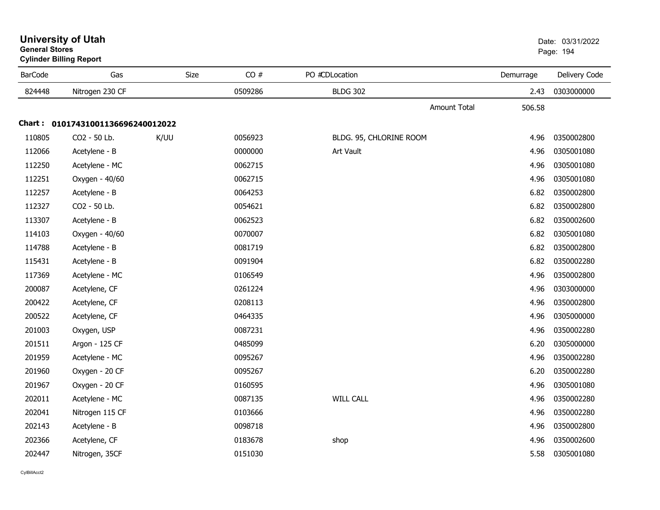| General Stores | <b>Cylinder Billing Report</b>    |      |         |                         |           | Page: 194     |
|----------------|-----------------------------------|------|---------|-------------------------|-----------|---------------|
| <b>BarCode</b> | Gas                               | Size | CO#     | PO #CDLocation          | Demurrage | Delivery Code |
| 824448         | Nitrogen 230 CF                   |      | 0509286 | <b>BLDG 302</b>         | 2.43      | 0303000000    |
|                |                                   |      |         | Amount Total            | 506.58    |               |
|                | Chart: 01017431001136696240012022 |      |         |                         |           |               |
| 110805         | CO2 - 50 Lb.                      | K/UU | 0056923 | BLDG. 95, CHLORINE ROOM | 4.96      | 0350002800    |
| 112066         | Acetylene - B                     |      | 0000000 | Art Vault               | 4.96      | 0305001080    |
| 112250         | Acetylene - MC                    |      | 0062715 |                         | 4.96      | 0305001080    |
| 112251         | Oxygen - 40/60                    |      | 0062715 |                         | 4.96      | 0305001080    |
| 112257         | Acetylene - B                     |      | 0064253 |                         | 6.82      | 0350002800    |
| 112327         | CO2 - 50 Lb.                      |      | 0054621 |                         | 6.82      | 0350002800    |
| 113307         | Acetylene - B                     |      | 0062523 |                         | 6.82      | 0350002600    |
| 114103         | Oxygen - 40/60                    |      | 0070007 |                         | 6.82      | 0305001080    |
| 114788         | Acetylene - B                     |      | 0081719 |                         | 6.82      | 0350002800    |
| 115431         | Acetylene - B                     |      | 0091904 |                         | 6.82      | 0350002280    |
| 117369         | Acetylene - MC                    |      | 0106549 |                         | 4.96      | 0350002800    |
| 200087         | Acetylene, CF                     |      | 0261224 |                         | 4.96      | 0303000000    |
| 200422         | Acetylene, CF                     |      | 0208113 |                         | 4.96      | 0350002800    |
| 200522         | Acetylene, CF                     |      | 0464335 |                         | 4.96      | 0305000000    |
| 201003         | Oxygen, USP                       |      | 0087231 |                         | 4.96      | 0350002280    |
| 201511         | Argon - 125 CF                    |      | 0485099 |                         | 6.20      | 0305000000    |
| 201959         | Acetylene - MC                    |      | 0095267 |                         | 4.96      | 0350002280    |
| 201960         | Oxygen - 20 CF                    |      | 0095267 |                         | 6.20      | 0350002280    |
| 201967         | Oxygen - 20 CF                    |      | 0160595 |                         | 4.96      | 0305001080    |
| 202011         | Acetylene - MC                    |      | 0087135 | <b>WILL CALL</b>        | 4.96      | 0350002280    |
| 202041         | Nitrogen 115 CF                   |      | 0103666 |                         | 4.96      | 0350002280    |
| 202143         | Acetylene - B                     |      | 0098718 |                         | 4.96      | 0350002800    |
| 202366         | Acetylene, CF                     |      | 0183678 | shop                    | 4.96      | 0350002600    |
| 202447         | Nitrogen, 35CF                    |      | 0151030 |                         | 5.58      | 0305001080    |

## **University of Utah** Date: 03/31/2022 **General Stores**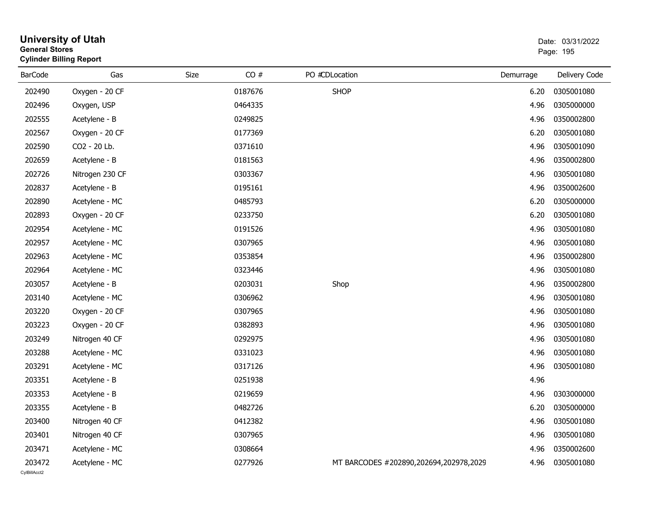| General Stores | <b>Cylinder Billing Report</b> |             |                                        |           | Page: 195     |
|----------------|--------------------------------|-------------|----------------------------------------|-----------|---------------|
| <b>BarCode</b> | Gas                            | CO#<br>Size | PO #CDLocation                         | Demurrage | Delivery Code |
| 202490         | Oxygen - 20 CF                 | 0187676     | <b>SHOP</b>                            | 6.20      | 0305001080    |
| 202496         | Oxygen, USP                    | 0464335     |                                        | 4.96      | 0305000000    |
| 202555         | Acetylene - B                  | 0249825     |                                        | 4.96      | 0350002800    |
| 202567         | Oxygen - 20 CF                 | 0177369     |                                        | 6.20      | 0305001080    |
| 202590         | CO2 - 20 Lb.                   | 0371610     |                                        | 4.96      | 0305001090    |
| 202659         | Acetylene - B                  | 0181563     |                                        | 4.96      | 0350002800    |
| 202726         | Nitrogen 230 CF                | 0303367     |                                        | 4.96      | 0305001080    |
| 202837         | Acetylene - B                  | 0195161     |                                        | 4.96      | 0350002600    |
| 202890         | Acetylene - MC                 | 0485793     |                                        | 6.20      | 0305000000    |
| 202893         | Oxygen - 20 CF                 | 0233750     |                                        | 6.20      | 0305001080    |
| 202954         | Acetylene - MC                 | 0191526     |                                        | 4.96      | 0305001080    |
| 202957         | Acetylene - MC                 | 0307965     |                                        | 4.96      | 0305001080    |
| 202963         | Acetylene - MC                 | 0353854     |                                        | 4.96      | 0350002800    |
| 202964         | Acetylene - MC                 | 0323446     |                                        | 4.96      | 0305001080    |
| 203057         | Acetylene - B                  | 0203031     | Shop                                   | 4.96      | 0350002800    |
| 203140         | Acetylene - MC                 | 0306962     |                                        | 4.96      | 0305001080    |
| 203220         | Oxygen - 20 CF                 | 0307965     |                                        | 4.96      | 0305001080    |
| 203223         | Oxygen - 20 CF                 | 0382893     |                                        | 4.96      | 0305001080    |
| 203249         | Nitrogen 40 CF                 | 0292975     |                                        | 4.96      | 0305001080    |
| 203288         | Acetylene - MC                 | 0331023     |                                        | 4.96      | 0305001080    |
| 203291         | Acetylene - MC                 | 0317126     |                                        | 4.96      | 0305001080    |
| 203351         | Acetylene - B                  | 0251938     |                                        | 4.96      |               |
| 203353         | Acetylene - B                  | 0219659     |                                        | 4.96      | 0303000000    |
| 203355         | Acetylene - B                  | 0482726     |                                        | 6.20      | 0305000000    |
| 203400         | Nitrogen 40 CF                 | 0412382     |                                        | 4.96      | 0305001080    |
| 203401         | Nitrogen 40 CF                 | 0307965     |                                        | 4.96      | 0305001080    |
| 203471         | Acetylene - MC                 | 0308664     |                                        | 4.96      | 0350002600    |
| 203472         | Acetylene - MC                 | 0277926     | MT BARCODES #202890,202694,202978,2029 | 4.96      | 0305001080    |

**University of Utah** Date: 03/31/2022 **General Stores**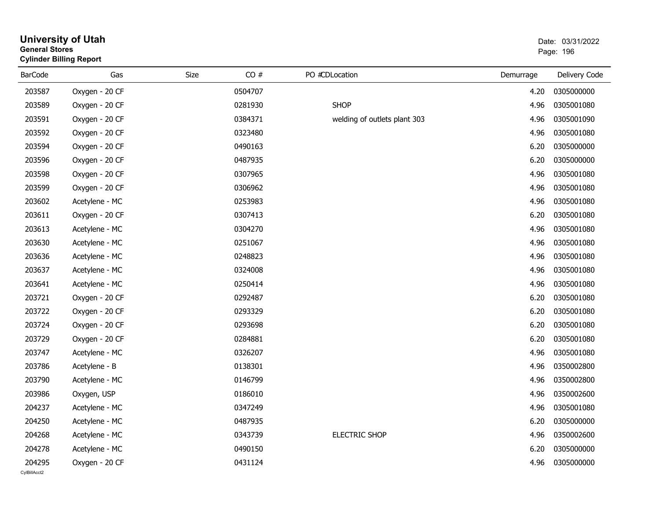| General Stores | <b>Cylinder Billing Report</b> |      |         |                              |           | Page: 196     |
|----------------|--------------------------------|------|---------|------------------------------|-----------|---------------|
| <b>BarCode</b> | Gas                            | Size | CO#     | PO #CDLocation               | Demurrage | Delivery Code |
| 203587         | Oxygen - 20 CF                 |      | 0504707 |                              | 4.20      | 0305000000    |
| 203589         | Oxygen - 20 CF                 |      | 0281930 | <b>SHOP</b>                  | 4.96      | 0305001080    |
| 203591         | Oxygen - 20 CF                 |      | 0384371 | welding of outlets plant 303 | 4.96      | 0305001090    |
| 203592         | Oxygen - 20 CF                 |      | 0323480 |                              | 4.96      | 0305001080    |
| 203594         | Oxygen - 20 CF                 |      | 0490163 |                              | 6.20      | 0305000000    |
| 203596         | Oxygen - 20 CF                 |      | 0487935 |                              | 6.20      | 0305000000    |
| 203598         | Oxygen - 20 CF                 |      | 0307965 |                              | 4.96      | 0305001080    |
| 203599         | Oxygen - 20 CF                 |      | 0306962 |                              | 4.96      | 0305001080    |
| 203602         | Acetylene - MC                 |      | 0253983 |                              | 4.96      | 0305001080    |
| 203611         | Oxygen - 20 CF                 |      | 0307413 |                              | 6.20      | 0305001080    |
| 203613         | Acetylene - MC                 |      | 0304270 |                              | 4.96      | 0305001080    |
| 203630         | Acetylene - MC                 |      | 0251067 |                              | 4.96      | 0305001080    |
| 203636         | Acetylene - MC                 |      | 0248823 |                              | 4.96      | 0305001080    |
| 203637         | Acetylene - MC                 |      | 0324008 |                              | 4.96      | 0305001080    |
| 203641         | Acetylene - MC                 |      | 0250414 |                              | 4.96      | 0305001080    |
| 203721         | Oxygen - 20 CF                 |      | 0292487 |                              | 6.20      | 0305001080    |
| 203722         | Oxygen - 20 CF                 |      | 0293329 |                              | 6.20      | 0305001080    |
| 203724         | Oxygen - 20 CF                 |      | 0293698 |                              | 6.20      | 0305001080    |
| 203729         | Oxygen - 20 CF                 |      | 0284881 |                              | 6.20      | 0305001080    |
| 203747         | Acetylene - MC                 |      | 0326207 |                              | 4.96      | 0305001080    |
| 203786         | Acetylene - B                  |      | 0138301 |                              | 4.96      | 0350002800    |
| 203790         | Acetylene - MC                 |      | 0146799 |                              | 4.96      | 0350002800    |
| 203986         | Oxygen, USP                    |      | 0186010 |                              | 4.96      | 0350002600    |
| 204237         | Acetylene - MC                 |      | 0347249 |                              | 4.96      | 0305001080    |
| 204250         | Acetylene - MC                 |      | 0487935 |                              | 6.20      | 0305000000    |
| 204268         | Acetylene - MC                 |      | 0343739 | <b>ELECTRIC SHOP</b>         | 4.96      | 0350002600    |
| 204278         | Acetylene - MC                 |      | 0490150 |                              | 6.20      | 0305000000    |
| 204295         | Oxygen - 20 CF                 |      | 0431124 |                              | 4.96      | 0305000000    |

**University of Utah** Date: 03/31/2022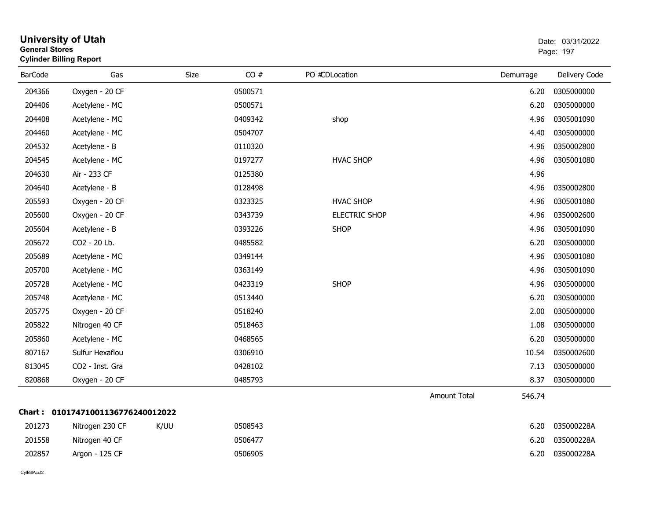|                | General Stores<br><b>Cylinder Billing Report</b> |      |         |                      |                     | Page: 197 |               |  |
|----------------|--------------------------------------------------|------|---------|----------------------|---------------------|-----------|---------------|--|
| <b>BarCode</b> | Gas                                              | Size | CO#     | PO #CDLocation       |                     | Demurrage | Delivery Code |  |
| 204366         | Oxygen - 20 CF                                   |      | 0500571 |                      |                     | 6.20      | 0305000000    |  |
| 204406         | Acetylene - MC                                   |      | 0500571 |                      |                     | 6.20      | 0305000000    |  |
| 204408         | Acetylene - MC                                   |      | 0409342 | shop                 |                     | 4.96      | 0305001090    |  |
| 204460         | Acetylene - MC                                   |      | 0504707 |                      |                     | 4.40      | 0305000000    |  |
| 204532         | Acetylene - B                                    |      | 0110320 |                      |                     | 4.96      | 0350002800    |  |
| 204545         | Acetylene - MC                                   |      | 0197277 | <b>HVAC SHOP</b>     |                     | 4.96      | 0305001080    |  |
| 204630         | Air - 233 CF                                     |      | 0125380 |                      |                     | 4.96      |               |  |
| 204640         | Acetylene - B                                    |      | 0128498 |                      |                     | 4.96      | 0350002800    |  |
| 205593         | Oxygen - 20 CF                                   |      | 0323325 | <b>HVAC SHOP</b>     |                     | 4.96      | 0305001080    |  |
| 205600         | Oxygen - 20 CF                                   |      | 0343739 | <b>ELECTRIC SHOP</b> |                     | 4.96      | 0350002600    |  |
| 205604         | Acetylene - B                                    |      | 0393226 | <b>SHOP</b>          |                     | 4.96      | 0305001090    |  |
| 205672         | CO2 - 20 Lb.                                     |      | 0485582 |                      |                     | 6.20      | 0305000000    |  |
| 205689         | Acetylene - MC                                   |      | 0349144 |                      |                     | 4.96      | 0305001080    |  |
| 205700         | Acetylene - MC                                   |      | 0363149 |                      |                     | 4.96      | 0305001090    |  |
| 205728         | Acetylene - MC                                   |      | 0423319 | <b>SHOP</b>          |                     | 4.96      | 0305000000    |  |
| 205748         | Acetylene - MC                                   |      | 0513440 |                      |                     | 6.20      | 0305000000    |  |
| 205775         | Oxygen - 20 CF                                   |      | 0518240 |                      |                     | 2.00      | 0305000000    |  |
| 205822         | Nitrogen 40 CF                                   |      | 0518463 |                      |                     | 1.08      | 0305000000    |  |
| 205860         | Acetylene - MC                                   |      | 0468565 |                      |                     | 6.20      | 0305000000    |  |
| 807167         | Sulfur Hexaflou                                  |      | 0306910 |                      |                     | 10.54     | 0350002600    |  |
| 813045         | CO2 - Inst. Gra                                  |      | 0428102 |                      |                     | 7.13      | 0305000000    |  |
| 820868         | Oxygen - 20 CF                                   |      | 0485793 |                      |                     | 8.37      | 0305000000    |  |
|                |                                                  |      |         |                      | <b>Amount Total</b> | 546.74    |               |  |
|                | Chart: 01017471001136776240012022                |      |         |                      |                     |           |               |  |
| 201273         | Nitrogen 230 CF                                  | K/UU | 0508543 |                      |                     | 6.20      | 035000228A    |  |
| 201558         | Nitrogen 40 CF                                   |      | 0506477 |                      |                     | 6.20      | 035000228A    |  |
| 202857         | Argon - 125 CF                                   |      | 0506905 |                      |                     | 6.20      | 035000228A    |  |
|                |                                                  |      |         |                      |                     |           |               |  |

# **University of Utah** Date: 03/31/2022 **General Stores**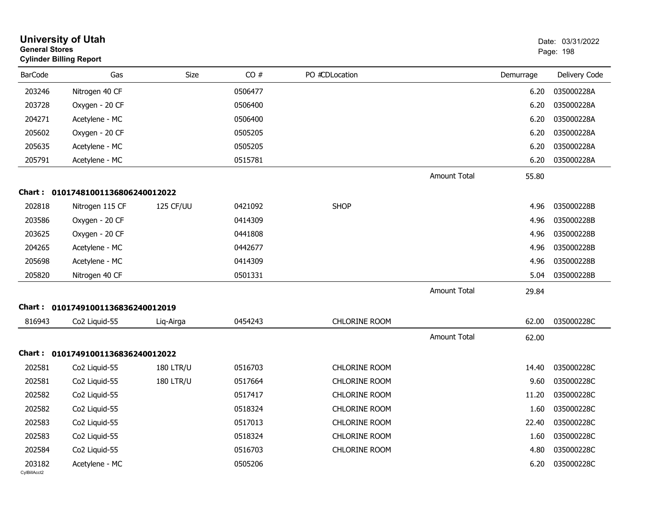|                        | <b>University of Utah</b><br><b>General Stores</b><br><b>Cylinder Billing Report</b> |                  |         |                      |                     | Date: 03/31/2022<br>Page: 198 |               |
|------------------------|--------------------------------------------------------------------------------------|------------------|---------|----------------------|---------------------|-------------------------------|---------------|
| <b>BarCode</b>         | Gas                                                                                  | <b>Size</b>      | CO#     | PO #CDLocation       |                     | Demurrage                     | Delivery Code |
| 203246                 | Nitrogen 40 CF                                                                       |                  | 0506477 |                      |                     | 6.20                          | 035000228A    |
| 203728                 | Oxygen - 20 CF                                                                       |                  | 0506400 |                      |                     | 6.20                          | 035000228A    |
| 204271                 | Acetylene - MC                                                                       |                  | 0506400 |                      |                     | 6.20                          | 035000228A    |
| 205602                 | Oxygen - 20 CF                                                                       |                  | 0505205 |                      |                     | 6.20                          | 035000228A    |
| 205635                 | Acetylene - MC                                                                       |                  | 0505205 |                      |                     | 6.20                          | 035000228A    |
| 205791                 | Acetylene - MC                                                                       |                  | 0515781 |                      |                     | 6.20                          | 035000228A    |
|                        |                                                                                      |                  |         |                      | Amount Total        | 55.80                         |               |
| <b>Chart :</b>         | 01017481001136806240012022                                                           |                  |         |                      |                     |                               |               |
| 202818                 | Nitrogen 115 CF                                                                      | 125 CF/UU        | 0421092 | <b>SHOP</b>          |                     | 4.96                          | 035000228B    |
| 203586                 | Oxygen - 20 CF                                                                       |                  | 0414309 |                      |                     | 4.96                          | 035000228B    |
| 203625                 | Oxygen - 20 CF                                                                       |                  | 0441808 |                      |                     | 4.96                          | 035000228B    |
| 204265                 | Acetylene - MC                                                                       |                  | 0442677 |                      |                     | 4.96                          | 035000228B    |
| 205698                 | Acetylene - MC                                                                       |                  | 0414309 |                      |                     | 4.96                          | 035000228B    |
| 205820                 | Nitrogen 40 CF                                                                       |                  | 0501331 |                      |                     | 5.04                          | 035000228B    |
|                        |                                                                                      |                  |         |                      | <b>Amount Total</b> | 29.84                         |               |
| Chart :                | 01017491001136836240012019                                                           |                  |         |                      |                     |                               |               |
| 816943                 | Co <sub>2</sub> Liquid-55                                                            | Liq-Airga        | 0454243 | <b>CHLORINE ROOM</b> |                     | 62.00                         | 035000228C    |
|                        |                                                                                      |                  |         |                      | Amount Total        | 62.00                         |               |
| Chart :                | 01017491001136836240012022                                                           |                  |         |                      |                     |                               |               |
| 202581                 | Co2 Liquid-55                                                                        | <b>180 LTR/U</b> | 0516703 | <b>CHLORINE ROOM</b> |                     | 14.40                         | 035000228C    |
| 202581                 | Co2 Liquid-55                                                                        | <b>180 LTR/U</b> | 0517664 | <b>CHLORINE ROOM</b> |                     | 9.60                          | 035000228C    |
| 202582                 | Co2 Liquid-55                                                                        |                  | 0517417 | <b>CHLORINE ROOM</b> |                     | 11.20                         | 035000228C    |
| 202582                 | Co2 Liquid-55                                                                        |                  | 0518324 | CHLORINE ROOM        |                     | 1.60                          | 035000228C    |
| 202583                 | Co2 Liquid-55                                                                        |                  | 0517013 | CHLORINE ROOM        |                     | 22.40                         | 035000228C    |
| 202583                 | Co2 Liquid-55                                                                        |                  | 0518324 | CHLORINE ROOM        |                     | 1.60                          | 035000228C    |
| 202584                 | Co2 Liquid-55                                                                        |                  | 0516703 | CHLORINE ROOM        |                     | 4.80                          | 035000228C    |
| 203182<br>CvIBillAcct2 | Acetylene - MC                                                                       |                  | 0505206 |                      |                     | 6.20                          | 035000228C    |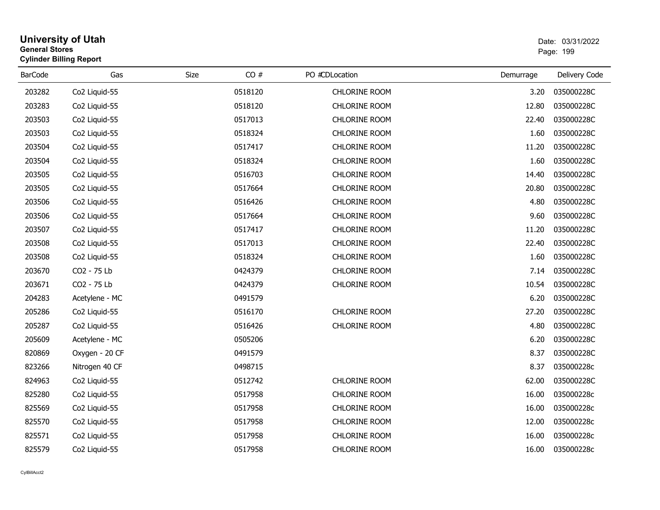| <b>General Stores</b> | <b>University of Utah</b><br><b>Cylinder Billing Report</b> |      |         |                      | Date: 03/31/2022<br>Page: 199 |               |  |
|-----------------------|-------------------------------------------------------------|------|---------|----------------------|-------------------------------|---------------|--|
| <b>BarCode</b>        | Gas                                                         | Size | CO#     | PO #CDLocation       | Demurrage                     | Delivery Code |  |
| 203282                | Co2 Liquid-55                                               |      | 0518120 | <b>CHLORINE ROOM</b> | 3.20                          | 035000228C    |  |
| 203283                | Co2 Liquid-55                                               |      | 0518120 | <b>CHLORINE ROOM</b> | 12.80                         | 035000228C    |  |
| 203503                | Co2 Liquid-55                                               |      | 0517013 | <b>CHLORINE ROOM</b> | 22.40                         | 035000228C    |  |
| 203503                | Co2 Liquid-55                                               |      | 0518324 | <b>CHLORINE ROOM</b> | 1.60                          | 035000228C    |  |
| 203504                | Co2 Liquid-55                                               |      | 0517417 | <b>CHLORINE ROOM</b> | 11.20                         | 035000228C    |  |
| 203504                | Co2 Liquid-55                                               |      | 0518324 | <b>CHLORINE ROOM</b> | 1.60                          | 035000228C    |  |
| 203505                | Co2 Liquid-55                                               |      | 0516703 | <b>CHLORINE ROOM</b> | 14.40                         | 035000228C    |  |
| 203505                | Co2 Liquid-55                                               |      | 0517664 | CHLORINE ROOM        | 20.80                         | 035000228C    |  |
| 203506                | Co2 Liquid-55                                               |      | 0516426 | CHLORINE ROOM        | 4.80                          | 035000228C    |  |
| 203506                | Co2 Liquid-55                                               |      | 0517664 | <b>CHLORINE ROOM</b> | 9.60                          | 035000228C    |  |
| 203507                | Co2 Liquid-55                                               |      | 0517417 | <b>CHLORINE ROOM</b> | 11.20                         | 035000228C    |  |
| 203508                | Co2 Liquid-55                                               |      | 0517013 | <b>CHLORINE ROOM</b> | 22.40                         | 035000228C    |  |
| 203508                | Co2 Liquid-55                                               |      | 0518324 | CHLORINE ROOM        | 1.60                          | 035000228C    |  |
| 203670                | CO2 - 75 Lb                                                 |      | 0424379 | <b>CHLORINE ROOM</b> | 7.14                          | 035000228C    |  |
| 203671                | CO2 - 75 Lb                                                 |      | 0424379 | <b>CHLORINE ROOM</b> | 10.54                         | 035000228C    |  |
| 204283                | Acetylene - MC                                              |      | 0491579 |                      | 6.20                          | 035000228C    |  |
| 205286                | Co2 Liquid-55                                               |      | 0516170 | <b>CHLORINE ROOM</b> | 27.20                         | 035000228C    |  |
| 205287                | Co2 Liquid-55                                               |      | 0516426 | CHLORINE ROOM        | 4.80                          | 035000228C    |  |
| 205609                | Acetylene - MC                                              |      | 0505206 |                      | 6.20                          | 035000228C    |  |
| 820869                | Oxygen - 20 CF                                              |      | 0491579 |                      | 8.37                          | 035000228C    |  |
| 823266                | Nitrogen 40 CF                                              |      | 0498715 |                      | 8.37                          | 035000228c    |  |
| 824963                | Co2 Liquid-55                                               |      | 0512742 | <b>CHLORINE ROOM</b> | 62.00                         | 035000228C    |  |
| 825280                | Co2 Liquid-55                                               |      | 0517958 | <b>CHLORINE ROOM</b> | 16.00                         | 035000228c    |  |
| 825569                | Co2 Liquid-55                                               |      | 0517958 | <b>CHLORINE ROOM</b> | 16.00                         | 035000228c    |  |
| 825570                | Co2 Liquid-55                                               |      | 0517958 | CHLORINE ROOM        | 12.00                         | 035000228c    |  |
| 825571                | Co2 Liquid-55                                               |      | 0517958 | CHLORINE ROOM        | 16.00                         | 035000228c    |  |
| 825579                | Co2 Liquid-55                                               |      | 0517958 | <b>CHLORINE ROOM</b> | 16.00                         | 035000228c    |  |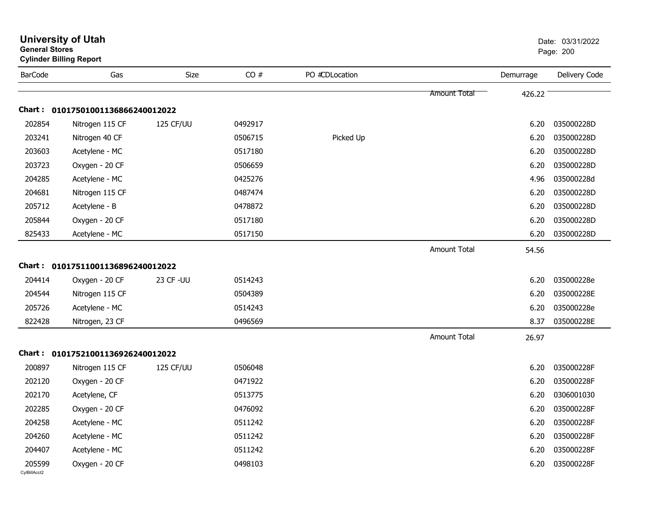|                        | <b>University of Utah</b><br><b>General Stores</b><br><b>Cylinder Billing Report</b> |                  |         |                |                     |           | Date: 03/31/2022<br>Page: 200 |
|------------------------|--------------------------------------------------------------------------------------|------------------|---------|----------------|---------------------|-----------|-------------------------------|
| <b>BarCode</b>         | Gas                                                                                  | Size             | CO#     | PO #CDLocation |                     | Demurrage | Delivery Code                 |
|                        |                                                                                      |                  |         |                | <b>Amount Total</b> | 426.22    |                               |
|                        | Chart: 01017501001136866240012022                                                    |                  |         |                |                     |           |                               |
| 202854                 | Nitrogen 115 CF                                                                      | 125 CF/UU        | 0492917 |                |                     | 6.20      | 035000228D                    |
| 203241                 | Nitrogen 40 CF                                                                       |                  | 0506715 | Picked Up      |                     | 6.20      | 035000228D                    |
| 203603                 | Acetylene - MC                                                                       |                  | 0517180 |                |                     | 6.20      | 035000228D                    |
| 203723                 | Oxygen - 20 CF                                                                       |                  | 0506659 |                |                     | 6.20      | 035000228D                    |
| 204285                 | Acetylene - MC                                                                       |                  | 0425276 |                |                     | 4.96      | 035000228d                    |
| 204681                 | Nitrogen 115 CF                                                                      |                  | 0487474 |                |                     | 6.20      | 035000228D                    |
| 205712                 | Acetylene - B                                                                        |                  | 0478872 |                |                     | 6.20      | 035000228D                    |
| 205844                 | Oxygen - 20 CF                                                                       |                  | 0517180 |                |                     | 6.20      | 035000228D                    |
| 825433                 | Acetylene - MC                                                                       |                  | 0517150 |                |                     | 6.20      | 035000228D                    |
|                        |                                                                                      |                  |         |                | <b>Amount Total</b> | 54.56     |                               |
|                        | Chart: 01017511001136896240012022                                                    |                  |         |                |                     |           |                               |
| 204414                 | Oxygen - 20 CF                                                                       | 23 CF - UU       | 0514243 |                |                     | 6.20      | 035000228e                    |
| 204544                 | Nitrogen 115 CF                                                                      |                  | 0504389 |                |                     | 6.20      | 035000228E                    |
| 205726                 | Acetylene - MC                                                                       |                  | 0514243 |                |                     | 6.20      | 035000228e                    |
| 822428                 | Nitrogen, 23 CF                                                                      |                  | 0496569 |                |                     | 8.37      | 035000228E                    |
|                        |                                                                                      |                  |         |                | <b>Amount Total</b> | 26.97     |                               |
|                        | Chart: 01017521001136926240012022                                                    |                  |         |                |                     |           |                               |
| 200897                 | Nitrogen 115 CF                                                                      | <b>125 CF/UU</b> | 0506048 |                |                     | 6.20      | 035000228F                    |
| 202120                 | Oxygen - 20 CF                                                                       |                  | 0471922 |                |                     | 6.20      | 035000228F                    |
| 202170                 | Acetylene, CF                                                                        |                  | 0513775 |                |                     | 6.20      | 0306001030                    |
| 202285                 | Oxygen - 20 CF                                                                       |                  | 0476092 |                |                     | 6.20      | 035000228F                    |
| 204258                 | Acetylene - MC                                                                       |                  | 0511242 |                |                     | 6.20      | 035000228F                    |
| 204260                 | Acetylene - MC                                                                       |                  | 0511242 |                |                     | 6.20      | 035000228F                    |
| 204407                 | Acetylene - MC                                                                       |                  | 0511242 |                |                     | 6.20      | 035000228F                    |
| 205599<br>CylBillAcct2 | Oxygen - 20 CF                                                                       |                  | 0498103 |                |                     | 6.20      | 035000228F                    |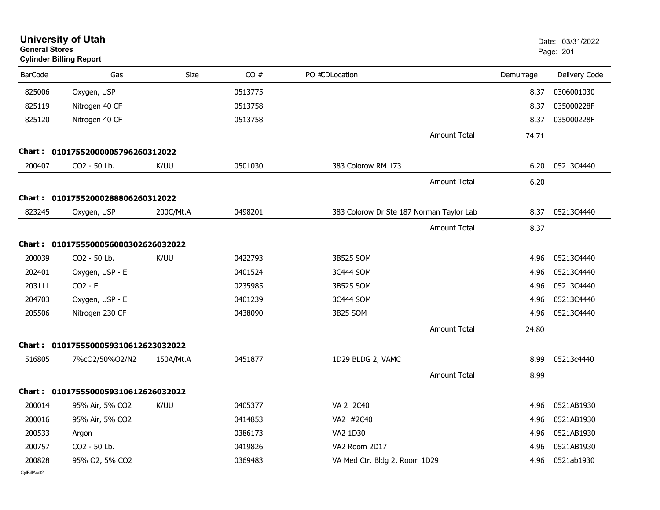| <b>General Stores</b> | <b>University of Utah</b><br><b>Cylinder Billing Report</b> |             |         |                                          |                     |           | Date: 03/31/2022<br>Page: 201 |
|-----------------------|-------------------------------------------------------------|-------------|---------|------------------------------------------|---------------------|-----------|-------------------------------|
| <b>BarCode</b>        | Gas                                                         | <b>Size</b> | CO#     | PO #CDLocation                           |                     | Demurrage | Delivery Code                 |
| 825006                | Oxygen, USP                                                 |             | 0513775 |                                          |                     | 8.37      | 0306001030                    |
| 825119                | Nitrogen 40 CF                                              |             | 0513758 |                                          |                     | 8.37      | 035000228F                    |
| 825120                | Nitrogen 40 CF                                              |             | 0513758 |                                          |                     | 8.37      | 035000228F                    |
|                       |                                                             |             |         |                                          | <b>Amount Total</b> | 74.71     |                               |
| Chart :               | 01017552000005796260312022                                  |             |         |                                          |                     |           |                               |
| 200407                | CO2 - 50 Lb.                                                | K/UU        | 0501030 | 383 Colorow RM 173                       |                     | 6.20      | 05213C4440                    |
|                       |                                                             |             |         |                                          | <b>Amount Total</b> | 6.20      |                               |
|                       | Chart: 01017552000288806260312022                           |             |         |                                          |                     |           |                               |
| 823245                | Oxygen, USP                                                 | 200C/Mt.A   | 0498201 | 383 Colorow Dr Ste 187 Norman Taylor Lab |                     | 8.37      | 05213C4440                    |
|                       |                                                             |             |         |                                          | <b>Amount Total</b> | 8.37      |                               |
| <b>Chart:</b>         | 0101755500056000302626032022                                |             |         |                                          |                     |           |                               |
| 200039                | CO2 - 50 Lb.                                                | K/UU        | 0422793 | 3B525 SOM                                |                     | 4.96      | 05213C4440                    |
| 202401                | Oxygen, USP - E                                             |             | 0401524 | 3C444 SOM                                |                     | 4.96      | 05213C4440                    |
| 203111                | $CO2 - E$                                                   |             | 0235985 | 3B525 SOM                                |                     | 4.96      | 05213C4440                    |
| 204703                | Oxygen, USP - E                                             |             | 0401239 | 3C444 SOM                                |                     | 4.96      | 05213C4440                    |
| 205506                | Nitrogen 230 CF                                             |             | 0438090 | 3B25 SOM                                 |                     | 4.96      | 05213C4440                    |
|                       |                                                             |             |         |                                          | <b>Amount Total</b> | 24.80     |                               |
|                       | Chart: 0101755500059310612623032022                         |             |         |                                          |                     |           |                               |
| 516805                | 7%cO2/50%O2/N2                                              | 150A/Mt.A   | 0451877 | 1D29 BLDG 2, VAMC                        |                     | 8.99      | 05213c4440                    |
|                       |                                                             |             |         |                                          | <b>Amount Total</b> | 8.99      |                               |
|                       | Chart: 0101755500059310612626032022                         |             |         |                                          |                     |           |                               |
|                       | 200014 95% Air, 5% CO2 K/UU                                 |             | 0405377 | VA 2 2C40                                |                     |           | 4.96 0521AB1930               |
| 200016                | 95% Air, 5% CO2                                             |             | 0414853 | VA2 #2C40                                |                     | 4.96      | 0521AB1930                    |
| 200533                | Argon                                                       |             | 0386173 | VA2 1D30                                 |                     | 4.96      | 0521AB1930                    |
| 200757                | CO2 - 50 Lb.                                                |             | 0419826 | VA2 Room 2D17                            |                     | 4.96      | 0521AB1930                    |
| 200828                | 95% O2, 5% CO2                                              |             | 0369483 | VA Med Ctr. Bldg 2, Room 1D29            |                     | 4.96      | 0521ab1930                    |
| CvIBillAcct2          |                                                             |             |         |                                          |                     |           |                               |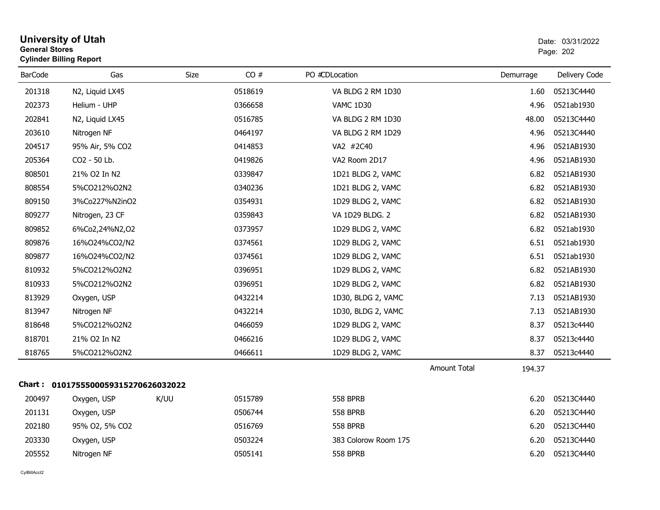| <b>General Stores</b> | <b>Cylinder Billing Report</b>      |      |         |                      |              | Page: 202 |               |  |
|-----------------------|-------------------------------------|------|---------|----------------------|--------------|-----------|---------------|--|
| <b>BarCode</b>        | Gas                                 | Size | CO#     | PO #CDLocation       |              | Demurrage | Delivery Code |  |
| 201318                | N2, Liquid LX45                     |      | 0518619 | VA BLDG 2 RM 1D30    |              | 1.60      | 05213C4440    |  |
| 202373                | Helium - UHP                        |      | 0366658 | VAMC 1D30            |              | 4.96      | 0521ab1930    |  |
| 202841                | N2, Liquid LX45                     |      | 0516785 | VA BLDG 2 RM 1D30    |              | 48.00     | 05213C4440    |  |
| 203610                | Nitrogen NF                         |      | 0464197 | VA BLDG 2 RM 1D29    |              | 4.96      | 05213C4440    |  |
| 204517                | 95% Air, 5% CO2                     |      | 0414853 | VA2 #2C40            |              | 4.96      | 0521AB1930    |  |
| 205364                | CO2 - 50 Lb.                        |      | 0419826 | VA2 Room 2D17        |              | 4.96      | 0521AB1930    |  |
| 808501                | 21% O2 In N2                        |      | 0339847 | 1D21 BLDG 2, VAMC    |              | 6.82      | 0521AB1930    |  |
| 808554                | 5%CO212%O2N2                        |      | 0340236 | 1D21 BLDG 2, VAMC    |              | 6.82      | 0521AB1930    |  |
| 809150                | 3%Co227%N2inO2                      |      | 0354931 | 1D29 BLDG 2, VAMC    |              | 6.82      | 0521AB1930    |  |
| 809277                | Nitrogen, 23 CF                     |      | 0359843 | VA 1D29 BLDG. 2      |              | 6.82      | 0521AB1930    |  |
| 809852                | 6%Co2,24%N2,O2                      |      | 0373957 | 1D29 BLDG 2, VAMC    |              | 6.82      | 0521ab1930    |  |
| 809876                | 16%024%CO2/N2                       |      | 0374561 | 1D29 BLDG 2, VAMC    |              | 6.51      | 0521ab1930    |  |
| 809877                | 16%024%CO2/N2                       |      | 0374561 | 1D29 BLDG 2, VAMC    |              | 6.51      | 0521ab1930    |  |
| 810932                | 5%CO212%O2N2                        |      | 0396951 | 1D29 BLDG 2, VAMC    |              | 6.82      | 0521AB1930    |  |
| 810933                | 5%CO212%O2N2                        |      | 0396951 | 1D29 BLDG 2, VAMC    |              | 6.82      | 0521AB1930    |  |
| 813929                | Oxygen, USP                         |      | 0432214 | 1D30, BLDG 2, VAMC   |              | 7.13      | 0521AB1930    |  |
| 813947                | Nitrogen NF                         |      | 0432214 | 1D30, BLDG 2, VAMC   |              | 7.13      | 0521AB1930    |  |
| 818648                | 5%CO212%O2N2                        |      | 0466059 | 1D29 BLDG 2, VAMC    |              | 8.37      | 05213c4440    |  |
| 818701                | 21% O2 In N2                        |      | 0466216 | 1D29 BLDG 2, VAMC    |              | 8.37      | 05213c4440    |  |
| 818765                | 5%CO212%O2N2                        |      | 0466611 | 1D29 BLDG 2, VAMC    |              | 8.37      | 05213c4440    |  |
|                       |                                     |      |         |                      | Amount Total | 194.37    |               |  |
|                       | Chart: 0101755500059315270626032022 |      |         |                      |              |           |               |  |
| 200497                | Oxygen, USP                         | K/UU | 0515789 | <b>558 BPRB</b>      |              | 6.20      | 05213C4440    |  |
| 201131                | Oxygen, USP                         |      | 0506744 | <b>558 BPRB</b>      |              | 6.20      | 05213C4440    |  |
| 202180                | 95% O2, 5% CO2                      |      | 0516769 | <b>558 BPRB</b>      |              | 6.20      | 05213C4440    |  |
| 203330                | Oxygen, USP                         |      | 0503224 | 383 Colorow Room 175 |              | 6.20      | 05213C4440    |  |
| 205552                | Nitrogen NF                         |      | 0505141 | <b>558 BPRB</b>      |              | 6.20      | 05213C4440    |  |
|                       |                                     |      |         |                      |              |           |               |  |

**University of Utah** Date: 03/31/2022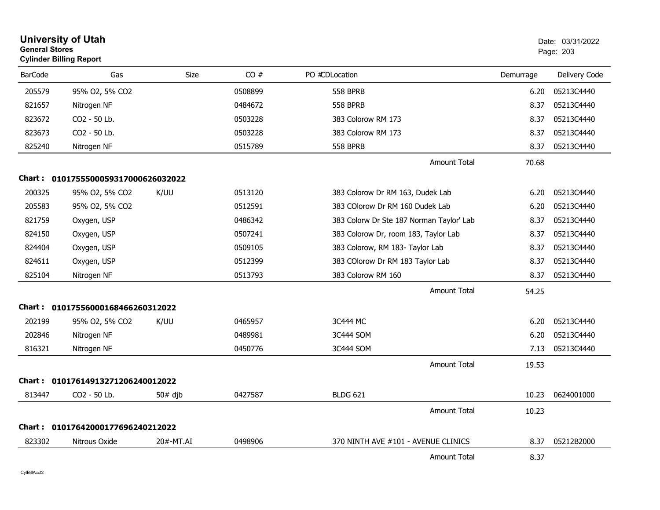| <b>General Stores</b> | <b>University of Utah</b><br><b>Cylinder Billing Report</b> |           |         |                                          |           | Date: 03/31/2022<br>Page: 203 |
|-----------------------|-------------------------------------------------------------|-----------|---------|------------------------------------------|-----------|-------------------------------|
| <b>BarCode</b>        | Gas                                                         | Size      | CO#     | PO #CDLocation                           | Demurrage | Delivery Code                 |
| 205579                | 95% O2, 5% CO2                                              |           | 0508899 | <b>558 BPRB</b>                          | 6.20      | 05213C4440                    |
| 821657                | Nitrogen NF                                                 |           | 0484672 | <b>558 BPRB</b>                          | 8.37      | 05213C4440                    |
| 823672                | CO2 - 50 Lb.                                                |           | 0503228 | 383 Colorow RM 173                       | 8.37      | 05213C4440                    |
| 823673                | CO2 - 50 Lb.                                                |           | 0503228 | 383 Colorow RM 173                       | 8.37      | 05213C4440                    |
| 825240                | Nitrogen NF                                                 |           | 0515789 | <b>558 BPRB</b>                          | 8.37      | 05213C4440                    |
|                       |                                                             |           |         | <b>Amount Total</b>                      | 70.68     |                               |
|                       | Chart: 0101755500059317000626032022                         |           |         |                                          |           |                               |
| 200325                | 95% O2, 5% CO2                                              | K/UU      | 0513120 | 383 Colorow Dr RM 163, Dudek Lab         | 6.20      | 05213C4440                    |
| 205583                | 95% O2, 5% CO2                                              |           | 0512591 | 383 COlorow Dr RM 160 Dudek Lab          | 6.20      | 05213C4440                    |
| 821759                | Oxygen, USP                                                 |           | 0486342 | 383 Colorw Dr Ste 187 Norman Taylor' Lab | 8.37      | 05213C4440                    |
| 824150                | Oxygen, USP                                                 |           | 0507241 | 383 Colorow Dr, room 183, Taylor Lab     | 8.37      | 05213C4440                    |
| 824404                | Oxygen, USP                                                 |           | 0509105 | 383 Colorow, RM 183- Taylor Lab          | 8.37      | 05213C4440                    |
| 824611                | Oxygen, USP                                                 |           | 0512399 | 383 COlorow Dr RM 183 Taylor Lab         | 8.37      | 05213C4440                    |
| 825104                | Nitrogen NF                                                 |           | 0513793 | 383 Colorow RM 160                       | 8.37      | 05213C4440                    |
|                       |                                                             |           |         | <b>Amount Total</b>                      | 54.25     |                               |
|                       | Chart: 01017556000168466260312022                           |           |         |                                          |           |                               |
| 202199                | 95% O2, 5% CO2                                              | K/UU      | 0465957 | 3C444 MC                                 | 6.20      | 05213C4440                    |
| 202846                | Nitrogen NF                                                 |           | 0489981 | 3C444 SOM                                | 6.20      | 05213C4440                    |
| 816321                | Nitrogen NF                                                 |           | 0450776 | 3C444 SOM                                | 7.13      | 05213C4440                    |
|                       |                                                             |           |         | <b>Amount Total</b>                      | 19.53     |                               |
|                       | Chart: 01017614913271206240012022                           |           |         |                                          |           |                               |
| 813447                | CO2 - 50 Lb.                                                | $50#$ dib | 0427587 | <b>BLDG 621</b>                          | 10.23     | 0624001000                    |
|                       |                                                             |           |         | <b>Amount Total</b>                      | 10.23     |                               |
|                       | Chart: 01017642000177696240212022                           |           |         |                                          |           |                               |
| 823302                | Nitrous Oxide                                               | 20#-MT.AI | 0498906 | 370 NINTH AVE #101 - AVENUE CLINICS      | 8.37      | 05212B2000                    |
|                       |                                                             |           |         | <b>Amount Total</b>                      | 8.37      |                               |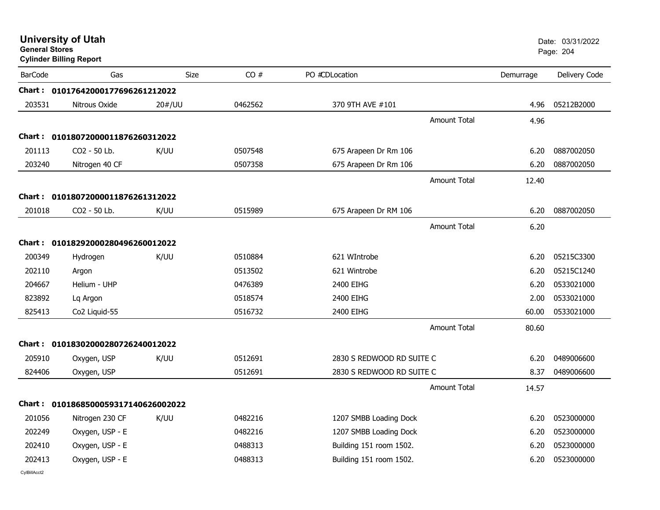| <b>General Stores</b> | <b>University of Utah</b><br><b>Cylinder Billing Report</b> |        |         |                           |                     |           | Date: 03/31/2022<br>Page: 204 |
|-----------------------|-------------------------------------------------------------|--------|---------|---------------------------|---------------------|-----------|-------------------------------|
| <b>BarCode</b>        | Gas                                                         | Size   | CO#     | PO #CDLocation            |                     | Demurrage | Delivery Code                 |
| <b>Chart :</b>        | 01017642000177696261212022                                  |        |         |                           |                     |           |                               |
| 203531                | Nitrous Oxide                                               | 20#/UU | 0462562 | 370 9TH AVE #101          |                     | 4.96      | 05212B2000                    |
|                       |                                                             |        |         |                           | Amount Total        | 4.96      |                               |
| Chart :               | 01018072000011876260312022                                  |        |         |                           |                     |           |                               |
| 201113                | CO2 - 50 Lb.                                                | K/UU   | 0507548 | 675 Arapeen Dr Rm 106     |                     | 6.20      | 0887002050                    |
| 203240                | Nitrogen 40 CF                                              |        | 0507358 | 675 Arapeen Dr Rm 106     |                     | 6.20      | 0887002050                    |
|                       |                                                             |        |         |                           | Amount Total        | 12.40     |                               |
| Chart :               | 01018072000011876261312022                                  |        |         |                           |                     |           |                               |
| 201018                | CO2 - 50 Lb.                                                | K/UU   | 0515989 | 675 Arapeen Dr RM 106     |                     | 6.20      | 0887002050                    |
|                       |                                                             |        |         |                           | Amount Total        | 6.20      |                               |
| <b>Chart :</b>        | 01018292000280496260012022                                  |        |         |                           |                     |           |                               |
| 200349                | Hydrogen                                                    | K/UU   | 0510884 | 621 WIntrobe              |                     | 6.20      | 05215C3300                    |
| 202110                | Argon                                                       |        | 0513502 | 621 Wintrobe              |                     | 6.20      | 05215C1240                    |
| 204667                | Helium - UHP                                                |        | 0476389 | 2400 EIHG                 |                     | 6.20      | 0533021000                    |
| 823892                | Lq Argon                                                    |        | 0518574 | 2400 EIHG                 |                     | 2.00      | 0533021000                    |
| 825413                | Co2 Liquid-55                                               |        | 0516732 | 2400 EIHG                 |                     | 60.00     | 0533021000                    |
|                       |                                                             |        |         |                           | <b>Amount Total</b> | 80.60     |                               |
|                       | Chart: 01018302000280726240012022                           |        |         |                           |                     |           |                               |
| 205910                | Oxygen, USP                                                 | K/UU   | 0512691 | 2830 S REDWOOD RD SUITE C |                     | 6.20      | 0489006600                    |
| 824406                | Oxygen, USP                                                 |        | 0512691 | 2830 S REDWOOD RD SUITE C |                     | 8.37      | 0489006600                    |
|                       |                                                             |        |         |                           | Amount Total        | 14.57     |                               |
| Chart : _             | 0101868500059317140626002022                                |        |         |                           |                     |           |                               |
| 201056                | Nitrogen 230 CF                                             | K/UU   | 0482216 | 1207 SMBB Loading Dock    |                     | 6.20      | 0523000000                    |
| 202249                | Oxygen, USP - E                                             |        | 0482216 | 1207 SMBB Loading Dock    |                     | 6.20      | 0523000000                    |
| 202410                | Oxygen, USP - E                                             |        | 0488313 | Building 151 room 1502.   |                     | 6.20      | 0523000000                    |
| 202413                | Oxygen, USP - E                                             |        | 0488313 | Building 151 room 1502.   |                     | 6.20      | 0523000000                    |
|                       |                                                             |        |         |                           |                     |           |                               |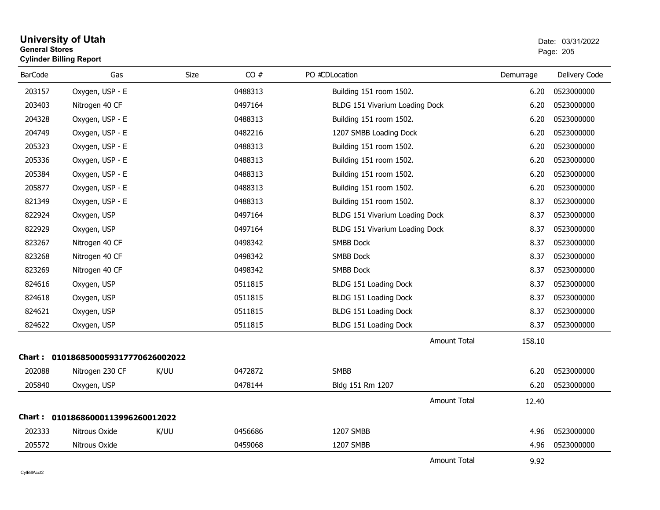### **University of Utah** Date: 03/31/2022 **General Stores**entry of the contract of the contract of the contract of the contract of the contract of the contract of the contract of the contract of the contract of the contract of the contract of the contract of the contract of the c **Cylinder Billing Report**

| <b>BarCode</b> | Gas                                 | Size | CO#     | PO #CDLocation                 | Demurrage | Delivery Code |
|----------------|-------------------------------------|------|---------|--------------------------------|-----------|---------------|
| 203157         | Oxygen, USP - E                     |      | 0488313 | Building 151 room 1502.        | 6.20      | 0523000000    |
| 203403         | Nitrogen 40 CF                      |      | 0497164 | BLDG 151 Vivarium Loading Dock | 6.20      | 0523000000    |
| 204328         | Oxygen, USP - E                     |      | 0488313 | Building 151 room 1502.        | 6.20      | 0523000000    |
| 204749         | Oxygen, USP - E                     |      | 0482216 | 1207 SMBB Loading Dock         | 6.20      | 0523000000    |
| 205323         | Oxygen, USP - E                     |      | 0488313 | Building 151 room 1502.        | 6.20      | 0523000000    |
| 205336         | Oxygen, USP - E                     |      | 0488313 | Building 151 room 1502.        | 6.20      | 0523000000    |
| 205384         | Oxygen, USP - E                     |      | 0488313 | Building 151 room 1502.        | 6.20      | 0523000000    |
| 205877         | Oxygen, USP - E                     |      | 0488313 | Building 151 room 1502.        | 6.20      | 0523000000    |
| 821349         | Oxygen, USP - E                     |      | 0488313 | Building 151 room 1502.        | 8.37      | 0523000000    |
| 822924         | Oxygen, USP                         |      | 0497164 | BLDG 151 Vivarium Loading Dock | 8.37      | 0523000000    |
| 822929         | Oxygen, USP                         |      | 0497164 | BLDG 151 Vivarium Loading Dock | 8.37      | 0523000000    |
| 823267         | Nitrogen 40 CF                      |      | 0498342 | <b>SMBB Dock</b>               | 8.37      | 0523000000    |
| 823268         | Nitrogen 40 CF                      |      | 0498342 | SMBB Dock                      | 8.37      | 0523000000    |
| 823269         | Nitrogen 40 CF                      |      | 0498342 | <b>SMBB Dock</b>               | 8.37      | 0523000000    |
| 824616         | Oxygen, USP                         |      | 0511815 | BLDG 151 Loading Dock          | 8.37      | 0523000000    |
| 824618         | Oxygen, USP                         |      | 0511815 | BLDG 151 Loading Dock          | 8.37      | 0523000000    |
| 824621         | Oxygen, USP                         |      | 0511815 | BLDG 151 Loading Dock          | 8.37      | 0523000000    |
| 824622         | Oxygen, USP                         |      | 0511815 | BLDG 151 Loading Dock          | 8.37      | 0523000000    |
|                |                                     |      |         | <b>Amount Total</b>            | 158.10    |               |
|                | Chart: 0101868500059317770626002022 |      |         |                                |           |               |
| 202088         | Nitrogen 230 CF                     | K/UU | 0472872 | <b>SMBB</b>                    | 6.20      | 0523000000    |
| 205840         | Oxygen, USP                         |      | 0478144 | Bldg 151 Rm 1207               | 6.20      | 0523000000    |
|                |                                     |      |         | <b>Amount Total</b>            | 12.40     |               |
|                | Chart: 01018686000113996260012022   |      |         |                                |           |               |
| 202333         | Nitrous Oxide                       | K/UU | 0456686 | 1207 SMBB                      | 4.96      | 0523000000    |
| 205572         | Nitrous Oxide                       |      | 0459068 | 1207 SMBB                      | 4.96      | 0523000000    |
|                |                                     |      |         |                                |           |               |

Amount Total9.92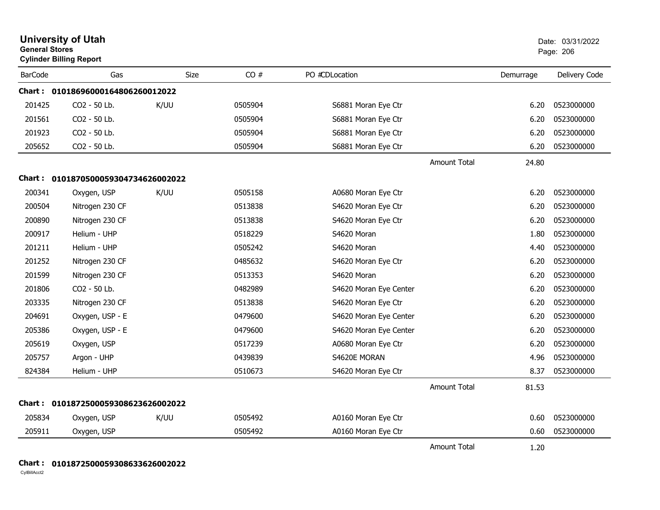|                | <b>University of Utah</b><br><b>General Stores</b><br><b>Cylinder Billing Report</b> |      |         | Date: 03/31/2022<br>Page: 206 |                     |           |               |
|----------------|--------------------------------------------------------------------------------------|------|---------|-------------------------------|---------------------|-----------|---------------|
| <b>BarCode</b> | Gas                                                                                  | Size | CO#     | PO #CDLocation                |                     | Demurrage | Delivery Code |
|                | Chart: 01018696000164806260012022                                                    |      |         |                               |                     |           |               |
| 201425         | CO <sub>2</sub> - 50 Lb.                                                             | K/UU | 0505904 | S6881 Moran Eye Ctr           |                     | 6.20      | 0523000000    |
| 201561         | CO2 - 50 Lb.                                                                         |      | 0505904 | S6881 Moran Eye Ctr           |                     | 6.20      | 0523000000    |
| 201923         | CO <sub>2</sub> - 50 Lb.                                                             |      | 0505904 | S6881 Moran Eye Ctr           |                     | 6.20      | 0523000000    |
| 205652         | CO2 - 50 Lb.                                                                         |      | 0505904 | S6881 Moran Eye Ctr           |                     | 6.20      | 0523000000    |
|                |                                                                                      |      |         |                               | <b>Amount Total</b> | 24.80     |               |
|                | Chart: 0101870500059304734626002022                                                  |      |         |                               |                     |           |               |
| 200341         | Oxygen, USP                                                                          | K/UU | 0505158 | A0680 Moran Eye Ctr           |                     | 6.20      | 0523000000    |
| 200504         | Nitrogen 230 CF                                                                      |      | 0513838 | S4620 Moran Eye Ctr           |                     | 6.20      | 0523000000    |
| 200890         | Nitrogen 230 CF                                                                      |      | 0513838 | S4620 Moran Eye Ctr           |                     | 6.20      | 0523000000    |
| 200917         | Helium - UHP                                                                         |      | 0518229 | S4620 Moran                   |                     | 1.80      | 0523000000    |
| 201211         | Helium - UHP                                                                         |      | 0505242 | S4620 Moran                   |                     | 4.40      | 0523000000    |
| 201252         | Nitrogen 230 CF                                                                      |      | 0485632 | S4620 Moran Eye Ctr           |                     | 6.20      | 0523000000    |
| 201599         | Nitrogen 230 CF                                                                      |      | 0513353 | S4620 Moran                   |                     | 6.20      | 0523000000    |
| 201806         | CO <sub>2</sub> - 50 Lb.                                                             |      | 0482989 | S4620 Moran Eye Center        |                     | 6.20      | 0523000000    |
| 203335         | Nitrogen 230 CF                                                                      |      | 0513838 | S4620 Moran Eye Ctr           |                     | 6.20      | 0523000000    |
| 204691         | Oxygen, USP - E                                                                      |      | 0479600 | S4620 Moran Eye Center        |                     | 6.20      | 0523000000    |
| 205386         | Oxygen, USP - E                                                                      |      | 0479600 | S4620 Moran Eye Center        |                     | 6.20      | 0523000000    |
| 205619         | Oxygen, USP                                                                          |      | 0517239 | A0680 Moran Eye Ctr           |                     | 6.20      | 0523000000    |
| 205757         | Argon - UHP                                                                          |      | 0439839 | S4620E MORAN                  |                     | 4.96      | 0523000000    |
| 824384         | Helium - UHP                                                                         |      | 0510673 | S4620 Moran Eye Ctr           |                     | 8.37      | 0523000000    |
|                |                                                                                      |      |         |                               | <b>Amount Total</b> | 81.53     |               |
|                | Chart: 0101872500059308623626002022                                                  |      |         |                               |                     |           |               |
| 205834         | Oxygen, USP                                                                          | K/UU | 0505492 | A0160 Moran Eye Ctr           |                     | 0.60      | 0523000000    |
| 205911         | Oxygen, USP                                                                          |      | 0505492 | A0160 Moran Eye Ctr           |                     | 0.60      | 0523000000    |
|                |                                                                                      |      |         |                               | <b>Amount Total</b> | 1.20      |               |

### **Chart : 0101872500059308633626002022**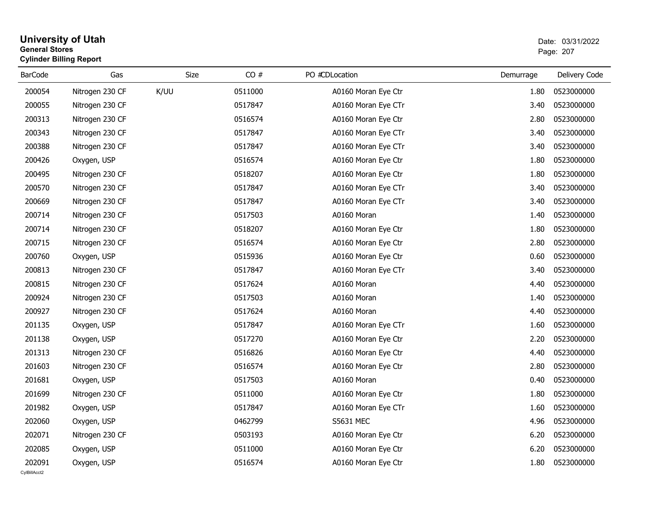### **University of Utah** Date: 03/31/2022 **General Stores**s and the contract of the contract of the contract of the contract of the contract of the contract of the contract of the contract of the contract of the contract of the contract of the contract of the contract of the cont **Cylinder Billing Report**

| <b>BarCode</b>         | Gas             | Size | CO#     | PO #CDLocation      | Demurrage | Delivery Code |
|------------------------|-----------------|------|---------|---------------------|-----------|---------------|
| 200054                 | Nitrogen 230 CF | K/UU | 0511000 | A0160 Moran Eye Ctr | 1.80      | 0523000000    |
| 200055                 | Nitrogen 230 CF |      | 0517847 | A0160 Moran Eye CTr | 3.40      | 0523000000    |
| 200313                 | Nitrogen 230 CF |      | 0516574 | A0160 Moran Eye Ctr | 2.80      | 0523000000    |
| 200343                 | Nitrogen 230 CF |      | 0517847 | A0160 Moran Eye CTr | 3.40      | 0523000000    |
| 200388                 | Nitrogen 230 CF |      | 0517847 | A0160 Moran Eye CTr | 3.40      | 0523000000    |
| 200426                 | Oxygen, USP     |      | 0516574 | A0160 Moran Eye Ctr | 1.80      | 0523000000    |
| 200495                 | Nitrogen 230 CF |      | 0518207 | A0160 Moran Eye Ctr | 1.80      | 0523000000    |
| 200570                 | Nitrogen 230 CF |      | 0517847 | A0160 Moran Eye CTr | 3.40      | 0523000000    |
| 200669                 | Nitrogen 230 CF |      | 0517847 | A0160 Moran Eye CTr | 3.40      | 0523000000    |
| 200714                 | Nitrogen 230 CF |      | 0517503 | A0160 Moran         | 1.40      | 0523000000    |
| 200714                 | Nitrogen 230 CF |      | 0518207 | A0160 Moran Eye Ctr | 1.80      | 0523000000    |
| 200715                 | Nitrogen 230 CF |      | 0516574 | A0160 Moran Eye Ctr | 2.80      | 0523000000    |
| 200760                 | Oxygen, USP     |      | 0515936 | A0160 Moran Eye Ctr | 0.60      | 0523000000    |
| 200813                 | Nitrogen 230 CF |      | 0517847 | A0160 Moran Eye CTr | 3.40      | 0523000000    |
| 200815                 | Nitrogen 230 CF |      | 0517624 | A0160 Moran         | 4.40      | 0523000000    |
| 200924                 | Nitrogen 230 CF |      | 0517503 | A0160 Moran         | 1.40      | 0523000000    |
| 200927                 | Nitrogen 230 CF |      | 0517624 | A0160 Moran         | 4.40      | 0523000000    |
| 201135                 | Oxygen, USP     |      | 0517847 | A0160 Moran Eye CTr | 1.60      | 0523000000    |
| 201138                 | Oxygen, USP     |      | 0517270 | A0160 Moran Eye Ctr | 2.20      | 0523000000    |
| 201313                 | Nitrogen 230 CF |      | 0516826 | A0160 Moran Eye Ctr | 4.40      | 0523000000    |
| 201603                 | Nitrogen 230 CF |      | 0516574 | A0160 Moran Eye Ctr | 2.80      | 0523000000    |
| 201681                 | Oxygen, USP     |      | 0517503 | A0160 Moran         | 0.40      | 0523000000    |
| 201699                 | Nitrogen 230 CF |      | 0511000 | A0160 Moran Eye Ctr | 1.80      | 0523000000    |
| 201982                 | Oxygen, USP     |      | 0517847 | A0160 Moran Eye CTr | 1.60      | 0523000000    |
| 202060                 | Oxygen, USP     |      | 0462799 | S5631 MEC           | 4.96      | 0523000000    |
| 202071                 | Nitrogen 230 CF |      | 0503193 | A0160 Moran Eye Ctr | 6.20      | 0523000000    |
| 202085                 | Oxygen, USP     |      | 0511000 | A0160 Moran Eye Ctr | 6.20      | 0523000000    |
| 202091<br>CvIBillAcct2 | Oxygen, USP     |      | 0516574 | A0160 Moran Eye Ctr | 1.80      | 0523000000    |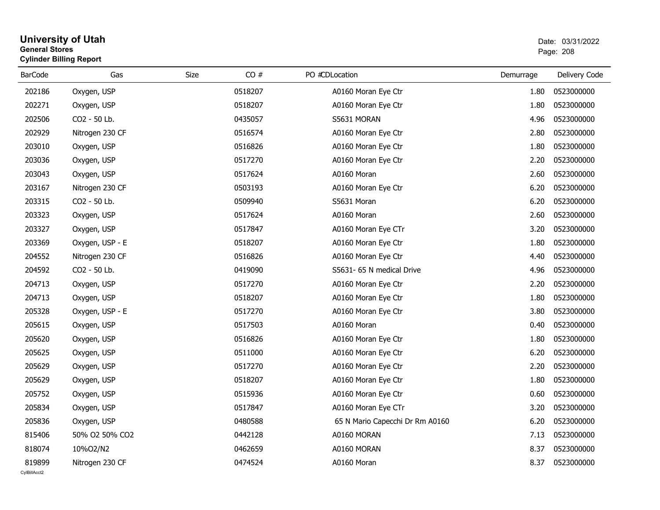### **University of Utah** Date: 03/31/2022 **General Stores**entry of the contract of the contract of the contract of the contract of the contract of the contract of the contract of the contract of the contract of the contract of the contract of the contract of the contract of the c **Cylinder Billing Report**

| <b>BarCode</b> | Gas             | Size | CO#     | PO #CDLocation |                                 | Demurrage | Delivery Code |
|----------------|-----------------|------|---------|----------------|---------------------------------|-----------|---------------|
| 202186         | Oxygen, USP     |      | 0518207 |                | A0160 Moran Eye Ctr             | 1.80      | 0523000000    |
| 202271         | Oxygen, USP     |      | 0518207 |                | A0160 Moran Eye Ctr             | 1.80      | 0523000000    |
| 202506         | CO2 - 50 Lb.    |      | 0435057 |                | S5631 MORAN                     | 4.96      | 0523000000    |
| 202929         | Nitrogen 230 CF |      | 0516574 |                | A0160 Moran Eye Ctr             | 2.80      | 0523000000    |
| 203010         | Oxygen, USP     |      | 0516826 |                | A0160 Moran Eye Ctr             | 1.80      | 0523000000    |
| 203036         | Oxygen, USP     |      | 0517270 |                | A0160 Moran Eye Ctr             | 2.20      | 0523000000    |
| 203043         | Oxygen, USP     |      | 0517624 |                | A0160 Moran                     | 2.60      | 0523000000    |
| 203167         | Nitrogen 230 CF |      | 0503193 |                | A0160 Moran Eye Ctr             | 6.20      | 0523000000    |
| 203315         | CO2 - 50 Lb.    |      | 0509940 |                | S5631 Moran                     | 6.20      | 0523000000    |
| 203323         | Oxygen, USP     |      | 0517624 |                | A0160 Moran                     | 2.60      | 0523000000    |
| 203327         | Oxygen, USP     |      | 0517847 |                | A0160 Moran Eye CTr             | 3.20      | 0523000000    |
| 203369         | Oxygen, USP - E |      | 0518207 |                | A0160 Moran Eye Ctr             | 1.80      | 0523000000    |
| 204552         | Nitrogen 230 CF |      | 0516826 |                | A0160 Moran Eye Ctr             | 4.40      | 0523000000    |
| 204592         | CO2 - 50 Lb.    |      | 0419090 |                | S5631- 65 N medical Drive       | 4.96      | 0523000000    |
| 204713         | Oxygen, USP     |      | 0517270 |                | A0160 Moran Eye Ctr             | 2.20      | 0523000000    |
| 204713         | Oxygen, USP     |      | 0518207 |                | A0160 Moran Eye Ctr             | 1.80      | 0523000000    |
| 205328         | Oxygen, USP - E |      | 0517270 |                | A0160 Moran Eye Ctr             | 3.80      | 0523000000    |
| 205615         | Oxygen, USP     |      | 0517503 |                | A0160 Moran                     | 0.40      | 0523000000    |
| 205620         | Oxygen, USP     |      | 0516826 |                | A0160 Moran Eye Ctr             | 1.80      | 0523000000    |
| 205625         | Oxygen, USP     |      | 0511000 |                | A0160 Moran Eye Ctr             | 6.20      | 0523000000    |
| 205629         | Oxygen, USP     |      | 0517270 |                | A0160 Moran Eye Ctr             | 2.20      | 0523000000    |
| 205629         | Oxygen, USP     |      | 0518207 |                | A0160 Moran Eye Ctr             | 1.80      | 0523000000    |
| 205752         | Oxygen, USP     |      | 0515936 |                | A0160 Moran Eye Ctr             | 0.60      | 0523000000    |
| 205834         | Oxygen, USP     |      | 0517847 |                | A0160 Moran Eye CTr             | 3.20      | 0523000000    |
| 205836         | Oxygen, USP     |      | 0480588 |                | 65 N Mario Capecchi Dr Rm A0160 | 6.20      | 0523000000    |
| 815406         | 50% O2 50% CO2  |      | 0442128 |                | A0160 MORAN                     | 7.13      | 0523000000    |
| 818074         | 10%O2/N2        |      | 0462659 |                | A0160 MORAN                     | 8.37      | 0523000000    |
| 819899         | Nitrogen 230 CF |      | 0474524 |                | A0160 Moran                     | 8.37      | 0523000000    |
| CvIBillAcct2   |                 |      |         |                |                                 |           |               |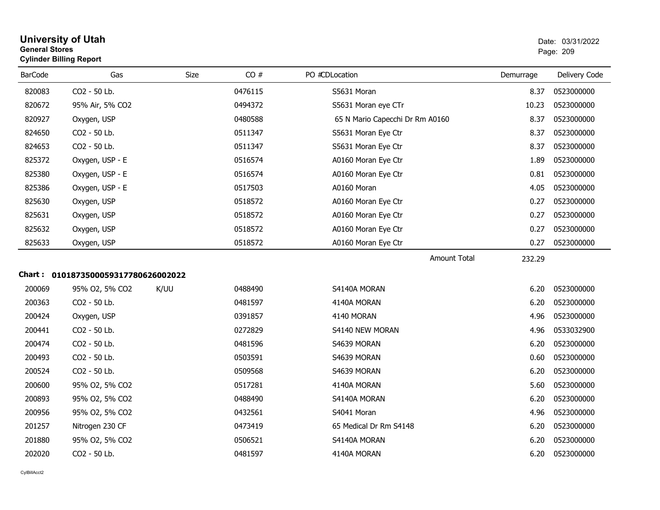| General Stores | <b>Cylinder Billing Report</b>      |      | Page: 209 |                                 |           |               |
|----------------|-------------------------------------|------|-----------|---------------------------------|-----------|---------------|
| <b>BarCode</b> | Gas                                 | Size | CO#       | PO #CDLocation                  | Demurrage | Delivery Code |
| 820083         | CO2 - 50 Lb.                        |      | 0476115   | S5631 Moran                     | 8.37      | 0523000000    |
| 820672         | 95% Air, 5% CO2                     |      | 0494372   | S5631 Moran eye CTr             | 10.23     | 0523000000    |
| 820927         | Oxygen, USP                         |      | 0480588   | 65 N Mario Capecchi Dr Rm A0160 | 8.37      | 0523000000    |
| 824650         | CO2 - 50 Lb.                        |      | 0511347   | S5631 Moran Eye Ctr             | 8.37      | 0523000000    |
| 824653         | CO2 - 50 Lb.                        |      | 0511347   | S5631 Moran Eye Ctr             | 8.37      | 0523000000    |
| 825372         | Oxygen, USP - E                     |      | 0516574   | A0160 Moran Eye Ctr             | 1.89      | 0523000000    |
| 825380         | Oxygen, USP - E                     |      | 0516574   | A0160 Moran Eye Ctr             | 0.81      | 0523000000    |
| 825386         | Oxygen, USP - E                     |      | 0517503   | A0160 Moran                     | 4.05      | 0523000000    |
| 825630         | Oxygen, USP                         |      | 0518572   | A0160 Moran Eye Ctr             | 0.27      | 0523000000    |
| 825631         | Oxygen, USP                         |      | 0518572   | A0160 Moran Eye Ctr             | 0.27      | 0523000000    |
| 825632         | Oxygen, USP                         |      | 0518572   | A0160 Moran Eye Ctr             | 0.27      | 0523000000    |
| 825633         | Oxygen, USP                         |      | 0518572   | A0160 Moran Eye Ctr             | 0.27      | 0523000000    |
|                |                                     |      |           | <b>Amount Total</b>             | 232.29    |               |
|                | Chart: 0101873500059317780626002022 |      |           |                                 |           |               |
| 200069         | 95% O2, 5% CO2                      | K/UU | 0488490   | S4140A MORAN                    | 6.20      | 0523000000    |
| 200363         | CO2 - 50 Lb.                        |      | 0481597   | 4140A MORAN                     | 6.20      | 0523000000    |
| 200424         | Oxygen, USP                         |      | 0391857   | 4140 MORAN                      | 4.96      | 0523000000    |
| 200441         | CO2 - 50 Lb.                        |      | 0272829   | S4140 NEW MORAN                 | 4.96      | 0533032900    |
| 200474         | CO2 - 50 Lb.                        |      | 0481596   | S4639 MORAN                     | 6.20      | 0523000000    |
| 200493         | CO2 - 50 Lb.                        |      | 0503591   | S4639 MORAN                     | 0.60      | 0523000000    |
| 200524         | CO2 - 50 Lb.                        |      | 0509568   | S4639 MORAN                     | 6.20      | 0523000000    |
| 200600         | 95% O2, 5% CO2                      |      | 0517281   | 4140A MORAN                     | 5.60      | 0523000000    |
| 200893         | 95% O2, 5% CO2                      |      | 0488490   | S4140A MORAN                    | 6.20      | 0523000000    |
| 200956         | 95% O2, 5% CO2                      |      | 0432561   | S4041 Moran                     | 4.96      | 0523000000    |
| 201257         | Nitrogen 230 CF                     |      | 0473419   | 65 Medical Dr Rm S4148          | 6.20      | 0523000000    |
| 201880         | 95% O2, 5% CO2                      |      | 0506521   | S4140A MORAN                    | 6.20      | 0523000000    |
| 202020         | CO2 - 50 Lb.                        |      | 0481597   | 4140A MORAN                     | 6.20      | 0523000000    |
|                |                                     |      |           |                                 |           |               |

**University of Utah** Date: 03/31/2022

# **General Stores**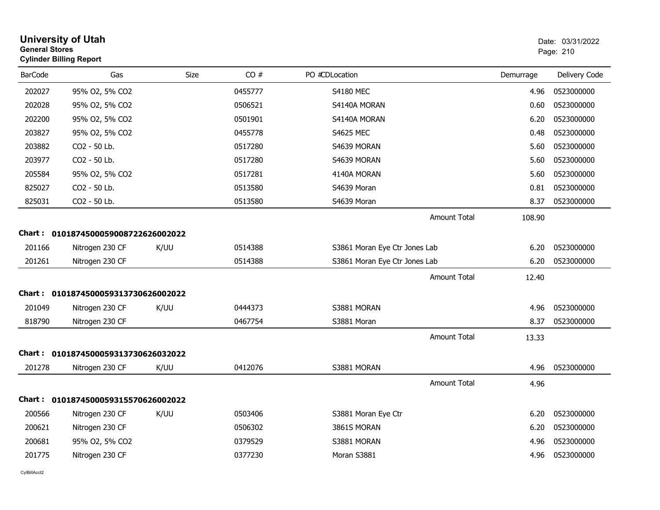| <b>General Stores</b> | <b>University of Utah</b><br><b>Cylinder Billing Report</b> |      |         |                               |                     |           | Date: 03/31/2022<br>Page: 210 |
|-----------------------|-------------------------------------------------------------|------|---------|-------------------------------|---------------------|-----------|-------------------------------|
| <b>BarCode</b>        | Gas                                                         | Size | CO#     | PO #CDLocation                |                     | Demurrage | Delivery Code                 |
| 202027                | 95% O2, 5% CO2                                              |      | 0455777 | <b>S4180 MEC</b>              |                     | 4.96      | 0523000000                    |
| 202028                | 95% O2, 5% CO2                                              |      | 0506521 | S4140A MORAN                  |                     | 0.60      | 0523000000                    |
| 202200                | 95% O2, 5% CO2                                              |      | 0501901 | S4140A MORAN                  |                     | 6.20      | 0523000000                    |
| 203827                | 95% O2, 5% CO2                                              |      | 0455778 | <b>S4625 MEC</b>              |                     | 0.48      | 0523000000                    |
| 203882                | CO <sub>2</sub> - 50 Lb.                                    |      | 0517280 | S4639 MORAN                   |                     | 5.60      | 0523000000                    |
| 203977                | CO2 - 50 Lb.                                                |      | 0517280 | S4639 MORAN                   |                     | 5.60      | 0523000000                    |
| 205584                | 95% O2, 5% CO2                                              |      | 0517281 | 4140A MORAN                   |                     | 5.60      | 0523000000                    |
| 825027                | CO2 - 50 Lb.                                                |      | 0513580 | S4639 Moran                   |                     | 0.81      | 0523000000                    |
| 825031                | CO2 - 50 Lb.                                                |      | 0513580 | S4639 Moran                   |                     | 8.37      | 0523000000                    |
|                       |                                                             |      |         |                               | <b>Amount Total</b> | 108.90    |                               |
|                       | Chart: 0101874500059008722626002022                         |      |         |                               |                     |           |                               |
| 201166                | Nitrogen 230 CF                                             | K/UU | 0514388 | S3861 Moran Eye Ctr Jones Lab |                     | 6.20      | 0523000000                    |
| 201261                | Nitrogen 230 CF                                             |      | 0514388 | S3861 Moran Eye Ctr Jones Lab |                     | 6.20      | 0523000000                    |
|                       |                                                             |      |         |                               | <b>Amount Total</b> | 12.40     |                               |
|                       | Chart: 0101874500059313730626002022                         |      |         |                               |                     |           |                               |
| 201049                | Nitrogen 230 CF                                             | K/UU | 0444373 | S3881 MORAN                   |                     | 4.96      | 0523000000                    |
| 818790                | Nitrogen 230 CF                                             |      | 0467754 | S3881 Moran                   |                     | 8.37      | 0523000000                    |
|                       |                                                             |      |         |                               | <b>Amount Total</b> | 13.33     |                               |
|                       | Chart: 0101874500059313730626032022                         |      |         |                               |                     |           |                               |
| 201278                | Nitrogen 230 CF                                             | K/UU | 0412076 | S3881 MORAN                   |                     | 4.96      | 0523000000                    |
|                       |                                                             |      |         |                               | <b>Amount Total</b> | 4.96      |                               |
|                       | Chart: 0101874500059315570626002022                         |      |         |                               |                     |           |                               |
| 200566                | Nitrogen 230 CF                                             | K/UU | 0503406 | S3881 Moran Eye Ctr           |                     | 6.20      | 0523000000                    |
| 200621                | Nitrogen 230 CF                                             |      | 0506302 | 3861S MORAN                   |                     | 6.20      | 0523000000                    |
| 200681                | 95% O2, 5% CO2                                              |      | 0379529 | S3881 MORAN                   |                     | 4.96      | 0523000000                    |
| 201775                | Nitrogen 230 CF                                             |      | 0377230 | Moran S3881                   |                     | 4.96      | 0523000000                    |
|                       |                                                             |      |         |                               |                     |           |                               |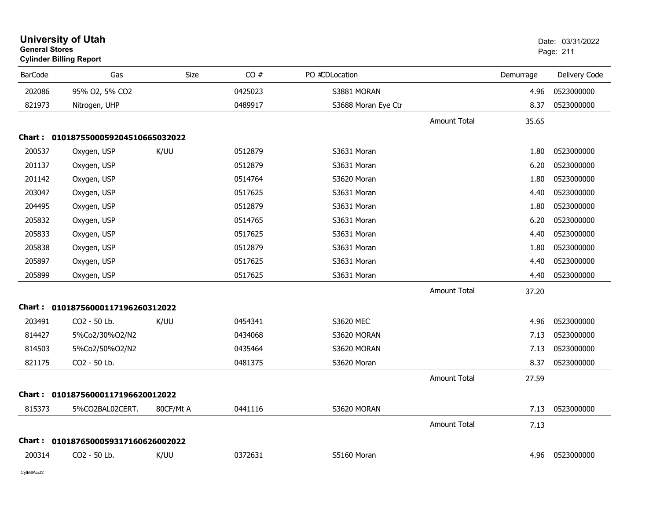|                | <b>University of Utah</b><br><b>General Stores</b><br><b>Cylinder Billing Report</b> |           |         |                     |                     |           | Date: 03/31/2022<br>Page: 211 |  |
|----------------|--------------------------------------------------------------------------------------|-----------|---------|---------------------|---------------------|-----------|-------------------------------|--|
| <b>BarCode</b> | Gas                                                                                  | Size      | CO#     | PO #CDLocation      |                     | Demurrage | Delivery Code                 |  |
| 202086         | 95% O2, 5% CO2                                                                       |           | 0425023 | S3881 MORAN         |                     | 4.96      | 0523000000                    |  |
| 821973         | Nitrogen, UHP                                                                        |           | 0489917 | S3688 Moran Eye Ctr |                     | 8.37      | 0523000000                    |  |
|                |                                                                                      |           |         |                     | Amount Total        | 35.65     |                               |  |
|                | Chart: 0101875500059204510665032022                                                  |           |         |                     |                     |           |                               |  |
| 200537         | Oxygen, USP                                                                          | K/UU      | 0512879 | S3631 Moran         |                     | 1.80      | 0523000000                    |  |
| 201137         | Oxygen, USP                                                                          |           | 0512879 | S3631 Moran         |                     | 6.20      | 0523000000                    |  |
| 201142         | Oxygen, USP                                                                          |           | 0514764 | S3620 Moran         |                     | 1.80      | 0523000000                    |  |
| 203047         | Oxygen, USP                                                                          |           | 0517625 | S3631 Moran         |                     | 4.40      | 0523000000                    |  |
| 204495         | Oxygen, USP                                                                          |           | 0512879 | S3631 Moran         |                     | 1.80      | 0523000000                    |  |
| 205832         | Oxygen, USP                                                                          |           | 0514765 | S3631 Moran         |                     | 6.20      | 0523000000                    |  |
| 205833         | Oxygen, USP                                                                          |           | 0517625 | S3631 Moran         |                     | 4.40      | 0523000000                    |  |
| 205838         | Oxygen, USP                                                                          |           | 0512879 | S3631 Moran         |                     | 1.80      | 0523000000                    |  |
| 205897         | Oxygen, USP                                                                          |           | 0517625 | S3631 Moran         |                     | 4.40      | 0523000000                    |  |
| 205899         | Oxygen, USP                                                                          |           | 0517625 | S3631 Moran         |                     | 4.40      | 0523000000                    |  |
|                |                                                                                      |           |         |                     | <b>Amount Total</b> | 37.20     |                               |  |
|                | Chart: 01018756000117196260312022                                                    |           |         |                     |                     |           |                               |  |
| 203491         | CO2 - 50 Lb.                                                                         | K/UU      | 0454341 | S3620 MEC           |                     | 4.96      | 0523000000                    |  |
| 814427         | 5%Co2/30%O2/N2                                                                       |           | 0434068 | S3620 MORAN         |                     | 7.13      | 0523000000                    |  |
| 814503         | 5%Co2/50%O2/N2                                                                       |           | 0435464 | S3620 MORAN         |                     | 7.13      | 0523000000                    |  |
| 821175         | CO2 - 50 Lb.                                                                         |           | 0481375 | S3620 Moran         |                     | 8.37      | 0523000000                    |  |
|                |                                                                                      |           |         |                     | <b>Amount Total</b> | 27.59     |                               |  |
|                | Chart: 01018756000117196620012022                                                    |           |         |                     |                     |           |                               |  |
| 815373         | 5%CO2BAL02CERT.                                                                      | 80CF/Mt A | 0441116 | S3620 MORAN         |                     | 7.13      | 0523000000                    |  |
|                |                                                                                      |           |         |                     | <b>Amount Total</b> | 7.13      |                               |  |
|                | Chart: 0101876500059317160626002022                                                  |           |         |                     |                     |           |                               |  |
| 200314         | CO <sub>2</sub> - 50 Lb.                                                             | K/UU      | 0372631 | S5160 Moran         |                     | 4.96      | 0523000000                    |  |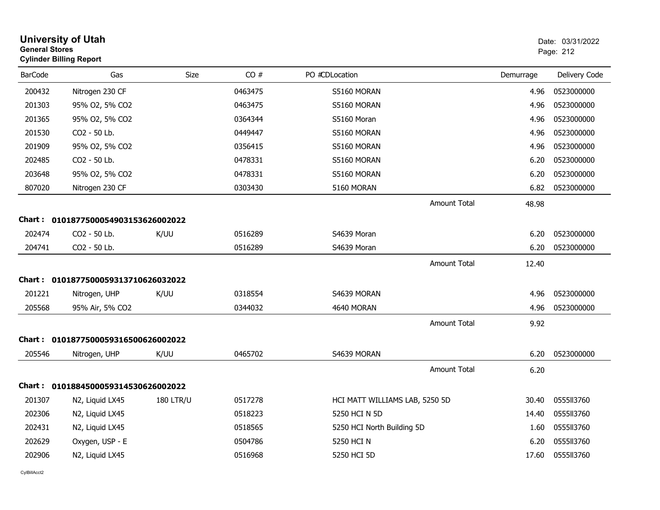| <b>General Stores</b> | <b>University of Utah</b><br><b>Cylinder Billing Report</b> |                  |         |                                |                     |           | Date: 03/31/2022<br>Page: 212 |
|-----------------------|-------------------------------------------------------------|------------------|---------|--------------------------------|---------------------|-----------|-------------------------------|
| <b>BarCode</b>        | Gas                                                         | Size             | CO#     | PO #CDLocation                 |                     | Demurrage | Delivery Code                 |
| 200432                | Nitrogen 230 CF                                             |                  | 0463475 | S5160 MORAN                    |                     | 4.96      | 0523000000                    |
| 201303                | 95% O2, 5% CO2                                              |                  | 0463475 | S5160 MORAN                    |                     | 4.96      | 0523000000                    |
| 201365                | 95% O2, 5% CO2                                              |                  | 0364344 | S5160 Moran                    |                     | 4.96      | 0523000000                    |
| 201530                | CO2 - 50 Lb.                                                |                  | 0449447 | S5160 MORAN                    |                     | 4.96      | 0523000000                    |
| 201909                | 95% O2, 5% CO2                                              |                  | 0356415 | S5160 MORAN                    |                     | 4.96      | 0523000000                    |
| 202485                | CO2 - 50 Lb.                                                |                  | 0478331 | S5160 MORAN                    |                     | 6.20      | 0523000000                    |
| 203648                | 95% O2, 5% CO2                                              |                  | 0478331 | S5160 MORAN                    |                     | 6.20      | 0523000000                    |
| 807020                | Nitrogen 230 CF                                             |                  | 0303430 | 5160 MORAN                     |                     | 6.82      | 0523000000                    |
|                       |                                                             |                  |         |                                | <b>Amount Total</b> | 48.98     |                               |
|                       | Chart: 0101877500054903153626002022                         |                  |         |                                |                     |           |                               |
| 202474                | CO2 - 50 Lb.                                                | K/UU             | 0516289 | S4639 Moran                    |                     | 6.20      | 0523000000                    |
| 204741                | CO2 - 50 Lb.                                                |                  | 0516289 | S4639 Moran                    |                     | 6.20      | 0523000000                    |
|                       |                                                             |                  |         |                                | <b>Amount Total</b> | 12.40     |                               |
|                       | Chart: 0101877500059313710626032022                         |                  |         |                                |                     |           |                               |
| 201221                | Nitrogen, UHP                                               | K/UU             | 0318554 | S4639 MORAN                    |                     | 4.96      | 0523000000                    |
| 205568                | 95% Air, 5% CO2                                             |                  | 0344032 | 4640 MORAN                     |                     | 4.96      | 0523000000                    |
|                       |                                                             |                  |         |                                | <b>Amount Total</b> | 9.92      |                               |
|                       | Chart: 0101877500059316500626002022                         |                  |         |                                |                     |           |                               |
| 205546                | Nitrogen, UHP                                               | K/UU             | 0465702 | S4639 MORAN                    |                     | 6.20      | 0523000000                    |
|                       |                                                             |                  |         |                                | <b>Amount Total</b> | 6.20      |                               |
|                       | Chart: 0101884500059314530626002022                         |                  |         |                                |                     |           |                               |
| 201307                | N2, Liquid LX45                                             | <b>180 LTR/U</b> | 0517278 | HCI MATT WILLIAMS LAB, 5250 5D |                     | 30.40     | 0555II3760                    |
| 202306                | N2, Liquid LX45                                             |                  | 0518223 | 5250 HCI N 5D                  |                     | 14.40     | 0555II3760                    |
| 202431                | N2, Liquid LX45                                             |                  | 0518565 | 5250 HCI North Building 5D     |                     | 1.60      | 0555113760                    |
| 202629                | Oxygen, USP - E                                             |                  | 0504786 | 5250 HCI N                     |                     | 6.20      | 0555113760                    |
| 202906                | N2, Liquid LX45                                             |                  | 0516968 | 5250 HCI 5D                    |                     | 17.60     | 055513760                     |
|                       |                                                             |                  |         |                                |                     |           |                               |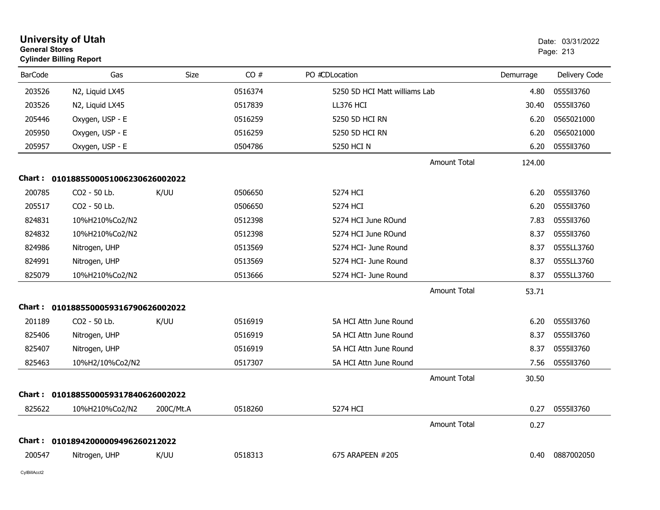| <b>General Stores</b> | <b>University of Utah</b><br><b>Cylinder Billing Report</b> |           | Date: 03/31/2022<br>Page: 213 |                               |           |               |
|-----------------------|-------------------------------------------------------------|-----------|-------------------------------|-------------------------------|-----------|---------------|
| <b>BarCode</b>        | Gas                                                         | Size      | CO#                           | PO #CDLocation                | Demurrage | Delivery Code |
| 203526                | N2, Liquid LX45                                             |           | 0516374                       | 5250 5D HCI Matt williams Lab | 4.80      | 0555II3760    |
| 203526                | N2, Liquid LX45                                             |           | 0517839                       | LL376 HCI                     | 30.40     | 0555II3760    |
| 205446                | Oxygen, USP - E                                             |           | 0516259                       | 5250 5D HCI RN                | 6.20      | 0565021000    |
| 205950                | Oxygen, USP - E                                             |           | 0516259                       | 5250 5D HCI RN                | 6.20      | 0565021000    |
| 205957                | Oxygen, USP - E                                             |           | 0504786                       | 5250 HCI N                    | 6.20      | 0555113760    |
|                       |                                                             |           |                               | Amount Total                  | 124.00    |               |
|                       | Chart: 0101885500051006230626002022                         |           |                               |                               |           |               |
| 200785                | CO2 - 50 Lb.                                                | K/UU      | 0506650                       | 5274 HCI                      | 6.20      | 0555113760    |
| 205517                | CO2 - 50 Lb.                                                |           | 0506650                       | 5274 HCI                      | 6.20      | 0555II3760    |
| 824831                | 10%H210%Co2/N2                                              |           | 0512398                       | 5274 HCI June ROund           | 7.83      | 0555113760    |
| 824832                | 10%H210%Co2/N2                                              |           | 0512398                       | 5274 HCI June ROund           | 8.37      | 0555II3760    |
| 824986                | Nitrogen, UHP                                               |           | 0513569                       | 5274 HCI- June Round          | 8.37      | 0555LL3760    |
| 824991                | Nitrogen, UHP                                               |           | 0513569                       | 5274 HCI- June Round          | 8.37      | 0555LL3760    |
| 825079                | 10%H210%Co2/N2                                              |           | 0513666                       | 5274 HCI- June Round          | 8.37      | 0555LL3760    |
|                       |                                                             |           |                               | Amount Total                  | 53.71     |               |
| <b>Chart :</b>        | 0101885500059316790626002022                                |           |                               |                               |           |               |
| 201189                | CO2 - 50 Lb.                                                | K/UU      | 0516919                       | 5A HCI Attn June Round        | 6.20      | 0555113760    |
| 825406                | Nitrogen, UHP                                               |           | 0516919                       | 5A HCI Attn June Round        | 8.37      | 0555II3760    |
| 825407                | Nitrogen, UHP                                               |           | 0516919                       | 5A HCI Attn June Round        | 8.37      | 0555113760    |
| 825463                | 10%H2/10%Co2/N2                                             |           | 0517307                       | 5A HCI Attn June Round        | 7.56      | 0555II3760    |
|                       |                                                             |           |                               | <b>Amount Total</b>           | 30.50     |               |
| Chart :               | 0101885500059317840626002022                                |           |                               |                               |           |               |
| 825622                | 10%H210%Co2/N2                                              | 200C/Mt.A | 0518260                       | 5274 HCI                      | 0.27      | 0555II3760    |
|                       |                                                             |           |                               | Amount Total                  | 0.27      |               |
|                       | Chart: 01018942000009496260212022                           |           |                               |                               |           |               |
| 200547                | Nitrogen, UHP                                               | K/UU      | 0518313                       | 675 ARAPEEN #205              | 0.40      | 0887002050    |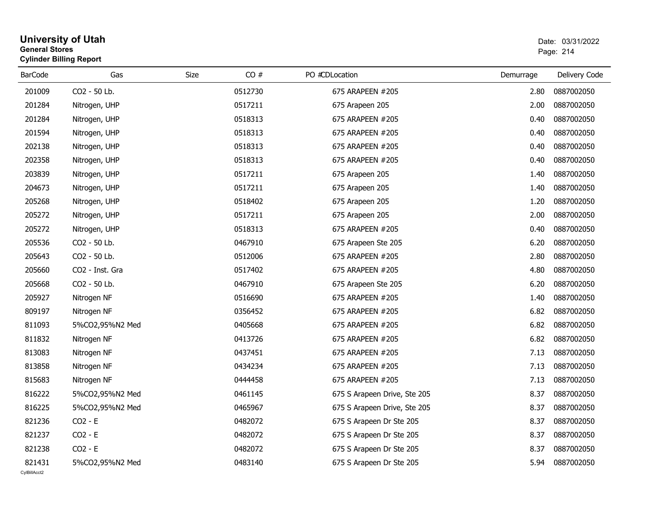| Gas<br>Size<br>CO#<br>PO #CDLocation<br>Delivery Code<br><b>BarCode</b><br>Demurrage<br>CO2 - 50 Lb.<br>675 ARAPEEN #205<br>201009<br>0512730<br>2.80<br>0887002050<br>201284<br>0517211<br>0887002050<br>Nitrogen, UHP<br>675 Arapeen 205<br>2.00<br>201284<br>0518313<br>0887002050<br>Nitrogen, UHP<br>675 ARAPEEN #205<br>0.40<br>201594<br>0518313<br>0887002050<br>Nitrogen, UHP<br>675 ARAPEEN #205<br>0.40<br>202138<br>Nitrogen, UHP<br>0518313<br>675 ARAPEEN #205<br>0887002050<br>0.40<br>202358<br>0518313<br>675 ARAPEEN #205<br>0887002050<br>Nitrogen, UHP<br>0.40<br>203839<br>0517211<br>0887002050<br>Nitrogen, UHP<br>675 Arapeen 205<br>1.40<br>204673<br>0517211<br>1.40<br>0887002050<br>Nitrogen, UHP<br>675 Arapeen 205<br>205268<br>0518402<br>0887002050<br>Nitrogen, UHP<br>675 Arapeen 205<br>1.20<br>205272<br>0517211<br>2.00<br>0887002050<br>Nitrogen, UHP<br>675 Arapeen 205<br>205272<br>Nitrogen, UHP<br>0518313<br>675 ARAPEEN #205<br>0.40<br>0887002050<br>205536<br>CO2 - 50 Lb.<br>0467910<br>6.20<br>0887002050<br>675 Arapeen Ste 205<br>205643<br>CO2 - 50 Lb.<br>0512006<br>2.80<br>0887002050<br>675 ARAPEEN #205<br>0887002050<br>205660<br>CO2 - Inst. Gra<br>0517402<br>675 ARAPEEN #205<br>4.80<br>CO2 - 50 Lb.<br>0467910<br>0887002050<br>205668<br>675 Arapeen Ste 205<br>6.20<br>205927<br>0887002050<br>Nitrogen NF<br>0516690<br>675 ARAPEEN #205<br>1.40<br>809197<br>6.82<br>0887002050<br>Nitrogen NF<br>0356452<br>675 ARAPEEN #205<br>6.82<br>0887002050<br>811093<br>5%CO2,95%N2 Med<br>0405668<br>675 ARAPEEN #205<br>811832<br>0413726<br>675 ARAPEEN #205<br>6.82<br>0887002050<br>Nitrogen NF<br>813083<br>0437451<br>675 ARAPEEN #205<br>0887002050<br>Nitrogen NF<br>7.13<br>813858<br>Nitrogen NF<br>0434234<br>675 ARAPEEN #205<br>7.13<br>0887002050<br>0887002050<br>815683<br>0444458<br>675 ARAPEEN #205<br>7.13<br>Nitrogen NF<br>816222<br>0461145<br>8.37<br>0887002050<br>5%CO2,95%N2 Med<br>675 S Arapeen Drive, Ste 205<br>816225<br>0465967<br>0887002050<br>5%CO2,95%N2 Med<br>675 S Arapeen Drive, Ste 205<br>8.37<br>$CO2 - E$<br>0482072<br>0887002050<br>821236<br>675 S Arapeen Dr Ste 205<br>8.37<br>821237<br>$CO2 - E$<br>0482072<br>0887002050<br>675 S Arapeen Dr Ste 205<br>8.37<br>821238<br>$CO2 - E$<br>0482072<br>0887002050<br>8.37<br>675 S Arapeen Dr Ste 205<br>821431<br>5%CO2,95%N2 Med<br>0483140<br>675 S Arapeen Dr Ste 205<br>5.94<br>0887002050<br>CvIBillAcct2 | <b>General Stores</b> | <b>Cylinder Billing Report</b> |  |  |  |  |  | Page: 214 |  |
|-----------------------------------------------------------------------------------------------------------------------------------------------------------------------------------------------------------------------------------------------------------------------------------------------------------------------------------------------------------------------------------------------------------------------------------------------------------------------------------------------------------------------------------------------------------------------------------------------------------------------------------------------------------------------------------------------------------------------------------------------------------------------------------------------------------------------------------------------------------------------------------------------------------------------------------------------------------------------------------------------------------------------------------------------------------------------------------------------------------------------------------------------------------------------------------------------------------------------------------------------------------------------------------------------------------------------------------------------------------------------------------------------------------------------------------------------------------------------------------------------------------------------------------------------------------------------------------------------------------------------------------------------------------------------------------------------------------------------------------------------------------------------------------------------------------------------------------------------------------------------------------------------------------------------------------------------------------------------------------------------------------------------------------------------------------------------------------------------------------------------------------------------------------------------------------------------------------------------------------------------------------------------------------------------------------------------------------------------------------------------------------------------------------------------------------------------------------------------------|-----------------------|--------------------------------|--|--|--|--|--|-----------|--|
|                                                                                                                                                                                                                                                                                                                                                                                                                                                                                                                                                                                                                                                                                                                                                                                                                                                                                                                                                                                                                                                                                                                                                                                                                                                                                                                                                                                                                                                                                                                                                                                                                                                                                                                                                                                                                                                                                                                                                                                                                                                                                                                                                                                                                                                                                                                                                                                                                                                                             |                       |                                |  |  |  |  |  |           |  |
|                                                                                                                                                                                                                                                                                                                                                                                                                                                                                                                                                                                                                                                                                                                                                                                                                                                                                                                                                                                                                                                                                                                                                                                                                                                                                                                                                                                                                                                                                                                                                                                                                                                                                                                                                                                                                                                                                                                                                                                                                                                                                                                                                                                                                                                                                                                                                                                                                                                                             |                       |                                |  |  |  |  |  |           |  |
|                                                                                                                                                                                                                                                                                                                                                                                                                                                                                                                                                                                                                                                                                                                                                                                                                                                                                                                                                                                                                                                                                                                                                                                                                                                                                                                                                                                                                                                                                                                                                                                                                                                                                                                                                                                                                                                                                                                                                                                                                                                                                                                                                                                                                                                                                                                                                                                                                                                                             |                       |                                |  |  |  |  |  |           |  |
|                                                                                                                                                                                                                                                                                                                                                                                                                                                                                                                                                                                                                                                                                                                                                                                                                                                                                                                                                                                                                                                                                                                                                                                                                                                                                                                                                                                                                                                                                                                                                                                                                                                                                                                                                                                                                                                                                                                                                                                                                                                                                                                                                                                                                                                                                                                                                                                                                                                                             |                       |                                |  |  |  |  |  |           |  |
|                                                                                                                                                                                                                                                                                                                                                                                                                                                                                                                                                                                                                                                                                                                                                                                                                                                                                                                                                                                                                                                                                                                                                                                                                                                                                                                                                                                                                                                                                                                                                                                                                                                                                                                                                                                                                                                                                                                                                                                                                                                                                                                                                                                                                                                                                                                                                                                                                                                                             |                       |                                |  |  |  |  |  |           |  |
|                                                                                                                                                                                                                                                                                                                                                                                                                                                                                                                                                                                                                                                                                                                                                                                                                                                                                                                                                                                                                                                                                                                                                                                                                                                                                                                                                                                                                                                                                                                                                                                                                                                                                                                                                                                                                                                                                                                                                                                                                                                                                                                                                                                                                                                                                                                                                                                                                                                                             |                       |                                |  |  |  |  |  |           |  |
|                                                                                                                                                                                                                                                                                                                                                                                                                                                                                                                                                                                                                                                                                                                                                                                                                                                                                                                                                                                                                                                                                                                                                                                                                                                                                                                                                                                                                                                                                                                                                                                                                                                                                                                                                                                                                                                                                                                                                                                                                                                                                                                                                                                                                                                                                                                                                                                                                                                                             |                       |                                |  |  |  |  |  |           |  |
|                                                                                                                                                                                                                                                                                                                                                                                                                                                                                                                                                                                                                                                                                                                                                                                                                                                                                                                                                                                                                                                                                                                                                                                                                                                                                                                                                                                                                                                                                                                                                                                                                                                                                                                                                                                                                                                                                                                                                                                                                                                                                                                                                                                                                                                                                                                                                                                                                                                                             |                       |                                |  |  |  |  |  |           |  |
|                                                                                                                                                                                                                                                                                                                                                                                                                                                                                                                                                                                                                                                                                                                                                                                                                                                                                                                                                                                                                                                                                                                                                                                                                                                                                                                                                                                                                                                                                                                                                                                                                                                                                                                                                                                                                                                                                                                                                                                                                                                                                                                                                                                                                                                                                                                                                                                                                                                                             |                       |                                |  |  |  |  |  |           |  |
|                                                                                                                                                                                                                                                                                                                                                                                                                                                                                                                                                                                                                                                                                                                                                                                                                                                                                                                                                                                                                                                                                                                                                                                                                                                                                                                                                                                                                                                                                                                                                                                                                                                                                                                                                                                                                                                                                                                                                                                                                                                                                                                                                                                                                                                                                                                                                                                                                                                                             |                       |                                |  |  |  |  |  |           |  |
|                                                                                                                                                                                                                                                                                                                                                                                                                                                                                                                                                                                                                                                                                                                                                                                                                                                                                                                                                                                                                                                                                                                                                                                                                                                                                                                                                                                                                                                                                                                                                                                                                                                                                                                                                                                                                                                                                                                                                                                                                                                                                                                                                                                                                                                                                                                                                                                                                                                                             |                       |                                |  |  |  |  |  |           |  |
|                                                                                                                                                                                                                                                                                                                                                                                                                                                                                                                                                                                                                                                                                                                                                                                                                                                                                                                                                                                                                                                                                                                                                                                                                                                                                                                                                                                                                                                                                                                                                                                                                                                                                                                                                                                                                                                                                                                                                                                                                                                                                                                                                                                                                                                                                                                                                                                                                                                                             |                       |                                |  |  |  |  |  |           |  |
|                                                                                                                                                                                                                                                                                                                                                                                                                                                                                                                                                                                                                                                                                                                                                                                                                                                                                                                                                                                                                                                                                                                                                                                                                                                                                                                                                                                                                                                                                                                                                                                                                                                                                                                                                                                                                                                                                                                                                                                                                                                                                                                                                                                                                                                                                                                                                                                                                                                                             |                       |                                |  |  |  |  |  |           |  |
|                                                                                                                                                                                                                                                                                                                                                                                                                                                                                                                                                                                                                                                                                                                                                                                                                                                                                                                                                                                                                                                                                                                                                                                                                                                                                                                                                                                                                                                                                                                                                                                                                                                                                                                                                                                                                                                                                                                                                                                                                                                                                                                                                                                                                                                                                                                                                                                                                                                                             |                       |                                |  |  |  |  |  |           |  |
|                                                                                                                                                                                                                                                                                                                                                                                                                                                                                                                                                                                                                                                                                                                                                                                                                                                                                                                                                                                                                                                                                                                                                                                                                                                                                                                                                                                                                                                                                                                                                                                                                                                                                                                                                                                                                                                                                                                                                                                                                                                                                                                                                                                                                                                                                                                                                                                                                                                                             |                       |                                |  |  |  |  |  |           |  |
|                                                                                                                                                                                                                                                                                                                                                                                                                                                                                                                                                                                                                                                                                                                                                                                                                                                                                                                                                                                                                                                                                                                                                                                                                                                                                                                                                                                                                                                                                                                                                                                                                                                                                                                                                                                                                                                                                                                                                                                                                                                                                                                                                                                                                                                                                                                                                                                                                                                                             |                       |                                |  |  |  |  |  |           |  |
|                                                                                                                                                                                                                                                                                                                                                                                                                                                                                                                                                                                                                                                                                                                                                                                                                                                                                                                                                                                                                                                                                                                                                                                                                                                                                                                                                                                                                                                                                                                                                                                                                                                                                                                                                                                                                                                                                                                                                                                                                                                                                                                                                                                                                                                                                                                                                                                                                                                                             |                       |                                |  |  |  |  |  |           |  |
|                                                                                                                                                                                                                                                                                                                                                                                                                                                                                                                                                                                                                                                                                                                                                                                                                                                                                                                                                                                                                                                                                                                                                                                                                                                                                                                                                                                                                                                                                                                                                                                                                                                                                                                                                                                                                                                                                                                                                                                                                                                                                                                                                                                                                                                                                                                                                                                                                                                                             |                       |                                |  |  |  |  |  |           |  |
|                                                                                                                                                                                                                                                                                                                                                                                                                                                                                                                                                                                                                                                                                                                                                                                                                                                                                                                                                                                                                                                                                                                                                                                                                                                                                                                                                                                                                                                                                                                                                                                                                                                                                                                                                                                                                                                                                                                                                                                                                                                                                                                                                                                                                                                                                                                                                                                                                                                                             |                       |                                |  |  |  |  |  |           |  |
|                                                                                                                                                                                                                                                                                                                                                                                                                                                                                                                                                                                                                                                                                                                                                                                                                                                                                                                                                                                                                                                                                                                                                                                                                                                                                                                                                                                                                                                                                                                                                                                                                                                                                                                                                                                                                                                                                                                                                                                                                                                                                                                                                                                                                                                                                                                                                                                                                                                                             |                       |                                |  |  |  |  |  |           |  |
|                                                                                                                                                                                                                                                                                                                                                                                                                                                                                                                                                                                                                                                                                                                                                                                                                                                                                                                                                                                                                                                                                                                                                                                                                                                                                                                                                                                                                                                                                                                                                                                                                                                                                                                                                                                                                                                                                                                                                                                                                                                                                                                                                                                                                                                                                                                                                                                                                                                                             |                       |                                |  |  |  |  |  |           |  |
|                                                                                                                                                                                                                                                                                                                                                                                                                                                                                                                                                                                                                                                                                                                                                                                                                                                                                                                                                                                                                                                                                                                                                                                                                                                                                                                                                                                                                                                                                                                                                                                                                                                                                                                                                                                                                                                                                                                                                                                                                                                                                                                                                                                                                                                                                                                                                                                                                                                                             |                       |                                |  |  |  |  |  |           |  |
|                                                                                                                                                                                                                                                                                                                                                                                                                                                                                                                                                                                                                                                                                                                                                                                                                                                                                                                                                                                                                                                                                                                                                                                                                                                                                                                                                                                                                                                                                                                                                                                                                                                                                                                                                                                                                                                                                                                                                                                                                                                                                                                                                                                                                                                                                                                                                                                                                                                                             |                       |                                |  |  |  |  |  |           |  |
|                                                                                                                                                                                                                                                                                                                                                                                                                                                                                                                                                                                                                                                                                                                                                                                                                                                                                                                                                                                                                                                                                                                                                                                                                                                                                                                                                                                                                                                                                                                                                                                                                                                                                                                                                                                                                                                                                                                                                                                                                                                                                                                                                                                                                                                                                                                                                                                                                                                                             |                       |                                |  |  |  |  |  |           |  |
|                                                                                                                                                                                                                                                                                                                                                                                                                                                                                                                                                                                                                                                                                                                                                                                                                                                                                                                                                                                                                                                                                                                                                                                                                                                                                                                                                                                                                                                                                                                                                                                                                                                                                                                                                                                                                                                                                                                                                                                                                                                                                                                                                                                                                                                                                                                                                                                                                                                                             |                       |                                |  |  |  |  |  |           |  |
|                                                                                                                                                                                                                                                                                                                                                                                                                                                                                                                                                                                                                                                                                                                                                                                                                                                                                                                                                                                                                                                                                                                                                                                                                                                                                                                                                                                                                                                                                                                                                                                                                                                                                                                                                                                                                                                                                                                                                                                                                                                                                                                                                                                                                                                                                                                                                                                                                                                                             |                       |                                |  |  |  |  |  |           |  |
|                                                                                                                                                                                                                                                                                                                                                                                                                                                                                                                                                                                                                                                                                                                                                                                                                                                                                                                                                                                                                                                                                                                                                                                                                                                                                                                                                                                                                                                                                                                                                                                                                                                                                                                                                                                                                                                                                                                                                                                                                                                                                                                                                                                                                                                                                                                                                                                                                                                                             |                       |                                |  |  |  |  |  |           |  |
|                                                                                                                                                                                                                                                                                                                                                                                                                                                                                                                                                                                                                                                                                                                                                                                                                                                                                                                                                                                                                                                                                                                                                                                                                                                                                                                                                                                                                                                                                                                                                                                                                                                                                                                                                                                                                                                                                                                                                                                                                                                                                                                                                                                                                                                                                                                                                                                                                                                                             |                       |                                |  |  |  |  |  |           |  |
|                                                                                                                                                                                                                                                                                                                                                                                                                                                                                                                                                                                                                                                                                                                                                                                                                                                                                                                                                                                                                                                                                                                                                                                                                                                                                                                                                                                                                                                                                                                                                                                                                                                                                                                                                                                                                                                                                                                                                                                                                                                                                                                                                                                                                                                                                                                                                                                                                                                                             |                       |                                |  |  |  |  |  |           |  |

# **University of Utah**  Date: 03/31/2022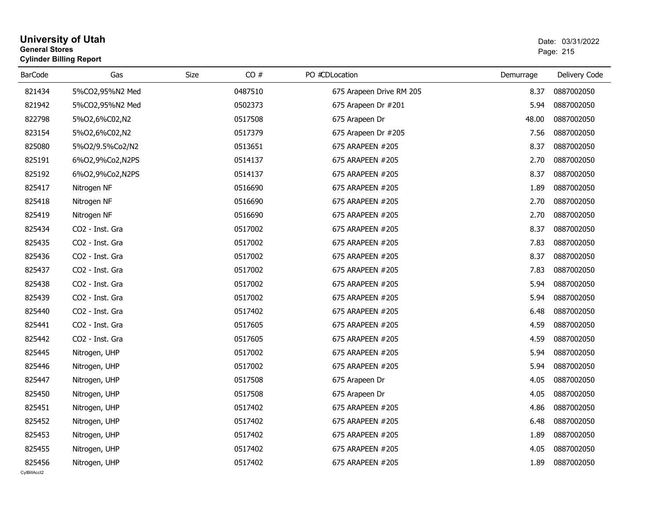| <b>General Stores</b> | University of Utah<br><b>Cylinder Billing Report</b> |      | Date: 03/31/2022<br>Page: 215 |                          |           |               |
|-----------------------|------------------------------------------------------|------|-------------------------------|--------------------------|-----------|---------------|
| <b>BarCode</b>        | Gas                                                  | Size | CO#                           | PO #CDLocation           | Demurrage | Delivery Code |
| 821434                | 5%CO2,95%N2 Med                                      |      | 0487510                       | 675 Arapeen Drive RM 205 | 8.37      | 0887002050    |
| 821942                | 5%CO2,95%N2 Med                                      |      | 0502373                       | 675 Arapeen Dr #201      | 5.94      | 0887002050    |
| 822798                | 5%02,6%C02,N2                                        |      | 0517508                       | 675 Arapeen Dr           | 48.00     | 0887002050    |
| 823154                | 5%02,6%C02,N2                                        |      | 0517379                       | 675 Arapeen Dr #205      | 7.56      | 0887002050    |
| 825080                | 5%O2/9.5%Co2/N2                                      |      | 0513651                       | 675 ARAPEEN #205         | 8.37      | 0887002050    |
| 825191                | 6%02,9%Co2,N2PS                                      |      | 0514137                       | 675 ARAPEEN #205         | 2.70      | 0887002050    |
| 825192                | 6%O2,9%Co2,N2PS                                      |      | 0514137                       | 675 ARAPEEN #205         | 8.37      | 0887002050    |
| 825417                | Nitrogen NF                                          |      | 0516690                       | 675 ARAPEEN #205         | 1.89      | 0887002050    |
| 825418                | Nitrogen NF                                          |      | 0516690                       | 675 ARAPEEN #205         | 2.70      | 0887002050    |
| 825419                | Nitrogen NF                                          |      | 0516690                       | 675 ARAPEEN #205         | 2.70      | 0887002050    |
| 825434                | CO <sub>2</sub> - Inst. Gra                          |      | 0517002                       | 675 ARAPEEN #205         | 8.37      | 0887002050    |
| 825435                | CO2 - Inst. Gra                                      |      | 0517002                       | 675 ARAPEEN #205         | 7.83      | 0887002050    |
| 825436                | CO2 - Inst. Gra                                      |      | 0517002                       | 675 ARAPEEN #205         | 8.37      | 0887002050    |
| 825437                | CO2 - Inst. Gra                                      |      | 0517002                       | 675 ARAPEEN #205         | 7.83      | 0887002050    |
| 825438                | CO2 - Inst. Gra                                      |      | 0517002                       | 675 ARAPEEN #205         | 5.94      | 0887002050    |
| 825439                | CO2 - Inst. Gra                                      |      | 0517002                       | 675 ARAPEEN #205         | 5.94      | 0887002050    |
| 825440                | CO <sub>2</sub> - Inst. Gra                          |      | 0517402                       | 675 ARAPEEN #205         | 6.48      | 0887002050    |
| 825441                | CO2 - Inst. Gra                                      |      | 0517605                       | 675 ARAPEEN #205         | 4.59      | 0887002050    |
| 825442                | CO2 - Inst. Gra                                      |      | 0517605                       | 675 ARAPEEN #205         | 4.59      | 0887002050    |
| 825445                | Nitrogen, UHP                                        |      | 0517002                       | 675 ARAPEEN #205         | 5.94      | 0887002050    |
| 825446                | Nitrogen, UHP                                        |      | 0517002                       | 675 ARAPEEN #205         | 5.94      | 0887002050    |
| 825447                | Nitrogen, UHP                                        |      | 0517508                       | 675 Arapeen Dr           | 4.05      | 0887002050    |
| 825450                | Nitrogen, UHP                                        |      | 0517508                       | 675 Arapeen Dr           | 4.05      | 0887002050    |
| 825451                | Nitrogen, UHP                                        |      | 0517402                       | 675 ARAPEEN #205         | 4.86      | 0887002050    |
| 825452                | Nitrogen, UHP                                        |      | 0517402                       | 675 ARAPEEN #205         | 6.48      | 0887002050    |
| 825453                | Nitrogen, UHP                                        |      | 0517402                       | 675 ARAPEEN #205         | 1.89      | 0887002050    |
| 825455                | Nitrogen, UHP                                        |      | 0517402                       | 675 ARAPEEN #205         | 4.05      | 0887002050    |
| 825456                | Nitrogen, UHP                                        |      | 0517402                       | 675 ARAPEEN #205         | 1.89      | 0887002050    |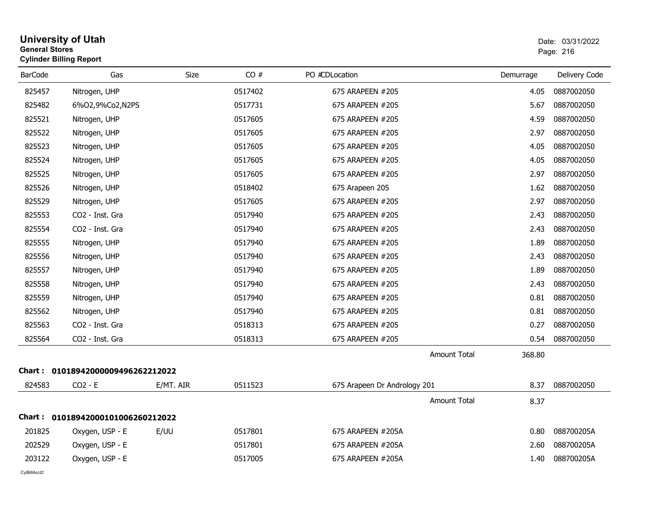| <b>General Stores</b><br><b>Cylinder Billing Report</b> |                                   |           |         |                              |           | Page: 216     |  |
|---------------------------------------------------------|-----------------------------------|-----------|---------|------------------------------|-----------|---------------|--|
| <b>BarCode</b>                                          | Gas                               | Size      | CO#     | PO #CDLocation               | Demurrage | Delivery Code |  |
| 825457                                                  | Nitrogen, UHP                     |           | 0517402 | 675 ARAPEEN #205             | 4.05      | 0887002050    |  |
| 825482                                                  | 6%O2,9%Co2,N2PS                   |           | 0517731 | 675 ARAPEEN #205             | 5.67      | 0887002050    |  |
| 825521                                                  | Nitrogen, UHP                     |           | 0517605 | 675 ARAPEEN #205             | 4.59      | 0887002050    |  |
| 825522                                                  | Nitrogen, UHP                     |           | 0517605 | 675 ARAPEEN #205             | 2.97      | 0887002050    |  |
| 825523                                                  | Nitrogen, UHP                     |           | 0517605 | 675 ARAPEEN #205             | 4.05      | 0887002050    |  |
| 825524                                                  | Nitrogen, UHP                     |           | 0517605 | 675 ARAPEEN #205             | 4.05      | 0887002050    |  |
| 825525                                                  | Nitrogen, UHP                     |           | 0517605 | 675 ARAPEEN #205             | 2.97      | 0887002050    |  |
| 825526                                                  | Nitrogen, UHP                     |           | 0518402 | 675 Arapeen 205              | 1.62      | 0887002050    |  |
| 825529                                                  | Nitrogen, UHP                     |           | 0517605 | 675 ARAPEEN #205             | 2.97      | 0887002050    |  |
| 825553                                                  | CO2 - Inst. Gra                   |           | 0517940 | 675 ARAPEEN #205             | 2.43      | 0887002050    |  |
| 825554                                                  | CO2 - Inst. Gra                   |           | 0517940 | 675 ARAPEEN #205             | 2.43      | 0887002050    |  |
| 825555                                                  | Nitrogen, UHP                     |           | 0517940 | 675 ARAPEEN #205             | 1.89      | 0887002050    |  |
| 825556                                                  | Nitrogen, UHP                     |           | 0517940 | 675 ARAPEEN #205             | 2.43      | 0887002050    |  |
| 825557                                                  | Nitrogen, UHP                     |           | 0517940 | 675 ARAPEEN #205             | 1.89      | 0887002050    |  |
| 825558                                                  | Nitrogen, UHP                     |           | 0517940 | 675 ARAPEEN #205             | 2.43      | 0887002050    |  |
| 825559                                                  | Nitrogen, UHP                     |           | 0517940 | 675 ARAPEEN #205             | 0.81      | 0887002050    |  |
| 825562                                                  | Nitrogen, UHP                     |           | 0517940 | 675 ARAPEEN #205             | 0.81      | 0887002050    |  |
| 825563                                                  | CO2 - Inst. Gra                   |           | 0518313 | 675 ARAPEEN #205             | 0.27      | 0887002050    |  |
| 825564                                                  | CO2 - Inst. Gra                   |           | 0518313 | 675 ARAPEEN #205             | 0.54      | 0887002050    |  |
|                                                         |                                   |           |         | Amount Total                 | 368.80    |               |  |
|                                                         | Chart: 01018942000009496262212022 |           |         |                              |           |               |  |
| 824583                                                  | $CO2 - E$                         | E/MT. AIR | 0511523 | 675 Arapeen Dr Andrology 201 | 8.37      | 0887002050    |  |
|                                                         |                                   |           |         | Amount Total                 | 8.37      |               |  |
|                                                         | Chart: 01018942000101006260212022 |           |         |                              |           |               |  |
| 201825                                                  | Oxygen, USP - E                   | E/UU      | 0517801 | 675 ARAPEEN #205A            | 0.80      | 088700205A    |  |
| 202529                                                  | Oxygen, USP - E                   |           | 0517801 | 675 ARAPEEN #205A            | 2.60      | 088700205A    |  |
| 203122                                                  | Oxygen, USP - E                   |           | 0517005 | 675 ARAPEEN #205A            | 1.40      | 088700205A    |  |

# **University of Utah**  Date: 03/31/2022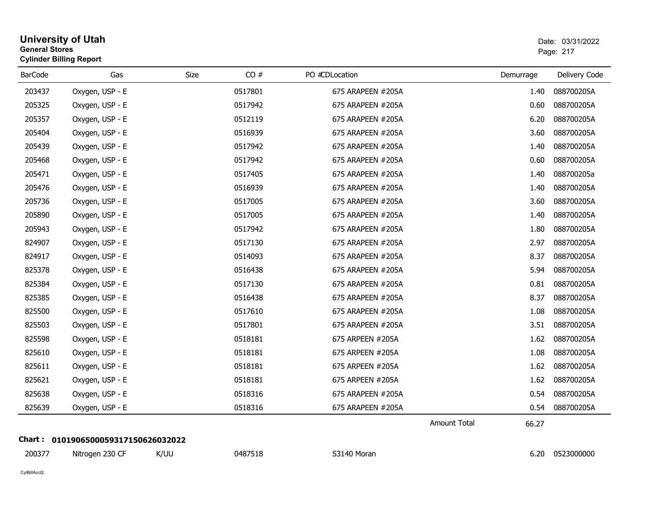|                | <b>University of Utah</b><br><b>General Stores</b><br><b>Cylinder Billing Report</b> |             |         |                   |                     |           | Date: 03/31/2022<br>Page: 217 |
|----------------|--------------------------------------------------------------------------------------|-------------|---------|-------------------|---------------------|-----------|-------------------------------|
| <b>BarCode</b> | Gas                                                                                  | <b>Size</b> | CO#     | PO #CDLocation    |                     | Demurrage | Delivery Code                 |
| 203437         | Oxygen, USP - E                                                                      |             | 0517801 | 675 ARAPEEN #205A |                     | 1.40      | 088700205A                    |
| 205325         | Oxygen, USP - E                                                                      |             | 0517942 | 675 ARAPEEN #205A |                     | 0.60      | 088700205A                    |
| 205357         | Oxygen, USP - E                                                                      |             | 0512119 | 675 ARAPEEN #205A |                     | 6.20      | 088700205A                    |
| 205404         | Oxygen, USP - E                                                                      |             | 0516939 | 675 ARAPEEN #205A |                     | 3.60      | 088700205A                    |
| 205439         | Oxygen, USP - E                                                                      |             | 0517942 | 675 ARAPEEN #205A |                     | 1.40      | 088700205A                    |
| 205468         | Oxygen, USP - E                                                                      |             | 0517942 | 675 ARAPEEN #205A |                     | 0.60      | 088700205A                    |
| 205471         | Oxygen, USP - E                                                                      |             | 0517405 | 675 ARAPEEN #205A |                     | 1.40      | 088700205a                    |
| 205476         | Oxygen, USP - E                                                                      |             | 0516939 | 675 ARAPEEN #205A |                     | 1.40      | 088700205A                    |
| 205736         | Oxygen, USP - E                                                                      |             | 0517005 | 675 ARAPEEN #205A |                     | 3.60      | 088700205A                    |
| 205890         | Oxygen, USP - E                                                                      |             | 0517005 | 675 ARAPEEN #205A |                     | 1.40      | 088700205A                    |
| 205943         | Oxygen, USP - E                                                                      |             | 0517942 | 675 ARAPEEN #205A |                     | 1.80      | 088700205A                    |
| 824907         | Oxygen, USP - E                                                                      |             | 0517130 | 675 ARAPEEN #205A |                     | 2.97      | 088700205A                    |
| 824917         | Oxygen, USP - E                                                                      |             | 0514093 | 675 ARAPEEN #205A |                     | 8.37      | 088700205A                    |
| 825378         | Oxygen, USP - E                                                                      |             | 0516438 | 675 ARAPEEN #205A |                     | 5.94      | 088700205A                    |
| 825384         | Oxygen, USP - E                                                                      |             | 0517130 | 675 ARAPEEN #205A |                     | 0.81      | 088700205A                    |
| 825385         | Oxygen, USP - E                                                                      |             | 0516438 | 675 ARAPEEN #205A |                     | 8.37      | 088700205A                    |
| 825500         | Oxygen, USP - E                                                                      |             | 0517610 | 675 ARAPEEN #205A |                     | 1.08      | 088700205A                    |
| 825503         | Oxygen, USP - E                                                                      |             | 0517801 | 675 ARAPEEN #205A |                     | 3.51      | 088700205A                    |
| 825598         | Oxygen, USP - E                                                                      |             | 0518181 | 675 ARPEEN #205A  |                     | 1.62      | 088700205A                    |
| 825610         | Oxygen, USP - E                                                                      |             | 0518181 | 675 ARPEEN #205A  |                     | 1.08      | 088700205A                    |
| 825611         | Oxygen, USP - E                                                                      |             | 0518181 | 675 ARPEEN #205A  |                     | 1.62      | 088700205A                    |
| 825621         | Oxygen, USP - E                                                                      |             | 0518181 | 675 ARPEEN #205A  |                     | 1.62      | 088700205A                    |
| 825638         | Oxygen, USP - E                                                                      |             | 0518316 | 675 ARAPEEN #205A |                     | 0.54      | 088700205A                    |
| 825639         | Oxygen, USP - E                                                                      |             | 0518316 | 675 ARAPEEN #205A |                     | 0.54      | 088700205A                    |
|                |                                                                                      |             |         |                   | <b>Amount Total</b> | 66.27     |                               |
|                | Chart: 0101906500059317150626032022                                                  |             |         |                   |                     |           |                               |
| 200377         | Nitrogen 230 CF                                                                      | K/UU        | 0487518 | S3140 Moran       |                     | 6.20      | 0523000000                    |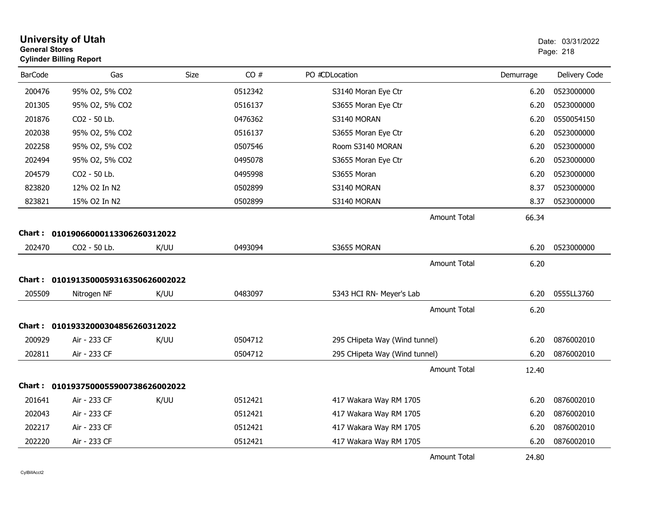|                | <b>University of Utah</b><br>Date: 03/31/2022<br><b>General Stores</b><br>Page: 218<br><b>Cylinder Billing Report</b> |             |         |                               |                     |       |               |
|----------------|-----------------------------------------------------------------------------------------------------------------------|-------------|---------|-------------------------------|---------------------|-------|---------------|
| <b>BarCode</b> | Gas                                                                                                                   | <b>Size</b> | CO#     | PO #CDLocation                | Demurrage           |       | Delivery Code |
| 200476         | 95% O2, 5% CO2                                                                                                        |             | 0512342 | S3140 Moran Eye Ctr           |                     | 6.20  | 0523000000    |
| 201305         | 95% O2, 5% CO2                                                                                                        |             | 0516137 | S3655 Moran Eye Ctr           |                     | 6.20  | 0523000000    |
| 201876         | CO2 - 50 Lb.                                                                                                          |             | 0476362 | S3140 MORAN                   |                     | 6.20  | 0550054150    |
| 202038         | 95% O2, 5% CO2                                                                                                        |             | 0516137 | S3655 Moran Eye Ctr           |                     | 6.20  | 0523000000    |
| 202258         | 95% O2, 5% CO2                                                                                                        |             | 0507546 | Room S3140 MORAN              |                     | 6.20  | 0523000000    |
| 202494         | 95% O2, 5% CO2                                                                                                        |             | 0495078 | S3655 Moran Eye Ctr           |                     | 6.20  | 0523000000    |
| 204579         | CO2 - 50 Lb.                                                                                                          |             | 0495998 | S3655 Moran                   |                     | 6.20  | 0523000000    |
| 823820         | 12% O2 In N2                                                                                                          |             | 0502899 | S3140 MORAN                   |                     | 8.37  | 0523000000    |
| 823821         | 15% O2 In N2                                                                                                          |             | 0502899 | S3140 MORAN                   |                     | 8.37  | 0523000000    |
|                |                                                                                                                       |             |         |                               | Amount Total        | 66.34 |               |
|                | Chart: 01019066000113306260312022                                                                                     |             |         |                               |                     |       |               |
| 202470         | CO2 - 50 Lb.                                                                                                          | K/UU        | 0493094 | S3655 MORAN                   |                     | 6.20  | 0523000000    |
|                |                                                                                                                       |             |         |                               | Amount Total        | 6.20  |               |
|                | Chart: 0101913500059316350626002022                                                                                   |             |         |                               |                     |       |               |
| 205509         |                                                                                                                       | K/UU        | 0483097 | 5343 HCI RN- Meyer's Lab      |                     | 6.20  | 0555LL3760    |
|                | Nitrogen NF                                                                                                           |             |         |                               |                     |       |               |
|                |                                                                                                                       |             |         |                               | <b>Amount Total</b> | 6.20  |               |
|                | Chart: 01019332000304856260312022                                                                                     |             |         |                               |                     |       |               |
| 200929         | Air - 233 CF                                                                                                          | K/UU        | 0504712 | 295 CHipeta Way (Wind tunnel) |                     | 6.20  | 0876002010    |
| 202811         | Air - 233 CF                                                                                                          |             | 0504712 | 295 CHipeta Way (Wind tunnel) |                     | 6.20  | 0876002010    |
|                |                                                                                                                       |             |         |                               | <b>Amount Total</b> | 12.40 |               |
|                | Chart: 0101937500055900738626002022                                                                                   |             |         |                               |                     |       |               |
| 201641         | Air - 233 CF                                                                                                          | K/UU        | 0512421 | 417 Wakara Way RM 1705        |                     | 6.20  | 0876002010    |
| 202043         | Air - 233 CF                                                                                                          |             | 0512421 | 417 Wakara Way RM 1705        |                     | 6.20  | 0876002010    |
| 202217         | Air - 233 CF                                                                                                          |             | 0512421 | 417 Wakara Way RM 1705        |                     | 6.20  | 0876002010    |
| 202220         | Air - 233 CF                                                                                                          |             | 0512421 | 417 Wakara Way RM 1705        |                     | 6.20  | 0876002010    |
|                |                                                                                                                       |             |         |                               | <b>Amount Total</b> | 24.80 |               |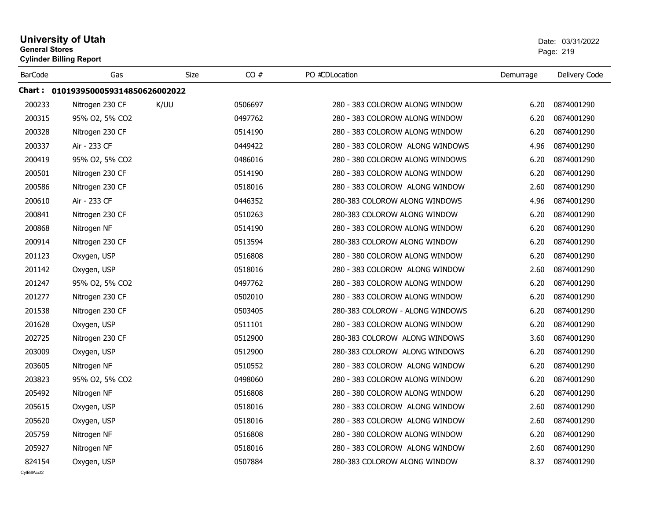| <b>General Stores</b> | <b>University of Utah</b><br><b>Cylinder Billing Report</b> |             |         |                                 | Date: 03/31/2022<br>Page: 219 |               |  |
|-----------------------|-------------------------------------------------------------|-------------|---------|---------------------------------|-------------------------------|---------------|--|
| <b>BarCode</b>        | Gas                                                         | <b>Size</b> | CO#     | PO #CDLocation                  | Demurrage                     | Delivery Code |  |
|                       | Chart: 0101939500059314850626002022                         |             |         |                                 |                               |               |  |
| 200233                | Nitrogen 230 CF                                             | K/UU        | 0506697 | 280 - 383 COLOROW ALONG WINDOW  | 6.20                          | 0874001290    |  |
| 200315                | 95% O2, 5% CO2                                              |             | 0497762 | 280 - 383 COLOROW ALONG WINDOW  | 6.20                          | 0874001290    |  |
| 200328                | Nitrogen 230 CF                                             |             | 0514190 | 280 - 383 COLOROW ALONG WINDOW  | 6.20                          | 0874001290    |  |
| 200337                | Air - 233 CF                                                |             | 0449422 | 280 - 383 COLOROW ALONG WINDOWS | 4.96                          | 0874001290    |  |
| 200419                | 95% O2, 5% CO2                                              |             | 0486016 | 280 - 380 COLOROW ALONG WINDOWS | 6.20                          | 0874001290    |  |
| 200501                | Nitrogen 230 CF                                             |             | 0514190 | 280 - 383 COLOROW ALONG WINDOW  | 6.20                          | 0874001290    |  |
| 200586                | Nitrogen 230 CF                                             |             | 0518016 | 280 - 383 COLOROW ALONG WINDOW  | 2.60                          | 0874001290    |  |
| 200610                | Air - 233 CF                                                |             | 0446352 | 280-383 COLOROW ALONG WINDOWS   | 4.96                          | 0874001290    |  |
| 200841                | Nitrogen 230 CF                                             |             | 0510263 | 280-383 COLOROW ALONG WINDOW    | 6.20                          | 0874001290    |  |
| 200868                | Nitrogen NF                                                 |             | 0514190 | 280 - 383 COLOROW ALONG WINDOW  | 6.20                          | 0874001290    |  |
| 200914                | Nitrogen 230 CF                                             |             | 0513594 | 280-383 COLOROW ALONG WINDOW    | 6.20                          | 0874001290    |  |
| 201123                | Oxygen, USP                                                 |             | 0516808 | 280 - 380 COLOROW ALONG WINDOW  | 6.20                          | 0874001290    |  |
| 201142                | Oxygen, USP                                                 |             | 0518016 | 280 - 383 COLOROW ALONG WINDOW  | 2.60                          | 0874001290    |  |
| 201247                | 95% O2, 5% CO2                                              |             | 0497762 | 280 - 383 COLOROW ALONG WINDOW  | 6.20                          | 0874001290    |  |
| 201277                | Nitrogen 230 CF                                             |             | 0502010 | 280 - 383 COLOROW ALONG WINDOW  | 6.20                          | 0874001290    |  |
| 201538                | Nitrogen 230 CF                                             |             | 0503405 | 280-383 COLOROW - ALONG WINDOWS | 6.20                          | 0874001290    |  |
| 201628                | Oxygen, USP                                                 |             | 0511101 | 280 - 383 COLOROW ALONG WINDOW  | 6.20                          | 0874001290    |  |
| 202725                | Nitrogen 230 CF                                             |             | 0512900 | 280-383 COLOROW ALONG WINDOWS   | 3.60                          | 0874001290    |  |
| 203009                | Oxygen, USP                                                 |             | 0512900 | 280-383 COLOROW ALONG WINDOWS   | 6.20                          | 0874001290    |  |
| 203605                | Nitrogen NF                                                 |             | 0510552 | 280 - 383 COLOROW ALONG WINDOW  | 6.20                          | 0874001290    |  |
| 203823                | 95% O2, 5% CO2                                              |             | 0498060 | 280 - 383 COLOROW ALONG WINDOW  | 6.20                          | 0874001290    |  |
| 205492                | Nitrogen NF                                                 |             | 0516808 | 280 - 380 COLOROW ALONG WINDOW  | 6.20                          | 0874001290    |  |
| 205615                | Oxygen, USP                                                 |             | 0518016 | 280 - 383 COLOROW ALONG WINDOW  | 2.60                          | 0874001290    |  |
| 205620                | Oxygen, USP                                                 |             | 0518016 | 280 - 383 COLOROW ALONG WINDOW  | 2.60                          | 0874001290    |  |
| 205759                | Nitrogen NF                                                 |             | 0516808 | 280 - 380 COLOROW ALONG WINDOW  | 6.20                          | 0874001290    |  |
| 205927                | Nitrogen NF                                                 |             | 0518016 | 280 - 383 COLOROW ALONG WINDOW  | 2.60                          | 0874001290    |  |
| 824154                | Oxygen, USP                                                 |             | 0507884 | 280-383 COLOROW ALONG WINDOW    | 8.37                          | 0874001290    |  |
| CvIBillAcct2          |                                                             |             |         |                                 |                               |               |  |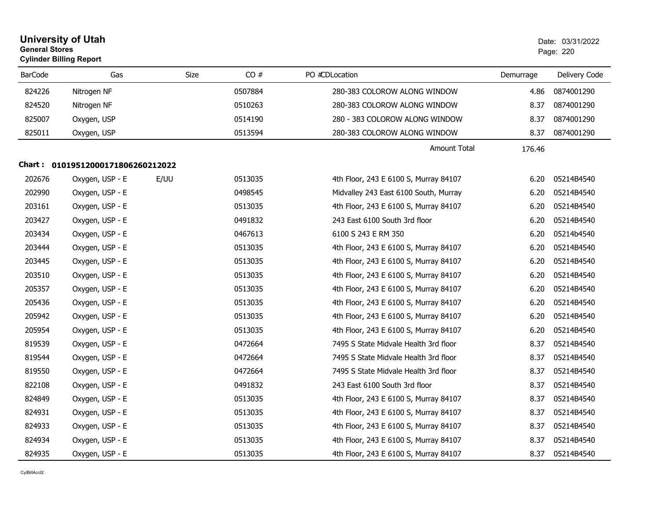|                | <b>University of Utah</b><br><b>General Stores</b><br><b>Cylinder Billing Report</b> |      |             |                                       | Date: 03/31/2022<br>Page: 220 |               |  |
|----------------|--------------------------------------------------------------------------------------|------|-------------|---------------------------------------|-------------------------------|---------------|--|
| <b>BarCode</b> | Gas                                                                                  |      | CO#<br>Size | PO #CDLocation                        | Demurrage                     | Delivery Code |  |
| 824226         | Nitrogen NF                                                                          |      | 0507884     | 280-383 COLOROW ALONG WINDOW          | 4.86                          | 0874001290    |  |
| 824520         | Nitrogen NF                                                                          |      | 0510263     | 280-383 COLOROW ALONG WINDOW          | 8.37                          | 0874001290    |  |
| 825007         | Oxygen, USP                                                                          |      | 0514190     | 280 - 383 COLOROW ALONG WINDOW        | 8.37                          | 0874001290    |  |
| 825011         | Oxygen, USP                                                                          |      | 0513594     | 280-383 COLOROW ALONG WINDOW          | 8.37                          | 0874001290    |  |
|                |                                                                                      |      |             | <b>Amount Total</b>                   | 176.46                        |               |  |
|                | Chart: 01019512000171806260212022                                                    |      |             |                                       |                               |               |  |
| 202676         | Oxygen, USP - E                                                                      | E/UU | 0513035     | 4th Floor, 243 E 6100 S, Murray 84107 | 6.20                          | 05214B4540    |  |
| 202990         | Oxygen, USP - E                                                                      |      | 0498545     | Midvalley 243 East 6100 South, Murray | 6.20                          | 05214B4540    |  |
| 203161         | Oxygen, USP - E                                                                      |      | 0513035     | 4th Floor, 243 E 6100 S, Murray 84107 | 6.20                          | 05214B4540    |  |
| 203427         | Oxygen, USP - E                                                                      |      | 0491832     | 243 East 6100 South 3rd floor         | 6.20                          | 05214B4540    |  |
| 203434         | Oxygen, USP - E                                                                      |      | 0467613     | 6100 S 243 E RM 350                   | 6.20                          | 05214b4540    |  |
| 203444         | Oxygen, USP - E                                                                      |      | 0513035     | 4th Floor, 243 E 6100 S, Murray 84107 | 6.20                          | 05214B4540    |  |
| 203445         | Oxygen, USP - E                                                                      |      | 0513035     | 4th Floor, 243 E 6100 S, Murray 84107 | 6.20                          | 05214B4540    |  |
| 203510         | Oxygen, USP - E                                                                      |      | 0513035     | 4th Floor, 243 E 6100 S, Murray 84107 | 6.20                          | 05214B4540    |  |
| 205357         | Oxygen, USP - E                                                                      |      | 0513035     | 4th Floor, 243 E 6100 S, Murray 84107 | 6.20                          | 05214B4540    |  |
| 205436         | Oxygen, USP - E                                                                      |      | 0513035     | 4th Floor, 243 E 6100 S, Murray 84107 | 6.20                          | 05214B4540    |  |
| 205942         | Oxygen, USP - E                                                                      |      | 0513035     | 4th Floor, 243 E 6100 S, Murray 84107 | 6.20                          | 05214B4540    |  |
| 205954         | Oxygen, USP - E                                                                      |      | 0513035     | 4th Floor, 243 E 6100 S, Murray 84107 | 6.20                          | 05214B4540    |  |
| 819539         | Oxygen, USP - E                                                                      |      | 0472664     | 7495 S State Midvale Health 3rd floor | 8.37                          | 05214B4540    |  |
| 819544         | Oxygen, USP - E                                                                      |      | 0472664     | 7495 S State Midvale Health 3rd floor | 8.37                          | 05214B4540    |  |
| 819550         | Oxygen, USP - E                                                                      |      | 0472664     | 7495 S State Midvale Health 3rd floor | 8.37                          | 05214B4540    |  |
| 822108         | Oxygen, USP - E                                                                      |      | 0491832     | 243 East 6100 South 3rd floor         | 8.37                          | 05214B4540    |  |
| 824849         | Oxygen, USP - E                                                                      |      | 0513035     | 4th Floor, 243 E 6100 S, Murray 84107 | 8.37                          | 05214B4540    |  |
| 824931         | Oxygen, USP - E                                                                      |      | 0513035     | 4th Floor, 243 E 6100 S, Murray 84107 | 8.37                          | 05214B4540    |  |
| 824933         | Oxygen, USP - E                                                                      |      | 0513035     | 4th Floor, 243 E 6100 S, Murray 84107 | 8.37                          | 05214B4540    |  |
| 824934         | Oxygen, USP - E                                                                      |      | 0513035     | 4th Floor, 243 E 6100 S, Murray 84107 | 8.37                          | 05214B4540    |  |
| 824935         | Oxygen, USP - E                                                                      |      | 0513035     | 4th Floor, 243 E 6100 S, Murray 84107 | 8.37                          | 05214B4540    |  |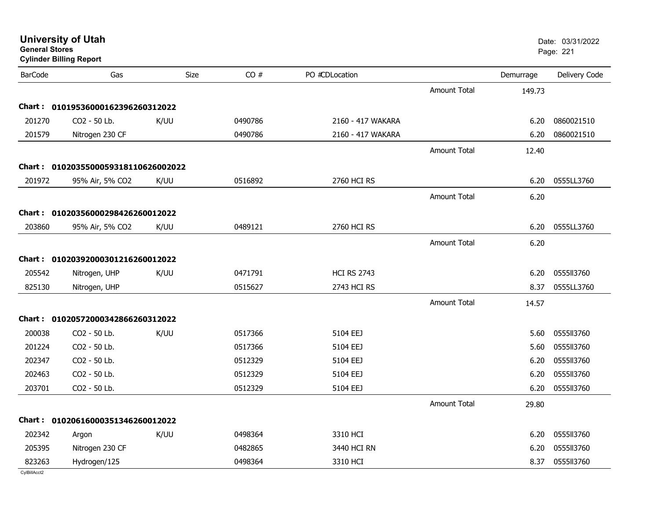| General Stores<br><b>Cylinder Billing Report</b> |                                     |      |         |                    |                     |           | Page: 221     |
|--------------------------------------------------|-------------------------------------|------|---------|--------------------|---------------------|-----------|---------------|
| <b>BarCode</b>                                   | Gas                                 | Size | CO#     | PO #CDLocation     |                     | Demurrage | Delivery Code |
|                                                  |                                     |      |         |                    | <b>Amount Total</b> | 149.73    |               |
|                                                  | Chart: 01019536000162396260312022   |      |         |                    |                     |           |               |
| 201270                                           | CO2 - 50 Lb.                        | K/UU | 0490786 | 2160 - 417 WAKARA  |                     | 6.20      | 0860021510    |
| 201579                                           | Nitrogen 230 CF                     |      | 0490786 | 2160 - 417 WAKARA  |                     | 6.20      | 0860021510    |
|                                                  |                                     |      |         |                    | <b>Amount Total</b> | 12.40     |               |
|                                                  | Chart: 0102035500059318110626002022 |      |         |                    |                     |           |               |
| 201972                                           | 95% Air, 5% CO2                     | K/UU | 0516892 | 2760 HCI RS        |                     | 6.20      | 0555LL3760    |
|                                                  |                                     |      |         |                    | <b>Amount Total</b> | 6.20      |               |
|                                                  | Chart: 01020356000298426260012022   |      |         |                    |                     |           |               |
| 203860                                           | 95% Air, 5% CO2                     | K/UU | 0489121 | 2760 HCI RS        |                     | 6.20      | 0555LL3760    |
|                                                  |                                     |      |         |                    | Amount Total        | 6.20      |               |
|                                                  | Chart: 01020392000301216260012022   |      |         |                    |                     |           |               |
| 205542                                           | Nitrogen, UHP                       | K/UU | 0471791 | <b>HCI RS 2743</b> |                     | 6.20      | 0555113760    |
| 825130                                           | Nitrogen, UHP                       |      | 0515627 | <b>2743 HCI RS</b> |                     | 8.37      | 0555LL3760    |
|                                                  |                                     |      |         |                    | <b>Amount Total</b> | 14.57     |               |
|                                                  | Chart: 01020572000342866260312022   |      |         |                    |                     |           |               |
| 200038                                           | CO2 - 50 Lb.                        | K/UU | 0517366 | 5104 EEJ           |                     | 5.60      | 0555113760    |
| 201224                                           | CO2 - 50 Lb.                        |      | 0517366 | 5104 EEJ           |                     | 5.60      | 0555113760    |
| 202347                                           | CO2 - 50 Lb.                        |      | 0512329 | 5104 EEJ           |                     | 6.20      | 0555113760    |
| 202463                                           | CO2 - 50 Lb.                        |      | 0512329 | 5104 EEJ           |                     | 6.20      | 0555113760    |
| 203701                                           | CO2 - 50 Lb.                        |      | 0512329 | 5104 EEJ           |                     | 6.20      | 0555113760    |
|                                                  |                                     |      |         |                    | <b>Amount Total</b> | 29.80     |               |
|                                                  | Chart: 01020616000351346260012022   |      |         |                    |                     |           |               |
| 202342                                           | Argon                               | K/UU | 0498364 | 3310 HCI           |                     | 6.20      | 0555113760    |
| 205395                                           | Nitrogen 230 CF                     |      | 0482865 | 3440 HCI RN        |                     | 6.20      | 0555113760    |
| 823263                                           | Hydrogen/125                        |      | 0498364 | 3310 HCI           |                     | 8.37      | 0555113760    |

**General Stores**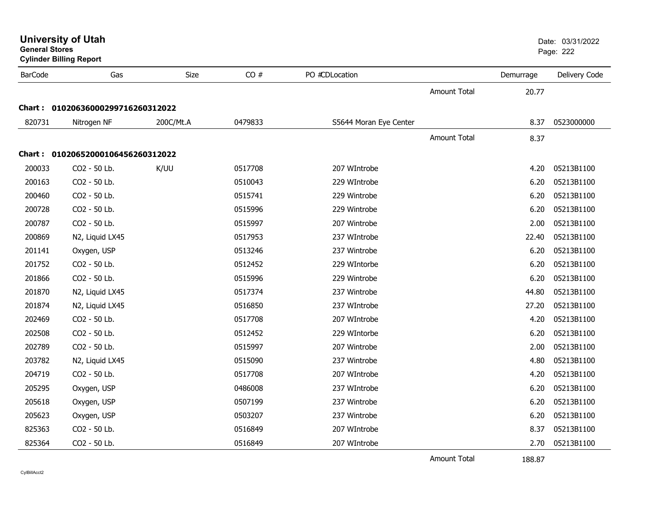|                | <b>General Stores</b><br><b>Cylinder Billing Report</b> |             |         |                        |                     | Page: 222 |               |
|----------------|---------------------------------------------------------|-------------|---------|------------------------|---------------------|-----------|---------------|
| <b>BarCode</b> | Gas                                                     | <b>Size</b> | CO#     | PO #CDLocation         |                     | Demurrage | Delivery Code |
|                |                                                         |             |         |                        | <b>Amount Total</b> | 20.77     |               |
|                | Chart: 01020636000299716260312022                       |             |         |                        |                     |           |               |
| 820731         | Nitrogen NF                                             | 200C/Mt.A   | 0479833 | S5644 Moran Eye Center |                     | 8.37      | 0523000000    |
|                |                                                         |             |         |                        | <b>Amount Total</b> | 8.37      |               |
|                | Chart: 01020652000106456260312022                       |             |         |                        |                     |           |               |
| 200033         | CO2 - 50 Lb.                                            | K/UU        | 0517708 | 207 WIntrobe           |                     | 4.20      | 05213B1100    |
| 200163         | CO2 - 50 Lb.                                            |             | 0510043 | 229 WIntrobe           |                     | 6.20      | 05213B1100    |
| 200460         | CO2 - 50 Lb.                                            |             | 0515741 | 229 Wintrobe           |                     | 6.20      | 05213B1100    |
| 200728         | CO2 - 50 Lb.                                            |             | 0515996 | 229 Wintrobe           |                     | 6.20      | 05213B1100    |
| 200787         | CO2 - 50 Lb.                                            |             | 0515997 | 207 Wintrobe           |                     | 2.00      | 05213B1100    |
| 200869         | N2, Liquid LX45                                         |             | 0517953 | 237 WIntrobe           |                     | 22.40     | 05213B1100    |
| 201141         | Oxygen, USP                                             |             | 0513246 | 237 Wintrobe           |                     | 6.20      | 05213B1100    |
| 201752         | CO2 - 50 Lb.                                            |             | 0512452 | 229 WIntorbe           |                     | 6.20      | 05213B1100    |
| 201866         | CO2 - 50 Lb.                                            |             | 0515996 | 229 Wintrobe           |                     | 6.20      | 05213B1100    |
| 201870         | N2, Liquid LX45                                         |             | 0517374 | 237 Wintrobe           |                     | 44.80     | 05213B1100    |
| 201874         | N2, Liquid LX45                                         |             | 0516850 | 237 WIntrobe           |                     | 27.20     | 05213B1100    |
| 202469         | CO2 - 50 Lb.                                            |             | 0517708 | 207 WIntrobe           |                     | 4.20      | 05213B1100    |
| 202508         | CO2 - 50 Lb.                                            |             | 0512452 | 229 WIntorbe           |                     | 6.20      | 05213B1100    |
| 202789         | CO2 - 50 Lb.                                            |             | 0515997 | 207 Wintrobe           |                     | 2.00      | 05213B1100    |
| 203782         | N2, Liquid LX45                                         |             | 0515090 | 237 Wintrobe           |                     | 4.80      | 05213B1100    |
| 204719         | CO2 - 50 Lb.                                            |             | 0517708 | 207 WIntrobe           |                     | 4.20      | 05213B1100    |
| 205295         | Oxygen, USP                                             |             | 0486008 | 237 WIntrobe           |                     | 6.20      | 05213B1100    |
| 205618         | Oxygen, USP                                             |             | 0507199 | 237 Wintrobe           |                     | 6.20      | 05213B1100    |
| 205623         | Oxygen, USP                                             |             | 0503207 | 237 Wintrobe           |                     | 6.20      | 05213B1100    |
| 825363         | CO2 - 50 Lb.                                            |             | 0516849 | 207 WIntrobe           |                     | 8.37      | 05213B1100    |
| 825364         | CO2 - 50 Lb.                                            |             | 0516849 | 207 WIntrobe           |                     | 2.70      | 05213B1100    |

**University of Utah** Date: 03/31/2022

Amount Total

188.87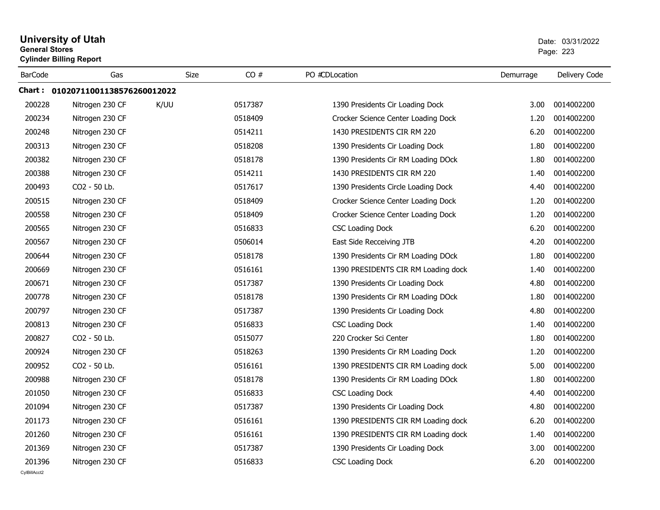| <b>General Stores</b> | <b>University of Utah</b><br><b>Cylinder Billing Report</b> |             |         | Date: 03/31/2022<br>Page: 223       |           |               |
|-----------------------|-------------------------------------------------------------|-------------|---------|-------------------------------------|-----------|---------------|
| <b>BarCode</b>        | Gas                                                         | <b>Size</b> | CO#     | PO #CDLocation                      | Demurrage | Delivery Code |
|                       | Chart: 01020711001138576260012022                           |             |         |                                     |           |               |
| 200228                | Nitrogen 230 CF                                             | K/UU        | 0517387 | 1390 Presidents Cir Loading Dock    | 3.00      | 0014002200    |
| 200234                | Nitrogen 230 CF                                             |             | 0518409 | Crocker Science Center Loading Dock | 1.20      | 0014002200    |
| 200248                | Nitrogen 230 CF                                             |             | 0514211 | 1430 PRESIDENTS CIR RM 220          | 6.20      | 0014002200    |
| 200313                | Nitrogen 230 CF                                             |             | 0518208 | 1390 Presidents Cir Loading Dock    | 1.80      | 0014002200    |
| 200382                | Nitrogen 230 CF                                             |             | 0518178 | 1390 Presidents Cir RM Loading DOck | 1.80      | 0014002200    |
| 200388                | Nitrogen 230 CF                                             |             | 0514211 | 1430 PRESIDENTS CIR RM 220          | 1.40      | 0014002200    |
| 200493                | CO2 - 50 Lb.                                                |             | 0517617 | 1390 Presidents Circle Loading Dock | 4.40      | 0014002200    |
| 200515                | Nitrogen 230 CF                                             |             | 0518409 | Crocker Science Center Loading Dock | 1.20      | 0014002200    |
| 200558                | Nitrogen 230 CF                                             |             | 0518409 | Crocker Science Center Loading Dock | 1.20      | 0014002200    |
| 200565                | Nitrogen 230 CF                                             |             | 0516833 | <b>CSC Loading Dock</b>             | 6.20      | 0014002200    |
| 200567                | Nitrogen 230 CF                                             |             | 0506014 | East Side Recceiving JTB            | 4.20      | 0014002200    |
| 200644                | Nitrogen 230 CF                                             |             | 0518178 | 1390 Presidents Cir RM Loading DOck | 1.80      | 0014002200    |
| 200669                | Nitrogen 230 CF                                             |             | 0516161 | 1390 PRESIDENTS CIR RM Loading dock | 1.40      | 0014002200    |
| 200671                | Nitrogen 230 CF                                             |             | 0517387 | 1390 Presidents Cir Loading Dock    | 4.80      | 0014002200    |
| 200778                | Nitrogen 230 CF                                             |             | 0518178 | 1390 Presidents Cir RM Loading DOck | 1.80      | 0014002200    |
| 200797                | Nitrogen 230 CF                                             |             | 0517387 | 1390 Presidents Cir Loading Dock    | 4.80      | 0014002200    |
| 200813                | Nitrogen 230 CF                                             |             | 0516833 | <b>CSC Loading Dock</b>             | 1.40      | 0014002200    |
| 200827                | CO2 - 50 Lb.                                                |             | 0515077 | 220 Crocker Sci Center              | 1.80      | 0014002200    |
| 200924                | Nitrogen 230 CF                                             |             | 0518263 | 1390 Presidents Cir RM Loading Dock | 1.20      | 0014002200    |
| 200952                | CO <sub>2</sub> - 50 Lb.                                    |             | 0516161 | 1390 PRESIDENTS CIR RM Loading dock | 5.00      | 0014002200    |
| 200988                | Nitrogen 230 CF                                             |             | 0518178 | 1390 Presidents Cir RM Loading DOck | 1.80      | 0014002200    |
| 201050                | Nitrogen 230 CF                                             |             | 0516833 | <b>CSC Loading Dock</b>             | 4.40      | 0014002200    |
| 201094                | Nitrogen 230 CF                                             |             | 0517387 | 1390 Presidents Cir Loading Dock    | 4.80      | 0014002200    |
| 201173                | Nitrogen 230 CF                                             |             | 0516161 | 1390 PRESIDENTS CIR RM Loading dock | 6.20      | 0014002200    |
| 201260                | Nitrogen 230 CF                                             |             | 0516161 | 1390 PRESIDENTS CIR RM Loading dock | 1.40      | 0014002200    |
| 201369                | Nitrogen 230 CF                                             |             | 0517387 | 1390 Presidents Cir Loading Dock    | 3.00      | 0014002200    |
| 201396                | Nitrogen 230 CF                                             |             | 0516833 | <b>CSC Loading Dock</b>             | 6.20      | 0014002200    |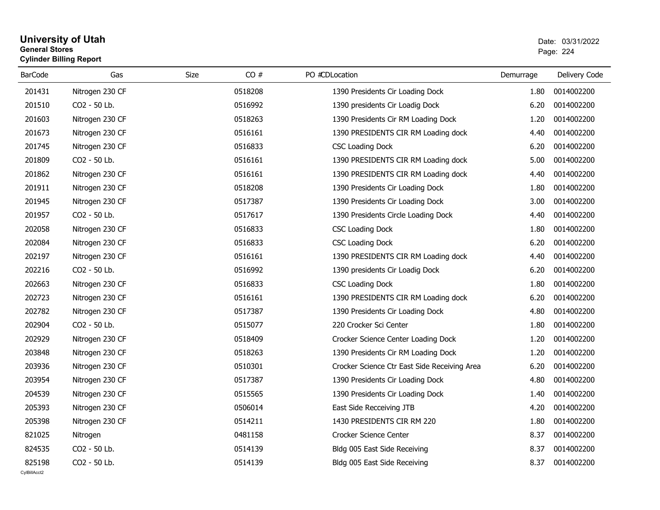### **University of Utah** Date: 03/31/2022 **General Stores**es and the contract of the contract of the contract of the contract of the contract of the contract of the contract of the contract of the contract of the contract of the contract of the contract of the contract of the con **Cylinder Billing Report**

| <b>BarCode</b>         | Gas             | Size    | CO# | PO #CDLocation                               | Demurrage | Delivery Code |
|------------------------|-----------------|---------|-----|----------------------------------------------|-----------|---------------|
| 201431                 | Nitrogen 230 CF | 0518208 |     | 1390 Presidents Cir Loading Dock             | 1.80      | 0014002200    |
| 201510                 | CO2 - 50 Lb.    | 0516992 |     | 1390 presidents Cir Loadig Dock              | 6.20      | 0014002200    |
| 201603                 | Nitrogen 230 CF | 0518263 |     | 1390 Presidents Cir RM Loading Dock          | 1.20      | 0014002200    |
| 201673                 | Nitrogen 230 CF | 0516161 |     | 1390 PRESIDENTS CIR RM Loading dock          | 4.40      | 0014002200    |
| 201745                 | Nitrogen 230 CF | 0516833 |     | <b>CSC Loading Dock</b>                      | 6.20      | 0014002200    |
| 201809                 | CO2 - 50 Lb.    | 0516161 |     | 1390 PRESIDENTS CIR RM Loading dock          | 5.00      | 0014002200    |
| 201862                 | Nitrogen 230 CF | 0516161 |     | 1390 PRESIDENTS CIR RM Loading dock          | 4.40      | 0014002200    |
| 201911                 | Nitrogen 230 CF | 0518208 |     | 1390 Presidents Cir Loading Dock             | 1.80      | 0014002200    |
| 201945                 | Nitrogen 230 CF | 0517387 |     | 1390 Presidents Cir Loading Dock             | 3.00      | 0014002200    |
| 201957                 | CO2 - 50 Lb.    | 0517617 |     | 1390 Presidents Circle Loading Dock          | 4.40      | 0014002200    |
| 202058                 | Nitrogen 230 CF | 0516833 |     | <b>CSC Loading Dock</b>                      | 1.80      | 0014002200    |
| 202084                 | Nitrogen 230 CF | 0516833 |     | <b>CSC Loading Dock</b>                      | 6.20      | 0014002200    |
| 202197                 | Nitrogen 230 CF | 0516161 |     | 1390 PRESIDENTS CIR RM Loading dock          | 4.40      | 0014002200    |
| 202216                 | CO2 - 50 Lb.    | 0516992 |     | 1390 presidents Cir Loadig Dock              | 6.20      | 0014002200    |
| 202663                 | Nitrogen 230 CF | 0516833 |     | <b>CSC Loading Dock</b>                      | 1.80      | 0014002200    |
| 202723                 | Nitrogen 230 CF | 0516161 |     | 1390 PRESIDENTS CIR RM Loading dock          | 6.20      | 0014002200    |
| 202782                 | Nitrogen 230 CF | 0517387 |     | 1390 Presidents Cir Loading Dock             | 4.80      | 0014002200    |
| 202904                 | CO2 - 50 Lb.    | 0515077 |     | 220 Crocker Sci Center                       | 1.80      | 0014002200    |
| 202929                 | Nitrogen 230 CF | 0518409 |     | Crocker Science Center Loading Dock          | 1.20      | 0014002200    |
| 203848                 | Nitrogen 230 CF | 0518263 |     | 1390 Presidents Cir RM Loading Dock          | 1.20      | 0014002200    |
| 203936                 | Nitrogen 230 CF | 0510301 |     | Crocker Science Ctr East Side Receiving Area | 6.20      | 0014002200    |
| 203954                 | Nitrogen 230 CF | 0517387 |     | 1390 Presidents Cir Loading Dock             | 4.80      | 0014002200    |
| 204539                 | Nitrogen 230 CF | 0515565 |     | 1390 Presidents Cir Loading Dock             | 1.40      | 0014002200    |
| 205393                 | Nitrogen 230 CF | 0506014 |     | East Side Recceiving JTB                     | 4.20      | 0014002200    |
| 205398                 | Nitrogen 230 CF | 0514211 |     | 1430 PRESIDENTS CIR RM 220                   | 1.80      | 0014002200    |
| 821025                 | Nitrogen        | 0481158 |     | Crocker Science Center                       | 8.37      | 0014002200    |
| 824535                 | CO2 - 50 Lb.    | 0514139 |     | Bldg 005 East Side Receiving                 | 8.37      | 0014002200    |
| 825198<br>CvIBillAcct2 | CO2 - 50 Lb.    | 0514139 |     | Bldg 005 East Side Receiving                 | 8.37      | 0014002200    |
|                        |                 |         |     |                                              |           |               |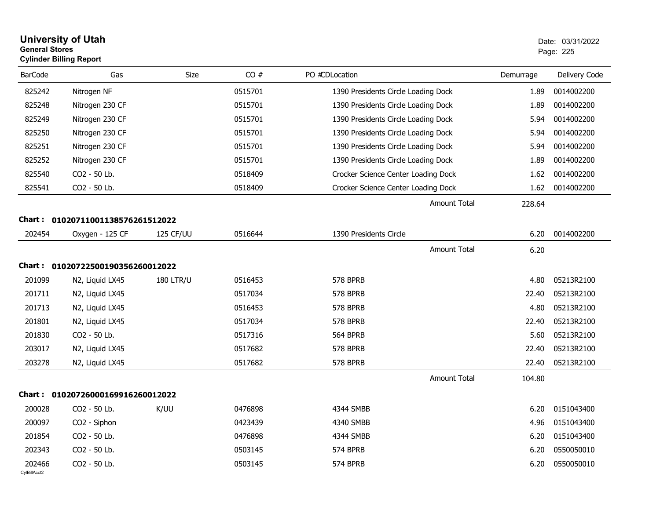| <b>General Stores</b>  | <b>University of Utah</b><br><b>Cylinder Billing Report</b> | Date: 03/31/2022<br>Page: 225 |         |                                     |                     |           |               |
|------------------------|-------------------------------------------------------------|-------------------------------|---------|-------------------------------------|---------------------|-----------|---------------|
| <b>BarCode</b>         | Gas                                                         | <b>Size</b>                   | CO#     | PO #CDLocation                      |                     | Demurrage | Delivery Code |
| 825242                 | Nitrogen NF                                                 |                               | 0515701 | 1390 Presidents Circle Loading Dock |                     | 1.89      | 0014002200    |
| 825248                 | Nitrogen 230 CF                                             |                               | 0515701 | 1390 Presidents Circle Loading Dock |                     | 1.89      | 0014002200    |
| 825249                 | Nitrogen 230 CF                                             |                               | 0515701 | 1390 Presidents Circle Loading Dock |                     | 5.94      | 0014002200    |
| 825250                 | Nitrogen 230 CF                                             |                               | 0515701 | 1390 Presidents Circle Loading Dock |                     | 5.94      | 0014002200    |
| 825251                 | Nitrogen 230 CF                                             |                               | 0515701 | 1390 Presidents Circle Loading Dock |                     | 5.94      | 0014002200    |
| 825252                 | Nitrogen 230 CF                                             |                               | 0515701 | 1390 Presidents Circle Loading Dock |                     | 1.89      | 0014002200    |
| 825540                 | CO2 - 50 Lb.                                                |                               | 0518409 | Crocker Science Center Loading Dock |                     | 1.62      | 0014002200    |
| 825541                 | CO2 - 50 Lb.                                                |                               | 0518409 | Crocker Science Center Loading Dock |                     | 1.62      | 0014002200    |
|                        |                                                             |                               |         |                                     | <b>Amount Total</b> | 228.64    |               |
|                        | Chart: 01020711001138576261512022                           |                               |         |                                     |                     |           |               |
| 202454                 | Oxygen - 125 CF                                             | 125 CF/UU                     | 0516644 | 1390 Presidents Circle              |                     | 6.20      | 0014002200    |
|                        |                                                             |                               |         |                                     | <b>Amount Total</b> | 6.20      |               |
|                        | Chart: 01020722500190356260012022                           |                               |         |                                     |                     |           |               |
| 201099                 | N2, Liquid LX45                                             | <b>180 LTR/U</b>              | 0516453 | 578 BPRB                            |                     | 4.80      | 05213R2100    |
| 201711                 | N2, Liquid LX45                                             |                               | 0517034 | 578 BPRB                            |                     | 22.40     | 05213R2100    |
| 201713                 | N2, Liquid LX45                                             |                               | 0516453 | 578 BPRB                            |                     | 4.80      | 05213R2100    |
| 201801                 | N2, Liquid LX45                                             |                               | 0517034 | 578 BPRB                            |                     | 22.40     | 05213R2100    |
| 201830                 | CO2 - 50 Lb.                                                |                               | 0517316 | 564 BPRB                            |                     | 5.60      | 05213R2100    |
| 203017                 | N2, Liquid LX45                                             |                               | 0517682 | 578 BPRB                            |                     | 22.40     | 05213R2100    |
| 203278                 | N2, Liquid LX45                                             |                               | 0517682 | 578 BPRB                            |                     | 22.40     | 05213R2100    |
|                        |                                                             |                               |         |                                     | <b>Amount Total</b> | 104.80    |               |
|                        | Chart: 01020726000169916260012022                           |                               |         |                                     |                     |           |               |
| 200028                 | CO <sub>2</sub> - 50 Lb.                                    | K/UU                          | 0476898 | 4344 SMBB                           |                     | 6.20      | 0151043400    |
| 200097                 | CO <sub>2</sub> - Siphon                                    |                               | 0423439 | 4340 SMBB                           |                     | 4.96      | 0151043400    |
| 201854                 | CO2 - 50 Lb.                                                |                               | 0476898 | 4344 SMBB                           |                     | 6.20      | 0151043400    |
| 202343                 | CO2 - 50 Lb.                                                |                               | 0503145 | 574 BPRB                            |                     | 6.20      | 0550050010    |
| 202466<br>CylBillAcct2 | CO2 - 50 Lb.                                                |                               | 0503145 | 574 BPRB                            |                     | 6.20      | 0550050010    |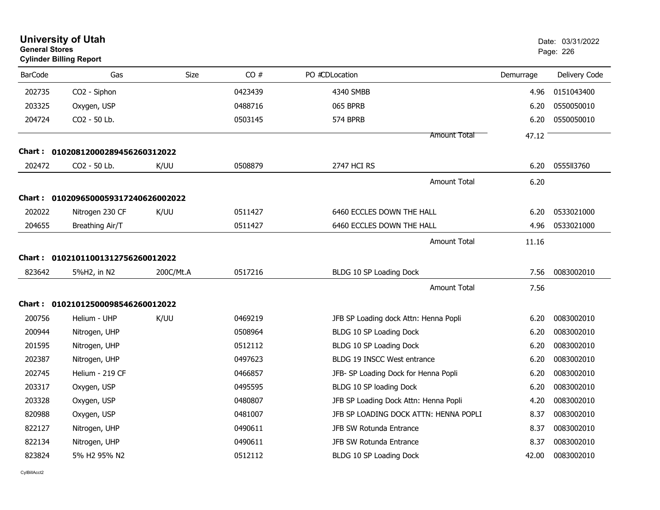|                | <b>University of Utah</b><br>Date: 03/31/2022<br><b>General Stores</b><br>Page: 226<br><b>Cylinder Billing Report</b> |           |         |                                       |           |               |
|----------------|-----------------------------------------------------------------------------------------------------------------------|-----------|---------|---------------------------------------|-----------|---------------|
| <b>BarCode</b> | Gas                                                                                                                   | Size      | CO#     | PO #CDLocation                        | Demurrage | Delivery Code |
| 202735         | CO2 - Siphon                                                                                                          |           | 0423439 | 4340 SMBB                             | 4.96      | 0151043400    |
| 203325         | Oxygen, USP                                                                                                           |           | 0488716 | 065 BPRB                              | 6.20      | 0550050010    |
| 204724         | CO2 - 50 Lb.                                                                                                          |           | 0503145 | 574 BPRB                              | 6.20      | 0550050010    |
|                |                                                                                                                       |           |         | Amount Total                          | 47.12     |               |
| Chart :        | 01020812000289456260312022                                                                                            |           |         |                                       |           |               |
| 202472         | CO <sub>2</sub> - 50 Lb.                                                                                              | K/UU      | 0508879 | 2747 HCI RS                           | 6.20      | 055513760     |
|                |                                                                                                                       |           |         | <b>Amount Total</b>                   | 6.20      |               |
|                | Chart: 0102096500059317240626002022                                                                                   |           |         |                                       |           |               |
| 202022         | Nitrogen 230 CF                                                                                                       | K/UU      | 0511427 | 6460 ECCLES DOWN THE HALL             | 6.20      | 0533021000    |
| 204655         | Breathing Air/T                                                                                                       |           | 0511427 | 6460 ECCLES DOWN THE HALL             | 4.96      | 0533021000    |
|                |                                                                                                                       |           |         | Amount Total                          | 11.16     |               |
|                | Chart: 01021011001312756260012022                                                                                     |           |         |                                       |           |               |
| 823642         | 5%H2, in N2                                                                                                           | 200C/Mt.A | 0517216 | BLDG 10 SP Loading Dock               | 7.56      | 0083002010    |
|                |                                                                                                                       |           |         | <b>Amount Total</b>                   | 7.56      |               |
|                | Chart: 01021012500098546260012022                                                                                     |           |         |                                       |           |               |
| 200756         | Helium - UHP                                                                                                          | K/UU      | 0469219 | JFB SP Loading dock Attn: Henna Popli | 6.20      | 0083002010    |
| 200944         | Nitrogen, UHP                                                                                                         |           | 0508964 | BLDG 10 SP Loading Dock               | 6.20      | 0083002010    |
| 201595         | Nitrogen, UHP                                                                                                         |           | 0512112 | BLDG 10 SP Loading Dock               | 6.20      | 0083002010    |
| 202387         | Nitrogen, UHP                                                                                                         |           | 0497623 | BLDG 19 INSCC West entrance           | 6.20      | 0083002010    |
| 202745         | Helium - 219 CF                                                                                                       |           | 0466857 | JFB- SP Loading Dock for Henna Popli  | 6.20      | 0083002010    |
| 203317         | Oxygen, USP                                                                                                           |           | 0495595 | BLDG 10 SP loading Dock               | 6.20      | 0083002010    |
| 203328         | Oxygen, USP                                                                                                           |           | 0480807 | JFB SP Loading Dock Attn: Henna Popli | 4.20      | 0083002010    |
| 820988         | Oxygen, USP                                                                                                           |           | 0481007 | JFB SP LOADING DOCK ATTN: HENNA POPLI | 8.37      | 0083002010    |
| 822127         | Nitrogen, UHP                                                                                                         |           | 0490611 | JFB SW Rotunda Entrance               | 8.37      | 0083002010    |
| 822134         | Nitrogen, UHP                                                                                                         |           | 0490611 | JFB SW Rotunda Entrance               | 8.37      | 0083002010    |
| 823824         | 5% H2 95% N2                                                                                                          |           | 0512112 | BLDG 10 SP Loading Dock               | 42.00     | 0083002010    |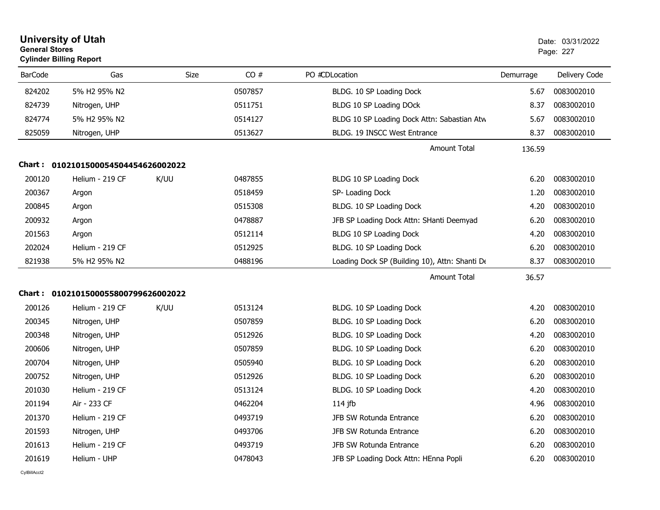| <b>General Stores</b> | <b>University of Utah</b><br><b>Cylinder Billing Report</b> |             |         |                                                | Date: 03/31/2022<br>Page: 227 |               |  |
|-----------------------|-------------------------------------------------------------|-------------|---------|------------------------------------------------|-------------------------------|---------------|--|
| <b>BarCode</b>        | Gas                                                         | <b>Size</b> | CO#     | PO #CDLocation                                 | Demurrage                     | Delivery Code |  |
| 824202                | 5% H2 95% N2                                                |             | 0507857 | BLDG. 10 SP Loading Dock                       | 5.67                          | 0083002010    |  |
| 824739                | Nitrogen, UHP                                               |             | 0511751 | BLDG 10 SP Loading DOck                        | 8.37                          | 0083002010    |  |
| 824774                | 5% H2 95% N2                                                |             | 0514127 | BLDG 10 SP Loading Dock Attn: Sabastian Atw    | 5.67                          | 0083002010    |  |
| 825059                | Nitrogen, UHP                                               |             | 0513627 | BLDG. 19 INSCC West Entrance                   | 8.37                          | 0083002010    |  |
|                       |                                                             |             |         | <b>Amount Total</b>                            | 136.59                        |               |  |
|                       | Chart: 0102101500054504454626002022                         |             |         |                                                |                               |               |  |
| 200120                | Helium - 219 CF                                             | K/UU        | 0487855 | BLDG 10 SP Loading Dock                        | 6.20                          | 0083002010    |  |
| 200367                | Argon                                                       |             | 0518459 | SP- Loading Dock                               | 1.20                          | 0083002010    |  |
| 200845                | Argon                                                       |             | 0515308 | BLDG. 10 SP Loading Dock                       | 4.20                          | 0083002010    |  |
| 200932                | Argon                                                       |             | 0478887 | JFB SP Loading Dock Attn: SHanti Deemyad       | 6.20                          | 0083002010    |  |
| 201563                | Argon                                                       |             | 0512114 | BLDG 10 SP Loading Dock                        | 4.20                          | 0083002010    |  |
| 202024                | Helium - 219 CF                                             |             | 0512925 | BLDG. 10 SP Loading Dock                       | 6.20                          | 0083002010    |  |
| 821938                | 5% H2 95% N2                                                |             | 0488196 | Loading Dock SP (Building 10), Attn: Shanti De | 8.37                          | 0083002010    |  |
|                       |                                                             |             |         | <b>Amount Total</b>                            | 36.57                         |               |  |
|                       | Chart: 0102101500055800799626002022                         |             |         |                                                |                               |               |  |
| 200126                | Helium - 219 CF                                             | K/UU        | 0513124 | BLDG. 10 SP Loading Dock                       | 4.20                          | 0083002010    |  |
| 200345                | Nitrogen, UHP                                               |             | 0507859 | BLDG. 10 SP Loading Dock                       | 6.20                          | 0083002010    |  |
| 200348                | Nitrogen, UHP                                               |             | 0512926 | BLDG. 10 SP Loading Dock                       | 4.20                          | 0083002010    |  |
| 200606                | Nitrogen, UHP                                               |             | 0507859 | BLDG. 10 SP Loading Dock                       | 6.20                          | 0083002010    |  |
| 200704                | Nitrogen, UHP                                               |             | 0505940 | BLDG. 10 SP Loading Dock                       | 6.20                          | 0083002010    |  |
| 200752                | Nitrogen, UHP                                               |             | 0512926 | BLDG. 10 SP Loading Dock                       | 6.20                          | 0083002010    |  |
| 201030                | Helium - 219 CF                                             |             | 0513124 | BLDG. 10 SP Loading Dock                       | 4.20                          | 0083002010    |  |
| 201194                | Air - 233 CF                                                |             | 0462204 | 114 jfb                                        | 4.96                          | 0083002010    |  |
| 201370                | Helium - 219 CF                                             |             | 0493719 | JFB SW Rotunda Entrance                        | 6.20                          | 0083002010    |  |
| 201593                | Nitrogen, UHP                                               |             | 0493706 | JFB SW Rotunda Entrance                        | 6.20                          | 0083002010    |  |
| 201613                | Helium - 219 CF                                             |             | 0493719 | <b>JFB SW Rotunda Entrance</b>                 | 6.20                          | 0083002010    |  |
| 201619                | Helium - UHP                                                |             | 0478043 | JFB SP Loading Dock Attn: HEnna Popli          | 6.20                          | 0083002010    |  |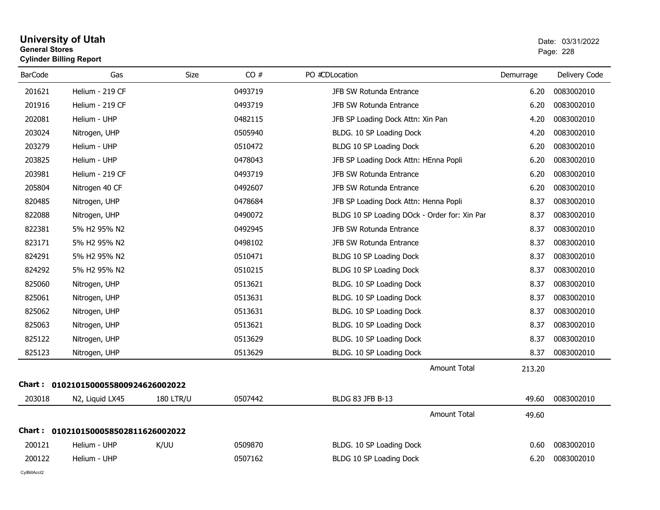### **University of Utah** Date: 03/31/2022 **General Stores**entry of the contract of the contract of the contract of the contract of the contract of the contract of the contract of the contract of the contract of the contract of the contract of the contract of the contract of the c **Cylinder Billing Report**

| <b>BarCode</b> | Gas                                 | Size             | CO#     | PO #CDLocation                               | Demurrage | Delivery Code |
|----------------|-------------------------------------|------------------|---------|----------------------------------------------|-----------|---------------|
| 201621         | Helium - 219 CF                     |                  | 0493719 | JFB SW Rotunda Entrance                      | 6.20      | 0083002010    |
| 201916         | Helium - 219 CF                     |                  | 0493719 | JFB SW Rotunda Entrance                      | 6.20      | 0083002010    |
| 202081         | Helium - UHP                        |                  | 0482115 | JFB SP Loading Dock Attn: Xin Pan            | 4.20      | 0083002010    |
| 203024         | Nitrogen, UHP                       |                  | 0505940 | BLDG. 10 SP Loading Dock                     | 4.20      | 0083002010    |
| 203279         | Helium - UHP                        |                  | 0510472 | BLDG 10 SP Loading Dock                      | 6.20      | 0083002010    |
| 203825         | Helium - UHP                        |                  | 0478043 | JFB SP Loading Dock Attn: HEnna Popli        | 6.20      | 0083002010    |
| 203981         | Helium - 219 CF                     |                  | 0493719 | JFB SW Rotunda Entrance                      | 6.20      | 0083002010    |
| 205804         | Nitrogen 40 CF                      |                  | 0492607 | JFB SW Rotunda Entrance                      | 6.20      | 0083002010    |
| 820485         | Nitrogen, UHP                       |                  | 0478684 | JFB SP Loading Dock Attn: Henna Popli        | 8.37      | 0083002010    |
| 822088         | Nitrogen, UHP                       |                  | 0490072 | BLDG 10 SP Loading DOck - Order for: Xin Par | 8.37      | 0083002010    |
| 822381         | 5% H2 95% N2                        |                  | 0492945 | JFB SW Rotunda Entrance                      | 8.37      | 0083002010    |
| 823171         | 5% H2 95% N2                        |                  | 0498102 | JFB SW Rotunda Entrance                      | 8.37      | 0083002010    |
| 824291         | 5% H2 95% N2                        |                  | 0510471 | BLDG 10 SP Loading Dock                      | 8.37      | 0083002010    |
| 824292         | 5% H2 95% N2                        |                  | 0510215 | BLDG 10 SP Loading Dock                      | 8.37      | 0083002010    |
| 825060         | Nitrogen, UHP                       |                  | 0513621 | BLDG. 10 SP Loading Dock                     | 8.37      | 0083002010    |
| 825061         | Nitrogen, UHP                       |                  | 0513631 | BLDG. 10 SP Loading Dock                     | 8.37      | 0083002010    |
| 825062         | Nitrogen, UHP                       |                  | 0513631 | BLDG. 10 SP Loading Dock                     | 8.37      | 0083002010    |
| 825063         | Nitrogen, UHP                       |                  | 0513621 | BLDG. 10 SP Loading Dock                     | 8.37      | 0083002010    |
| 825122         | Nitrogen, UHP                       |                  | 0513629 | BLDG. 10 SP Loading Dock                     | 8.37      | 0083002010    |
| 825123         | Nitrogen, UHP                       |                  | 0513629 | BLDG. 10 SP Loading Dock                     | 8.37      | 0083002010    |
|                |                                     |                  |         | <b>Amount Total</b>                          | 213.20    |               |
|                | Chart: 0102101500055800924626002022 |                  |         |                                              |           |               |
| 203018         | N2, Liquid LX45                     | <b>180 LTR/U</b> | 0507442 | BLDG 83 JFB B-13                             | 49.60     | 0083002010    |
|                |                                     |                  |         | <b>Amount Total</b>                          | 49.60     |               |
|                | Chart: 0102101500058502811626002022 |                  |         |                                              |           |               |
| 200121         | Helium - UHP                        | K/UU             | 0509870 | BLDG. 10 SP Loading Dock                     | 0.60      | 0083002010    |
| 200122         | Helium - UHP                        |                  | 0507162 | BLDG 10 SP Loading Dock                      | 6.20      | 0083002010    |
|                |                                     |                  |         |                                              |           |               |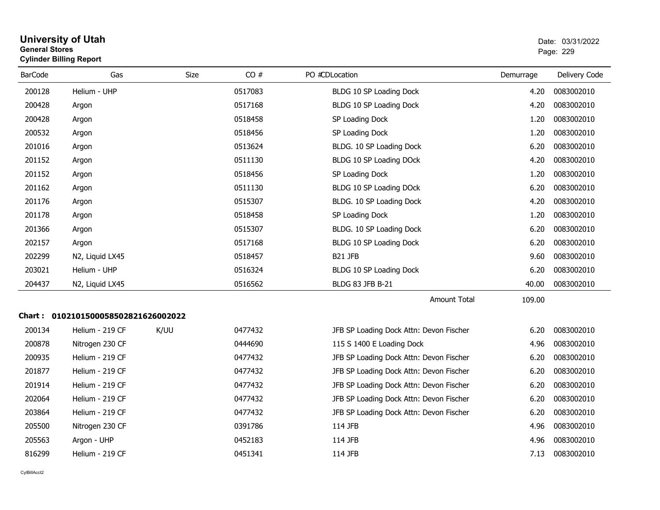| <b>University of Utah</b>      | Date: 03/ |
|--------------------------------|-----------|
| <b>General Stores</b>          | Page: 229 |
| <b>Cylinder Billing Report</b> |           |

| <b>BarCode</b> | Gas                                 | <b>Size</b> | CO#     | PO #CDLocation                          | Demurrage | Delivery Code |
|----------------|-------------------------------------|-------------|---------|-----------------------------------------|-----------|---------------|
| 200128         | Helium - UHP                        |             | 0517083 | BLDG 10 SP Loading Dock                 | 4.20      | 0083002010    |
| 200428         | Argon                               |             | 0517168 | BLDG 10 SP Loading Dock                 | 4.20      | 0083002010    |
| 200428         | Argon                               |             | 0518458 | SP Loading Dock                         | 1.20      | 0083002010    |
| 200532         | Argon                               |             | 0518456 | SP Loading Dock                         | 1.20      | 0083002010    |
| 201016         | Argon                               |             | 0513624 | BLDG. 10 SP Loading Dock                | 6.20      | 0083002010    |
| 201152         | Argon                               |             | 0511130 | BLDG 10 SP Loading DOck                 | 4.20      | 0083002010    |
| 201152         | Argon                               |             | 0518456 | SP Loading Dock                         | 1.20      | 0083002010    |
| 201162         | Argon                               |             | 0511130 | BLDG 10 SP Loading DOck                 | 6.20      | 0083002010    |
| 201176         | Argon                               |             | 0515307 | BLDG. 10 SP Loading Dock                | 4.20      | 0083002010    |
| 201178         | Argon                               |             | 0518458 | SP Loading Dock                         | 1.20      | 0083002010    |
| 201366         | Argon                               |             | 0515307 | BLDG. 10 SP Loading Dock                | 6.20      | 0083002010    |
| 202157         | Argon                               |             | 0517168 | BLDG 10 SP Loading Dock                 | 6.20      | 0083002010    |
| 202299         | N2, Liquid LX45                     |             | 0518457 | <b>B21 JFB</b>                          | 9.60      | 0083002010    |
| 203021         | Helium - UHP                        |             | 0516324 | BLDG 10 SP Loading Dock                 | 6.20      | 0083002010    |
| 204437         | N2, Liquid LX45                     |             | 0516562 | BLDG 83 JFB B-21                        | 40.00     | 0083002010    |
|                |                                     |             |         | Amount Total                            | 109.00    |               |
|                | Chart: 0102101500058502821626002022 |             |         |                                         |           |               |
| 200134         | Helium - 219 CF                     | K/UU        | 0477432 | JFB SP Loading Dock Attn: Devon Fischer | 6.20      | 0083002010    |
| 200878         | Nitrogen 230 CF                     |             | 0444690 | 115 S 1400 E Loading Dock               | 4.96      | 0083002010    |
| 200935         | Helium - 219 CF                     |             | 0477432 | JFB SP Loading Dock Attn: Devon Fischer | 6.20      | 0083002010    |
| 201877         | Helium - 219 CF                     |             | 0477432 | JFB SP Loading Dock Attn: Devon Fischer | 6.20      | 0083002010    |
| 201914         | Helium - 219 CF                     |             | 0477432 | JFB SP Loading Dock Attn: Devon Fischer | 6.20      | 0083002010    |
| 202064         | Helium - 219 CF                     |             | 0477432 | JFB SP Loading Dock Attn: Devon Fischer | 6.20      | 0083002010    |
| 203864         | Helium - 219 CF                     |             | 0477432 | JFB SP Loading Dock Attn: Devon Fischer | 6.20      | 0083002010    |
| 205500         | Nitrogen 230 CF                     |             | 0391786 | 114 JFB                                 | 4.96      | 0083002010    |
| 205563         | Argon - UHP                         |             | 0452183 | 114 JFB                                 | 4.96      | 0083002010    |
| 816299         | Helium - 219 CF                     |             | 0451341 | 114 JFB                                 | 7.13      | 0083002010    |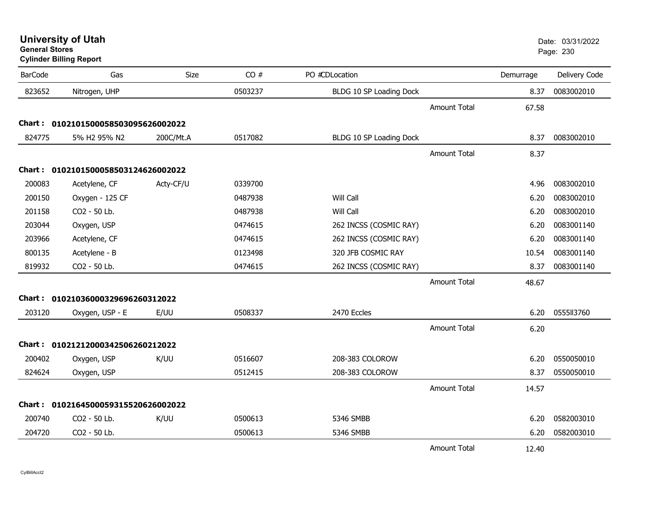**University of Utah** Date: 03/31/2022

**General StoresCylinder Billing Report**

| <b>BarCode</b> | Gas                                 | Size      | CO#     | PO #CDLocation          |                     | Demurrage | Delivery Code |
|----------------|-------------------------------------|-----------|---------|-------------------------|---------------------|-----------|---------------|
| 823652         | Nitrogen, UHP                       |           | 0503237 | BLDG 10 SP Loading Dock |                     | 8.37      | 0083002010    |
|                |                                     |           |         |                         | <b>Amount Total</b> | 67.58     |               |
|                | Chart: 0102101500058503095626002022 |           |         |                         |                     |           |               |
| 824775         | 5% H2 95% N2                        | 200C/Mt.A | 0517082 | BLDG 10 SP Loading Dock |                     | 8.37      | 0083002010    |
|                |                                     |           |         |                         | <b>Amount Total</b> | 8.37      |               |
|                | Chart: 0102101500058503124626002022 |           |         |                         |                     |           |               |
| 200083         | Acetylene, CF                       | Acty-CF/U | 0339700 |                         |                     | 4.96      | 0083002010    |
| 200150         | Oxygen - 125 CF                     |           | 0487938 | Will Call               |                     | 6.20      | 0083002010    |
| 201158         | CO2 - 50 Lb.                        |           | 0487938 | Will Call               |                     | 6.20      | 0083002010    |
| 203044         | Oxygen, USP                         |           | 0474615 | 262 INCSS (COSMIC RAY)  |                     | 6.20      | 0083001140    |
| 203966         | Acetylene, CF                       |           | 0474615 | 262 INCSS (COSMIC RAY)  |                     | 6.20      | 0083001140    |
| 800135         | Acetylene - B                       |           | 0123498 | 320 JFB COSMIC RAY      |                     | 10.54     | 0083001140    |
| 819932         | CO2 - 50 Lb.                        |           | 0474615 | 262 INCSS (COSMIC RAY)  |                     | 8.37      | 0083001140    |
|                |                                     |           |         |                         | <b>Amount Total</b> | 48.67     |               |
|                | Chart: 01021036000329696260312022   |           |         |                         |                     |           |               |
| 203120         | Oxygen, USP - E                     | E/UU      | 0508337 | 2470 Eccles             |                     | 6.20      | 0555113760    |
|                |                                     |           |         |                         | <b>Amount Total</b> | 6.20      |               |
|                | Chart: 01021212000342506260212022   |           |         |                         |                     |           |               |
| 200402         | Oxygen, USP                         | K/UU      | 0516607 | 208-383 COLOROW         |                     | 6.20      | 0550050010    |
| 824624         | Oxygen, USP                         |           | 0512415 | 208-383 COLOROW         |                     | 8.37      | 0550050010    |
|                |                                     |           |         |                         | <b>Amount Total</b> | 14.57     |               |
|                | Chart: 0102164500059315520626002022 |           |         |                         |                     |           |               |
| 200740         | CO2 - 50 Lb.                        | K/UU      | 0500613 | 5346 SMBB               |                     | 6.20      | 0582003010    |
| 204720         | CO2 - 50 Lb.                        |           | 0500613 | 5346 SMBB               |                     | 6.20      | 0582003010    |
|                |                                     |           |         |                         | Amount Total        | 12.40     |               |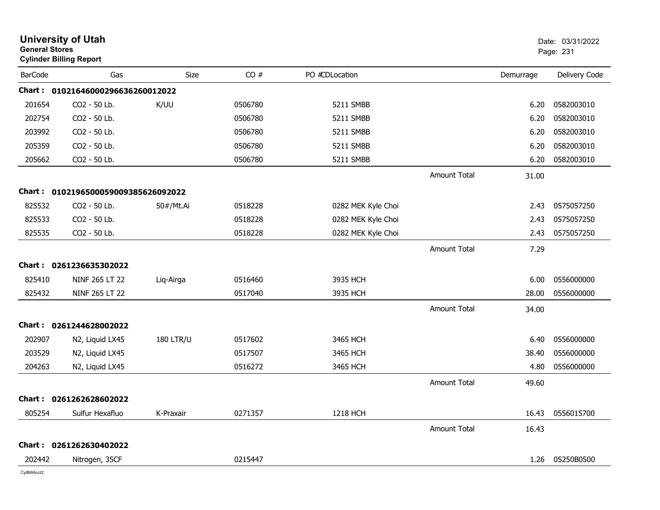| <b>General Stores</b> | <b>University of Utah</b><br><b>Cylinder Billing Report</b> |                  |         |                    |                     |           | Date: 03/31/2022<br>Page: 231 |
|-----------------------|-------------------------------------------------------------|------------------|---------|--------------------|---------------------|-----------|-------------------------------|
| <b>BarCode</b>        | Gas                                                         | Size             | CO#     | PO #CDLocation     |                     | Demurrage | Delivery Code                 |
|                       | Chart: 01021646000296636260012022                           |                  |         |                    |                     |           |                               |
| 201654                | CO2 - 50 Lb.                                                | K/UU             | 0506780 | 5211 SMBB          |                     | 6.20      | 0582003010                    |
| 202754                | CO2 - 50 Lb.                                                |                  | 0506780 | 5211 SMBB          |                     | 6.20      | 0582003010                    |
| 203992                | CO2 - 50 Lb.                                                |                  | 0506780 | 5211 SMBB          |                     | 6.20      | 0582003010                    |
| 205359                | CO2 - 50 Lb.                                                |                  | 0506780 | 5211 SMBB          |                     | 6.20      | 0582003010                    |
| 205662                | CO2 - 50 Lb.                                                |                  | 0506780 | 5211 SMBB          |                     | 6.20      | 0582003010                    |
|                       |                                                             |                  |         |                    | <b>Amount Total</b> | 31.00     |                               |
|                       | Chart: 0102196500059009385626092022                         |                  |         |                    |                     |           |                               |
| 825532                | CO2 - 50 Lb.                                                | 50#/Mt.Ai        | 0518228 | 0282 MEK Kyle Choi |                     | 2.43      | 0575057250                    |
| 825533                | CO2 - 50 Lb.                                                |                  | 0518228 | 0282 MEK Kyle Choi |                     | 2.43      | 0575057250                    |
| 825535                | CO2 - 50 Lb.                                                |                  | 0518228 | 0282 MEK Kyle Choi |                     | 2.43      | 0575057250                    |
|                       |                                                             |                  |         |                    | <b>Amount Total</b> | 7.29      |                               |
|                       | Chart: 0261236635302022                                     |                  |         |                    |                     |           |                               |
| 825410                | NINF 265 LT 22                                              | Liq-Airga        | 0516460 | 3935 HCH           |                     | 6.00      | 0556000000                    |
| 825432                | NINF 265 LT 22                                              |                  | 0517040 | 3935 HCH           |                     | 28.00     | 0556000000                    |
|                       |                                                             |                  |         |                    | <b>Amount Total</b> | 34.00     |                               |
|                       | Chart: 0261244628002022                                     |                  |         |                    |                     |           |                               |
| 202907                | N2, Liquid LX45                                             | <b>180 LTR/U</b> | 0517602 | 3465 HCH           |                     | 6.40      | 0556000000                    |
| 203529                | N2, Liquid LX45                                             |                  | 0517507 | 3465 HCH           |                     | 38.40     | 0556000000                    |
| 204263                | N2, Liquid LX45                                             |                  | 0516272 | 3465 HCH           |                     | 4.80      | 0556000000                    |
|                       |                                                             |                  |         |                    | <b>Amount Total</b> | 49.60     |                               |
|                       | Chart: 0261262628602022                                     |                  |         |                    |                     |           |                               |
| 805254                | Sulfur Hexafluo                                             | K-Praxair        | 0271357 | 1218 HCH           |                     | 16.43     | 0556015700                    |
|                       |                                                             |                  |         |                    | Amount Total        | 16.43     |                               |
|                       | Chart: 0261262630402022                                     |                  |         |                    |                     |           |                               |
| 202442                | Nitrogen, 35CF                                              |                  | 0215447 |                    |                     | 1.26      | 05250B0500                    |
|                       |                                                             |                  |         |                    |                     |           |                               |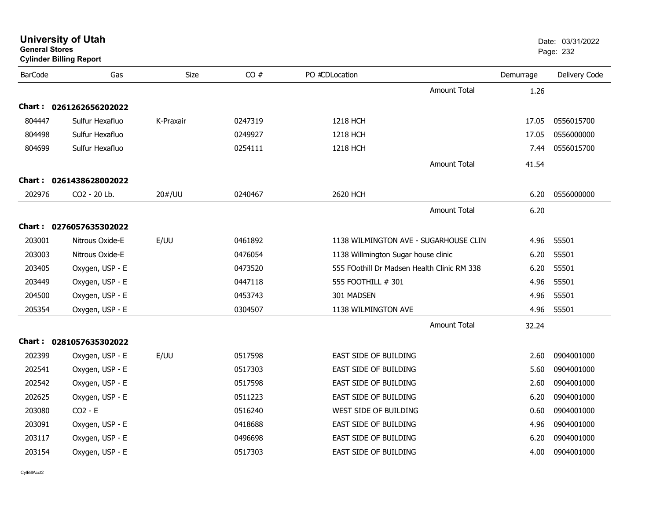| <b>General Stores</b> | <b>Cylinder Billing Report</b> |             |         |                                     |                                             |           | Page: 232     |
|-----------------------|--------------------------------|-------------|---------|-------------------------------------|---------------------------------------------|-----------|---------------|
| <b>BarCode</b>        | Gas                            | <b>Size</b> | CO#     | PO #CDLocation                      |                                             | Demurrage | Delivery Code |
|                       |                                |             |         |                                     | <b>Amount Total</b>                         | 1.26      |               |
|                       | Chart: 0261262656202022        |             |         |                                     |                                             |           |               |
| 804447                | Sulfur Hexafluo                | K-Praxair   | 0247319 | 1218 HCH                            |                                             | 17.05     | 0556015700    |
| 804498                | Sulfur Hexafluo                |             | 0249927 | 1218 HCH                            |                                             | 17.05     | 0556000000    |
| 804699                | Sulfur Hexafluo                |             | 0254111 | 1218 HCH                            |                                             | 7.44      | 0556015700    |
|                       |                                |             |         |                                     | <b>Amount Total</b>                         | 41.54     |               |
| Chart :               | 0261438628002022               |             |         |                                     |                                             |           |               |
| 202976                | CO <sub>2</sub> - 20 Lb.       | 20#/UU      | 0240467 | 2620 HCH                            |                                             | 6.20      | 0556000000    |
|                       |                                |             |         |                                     | <b>Amount Total</b>                         | 6.20      |               |
|                       | Chart: 0276057635302022        |             |         |                                     |                                             |           |               |
| 203001                | Nitrous Oxide-E                | E/UU        | 0461892 |                                     | 1138 WILMINGTON AVE - SUGARHOUSE CLIN       | 4.96      | 55501         |
| 203003                | Nitrous Oxide-E                |             | 0476054 | 1138 Willmington Sugar house clinic |                                             | 6.20      | 55501         |
| 203405                | Oxygen, USP - E                |             | 0473520 |                                     | 555 FOothill Dr Madsen Health Clinic RM 338 | 6.20      | 55501         |
| 203449                | Oxygen, USP - E                |             | 0447118 | 555 FOOTHILL # 301                  |                                             | 4.96      | 55501         |
| 204500                | Oxygen, USP - E                |             | 0453743 | 301 MADSEN                          |                                             | 4.96      | 55501         |
| 205354                | Oxygen, USP - E                |             | 0304507 | 1138 WILMINGTON AVE                 |                                             | 4.96      | 55501         |
|                       |                                |             |         |                                     | <b>Amount Total</b>                         | 32.24     |               |
|                       | Chart: 0281057635302022        |             |         |                                     |                                             |           |               |
| 202399                | Oxygen, USP - E                | E/UU        | 0517598 | EAST SIDE OF BUILDING               |                                             | 2.60      | 0904001000    |
| 202541                | Oxygen, USP - E                |             | 0517303 | EAST SIDE OF BUILDING               |                                             | 5.60      | 0904001000    |
| 202542                | Oxygen, USP - E                |             | 0517598 | EAST SIDE OF BUILDING               |                                             | 2.60      | 0904001000    |
| 202625                | Oxygen, USP - E                |             | 0511223 | EAST SIDE OF BUILDING               |                                             | 6.20      | 0904001000    |
| 203080                | $CO2 - E$                      |             | 0516240 | WEST SIDE OF BUILDING               |                                             | 0.60      | 0904001000    |
| 203091                | Oxygen, USP - E                |             | 0418688 | EAST SIDE OF BUILDING               |                                             | 4.96      | 0904001000    |
| 203117                | Oxygen, USP - E                |             | 0496698 | EAST SIDE OF BUILDING               |                                             | 6.20      | 0904001000    |
| 203154                | Oxygen, USP - E                |             | 0517303 | EAST SIDE OF BUILDING               |                                             | 4.00      | 0904001000    |

# **University of Utah**  Date: 03/31/2022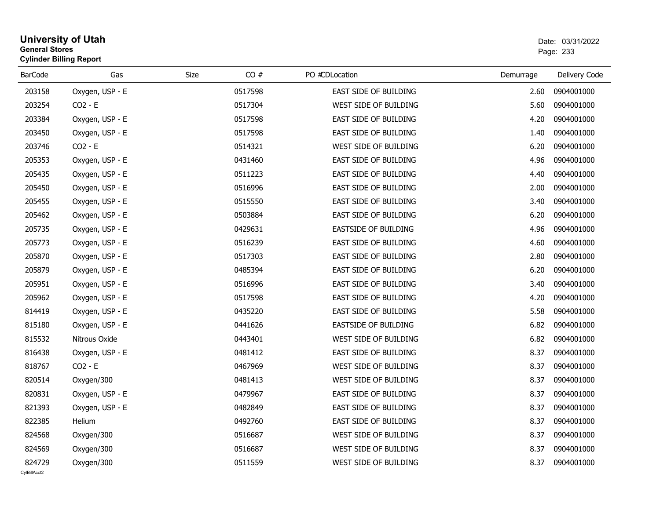### **University of Utah** Date: 03/31/2022 **General Stores**s and the contract of the contract of the contract of the contract of the contract of the contract of the contract of the contract of the contract of the contract of the contract of the contract of the contract of the cont **Cylinder Billing Report**

| <b>BarCode</b> | Gas             | Size    | CO#     | PO #CDLocation        | Demurrage | Delivery Code |
|----------------|-----------------|---------|---------|-----------------------|-----------|---------------|
| 203158         | Oxygen, USP - E |         | 0517598 | EAST SIDE OF BUILDING | 2.60      | 0904001000    |
| 203254         | $CO2 - E$       |         | 0517304 | WEST SIDE OF BUILDING | 5.60      | 0904001000    |
| 203384         | Oxygen, USP - E |         | 0517598 | EAST SIDE OF BUILDING | 4.20      | 0904001000    |
| 203450         | Oxygen, USP - E |         | 0517598 | EAST SIDE OF BUILDING | 1.40      | 0904001000    |
| 203746         | $CO2 - E$       | 0514321 |         | WEST SIDE OF BUILDING | 6.20      | 0904001000    |
| 205353         | Oxygen, USP - E | 0431460 |         | EAST SIDE OF BUILDING | 4.96      | 0904001000    |
| 205435         | Oxygen, USP - E | 0511223 |         | EAST SIDE OF BUILDING | 4.40      | 0904001000    |
| 205450         | Oxygen, USP - E |         | 0516996 | EAST SIDE OF BUILDING | 2.00      | 0904001000    |
| 205455         | Oxygen, USP - E |         | 0515550 | EAST SIDE OF BUILDING | 3.40      | 0904001000    |
| 205462         | Oxygen, USP - E |         | 0503884 | EAST SIDE OF BUILDING | 6.20      | 0904001000    |
| 205735         | Oxygen, USP - E | 0429631 |         | EASTSIDE OF BUILDING  | 4.96      | 0904001000    |
| 205773         | Oxygen, USP - E | 0516239 |         | EAST SIDE OF BUILDING | 4.60      | 0904001000    |
| 205870         | Oxygen, USP - E | 0517303 |         | EAST SIDE OF BUILDING | 2.80      | 0904001000    |
| 205879         | Oxygen, USP - E |         | 0485394 | EAST SIDE OF BUILDING | 6.20      | 0904001000    |
| 205951         | Oxygen, USP - E |         | 0516996 | EAST SIDE OF BUILDING | 3.40      | 0904001000    |
| 205962         | Oxygen, USP - E |         | 0517598 | EAST SIDE OF BUILDING | 4.20      | 0904001000    |
| 814419         | Oxygen, USP - E | 0435220 |         | EAST SIDE OF BUILDING | 5.58      | 0904001000    |
| 815180         | Oxygen, USP - E | 0441626 |         | EASTSIDE OF BUILDING  | 6.82      | 0904001000    |
| 815532         | Nitrous Oxide   | 0443401 |         | WEST SIDE OF BUILDING | 6.82      | 0904001000    |
| 816438         | Oxygen, USP - E |         | 0481412 | EAST SIDE OF BUILDING | 8.37      | 0904001000    |
| 818767         | $CO2 - E$       | 0467969 |         | WEST SIDE OF BUILDING | 8.37      | 0904001000    |
| 820514         | Oxygen/300      | 0481413 |         | WEST SIDE OF BUILDING | 8.37      | 0904001000    |
| 820831         | Oxygen, USP - E | 0479967 |         | EAST SIDE OF BUILDING | 8.37      | 0904001000    |
| 821393         | Oxygen, USP - E | 0482849 |         | EAST SIDE OF BUILDING | 8.37      | 0904001000    |
| 822385         | Helium          | 0492760 |         | EAST SIDE OF BUILDING | 8.37      | 0904001000    |
| 824568         | Oxygen/300      | 0516687 |         | WEST SIDE OF BUILDING | 8.37      | 0904001000    |
| 824569         | Oxygen/300      | 0516687 |         | WEST SIDE OF BUILDING | 8.37      | 0904001000    |
| 824729         | Oxygen/300      | 0511559 |         | WEST SIDE OF BUILDING | 8.37      | 0904001000    |
| CvIBillAcct2   |                 |         |         |                       |           |               |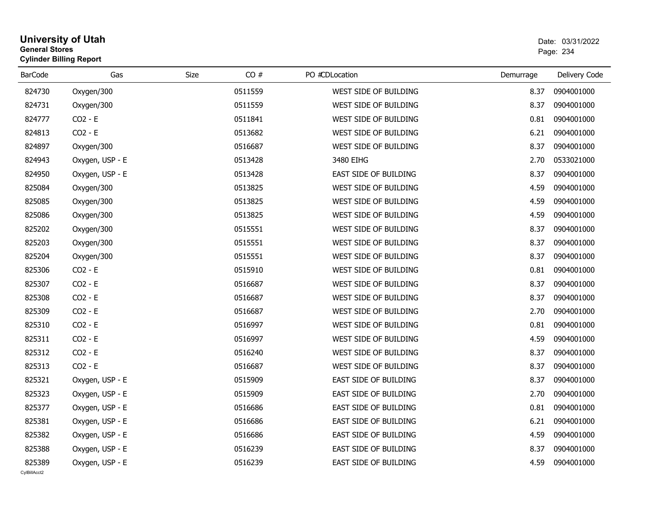## **University of Utah** Date: 03/31/2022 **General Stores**es and the contract of the contract of the contract of the contract of the contract of the contract of the contract of the contract of the contract of the contract of the contract of the contract of the contract of the con **Cylinder Billing Report**

| <b>BarCode</b>         | Gas             | CO#<br>Size | PO #CDLocation               | Demurrage | Delivery Code |
|------------------------|-----------------|-------------|------------------------------|-----------|---------------|
| 824730                 | Oxygen/300      | 0511559     | WEST SIDE OF BUILDING        | 8.37      | 0904001000    |
| 824731                 | Oxygen/300      | 0511559     | WEST SIDE OF BUILDING        | 8.37      | 0904001000    |
| 824777                 | $CO2 - E$       | 0511841     | WEST SIDE OF BUILDING        | 0.81      | 0904001000    |
| 824813                 | $CO2 - E$       | 0513682     | WEST SIDE OF BUILDING        | 6.21      | 0904001000    |
| 824897                 | Oxygen/300      | 0516687     | WEST SIDE OF BUILDING        | 8.37      | 0904001000    |
| 824943                 | Oxygen, USP - E | 0513428     | 3480 EIHG                    | 2.70      | 0533021000    |
| 824950                 | Oxygen, USP - E | 0513428     | EAST SIDE OF BUILDING        | 8.37      | 0904001000    |
| 825084                 | Oxygen/300      | 0513825     | WEST SIDE OF BUILDING        | 4.59      | 0904001000    |
| 825085                 | Oxygen/300      | 0513825     | WEST SIDE OF BUILDING        | 4.59      | 0904001000    |
| 825086                 | Oxygen/300      | 0513825     | WEST SIDE OF BUILDING        | 4.59      | 0904001000    |
| 825202                 | Oxygen/300      | 0515551     | WEST SIDE OF BUILDING        | 8.37      | 0904001000    |
| 825203                 | Oxygen/300      | 0515551     | WEST SIDE OF BUILDING        | 8.37      | 0904001000    |
| 825204                 | Oxygen/300      | 0515551     | WEST SIDE OF BUILDING        | 8.37      | 0904001000    |
| 825306                 | $CO2 - E$       | 0515910     | WEST SIDE OF BUILDING        | 0.81      | 0904001000    |
| 825307                 | $CO2 - E$       | 0516687     | WEST SIDE OF BUILDING        | 8.37      | 0904001000    |
| 825308                 | $CO2 - E$       | 0516687     | WEST SIDE OF BUILDING        | 8.37      | 0904001000    |
| 825309                 | $CO2 - E$       | 0516687     | WEST SIDE OF BUILDING        | 2.70      | 0904001000    |
| 825310                 | $CO2 - E$       | 0516997     | WEST SIDE OF BUILDING        | 0.81      | 0904001000    |
| 825311                 | $CO2 - E$       | 0516997     | WEST SIDE OF BUILDING        | 4.59      | 0904001000    |
| 825312                 | $CO2 - E$       | 0516240     | WEST SIDE OF BUILDING        | 8.37      | 0904001000    |
| 825313                 | $CO2 - E$       | 0516687     | WEST SIDE OF BUILDING        | 8.37      | 0904001000    |
| 825321                 | Oxygen, USP - E | 0515909     | EAST SIDE OF BUILDING        | 8.37      | 0904001000    |
| 825323                 | Oxygen, USP - E | 0515909     | EAST SIDE OF BUILDING        | 2.70      | 0904001000    |
| 825377                 | Oxygen, USP - E | 0516686     | <b>EAST SIDE OF BUILDING</b> | 0.81      | 0904001000    |
| 825381                 | Oxygen, USP - E | 0516686     | EAST SIDE OF BUILDING        | 6.21      | 0904001000    |
| 825382                 | Oxygen, USP - E | 0516686     | EAST SIDE OF BUILDING        | 4.59      | 0904001000    |
| 825388                 | Oxygen, USP - E | 0516239     | EAST SIDE OF BUILDING        | 8.37      | 0904001000    |
| 825389<br>CvIBillAcct2 | Oxygen, USP - E | 0516239     | EAST SIDE OF BUILDING        | 4.59      | 0904001000    |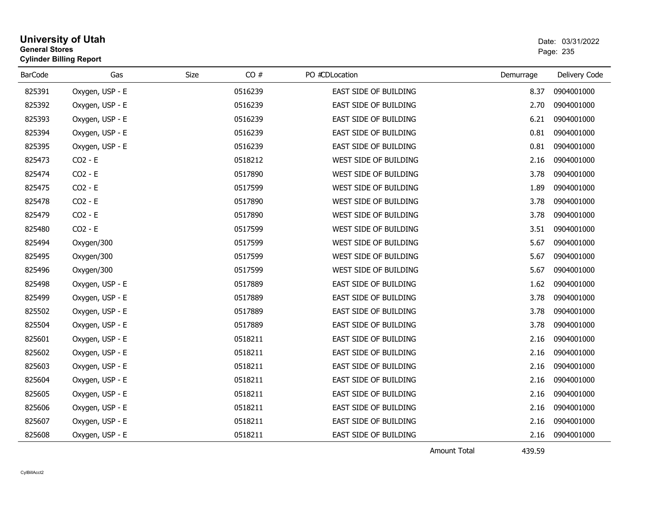| <b>University of Utah</b><br><b>General Stores</b><br><b>Cylinder Billing Report</b> |     |      |      |                | Date: 03/<br>Page: 235 |
|--------------------------------------------------------------------------------------|-----|------|------|----------------|------------------------|
| <b>BarCode</b>                                                                       | Gas | Size | CO # | PO #CDLocation | Deliv<br>Demurrage     |

| <b>BarCode</b> | Gas             | CO#<br>Size | PO #CDLocation        | Demurrage | Delivery Code |
|----------------|-----------------|-------------|-----------------------|-----------|---------------|
| 825391         | Oxygen, USP - E | 0516239     | EAST SIDE OF BUILDING | 8.37      | 0904001000    |
| 825392         | Oxygen, USP - E | 0516239     | EAST SIDE OF BUILDING | 2.70      | 0904001000    |
| 825393         | Oxygen, USP - E | 0516239     | EAST SIDE OF BUILDING | 6.21      | 0904001000    |
| 825394         | Oxygen, USP - E | 0516239     | EAST SIDE OF BUILDING | 0.81      | 0904001000    |
| 825395         | Oxygen, USP - E | 0516239     | EAST SIDE OF BUILDING | 0.81      | 0904001000    |
| 825473         | $CO2 - E$       | 0518212     | WEST SIDE OF BUILDING | 2.16      | 0904001000    |
| 825474         | $CO2 - E$       | 0517890     | WEST SIDE OF BUILDING | 3.78      | 0904001000    |
| 825475         | $CO2 - E$       | 0517599     | WEST SIDE OF BUILDING | 1.89      | 0904001000    |
| 825478         | $CO2 - E$       | 0517890     | WEST SIDE OF BUILDING | 3.78      | 0904001000    |
| 825479         | $CO2 - E$       | 0517890     | WEST SIDE OF BUILDING | 3.78      | 0904001000    |
| 825480         | $CO2 - E$       | 0517599     | WEST SIDE OF BUILDING | 3.51      | 0904001000    |
| 825494         | Oxygen/300      | 0517599     | WEST SIDE OF BUILDING | 5.67      | 0904001000    |
| 825495         | Oxygen/300      | 0517599     | WEST SIDE OF BUILDING | 5.67      | 0904001000    |
| 825496         | Oxygen/300      | 0517599     | WEST SIDE OF BUILDING | 5.67      | 0904001000    |
| 825498         | Oxygen, USP - E | 0517889     | EAST SIDE OF BUILDING | 1.62      | 0904001000    |
| 825499         | Oxygen, USP - E | 0517889     | EAST SIDE OF BUILDING | 3.78      | 0904001000    |
| 825502         | Oxygen, USP - E | 0517889     | EAST SIDE OF BUILDING | 3.78      | 0904001000    |
| 825504         | Oxygen, USP - E | 0517889     | EAST SIDE OF BUILDING | 3.78      | 0904001000    |
| 825601         | Oxygen, USP - E | 0518211     | EAST SIDE OF BUILDING | 2.16      | 0904001000    |
| 825602         | Oxygen, USP - E | 0518211     | EAST SIDE OF BUILDING | 2.16      | 0904001000    |
| 825603         | Oxygen, USP - E | 0518211     | EAST SIDE OF BUILDING | 2.16      | 0904001000    |
| 825604         | Oxygen, USP - E | 0518211     | EAST SIDE OF BUILDING | 2.16      | 0904001000    |
| 825605         | Oxygen, USP - E | 0518211     | EAST SIDE OF BUILDING | 2.16      | 0904001000    |
| 825606         | Oxygen, USP - E | 0518211     | EAST SIDE OF BUILDING | 2.16      | 0904001000    |
| 825607         | Oxygen, USP - E | 0518211     | EAST SIDE OF BUILDING | 2.16      | 0904001000    |
| 825608         | Oxygen, USP - E | 0518211     | EAST SIDE OF BUILDING | 2.16      | 0904001000    |

Amount Total

439.59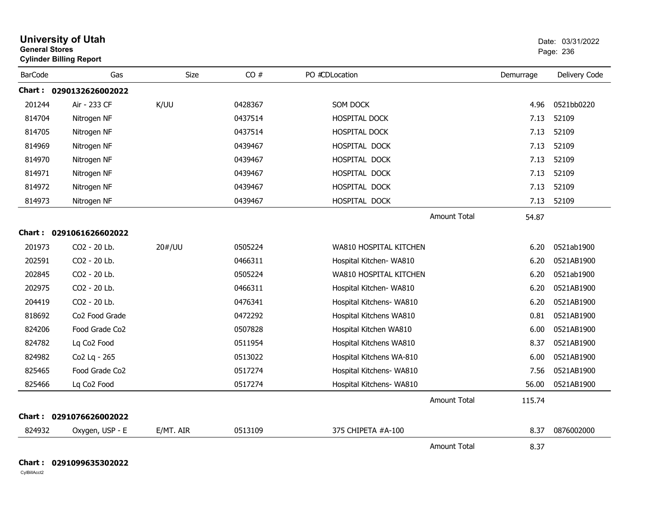| <b>General Stores</b> | <b>University of Utah</b><br><b>Cylinder Billing Report</b> |           |         |                          |           | Date: 03/31/2022<br>Page: 236 |
|-----------------------|-------------------------------------------------------------|-----------|---------|--------------------------|-----------|-------------------------------|
| <b>BarCode</b>        | Gas                                                         | Size      | CO#     | PO #CDLocation           | Demurrage | Delivery Code                 |
|                       | Chart: 0290132626002022                                     |           |         |                          |           |                               |
| 201244                | Air - 233 CF                                                | K/UU      | 0428367 | SOM DOCK                 | 4.96      | 0521bb0220                    |
| 814704                | Nitrogen NF                                                 |           | 0437514 | <b>HOSPITAL DOCK</b>     | 7.13      | 52109                         |
| 814705                | Nitrogen NF                                                 |           | 0437514 | HOSPITAL DOCK            | 7.13      | 52109                         |
| 814969                | Nitrogen NF                                                 |           | 0439467 | HOSPITAL DOCK            | 7.13      | 52109                         |
| 814970                | Nitrogen NF                                                 |           | 0439467 | HOSPITAL DOCK            | 7.13      | 52109                         |
| 814971                | Nitrogen NF                                                 |           | 0439467 | HOSPITAL DOCK            | 7.13      | 52109                         |
| 814972                | Nitrogen NF                                                 |           | 0439467 | HOSPITAL DOCK            | 7.13      | 52109                         |
| 814973                | Nitrogen NF                                                 |           | 0439467 | HOSPITAL DOCK            | 7.13      | 52109                         |
|                       |                                                             |           |         | <b>Amount Total</b>      | 54.87     |                               |
|                       | Chart: 0291061626602022                                     |           |         |                          |           |                               |
| 201973                | CO2 - 20 Lb.                                                | 20#/UU    | 0505224 | WA810 HOSPITAL KITCHEN   | 6.20      | 0521ab1900                    |
| 202591                | CO2 - 20 Lb.                                                |           | 0466311 | Hospital Kitchen- WA810  | 6.20      | 0521AB1900                    |
| 202845                | CO2 - 20 Lb.                                                |           | 0505224 | WA810 HOSPITAL KITCHEN   | 6.20      | 0521ab1900                    |
| 202975                | CO2 - 20 Lb.                                                |           | 0466311 | Hospital Kitchen- WA810  | 6.20      | 0521AB1900                    |
| 204419                | CO2 - 20 Lb.                                                |           | 0476341 | Hospital Kitchens- WA810 | 6.20      | 0521AB1900                    |
| 818692                | Co2 Food Grade                                              |           | 0472292 | Hospital Kitchens WA810  | 0.81      | 0521AB1900                    |
| 824206                | Food Grade Co2                                              |           | 0507828 | Hospital Kitchen WA810   | 6.00      | 0521AB1900                    |
| 824782                | Lq Co <sub>2</sub> Food                                     |           | 0511954 | Hospital Kitchens WA810  | 8.37      | 0521AB1900                    |
| 824982                | Co2 Lg - 265                                                |           | 0513022 | Hospital Kitchens WA-810 | 6.00      | 0521AB1900                    |
| 825465                | Food Grade Co2                                              |           | 0517274 | Hospital Kitchens- WA810 | 7.56      | 0521AB1900                    |
| 825466                | Lq Co <sub>2</sub> Food                                     |           | 0517274 | Hospital Kitchens- WA810 | 56.00     | 0521AB1900                    |
|                       |                                                             |           |         | <b>Amount Total</b>      | 115.74    |                               |
| Chart :               | 0291076626002022                                            |           |         |                          |           |                               |
| 824932                | Oxygen, USP - E                                             | E/MT. AIR | 0513109 | 375 CHIPETA #A-100       | 8.37      | 0876002000                    |
|                       |                                                             |           |         | <b>Amount Total</b>      | 8.37      |                               |

**Chart : 0291099635302022**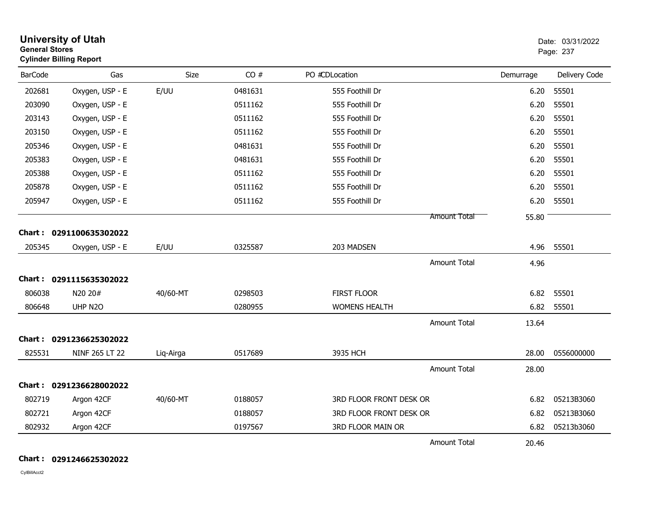| <b>General Stores</b> | <b>University of Utah</b><br><b>Cylinder Billing Report</b> |           |         |                         |                     |           | Date: 03/31/2022<br>Page: 237 |
|-----------------------|-------------------------------------------------------------|-----------|---------|-------------------------|---------------------|-----------|-------------------------------|
| <b>BarCode</b>        | Gas                                                         | Size      | CO#     | PO #CDLocation          |                     | Demurrage | Delivery Code                 |
| 202681                | Oxygen, USP - E                                             | E/UU      | 0481631 | 555 Foothill Dr         |                     | 6.20      | 55501                         |
| 203090                | Oxygen, USP - E                                             |           | 0511162 | 555 Foothill Dr         |                     | 6.20      | 55501                         |
| 203143                | Oxygen, USP - E                                             |           | 0511162 | 555 Foothill Dr         |                     | 6.20      | 55501                         |
| 203150                | Oxygen, USP - E                                             |           | 0511162 | 555 Foothill Dr         |                     | 6.20      | 55501                         |
| 205346                | Oxygen, USP - E                                             |           | 0481631 | 555 Foothill Dr         |                     | 6.20      | 55501                         |
| 205383                | Oxygen, USP - E                                             |           | 0481631 | 555 Foothill Dr         |                     | 6.20      | 55501                         |
| 205388                | Oxygen, USP - E                                             |           | 0511162 | 555 Foothill Dr         |                     | 6.20      | 55501                         |
| 205878                | Oxygen, USP - E                                             |           | 0511162 | 555 Foothill Dr         |                     | 6.20      | 55501                         |
| 205947                | Oxygen, USP - E                                             |           | 0511162 | 555 Foothill Dr         |                     | 6.20      | 55501                         |
|                       |                                                             |           |         |                         | <b>Amount Total</b> | 55.80     |                               |
|                       | Chart: 0291100635302022                                     |           |         |                         |                     |           |                               |
| 205345                | Oxygen, USP - E                                             | E/UU      | 0325587 | 203 MADSEN              |                     | 4.96      | 55501                         |
|                       |                                                             |           |         |                         | <b>Amount Total</b> | 4.96      |                               |
|                       | Chart: 0291115635302022                                     |           |         |                         |                     |           |                               |
| 806038                | N20 20#                                                     | 40/60-MT  | 0298503 | <b>FIRST FLOOR</b>      |                     | 6.82      | 55501                         |
| 806648                | UHP N2O                                                     |           | 0280955 | <b>WOMENS HEALTH</b>    |                     | 6.82      | 55501                         |
|                       |                                                             |           |         |                         | <b>Amount Total</b> | 13.64     |                               |
|                       | Chart: 0291236625302022                                     |           |         |                         |                     |           |                               |
| 825531                | NINF 265 LT 22                                              | Liq-Airga | 0517689 | 3935 HCH                |                     | 28.00     | 0556000000                    |
|                       |                                                             |           |         |                         | <b>Amount Total</b> | 28.00     |                               |
|                       | Chart: 0291236628002022                                     |           |         |                         |                     |           |                               |
| 802719                | Argon 42CF                                                  | 40/60-MT  | 0188057 | 3RD FLOOR FRONT DESK OR |                     | 6.82      | 05213B3060                    |
| 802721                | Argon 42CF                                                  |           | 0188057 | 3RD FLOOR FRONT DESK OR |                     | 6.82      | 05213B3060                    |
| 802932                | Argon 42CF                                                  |           | 0197567 | 3RD FLOOR MAIN OR       |                     | 6.82      | 05213b3060                    |
|                       |                                                             |           |         |                         | <b>Amount Total</b> | 20.46     |                               |

**Chart : 0291246625302022**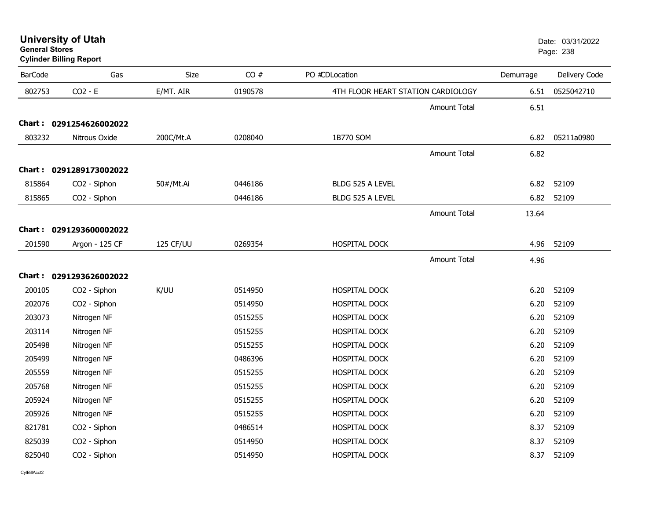| <b>General Stores</b> | <b>Cylinder Billing Report</b> |           |         |                                    |                     |           | Page: 238     |
|-----------------------|--------------------------------|-----------|---------|------------------------------------|---------------------|-----------|---------------|
| <b>BarCode</b>        | Gas                            | Size      | CO#     | PO #CDLocation                     |                     | Demurrage | Delivery Code |
| 802753                | $CO2 - E$                      | E/MT. AIR | 0190578 | 4TH FLOOR HEART STATION CARDIOLOGY |                     | 6.51      | 0525042710    |
|                       |                                |           |         |                                    | <b>Amount Total</b> | 6.51      |               |
|                       | Chart: 0291254626002022        |           |         |                                    |                     |           |               |
| 803232                | Nitrous Oxide                  | 200C/Mt.A | 0208040 | 1B770 SOM                          |                     | 6.82      | 05211a0980    |
|                       |                                |           |         |                                    | Amount Total        | 6.82      |               |
|                       | Chart: 0291289173002022        |           |         |                                    |                     |           |               |
| 815864                | CO2 - Siphon                   | 50#/Mt.Ai | 0446186 | BLDG 525 A LEVEL                   |                     | 6.82      | 52109         |
| 815865                | CO2 - Siphon                   |           | 0446186 | BLDG 525 A LEVEL                   |                     | 6.82      | 52109         |
|                       |                                |           |         |                                    | Amount Total        | 13.64     |               |
|                       | Chart: 0291293600002022        |           |         |                                    |                     |           |               |
| 201590                | Argon - 125 CF                 | 125 CF/UU | 0269354 | HOSPITAL DOCK                      |                     | 4.96      | 52109         |
|                       |                                |           |         |                                    | <b>Amount Total</b> | 4.96      |               |
|                       | Chart: 0291293626002022        |           |         |                                    |                     |           |               |
| 200105                | CO2 - Siphon                   | K/UU      | 0514950 | <b>HOSPITAL DOCK</b>               |                     | 6.20      | 52109         |
| 202076                | CO2 - Siphon                   |           | 0514950 | <b>HOSPITAL DOCK</b>               |                     | 6.20      | 52109         |
| 203073                | Nitrogen NF                    |           | 0515255 | HOSPITAL DOCK                      |                     | 6.20      | 52109         |
| 203114                | Nitrogen NF                    |           | 0515255 | HOSPITAL DOCK                      |                     | 6.20      | 52109         |
| 205498                | Nitrogen NF                    |           | 0515255 | HOSPITAL DOCK                      |                     | 6.20      | 52109         |
| 205499                | Nitrogen NF                    |           | 0486396 | HOSPITAL DOCK                      |                     | 6.20      | 52109         |
| 205559                | Nitrogen NF                    |           | 0515255 | HOSPITAL DOCK                      |                     | 6.20      | 52109         |
| 205768                | Nitrogen NF                    |           | 0515255 | HOSPITAL DOCK                      |                     | 6.20      | 52109         |
| 205924                | Nitrogen NF                    |           | 0515255 | HOSPITAL DOCK                      |                     | 6.20      | 52109         |
| 205926                | Nitrogen NF                    |           | 0515255 | HOSPITAL DOCK                      |                     | 6.20      | 52109         |
| 821781                | CO2 - Siphon                   |           | 0486514 | HOSPITAL DOCK                      |                     | 8.37      | 52109         |
| 825039                | CO2 - Siphon                   |           | 0514950 | HOSPITAL DOCK                      |                     | 8.37      | 52109         |
| 825040                | CO2 - Siphon                   |           | 0514950 | <b>HOSPITAL DOCK</b>               |                     | 8.37      | 52109         |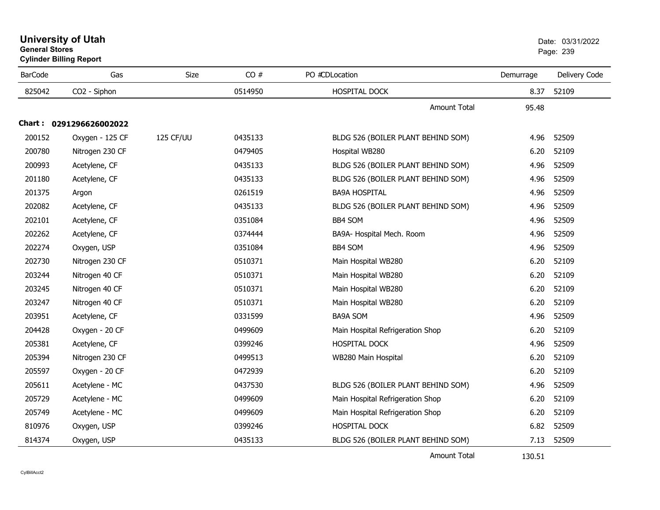| <b>Cylinder Billing Report</b> |                         |           |         | ı ayu. zuu                         |           |               |
|--------------------------------|-------------------------|-----------|---------|------------------------------------|-----------|---------------|
| <b>BarCode</b>                 | Gas                     | Size      | CO#     | PO #CDLocation                     | Demurrage | Delivery Code |
| 825042                         | CO2 - Siphon            |           | 0514950 | HOSPITAL DOCK                      | 8.37      | 52109         |
|                                |                         |           |         | <b>Amount Total</b>                | 95.48     |               |
|                                | Chart: 0291296626002022 |           |         |                                    |           |               |
| 200152                         | Oxygen - 125 CF         | 125 CF/UU | 0435133 | BLDG 526 (BOILER PLANT BEHIND SOM) | 4.96      | 52509         |
| 200780                         | Nitrogen 230 CF         |           | 0479405 | Hospital WB280                     | 6.20      | 52109         |
| 200993                         | Acetylene, CF           |           | 0435133 | BLDG 526 (BOILER PLANT BEHIND SOM) | 4.96      | 52509         |
| 201180                         | Acetylene, CF           |           | 0435133 | BLDG 526 (BOILER PLANT BEHIND SOM) | 4.96      | 52509         |
| 201375                         | Argon                   |           | 0261519 | <b>BA9A HOSPITAL</b>               | 4.96      | 52509         |
| 202082                         | Acetylene, CF           |           | 0435133 | BLDG 526 (BOILER PLANT BEHIND SOM) | 4.96      | 52509         |
| 202101                         | Acetylene, CF           |           | 0351084 | BB4 SOM                            | 4.96      | 52509         |
| 202262                         | Acetylene, CF           |           | 0374444 | BA9A- Hospital Mech. Room          | 4.96      | 52509         |
| 202274                         | Oxygen, USP             |           | 0351084 | BB4 SOM                            | 4.96      | 52509         |
| 202730                         | Nitrogen 230 CF         |           | 0510371 | Main Hospital WB280                | 6.20      | 52109         |
| 203244                         | Nitrogen 40 CF          |           | 0510371 | Main Hospital WB280                | 6.20      | 52109         |
| 203245                         | Nitrogen 40 CF          |           | 0510371 | Main Hospital WB280                | 6.20      | 52109         |
| 203247                         | Nitrogen 40 CF          |           | 0510371 | Main Hospital WB280                | 6.20      | 52109         |
| 203951                         | Acetylene, CF           |           | 0331599 | <b>BA9A SOM</b>                    | 4.96      | 52509         |
| 204428                         | Oxygen - 20 CF          |           | 0499609 | Main Hospital Refrigeration Shop   | 6.20      | 52109         |
| 205381                         | Acetylene, CF           |           | 0399246 | HOSPITAL DOCK                      | 4.96      | 52509         |
| 205394                         | Nitrogen 230 CF         |           | 0499513 | WB280 Main Hospital                | 6.20      | 52109         |
| 205597                         | Oxygen - 20 CF          |           | 0472939 |                                    | 6.20      | 52109         |
| 205611                         | Acetylene - MC          |           | 0437530 | BLDG 526 (BOILER PLANT BEHIND SOM) | 4.96      | 52509         |
| 205729                         | Acetylene - MC          |           | 0499609 | Main Hospital Refrigeration Shop   | 6.20      | 52109         |
| 205749                         | Acetylene - MC          |           | 0499609 | Main Hospital Refrigeration Shop   | 6.20      | 52109         |
| 810976                         | Oxygen, USP             |           | 0399246 | HOSPITAL DOCK                      | 6.82      | 52509         |
| 814374                         | Oxygen, USP             |           | 0435133 | BLDG 526 (BOILER PLANT BEHIND SOM) | 7.13      | 52509         |

**University of Utah** Date: 03/31/2022

entry of the contract of the contract of the contract of the contract of the contract of the contract of the contract of the contract of the contract of the contract of the contract of the contract of the contract of the c

## Amount Total

130.51

**General Stores**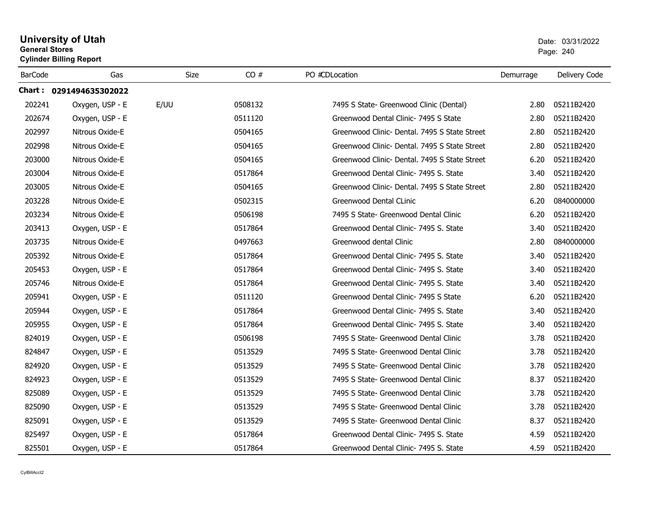## **University of Utah** Date: 03/31/2022 **General Stores**er and the state of the state of the state of the state of the state of the state of the state of the state of the state of the state of the state of the state of the state of the state of the state of the state of the sta **Cylinder Billing Report** BarCode Gas Size CO # PO #CDLocation Demurrage Delivery Code **Chart : 0291494635302022**202241202674202997997 Nitrous Oxide-E 202998998 Nitrous Oxide-E 203000000 Nitrous Oxide-E 203004004 Nitrous Oxide-E 203005005 Nitrous Oxide-E 203228228 Nitrous Oxide-E 203234234 Nitrous Oxide-E 203413

|        | Chart: 0291494635302022 |      |         |                                               |      |            |
|--------|-------------------------|------|---------|-----------------------------------------------|------|------------|
| 202241 | Oxygen, USP - E         | E/UU | 0508132 | 7495 S State- Greenwood Clinic (Dental)       | 2.80 | 05211B2420 |
| 202674 | Oxygen, USP - E         |      | 0511120 | Greenwood Dental Clinic- 7495 S State         | 2.80 | 05211B2420 |
| 202997 | Nitrous Oxide-E         |      | 0504165 | Greenwood Clinic- Dental, 7495 S State Street | 2.80 | 05211B2420 |
| 202998 | Nitrous Oxide-E         |      | 0504165 | Greenwood Clinic- Dental, 7495 S State Street | 2.80 | 05211B2420 |
| 203000 | Nitrous Oxide-E         |      | 0504165 | Greenwood Clinic- Dental. 7495 S State Street | 6.20 | 05211B2420 |
| 203004 | Nitrous Oxide-E         |      | 0517864 | Greenwood Dental Clinic- 7495 S. State        | 3.40 | 05211B2420 |
| 203005 | Nitrous Oxide-E         |      | 0504165 | Greenwood Clinic- Dental, 7495 S State Street | 2.80 | 05211B2420 |
| 203228 | Nitrous Oxide-E         |      | 0502315 | Greenwood Dental CLinic                       | 6.20 | 0840000000 |
| 203234 | Nitrous Oxide-E         |      | 0506198 | 7495 S State- Greenwood Dental Clinic         | 6.20 | 05211B2420 |
| 203413 | Oxygen, USP - E         |      | 0517864 | Greenwood Dental Clinic- 7495 S. State        | 3.40 | 05211B2420 |
| 203735 | Nitrous Oxide-E         |      | 0497663 | Greenwood dental Clinic                       | 2.80 | 0840000000 |
| 205392 | Nitrous Oxide-E         |      | 0517864 | Greenwood Dental Clinic- 7495 S. State        | 3.40 | 05211B2420 |
| 205453 | Oxygen, USP - E         |      | 0517864 | Greenwood Dental Clinic- 7495 S. State        | 3.40 | 05211B2420 |
| 205746 | Nitrous Oxide-E         |      | 0517864 | Greenwood Dental Clinic- 7495 S. State        | 3.40 | 05211B2420 |
| 205941 | Oxygen, USP - E         |      | 0511120 | Greenwood Dental Clinic- 7495 S State         | 6.20 | 05211B2420 |
| 205944 | Oxygen, USP - E         |      | 0517864 | Greenwood Dental Clinic- 7495 S. State        | 3.40 | 05211B2420 |
| 205955 | Oxygen, USP - E         |      | 0517864 | Greenwood Dental Clinic- 7495 S. State        | 3.40 | 05211B2420 |
| 824019 | Oxygen, USP - E         |      | 0506198 | 7495 S State- Greenwood Dental Clinic         | 3.78 | 05211B2420 |
| 824847 | Oxygen, USP - E         |      | 0513529 | 7495 S State- Greenwood Dental Clinic         | 3.78 | 05211B2420 |
| 824920 | Oxygen, USP - E         |      | 0513529 | 7495 S State- Greenwood Dental Clinic         | 3.78 | 05211B2420 |
| 824923 | Oxygen, USP - E         |      | 0513529 | 7495 S State- Greenwood Dental Clinic         | 8.37 | 05211B2420 |
| 825089 | Oxygen, USP - E         |      | 0513529 | 7495 S State- Greenwood Dental Clinic         | 3.78 | 05211B2420 |
| 825090 | Oxygen, USP - E         |      | 0513529 | 7495 S State- Greenwood Dental Clinic         | 3.78 | 05211B2420 |
| 825091 | Oxygen, USP - E         |      | 0513529 | 7495 S State- Greenwood Dental Clinic         | 8.37 | 05211B2420 |
| 825497 | Oxygen, USP - E         |      | 0517864 | Greenwood Dental Clinic- 7495 S. State        | 4.59 | 05211B2420 |
| 825501 | Oxygen, USP - E         |      | 0517864 | Greenwood Dental Clinic- 7495 S. State        | 4.59 | 05211B2420 |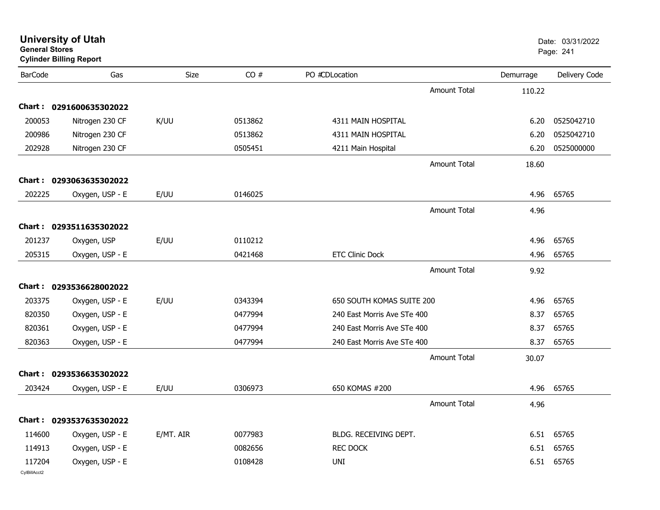| <b>University of Utah</b><br><b>General Stores</b><br><b>Cylinder Billing Report</b> |                         |           |         |                             |           | Date: 03/31/2022<br>Page: 241 |  |
|--------------------------------------------------------------------------------------|-------------------------|-----------|---------|-----------------------------|-----------|-------------------------------|--|
| <b>BarCode</b>                                                                       | Gas                     | Size      | CO#     | PO #CDLocation              | Demurrage | Delivery Code                 |  |
|                                                                                      |                         |           |         | <b>Amount Total</b>         | 110.22    |                               |  |
|                                                                                      | Chart: 0291600635302022 |           |         |                             |           |                               |  |
| 200053                                                                               | Nitrogen 230 CF         | K/UU      | 0513862 | 4311 MAIN HOSPITAL          | 6.20      | 0525042710                    |  |
| 200986                                                                               | Nitrogen 230 CF         |           | 0513862 | 4311 MAIN HOSPITAL          | 6.20      | 0525042710                    |  |
| 202928                                                                               | Nitrogen 230 CF         |           | 0505451 | 4211 Main Hospital          | 6.20      | 0525000000                    |  |
|                                                                                      |                         |           |         | <b>Amount Total</b>         | 18.60     |                               |  |
|                                                                                      | Chart: 0293063635302022 |           |         |                             |           |                               |  |
| 202225                                                                               | Oxygen, USP - E         | E/UU      | 0146025 |                             | 4.96      | 65765                         |  |
|                                                                                      |                         |           |         | <b>Amount Total</b>         | 4.96      |                               |  |
|                                                                                      | Chart: 0293511635302022 |           |         |                             |           |                               |  |
| 201237                                                                               | Oxygen, USP             | E/UU      | 0110212 |                             | 4.96      | 65765                         |  |
| 205315                                                                               | Oxygen, USP - E         |           | 0421468 | <b>ETC Clinic Dock</b>      | 4.96      | 65765                         |  |
|                                                                                      |                         |           |         | <b>Amount Total</b>         | 9.92      |                               |  |
|                                                                                      | Chart: 0293536628002022 |           |         |                             |           |                               |  |
| 203375                                                                               | Oxygen, USP - E         | E/UU      | 0343394 | 650 SOUTH KOMAS SUITE 200   | 4.96      | 65765                         |  |
| 820350                                                                               | Oxygen, USP - E         |           | 0477994 | 240 East Morris Ave STe 400 | 8.37      | 65765                         |  |
| 820361                                                                               | Oxygen, USP - E         |           | 0477994 | 240 East Morris Ave STe 400 | 8.37      | 65765                         |  |
| 820363                                                                               | Oxygen, USP - E         |           | 0477994 | 240 East Morris Ave STe 400 | 8.37      | 65765                         |  |
|                                                                                      |                         |           |         | <b>Amount Total</b>         | 30.07     |                               |  |
|                                                                                      | Chart: 0293536635302022 |           |         |                             |           |                               |  |
| 203424                                                                               | Oxygen, USP - E         | E/UU      | 0306973 | 650 KOMAS #200              | 4.96      | 65765                         |  |
|                                                                                      |                         |           |         | Amount Total                | 4.96      |                               |  |
|                                                                                      | Chart: 0293537635302022 |           |         |                             |           |                               |  |
| 114600                                                                               | Oxygen, USP - E         | E/MT. AIR | 0077983 | BLDG. RECEIVING DEPT.       |           | 6.51 65765                    |  |
| 114913                                                                               | Oxygen, USP - E         |           | 0082656 | <b>REC DOCK</b>             | 6.51      | 65765                         |  |
| 117204<br>CylBillAcct2                                                               | Oxygen, USP - E         |           | 0108428 | UNI                         |           | 6.51 65765                    |  |